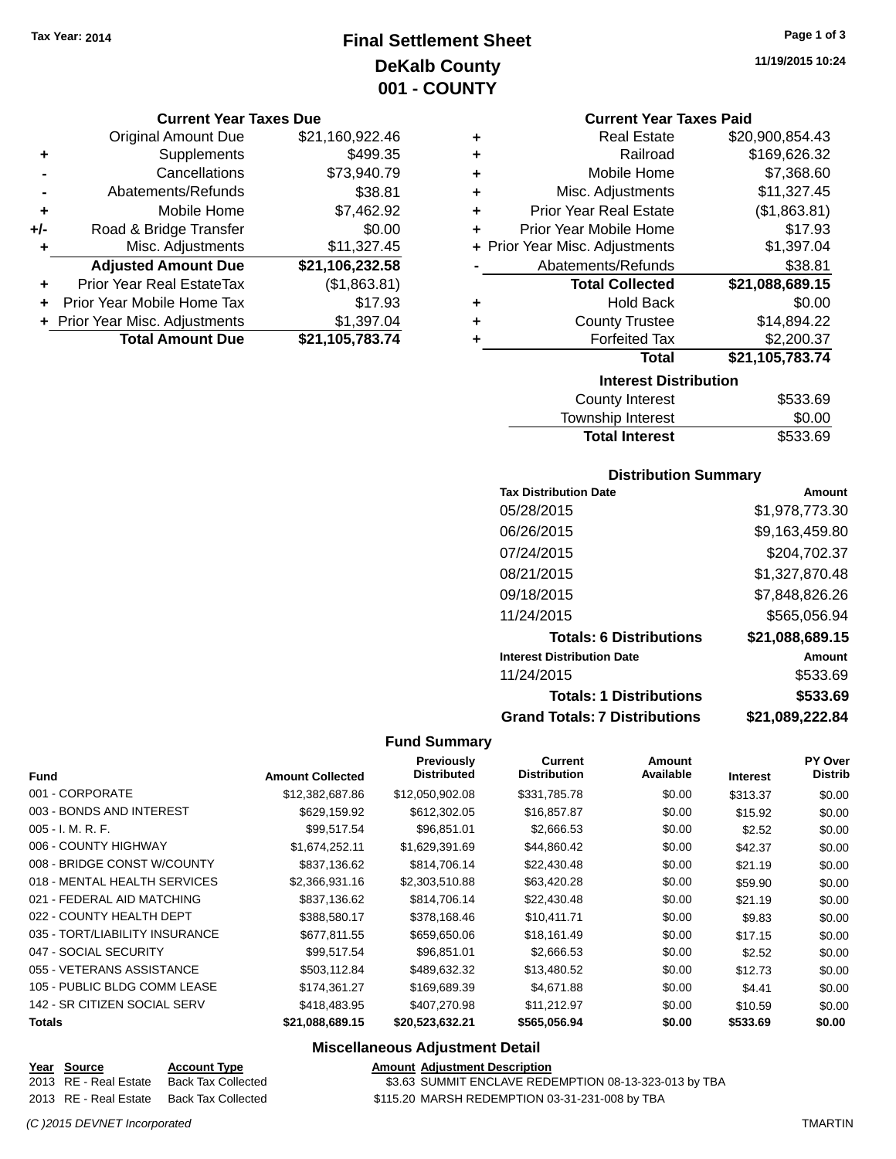## **Final Settlement Sheet Tax Year: 2014 Page 1 of 3 DeKalb County 001 - COUNTY**

#### **Current Year Taxes Due**

|       | <b>Original Amount Due</b>     | \$21,160,922.46 |
|-------|--------------------------------|-----------------|
| ٠     | Supplements                    | \$499.35        |
|       | Cancellations                  | \$73,940.79     |
|       | Abatements/Refunds             | \$38.81         |
| ÷     | Mobile Home                    | \$7,462.92      |
| $+/-$ | Road & Bridge Transfer         | \$0.00          |
| ٠     | Misc. Adjustments              | \$11,327.45     |
|       | <b>Adjusted Amount Due</b>     | \$21,106,232.58 |
| ٠     | Prior Year Real EstateTax      | (\$1,863.81)    |
|       | Prior Year Mobile Home Tax     | \$17.93         |
|       | + Prior Year Misc. Adjustments | \$1,397.04      |
|       | <b>Total Amount Due</b>        | \$21,105,783.74 |

**11/19/2015 10:24**

#### **Current Year Taxes Paid**

| ٠ | <b>Real Estate</b>             | \$20,900,854.43 |  |  |  |
|---|--------------------------------|-----------------|--|--|--|
| ٠ | Railroad                       | \$169,626.32    |  |  |  |
| ٠ | Mobile Home                    | \$7,368.60      |  |  |  |
| ٠ | Misc. Adjustments              | \$11,327.45     |  |  |  |
| ٠ | <b>Prior Year Real Estate</b>  | (\$1,863.81)    |  |  |  |
| ٠ | Prior Year Mobile Home         | \$17.93         |  |  |  |
|   | + Prior Year Misc. Adjustments | \$1,397.04      |  |  |  |
|   | Abatements/Refunds             | \$38.81         |  |  |  |
|   | <b>Total Collected</b>         | \$21,088,689.15 |  |  |  |
| ٠ | <b>Hold Back</b>               | \$0.00          |  |  |  |
| ٠ | <b>County Trustee</b>          | \$14,894.22     |  |  |  |
| ٠ | <b>Forfeited Tax</b>           | \$2,200.37      |  |  |  |
|   | Total                          | \$21,105,783.74 |  |  |  |
|   | <b>Interest Distribution</b>   |                 |  |  |  |

| \$533.69 |
|----------|
| \$0.00   |
| \$533.69 |
|          |

#### **Distribution Summary**

| <b>Tax Distribution Date</b>         | Amount          |
|--------------------------------------|-----------------|
| 05/28/2015                           | \$1.978.773.30  |
| 06/26/2015                           | \$9,163,459.80  |
| 07/24/2015                           | \$204,702.37    |
| 08/21/2015                           | \$1,327,870.48  |
| 09/18/2015                           | \$7,848,826.26  |
| 11/24/2015                           | \$565,056.94    |
| <b>Totals: 6 Distributions</b>       | \$21,088,689.15 |
| <b>Interest Distribution Date</b>    | Amount          |
| 11/24/2015                           | \$533.69        |
| <b>Totals: 1 Distributions</b>       | \$533.69        |
| <b>Grand Totals: 7 Distributions</b> | \$21.089.222.84 |

#### **Fund Summary**

|                                |                         | Previously         | Current             | Amount    |                 | <b>PY Over</b> |
|--------------------------------|-------------------------|--------------------|---------------------|-----------|-----------------|----------------|
| <b>Fund</b>                    | <b>Amount Collected</b> | <b>Distributed</b> | <b>Distribution</b> | Available | <b>Interest</b> | <b>Distrib</b> |
| 001 - CORPORATE                | \$12,382,687.86         | \$12,050,902.08    | \$331,785.78        | \$0.00    | \$313.37        | \$0.00         |
| 003 - BONDS AND INTEREST       | \$629,159.92            | \$612,302.05       | \$16,857.87         | \$0.00    | \$15.92         | \$0.00         |
| $005 - I. M. R. F.$            | \$99,517.54             | \$96,851.01        | \$2,666.53          | \$0.00    | \$2.52          | \$0.00         |
| 006 - COUNTY HIGHWAY           | \$1,674,252.11          | \$1,629,391.69     | \$44,860.42         | \$0.00    | \$42.37         | \$0.00         |
| 008 - BRIDGE CONST W/COUNTY    | \$837,136.62            | \$814,706.14       | \$22,430.48         | \$0.00    | \$21.19         | \$0.00         |
| 018 - MENTAL HEALTH SERVICES   | \$2,366,931.16          | \$2,303,510.88     | \$63,420.28         | \$0.00    | \$59.90         | \$0.00         |
| 021 - FEDERAL AID MATCHING     | \$837,136.62            | \$814.706.14       | \$22,430.48         | \$0.00    | \$21.19         | \$0.00         |
| 022 - COUNTY HEALTH DEPT       | \$388,580.17            | \$378,168.46       | \$10,411.71         | \$0.00    | \$9.83          | \$0.00         |
| 035 - TORT/LIABILITY INSURANCE | \$677,811.55            | \$659,650.06       | \$18,161.49         | \$0.00    | \$17.15         | \$0.00         |
| 047 - SOCIAL SECURITY          | \$99,517.54             | \$96,851.01        | \$2,666.53          | \$0.00    | \$2.52          | \$0.00         |
| 055 - VETERANS ASSISTANCE      | \$503.112.84            | \$489,632.32       | \$13,480.52         | \$0.00    | \$12.73         | \$0.00         |
| 105 - PUBLIC BLDG COMM LEASE   | \$174,361.27            | \$169,689.39       | \$4,671.88          | \$0.00    | \$4.41          | \$0.00         |
| 142 - SR CITIZEN SOCIAL SERV   | \$418,483.95            | \$407.270.98       | \$11.212.97         | \$0.00    | \$10.59         | \$0.00         |
| <b>Totals</b>                  | \$21,088,689.15         | \$20,523,632.21    | \$565,056.94        | \$0.00    | \$533.69        | \$0.00         |

| Year Source           | <b>Account Type</b> | <b>Amount Adiustment Description</b>                  |
|-----------------------|---------------------|-------------------------------------------------------|
| 2013 RE - Real Estate | Back Tax Collected  | \$3.63 SUMMIT ENCLAVE REDEMPTION 08-13-323-013 by TBA |
| 2013 RE - Real Estate | Back Tax Collected  | \$115.20 MARSH REDEMPTION 03-31-231-008 by TBA        |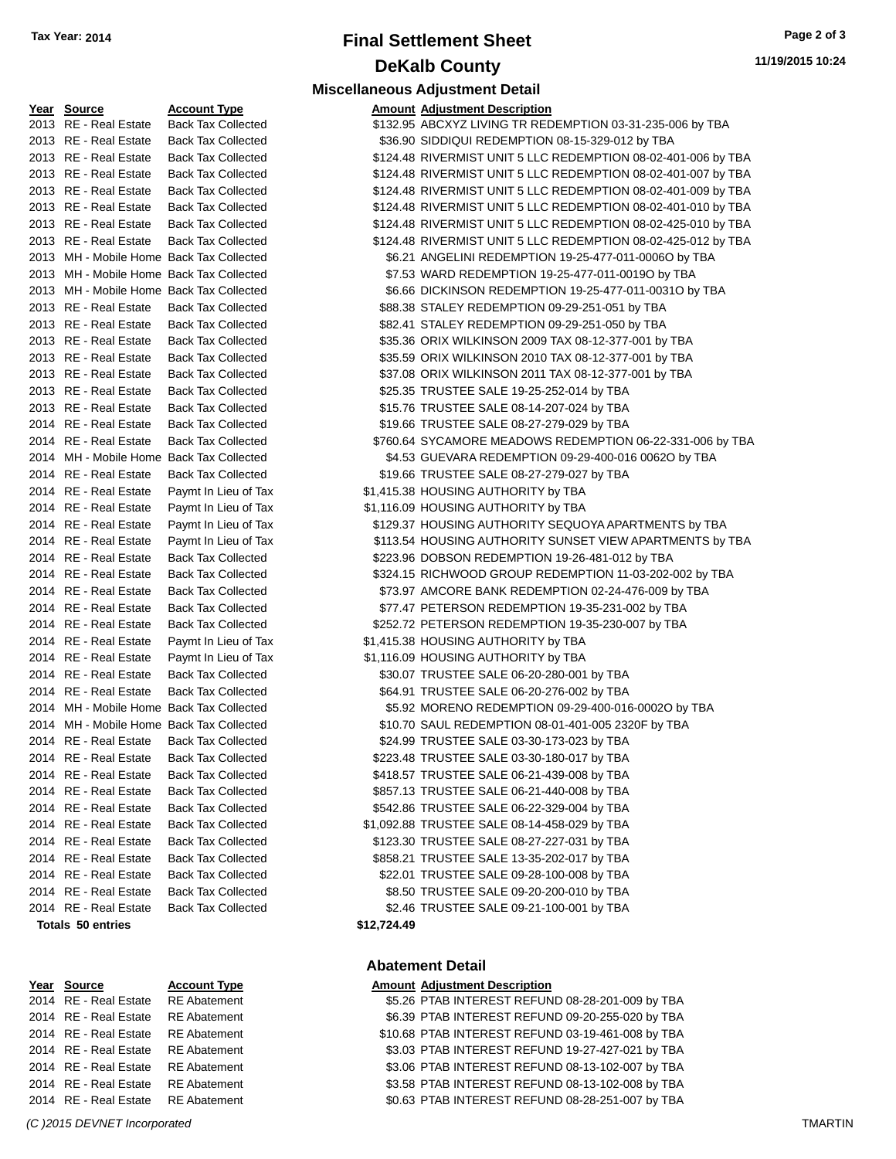## **Final Settlement Sheet Tax Year: 2014 Page 2 of 3 DeKalb County**

**Miscellaneous Adjustment Detail**

| Year Source                              | <b>Account Type</b>                      |             | <b>Amount Adjustment Description</b>                          |
|------------------------------------------|------------------------------------------|-------------|---------------------------------------------------------------|
| 2013 RE - Real Estate                    | <b>Back Tax Collected</b>                |             | \$132.95 ABCXYZ LIVING TR REDEMPTION 03-31-235-006 by TBA     |
| 2013 RE - Real Estate                    | <b>Back Tax Collected</b>                |             | \$36.90 SIDDIQUI REDEMPTION 08-15-329-012 by TBA              |
| 2013 RE - Real Estate                    | <b>Back Tax Collected</b>                |             | \$124.48 RIVERMIST UNIT 5 LLC REDEMPTION 08-02-401-006 by TBA |
| 2013 RE - Real Estate                    | <b>Back Tax Collected</b>                |             | \$124.48 RIVERMIST UNIT 5 LLC REDEMPTION 08-02-401-007 by TBA |
| 2013 RE - Real Estate                    | <b>Back Tax Collected</b>                |             | \$124.48 RIVERMIST UNIT 5 LLC REDEMPTION 08-02-401-009 by TBA |
| 2013 RE - Real Estate                    | <b>Back Tax Collected</b>                |             | \$124.48 RIVERMIST UNIT 5 LLC REDEMPTION 08-02-401-010 by TBA |
| 2013 RE - Real Estate                    | <b>Back Tax Collected</b>                |             | \$124.48 RIVERMIST UNIT 5 LLC REDEMPTION 08-02-425-010 by TBA |
| 2013 RE - Real Estate                    | <b>Back Tax Collected</b>                |             | \$124.48 RIVERMIST UNIT 5 LLC REDEMPTION 08-02-425-012 by TBA |
| 2013 MH - Mobile Home Back Tax Collected |                                          |             | \$6.21 ANGELINI REDEMPTION 19-25-477-011-0006O by TBA         |
| 2013 MH - Mobile Home Back Tax Collected |                                          |             | \$7.53 WARD REDEMPTION 19-25-477-011-0019O by TBA             |
| 2013 MH - Mobile Home Back Tax Collected |                                          |             | \$6.66 DICKINSON REDEMPTION 19-25-477-011-0031O by TBA        |
| 2013 RE - Real Estate                    | <b>Back Tax Collected</b>                |             | \$88.38 STALEY REDEMPTION 09-29-251-051 by TBA                |
| 2013 RE - Real Estate                    | <b>Back Tax Collected</b>                |             | \$82.41 STALEY REDEMPTION 09-29-251-050 by TBA                |
| 2013 RE - Real Estate                    | <b>Back Tax Collected</b>                |             | \$35.36 ORIX WILKINSON 2009 TAX 08-12-377-001 by TBA          |
| 2013 RE - Real Estate                    | <b>Back Tax Collected</b>                |             | \$35.59 ORIX WILKINSON 2010 TAX 08-12-377-001 by TBA          |
| 2013 RE - Real Estate                    | <b>Back Tax Collected</b>                |             | \$37.08 ORIX WILKINSON 2011 TAX 08-12-377-001 by TBA          |
| 2013 RE - Real Estate                    | <b>Back Tax Collected</b>                |             | \$25.35 TRUSTEE SALE 19-25-252-014 by TBA                     |
| 2013 RE - Real Estate                    | <b>Back Tax Collected</b>                |             | \$15.76 TRUSTEE SALE 08-14-207-024 by TBA                     |
| 2014 RE - Real Estate                    | <b>Back Tax Collected</b>                |             | \$19.66 TRUSTEE SALE 08-27-279-029 by TBA                     |
| 2014 RE - Real Estate                    | <b>Back Tax Collected</b>                |             | \$760.64 SYCAMORE MEADOWS REDEMPTION 06-22-331-006 by TBA     |
|                                          | 2014 MH - Mobile Home Back Tax Collected |             | \$4.53 GUEVARA REDEMPTION 09-29-400-016 0062O by TBA          |
| 2014 RE - Real Estate                    | <b>Back Tax Collected</b>                |             | \$19.66 TRUSTEE SALE 08-27-279-027 by TBA                     |
| 2014 RE - Real Estate                    | Paymt In Lieu of Tax                     |             | \$1,415.38 HOUSING AUTHORITY by TBA                           |
| 2014 RE - Real Estate                    | Paymt In Lieu of Tax                     |             | \$1,116.09 HOUSING AUTHORITY by TBA                           |
| 2014 RE - Real Estate                    | Paymt In Lieu of Tax                     |             | \$129.37 HOUSING AUTHORITY SEQUOYA APARTMENTS by TBA          |
| 2014 RE - Real Estate                    | Paymt In Lieu of Tax                     |             | \$113.54 HOUSING AUTHORITY SUNSET VIEW APARTMENTS by TBA      |
| 2014 RE - Real Estate                    | <b>Back Tax Collected</b>                |             | \$223.96 DOBSON REDEMPTION 19-26-481-012 by TBA               |
| 2014 RE - Real Estate                    | <b>Back Tax Collected</b>                |             | \$324.15 RICHWOOD GROUP REDEMPTION 11-03-202-002 by TBA       |
| 2014 RE - Real Estate                    | <b>Back Tax Collected</b>                |             | \$73.97 AMCORE BANK REDEMPTION 02-24-476-009 by TBA           |
| 2014 RE - Real Estate                    | <b>Back Tax Collected</b>                |             | \$77.47 PETERSON REDEMPTION 19-35-231-002 by TBA              |
| 2014 RE - Real Estate                    | <b>Back Tax Collected</b>                |             | \$252.72 PETERSON REDEMPTION 19-35-230-007 by TBA             |
| 2014 RE - Real Estate                    | Paymt In Lieu of Tax                     |             | \$1,415.38 HOUSING AUTHORITY by TBA                           |
| 2014 RE - Real Estate                    | Paymt In Lieu of Tax                     |             | \$1,116.09 HOUSING AUTHORITY by TBA                           |
| 2014 RE - Real Estate                    | <b>Back Tax Collected</b>                |             | \$30.07 TRUSTEE SALE 06-20-280-001 by TBA                     |
| 2014 RE - Real Estate                    | <b>Back Tax Collected</b>                |             | \$64.91 TRUSTEE SALE 06-20-276-002 by TBA                     |
| 2014 MH - Mobile Home Back Tax Collected |                                          |             | \$5.92 MORENO REDEMPTION 09-29-400-016-0002O by TBA           |
| 2014 MH - Mobile Home Back Tax Collected |                                          |             | \$10.70 SAUL REDEMPTION 08-01-401-005 2320F by TBA            |
| 2014 RE - Real Estate                    | <b>Back Tax Collected</b>                |             | \$24.99 TRUSTEE SALE 03-30-173-023 by TBA                     |
| 2014 RE - Real Estate Back Tax Collected |                                          |             | \$223.48 TRUSTEE SALE 03-30-180-017 by TBA                    |
| 2014 RE - Real Estate                    | <b>Back Tax Collected</b>                |             | \$418.57 TRUSTEE SALE 06-21-439-008 by TBA                    |
| 2014 RE - Real Estate                    | <b>Back Tax Collected</b>                |             | \$857.13 TRUSTEE SALE 06-21-440-008 by TBA                    |
| 2014 RE - Real Estate                    | <b>Back Tax Collected</b>                |             | \$542.86 TRUSTEE SALE 06-22-329-004 by TBA                    |
| 2014 RE - Real Estate                    | <b>Back Tax Collected</b>                |             | \$1,092.88 TRUSTEE SALE 08-14-458-029 by TBA                  |
| 2014 RE - Real Estate                    | <b>Back Tax Collected</b>                |             | \$123.30 TRUSTEE SALE 08-27-227-031 by TBA                    |
| 2014 RE - Real Estate                    | <b>Back Tax Collected</b>                |             | \$858.21 TRUSTEE SALE 13-35-202-017 by TBA                    |
| 2014 RE - Real Estate                    | <b>Back Tax Collected</b>                |             | \$22.01 TRUSTEE SALE 09-28-100-008 by TBA                     |
| 2014 RE - Real Estate                    | <b>Back Tax Collected</b>                |             | \$8.50 TRUSTEE SALE 09-20-200-010 by TBA                      |
| 2014 RE - Real Estate                    | <b>Back Tax Collected</b>                |             | \$2.46 TRUSTEE SALE 09-21-100-001 by TBA                      |
| <b>Totals 50 entries</b>                 |                                          | \$12,724.49 |                                                               |

| Year Source           | <b>Account</b> |
|-----------------------|----------------|
| 2014 RE - Real Estate | RE Abat        |
| 2014 RE - Real Estate | RE Abat        |
| 2014 RE - Real Estate | RE Abat        |
| 2014 RE - Real Estate | RE Abat        |
| 2014 RE - Real Estate | RE Abat        |
| 2014 RE - Real Estate | RE Abat        |
| 2014 RE - Real Estate | RE Abat        |
|                       |                |

| eal Estate | Back Tax Co |
|------------|-------------|

| 2013 RE - Real Estate                    | <b>Back Tax Collected</b> | \$124.48 RIVERMIST UNIT 5 LLC REDEMPTION 08-02-401-007 by TBA |
|------------------------------------------|---------------------------|---------------------------------------------------------------|
| 2013 RE - Real Estate                    | <b>Back Tax Collected</b> | \$124.48 RIVERMIST UNIT 5 LLC REDEMPTION 08-02-401-009 by TBA |
| 2013 RE - Real Estate                    | <b>Back Tax Collected</b> | \$124.48 RIVERMIST UNIT 5 LLC REDEMPTION 08-02-401-010 by TBA |
| 2013 RE - Real Estate                    | <b>Back Tax Collected</b> | \$124.48 RIVERMIST UNIT 5 LLC REDEMPTION 08-02-425-010 by TBA |
| 2013 RE - Real Estate                    | <b>Back Tax Collected</b> | \$124.48 RIVERMIST UNIT 5 LLC REDEMPTION 08-02-425-012 by TBA |
| 2013 MH - Mobile Home Back Tax Collected |                           | \$6.21 ANGELINI REDEMPTION 19-25-477-011-0006O by TBA         |
| 2013 MH - Mobile Home Back Tax Collected |                           | \$7.53 WARD REDEMPTION 19-25-477-011-0019O by TBA             |
| 2013 MH - Mobile Home Back Tax Collected |                           | \$6.66 DICKINSON REDEMPTION 19-25-477-011-0031O by TBA        |
| 2013 RE - Real Estate                    | <b>Back Tax Collected</b> | \$88.38 STALEY REDEMPTION 09-29-251-051 by TBA                |
| 2013 RE - Real Estate                    | <b>Back Tax Collected</b> | \$82.41 STALEY REDEMPTION 09-29-251-050 by TBA                |
| 2013 RE - Real Estate                    | <b>Back Tax Collected</b> | \$35.36 ORIX WILKINSON 2009 TAX 08-12-377-001 by TBA          |
| 2013 RE - Real Estate                    | <b>Back Tax Collected</b> | \$35.59 ORIX WILKINSON 2010 TAX 08-12-377-001 by TBA          |
| 2013 RE - Real Estate                    | <b>Back Tax Collected</b> | \$37.08 ORIX WILKINSON 2011 TAX 08-12-377-001 by TBA          |
| 2013 RE - Real Estate                    | <b>Back Tax Collected</b> | \$25.35 TRUSTEE SALE 19-25-252-014 by TBA                     |
| 2013 RE - Real Estate                    | <b>Back Tax Collected</b> | \$15.76 TRUSTEE SALE 08-14-207-024 by TBA                     |
| 2014 RE - Real Estate                    | <b>Back Tax Collected</b> | \$19.66 TRUSTEE SALE 08-27-279-029 by TBA                     |
| 2014 RE - Real Estate                    | <b>Back Tax Collected</b> | \$760.64 SYCAMORE MEADOWS REDEMPTION 06-22-331-006 by TBA     |
| 2014 MH - Mobile Home Back Tax Collected |                           | \$4.53 GUEVARA REDEMPTION 09-29-400-016 0062O by TBA          |
| 2014 RE - Real Estate                    | <b>Back Tax Collected</b> | \$19.66 TRUSTEE SALE 08-27-279-027 by TBA                     |
| 2014 RE - Real Estate                    | Paymt In Lieu of Tax      | \$1,415.38 HOUSING AUTHORITY by TBA                           |
| 2014 RE - Real Estate                    | Paymt In Lieu of Tax      | \$1,116.09 HOUSING AUTHORITY by TBA                           |
| 2014 RE - Real Estate                    | Paymt In Lieu of Tax      | \$129.37 HOUSING AUTHORITY SEQUOYA APARTMENTS by TBA          |
| 2014 RE - Real Estate                    | Paymt In Lieu of Tax      | \$113.54 HOUSING AUTHORITY SUNSET VIEW APARTMENTS by TBA      |
| 2014 RE - Real Estate                    | <b>Back Tax Collected</b> | \$223.96 DOBSON REDEMPTION 19-26-481-012 by TBA               |
| 2014 RE - Real Estate                    | <b>Back Tax Collected</b> | \$324.15 RICHWOOD GROUP REDEMPTION 11-03-202-002 by TBA       |
| 2014 RE - Real Estate                    | <b>Back Tax Collected</b> | \$73.97 AMCORE BANK REDEMPTION 02-24-476-009 by TBA           |
| 2014 RE - Real Estate                    | <b>Back Tax Collected</b> | \$77.47 PETERSON REDEMPTION 19-35-231-002 by TBA              |
| 2014 RE - Real Estate                    | <b>Back Tax Collected</b> | \$252.72 PETERSON REDEMPTION 19-35-230-007 by TBA             |
| 2014 RE - Real Estate                    | Paymt In Lieu of Tax      | \$1,415.38 HOUSING AUTHORITY by TBA                           |
| 2014 RE - Real Estate                    | Paymt In Lieu of Tax      | \$1,116.09 HOUSING AUTHORITY by TBA                           |
| 2014 RE - Real Estate                    | <b>Back Tax Collected</b> | \$30.07 TRUSTEE SALE 06-20-280-001 by TBA                     |
| 2014 RE - Real Estate                    | <b>Back Tax Collected</b> | \$64.91 TRUSTEE SALE 06-20-276-002 by TBA                     |
| 2014 MH - Mobile Home Back Tax Collected |                           | \$5.92 MORENO REDEMPTION 09-29-400-016-0002O by TBA           |
| 2014 MH - Mobile Home Back Tax Collected |                           | \$10.70 SAUL REDEMPTION 08-01-401-005 2320F by TBA            |
| 2014 RE - Real Estate                    | <b>Back Tax Collected</b> | \$24.99 TRUSTEE SALE 03-30-173-023 by TBA                     |
| 2014 RE - Real Estate                    | <b>Back Tax Collected</b> | \$223.48 TRUSTEE SALE 03-30-180-017 by TBA                    |
| 2014 RE - Real Estate                    | <b>Back Tax Collected</b> | \$418.57 TRUSTEE SALE 06-21-439-008 by TBA                    |
| 2014 RE - Real Estate                    | <b>Back Tax Collected</b> | \$857.13 TRUSTEE SALE 06-21-440-008 by TBA                    |
| 2014 RE - Real Estate                    | <b>Back Tax Collected</b> | \$542.86 TRUSTEE SALE 06-22-329-004 by TBA                    |
| 2014 RE - Real Estate                    | <b>Back Tax Collected</b> | \$1,092.88 TRUSTEE SALE 08-14-458-029 by TBA                  |
| 2014 RE - Real Estate                    | <b>Back Tax Collected</b> | \$123.30 TRUSTEE SALE 08-27-227-031 by TBA                    |
| 2014 RE - Real Estate                    | <b>Back Tax Collected</b> | \$858.21 TRUSTEE SALE 13-35-202-017 by TBA                    |
| 2014 RE - Real Estate                    | <b>Back Tax Collected</b> | \$22.01 TRUSTEE SALE 09-28-100-008 by TBA                     |
| 2014 RE - Real Estate                    | <b>Back Tax Collected</b> | \$8.50 TRUSTEE SALE 09-20-200-010 by TBA                      |
| 2014 RE - Real Estate                    | <b>Back Tax Collected</b> | \$2.46 TRUSTEE SALE 09-21-100-001 by TBA                      |
|                                          |                           |                                                               |

#### **Totals \$12,724.49 50 entries**

#### **Abatement Detail**

#### **Kart Type Research Account Adjustment Description**

| 2014 RE - Real Estate RE Abatement |  | \$5.26 PTAB INTEREST REFUND 08-28-201-009 by TBA  |  |  |
|------------------------------------|--|---------------------------------------------------|--|--|
| 2014 RE - Real Estate RE Abatement |  | \$6.39 PTAB INTEREST REFUND 09-20-255-020 by TBA  |  |  |
| 2014 RE - Real Estate RE Abatement |  | \$10.68 PTAB INTEREST REFUND 03-19-461-008 by TBA |  |  |
| 2014 RE - Real Estate RE Abatement |  | \$3.03 PTAB INTEREST REFUND 19-27-427-021 by TBA  |  |  |
| 2014 RE - Real Estate RE Abatement |  | \$3.06 PTAB INTEREST REFUND 08-13-102-007 by TBA  |  |  |
| 2014 RE - Real Estate RE Abatement |  | \$3.58 PTAB INTEREST REFUND 08-13-102-008 by TBA  |  |  |
| 2014 RE - Real Estate RE Abatement |  | \$0.63 PTAB INTEREST REFUND 08-28-251-007 by TBA  |  |  |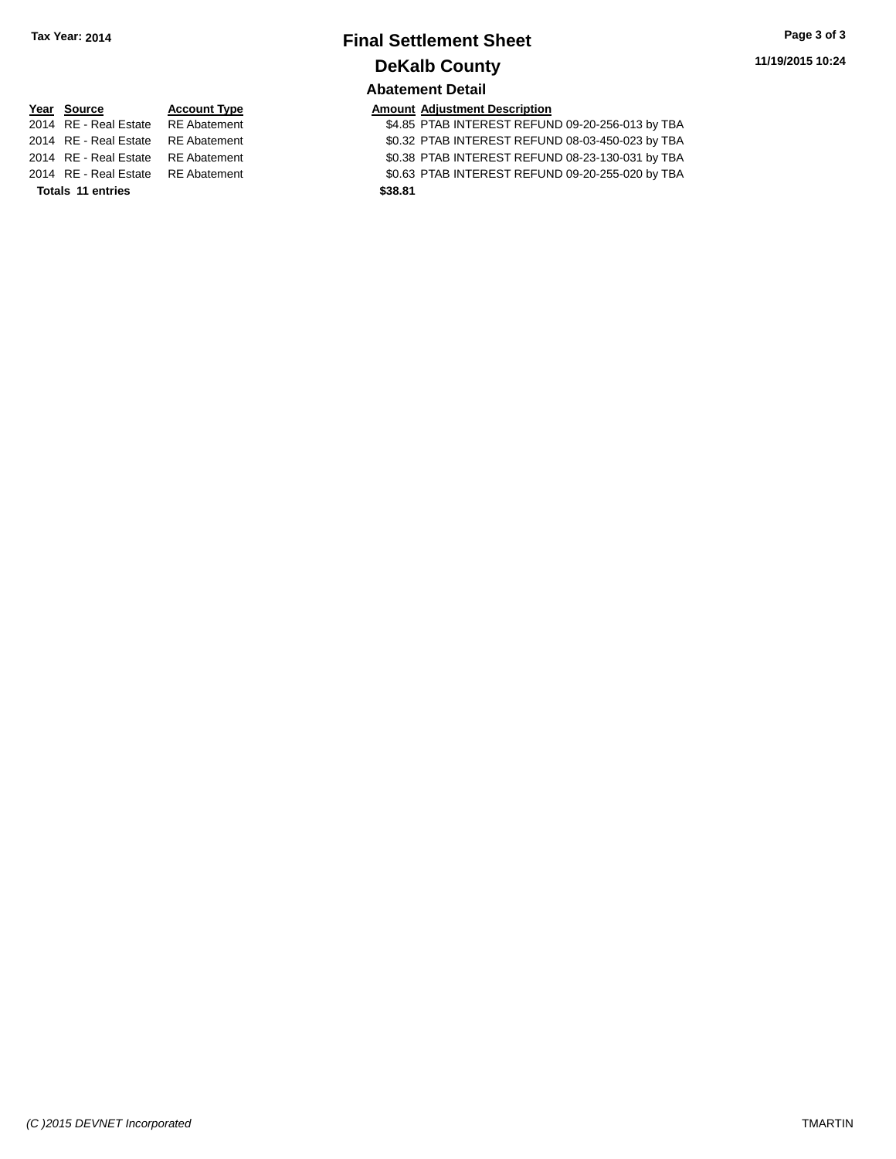## **Final Settlement Sheet Tax Year: 2014 Page 3 of 3 DeKalb County Abatement Detail**

# **Year Source Account Type Amount Adjustment Description**<br>2014 RE - Real Estate RE Abatement \$4.85 PTAB INTEREST REFUN

**Totals \$38.81 11 entries**

\$4.85 PTAB INTEREST REFUND 09-20-256-013 by TBA 2014 RE - Real Estate RE Abatement \$0.32 PTAB INTEREST REFUND 08-03-450-023 by TBA 2014 RE - Real Estate RE Abatement \$0.38 PTAB INTEREST REFUND 08-23-130-031 by TBA 2014 RE - Real Estate RE Abatement \$0.63 PTAB INTEREST REFUND 09-20-255-020 by TBA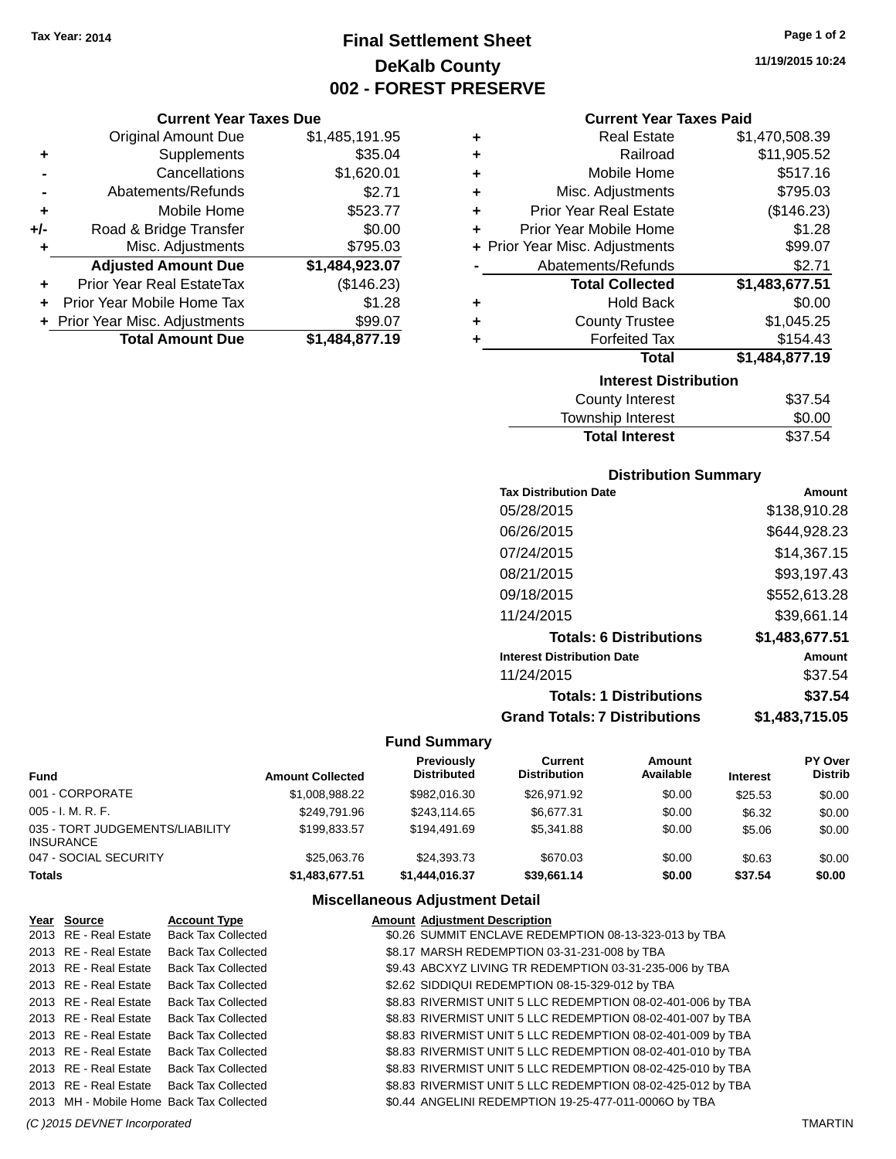## **Final Settlement Sheet Tax Year: 2014 Page 1 of 2 DeKalb County 002 - FOREST PRESERVE**

**11/19/2015 10:24**

#### **Current Year Taxes Paid**

|     | <b>Current Year Taxes Due</b>  |                |  |
|-----|--------------------------------|----------------|--|
|     | <b>Original Amount Due</b>     | \$1,485,191.95 |  |
| ٠   | Supplements                    | \$35.04        |  |
|     | Cancellations                  | \$1,620.01     |  |
|     | Abatements/Refunds             | \$2.71         |  |
| ٠   | Mobile Home                    | \$523.77       |  |
| +/- | Road & Bridge Transfer         | \$0.00         |  |
| ٠   | Misc. Adjustments              | \$795.03       |  |
|     | <b>Adjusted Amount Due</b>     | \$1,484,923.07 |  |
|     | Prior Year Real EstateTax      | (\$146.23)     |  |
|     | Prior Year Mobile Home Tax     | \$1.28         |  |
|     | + Prior Year Misc. Adjustments | \$99.07        |  |
|     | <b>Total Amount Due</b>        | \$1,484,877.19 |  |
|     |                                |                |  |

| ٠ | <b>Real Estate</b>             | \$1,470,508.39 |
|---|--------------------------------|----------------|
| ٠ | Railroad                       | \$11,905.52    |
| ٠ | Mobile Home                    | \$517.16       |
| ٠ | Misc. Adjustments              | \$795.03       |
| ٠ | <b>Prior Year Real Estate</b>  | (\$146.23)     |
| ÷ | Prior Year Mobile Home         | \$1.28         |
|   | + Prior Year Misc. Adjustments | \$99.07        |
|   | Abatements/Refunds             | \$2.71         |
|   |                                |                |
|   | <b>Total Collected</b>         | \$1,483,677.51 |
| ٠ | <b>Hold Back</b>               | \$0.00         |
| ٠ | <b>County Trustee</b>          | \$1,045.25     |
| ٠ | <b>Forfeited Tax</b>           | \$154.43       |
|   | <b>Total</b>                   | \$1,484,877.19 |
|   | <b>Interest Distribution</b>   |                |
|   | <b>County Interest</b>         | \$37.54        |

#### **Distribution Summary**

Total Interest \$37.54

| <b>Tax Distribution Date</b>         | Amount         |
|--------------------------------------|----------------|
| 05/28/2015                           | \$138,910.28   |
| 06/26/2015                           | \$644,928.23   |
| 07/24/2015                           | \$14,367.15    |
| 08/21/2015                           | \$93,197.43    |
| 09/18/2015                           | \$552,613.28   |
| 11/24/2015                           | \$39,661.14    |
| <b>Totals: 6 Distributions</b>       | \$1,483,677.51 |
| <b>Interest Distribution Date</b>    | Amount         |
| 11/24/2015                           | \$37.54        |
| <b>Totals: 1 Distributions</b>       | \$37.54        |
| <b>Grand Totals: 7 Distributions</b> | \$1,483,715.05 |

#### **Fund Summary**

| Fund                                         | <b>Amount Collected</b> | <b>Previously</b><br><b>Distributed</b> | Current<br><b>Distribution</b> | Amount<br>Available | <b>Interest</b> | PY Over<br>Distrib |
|----------------------------------------------|-------------------------|-----------------------------------------|--------------------------------|---------------------|-----------------|--------------------|
| 001 - CORPORATE                              | \$1.008.988.22          | \$982.016.30                            | \$26,971.92                    | \$0.00              | \$25.53         | \$0.00             |
| 005 - I. M. R. F.                            | \$249.791.96            | \$243.114.65                            | \$6.677.31                     | \$0.00              | \$6.32          | \$0.00             |
| 035 - TORT JUDGEMENTS/LIABILITY<br>INSURANCE | \$199.833.57            | \$194.491.69                            | \$5.341.88                     | \$0.00              | \$5.06          | \$0.00             |
| 047 - SOCIAL SECURITY                        | \$25,063,76             | \$24,393,73                             | \$670.03                       | \$0.00              | \$0.63          | \$0.00             |
| Totals                                       | \$1,483,677.51          | \$1,444,016,37                          | \$39.661.14                    | \$0.00              | \$37.54         | \$0.00             |

| <u>Year Source</u>                       | <b>Account Type</b>       | <b>Amount Adjustment Description</b>                        |
|------------------------------------------|---------------------------|-------------------------------------------------------------|
| 2013 RE - Real Estate                    | <b>Back Tax Collected</b> | \$0.26 SUMMIT ENCLAVE REDEMPTION 08-13-323-013 by TBA       |
| 2013 RE - Real Estate                    | <b>Back Tax Collected</b> | \$8.17 MARSH REDEMPTION 03-31-231-008 by TBA                |
| 2013 RE - Real Estate                    | <b>Back Tax Collected</b> | \$9.43 ABCXYZ LIVING TR REDEMPTION 03-31-235-006 by TBA     |
| 2013 RE - Real Estate                    | <b>Back Tax Collected</b> | \$2.62 SIDDIQUI REDEMPTION 08-15-329-012 by TBA             |
| 2013 RE - Real Estate                    | <b>Back Tax Collected</b> | \$8.83 RIVERMIST UNIT 5 LLC REDEMPTION 08-02-401-006 by TBA |
| 2013 RE - Real Estate                    | <b>Back Tax Collected</b> | \$8.83 RIVERMIST UNIT 5 LLC REDEMPTION 08-02-401-007 by TBA |
| 2013 RE - Real Estate                    | <b>Back Tax Collected</b> | \$8.83 RIVERMIST UNIT 5 LLC REDEMPTION 08-02-401-009 by TBA |
| 2013 RE - Real Estate                    | <b>Back Tax Collected</b> | \$8.83 RIVERMIST UNIT 5 LLC REDEMPTION 08-02-401-010 by TBA |
| 2013 RE - Real Estate                    | <b>Back Tax Collected</b> | \$8.83 RIVERMIST UNIT 5 LLC REDEMPTION 08-02-425-010 by TBA |
| 2013 RE - Real Estate                    | <b>Back Tax Collected</b> | \$8.83 RIVERMIST UNIT 5 LLC REDEMPTION 08-02-425-012 by TBA |
| 2013 MH - Mobile Home Back Tax Collected |                           | \$0.44 ANGELINI REDEMPTION 19-25-477-011-0006O by TBA       |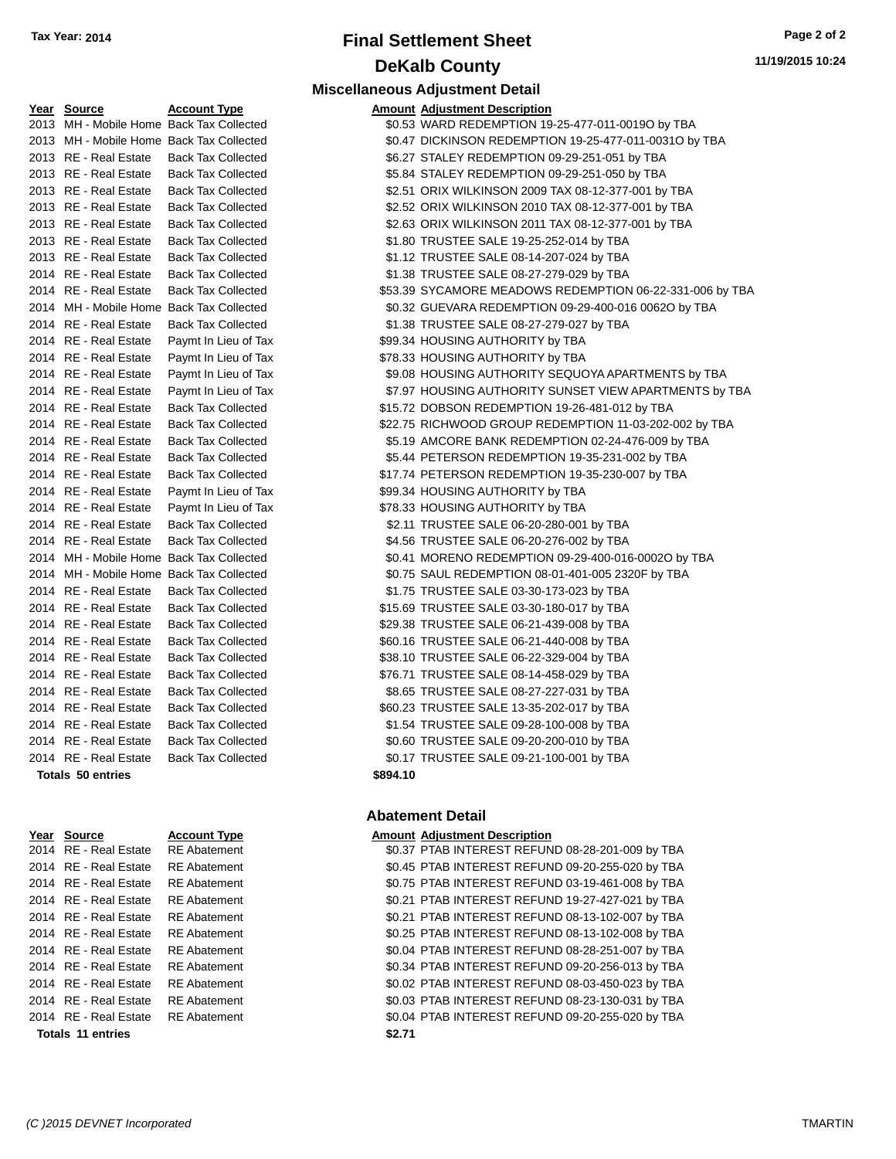## **Final Settlement Sheet Tax Year: 2014 Page 2 of 2 DeKalb County Miscellaneous Adjustment Detail**

| Year Source                              | <b>Account Type</b>       |          | <b>Amount Adjustment Description</b>                     |
|------------------------------------------|---------------------------|----------|----------------------------------------------------------|
| 2013 MH - Mobile Home Back Tax Collected |                           |          | \$0.53 WARD REDEMPTION 19-25-477-011-0019O by TBA        |
| 2013 MH - Mobile Home Back Tax Collected |                           |          | \$0.47 DICKINSON REDEMPTION 19-25-477-011-0031O by TBA   |
| 2013 RE - Real Estate                    | <b>Back Tax Collected</b> |          | \$6.27 STALEY REDEMPTION 09-29-251-051 by TBA            |
| 2013 RE - Real Estate                    | <b>Back Tax Collected</b> |          | \$5.84 STALEY REDEMPTION 09-29-251-050 by TBA            |
| 2013 RE - Real Estate                    | <b>Back Tax Collected</b> |          | \$2.51 ORIX WILKINSON 2009 TAX 08-12-377-001 by TBA      |
| 2013 RE - Real Estate                    | <b>Back Tax Collected</b> |          | \$2.52 ORIX WILKINSON 2010 TAX 08-12-377-001 by TBA      |
| 2013 RE - Real Estate                    | <b>Back Tax Collected</b> |          | \$2.63 ORIX WILKINSON 2011 TAX 08-12-377-001 by TBA      |
| 2013 RE - Real Estate                    | <b>Back Tax Collected</b> |          | \$1.80 TRUSTEE SALE 19-25-252-014 by TBA                 |
| 2013 RE - Real Estate                    | <b>Back Tax Collected</b> |          | \$1.12 TRUSTEE SALE 08-14-207-024 by TBA                 |
| 2014 RE - Real Estate                    | <b>Back Tax Collected</b> |          | \$1.38 TRUSTEE SALE 08-27-279-029 by TBA                 |
| 2014 RE - Real Estate                    | <b>Back Tax Collected</b> |          | \$53.39 SYCAMORE MEADOWS REDEMPTION 06-22-331-006 by TBA |
| 2014 MH - Mobile Home Back Tax Collected |                           |          | \$0.32 GUEVARA REDEMPTION 09-29-400-016 0062O by TBA     |
| 2014 RE - Real Estate                    | <b>Back Tax Collected</b> |          | \$1.38 TRUSTEE SALE 08-27-279-027 by TBA                 |
| 2014 RE - Real Estate                    | Paymt In Lieu of Tax      |          | \$99.34 HOUSING AUTHORITY by TBA                         |
| 2014 RE - Real Estate                    | Paymt In Lieu of Tax      |          | \$78.33 HOUSING AUTHORITY by TBA                         |
| 2014 RE - Real Estate                    | Paymt In Lieu of Tax      |          | \$9.08 HOUSING AUTHORITY SEQUOYA APARTMENTS by TBA       |
| 2014 RE - Real Estate                    | Paymt In Lieu of Tax      |          | \$7.97 HOUSING AUTHORITY SUNSET VIEW APARTMENTS by TBA   |
| 2014 RE - Real Estate                    | <b>Back Tax Collected</b> |          | \$15.72 DOBSON REDEMPTION 19-26-481-012 by TBA           |
| 2014 RE - Real Estate                    | <b>Back Tax Collected</b> |          | \$22.75 RICHWOOD GROUP REDEMPTION 11-03-202-002 by TBA   |
| 2014 RE - Real Estate                    | <b>Back Tax Collected</b> |          | \$5.19 AMCORE BANK REDEMPTION 02-24-476-009 by TBA       |
| 2014 RE - Real Estate                    | <b>Back Tax Collected</b> |          | \$5.44 PETERSON REDEMPTION 19-35-231-002 by TBA          |
| 2014 RE - Real Estate                    | <b>Back Tax Collected</b> |          | \$17.74 PETERSON REDEMPTION 19-35-230-007 by TBA         |
| 2014 RE - Real Estate                    | Paymt In Lieu of Tax      |          | \$99.34 HOUSING AUTHORITY by TBA                         |
| 2014 RE - Real Estate                    | Paymt In Lieu of Tax      |          | \$78.33 HOUSING AUTHORITY by TBA                         |
| 2014 RE - Real Estate                    | <b>Back Tax Collected</b> |          | \$2.11 TRUSTEE SALE 06-20-280-001 by TBA                 |
| 2014 RE - Real Estate                    | <b>Back Tax Collected</b> |          | \$4.56 TRUSTEE SALE 06-20-276-002 by TBA                 |
| 2014 MH - Mobile Home Back Tax Collected |                           |          | \$0.41 MORENO REDEMPTION 09-29-400-016-0002O by TBA      |
| 2014 MH - Mobile Home Back Tax Collected |                           |          | \$0.75 SAUL REDEMPTION 08-01-401-005 2320F by TBA        |
| 2014 RE - Real Estate                    | <b>Back Tax Collected</b> |          | \$1.75 TRUSTEE SALE 03-30-173-023 by TBA                 |
| 2014 RE - Real Estate                    | <b>Back Tax Collected</b> |          | \$15.69 TRUSTEE SALE 03-30-180-017 by TBA                |
| 2014 RE - Real Estate                    | <b>Back Tax Collected</b> |          | \$29.38 TRUSTEE SALE 06-21-439-008 by TBA                |
| 2014 RE - Real Estate                    | <b>Back Tax Collected</b> |          | \$60.16 TRUSTEE SALE 06-21-440-008 by TBA                |
| 2014 RE - Real Estate                    | <b>Back Tax Collected</b> |          | \$38.10 TRUSTEE SALE 06-22-329-004 by TBA                |
| 2014 RE - Real Estate                    | <b>Back Tax Collected</b> |          | \$76.71 TRUSTEE SALE 08-14-458-029 by TBA                |
| 2014 RE - Real Estate                    | <b>Back Tax Collected</b> |          | \$8.65 TRUSTEE SALE 08-27-227-031 by TBA                 |
| 2014 RE - Real Estate                    | <b>Back Tax Collected</b> |          | \$60.23 TRUSTEE SALE 13-35-202-017 by TBA                |
| 2014 RE - Real Estate                    | <b>Back Tax Collected</b> |          | \$1.54 TRUSTEE SALE 09-28-100-008 by TBA                 |
| 2014 RE - Real Estate                    | <b>Back Tax Collected</b> |          | \$0.60 TRUSTEE SALE 09-20-200-010 by TBA                 |
| 2014 RE - Real Estate                    | <b>Back Tax Collected</b> |          | \$0.17 TRUSTEE SALE 09-21-100-001 by TBA                 |
| <b>Totals 50 entries</b>                 |                           | \$894.10 |                                                          |

| 2014 RE - Real Estate | <b>RE</b> Abatement | \$0.37 |
|-----------------------|---------------------|--------|
| 2014 RE - Real Estate | <b>RE</b> Abatement | \$0.45 |
| 2014 RE - Real Estate | <b>RE</b> Abatement | \$0.75 |
| 2014 RE - Real Estate | <b>RE</b> Abatement | \$0.21 |
| 2014 RE - Real Estate | <b>RE</b> Abatement | \$0.21 |
| 2014 RE - Real Estate | <b>RE</b> Abatement | \$0.25 |
| 2014 RE - Real Estate | <b>RE</b> Abatement | \$0.04 |
| 2014 RE - Real Estate | <b>RE</b> Abatement | \$0.34 |
| 2014 RE - Real Estate | <b>RE</b> Abatement | \$0.02 |
| 2014 RE - Real Estate | <b>RE</b> Abatement | \$0.03 |
| 2014 RE - Real Estate | <b>RE</b> Abatement | \$0.04 |
| Totals 11 entries     |                     | \$2.71 |

#### **Abatement Detail**

#### **Year Source Account Type Amount Adjustment Description**

2014 Balandary 2014 Real Estate Apple Follows S0.37 PTAB INTEREST REFUND 08-28-201-009 by TBA E Abatement **2014 REAL ESTAB INTEREST REFUND 09-20-255-020 by TBA** E Abatement THE 30.75 PTAB INTEREST REFUND 03-19-461-008 by TBA E Abatement **2014 REAL ESTATE SOLEN REAL ESTATE REFUND** 19-27-427-021 by TBA 2014 E Abatement The Sole of the Sole of the Sole Abatement Sole and Sole 21 PTAB INTEREST REFUND 08-13-102-007 by TBA E Abatement **2014 REAL ESTATE ST ABATE REFUND 08-13-102-008 by TBA** 2014 E Abatement The Solid Assembly 2014 PTAB INTEREST REFUND 08-28-251-007 by TBA E Abatement **2014 REAL ESTATE SO.34 PTAB INTEREST REFUND 09-20-256-013 by TBA** 2014 E Abatement The Soloz PTAB INTEREST REFUND 08-03-450-023 by TBA 2014 E Abatement The Soles Communist Construction Soles Abatement Abatement Abatement Abatement Abatement Abatement 2014 E Abatement The Solid Estate Real Estate Books and Text Solid AT Solid Estate Books and Abatement Abbey T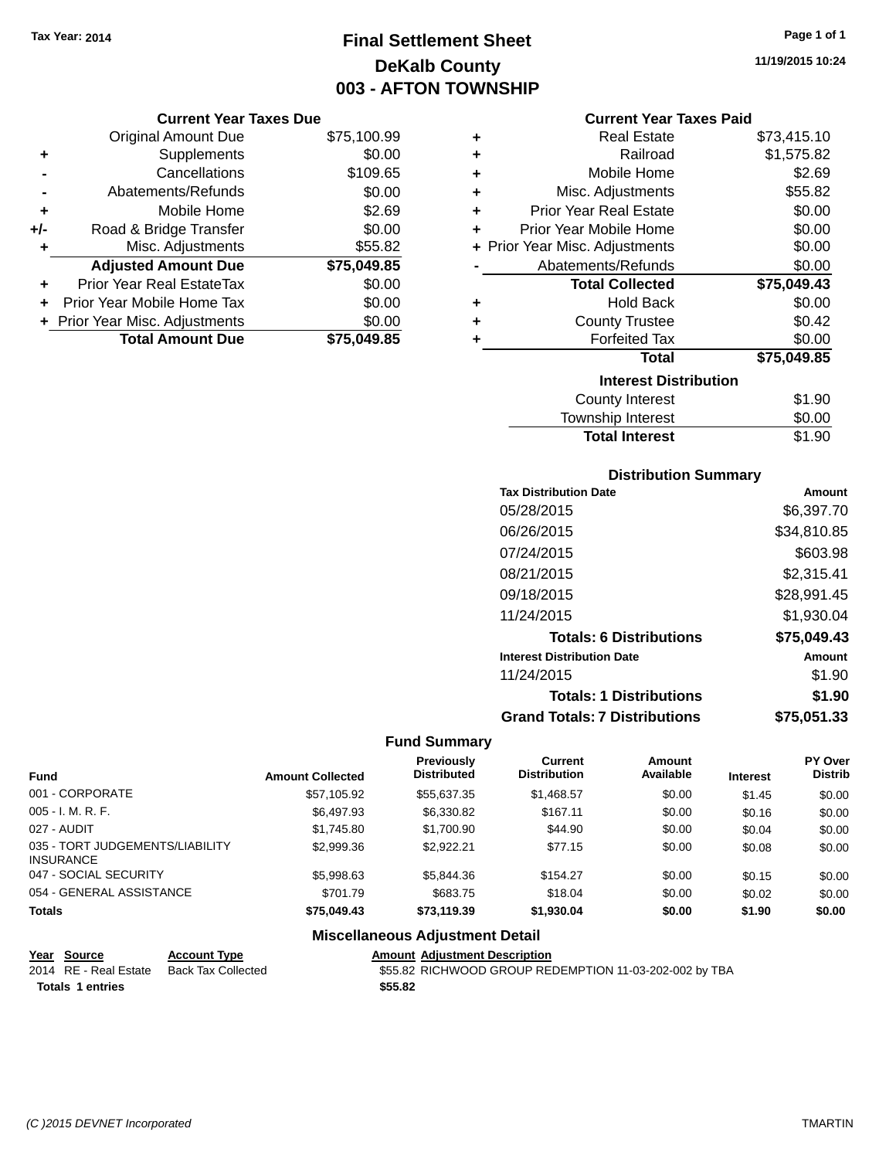## **Final Settlement Sheet Tax Year: 2014 Page 1 of 1 DeKalb County 003 - AFTON TOWNSHIP**

**11/19/2015 10:24**

#### **Current Year Taxes Paid**

| ٠ | <b>Real Estate</b>             | \$73,415.10 |
|---|--------------------------------|-------------|
| ٠ | Railroad                       | \$1,575.82  |
| ÷ | Mobile Home                    | \$2.69      |
| ÷ | Misc. Adjustments              | \$55.82     |
| ٠ | <b>Prior Year Real Estate</b>  | \$0.00      |
| ÷ | Prior Year Mobile Home         | \$0.00      |
|   | + Prior Year Misc. Adjustments | \$0.00      |
|   | Abatements/Refunds             | \$0.00      |
|   | <b>Total Collected</b>         | \$75,049.43 |
| ٠ | <b>Hold Back</b>               | \$0.00      |
| ٠ | <b>County Trustee</b>          | \$0.42      |
| ÷ | <b>Forfeited Tax</b>           | \$0.00      |
|   | Total                          | \$75,049.85 |
|   | <b>Interest Distribution</b>   |             |
|   | <b>County Interest</b>         | \$1.90      |
|   | <b>Township Interest</b>       | \$0.00      |
|   | <b>Total Interest</b>          | \$1.90      |

## **Distribution Summary**

| <b>Tax Distribution Date</b>         | Amount      |
|--------------------------------------|-------------|
| 05/28/2015                           | \$6,397.70  |
| 06/26/2015                           | \$34,810.85 |
| 07/24/2015                           | \$603.98    |
| 08/21/2015                           | \$2,315.41  |
| 09/18/2015                           | \$28,991.45 |
| 11/24/2015                           | \$1.930.04  |
| <b>Totals: 6 Distributions</b>       | \$75,049.43 |
| <b>Interest Distribution Date</b>    | Amount      |
| 11/24/2015                           | \$1.90      |
| <b>Totals: 1 Distributions</b>       | \$1.90      |
| <b>Grand Totals: 7 Distributions</b> | \$75.051.33 |

#### **Fund Summary**

| <b>Fund</b>                                         | <b>Amount Collected</b> | <b>Previously</b><br><b>Distributed</b> | Current<br><b>Distribution</b> | Amount<br>Available | <b>Interest</b> | PY Over<br><b>Distrib</b> |
|-----------------------------------------------------|-------------------------|-----------------------------------------|--------------------------------|---------------------|-----------------|---------------------------|
| 001 - CORPORATE                                     | \$57,105.92             | \$55,637.35                             | \$1,468.57                     | \$0.00              | \$1.45          | \$0.00                    |
| $005 - I. M. R. F.$                                 | \$6,497.93              | \$6,330.82                              | \$167.11                       | \$0.00              | \$0.16          | \$0.00                    |
| 027 - AUDIT                                         | \$1,745.80              | \$1,700.90                              | \$44.90                        | \$0.00              | \$0.04          | \$0.00                    |
| 035 - TORT JUDGEMENTS/LIABILITY<br><b>INSURANCE</b> | \$2,999.36              | \$2.922.21                              | \$77.15                        | \$0.00              | \$0.08          | \$0.00                    |
| 047 - SOCIAL SECURITY                               | \$5,998.63              | \$5,844.36                              | \$154.27                       | \$0.00              | \$0.15          | \$0.00                    |
| 054 - GENERAL ASSISTANCE                            | \$701.79                | \$683.75                                | \$18.04                        | \$0.00              | \$0.02          | \$0.00                    |
| <b>Totals</b>                                       | \$75,049.43             | \$73,119,39                             | \$1,930.04                     | \$0.00              | \$1.90          | \$0.00                    |

#### **Miscellaneous Adjustment Detail**

**Year Source Account Type Amount Adjustment Description** 2014 RE - Real Estate Back Tax Collected \$55.82 RICHWOOD GROUP REDEMPTION 11-03-202-002 by TBA **Totals \$55.82 1 entries**

**Current Year Taxes Due** Original Amount Due \$75,100.99

**Adjusted Amount Due \$75,049.85**

**Total Amount Due \$75,049.85**

**+** Supplements \$0.00 **-** Cancellations \$109.65 **-** Abatements/Refunds \$0.00 **+** Mobile Home \$2.69 **+/-** Road & Bridge Transfer \$0.00 **+** Misc. Adjustments \$55.82

**+** Prior Year Real EstateTax \$0.00 **+** Prior Year Mobile Home Tax \$0.00 **+** Prior Year Misc. Adjustments  $$0.00$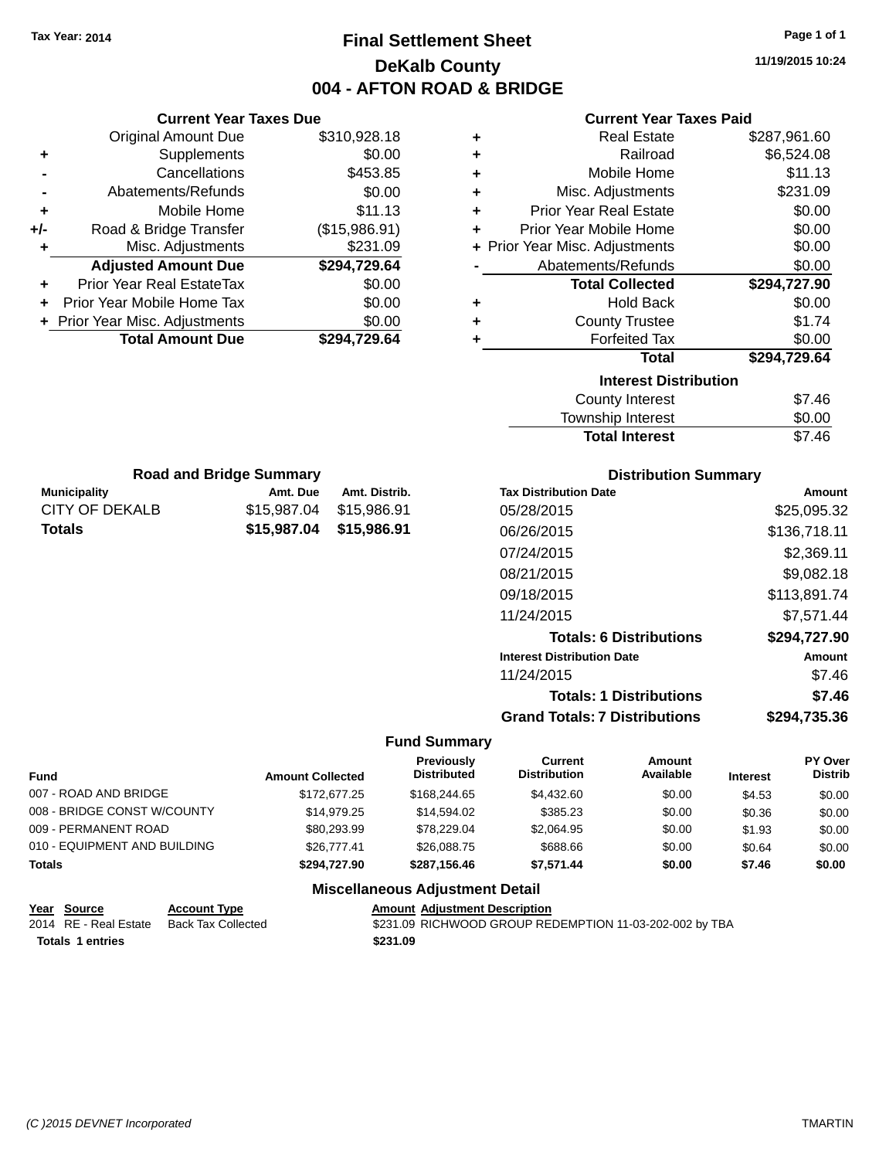CITY OF DEKALB \$15,987.04 \$15,986.91 **Totals \$15,987.04 \$15,986.91**

## **Final Settlement Sheet Tax Year: 2014 Page 1 of 1 DeKalb County 004 - AFTON ROAD & BRIDGE**

**11/19/2015 10:24**

| <b>Current Year Taxes Paid</b> |  |  |  |
|--------------------------------|--|--|--|
|--------------------------------|--|--|--|

|                                 | <b>Current Year Taxes Due</b>    |               |   | <b>Current Year Taxes Paid</b> |              |  |
|---------------------------------|----------------------------------|---------------|---|--------------------------------|--------------|--|
|                                 | <b>Original Amount Due</b>       | \$310,928.18  | ٠ | <b>Real Estate</b>             | \$287,961.60 |  |
| ٠                               | <b>Supplements</b>               | \$0.00        | ٠ | Railroad                       | \$6,524.08   |  |
|                                 | Cancellations                    | \$453.85      | ٠ | Mobile Home                    | \$11.13      |  |
|                                 | Abatements/Refunds               | \$0.00        | ٠ | Misc. Adjustments              | \$231.09     |  |
|                                 | Mobile Home                      | \$11.13       | ÷ | <b>Prior Year Real Estate</b>  | \$0.00       |  |
| +/-                             | Road & Bridge Transfer           | (\$15,986.91) | ÷ | Prior Year Mobile Home         | \$0.00       |  |
|                                 | Misc. Adjustments                | \$231.09      |   | + Prior Year Misc. Adjustments | \$0.00       |  |
|                                 | <b>Adjusted Amount Due</b>       | \$294,729.64  |   | Abatements/Refunds             | \$0.00       |  |
|                                 | <b>Prior Year Real EstateTax</b> | \$0.00        |   | <b>Total Collected</b>         | \$294,727.90 |  |
|                                 | Prior Year Mobile Home Tax       | \$0.00        | ٠ | <b>Hold Back</b>               | \$0.00       |  |
|                                 | + Prior Year Misc. Adjustments   | \$0.00        | ÷ | <b>County Trustee</b>          | \$1.74       |  |
|                                 | <b>Total Amount Due</b>          | \$294,729.64  |   | <b>Forfeited Tax</b>           | \$0.00       |  |
|                                 |                                  |               |   | <b>Total</b>                   | \$294,729.64 |  |
|                                 |                                  |               |   | <b>Interest Distribution</b>   |              |  |
|                                 |                                  |               |   | <b>County Interest</b>         | \$7.46       |  |
|                                 |                                  |               |   | Township Interest              | \$0.00       |  |
|                                 |                                  |               |   | <b>Total Interest</b>          | \$7.46       |  |
|                                 | <b>Road and Bridge Summary</b>   |               |   | <b>Distribution Summary</b>    |              |  |
| <b>Municipality</b><br>Amt. Due |                                  | Amt. Distrib. |   | <b>Tax Distribution Date</b>   | Amo          |  |

| <b>Distribution Summary</b>       |              |
|-----------------------------------|--------------|
| <b>Tax Distribution Date</b>      | Amount       |
| 05/28/2015                        | \$25,095.32  |
| 06/26/2015                        | \$136,718.11 |
| 07/24/2015                        | \$2,369.11   |
| 08/21/2015                        | \$9,082.18   |
| 09/18/2015                        | \$113,891.74 |
| 11/24/2015                        | \$7,571.44   |
| <b>Totals: 6 Distributions</b>    | \$294,727.90 |
| <b>Interest Distribution Date</b> | Amount       |
| 11/24/2015                        | \$7.46       |
| <b>Totals: 1 Distributions</b>    | \$7.46       |

**Grand Totals: 7 Distributions \$294,735.36**

#### **Fund Summary**

| <b>Fund</b>                  | <b>Amount Collected</b> | <b>Previously</b><br><b>Distributed</b> | Current<br><b>Distribution</b> | Amount<br>Available | <b>Interest</b> | PY Over<br><b>Distrib</b> |
|------------------------------|-------------------------|-----------------------------------------|--------------------------------|---------------------|-----------------|---------------------------|
| 007 - ROAD AND BRIDGE        | \$172,677.25            | \$168,244.65                            | \$4,432.60                     | \$0.00              | \$4.53          | \$0.00                    |
| 008 - BRIDGE CONST W/COUNTY  | \$14.979.25             | \$14.594.02                             | \$385.23                       | \$0.00              | \$0.36          | \$0.00                    |
| 009 - PERMANENT ROAD         | \$80.293.99             | \$78.229.04                             | \$2,064.95                     | \$0.00              | \$1.93          | \$0.00                    |
| 010 - EQUIPMENT AND BUILDING | \$26,777.41             | \$26,088.75                             | \$688.66                       | \$0.00              | \$0.64          | \$0.00                    |
| <b>Totals</b>                | \$294.727.90            | \$287.156.46                            | \$7.571.44                     | \$0.00              | \$7.46          | \$0.00                    |
|                              |                         | Miscellaneous Adiustment Detail         |                                |                     |                 |                           |

#### **Miscellaneous Adjustment Detail Year Source Account Type Amount Adjustment Description**

| rear Source             | Account ivpe       | Amount Adiustment Description                           |
|-------------------------|--------------------|---------------------------------------------------------|
| 2014 RE - Real Estate   | Back Tax Collected | \$231.09 RICHWOOD GROUP REDEMPTION 11-03-202-002 by TBA |
| <b>Totals 1 entries</b> |                    | \$231.09                                                |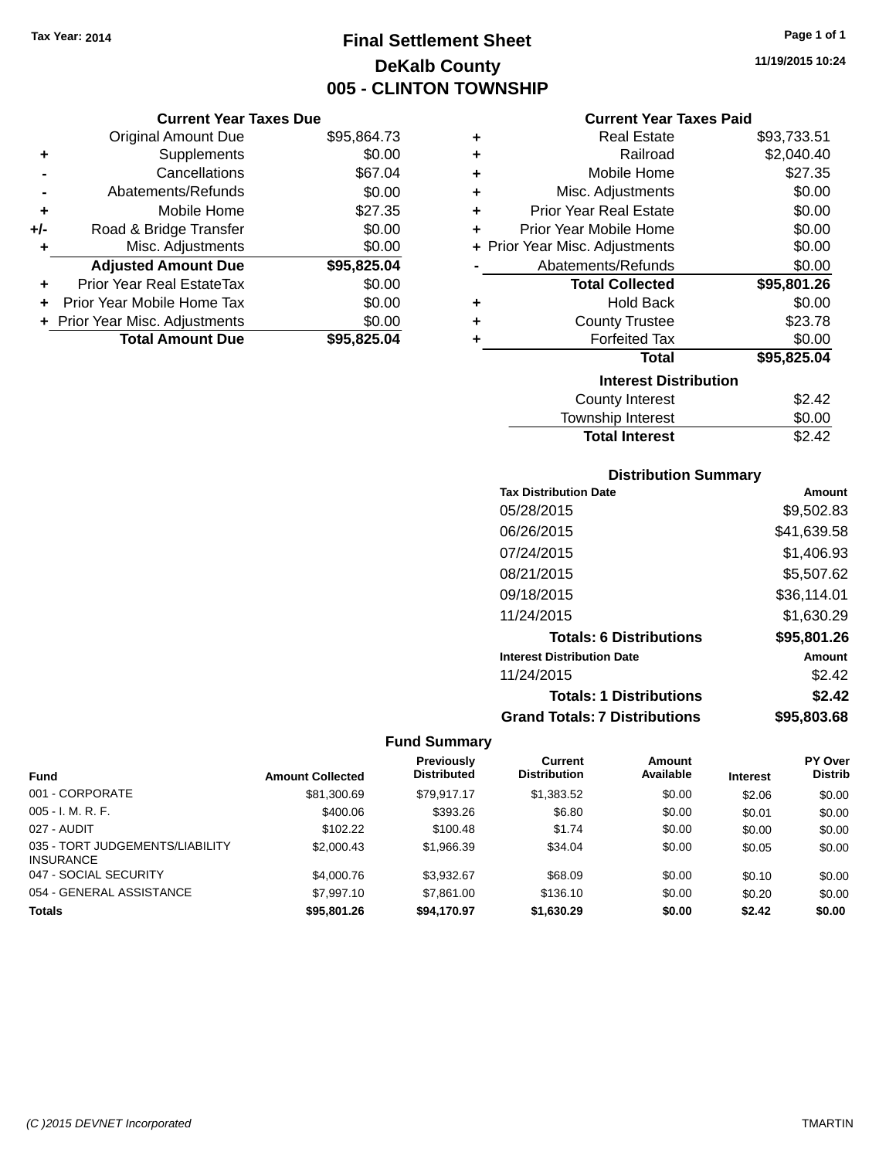## **Final Settlement Sheet Tax Year: 2014 Page 1 of 1 DeKalb County 005 - CLINTON TOWNSHIP**

**11/19/2015 10:24**

#### **Current Year Taxes Paid**

|     | <b>Current Year Taxes Due</b>  |             |
|-----|--------------------------------|-------------|
|     | <b>Original Amount Due</b>     | \$95,864.73 |
| ٠   | Supplements                    | \$0.00      |
|     | Cancellations                  | \$67.04     |
|     | Abatements/Refunds             | \$0.00      |
| ٠   | Mobile Home                    | \$27.35     |
| +/- | Road & Bridge Transfer         | \$0.00      |
| ٠   | Misc. Adjustments              | \$0.00      |
|     | <b>Adjusted Amount Due</b>     | \$95,825.04 |
|     | Prior Year Real EstateTax      | \$0.00      |
|     | Prior Year Mobile Home Tax     | \$0.00      |
|     | + Prior Year Misc. Adjustments | \$0.00      |
|     | <b>Total Amount Due</b>        | \$95.825.04 |

| ٠ | <b>Real Estate</b>             | \$93,733.51 |
|---|--------------------------------|-------------|
| ÷ | Railroad                       | \$2,040.40  |
| ÷ | Mobile Home                    | \$27.35     |
| ٠ | Misc. Adjustments              | \$0.00      |
| ÷ | <b>Prior Year Real Estate</b>  | \$0.00      |
| ٠ | Prior Year Mobile Home         | \$0.00      |
|   | + Prior Year Misc. Adjustments | \$0.00      |
|   | Abatements/Refunds             | \$0.00      |
|   | <b>Total Collected</b>         | \$95,801.26 |
| ٠ | <b>Hold Back</b>               | \$0.00      |
| ٠ | <b>County Trustee</b>          | \$23.78     |
| ٠ | <b>Forfeited Tax</b>           | \$0.00      |
|   | <b>Total</b>                   | \$95,825.04 |
|   | <b>Interest Distribution</b>   |             |
|   | <b>County Interest</b>         | \$2.42      |
|   | <b>Township Interest</b>       | \$0.00      |
|   | <b>Total Interest</b>          | \$2.42      |

#### **Distribution Summary**

| <b>Tax Distribution Date</b>         | Amount      |
|--------------------------------------|-------------|
| 05/28/2015                           | \$9,502.83  |
| 06/26/2015                           | \$41,639.58 |
| 07/24/2015                           | \$1,406.93  |
| 08/21/2015                           | \$5,507.62  |
| 09/18/2015                           | \$36,114.01 |
| 11/24/2015                           | \$1,630.29  |
| <b>Totals: 6 Distributions</b>       | \$95,801.26 |
| <b>Interest Distribution Date</b>    | Amount      |
| 11/24/2015                           | \$2.42      |
| <b>Totals: 1 Distributions</b>       | \$2.42      |
| <b>Grand Totals: 7 Distributions</b> | \$95.803.68 |

|                                                     |                         | <b>Previously</b>  | <b>Current</b>      | <b>Amount</b> |                 | PY Over        |
|-----------------------------------------------------|-------------------------|--------------------|---------------------|---------------|-----------------|----------------|
| <b>Fund</b>                                         | <b>Amount Collected</b> | <b>Distributed</b> | <b>Distribution</b> | Available     | <b>Interest</b> | <b>Distrib</b> |
| 001 - CORPORATE                                     | \$81,300.69             | \$79.917.17        | \$1,383.52          | \$0.00        | \$2.06          | \$0.00         |
| $005 - I. M. R. F.$                                 | \$400.06                | \$393.26           | \$6.80              | \$0.00        | \$0.01          | \$0.00         |
| 027 - AUDIT                                         | \$102.22                | \$100.48           | \$1.74              | \$0.00        | \$0.00          | \$0.00         |
| 035 - TORT JUDGEMENTS/LIABILITY<br><b>INSURANCE</b> | \$2,000.43              | \$1,966.39         | \$34.04             | \$0.00        | \$0.05          | \$0.00         |
| 047 - SOCIAL SECURITY                               | \$4,000.76              | \$3.932.67         | \$68.09             | \$0.00        | \$0.10          | \$0.00         |
| 054 - GENERAL ASSISTANCE                            | \$7,997.10              | \$7,861.00         | \$136.10            | \$0.00        | \$0.20          | \$0.00         |
| <b>Totals</b>                                       | \$95,801.26             | \$94,170.97        | \$1,630.29          | \$0.00        | \$2.42          | \$0.00         |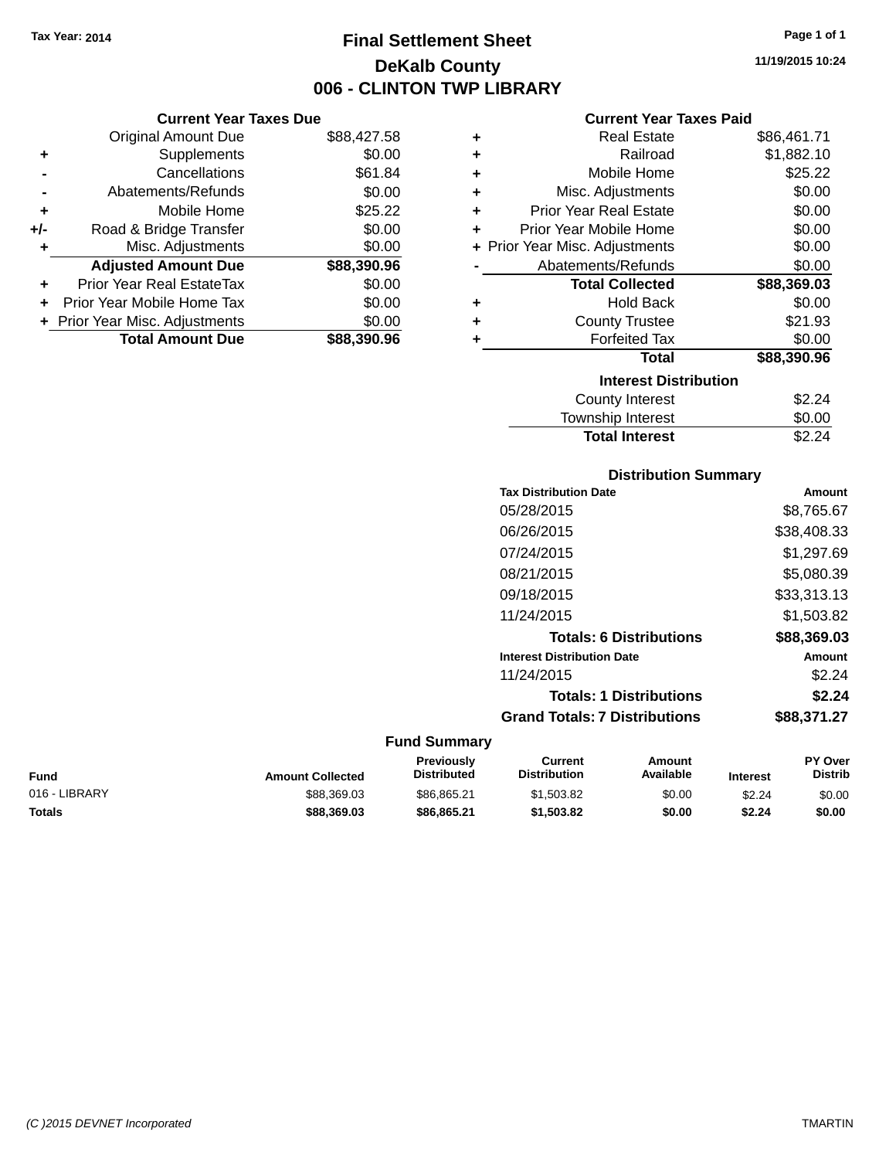## **Final Settlement Sheet Tax Year: 2014 Page 1 of 1 DeKalb County 006 - CLINTON TWP LIBRARY**

**11/19/2015 10:24**

#### **Current Year Taxes Paid**

| \$88,427.58 | ٠ | <b>Real Estate</b>             | \$86,461.71 |
|-------------|---|--------------------------------|-------------|
| \$0.00      | ÷ | Railroad                       | \$1,882.10  |
| \$61.84     | ÷ | Mobile Home                    | \$25.22     |
| \$0.00      | ÷ | Misc. Adjustments              | \$0.00      |
| \$25.22     | ٠ | <b>Prior Year Real Estate</b>  | \$0.00      |
| \$0.00      | ٠ | Prior Year Mobile Home         | \$0.00      |
| \$0.00      |   | + Prior Year Misc. Adjustments | \$0.00      |
| \$88,390.96 |   | Abatements/Refunds             | \$0.00      |
| \$0.00      |   | <b>Total Collected</b>         | \$88,369.03 |
| \$0.00      | ٠ | <b>Hold Back</b>               | \$0.00      |
| \$0.00      | ٠ | <b>County Trustee</b>          | \$21.93     |
| \$88,390.96 | ٠ | <b>Forfeited Tax</b>           | \$0.00      |
|             |   | <b>Total</b>                   | \$88,390.96 |
|             |   | <b>Interest Distribution</b>   |             |
|             |   | <b>County Interest</b>         | \$2.24      |
|             |   | <b>Township Interest</b>       | \$0.00      |

| <b>Distribution Summary</b>       |             |
|-----------------------------------|-------------|
| <b>Tax Distribution Date</b>      | Amount      |
| 05/28/2015                        | \$8,765.67  |
| 06/26/2015                        | \$38,408.33 |
| 07/24/2015                        | \$1.297.69  |
| 08/21/2015                        | \$5,080.39  |
| 09/18/2015                        | \$33,313.13 |
| 11/24/2015                        | \$1,503.82  |
| <b>Totals: 6 Distributions</b>    | \$88,369.03 |
| <b>Interest Distribution Date</b> | Amount      |
| 11/24/2015                        | \$2.24      |
| <b>Totals: 1 Distributions</b>    | \$2.24      |

Total Interest \$2.24

## **Grand Totals: 7 Distributions \$88,371.27 Fund Summary**

| <b>Amount Collected</b> | <b>Previously</b><br><b>Distributed</b> | Current<br><b>Distribution</b> | Amount<br>Available | <b>Interest</b> | <b>PY Over</b><br><b>Distrib</b> |
|-------------------------|-----------------------------------------|--------------------------------|---------------------|-----------------|----------------------------------|
| \$88,369,03             | \$86.865.21                             | \$1.503.82                     | \$0.00              | \$2.24          | \$0.00                           |
| \$88,369.03             | \$86,865,21                             | \$1,503.82                     | \$0.00              | \$2.24          | \$0.00                           |
|                         |                                         | --------------                 |                     |                 |                                  |

|     | <b>Current Year Taxes Due</b>  |             |
|-----|--------------------------------|-------------|
|     | <b>Original Amount Due</b>     | \$88,427.58 |
| ٠   | Supplements                    | \$0.00      |
|     | Cancellations                  | \$61.84     |
|     | Abatements/Refunds             | \$0.00      |
| ٠   | Mobile Home                    | \$25.22     |
| +/- | Road & Bridge Transfer         | \$0.00      |
|     | Misc. Adjustments              | \$0.00      |
|     | <b>Adjusted Amount Due</b>     | \$88,390.96 |
|     | Prior Year Real EstateTax      | \$0.00      |
|     | Prior Year Mobile Home Tax     | \$0.00      |
|     | + Prior Year Misc. Adjustments | \$0.00      |
|     | <b>Total Amount Due</b>        | \$88,390.96 |
|     |                                |             |

*(C )2015 DEVNET Incorporated* TMARTIN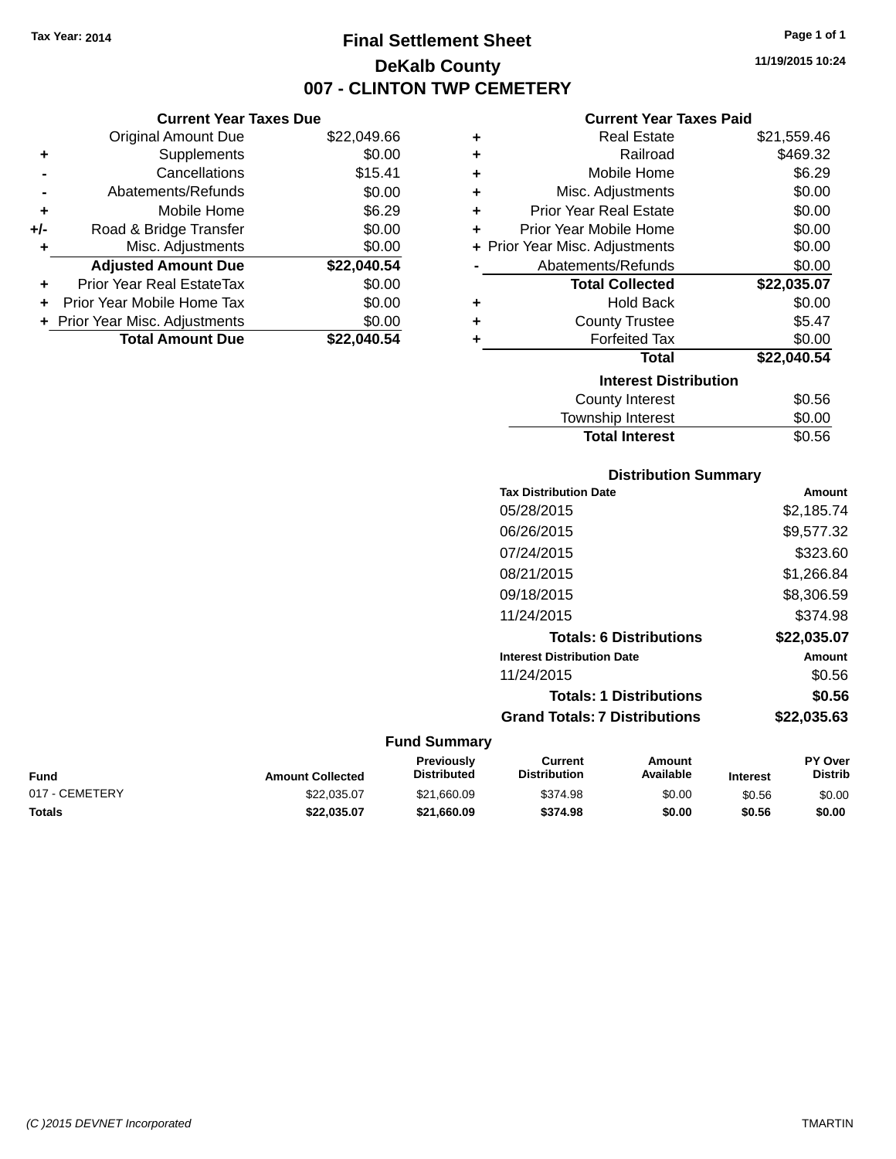**Current Year Taxes Due**

## **Final Settlement Sheet Tax Year: 2014 Page 1 of 1 DeKalb County 007 - CLINTON TWP CEMETERY**

**11/19/2015 10:24**

#### **Current Year Taxes Paid**

|     | <b>Original Amount Due</b>       | \$22,049.66 | ٠ | <b>Real Estate</b>             | \$21,559.46 |
|-----|----------------------------------|-------------|---|--------------------------------|-------------|
| ٠   | Supplements                      | \$0.00      | ٠ | Railroad                       | \$469.32    |
|     | Cancellations                    | \$15.41     | ٠ | Mobile Home                    | \$6.29      |
|     | Abatements/Refunds               | \$0.00      | ٠ | Misc. Adjustments              | \$0.00      |
| ٠   | Mobile Home                      | \$6.29      | ٠ | <b>Prior Year Real Estate</b>  | \$0.00      |
| +/- | Road & Bridge Transfer           | \$0.00      | ٠ | Prior Year Mobile Home         | \$0.00      |
| ٠   | Misc. Adjustments                | \$0.00      |   | + Prior Year Misc. Adjustments | \$0.00      |
|     | <b>Adjusted Amount Due</b>       | \$22,040.54 |   | Abatements/Refunds             | \$0.00      |
| ÷.  | <b>Prior Year Real EstateTax</b> | \$0.00      |   | <b>Total Collected</b>         | \$22,035.07 |
| ÷.  | Prior Year Mobile Home Tax       | \$0.00      | ٠ | <b>Hold Back</b>               | \$0.00      |
|     | + Prior Year Misc. Adjustments   | \$0.00      |   | <b>County Trustee</b>          | \$5.47      |
|     | <b>Total Amount Due</b>          | \$22,040.54 |   | <b>Forfeited Tax</b>           | \$0.00      |
|     |                                  |             |   | <b>Total</b>                   | \$22,040.54 |
|     |                                  |             |   | <b>Interest Distribution</b>   |             |
|     |                                  |             |   | <b>County Interest</b>         | \$0.56      |
|     |                                  |             |   |                                | ີ ລ         |

## County Interest  $$0.56$ Township Interest \$0.00 **Total Interest** \$0.56

| <b>Distribution Summary</b> |  |
|-----------------------------|--|
|-----------------------------|--|

| <b>Tax Distribution Date</b>         | Amount      |
|--------------------------------------|-------------|
| 05/28/2015                           | \$2.185.74  |
| 06/26/2015                           | \$9,577.32  |
| 07/24/2015                           | \$323.60    |
| 08/21/2015                           | \$1,266.84  |
| 09/18/2015                           | \$8,306.59  |
| 11/24/2015                           | \$374.98    |
| <b>Totals: 6 Distributions</b>       | \$22,035.07 |
| <b>Interest Distribution Date</b>    | Amount      |
| 11/24/2015                           | \$0.56      |
| <b>Totals: 1 Distributions</b>       | \$0.56      |
| <b>Grand Totals: 7 Distributions</b> | \$22,035.63 |
|                                      |             |

| Fund           | <b>Amount Collected</b> | <b>Previously</b><br><b>Distributed</b> | Current<br><b>Distribution</b> | Amount<br><b>Available</b> | <b>Interest</b> | <b>PY Over</b><br><b>Distrib</b> |
|----------------|-------------------------|-----------------------------------------|--------------------------------|----------------------------|-----------------|----------------------------------|
| 017 - CEMETERY | \$22.035.07             | \$21.660.09                             | \$374.98                       | \$0.00                     | \$0.56          | \$0.00                           |
| Totals         | \$22.035.07             | \$21.660.09                             | \$374.98                       | \$0.00                     | \$0.56          | \$0.00                           |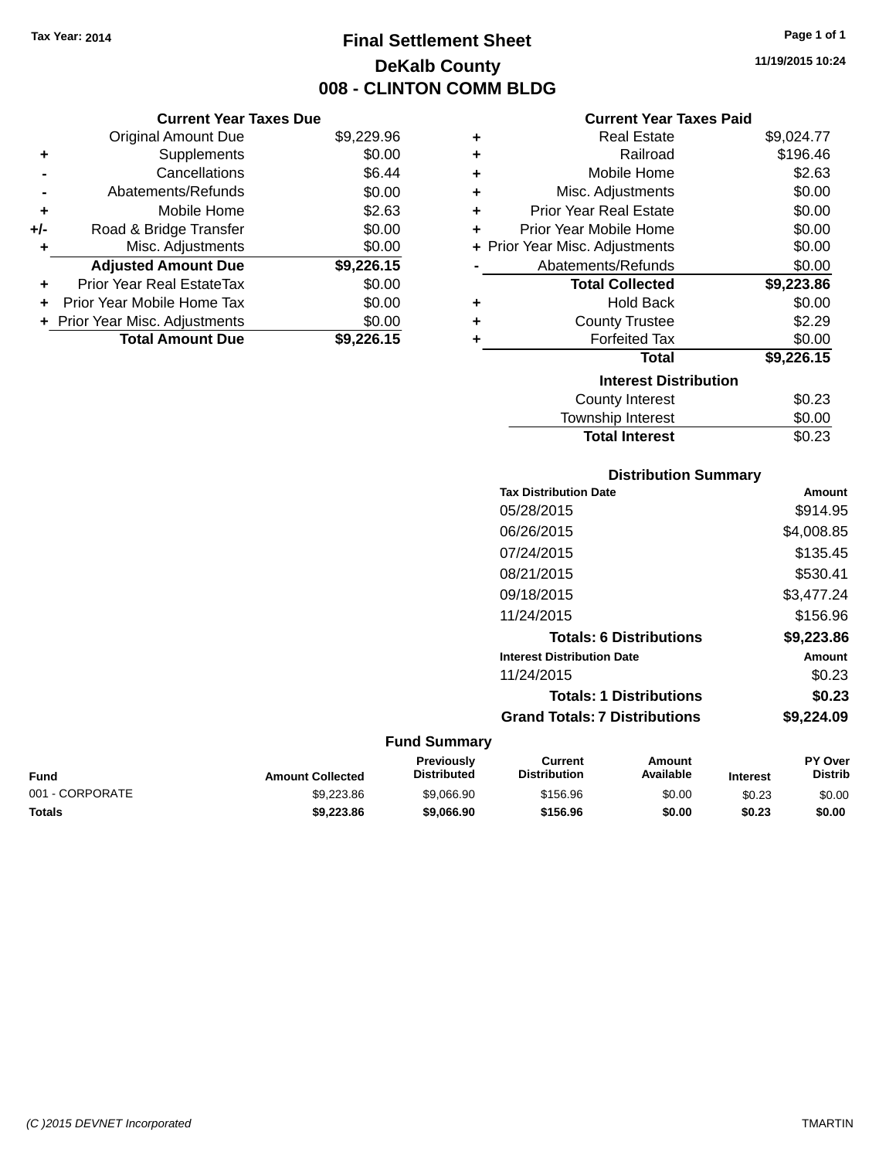## **Final Settlement Sheet Tax Year: 2014 Page 1 of 1 DeKalb County 008 - CLINTON COMM BLDG**

**11/19/2015 10:24**

#### **Current Year Taxes Paid**

|                | <b>Original Amount Due</b>     | \$9,229.96 | ٠ | <b>Real Estate</b>             | \$9,024.77                                       |
|----------------|--------------------------------|------------|---|--------------------------------|--------------------------------------------------|
| ٠              | Supplements                    | \$0.00     | ٠ | Railroad                       | \$196.46                                         |
| $\blacksquare$ | Cancellations                  | \$6.44     | ٠ | Mobile Home                    | \$2.63                                           |
|                | Abatements/Refunds             | \$0.00     |   | Misc. Adjustments              | \$0.00                                           |
| ٠              | Mobile Home                    | \$2.63     |   | <b>Prior Year Real Estate</b>  | \$0.00                                           |
| I-             | Road & Bridge Transfer         | \$0.00     |   | Prior Year Mobile Home         | \$0.00                                           |
| ٠              | Misc. Adjustments              | \$0.00     |   | + Prior Year Misc. Adjustments | \$0.00                                           |
|                | <b>Adjusted Amount Due</b>     | \$9,226.15 |   | Abatements/Refunds             | \$0.00                                           |
| ÷              | Prior Year Real EstateTax      | \$0.00     |   | <b>Total Collected</b>         | \$9,223.86                                       |
|                | + Prior Year Mobile Home Tax   | \$0.00     | ٠ | <b>Hold Back</b>               | \$0.00                                           |
|                | + Prior Year Misc. Adjustments | \$0.00     | ٠ | <b>County Trustee</b>          | \$2.29                                           |
|                | <b>Total Amount Due</b>        | \$9,226.15 |   | <b>Forfeited Tax</b>           | \$0.00                                           |
|                |                                |            |   | <b>Total</b>                   | \$9,226.15                                       |
|                |                                |            |   | <b>Interest Distribution</b>   |                                                  |
|                |                                |            |   | County Interest                | \$0.23                                           |
|                |                                |            |   |                                | $\mathbb{A} \wedge \mathbb{A} \wedge \mathbb{A}$ |

## $$0.23$ Township Interest \$0.00 **Total Interest** \$0.23

| <b>Distribution Summary</b> |  |
|-----------------------------|--|
|-----------------------------|--|

| <b>Tax Distribution Date</b>         | Amount     |
|--------------------------------------|------------|
| 05/28/2015                           | \$914.95   |
| 06/26/2015                           | \$4,008.85 |
| 07/24/2015                           | \$135.45   |
| 08/21/2015                           | \$530.41   |
| 09/18/2015                           | \$3,477.24 |
| 11/24/2015                           | \$156.96   |
| <b>Totals: 6 Distributions</b>       | \$9,223.86 |
| <b>Interest Distribution Date</b>    | Amount     |
| 11/24/2015                           | \$0.23     |
| <b>Totals: 1 Distributions</b>       | \$0.23     |
| <b>Grand Totals: 7 Distributions</b> | \$9.224.09 |
|                                      |            |

#### **Fund Summary**

| Fund            | <b>Amount Collected</b> | Previously<br><b>Distributed</b> | Current<br><b>Distribution</b> | Amount<br><b>Available</b> | <b>Interest</b> | <b>PY Over</b><br><b>Distrib</b> |
|-----------------|-------------------------|----------------------------------|--------------------------------|----------------------------|-----------------|----------------------------------|
| 001 - CORPORATE | \$9,223.86              | \$9.066.90                       | \$156.96                       | \$0.00                     | \$0.23          | \$0.00                           |
| Totals          | \$9,223.86              | \$9,066,90                       | \$156.96                       | \$0.00                     | \$0.23          | \$0.00                           |

| +/- | Road & Bridge Transfer           | \$0.00     |
|-----|----------------------------------|------------|
| ÷   | Misc. Adjustments                | \$0.00     |
|     | <b>Adjusted Amount Due</b>       | \$9,226.15 |
|     | <b>Prior Year Real EstateTax</b> | \$0.00     |
|     | Prior Year Mobile Home Tax       | \$0.00     |
|     | + Prior Year Misc. Adjustments   | \$0.00     |
|     | <b>Total Amount Due</b>          | \$9,226.15 |
|     |                                  |            |
|     |                                  |            |
|     |                                  |            |

**Current Year Taxes Due**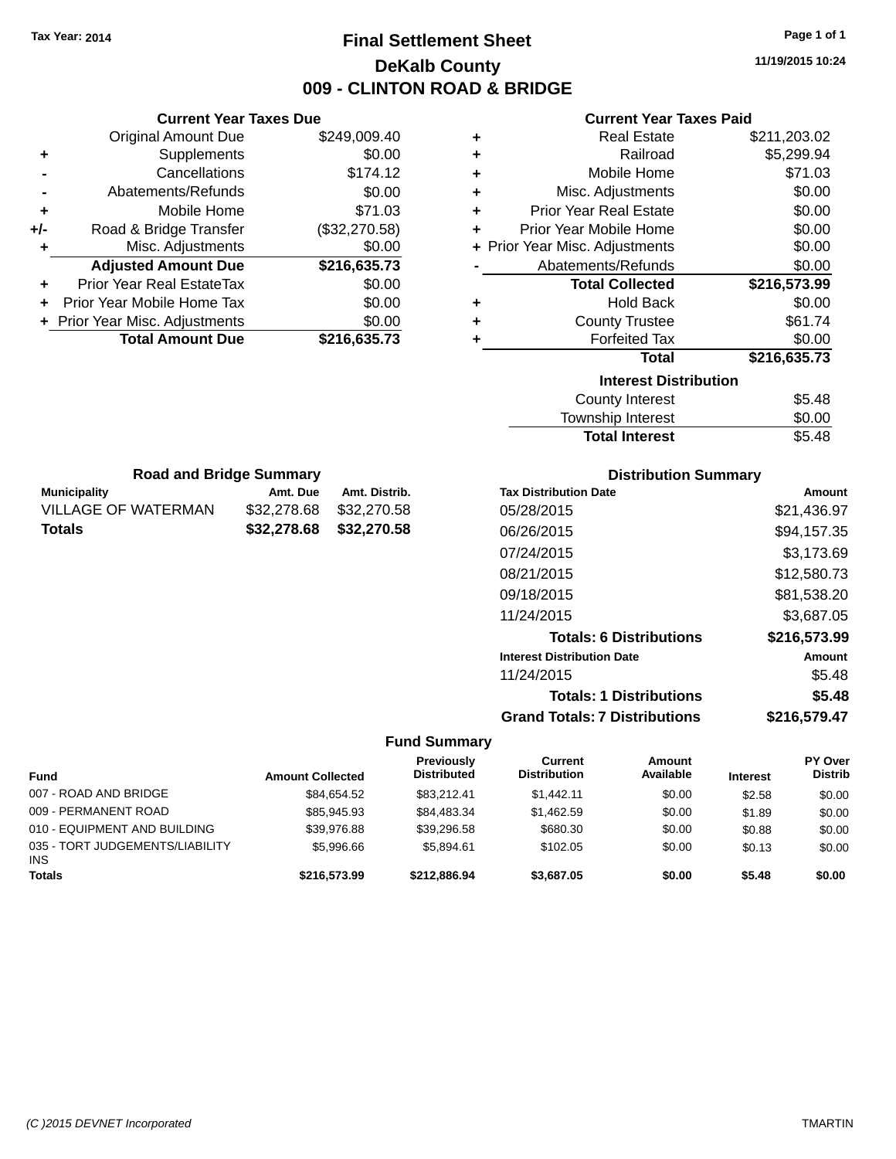## **Final Settlement Sheet Tax Year: 2014 Page 1 of 1 DeKalb County 009 - CLINTON ROAD & BRIDGE**

**11/19/2015 10:24**

#### **Current Year Taxes Paid**

|     | <b>Current Year Taxes Due</b>  |               |
|-----|--------------------------------|---------------|
|     | <b>Original Amount Due</b>     | \$249,009.40  |
| ٠   | Supplements                    | \$0.00        |
|     | Cancellations                  | \$174.12      |
|     | Abatements/Refunds             | \$0.00        |
| ٠   | Mobile Home                    | \$71.03       |
| +/- | Road & Bridge Transfer         | (\$32,270.58) |
| ٠   | Misc. Adjustments              | \$0.00        |
|     | <b>Adjusted Amount Due</b>     | \$216,635.73  |
| ÷   | Prior Year Real EstateTax      | \$0.00        |
|     | Prior Year Mobile Home Tax     | \$0.00        |
|     | + Prior Year Misc. Adjustments | \$0.00        |
|     | <b>Total Amount Due</b>        | \$216,635.73  |
|     |                                |               |

**Municipality Municipality** Amt. Due Amt. Distrib. **Road and Bridge Summary**

VILLAGE OF WATERMAN \$32,278.68 \$32,270.58 **Totals \$32,278.68 \$32,270.58**

| ٠ | <b>Real Estate</b>             | \$211,203.02 |
|---|--------------------------------|--------------|
| ٠ | Railroad                       | \$5,299.94   |
| ÷ | Mobile Home                    | \$71.03      |
| ٠ | Misc. Adjustments              | \$0.00       |
| ÷ | <b>Prior Year Real Estate</b>  | \$0.00       |
| ÷ | Prior Year Mobile Home         | \$0.00       |
|   | + Prior Year Misc. Adjustments | \$0.00       |
|   | Abatements/Refunds             | \$0.00       |
|   |                                |              |
|   | <b>Total Collected</b>         | \$216,573.99 |
| ٠ | <b>Hold Back</b>               | \$0.00       |
| ٠ | <b>County Trustee</b>          | \$61.74      |
| ٠ | <b>Forfeited Tax</b>           | \$0.00       |
|   | <b>Total</b>                   | \$216,635.73 |
|   | <b>Interest Distribution</b>   |              |
|   | <b>County Interest</b>         | \$5.48       |

# Total Interest \$5.48

| <b>Distribution Summary</b>          |              |  |  |
|--------------------------------------|--------------|--|--|
| <b>Tax Distribution Date</b>         | Amount       |  |  |
| 05/28/2015                           | \$21,436.97  |  |  |
| 06/26/2015                           | \$94,157.35  |  |  |
| 07/24/2015                           | \$3,173.69   |  |  |
| 08/21/2015                           | \$12,580.73  |  |  |
| 09/18/2015                           | \$81,538.20  |  |  |
| 11/24/2015                           | \$3.687.05   |  |  |
| <b>Totals: 6 Distributions</b>       | \$216,573.99 |  |  |
| <b>Interest Distribution Date</b>    | Amount       |  |  |
| 11/24/2015                           | \$5.48       |  |  |
| <b>Totals: 1 Distributions</b>       | \$5.48       |  |  |
| <b>Grand Totals: 7 Distributions</b> | \$216,579.47 |  |  |

| <b>Fund</b>                                   | <b>Amount Collected</b> | Previously<br><b>Distributed</b> | Current<br><b>Distribution</b> | <b>Amount</b><br>Available | <b>Interest</b> | PY Over<br><b>Distrib</b> |
|-----------------------------------------------|-------------------------|----------------------------------|--------------------------------|----------------------------|-----------------|---------------------------|
| 007 - ROAD AND BRIDGE                         | \$84.654.52             | \$83.212.41                      | \$1,442.11                     | \$0.00                     | \$2.58          | \$0.00                    |
| 009 - PERMANENT ROAD                          | \$85,945.93             | \$84,483.34                      | \$1.462.59                     | \$0.00                     | \$1.89          | \$0.00                    |
| 010 - EQUIPMENT AND BUILDING                  | \$39.976.88             | \$39.296.58                      | \$680.30                       | \$0.00                     | \$0.88          | \$0.00                    |
| 035 - TORT JUDGEMENTS/LIABILITY<br><b>INS</b> | \$5,996.66              | \$5.894.61                       | \$102.05                       | \$0.00                     | \$0.13          | \$0.00                    |
| <b>Totals</b>                                 | \$216,573,99            | \$212,886.94                     | \$3,687.05                     | \$0.00                     | \$5.48          | \$0.00                    |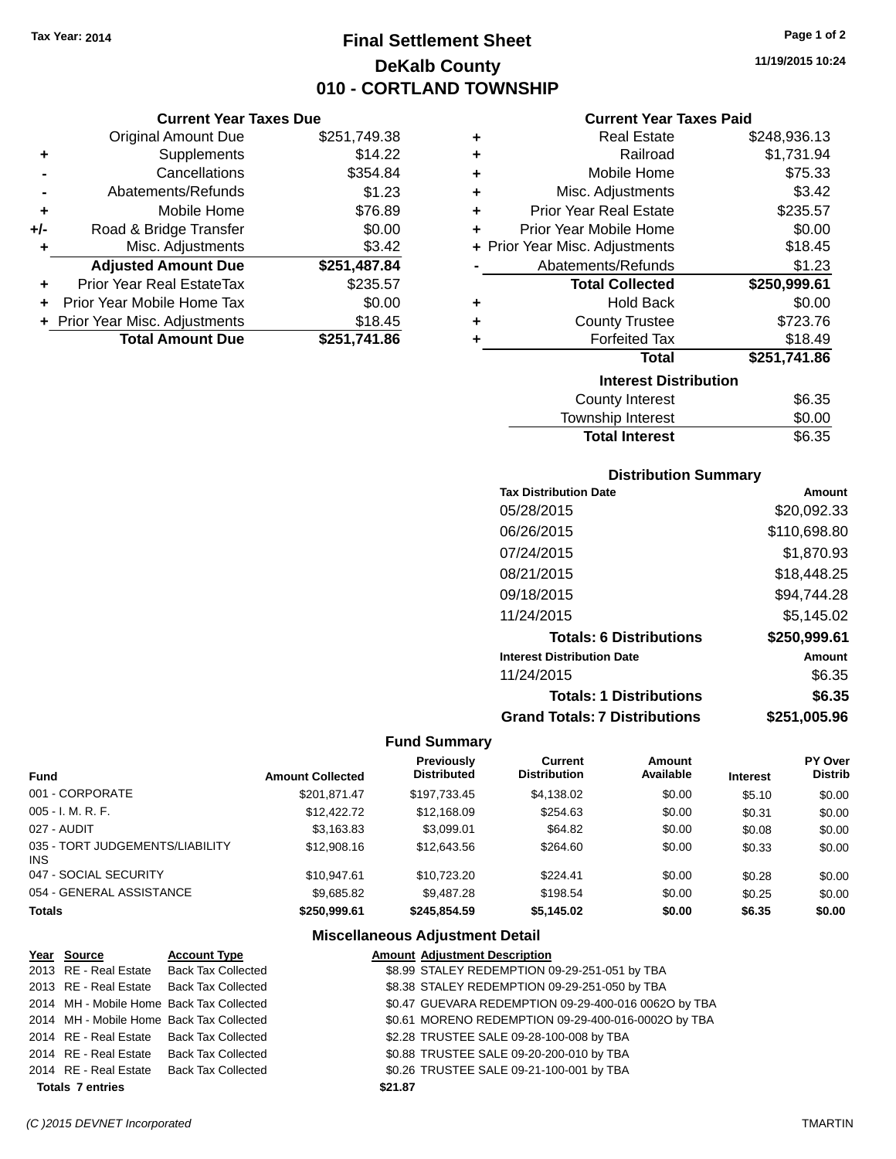**Current Year Taxes Due** Original Amount Due \$251,749.38

**Adjusted Amount Due \$251,487.84**

**Total Amount Due \$251,741.86**

**+** Supplements \$14.22 **-** Cancellations \$354.84 **-** Abatements/Refunds \$1.23 **+** Mobile Home \$76.89 **+/-** Road & Bridge Transfer \$0.00<br> **+** Misc. Adjustments \$3.42

**+** Prior Year Real EstateTax \$235.57 **+** Prior Year Mobile Home Tax \$0.00 **+ Prior Year Misc. Adjustments \$18.45** 

**+** Misc. Adjustments

## **Final Settlement Sheet Tax Year: 2014 Page 1 of 2 DeKalb County 010 - CORTLAND TOWNSHIP**

**11/19/2015 10:24**

#### **Current Year Taxes Paid**

| ٠ | <b>Real Estate</b>             | \$248,936.13 |
|---|--------------------------------|--------------|
| ÷ | Railroad                       | \$1,731.94   |
| ÷ | Mobile Home                    | \$75.33      |
| ÷ | Misc. Adjustments              | \$3.42       |
| ÷ | <b>Prior Year Real Estate</b>  | \$235.57     |
| ÷ | Prior Year Mobile Home         | \$0.00       |
|   | + Prior Year Misc. Adjustments | \$18.45      |
|   | Abatements/Refunds             | \$1.23       |
|   | <b>Total Collected</b>         | \$250,999.61 |
| ÷ | <b>Hold Back</b>               | \$0.00       |
| ÷ | <b>County Trustee</b>          | \$723.76     |
| ÷ | <b>Forfeited Tax</b>           | \$18.49      |
|   | <b>Total</b>                   | \$251,741.86 |
|   | <b>Interest Distribution</b>   |              |
|   | <b>County Interest</b>         | \$6.35       |
|   | <b>Township Interest</b>       | \$0.00       |

|                       | -----  |
|-----------------------|--------|
| <b>Total Interest</b> | \$6.35 |
|                       |        |

| <b>Distribution Summary</b>  |             |
|------------------------------|-------------|
| <b>Tax Distribution Date</b> | Amount      |
| 05/28/2015                   | \$20,092.33 |

| 05/28/2015                           | \$20,092.33  |
|--------------------------------------|--------------|
| 06/26/2015                           | \$110,698.80 |
| 07/24/2015                           | \$1,870.93   |
| 08/21/2015                           | \$18,448.25  |
| 09/18/2015                           | \$94,744.28  |
| 11/24/2015                           | \$5,145.02   |
| <b>Totals: 6 Distributions</b>       | \$250,999.61 |
| <b>Interest Distribution Date</b>    | Amount       |
| 11/24/2015                           | \$6.35       |
| <b>Totals: 1 Distributions</b>       | \$6.35       |
| <b>Grand Totals: 7 Distributions</b> | \$251.005.96 |

#### **Fund Summary**

| <b>Fund</b>                             | <b>Amount Collected</b> | <b>Previously</b><br><b>Distributed</b> | Current<br><b>Distribution</b> | Amount<br>Available | <b>Interest</b> | <b>PY Over</b><br><b>Distrib</b> |
|-----------------------------------------|-------------------------|-----------------------------------------|--------------------------------|---------------------|-----------------|----------------------------------|
| 001 - CORPORATE                         | \$201.871.47            | \$197,733.45                            | \$4,138.02                     | \$0.00              | \$5.10          | \$0.00                           |
| $005 - I. M. R. F.$                     | \$12,422.72             | \$12,168.09                             | \$254.63                       | \$0.00              | \$0.31          | \$0.00                           |
| 027 - AUDIT                             | \$3,163.83              | \$3,099.01                              | \$64.82                        | \$0.00              | \$0.08          | \$0.00                           |
| 035 - TORT JUDGEMENTS/LIABILITY<br>INS. | \$12,908.16             | \$12,643.56                             | \$264.60                       | \$0.00              | \$0.33          | \$0.00                           |
| 047 - SOCIAL SECURITY                   | \$10.947.61             | \$10.723.20                             | \$224.41                       | \$0.00              | \$0.28          | \$0.00                           |
| 054 - GENERAL ASSISTANCE                | \$9,685.82              | \$9,487.28                              | \$198.54                       | \$0.00              | \$0.25          | \$0.00                           |
| <b>Totals</b>                           | \$250,999.61            | \$245.854.59                            | \$5,145.02                     | \$0.00              | \$6.35          | \$0.00                           |

| Year Source             | <b>Account Type</b>                      | <b>Amount Adjustment Description</b>                 |
|-------------------------|------------------------------------------|------------------------------------------------------|
|                         | 2013 RE - Real Estate Back Tax Collected | \$8.99 STALEY REDEMPTION 09-29-251-051 by TBA        |
|                         | 2013 RE - Real Estate Back Tax Collected | \$8.38 STALEY REDEMPTION 09-29-251-050 by TBA        |
|                         | 2014 MH - Mobile Home Back Tax Collected | \$0.47 GUEVARA REDEMPTION 09-29-400-016 0062O by TBA |
|                         | 2014 MH - Mobile Home Back Tax Collected | \$0.61 MORENO REDEMPTION 09-29-400-016-0002O by TBA  |
|                         | 2014 RE - Real Estate Back Tax Collected | \$2.28 TRUSTEE SALE 09-28-100-008 by TBA             |
|                         | 2014 RE - Real Estate Back Tax Collected | \$0.88 TRUSTEE SALE 09-20-200-010 by TBA             |
|                         | 2014 RE - Real Estate Back Tax Collected | \$0.26 TRUSTEE SALE 09-21-100-001 by TBA             |
| <b>Totals 7 entries</b> |                                          | \$21.87                                              |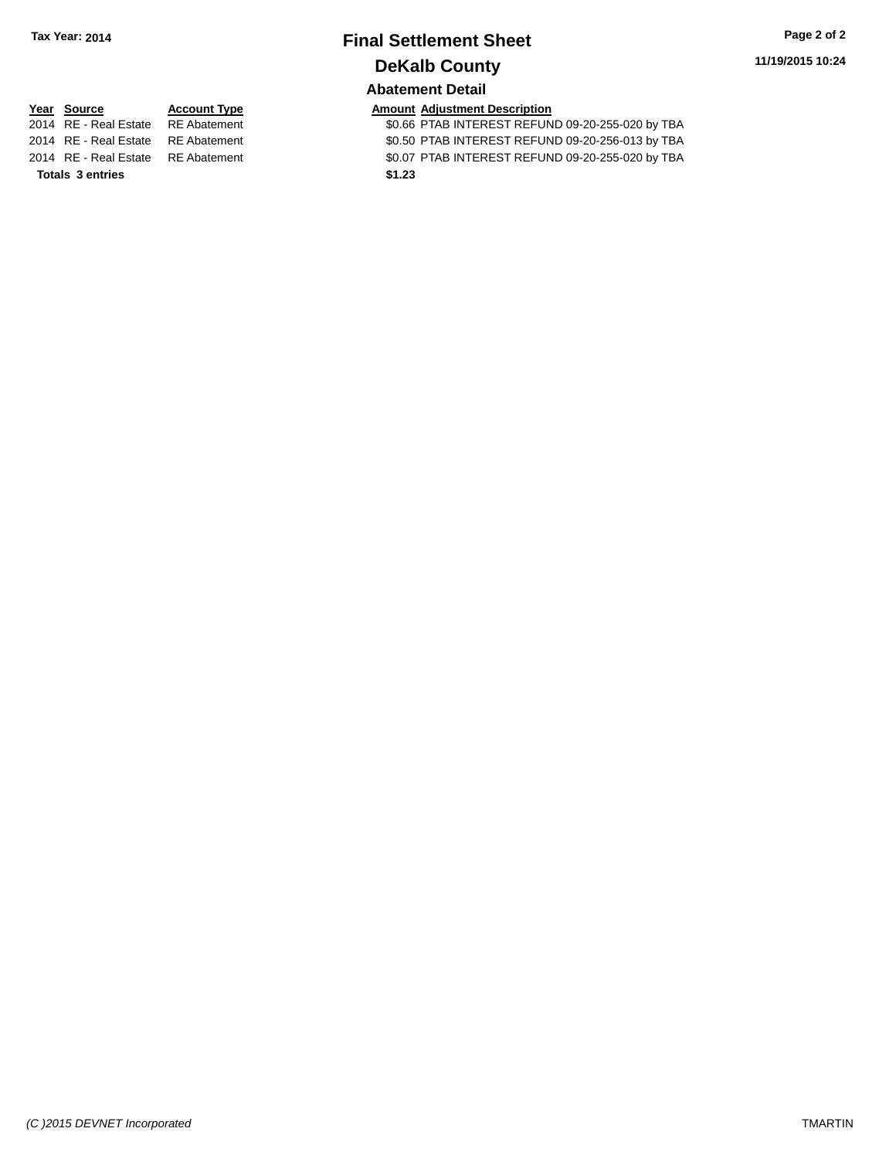# **Final Settlement Sheet Tax Year: 2014 Page 2 of 2 DeKalb County**

**11/19/2015 10:24**

#### **Abatement Detail**

| '014   RE - Real Estate     RE Abateme |  |
|----------------------------------------|--|
| 2014 RE - Real Estate RE Abateme       |  |
| 2014 RE - Real Estate RE Abateme       |  |

**Totals \$1.23 3 entries**

**Year Source Account Type Account Type Amount Adjustment Description**<br>2014 RE - Real Estate RE Abatement **Account 1998 AMOUNTEREST REFUN** 2016 BTAB INTEREST REFUND 09-20-255-020 by TBA 2014 RE - Real Estate RE Abatement \$0.50 PTAB INTEREST REFUND 09-20-256-013 by TBA 2014 RE - Real Estate RE Abatement \$0.07 PTAB INTEREST REFUND 09-20-255-020 by TBA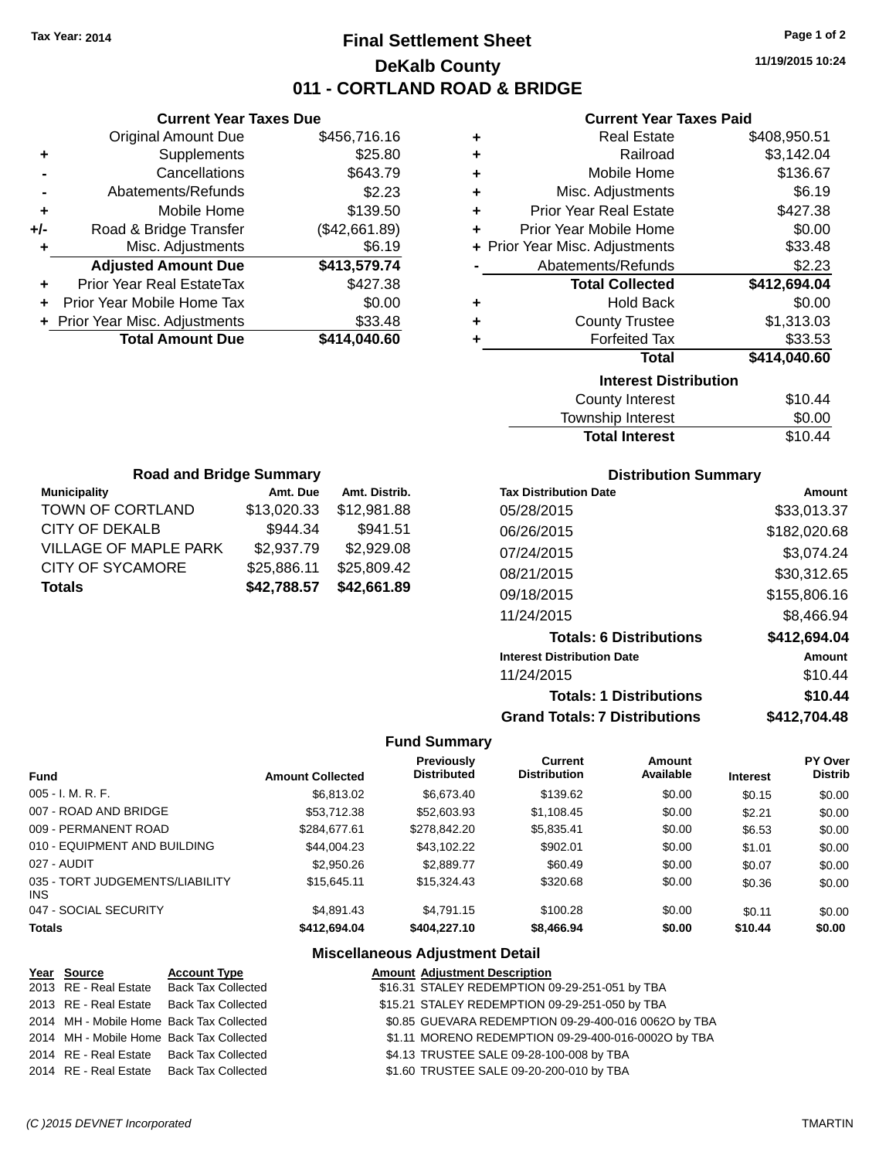## **Final Settlement Sheet Tax Year: 2014 Page 1 of 2 DeKalb County 011 - CORTLAND ROAD & BRIDGE**

**11/19/2015 10:24**

#### **Current Year Taxes Paid**

|     | <b>Current Year Taxes Due</b>  |               |
|-----|--------------------------------|---------------|
|     | <b>Original Amount Due</b>     | \$456,716.16  |
| ٠   | Supplements                    | \$25.80       |
|     | Cancellations                  | \$643.79      |
|     | Abatements/Refunds             | \$2.23        |
| ٠   | Mobile Home                    | \$139.50      |
| +/- | Road & Bridge Transfer         | (\$42,661.89) |
|     | Misc. Adjustments              | \$6.19        |
|     | <b>Adjusted Amount Due</b>     | \$413,579.74  |
| ÷   | Prior Year Real EstateTax      | \$427.38      |
|     | Prior Year Mobile Home Tax     | \$0.00        |
|     | + Prior Year Misc. Adjustments | \$33.48       |
|     | <b>Total Amount Due</b>        | \$414,040.60  |
|     |                                |               |

| ٠ | <b>Real Estate</b>             | \$408,950.51 |
|---|--------------------------------|--------------|
| ÷ | Railroad                       | \$3,142.04   |
| ÷ | Mobile Home                    | \$136.67     |
| ÷ | Misc. Adjustments              | \$6.19       |
| ٠ | <b>Prior Year Real Estate</b>  | \$427.38     |
| ٠ | Prior Year Mobile Home         | \$0.00       |
|   | + Prior Year Misc. Adjustments | \$33.48      |
|   | Abatements/Refunds             | \$2.23       |
|   | <b>Total Collected</b>         | \$412,694.04 |
| ٠ | <b>Hold Back</b>               | \$0.00       |
| ٠ | <b>County Trustee</b>          | \$1,313.03   |
| ٠ | <b>Forfeited Tax</b>           | \$33.53      |
|   | <b>Total</b>                   | \$414,040.60 |
|   | <b>Interest Distribution</b>   |              |
|   | <b>County Interest</b>         | \$10.44      |
|   |                                |              |

| <b>Total Interest</b> | \$10.44 |
|-----------------------|---------|
| Township Interest     | \$0.00  |
| County interest       | \$10.44 |

| <b>Road and Bridge Summary</b> |               |  |  |  |
|--------------------------------|---------------|--|--|--|
| Amt. Due                       | Amt. Distrib. |  |  |  |
| \$13,020.33                    | \$12,981.88   |  |  |  |
| \$944.34                       | \$941.51      |  |  |  |
| \$2,937.79                     | \$2,929.08    |  |  |  |
| \$25,886.11                    | \$25,809.42   |  |  |  |
| \$42,788.57                    | \$42,661.89   |  |  |  |
|                                |               |  |  |  |

#### **Distribution Summary**

| <b>Tax Distribution Date</b>         | Amount       |
|--------------------------------------|--------------|
| 05/28/2015                           | \$33,013.37  |
| 06/26/2015                           | \$182,020.68 |
| 07/24/2015                           | \$3,074.24   |
| 08/21/2015                           | \$30,312.65  |
| 09/18/2015                           | \$155,806.16 |
| 11/24/2015                           | \$8.466.94   |
| <b>Totals: 6 Distributions</b>       | \$412,694.04 |
| <b>Interest Distribution Date</b>    | Amount       |
| 11/24/2015                           | \$10.44      |
| <b>Totals: 1 Distributions</b>       | \$10.44      |
| <b>Grand Totals: 7 Distributions</b> | \$412.704.48 |

#### **Fund Summary**

| <b>Fund</b>                             | <b>Amount Collected</b> | Previously<br><b>Distributed</b> | Current<br><b>Distribution</b> | Amount<br>Available | <b>Interest</b> | <b>PY Over</b><br><b>Distrib</b> |
|-----------------------------------------|-------------------------|----------------------------------|--------------------------------|---------------------|-----------------|----------------------------------|
| $005 - I. M. R. F.$                     | \$6,813.02              | \$6,673.40                       | \$139.62                       | \$0.00              | \$0.15          | \$0.00                           |
| 007 - ROAD AND BRIDGE                   | \$53,712,38             | \$52,603.93                      | \$1,108.45                     | \$0.00              | \$2.21          | \$0.00                           |
| 009 - PERMANENT ROAD                    | \$284,677.61            | \$278,842.20                     | \$5,835.41                     | \$0.00              | \$6.53          | \$0.00                           |
| 010 - EQUIPMENT AND BUILDING            | \$44.004.23             | \$43.102.22                      | \$902.01                       | \$0.00              | \$1.01          | \$0.00                           |
| 027 - AUDIT                             | \$2,950.26              | \$2,889.77                       | \$60.49                        | \$0.00              | \$0.07          | \$0.00                           |
| 035 - TORT JUDGEMENTS/LIABILITY<br>INS. | \$15.645.11             | \$15,324.43                      | \$320.68                       | \$0.00              | \$0.36          | \$0.00                           |
| 047 - SOCIAL SECURITY                   | \$4,891.43              | \$4.791.15                       | \$100.28                       | \$0.00              | \$0.11          | \$0.00                           |
| <b>Totals</b>                           | \$412,694,04            | \$404,227.10                     | \$8,466.94                     | \$0.00              | \$10.44         | \$0.00                           |

| Year Source | <b>Account Type</b>                      | <b>Amount Adjustment Description</b>                 |
|-------------|------------------------------------------|------------------------------------------------------|
|             | 2013 RE - Real Estate Back Tax Collected | \$16.31 STALEY REDEMPTION 09-29-251-051 by TBA       |
|             | 2013 RE - Real Estate Back Tax Collected | \$15.21 STALEY REDEMPTION 09-29-251-050 by TBA       |
|             | 2014 MH - Mobile Home Back Tax Collected | \$0.85 GUEVARA REDEMPTION 09-29-400-016 00620 by TBA |
|             | 2014 MH - Mobile Home Back Tax Collected | \$1.11 MORENO REDEMPTION 09-29-400-016-0002O by TBA  |
|             | 2014 RE - Real Estate Back Tax Collected | \$4.13 TRUSTEE SALE 09-28-100-008 by TBA             |
|             | 2014 RE - Real Estate Back Tax Collected | \$1.60 TRUSTEE SALE 09-20-200-010 by TBA             |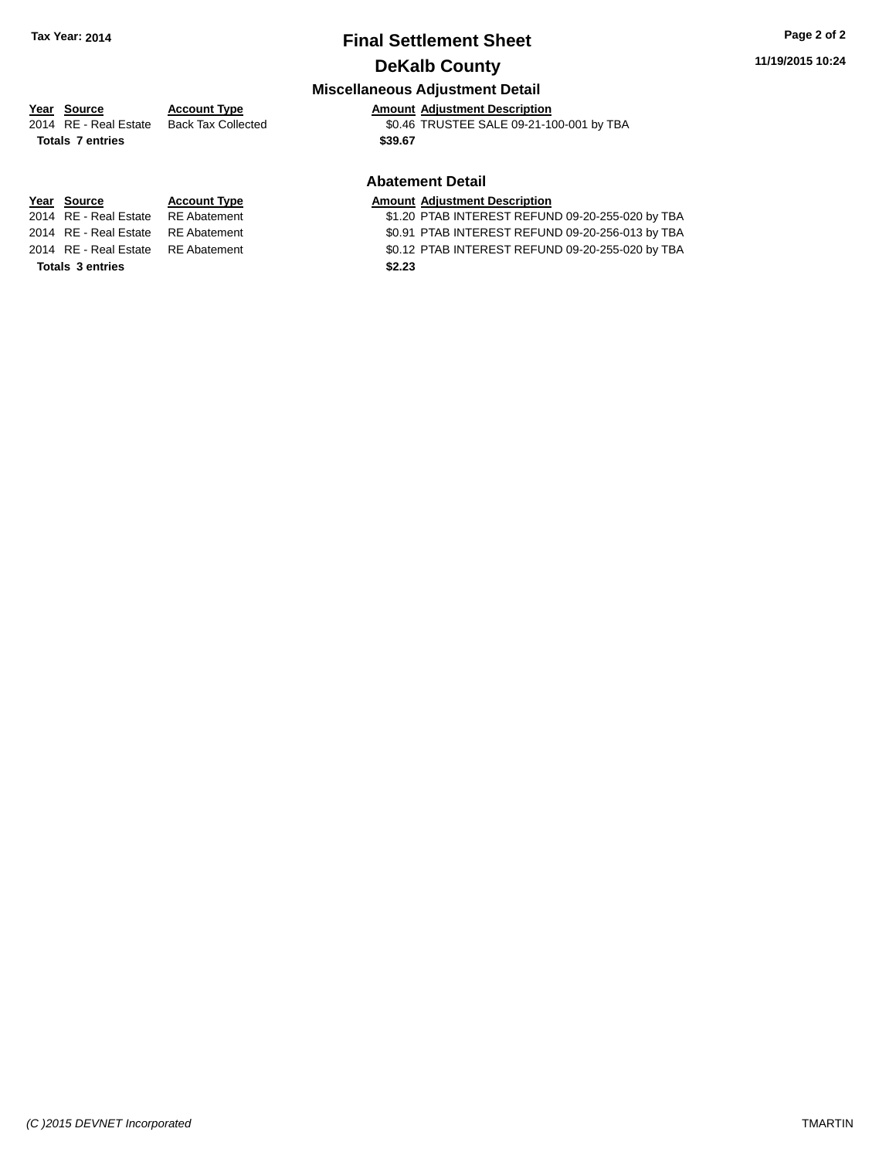# **Final Settlement Sheet Tax Year: 2014 Page 2 of 2**

## **DeKalb County**

## **Miscellaneous Adjustment Detail**

## **Year** Source **Account Type Account Adjustment Description**

2014 RE - Real Estate Back Tax Collected \$0.46 TRUSTEE SALE 09-21-100-001 by TBA

#### **Abatement Detail**

# **Year Source Account Type Amount Adjustment Description**<br>2014 RE - Real Estate RE Abatement \$1.20 PTAB INTEREST REFUN

\$1.20 PTAB INTEREST REFUND 09-20-255-020 by TBA 2014 RE - Real Estate RE Abatement \$0.91 PTAB INTEREST REFUND 09-20-256-013 by TBA

2014 RE - Real Estate RE Abatement \$0.12 PTAB INTEREST REFUND 09-20-255-020 by TBA

**Totals \$39.67 7 entries**

**Totals \$2.23 3 entries**

*(C )2015 DEVNET Incorporated* TMARTIN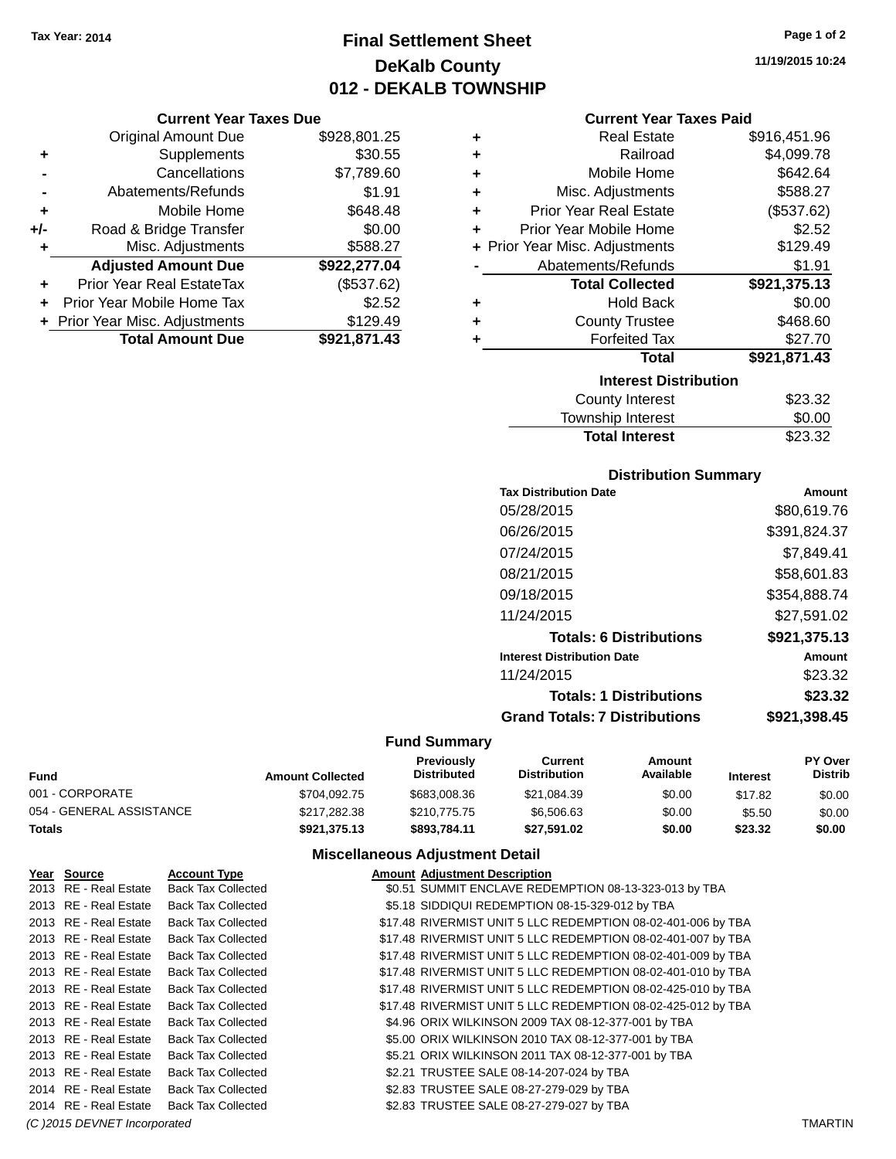## **Final Settlement Sheet Tax Year: 2014 Page 1 of 2 DeKalb County 012 - DEKALB TOWNSHIP**

**11/19/2015 10:24**

**+** Real Estate \$916,451.96 **+** Railroad \$4,099.78 **+** Mobile Home \$642.64  $$588.27$ **+** Prior Year Real Estate (\$537.62) **+** Prior Year Mobile Home \$2.52  $$129.49$ \$1.91 **Total Collected \$921,375.13**

**+** Hold Back \$0.00

\$27.70 **Total \$921,871.43**

\$468.60

## **Current Year Taxes Paid**

|     | <b>Current Year Taxes Due</b>    |              |   | <b>Current Year T</b>          |
|-----|----------------------------------|--------------|---|--------------------------------|
|     | Original Amount Due              | \$928,801.25 | ٠ | <b>Real Estate</b>             |
|     | Supplements                      | \$30.55      | ٠ | Railroad                       |
|     | Cancellations                    | \$7,789.60   | ٠ | Mobile Home                    |
|     | Abatements/Refunds               | \$1.91       | ٠ | Misc. Adjustments              |
| ٠   | Mobile Home                      | \$648.48     | ٠ | <b>Prior Year Real Estate</b>  |
| +/- | Road & Bridge Transfer           | \$0.00       |   | Prior Year Mobile Home         |
|     | Misc. Adjustments                | \$588.27     |   | + Prior Year Misc. Adjustments |
|     | <b>Adjusted Amount Due</b>       | \$922,277.04 |   | Abatements/Refunds             |
| ÷   | <b>Prior Year Real EstateTax</b> | (\$537.62)   |   | <b>Total Collected</b>         |
| ÷   | Prior Year Mobile Home Tax       | \$2.52       | ٠ | <b>Hold Back</b>               |
|     | + Prior Year Misc. Adjustments   | \$129.49     | ٠ | <b>County Trustee</b>          |
|     | <b>Total Amount Due</b>          | \$921,871.43 |   | <b>Forfeited Tax</b>           |
|     |                                  |              |   | Total                          |
|     |                                  |              |   | <b>Interest Dist</b>           |

| <b>Interest Distribution</b> |         |
|------------------------------|---------|
| <b>County Interest</b>       | \$23.32 |
| Township Interest            | \$0.00  |
| <b>Total Interest</b>        | \$23.32 |

#### **Distribution Summary**

| <b>Tax Distribution Date</b>         | Amount       |
|--------------------------------------|--------------|
| 05/28/2015                           | \$80,619.76  |
| 06/26/2015                           | \$391,824.37 |
| 07/24/2015                           | \$7.849.41   |
| 08/21/2015                           | \$58,601.83  |
| 09/18/2015                           | \$354,888.74 |
| 11/24/2015                           | \$27,591.02  |
| <b>Totals: 6 Distributions</b>       | \$921,375.13 |
| <b>Interest Distribution Date</b>    | Amount       |
| 11/24/2015                           | \$23.32      |
| <b>Totals: 1 Distributions</b>       | \$23.32      |
| <b>Grand Totals: 7 Distributions</b> | \$921,398.45 |
|                                      |              |

#### **Fund Summary**

| Fund                     | <b>Amount Collected</b> | <b>Previously</b><br><b>Distributed</b> | Current<br><b>Distribution</b> | Amount<br>Available | <b>Interest</b> | PY Over<br><b>Distrib</b> |
|--------------------------|-------------------------|-----------------------------------------|--------------------------------|---------------------|-----------------|---------------------------|
| 001 - CORPORATE          | \$704.092.75            | \$683,008.36                            | \$21,084.39                    | \$0.00              | \$17.82         | \$0.00                    |
| 054 - GENERAL ASSISTANCE | \$217,282,38            | \$210,775.75                            | \$6,506,63                     | \$0.00              | \$5.50          | \$0.00                    |
| Totals                   | \$921.375.13            | \$893.784.11                            | \$27.591.02                    | \$0.00              | \$23.32         | \$0.00                    |

#### **Miscellaneous Adjustment Detail**

| Year Source           | <b>Account Type</b>       | <b>Amount Adjustment Description</b>                         |
|-----------------------|---------------------------|--------------------------------------------------------------|
| 2013 RE - Real Estate | <b>Back Tax Collected</b> | \$0.51 SUMMIT ENCLAVE REDEMPTION 08-13-323-013 by TBA        |
| 2013 RE - Real Estate | <b>Back Tax Collected</b> | \$5.18 SIDDIQUI REDEMPTION 08-15-329-012 by TBA              |
| 2013 RE - Real Estate | <b>Back Tax Collected</b> | \$17.48 RIVERMIST UNIT 5 LLC REDEMPTION 08-02-401-006 by TBA |
| 2013 RE - Real Estate | <b>Back Tax Collected</b> | \$17.48 RIVERMIST UNIT 5 LLC REDEMPTION 08-02-401-007 by TBA |
| 2013 RE - Real Estate | <b>Back Tax Collected</b> | \$17.48 RIVERMIST UNIT 5 LLC REDEMPTION 08-02-401-009 by TBA |
| 2013 RE - Real Estate | <b>Back Tax Collected</b> | \$17.48 RIVERMIST UNIT 5 LLC REDEMPTION 08-02-401-010 by TBA |
| 2013 RE - Real Estate | <b>Back Tax Collected</b> | \$17.48 RIVERMIST UNIT 5 LLC REDEMPTION 08-02-425-010 by TBA |
| 2013 RE - Real Estate | <b>Back Tax Collected</b> | \$17.48 RIVERMIST UNIT 5 LLC REDEMPTION 08-02-425-012 by TBA |
| 2013 RE - Real Estate | <b>Back Tax Collected</b> | \$4.96 ORIX WILKINSON 2009 TAX 08-12-377-001 by TBA          |
| 2013 RE - Real Estate | <b>Back Tax Collected</b> | \$5.00 ORIX WILKINSON 2010 TAX 08-12-377-001 by TBA          |
| 2013 RE - Real Estate | <b>Back Tax Collected</b> | \$5.21 ORIX WILKINSON 2011 TAX 08-12-377-001 by TBA          |
| 2013 RE - Real Estate | <b>Back Tax Collected</b> | \$2.21 TRUSTEE SALE 08-14-207-024 by TBA                     |
| 2014 RE - Real Estate | <b>Back Tax Collected</b> | \$2.83 TRUSTEE SALE 08-27-279-029 by TBA                     |
| 2014 RE - Real Estate | <b>Back Tax Collected</b> | \$2.83 TRUSTEE SALE 08-27-279-027 by TBA                     |

*(C )2015 DEVNET Incorporated* TMARTIN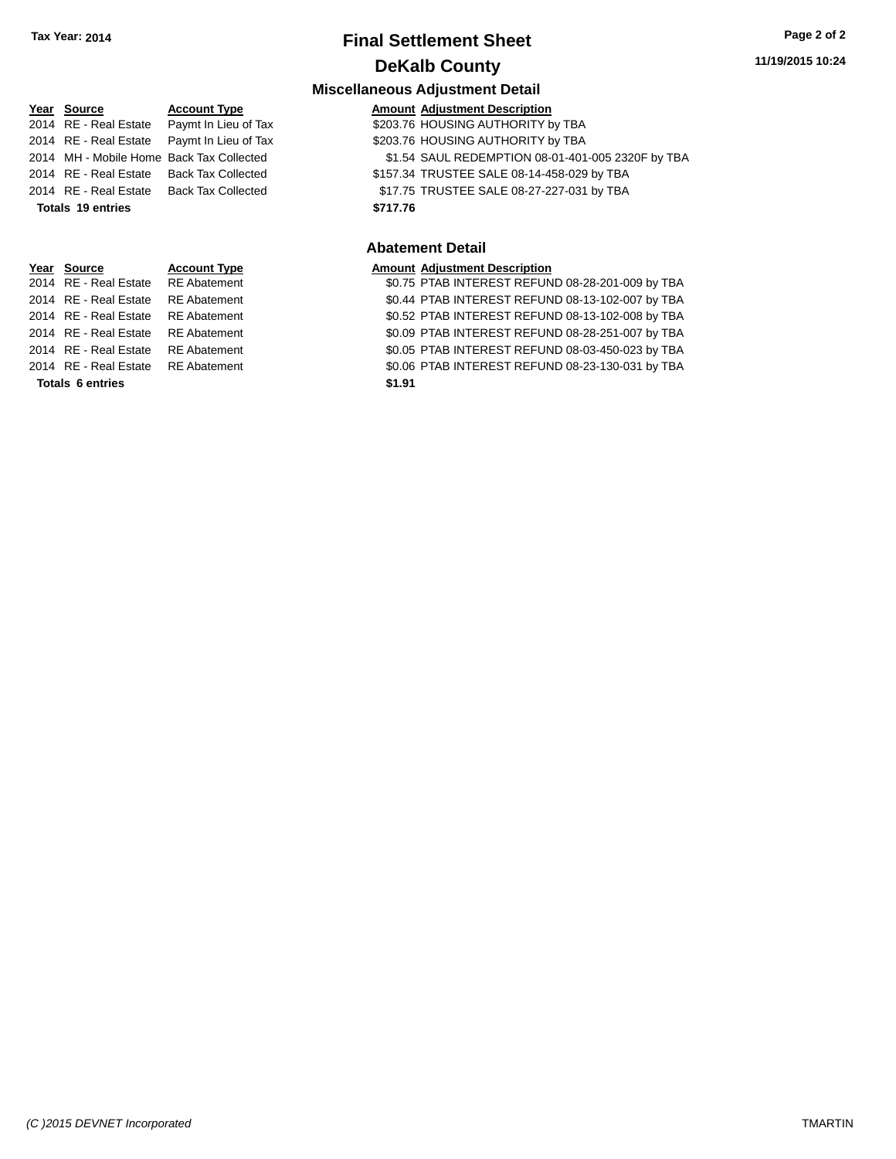## **Final Settlement Sheet Tax Year: 2014 Page 2 of 2 DeKalb County**

| Year Source           | <b>Account Type</b>       |
|-----------------------|---------------------------|
| 2014 RE - Real Estate | Paymt In Lieu of Tax      |
| 2014 RE - Real Estate | Paymt In Lieu of Tax      |
| 2014 MH - Mobile Home | <b>Back Tax Collected</b> |
| 2014 RE - Real Estate | <b>Back Tax Collected</b> |
| 2014 RE - Real Estate | <b>Back Tax Collected</b> |
| Totals 19 entries     |                           |
|                       |                           |
|                       |                           |
|                       |                           |
| Year Source           | <b>Account Type</b>       |
| 2014 RE - Real Estate | <b>RE</b> Abatement       |
| 2014 RE - Real Estate | <b>RE</b> Abatement       |
|                       |                           |

**Miscellaneous Adjustment Detail Amount Adjustment Description** 203.76 HOUSING AUTHORITY by TBA 203.76 HOUSING AUTHORITY by TBA \$1.54 SAUL REDEMPTION 08-01-401-005 2320F by TBA \$157.34 TRUSTEE SALE 08-14-458-029 by TBA \$17.75 TRUSTEE SALE 08-27-227-031 by TBA **Totals \$717.76 19 entries**

#### **Abatement Detail**

#### **Amount Adjustment Description**

\$0.75 PTAB INTEREST REFUND 08-28-201-009 by TBA \$0.44 PTAB INTEREST REFUND 08-13-102-007 by TBA 2014 RE - Real Estate RE Abatement \$0.52 PTAB INTEREST REFUND 08-13-102-008 by TBA 2014 RE - Real Estate RE Abatement \$0.09 PTAB INTEREST REFUND 08-28-251-007 by TBA 2014 RE - Real Estate RE Abatement \$0.05 PTAB INTEREST REFUND 08-03-450-023 by TBA 2014 RE - Real Estate RE Abatement \$0.06 PTAB INTEREST REFUND 08-23-130-031 by TBA **Totals \$1.91 6 entries**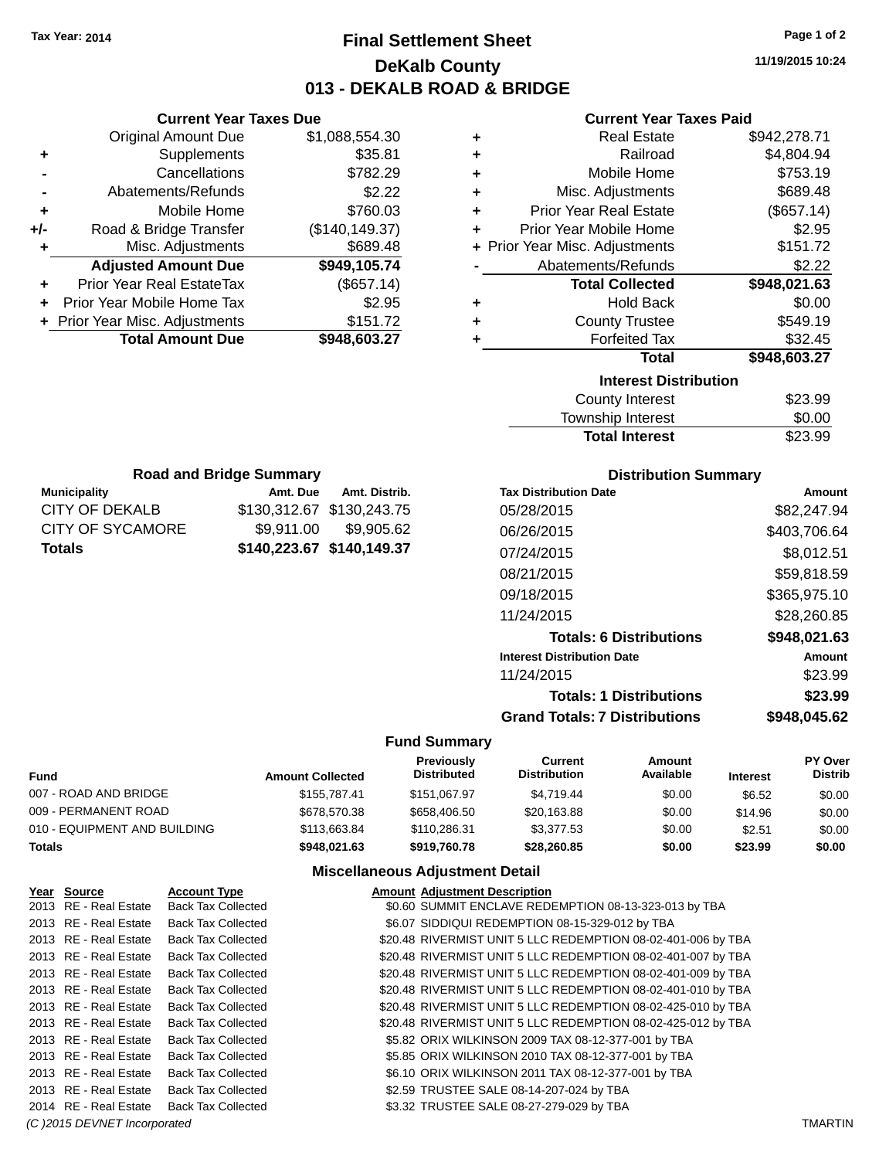**Current Year Taxes Due** Original Amount Due \$1,088,554.30

**Adjusted Amount Due \$949,105.74**

**Total Amount Due \$948,603.27**

**+** Supplements \$35.81 **-** Cancellations \$782.29 **-** Abatements/Refunds \$2.22 **+** Mobile Home \$760.03 **+/-** Road & Bridge Transfer (\$140,149.37) **+** Misc. Adjustments \$689.48

**+** Prior Year Real EstateTax (\$657.14) **+** Prior Year Mobile Home Tax \$2.95 **+ Prior Year Misc. Adjustments \$151.72** 

**Municipality Municipality** Amt. Due Amt. Distrib. **Road and Bridge Summary**

CITY OF DEKALB \$130,312.67 \$130,243.75 CITY OF SYCAMORE \$9,911.00 \$9,905.62 **Totals \$140,223.67 \$140,149.37**

## **Final Settlement Sheet Tax Year: 2014 Page 1 of 2 DeKalb County 013 - DEKALB ROAD & BRIDGE**

**11/19/2015 10:24**

#### **Current Year Taxes Paid**

| ٠ | <b>Real Estate</b>             | \$942,278.71 |
|---|--------------------------------|--------------|
| ٠ | Railroad                       | \$4,804.94   |
| ٠ | Mobile Home                    | \$753.19     |
| ٠ | Misc. Adjustments              | \$689.48     |
| ٠ | <b>Prior Year Real Estate</b>  | (\$657.14)   |
| ÷ | Prior Year Mobile Home         | \$2.95       |
|   | + Prior Year Misc. Adjustments | \$151.72     |
|   | Abatements/Refunds             | \$2.22       |
|   | <b>Total Collected</b>         | \$948,021.63 |
| ٠ | <b>Hold Back</b>               | \$0.00       |
| ٠ | <b>County Trustee</b>          | \$549.19     |
| ٠ | <b>Forfeited Tax</b>           | \$32.45      |
|   | <b>Total</b>                   | \$948,603.27 |
|   | <b>Interest Distribution</b>   |              |
|   | <b>County Interest</b>         | \$23.99      |
|   | Tourable Interact              | ሮስ ሰሰ        |

| <b>Total Interest</b> | \$23.99 |
|-----------------------|---------|
| Township Interest     | \$0.00  |
| County Interest       | \$23.99 |

| <b>Tax Distribution Date</b>         | Amount       |
|--------------------------------------|--------------|
| 05/28/2015                           | \$82,247.94  |
| 06/26/2015                           | \$403.706.64 |
| 07/24/2015                           | \$8,012.51   |
| 08/21/2015                           | \$59,818.59  |
| 09/18/2015                           | \$365,975.10 |
| 11/24/2015                           | \$28,260.85  |
| <b>Totals: 6 Distributions</b>       | \$948,021.63 |
| <b>Interest Distribution Date</b>    | Amount       |
| 11/24/2015                           | \$23.99      |
| <b>Totals: 1 Distributions</b>       | \$23.99      |
| <b>Grand Totals: 7 Distributions</b> | \$948.045.62 |

#### **Fund Summary**

| Fund                         | <b>Amount Collected</b> | Previously<br><b>Distributed</b> | Current<br><b>Distribution</b> | Amount<br>Available | <b>Interest</b> | <b>PY Over</b><br><b>Distrib</b> |
|------------------------------|-------------------------|----------------------------------|--------------------------------|---------------------|-----------------|----------------------------------|
| 007 - ROAD AND BRIDGE        | \$155,787.41            | \$151.067.97                     | \$4.719.44                     | \$0.00              | \$6.52          | \$0.00                           |
| 009 - PERMANENT ROAD         | \$678,570,38            | \$658,406.50                     | \$20,163.88                    | \$0.00              | \$14.96         | \$0.00                           |
| 010 - EQUIPMENT AND BUILDING | \$113,663,84            | \$110,286,31                     | \$3,377.53                     | \$0.00              | \$2.51          | \$0.00                           |
| Totals                       | \$948.021.63            | \$919,760.78                     | \$28,260.85                    | \$0.00              | \$23.99         | \$0.00                           |

| Year Source                  | <b>Account Type</b>       | <b>Amount Adiustment Description</b>                         |                |
|------------------------------|---------------------------|--------------------------------------------------------------|----------------|
| 2013 RE - Real Estate        | <b>Back Tax Collected</b> | \$0.60 SUMMIT ENCLAVE REDEMPTION 08-13-323-013 by TBA        |                |
| 2013 RE - Real Estate        | <b>Back Tax Collected</b> | \$6.07 SIDDIQUI REDEMPTION 08-15-329-012 by TBA              |                |
| 2013 RE - Real Estate        | <b>Back Tax Collected</b> | \$20.48 RIVERMIST UNIT 5 LLC REDEMPTION 08-02-401-006 by TBA |                |
| 2013 RE - Real Estate        | <b>Back Tax Collected</b> | \$20.48 RIVERMIST UNIT 5 LLC REDEMPTION 08-02-401-007 by TBA |                |
| 2013 RE - Real Estate        | <b>Back Tax Collected</b> | \$20.48 RIVERMIST UNIT 5 LLC REDEMPTION 08-02-401-009 by TBA |                |
| 2013 RE - Real Estate        | <b>Back Tax Collected</b> | \$20.48 RIVERMIST UNIT 5 LLC REDEMPTION 08-02-401-010 by TBA |                |
| 2013 RE - Real Estate        | <b>Back Tax Collected</b> | \$20.48 RIVERMIST UNIT 5 LLC REDEMPTION 08-02-425-010 by TBA |                |
| 2013 RE - Real Estate        | <b>Back Tax Collected</b> | \$20.48 RIVERMIST UNIT 5 LLC REDEMPTION 08-02-425-012 by TBA |                |
| 2013 RE - Real Estate        | <b>Back Tax Collected</b> | \$5.82 ORIX WILKINSON 2009 TAX 08-12-377-001 by TBA          |                |
| 2013 RE - Real Estate        | <b>Back Tax Collected</b> | \$5.85 ORIX WILKINSON 2010 TAX 08-12-377-001 by TBA          |                |
| 2013 RE - Real Estate        | <b>Back Tax Collected</b> | \$6.10 ORIX WILKINSON 2011 TAX 08-12-377-001 by TBA          |                |
| 2013 RE - Real Estate        | <b>Back Tax Collected</b> | \$2.59 TRUSTEE SALE 08-14-207-024 by TBA                     |                |
| 2014 RE - Real Estate        | <b>Back Tax Collected</b> | \$3.32 TRUSTEE SALE 08-27-279-029 by TBA                     |                |
| (C) 2015 DEVNET Incorporated |                           |                                                              | <b>TMARTIN</b> |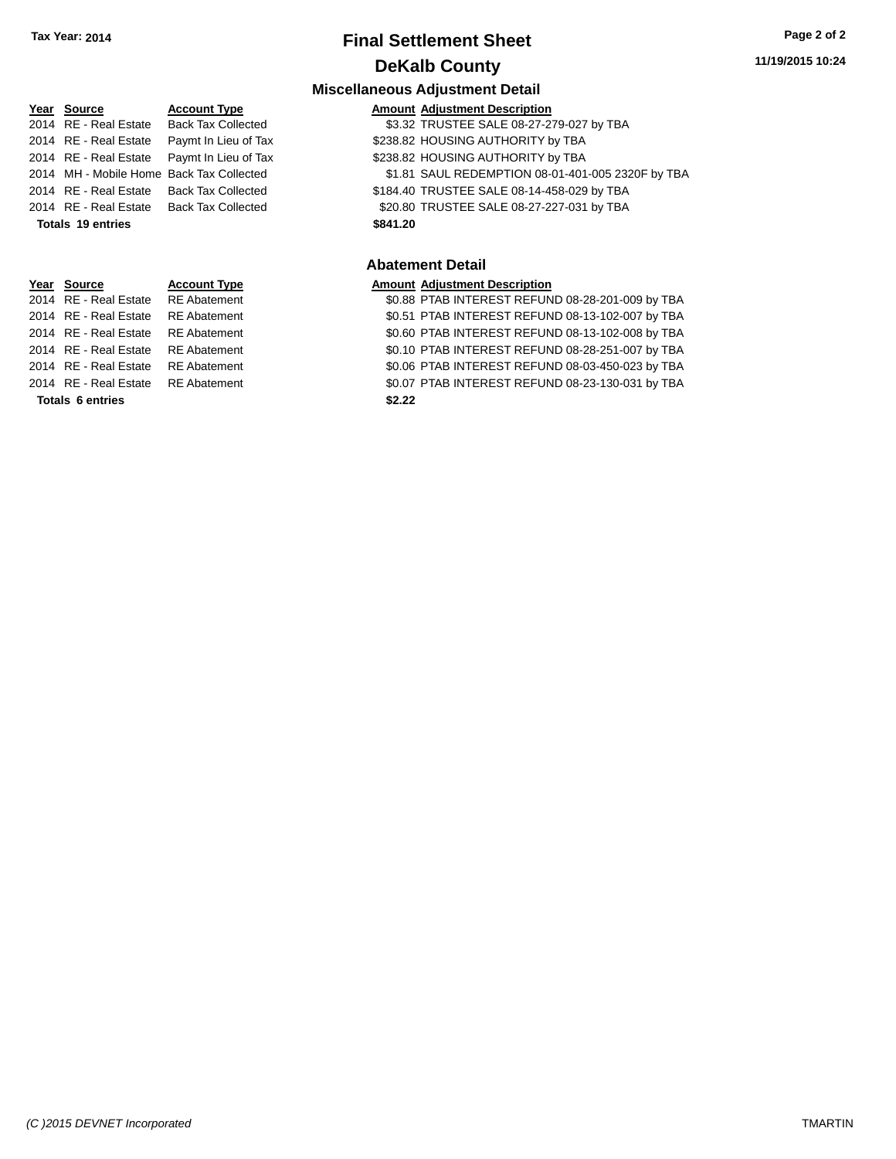Year Source 2014 RE - Real Estate 2014 RE - Real Estate 2014 RE - Real Estate 2014 MH - Mobile Home 2014 RE - Real Estate

## **Final Settlement Sheet Tax Year: 2014 Page 2 of 2 DeKalb County**

#### **Miscellaneous Adjustment Detail**

| ear Source           | <b>Account Type</b>                       |          | <b>Amount Adjustment Description</b>              |
|----------------------|-------------------------------------------|----------|---------------------------------------------------|
| 014 RE - Real Estate | <b>Back Tax Collected</b>                 |          | \$3.32 TRUSTEE SALE 08-27-279-027 by TBA          |
| 014 RE - Real Estate | Paymt In Lieu of Tax                      |          | \$238.82 HOUSING AUTHORITY by TBA                 |
|                      | 014 RE - Real Estate Paymt In Lieu of Tax |          | \$238.82 HOUSING AUTHORITY by TBA                 |
|                      | 014 MH - Mobile Home Back Tax Collected   |          | \$1.81 SAUL REDEMPTION 08-01-401-005 2320F by TBA |
|                      | 014 RE - Real Estate Back Tax Collected   |          | \$184.40 TRUSTEE SALE 08-14-458-029 by TBA        |
|                      | 014 RE - Real Estate Back Tax Collected   |          | \$20.80 TRUSTEE SALE 08-27-227-031 by TBA         |
| Totals 19 entries    |                                           | \$841.20 |                                                   |
|                      |                                           |          |                                                   |

#### **Abatement Detail**

2014 atement 2015 COMB 30.88 PTAB INTEREST REFUND 08-28-201-009 by TBA 2014 RE - Real Estate RE Abatement \$0.51 PTAB INTEREST REFUND 08-13-102-007 by TBA 2014 RE - Real Estate RE Abatement \$0.60 PTAB INTEREST REFUND 08-13-102-008 by TBA 2014 RE - Real Estate RE Abatement \$0.10 PTAB INTEREST REFUND 08-28-251-007 by TBA 2014 RE - Real Estate RE Abatement \$0.06 PTAB INTEREST REFUND 08-03-450-023 by TBA 2014 RE - Real Estate RE Abatement \$0.07 PTAB INTEREST REFUND 08-23-130-031 by TBA **Totals \$2.22 6 entries**

| 2014 RE - Real Estate |                       | <b>Back Tax Collected</b> |          | \$20.80 TRUSTEE SALE 08-27-2         |
|-----------------------|-----------------------|---------------------------|----------|--------------------------------------|
|                       | Totals 19 entries     |                           | \$841.20 |                                      |
|                       |                       |                           |          | <b>Abatement Detail</b>              |
|                       | Year Source           | <b>Account Type</b>       |          | <b>Amount Adjustment Description</b> |
|                       | 2014 RE - Real Estate | <b>RE</b> Abatement       |          | \$0.88 PTAB INTEREST REFUN           |
|                       | 2014 RE - Real Estate | <b>RE</b> Abatement       |          | \$0.51 PTAB INTEREST REFUN           |
|                       | 2014 RE - Real Estate | <b>RE</b> Abatement       |          | \$0.60 PTAB INTEREST REFUN           |
|                       | 2014 RE - Real Estate | <b>RE</b> Abatement       |          | \$0.10 PTAB INTEREST REFUN           |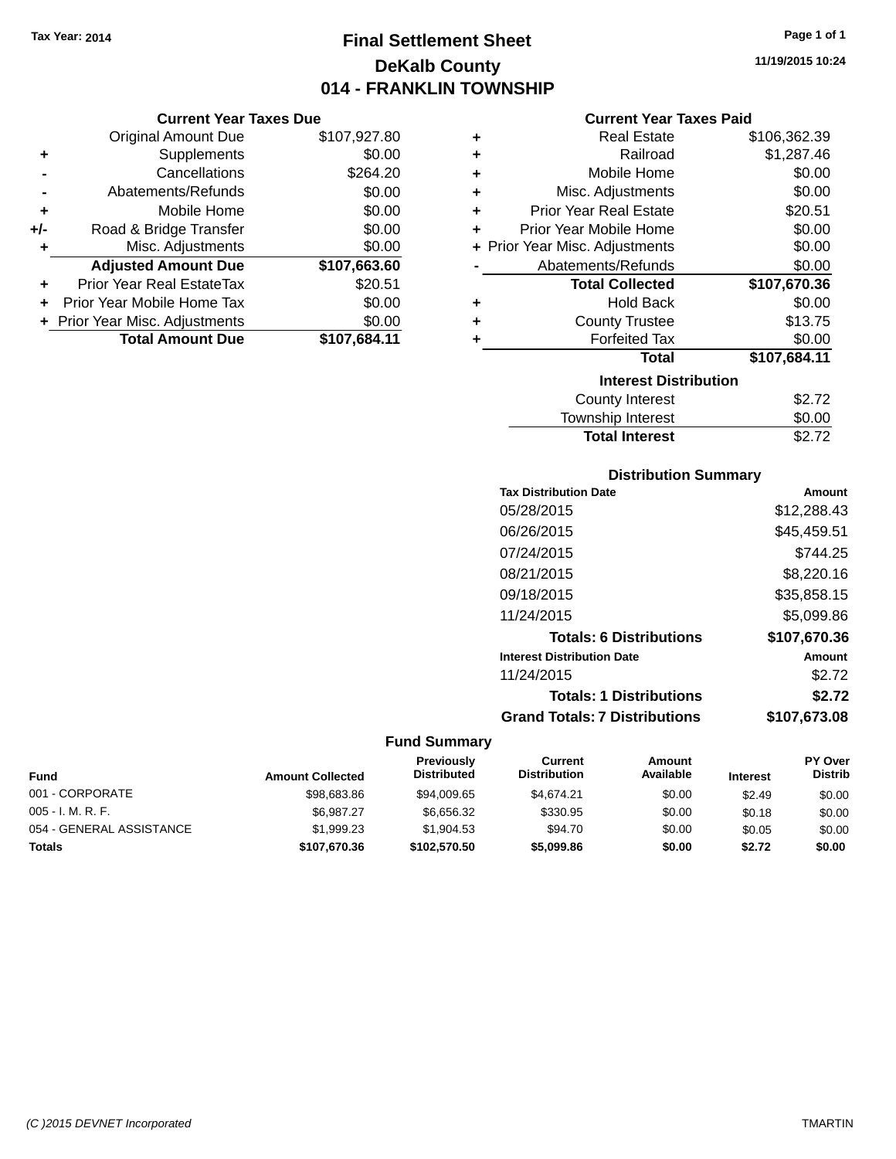**Current Year Taxes Due** Original Amount Due \$107,927.80

**Adjusted Amount Due \$107,663.60**

**Total Amount Due \$107,684.11**

**+** Supplements \$0.00 **-** Cancellations \$264.20 **-** Abatements/Refunds \$0.00 **+** Mobile Home \$0.00 **+/-** Road & Bridge Transfer \$0.00<br> **+** Misc. Adjustments \$0.00

**+** Prior Year Real EstateTax \$20.51 **+** Prior Year Mobile Home Tax \$0.00 **+ Prior Year Misc. Adjustments**  $$0.00$ 

**+** Misc. Adjustments

## **Final Settlement Sheet Tax Year: 2014 Page 1 of 1 DeKalb County 014 - FRANKLIN TOWNSHIP**

**11/19/2015 10:24**

#### **Current Year Taxes Paid**

| ٠ | <b>Real Estate</b>             | \$106,362.39 |
|---|--------------------------------|--------------|
| ٠ | Railroad                       | \$1,287.46   |
| ÷ | Mobile Home                    | \$0.00       |
| ٠ | Misc. Adjustments              | \$0.00       |
| ٠ | <b>Prior Year Real Estate</b>  | \$20.51      |
| ٠ | Prior Year Mobile Home         | \$0.00       |
|   | + Prior Year Misc. Adjustments | \$0.00       |
|   | Abatements/Refunds             | \$0.00       |
|   | <b>Total Collected</b>         | \$107,670.36 |
| ٠ | <b>Hold Back</b>               | \$0.00       |
| ٠ | <b>County Trustee</b>          | \$13.75      |
| ٠ | <b>Forfeited Tax</b>           | \$0.00       |
|   | <b>Total</b>                   | \$107,684.11 |
|   | <b>Interest Distribution</b>   |              |
|   | County Interest                | \$2.72       |
|   | <b>Township Interest</b>       | ደ0 00        |

| <b>Total Interest</b> | \$2.72 |
|-----------------------|--------|
| Township Interest     | \$0.00 |
| County Interest       | \$2.72 |

#### **Distribution Summary**

| <b>Tax Distribution Date</b>         | Amount       |
|--------------------------------------|--------------|
| 05/28/2015                           | \$12,288.43  |
| 06/26/2015                           | \$45,459.51  |
| 07/24/2015                           | \$744.25     |
| 08/21/2015                           | \$8,220.16   |
| 09/18/2015                           | \$35,858.15  |
| 11/24/2015                           | \$5,099.86   |
| <b>Totals: 6 Distributions</b>       | \$107,670.36 |
| <b>Interest Distribution Date</b>    | Amount       |
| 11/24/2015                           | \$2.72       |
| <b>Totals: 1 Distributions</b>       | \$2.72       |
| <b>Grand Totals: 7 Distributions</b> | \$107.673.08 |
|                                      |              |

| <b>Fund</b>              | <b>Amount Collected</b> | <b>Previously</b><br><b>Distributed</b> | Current<br><b>Distribution</b> | Amount<br>Available | <b>Interest</b> | <b>PY Over</b><br><b>Distrib</b> |
|--------------------------|-------------------------|-----------------------------------------|--------------------------------|---------------------|-----------------|----------------------------------|
| 001 - CORPORATE          | \$98,683,86             | \$94,009.65                             | \$4.674.21                     | \$0.00              | \$2.49          | \$0.00                           |
| $005 - I. M. R. F.$      | \$6.987.27              | \$6.656.32                              | \$330.95                       | \$0.00              | \$0.18          | \$0.00                           |
| 054 - GENERAL ASSISTANCE | \$1,999.23              | \$1,904.53                              | \$94.70                        | \$0.00              | \$0.05          | \$0.00                           |
| Totals                   | \$107,670.36            | \$102,570.50                            | \$5,099.86                     | \$0.00              | \$2.72          | \$0.00                           |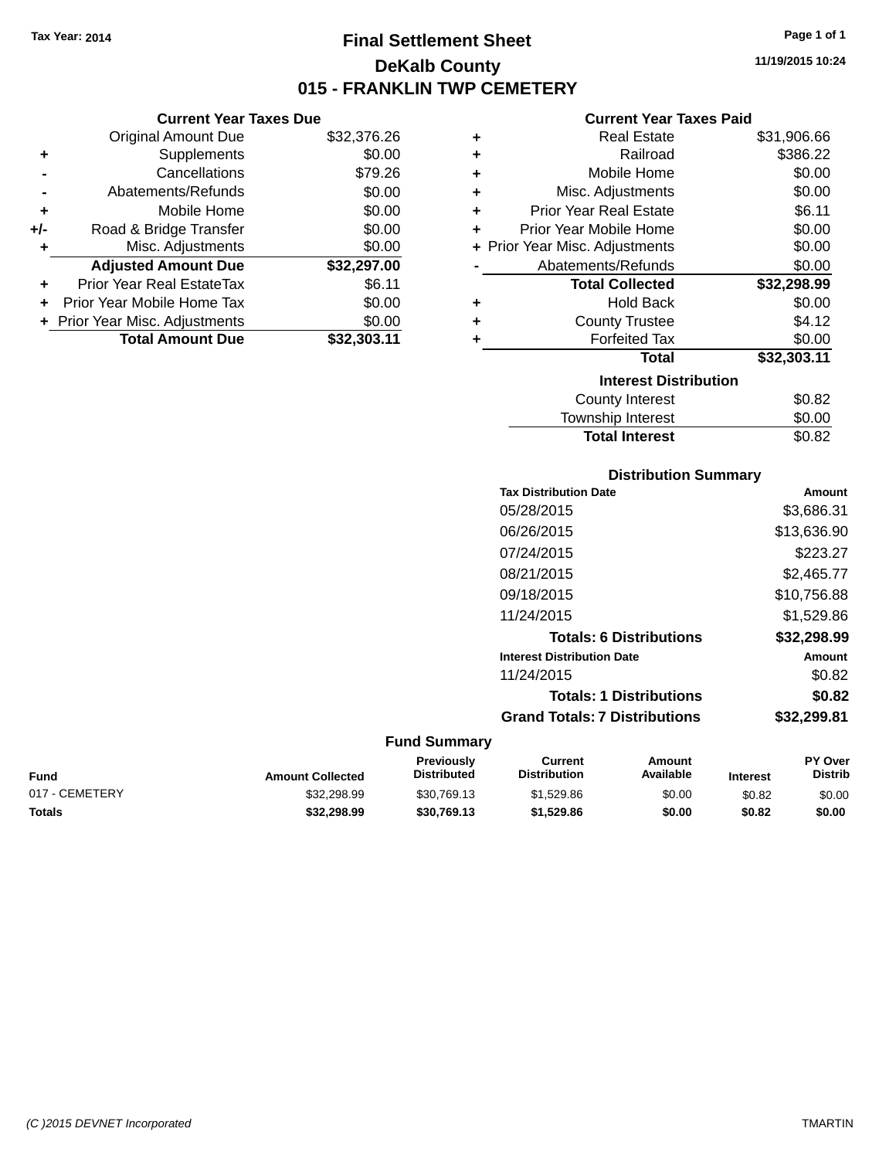## **Final Settlement Sheet Tax Year: 2014 Page 1 of 1 DeKalb County 015 - FRANKLIN TWP CEMETERY**

**11/19/2015 10:24**

#### **Current Year Taxes Paid**

|     | <b>Current Year Taxes Due</b>  |             |         |
|-----|--------------------------------|-------------|---------|
|     | Original Amount Due            | \$32,376.26 |         |
|     | Supplements                    | \$0.00      | ٠       |
|     | Cancellations                  | \$79.26     | ٠       |
|     | Abatements/Refunds             | \$0.00      | ٠       |
|     | Mobile Home                    | \$0.00      |         |
| +/- | Road & Bridge Transfer         | \$0.00      |         |
|     | Misc. Adjustments              | \$0.00      | + Prior |
|     | <b>Adjusted Amount Due</b>     | \$32,297.00 |         |
|     | Prior Year Real EstateTax      | \$6.11      |         |
|     | Prior Year Mobile Home Tax     | \$0.00      |         |
|     | + Prior Year Misc. Adjustments | \$0.00      |         |
|     | <b>Total Amount Due</b>        | \$32,303.11 |         |
|     |                                |             |         |

| ٠ | <b>Real Estate</b>             | \$31,906.66 |
|---|--------------------------------|-------------|
| ٠ | Railroad                       | \$386.22    |
| ٠ | Mobile Home                    | \$0.00      |
| ٠ | Misc. Adjustments              | \$0.00      |
| ٠ | <b>Prior Year Real Estate</b>  | \$6.11      |
| ٠ | Prior Year Mobile Home         | \$0.00      |
|   | + Prior Year Misc. Adjustments | \$0.00      |
|   | Abatements/Refunds             | \$0.00      |
|   | <b>Total Collected</b>         | \$32,298.99 |
| ٠ | <b>Hold Back</b>               | \$0.00      |
| ÷ | <b>County Trustee</b>          | \$4.12      |
| ٠ | <b>Forfeited Tax</b>           | \$0.00      |
|   | Total                          | \$32,303.11 |
|   | <b>Interest Distribution</b>   |             |
|   | <b>County Interest</b>         | \$0.82      |
|   | Township Interest              | \$0.00      |
|   | <b>Total Interest</b>          | \$0.82      |

#### **Distribution Summary**

| <b>Tax Distribution Date</b>         | Amount      |
|--------------------------------------|-------------|
| 05/28/2015                           | \$3,686.31  |
| 06/26/2015                           | \$13,636.90 |
| 07/24/2015                           | \$223.27    |
| 08/21/2015                           | \$2,465.77  |
| 09/18/2015                           | \$10,756.88 |
| 11/24/2015                           | \$1,529.86  |
| <b>Totals: 6 Distributions</b>       | \$32,298.99 |
| <b>Interest Distribution Date</b>    | Amount      |
| 11/24/2015                           | \$0.82      |
| <b>Totals: 1 Distributions</b>       | \$0.82      |
| <b>Grand Totals: 7 Distributions</b> | \$32,299.81 |
|                                      |             |

| Fund           | <b>Amount Collected</b> | Previously<br><b>Distributed</b> | Current<br><b>Distribution</b> | Amount<br>Available | <b>Interest</b> | <b>PY Over</b><br><b>Distrib</b> |
|----------------|-------------------------|----------------------------------|--------------------------------|---------------------|-----------------|----------------------------------|
| 017 - CEMETERY | \$32,298.99             | \$30,769.13                      | \$1,529.86                     | \$0.00              | \$0.82          | \$0.00                           |
| Totals         | \$32,298.99             | \$30,769,13                      | \$1,529.86                     | \$0.00              | \$0.82          | \$0.00                           |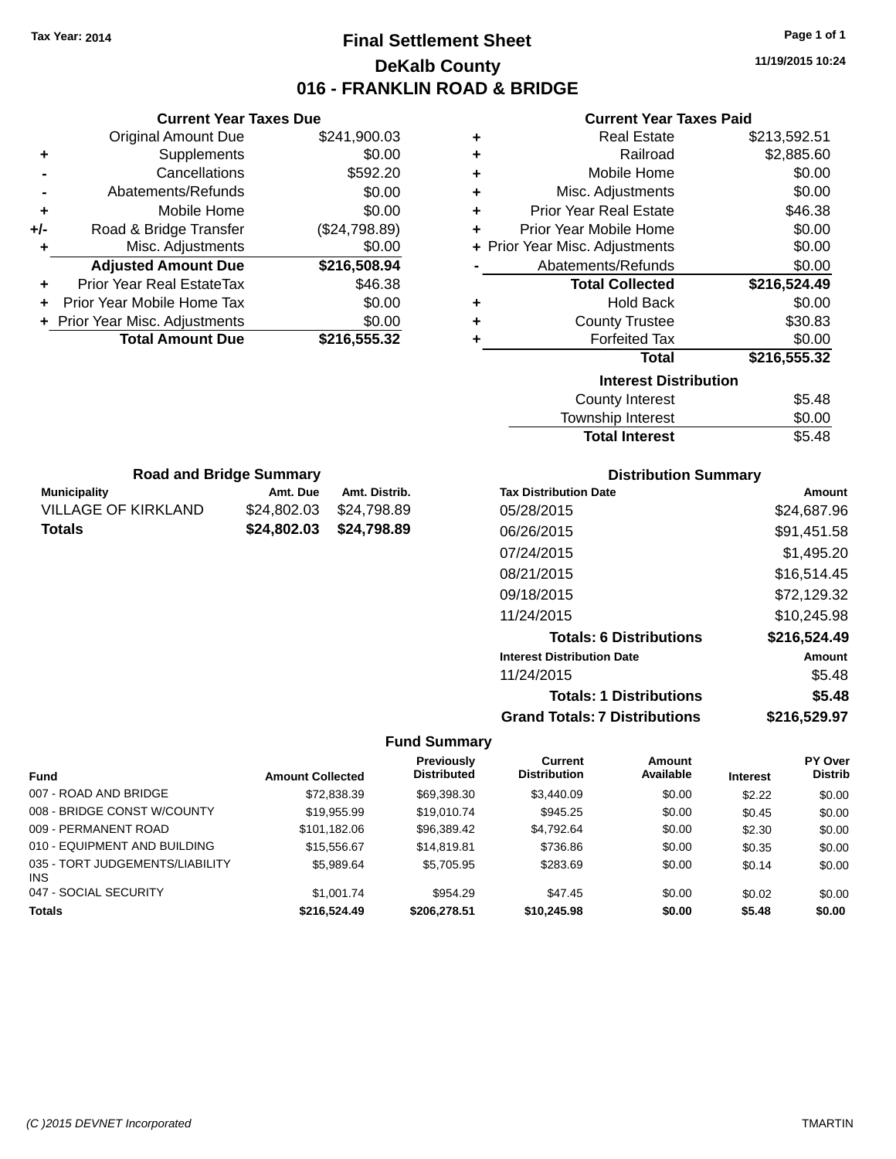**Current Year Taxes Due** Original Amount Due \$241,900.03

**Adjusted Amount Due \$216,508.94**

**Total Amount Due \$216,555.32**

**+** Supplements \$0.00 **-** Cancellations \$592.20 **-** Abatements/Refunds \$0.00 **+** Mobile Home \$0.00 **+/-** Road & Bridge Transfer (\$24,798.89) **+** Misc. Adjustments \$0.00

**+** Prior Year Real EstateTax \$46.38 **+** Prior Year Mobile Home Tax \$0.00 **+ Prior Year Misc. Adjustments**  $$0.00$ 

**Municipality Municipality** Amt. Due Amt. Distrib. **Road and Bridge Summary**

VILLAGE OF KIRKLAND \$24,802.03 \$24,798.89 **Totals \$24,802.03 \$24,798.89**

## **Final Settlement Sheet Tax Year: 2014 Page 1 of 1 DeKalb County 016 - FRANKLIN ROAD & BRIDGE**

**11/19/2015 10:24**

#### **Current Year Taxes Paid**

| ٠             | <b>Real Estate</b>             | \$213,592.51 |
|---------------|--------------------------------|--------------|
| Railroad<br>٠ |                                | \$2,885.60   |
| ٠             | Mobile Home                    | \$0.00       |
| ٠             | Misc. Adjustments              | \$0.00       |
| ٠             | <b>Prior Year Real Estate</b>  | \$46.38      |
| ÷             | Prior Year Mobile Home         | \$0.00       |
|               | + Prior Year Misc. Adjustments | \$0.00       |
|               | Abatements/Refunds             | \$0.00       |
|               | <b>Total Collected</b>         | \$216,524.49 |
| ٠             | <b>Hold Back</b>               | \$0.00       |
| ٠             | <b>County Trustee</b>          | \$30.83      |
| ٠             | <b>Forfeited Tax</b>           | \$0.00       |
|               | Total                          | \$216,555.32 |
|               | <b>Interest Distribution</b>   |              |
|               | <b>County Interest</b>         | \$5.48       |
|               | Townehin Interact              | ቁስ ስስ        |

| County Interest       | \$5.48 |
|-----------------------|--------|
| Township Interest     | \$0.00 |
| <b>Total Interest</b> | \$5.48 |

| <b>Distribution Summary</b> |
|-----------------------------|
|-----------------------------|

| <b>Tax Distribution Date</b>         | Amount       |
|--------------------------------------|--------------|
| 05/28/2015                           | \$24,687.96  |
| 06/26/2015                           | \$91,451.58  |
| 07/24/2015                           | \$1,495.20   |
| 08/21/2015                           | \$16,514.45  |
| 09/18/2015                           | \$72,129.32  |
| 11/24/2015                           | \$10,245.98  |
| <b>Totals: 6 Distributions</b>       | \$216,524.49 |
| <b>Interest Distribution Date</b>    | Amount       |
| 11/24/2015                           | \$5.48       |
| <b>Totals: 1 Distributions</b>       | \$5.48       |
| <b>Grand Totals: 7 Distributions</b> | \$216,529.97 |

|                                         |                         | <b>Previously</b>  | Current             | Amount    |                 | PY Over        |
|-----------------------------------------|-------------------------|--------------------|---------------------|-----------|-----------------|----------------|
| <b>Fund</b>                             | <b>Amount Collected</b> | <b>Distributed</b> | <b>Distribution</b> | Available | <b>Interest</b> | <b>Distrib</b> |
| 007 - ROAD AND BRIDGE                   | \$72.838.39             | \$69,398.30        | \$3,440.09          | \$0.00    | \$2.22          | \$0.00         |
| 008 - BRIDGE CONST W/COUNTY             | \$19,955.99             | \$19,010.74        | \$945.25            | \$0.00    | \$0.45          | \$0.00         |
| 009 - PERMANENT ROAD                    | \$101.182.06            | \$96.389.42        | \$4.792.64          | \$0.00    | \$2.30          | \$0.00         |
| 010 - EQUIPMENT AND BUILDING            | \$15,556.67             | \$14,819.81        | \$736.86            | \$0.00    | \$0.35          | \$0.00         |
| 035 - TORT JUDGEMENTS/LIABILITY<br>INS. | \$5,989.64              | \$5.705.95         | \$283.69            | \$0.00    | \$0.14          | \$0.00         |
| 047 - SOCIAL SECURITY                   | \$1,001.74              | \$954.29           | \$47.45             | \$0.00    | \$0.02          | \$0.00         |
| <b>Totals</b>                           | \$216,524.49            | \$206,278.51       | \$10.245.98         | \$0.00    | \$5.48          | \$0.00         |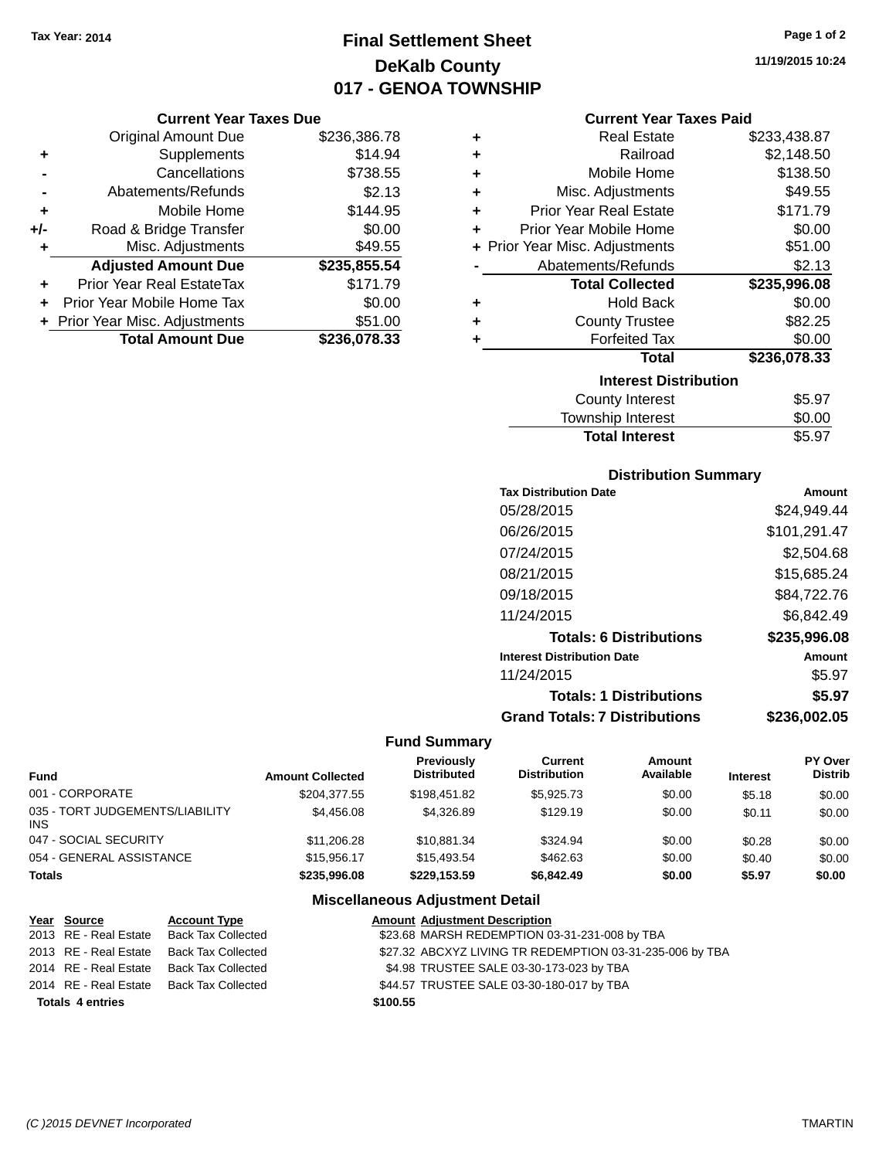## **Final Settlement Sheet Tax Year: 2014 Page 1 of 2 DeKalb County 017 - GENOA TOWNSHIP**

**11/19/2015 10:24**

| <b>Current Year Taxes Due</b> |  |  |  |
|-------------------------------|--|--|--|
|-------------------------------|--|--|--|

|     | <b>Original Amount Due</b>       | \$236,386.78 |
|-----|----------------------------------|--------------|
| ٠   | Supplements                      | \$14.94      |
|     | Cancellations                    | \$738.55     |
|     | Abatements/Refunds               | \$2.13       |
| ٠   | Mobile Home                      | \$144.95     |
| +/- | Road & Bridge Transfer           | \$0.00       |
| ٠   | Misc. Adjustments                | \$49.55      |
|     | <b>Adjusted Amount Due</b>       | \$235,855.54 |
|     | <b>Prior Year Real EstateTax</b> | \$171.79     |
|     | Prior Year Mobile Home Tax       | \$0.00       |
|     | + Prior Year Misc. Adjustments   | \$51.00      |
|     | <b>Total Amount Due</b>          | \$236,078.33 |

| <b>Current Year Taxes Paid</b> |  |  |  |
|--------------------------------|--|--|--|
|--------------------------------|--|--|--|

| ٠ | <b>Real Estate</b>             | \$233,438.87 |
|---|--------------------------------|--------------|
| ÷ | Railroad                       | \$2,148.50   |
| ÷ | Mobile Home                    | \$138.50     |
| ٠ | Misc. Adjustments              | \$49.55      |
| ÷ | <b>Prior Year Real Estate</b>  | \$171.79     |
| ÷ | Prior Year Mobile Home         | \$0.00       |
|   | + Prior Year Misc. Adjustments | \$51.00      |
|   | Abatements/Refunds             | \$2.13       |
|   |                                |              |
|   | <b>Total Collected</b>         | \$235,996.08 |
| ٠ | <b>Hold Back</b>               | \$0.00       |
| ÷ | <b>County Trustee</b>          | \$82.25      |
|   | <b>Forfeited Tax</b>           | \$0.00       |
|   | Total                          | \$236,078.33 |
|   | <b>Interest Distribution</b>   |              |
|   | <b>County Interest</b>         | \$5.97       |

#### **Distribution Summary**

Total Interest \$5.97

| <b>Tax Distribution Date</b>         | Amount       |
|--------------------------------------|--------------|
| 05/28/2015                           | \$24,949.44  |
| 06/26/2015                           | \$101,291.47 |
| 07/24/2015                           | \$2,504.68   |
| 08/21/2015                           | \$15,685.24  |
| 09/18/2015                           | \$84,722.76  |
| 11/24/2015                           | \$6,842.49   |
| <b>Totals: 6 Distributions</b>       | \$235,996.08 |
| <b>Interest Distribution Date</b>    | Amount       |
| 11/24/2015                           | \$5.97       |
| <b>Totals: 1 Distributions</b>       | \$5.97       |
| <b>Grand Totals: 7 Distributions</b> | \$236.002.05 |

## **Fund Summary**

| <b>Fund</b>                             | <b>Amount Collected</b> | <b>Previously</b><br><b>Distributed</b> | Current<br><b>Distribution</b> | Amount<br>Available | <b>Interest</b> | <b>PY Over</b><br><b>Distrib</b> |
|-----------------------------------------|-------------------------|-----------------------------------------|--------------------------------|---------------------|-----------------|----------------------------------|
| 001 - CORPORATE                         | \$204.377.55            | \$198.451.82                            | \$5.925.73                     | \$0.00              | \$5.18          | \$0.00                           |
| 035 - TORT JUDGEMENTS/LIABILITY<br>INS. | \$4.456.08              | \$4.326.89                              | \$129.19                       | \$0.00              | \$0.11          | \$0.00                           |
| 047 - SOCIAL SECURITY                   | \$11,206.28             | \$10.881.34                             | \$324.94                       | \$0.00              | \$0.28          | \$0.00                           |
| 054 - GENERAL ASSISTANCE                | \$15.956.17             | \$15,493.54                             | \$462.63                       | \$0.00              | \$0.40          | \$0.00                           |
| <b>Totals</b>                           | \$235,996.08            | \$229.153.59                            | \$6,842.49                     | \$0.00              | \$5.97          | \$0.00                           |

| Year Source             | <b>Account Type</b>                      | <b>Amount Adjustment Description</b>                     |
|-------------------------|------------------------------------------|----------------------------------------------------------|
|                         | 2013 RE - Real Estate Back Tax Collected | \$23.68 MARSH REDEMPTION 03-31-231-008 by TBA            |
|                         | 2013 RE - Real Estate Back Tax Collected | \$27.32 ABCXYZ LIVING TR REDEMPTION 03-31-235-006 by TBA |
|                         | 2014 RE - Real Estate Back Tax Collected | \$4.98 TRUSTEE SALE 03-30-173-023 by TBA                 |
|                         | 2014 RE - Real Estate Back Tax Collected | \$44.57 TRUSTEE SALE 03-30-180-017 by TBA                |
| <b>Totals 4 entries</b> |                                          | \$100.55                                                 |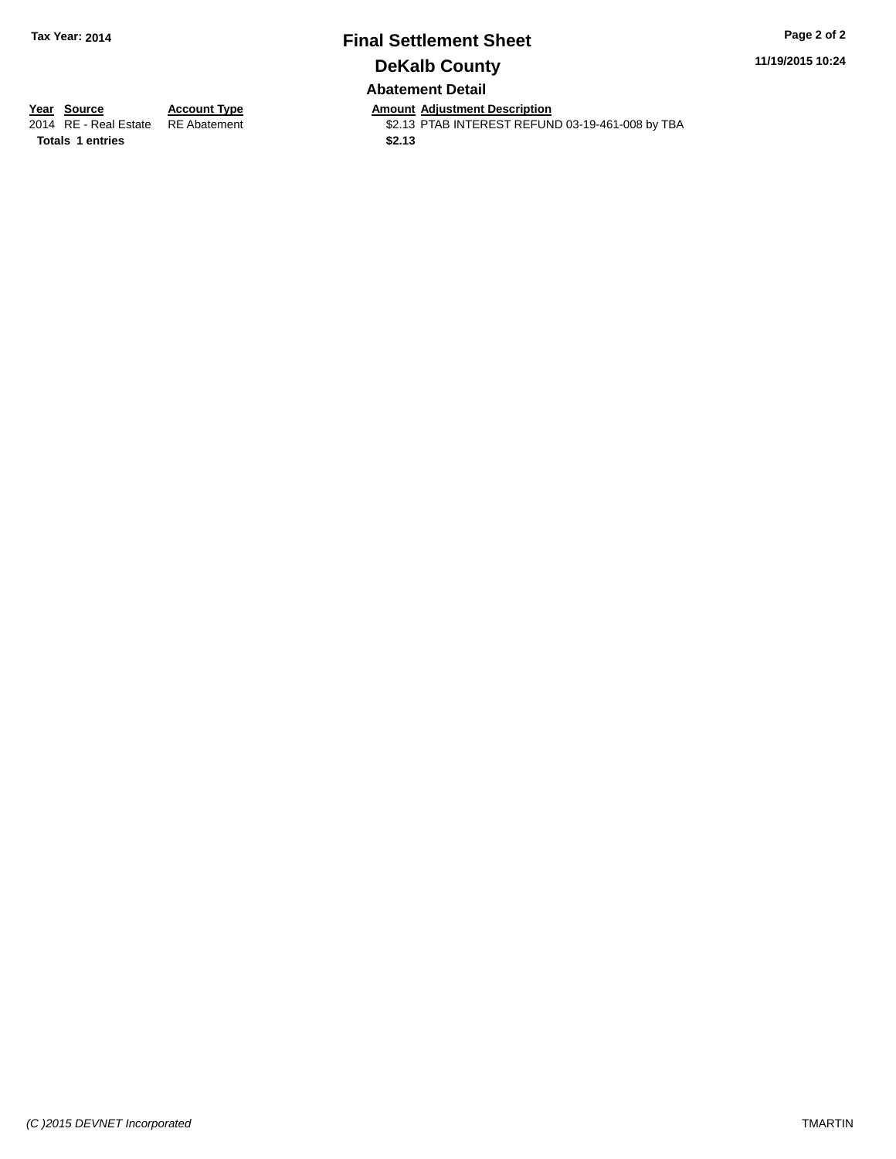## **Final Settlement Sheet Tax Year: 2014 Page 2 of 2 DeKalb County Abatement Detail**

**11/19/2015 10:24**

**Totals \$2.13 1 entries**

**Year Source Account Type And Amount Adjustment Description**<br>2014 RE - Real Estate RE Abatement **Account 1991 AMOUNTEREST REFUN** \$2.13 PTAB INTEREST REFUND 03-19-461-008 by TBA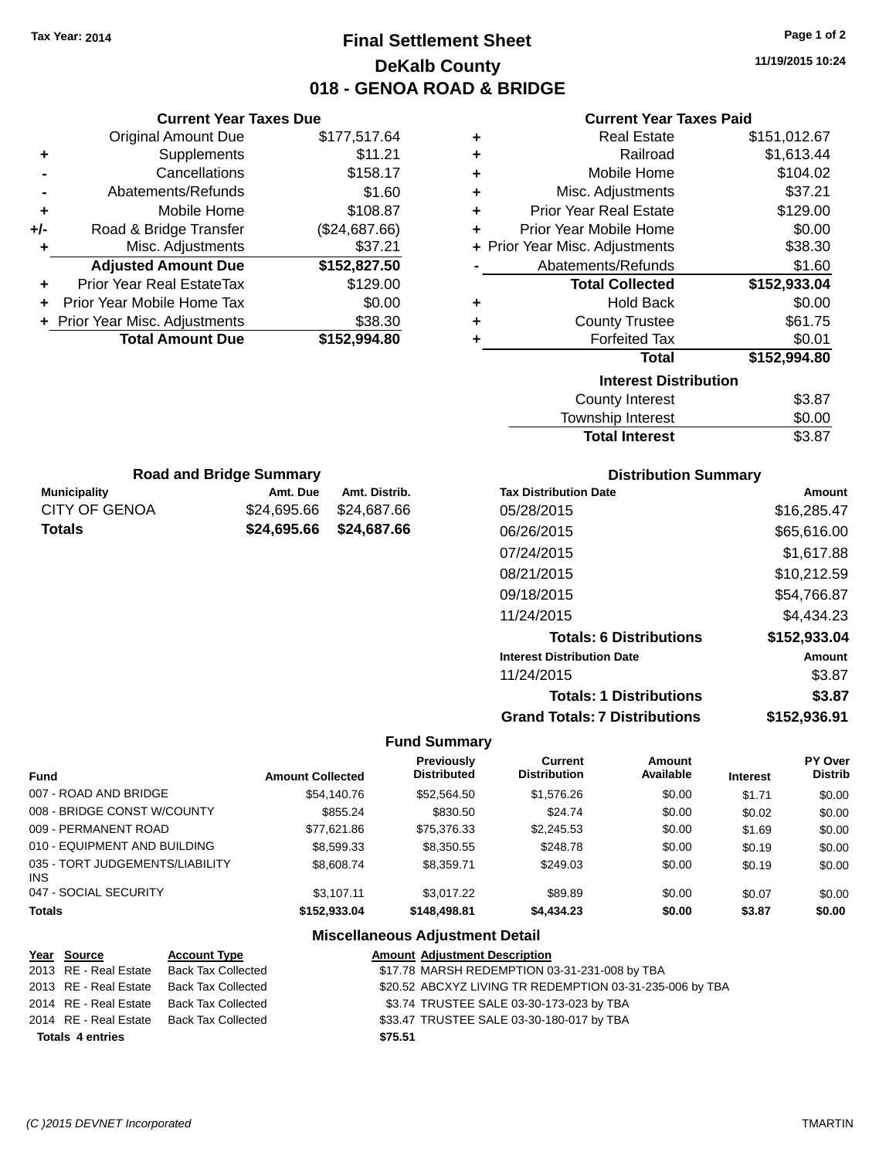## **Final Settlement Sheet Tax Year: 2014 Page 1 of 2 DeKalb County 018 - GENOA ROAD & BRIDGE**

**11/19/2015 10:24**

|     | <b>Current Year Taxes Due</b>  |               |   |
|-----|--------------------------------|---------------|---|
|     | <b>Original Amount Due</b>     | \$177,517.64  | ٠ |
|     | Supplements                    | \$11.21       |   |
|     | Cancellations                  | \$158.17      | ٠ |
|     | Abatements/Refunds             | \$1.60        | ٠ |
| ٠   | Mobile Home                    | \$108.87      | ٠ |
| +/- | Road & Bridge Transfer         | (\$24,687.66) |   |
|     | Misc. Adjustments              | \$37.21       |   |
|     | <b>Adjusted Amount Due</b>     | \$152,827.50  |   |
| ÷   | Prior Year Real EstateTax      | \$129.00      |   |
|     | Prior Year Mobile Home Tax     | \$0.00        | ٠ |
|     | + Prior Year Misc. Adjustments | \$38.30       |   |
|     | <b>Total Amount Due</b>        | \$152,994.80  |   |
|     |                                |               |   |
|     |                                |               |   |

**Municipality Municipality** Amt. Due Amt. Distrib. **Road and Bridge Summary**

CITY OF GENOA \$24,695.66 \$24,687.66 **Totals \$24,695.66 \$24,687.66**

| ٠ | <b>Real Estate</b>             | \$151,012.67 |
|---|--------------------------------|--------------|
| ٠ | Railroad                       | \$1,613.44   |
| ÷ | Mobile Home                    | \$104.02     |
| ÷ | Misc. Adjustments              | \$37.21      |
| ÷ | Prior Year Real Estate         | \$129.00     |
| ٠ | Prior Year Mobile Home         | \$0.00       |
|   | + Prior Year Misc. Adjustments | \$38.30      |
|   | Abatements/Refunds             | \$1.60       |
|   | <b>Total Collected</b>         | \$152,933.04 |
| ٠ | <b>Hold Back</b>               | \$0.00       |
| ٠ | <b>County Trustee</b>          | \$61.75      |
| ٠ | <b>Forfeited Tax</b>           | \$0.01       |
|   | Total                          | \$152,994.80 |
|   | <b>Interest Distribution</b>   |              |
|   | County Interest                | \$3.87       |
|   | <b>Township Interest</b>       | \$0.00       |
|   | <b>Total Interest</b>          | \$3.87       |

| UWIIJIIIU IIIIGIGJI   |     |
|-----------------------|-----|
| <b>Total Interest</b> | \$. |
|                       |     |

| <b>Distribution Summary</b>          |              |  |  |  |
|--------------------------------------|--------------|--|--|--|
| <b>Tax Distribution Date</b>         | Amount       |  |  |  |
| 05/28/2015                           | \$16,285.47  |  |  |  |
| 06/26/2015                           | \$65,616.00  |  |  |  |
| 07/24/2015                           | \$1,617.88   |  |  |  |
| 08/21/2015                           | \$10,212.59  |  |  |  |
| 09/18/2015                           | \$54,766.87  |  |  |  |
| 11/24/2015                           | \$4.434.23   |  |  |  |
| <b>Totals: 6 Distributions</b>       | \$152,933.04 |  |  |  |
| <b>Interest Distribution Date</b>    | Amount       |  |  |  |
| 11/24/2015                           | \$3.87       |  |  |  |
| <b>Totals: 1 Distributions</b>       | \$3.87       |  |  |  |
| <b>Grand Totals: 7 Distributions</b> | \$152.936.91 |  |  |  |

#### **Fund Summary**

| Fund                                    | <b>Amount Collected</b> | <b>Previously</b><br><b>Distributed</b> | Current<br><b>Distribution</b> | Amount<br>Available | <b>Interest</b> | PY Over<br>Distrib |
|-----------------------------------------|-------------------------|-----------------------------------------|--------------------------------|---------------------|-----------------|--------------------|
| 007 - ROAD AND BRIDGE                   | \$54,140.76             | \$52.564.50                             | \$1,576.26                     | \$0.00              | \$1.71          | \$0.00             |
| 008 - BRIDGE CONST W/COUNTY             | \$855.24                | \$830.50                                | \$24.74                        | \$0.00              | \$0.02          | \$0.00             |
| 009 - PERMANENT ROAD                    | \$77.621.86             | \$75,376,33                             | \$2,245.53                     | \$0.00              | \$1.69          | \$0.00             |
| 010 - EQUIPMENT AND BUILDING            | \$8,599.33              | \$8,350.55                              | \$248.78                       | \$0.00              | \$0.19          | \$0.00             |
| 035 - TORT JUDGEMENTS/LIABILITY<br>INS. | \$8,608.74              | \$8.359.71                              | \$249.03                       | \$0.00              | \$0.19          | \$0.00             |
| 047 - SOCIAL SECURITY                   | \$3,107.11              | \$3.017.22                              | \$89.89                        | \$0.00              | \$0.07          | \$0.00             |
| <b>Totals</b>                           | \$152,933,04            | \$148,498.81                            | \$4,434,23                     | \$0.00              | \$3.87          | \$0.00             |

| Year Source             | <b>Account Type</b>       | <b>Amount Adjustment Description</b>                     |  |
|-------------------------|---------------------------|----------------------------------------------------------|--|
| 2013 RE - Real Estate   | <b>Back Tax Collected</b> | \$17.78 MARSH REDEMPTION 03-31-231-008 by TBA            |  |
| 2013 RE - Real Estate   | Back Tax Collected        | \$20.52 ABCXYZ LIVING TR REDEMPTION 03-31-235-006 by TBA |  |
| 2014 RE - Real Estate   | Back Tax Collected        | \$3.74 TRUSTEE SALE 03-30-173-023 by TBA                 |  |
| 2014 RE - Real Estate   | Back Tax Collected        | \$33.47 TRUSTEE SALE 03-30-180-017 by TBA                |  |
| <b>Totals 4 entries</b> |                           | \$75.51                                                  |  |
|                         |                           |                                                          |  |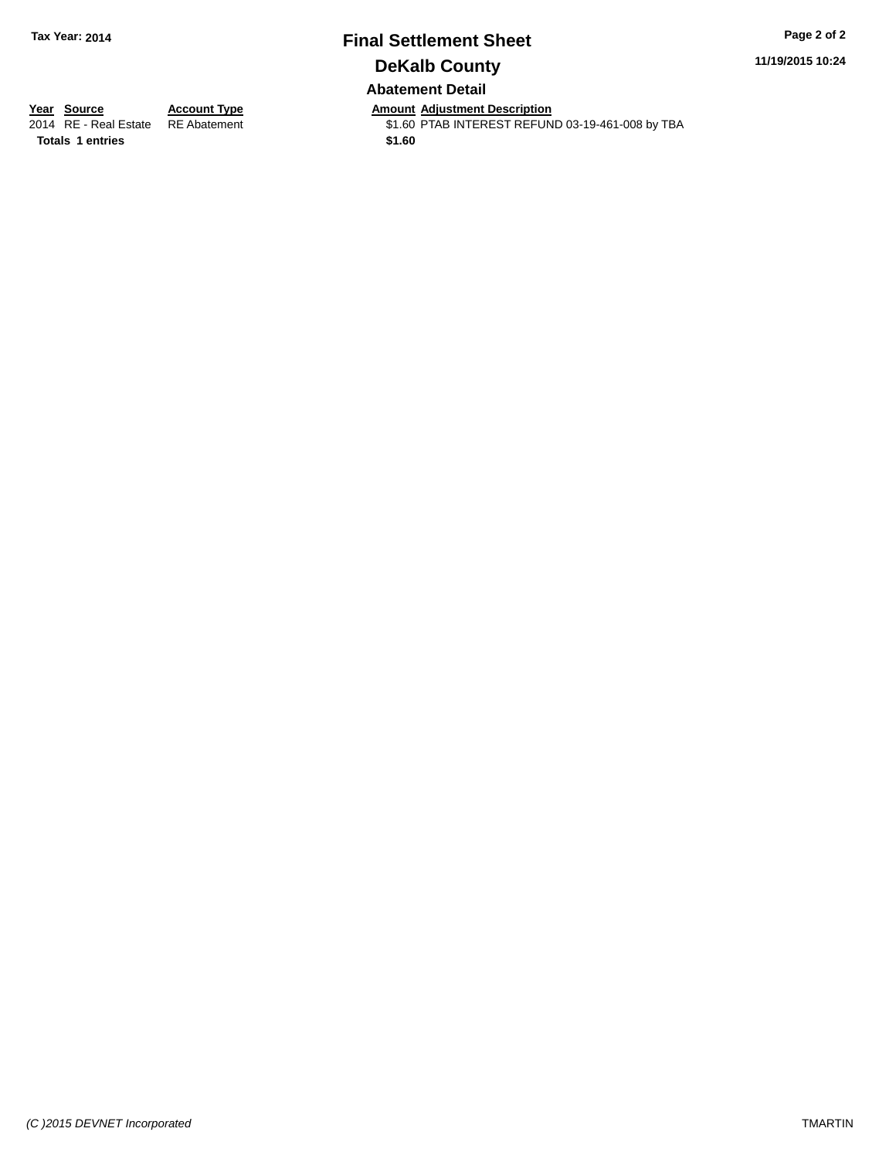## **Final Settlement Sheet Tax Year: 2014 Page 2 of 2 DeKalb County Abatement Detail**

**11/19/2015 10:24**

**Totals 1 entries** \$1.60

**Year Source Account Type Anneurs Amount Adjustment Description**<br>2014 RE - Real Estate RE Abatement **Alternative St.60 PTAB INTEREST REFUN** \$1.60 PTAB INTEREST REFUND 03-19-461-008 by TBA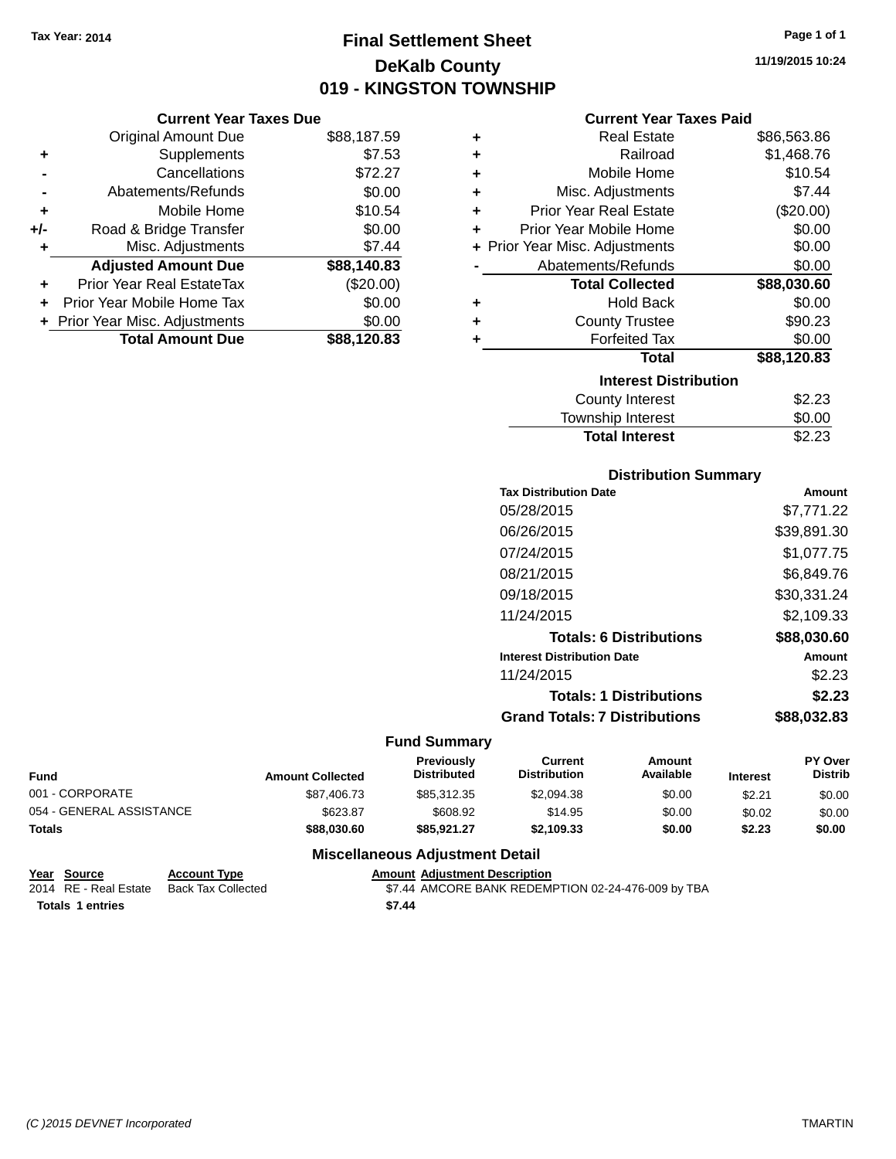**Current Year Taxes Due** Original Amount Due \$88,187.59

**Adjusted Amount Due \$88,140.83**

**+** Supplements \$7.53 **-** Cancellations \$72.27 **-** Abatements/Refunds \$0.00 **+** Mobile Home \$10.54 **+/-** Road & Bridge Transfer \$0.00 **+** Misc. Adjustments \$7.44

**+** Prior Year Real EstateTax (\$20.00) **+** Prior Year Mobile Home Tax \$0.00 **+** Prior Year Misc. Adjustments \$0.00<br> **1926, Total Amount Due** \$88,120.83

**Total Amount Due** 

## **Final Settlement Sheet Tax Year: 2014 Page 1 of 1 DeKalb County 019 - KINGSTON TOWNSHIP**

**11/19/2015 10:24**

#### **Current Year Taxes Paid**

| ٠ | <b>Real Estate</b>             | \$86,563.86 |
|---|--------------------------------|-------------|
| ٠ | Railroad                       | \$1,468.76  |
| ٠ | Mobile Home                    | \$10.54     |
| ٠ | Misc. Adjustments              | \$7.44      |
| ÷ | <b>Prior Year Real Estate</b>  | (\$20.00)   |
| ٠ | Prior Year Mobile Home         | \$0.00      |
|   | + Prior Year Misc. Adjustments | \$0.00      |
|   | Abatements/Refunds             | \$0.00      |
|   | <b>Total Collected</b>         | \$88,030.60 |
| ٠ | <b>Hold Back</b>               | \$0.00      |
| ٠ | <b>County Trustee</b>          | \$90.23     |
| ٠ | <b>Forfeited Tax</b>           | \$0.00      |
|   | Total                          | \$88,120.83 |
|   | <b>Interest Distribution</b>   |             |
|   | <b>County Interest</b>         | \$2.23      |
|   | <b>Township Interest</b>       | \$0.00      |
|   | <b>Total Interest</b>          | \$2.23      |

| <b>Distribution Summary</b> |  |
|-----------------------------|--|
|                             |  |

| <b>Tax Distribution Date</b>         | Amount      |
|--------------------------------------|-------------|
| 05/28/2015                           | \$7.771.22  |
| 06/26/2015                           | \$39,891.30 |
| 07/24/2015                           | \$1,077.75  |
| 08/21/2015                           | \$6,849.76  |
| 09/18/2015                           | \$30,331.24 |
| 11/24/2015                           | \$2,109.33  |
| <b>Totals: 6 Distributions</b>       | \$88,030,60 |
| <b>Interest Distribution Date</b>    | Amount      |
| 11/24/2015                           | \$2.23      |
| <b>Totals: 1 Distributions</b>       | \$2.23      |
| <b>Grand Totals: 7 Distributions</b> | \$88.032.83 |
|                                      |             |

#### **Fund Summary**

| <b>Fund</b>              | <b>Amount Collected</b> | <b>Previously</b><br><b>Distributed</b> | Current<br><b>Distribution</b> | Amount<br>Available | <b>Interest</b> | <b>PY Over</b><br><b>Distrib</b> |
|--------------------------|-------------------------|-----------------------------------------|--------------------------------|---------------------|-----------------|----------------------------------|
| 001 - CORPORATE          | \$87,406.73             | \$85,312,35                             | \$2.094.38                     | \$0.00              | \$2.21          | \$0.00                           |
| 054 - GENERAL ASSISTANCE | \$623.87                | \$608.92                                | \$14.95                        | \$0.00              | \$0.02          | \$0.00                           |
| <b>Totals</b>            | \$88,030,60             | \$85.921.27                             | \$2.109.33                     | \$0.00              | \$2.23          | \$0.00                           |

|                         | Year Source           | <b>Account Type</b> | <b>Amount Adiustment Description</b>               |
|-------------------------|-----------------------|---------------------|----------------------------------------------------|
|                         | 2014 RE - Real Estate | Back Tax Collected  | \$7.44 AMCORE BANK REDEMPTION 02-24-476-009 by TBA |
| <b>Totals 1 entries</b> |                       |                     | \$7.44                                             |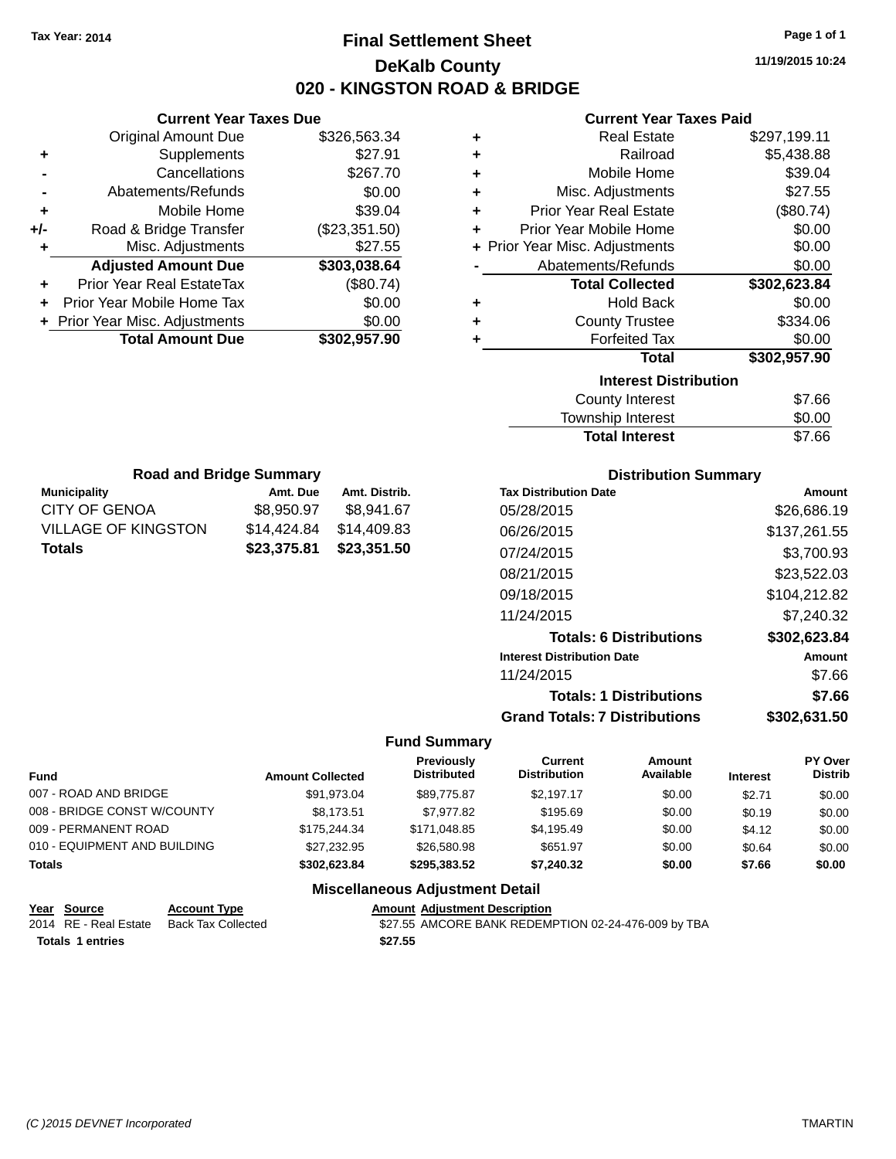## **Final Settlement Sheet Tax Year: 2014 Page 1 of 1 DeKalb County 020 - KINGSTON ROAD & BRIDGE**

**11/19/2015 10:24**

#### **Current Year Taxes Paid**

| ٠ | <b>Real Estate</b>             | \$297,199.11 |
|---|--------------------------------|--------------|
| ÷ | Railroad                       | \$5,438.88   |
| ٠ | Mobile Home                    | \$39.04      |
| ٠ | Misc. Adjustments              | \$27.55      |
| ÷ | <b>Prior Year Real Estate</b>  | (\$80.74)    |
| ٠ | Prior Year Mobile Home         | \$0.00       |
|   | + Prior Year Misc. Adjustments | \$0.00       |
|   | Abatements/Refunds             | \$0.00       |
|   | <b>Total Collected</b>         | \$302,623.84 |
| ٠ | <b>Hold Back</b>               | \$0.00       |
| ٠ | <b>County Trustee</b>          | \$334.06     |
| ٠ | <b>Forfeited Tax</b>           | \$0.00       |
|   | <b>Total</b>                   | \$302,957.90 |
|   | <b>Interest Distribution</b>   |              |
|   | <b>County Interest</b>         | \$7.66       |
|   | Townehin Interest              | ፍስ ሰስ        |

| <b>Total Interest</b>  | \$7.66 |
|------------------------|--------|
| Township Interest      | \$0.00 |
| <b>County Interest</b> | \$7.66 |

| <b>Road and Bridge Summary</b> |             |               |  |  |
|--------------------------------|-------------|---------------|--|--|
| <b>Municipality</b>            | Amt. Due    | Amt. Distrib. |  |  |
| CITY OF GENOA                  | \$8,950.97  | \$8,941.67    |  |  |
| <b>VILLAGE OF KINGSTON</b>     | \$14,424.84 | \$14,409.83   |  |  |
| <b>Totals</b>                  | \$23,375.81 | \$23,351.50   |  |  |

**Current Year Taxes Due** Original Amount Due \$326,563.34

**Adjusted Amount Due \$303,038.64**

**Total Amount Due \$302,957.90**

**+** Supplements \$27.91 **-** Cancellations \$267.70 **-** Abatements/Refunds \$0.00 **+** Mobile Home \$39.04 **+/-** Road & Bridge Transfer (\$23,351.50) **+** Misc. Adjustments \$27.55

**+** Prior Year Real EstateTax (\$80.74) **+** Prior Year Mobile Home Tax \$0.00 **+ Prior Year Misc. Adjustments**  $$0.00$ 

#### **Distribution Summary**

| <b>Tax Distribution Date</b>         | Amount       |
|--------------------------------------|--------------|
| 05/28/2015                           | \$26,686.19  |
| 06/26/2015                           | \$137,261.55 |
| 07/24/2015                           | \$3,700.93   |
| 08/21/2015                           | \$23,522.03  |
| 09/18/2015                           | \$104,212.82 |
| 11/24/2015                           | \$7.240.32   |
| <b>Totals: 6 Distributions</b>       | \$302,623.84 |
| <b>Interest Distribution Date</b>    | Amount       |
| 11/24/2015                           | \$7.66       |
| <b>Totals: 1 Distributions</b>       | \$7.66       |
| <b>Grand Totals: 7 Distributions</b> | \$302,631.50 |

#### **Fund Summary**

| Fund                         | <b>Amount Collected</b> | Previously<br><b>Distributed</b>                                                                                                                                                                                              | Current<br><b>Distribution</b> | Amount<br>Available | <b>Interest</b> | PY Over<br><b>Distrib</b> |
|------------------------------|-------------------------|-------------------------------------------------------------------------------------------------------------------------------------------------------------------------------------------------------------------------------|--------------------------------|---------------------|-----------------|---------------------------|
| 007 - ROAD AND BRIDGE        | \$91.973.04             | \$89,775.87                                                                                                                                                                                                                   | \$2.197.17                     | \$0.00              | \$2.71          | \$0.00                    |
| 008 - BRIDGE CONST W/COUNTY  | \$8.173.51              | \$7.977.82                                                                                                                                                                                                                    | \$195.69                       | \$0.00              | \$0.19          | \$0.00                    |
| 009 - PERMANENT ROAD         | \$175,244,34            | \$171.048.85                                                                                                                                                                                                                  | \$4,195.49                     | \$0.00              | \$4.12          | \$0.00                    |
| 010 - EQUIPMENT AND BUILDING | \$27.232.95             | \$26,580.98                                                                                                                                                                                                                   | \$651.97                       | \$0.00              | \$0.64          | \$0.00                    |
| Totals                       | \$302.623.84            | \$295,383.52                                                                                                                                                                                                                  | \$7.240.32                     | \$0.00              | \$7.66          | \$0.00                    |
|                              |                         | Additional Higher and an article of the control Property of the Additional Property of the Additional Property of the Additional Property of the Additional Property of the Additional Property of the Additional Property of |                                |                     |                 |                           |

| <u>Year Source</u>      | <b>Account Type</b>                      |         | <b>Amount Adiustment Description</b>                |
|-------------------------|------------------------------------------|---------|-----------------------------------------------------|
|                         | 2014 RE - Real Estate Back Tax Collected |         | \$27.55 AMCORE BANK REDEMPTION 02-24-476-009 by TBA |
| <b>Totals 1 entries</b> |                                          | \$27.55 |                                                     |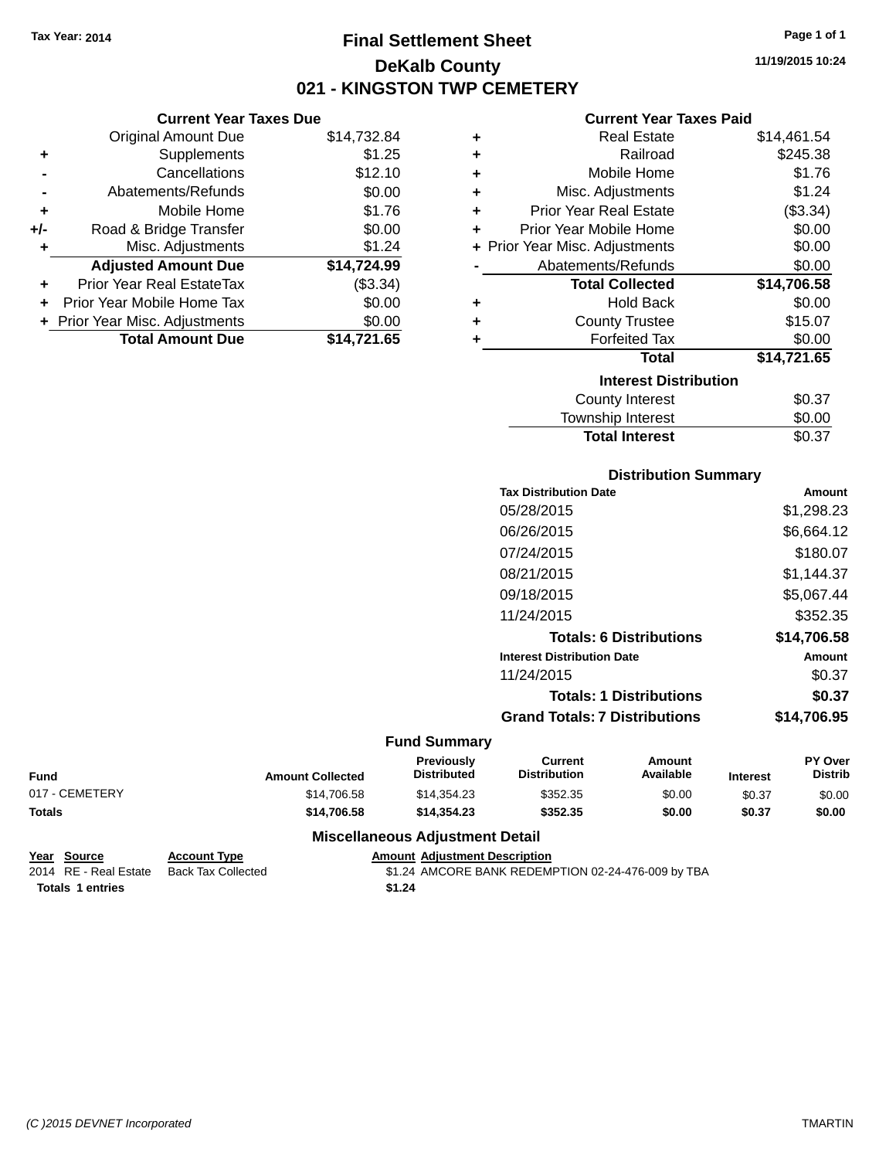**Original Amount Due** 

**Adjusted Amount Due** 

**Total Amount Due** 

**+** Supplements **-** Cancellations **-** Abatements/Refunds **+** Mobile Home **+/-** Road & Bridge Transfer **+** Misc. Adjustments

**+** Prior Year Real EstateTax **+** Prior Year Mobile Home Tax **+** Prior Year Misc. Adjustments

## **Final Settlement Sheet Tax Year: 2014 Page 1 of 1 DeKalb County 021 - KINGSTON TWP CEMETERY**

**11/19/2015 10:24**

## **Current Year Taxes Paid**

| <b>Current Year Taxes Due</b> |             |   | <b>Current Year Taxes Paid</b> |             |
|-------------------------------|-------------|---|--------------------------------|-------------|
| ่<br>เl Amount Due            | \$14,732.84 | ٠ | <b>Real Estate</b>             | \$14,461.54 |
| Supplements                   | \$1.25      | ÷ | Railroad                       | \$245.38    |
| Cancellations                 | \$12.10     | ÷ | Mobile Home                    | \$1.76      |
| าents/Refunds                 | \$0.00      | ٠ | Misc. Adjustments              | \$1.24      |
| Mobile Home                   | \$1.76      | ÷ | <b>Prior Year Real Estate</b>  | (\$3.34)    |
| ridge Transfer                | \$0.00      | ÷ | Prior Year Mobile Home         | \$0.00      |
| . Adjustments                 | \$1.24      |   | + Prior Year Misc. Adjustments | \$0.00      |
| <b>Amount Due</b>             | \$14,724.99 |   | Abatements/Refunds             | \$0.00      |
| leal EstateTax≀               | (\$3.34)    |   | <b>Total Collected</b>         | \$14,706.58 |
| bile Home Tax                 | \$0.00      | ÷ | <b>Hold Back</b>               | \$0.00      |
| . Adjustments                 | \$0.00      | ÷ | <b>County Trustee</b>          | \$15.07     |
| <b>Amount Due</b>             | \$14,721.65 |   | <b>Forfeited Tax</b>           | \$0.00      |
|                               |             |   | <b>Total</b>                   | \$14,721.65 |
|                               |             |   | <b>Interest Distribution</b>   |             |
|                               |             |   | Oainahi latasaat:              | ድ ላማ        |

| <b>Total Interest</b> | \$0.37 |
|-----------------------|--------|
| Township Interest     | \$0.00 |
| County Interest       | \$0.37 |

#### **Distribution Summary**

| <b>Tax Distribution Date</b>         | Amount      |
|--------------------------------------|-------------|
| 05/28/2015                           | \$1,298.23  |
| 06/26/2015                           | \$6,664.12  |
| 07/24/2015                           | \$180.07    |
| 08/21/2015                           | \$1,144.37  |
| 09/18/2015                           | \$5,067.44  |
| 11/24/2015                           | \$352.35    |
| <b>Totals: 6 Distributions</b>       | \$14,706.58 |
| <b>Interest Distribution Date</b>    | Amount      |
| 11/24/2015                           | \$0.37      |
| <b>Totals: 1 Distributions</b>       | \$0.37      |
| <b>Grand Totals: 7 Distributions</b> | \$14.706.95 |
|                                      |             |

#### **Fund Summary**

| <b>Fund</b>    | <b>Amount Collected</b> | <b>Previously</b><br><b>Distributed</b> | Current<br><b>Distribution</b> | Amount<br>Available | <b>Interest</b> | PY Over<br>Distrib |
|----------------|-------------------------|-----------------------------------------|--------------------------------|---------------------|-----------------|--------------------|
| 017 - CEMETERY | \$14,706.58             | \$14.354.23                             | \$352.35                       | \$0.00              | \$0.37          | \$0.00             |
| <b>Totals</b>  | \$14.706.58             | \$14,354,23                             | \$352.35                       | \$0.00              | \$0.37          | \$0.00             |

| Year Source             | <b>Account Type</b> | <b>Amount Adiustment Description</b>               |
|-------------------------|---------------------|----------------------------------------------------|
| 2014 RE - Real Estate   | Back Tax Collected  | \$1.24 AMCORE BANK REDEMPTION 02-24-476-009 by TBA |
| <b>Totals 1 entries</b> |                     | \$1.24                                             |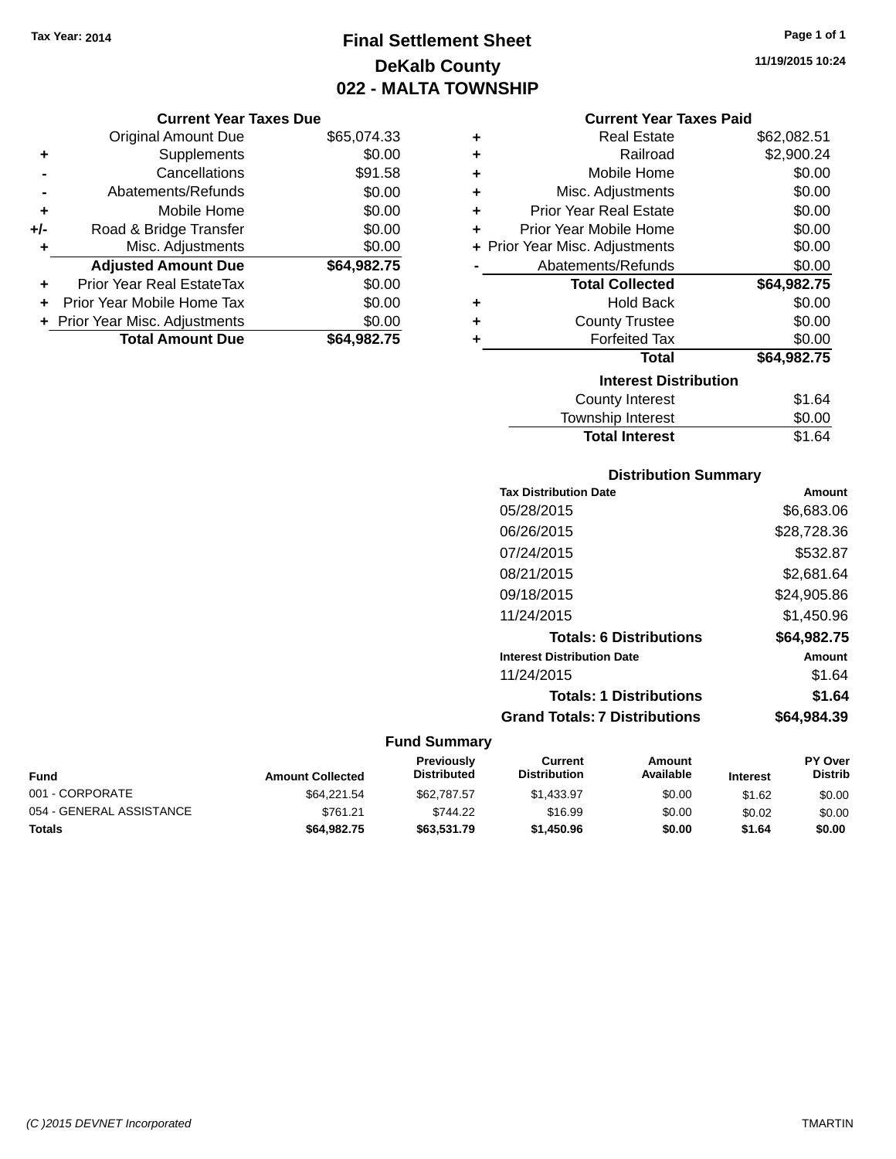## **Final Settlement Sheet Tax Year: 2014 Page 1 of 1 DeKalb County 022 - MALTA TOWNSHIP**

#### **Current Year Taxes Due**

| <b>Original Amount Due</b> | \$65,074.33                    |
|----------------------------|--------------------------------|
| Supplements                | \$0.00                         |
| Cancellations              | \$91.58                        |
| Abatements/Refunds         | \$0.00                         |
| Mobile Home                | \$0.00                         |
| Road & Bridge Transfer     | \$0.00                         |
| Misc. Adjustments          | \$0.00                         |
| <b>Adjusted Amount Due</b> | \$64,982.75                    |
| Prior Year Real EstateTax  | \$0.00                         |
| Prior Year Mobile Home Tax | \$0.00                         |
|                            | \$0.00                         |
| <b>Total Amount Due</b>    | \$64,982.75                    |
|                            | + Prior Year Misc. Adjustments |

#### **Current Year Taxes Paid**

| ٠ | <b>Real Estate</b>             | \$62,082.51 |
|---|--------------------------------|-------------|
| ÷ | Railroad                       | \$2,900.24  |
| ٠ | Mobile Home                    | \$0.00      |
| ÷ | Misc. Adjustments              | \$0.00      |
| ٠ | <b>Prior Year Real Estate</b>  | \$0.00      |
| ٠ | Prior Year Mobile Home         | \$0.00      |
|   | + Prior Year Misc. Adjustments | \$0.00      |
|   | Abatements/Refunds             | \$0.00      |
|   | <b>Total Collected</b>         | \$64,982.75 |
| ٠ | Hold Back                      | \$0.00      |
| ٠ | <b>County Trustee</b>          | \$0.00      |
| ٠ | <b>Forfeited Tax</b>           | \$0.00      |
|   | Total                          | \$64,982.75 |
|   | <b>Interest Distribution</b>   |             |
|   | County Interest                | \$1.64      |
|   | Township Interest              | \$0.00      |
|   | <b>Total Interest</b>          | \$1.64      |

## **Distribution Summary**

| Amount      |
|-------------|
| \$6,683.06  |
| \$28,728.36 |
| \$532.87    |
| \$2.681.64  |
| \$24,905.86 |
| \$1,450.96  |
| \$64,982.75 |
| Amount      |
| \$1.64      |
| \$1.64      |
| \$64.984.39 |
|             |

## **Fund Summary**

| Fund                     | <b>Amount Collected</b> | <b>Previously</b><br><b>Distributed</b> | Current<br><b>Distribution</b> | Amount<br>Available | <b>Interest</b> | <b>PY Over</b><br><b>Distrib</b> |
|--------------------------|-------------------------|-----------------------------------------|--------------------------------|---------------------|-----------------|----------------------------------|
| 001 - CORPORATE          | \$64,221.54             | \$62,787.57                             | \$1.433.97                     | \$0.00              | \$1.62          | \$0.00                           |
| 054 - GENERAL ASSISTANCE | \$761.21                | \$744.22                                | \$16.99                        | \$0.00              | \$0.02          | \$0.00                           |
| Totals                   | \$64.982.75             | \$63,531.79                             | \$1,450.96                     | \$0.00              | \$1.64          | \$0.00                           |

**11/19/2015 10:24**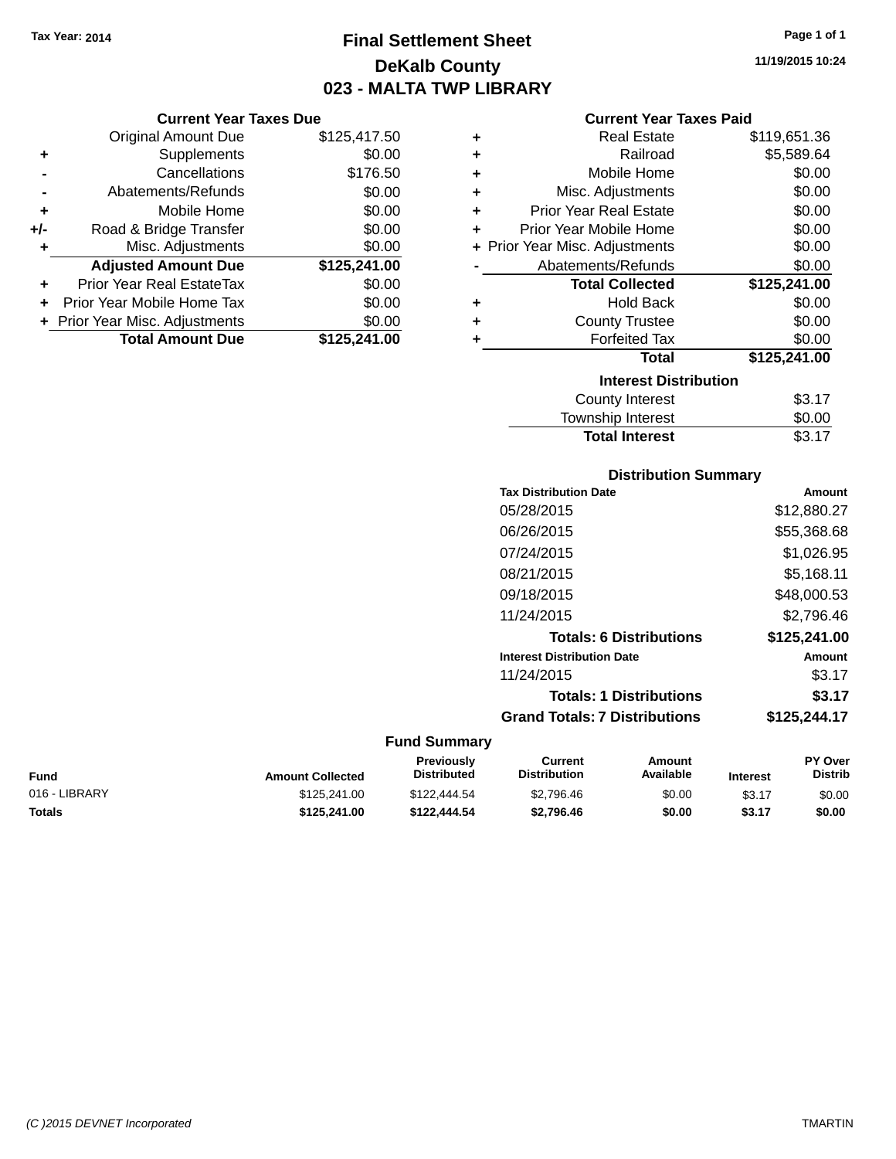## **Final Settlement Sheet Tax Year: 2014 Page 1 of 1 DeKalb County 023 - MALTA TWP LIBRARY**

**11/19/2015 10:24**

#### **Current Year Taxes Paid**

|                | <b>Original Amount Due</b>     | \$125,417.50 | ٠ | <b>Real Estate</b>             | \$119,651.36 |
|----------------|--------------------------------|--------------|---|--------------------------------|--------------|
| ٠              | Supplements                    | \$0.00       | ٠ | Railroad                       | \$5,589.64   |
| $\blacksquare$ | Cancellations                  | \$176.50     | ٠ | Mobile Home                    | \$0.00       |
|                | Abatements/Refunds             | \$0.00       | ٠ | Misc. Adjustments              | \$0.00       |
| ٠              | Mobile Home                    | \$0.00       | ٠ | <b>Prior Year Real Estate</b>  | \$0.00       |
| I-             | Road & Bridge Transfer         | \$0.00       |   | Prior Year Mobile Home         | \$0.00       |
| ÷              | Misc. Adjustments              | \$0.00       |   | + Prior Year Misc. Adjustments | \$0.00       |
|                | <b>Adjusted Amount Due</b>     | \$125,241.00 |   | Abatements/Refunds             | \$0.00       |
| ÷              | Prior Year Real EstateTax      | \$0.00       |   | <b>Total Collected</b>         | \$125,241.00 |
|                | + Prior Year Mobile Home Tax   | \$0.00       | ٠ | <b>Hold Back</b>               | \$0.00       |
|                | + Prior Year Misc. Adjustments | \$0.00       | ٠ | <b>County Trustee</b>          | \$0.00       |
|                | <b>Total Amount Due</b>        | \$125,241.00 |   | <b>Forfeited Tax</b>           | \$0.00       |
|                |                                |              |   | <b>Total</b>                   | \$125,241.00 |
|                |                                |              |   | <b>Interest Distribution</b>   |              |
|                |                                |              |   | County Interest                | \$3.17       |
|                |                                |              |   |                                |              |

## Township Interest \$0.00 Total Interest \$3.17

#### **Distribution Summary**

| <b>Tax Distribution Date</b>         | Amount       |
|--------------------------------------|--------------|
| 05/28/2015                           | \$12,880.27  |
| 06/26/2015                           | \$55,368.68  |
| 07/24/2015                           | \$1,026.95   |
| 08/21/2015                           | \$5,168.11   |
| 09/18/2015                           | \$48,000.53  |
| 11/24/2015                           | \$2,796.46   |
| <b>Totals: 6 Distributions</b>       | \$125,241.00 |
| <b>Interest Distribution Date</b>    | Amount       |
| 11/24/2015                           | \$3.17       |
| <b>Totals: 1 Distributions</b>       | \$3.17       |
| <b>Grand Totals: 7 Distributions</b> | \$125,244.17 |
|                                      |              |

#### **Fund Summary**

| Fund          | <b>Amount Collected</b> | <b>Previously</b><br><b>Distributed</b> | Current<br><b>Distribution</b> | Amount<br>Available | <b>Interest</b> | <b>PY Over</b><br><b>Distrib</b> |
|---------------|-------------------------|-----------------------------------------|--------------------------------|---------------------|-----------------|----------------------------------|
| 016 - LIBRARY | \$125,241.00            | \$122,444.54                            | \$2,796.46                     | \$0.00              | \$3.17          | \$0.00                           |
| Totals        | \$125,241.00            | \$122.444.54                            | \$2.796.46                     | \$0.00              | \$3.17          | \$0.00                           |

| ٠   | Mobile Home                    | \$0.00       |
|-----|--------------------------------|--------------|
| +/- | Road & Bridge Transfer         | \$0.00       |
| ٠   | Misc. Adjustments              | \$0.00       |
|     | <b>Adjusted Amount Due</b>     | \$125,241.00 |
| ٠   | Prior Year Real EstateTax      | \$0.00       |
|     | Prior Year Mobile Home Tax     | \$0.00       |
|     | + Prior Year Misc. Adjustments | \$0.00       |
|     | <b>Total Amount Due</b>        | \$125,241.00 |
|     |                                |              |
|     |                                |              |
|     |                                |              |
|     |                                |              |

**Current Year Taxes Due**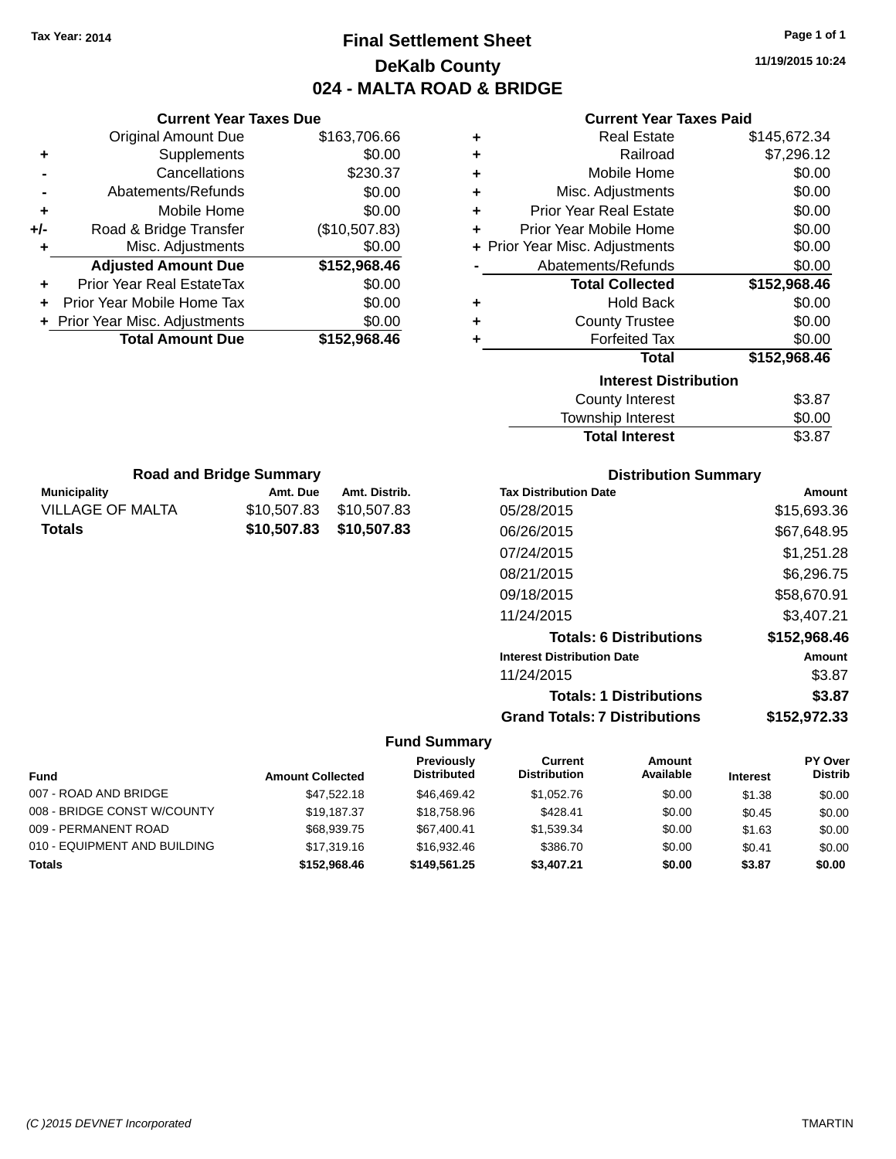**Current Year Taxes Due** Original Amount Due \$163,706.66

**Adjusted Amount Due \$152,968.46**

**Total Amount Due \$152,968.46**

**+** Supplements \$0.00 **-** Cancellations \$230.37 **-** Abatements/Refunds \$0.00 **+** Mobile Home \$0.00 **+/-** Road & Bridge Transfer (\$10,507.83) **+** Misc. Adjustments \$0.00

**+** Prior Year Real EstateTax \$0.00 **+** Prior Year Mobile Home Tax \$0.00 **+ Prior Year Misc. Adjustments**  $$0.00$ 

**Municipality Municipality** Amt. Due Amt. Distrib. **Road and Bridge Summary**

VILLAGE OF MALTA \$10,507.83 \$10,507.83 **Totals \$10,507.83 \$10,507.83**

## **Final Settlement Sheet Tax Year: 2014 Page 1 of 1 DeKalb County 024 - MALTA ROAD & BRIDGE**

#### **Current Year Taxes Paid**

| ٠ | <b>Real Estate</b>             | \$145,672.34 |  |  |  |  |
|---|--------------------------------|--------------|--|--|--|--|
| ٠ | Railroad                       | \$7,296.12   |  |  |  |  |
| ÷ | Mobile Home                    | \$0.00       |  |  |  |  |
| ÷ | Misc. Adjustments              | \$0.00       |  |  |  |  |
| ÷ | <b>Prior Year Real Estate</b>  | \$0.00       |  |  |  |  |
| ÷ | Prior Year Mobile Home         | \$0.00       |  |  |  |  |
|   | + Prior Year Misc. Adjustments | \$0.00       |  |  |  |  |
|   | Abatements/Refunds             | \$0.00       |  |  |  |  |
|   | <b>Total Collected</b>         | \$152,968.46 |  |  |  |  |
| ٠ | <b>Hold Back</b>               | \$0.00       |  |  |  |  |
| ٠ | <b>County Trustee</b>          | \$0.00       |  |  |  |  |
| ÷ | <b>Forfeited Tax</b>           | \$0.00       |  |  |  |  |
|   | <b>Total</b>                   | \$152,968.46 |  |  |  |  |
|   | <b>Interest Distribution</b>   |              |  |  |  |  |
|   | <b>County Interest</b>         | \$3.87       |  |  |  |  |
|   | -                              |              |  |  |  |  |

# Township Interest \$0.00 Total Interest \$3.87

| <b>Distribution Summary</b>          |              |
|--------------------------------------|--------------|
| <b>Tax Distribution Date</b>         | Amount       |
| 05/28/2015                           | \$15,693.36  |
| 06/26/2015                           | \$67,648.95  |
| 07/24/2015                           | \$1,251.28   |
| 08/21/2015                           | \$6,296.75   |
| 09/18/2015                           | \$58,670.91  |
| 11/24/2015                           | \$3,407.21   |
| <b>Totals: 6 Distributions</b>       | \$152,968.46 |
| <b>Interest Distribution Date</b>    | Amount       |
| 11/24/2015                           | \$3.87       |
| <b>Totals: 1 Distributions</b>       | \$3.87       |
| <b>Grand Totals: 7 Distributions</b> | \$152,972.33 |

| <b>Fund</b>                  | <b>Amount Collected</b> | Previously<br><b>Distributed</b> | Current<br><b>Distribution</b> | Amount<br>Available | <b>Interest</b> | <b>PY Over</b><br><b>Distrib</b> |
|------------------------------|-------------------------|----------------------------------|--------------------------------|---------------------|-----------------|----------------------------------|
| 007 - ROAD AND BRIDGE        | \$47.522.18             | \$46,469.42                      | \$1.052.76                     | \$0.00              | \$1.38          | \$0.00                           |
| 008 - BRIDGE CONST W/COUNTY  | \$19.187.37             | \$18.758.96                      | \$428.41                       | \$0.00              | \$0.45          | \$0.00                           |
| 009 - PERMANENT ROAD         | \$68,939.75             | \$67.400.41                      | \$1.539.34                     | \$0.00              | \$1.63          | \$0.00                           |
| 010 - EQUIPMENT AND BUILDING | \$17,319,16             | \$16.932.46                      | \$386.70                       | \$0.00              | \$0.41          | \$0.00                           |
| <b>Totals</b>                | \$152,968.46            | \$149.561.25                     | \$3.407.21                     | \$0.00              | \$3.87          | \$0.00                           |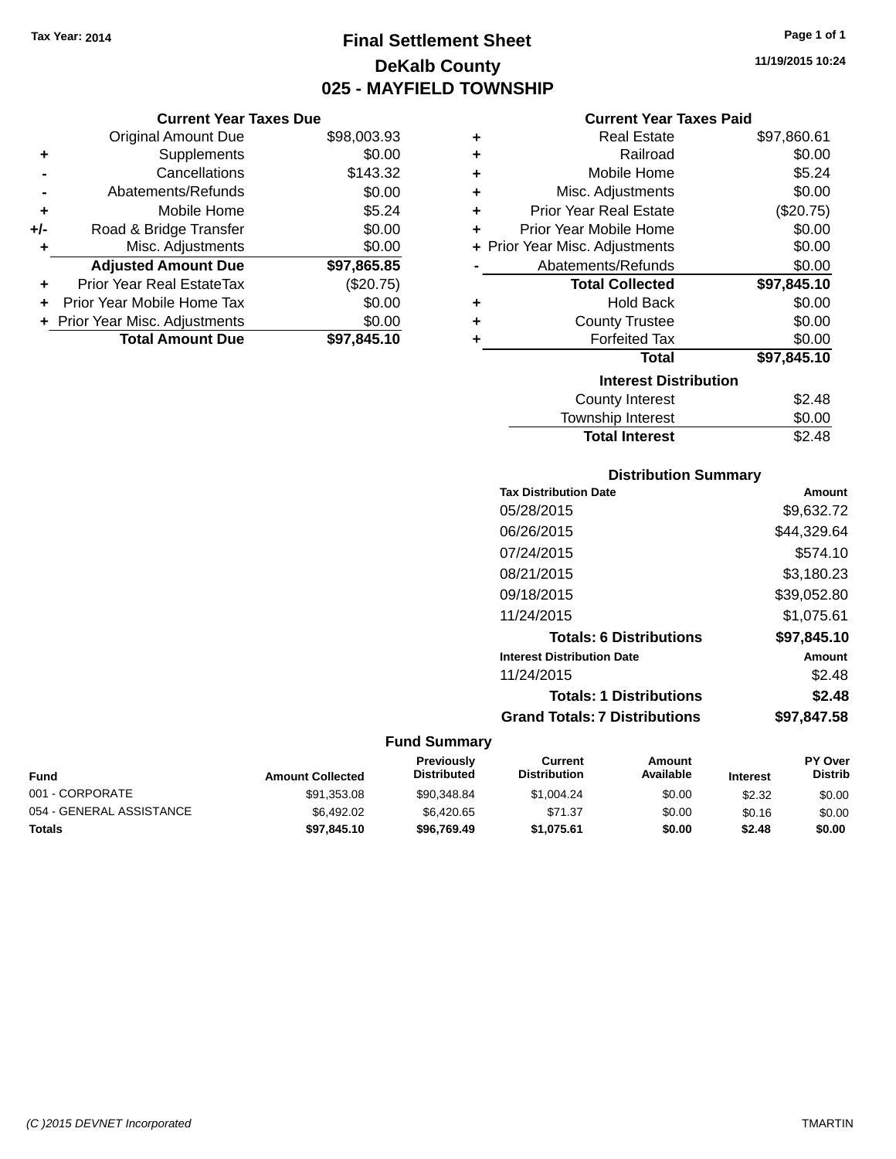**Current Year Taxes Due** Original Amount Due \$98,003.93

**Adjusted Amount Due \$97,865.85**

**+** Supplements \$0.00 **-** Cancellations \$143.32 **-** Abatements/Refunds \$0.00 **+** Mobile Home \$5.24 **+/-** Road & Bridge Transfer \$0.00 **+** Misc. Adjustments \$0.00

**+** Prior Year Real EstateTax (\$20.75) **+** Prior Year Mobile Home Tax \$0.00 **+** Prior Year Misc. Adjustments \$0.00<br> **Total Amount Due** \$97,845.10

**Total Amount Due** 

## **Final Settlement Sheet Tax Year: 2014 Page 1 of 1 DeKalb County 025 - MAYFIELD TOWNSHIP**

## **Current Year Taxes Paid**

|   | Gurrent fear Taxes Palu        |             |  |  |  |  |  |
|---|--------------------------------|-------------|--|--|--|--|--|
| ٠ | Real Estate                    | \$97,860.61 |  |  |  |  |  |
| ÷ | Railroad                       | \$0.00      |  |  |  |  |  |
| ÷ | Mobile Home                    | \$5.24      |  |  |  |  |  |
| ٠ | Misc. Adjustments              | \$0.00      |  |  |  |  |  |
| ٠ | <b>Prior Year Real Estate</b>  | (\$20.75)   |  |  |  |  |  |
| ٠ | Prior Year Mobile Home         | \$0.00      |  |  |  |  |  |
|   | + Prior Year Misc. Adjustments | \$0.00      |  |  |  |  |  |
|   | Abatements/Refunds             | \$0.00      |  |  |  |  |  |
|   | <b>Total Collected</b>         | \$97,845.10 |  |  |  |  |  |
| ٠ | <b>Hold Back</b>               | \$0.00      |  |  |  |  |  |
| ÷ | <b>County Trustee</b>          | \$0.00      |  |  |  |  |  |
| ٠ | <b>Forfeited Tax</b>           | \$0.00      |  |  |  |  |  |
|   | Total                          | \$97,845.10 |  |  |  |  |  |
|   | <b>Interest Distribution</b>   |             |  |  |  |  |  |
|   | County Interest                | \$2.48      |  |  |  |  |  |
|   | Township Interest              | \$0.00      |  |  |  |  |  |
|   | <b>Total Interest</b>          | \$2.48      |  |  |  |  |  |

| <b>Distribution Summary</b>          |             |  |  |  |  |
|--------------------------------------|-------------|--|--|--|--|
| <b>Tax Distribution Date</b>         | Amount      |  |  |  |  |
| 05/28/2015                           | \$9,632.72  |  |  |  |  |
| 06/26/2015                           | \$44,329.64 |  |  |  |  |
| 07/24/2015                           | \$574.10    |  |  |  |  |
| 08/21/2015                           | \$3,180.23  |  |  |  |  |
| 09/18/2015                           | \$39,052.80 |  |  |  |  |
| 11/24/2015                           | \$1,075.61  |  |  |  |  |
| <b>Totals: 6 Distributions</b>       | \$97,845.10 |  |  |  |  |
| <b>Interest Distribution Date</b>    | Amount      |  |  |  |  |
| 11/24/2015                           | \$2.48      |  |  |  |  |
| <b>Totals: 1 Distributions</b>       | \$2.48      |  |  |  |  |
| <b>Grand Totals: 7 Distributions</b> | \$97.847.58 |  |  |  |  |

| <b>Fund</b>              | <b>Amount Collected</b> | <b>Previously</b><br><b>Distributed</b> | Current<br><b>Distribution</b> | Amount<br>Available | <b>Interest</b> | <b>PY Over</b><br><b>Distrib</b> |
|--------------------------|-------------------------|-----------------------------------------|--------------------------------|---------------------|-----------------|----------------------------------|
| 001 - CORPORATE          | \$91,353.08             | \$90,348.84                             | \$1.004.24                     | \$0.00              | \$2.32          | \$0.00                           |
| 054 - GENERAL ASSISTANCE | \$6,492.02              | \$6,420.65                              | \$71.37                        | \$0.00              | \$0.16          | \$0.00                           |
| <b>Totals</b>            | \$97.845.10             | \$96.769.49                             | \$1.075.61                     | \$0.00              | \$2.48          | \$0.00                           |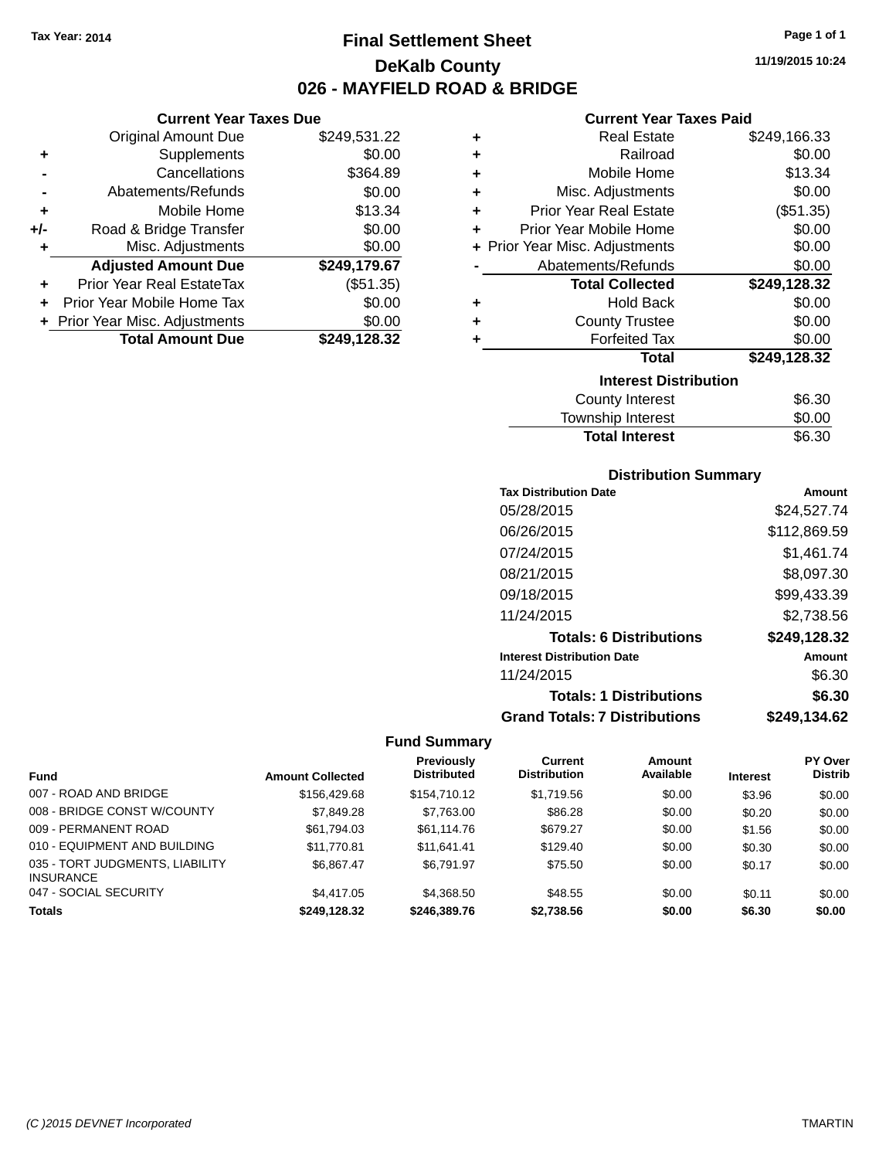**Current Year Taxes Due** Original Amount Due \$249,531.22

**Adjusted Amount Due \$249,179.67**

**Total Amount Due \$249,128.32**

**+** Supplements \$0.00 **-** Cancellations \$364.89 **-** Abatements/Refunds \$0.00 **+** Mobile Home \$13.34 **+/-** Road & Bridge Transfer \$0.00<br> **+** Misc. Adjustments \$0.00

**+** Prior Year Real EstateTax (\$51.35) **+** Prior Year Mobile Home Tax \$0.00 **+ Prior Year Misc. Adjustments**  $$0.00$ 

**+** Misc. Adjustments

## **Final Settlement Sheet Tax Year: 2014 Page 1 of 1 DeKalb County 026 - MAYFIELD ROAD & BRIDGE**

**11/19/2015 10:24**

#### **Current Year Taxes Paid**

| ٠ | <b>Real Estate</b>             | \$249,166.33 |
|---|--------------------------------|--------------|
| ٠ | Railroad                       | \$0.00       |
| ٠ | Mobile Home                    | \$13.34      |
| ٠ | Misc. Adjustments              | \$0.00       |
| ÷ | <b>Prior Year Real Estate</b>  | (\$51.35)    |
| ٠ | Prior Year Mobile Home         | \$0.00       |
|   | + Prior Year Misc. Adjustments | \$0.00       |
|   | Abatements/Refunds             | \$0.00       |
|   | <b>Total Collected</b>         | \$249,128.32 |
| ÷ | <b>Hold Back</b>               | \$0.00       |
| ٠ | <b>County Trustee</b>          | \$0.00       |
| ÷ | <b>Forfeited Tax</b>           | \$0.00       |
|   | <b>Total</b>                   | \$249,128.32 |
|   | <b>Interest Distribution</b>   |              |
|   | County Interest                | \$6.30       |
|   | Township Interest              | \$0.00       |

| <b>Total Interest</b>  | \$6.30 |
|------------------------|--------|
| Township Interest      | \$0.00 |
| <b>OUGHLY HILLICOL</b> | ⊎∪.∪∪  |

#### **Distribution Summary**

| <b>Tax Distribution Date</b>         | Amount       |
|--------------------------------------|--------------|
| 05/28/2015                           | \$24,527.74  |
| 06/26/2015                           | \$112,869.59 |
| 07/24/2015                           | \$1,461.74   |
| 08/21/2015                           | \$8,097.30   |
| 09/18/2015                           | \$99,433.39  |
| 11/24/2015                           | \$2,738.56   |
| <b>Totals: 6 Distributions</b>       | \$249,128.32 |
| <b>Interest Distribution Date</b>    | Amount       |
| 11/24/2015                           | \$6.30       |
| <b>Totals: 1 Distributions</b>       | \$6.30       |
| <b>Grand Totals: 7 Distributions</b> | \$249.134.62 |

|                                                     |                         | Previously         | Current             | Amount    |                 | <b>PY Over</b> |
|-----------------------------------------------------|-------------------------|--------------------|---------------------|-----------|-----------------|----------------|
| <b>Fund</b>                                         | <b>Amount Collected</b> | <b>Distributed</b> | <b>Distribution</b> | Available | <b>Interest</b> | <b>Distrib</b> |
| 007 - ROAD AND BRIDGE                               | \$156,429.68            | \$154,710.12       | \$1,719.56          | \$0.00    | \$3.96          | \$0.00         |
| 008 - BRIDGE CONST W/COUNTY                         | \$7,849.28              | \$7,763.00         | \$86.28             | \$0.00    | \$0.20          | \$0.00         |
| 009 - PERMANENT ROAD                                | \$61,794.03             | \$61,114,76        | \$679.27            | \$0.00    | \$1.56          | \$0.00         |
| 010 - EQUIPMENT AND BUILDING                        | \$11,770.81             | \$11.641.41        | \$129.40            | \$0.00    | \$0.30          | \$0.00         |
| 035 - TORT JUDGMENTS, LIABILITY<br><b>INSURANCE</b> | \$6.867.47              | \$6.791.97         | \$75.50             | \$0.00    | \$0.17          | \$0.00         |
| 047 - SOCIAL SECURITY                               | \$4,417.05              | \$4.368.50         | \$48.55             | \$0.00    | \$0.11          | \$0.00         |
| <b>Totals</b>                                       | \$249.128.32            | \$246.389.76       | \$2.738.56          | \$0.00    | \$6.30          | \$0.00         |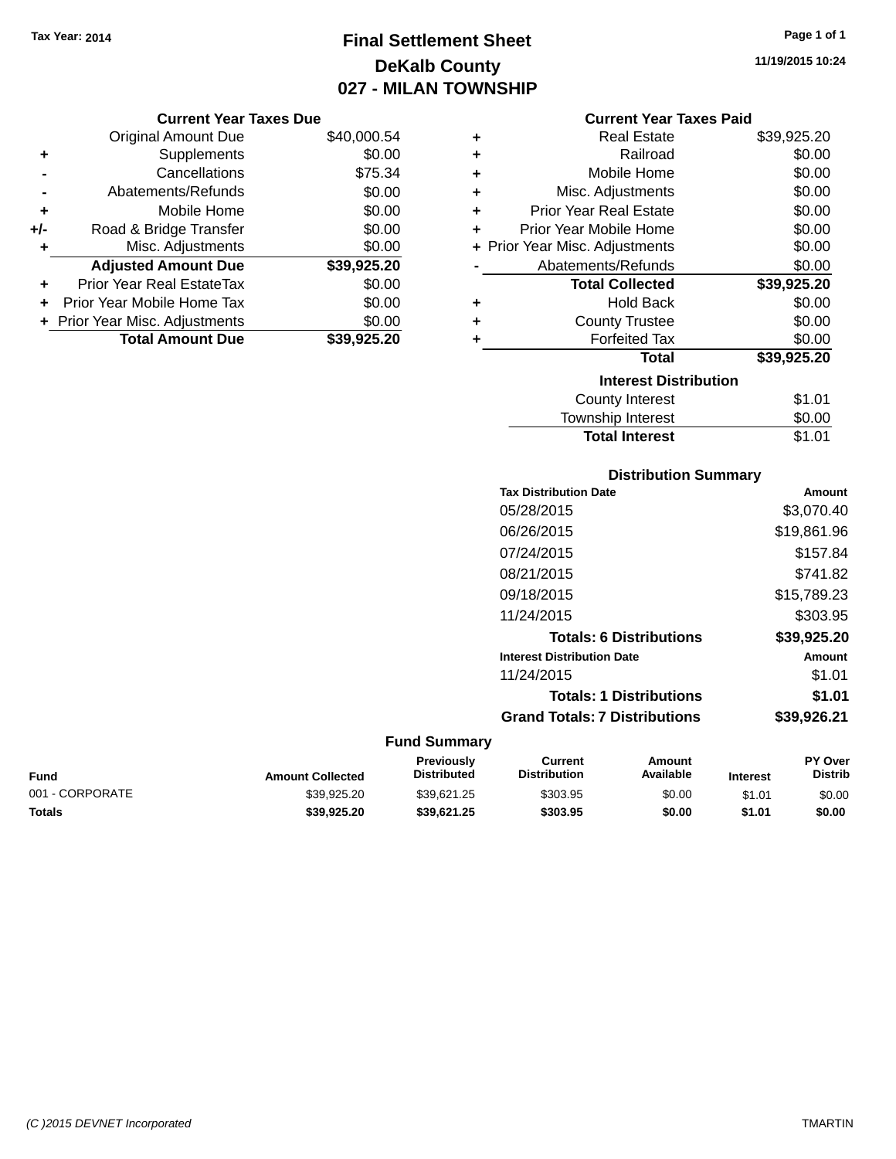## **Final Settlement Sheet Tax Year: 2014 Page 1 of 1 DeKalb County 027 - MILAN TOWNSHIP**

**11/19/2015 10:24**

|     | <b>Current Year Taxes Due</b>  |             |
|-----|--------------------------------|-------------|
|     | <b>Original Amount Due</b>     | \$40,000.54 |
|     | Supplements                    | \$0.00      |
|     | Cancellations                  | \$75.34     |
|     | Abatements/Refunds             | \$0.00      |
| ٠   | Mobile Home                    | \$0.00      |
| +/- | Road & Bridge Transfer         | \$0.00      |
| ٠   | Misc. Adjustments              | \$0.00      |
|     | <b>Adjusted Amount Due</b>     | \$39,925.20 |
| ÷   | Prior Year Real EstateTax      | \$0.00      |
|     | Prior Year Mobile Home Tax     | \$0.00      |
|     | + Prior Year Misc. Adjustments | \$0.00      |
|     | <b>Total Amount Due</b>        | \$39.925.20 |
|     |                                |             |

|   | <b>Current Year Taxes Paid</b> |             |  |  |  |
|---|--------------------------------|-------------|--|--|--|
| ٠ | <b>Real Estate</b>             |             |  |  |  |
| ÷ | Railroad                       |             |  |  |  |
| ٠ | Mobile Home                    | \$0.00      |  |  |  |
| ٠ | Misc. Adjustments              | \$0.00      |  |  |  |
| ÷ | <b>Prior Year Real Estate</b>  | \$0.00      |  |  |  |
| ÷ | Prior Year Mobile Home         |             |  |  |  |
|   | + Prior Year Misc. Adjustments | \$0.00      |  |  |  |
|   | Abatements/Refunds             | \$0.00      |  |  |  |
|   | <b>Total Collected</b>         | \$39,925.20 |  |  |  |
| ÷ | <b>Hold Back</b>               | \$0.00      |  |  |  |
|   | <b>County Trustee</b>          | \$0.00      |  |  |  |
|   | <b>Forfeited Tax</b>           | \$0.00      |  |  |  |
|   | <b>Total</b>                   | \$39,925.20 |  |  |  |
|   | <b>Interest Distribution</b>   |             |  |  |  |
|   | <b>County Interest</b>         | \$1.01      |  |  |  |
|   | <b>Township Interest</b>       | \$0.00      |  |  |  |
|   | <b>Total Interest</b>          | \$1.01      |  |  |  |

## **Distribution Summary**

| <b>Tax Distribution Date</b>         | Amount      |
|--------------------------------------|-------------|
| 05/28/2015                           | \$3,070.40  |
| 06/26/2015                           | \$19,861.96 |
| 07/24/2015                           | \$157.84    |
| 08/21/2015                           | \$741.82    |
| 09/18/2015                           | \$15,789.23 |
| 11/24/2015                           | \$303.95    |
| <b>Totals: 6 Distributions</b>       | \$39,925.20 |
| <b>Interest Distribution Date</b>    | Amount      |
| 11/24/2015                           | \$1.01      |
| <b>Totals: 1 Distributions</b>       | \$1.01      |
| <b>Grand Totals: 7 Distributions</b> | \$39,926.21 |
|                                      |             |

| Fund            | <b>Amount Collected</b> | <b>Previously</b><br><b>Distributed</b> | Current<br><b>Distribution</b> | Amount<br>Available | <b>Interest</b> | <b>PY Over</b><br><b>Distrib</b> |
|-----------------|-------------------------|-----------------------------------------|--------------------------------|---------------------|-----------------|----------------------------------|
| 001 - CORPORATE | \$39.925.20             | \$39.621.25                             | \$303.95                       | \$0.00              | \$1.01          | \$0.00                           |
| Totals          | \$39,925.20             | \$39.621.25                             | \$303.95                       | \$0.00              | \$1.01          | \$0.00                           |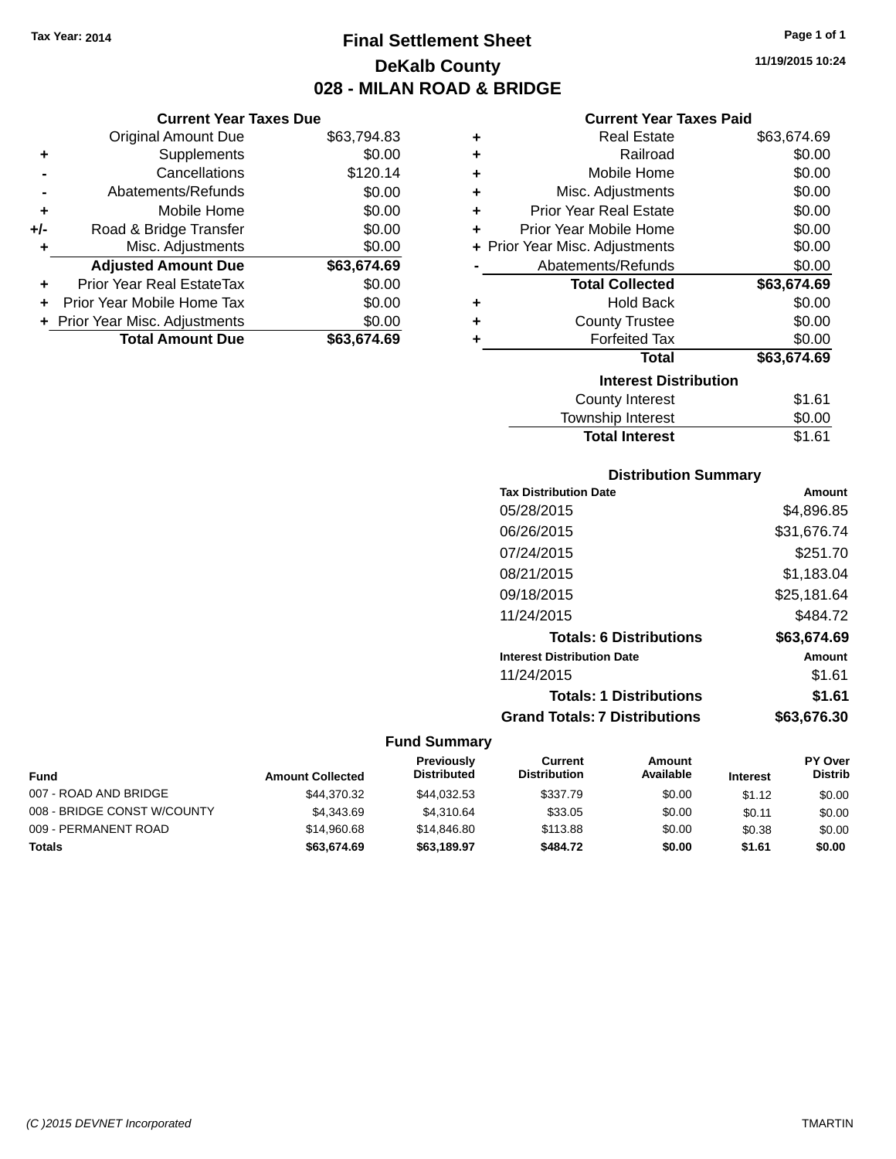# **Final Settlement Sheet Tax Year: 2014 Page 1 of 1 DeKalb County 028 - MILAN ROAD & BRIDGE**

## **Current Year Taxes Due**

|       | <b>Original Amount Due</b>       | \$63,794.83 |
|-------|----------------------------------|-------------|
| ٠     | Supplements                      | \$0.00      |
|       | Cancellations                    | \$120.14    |
|       | Abatements/Refunds               | \$0.00      |
| ٠     | Mobile Home                      | \$0.00      |
| $+/-$ | Road & Bridge Transfer           | \$0.00      |
| ٠     | Misc. Adjustments                | \$0.00      |
|       | <b>Adjusted Amount Due</b>       | \$63,674.69 |
| ÷     | <b>Prior Year Real EstateTax</b> | \$0.00      |
|       | Prior Year Mobile Home Tax       | \$0.00      |
|       | + Prior Year Misc. Adjustments   | \$0.00      |
|       | <b>Total Amount Due</b>          | \$63,674.69 |

## **Current Year Taxes Paid**

| ٠ | <b>Real Estate</b>             | \$63,674.69 |
|---|--------------------------------|-------------|
| ÷ | Railroad                       | \$0.00      |
| ٠ | Mobile Home                    | \$0.00      |
| ٠ | Misc. Adjustments              | \$0.00      |
| ÷ | <b>Prior Year Real Estate</b>  | \$0.00      |
| ٠ | Prior Year Mobile Home         | \$0.00      |
|   | + Prior Year Misc. Adjustments | \$0.00      |
|   | Abatements/Refunds             | \$0.00      |
|   | <b>Total Collected</b>         | \$63,674.69 |
| ٠ | <b>Hold Back</b>               | \$0.00      |
| ٠ | <b>County Trustee</b>          | \$0.00      |
| ٠ | <b>Forfeited Tax</b>           | \$0.00      |
|   | Total                          | \$63,674.69 |
|   | <b>Interest Distribution</b>   |             |
|   | County Interest                | \$1.61      |
|   | <b>Township Interest</b>       | \$0.00      |
|   | <b>Total Interest</b>          | \$1.61      |

# **Distribution Summary**

| <b>Tax Distribution Date</b>         | Amount      |
|--------------------------------------|-------------|
| 05/28/2015                           | \$4.896.85  |
| 06/26/2015                           | \$31,676.74 |
| 07/24/2015                           | \$251.70    |
| 08/21/2015                           | \$1,183.04  |
| 09/18/2015                           | \$25,181.64 |
| 11/24/2015                           | \$484.72    |
| <b>Totals: 6 Distributions</b>       | \$63,674.69 |
| <b>Interest Distribution Date</b>    | Amount      |
| 11/24/2015                           | \$1.61      |
| <b>Totals: 1 Distributions</b>       | \$1.61      |
| <b>Grand Totals: 7 Distributions</b> | \$63.676.30 |

| <b>Fund</b>                 | <b>Amount Collected</b> | <b>Previously</b><br><b>Distributed</b> | Current<br><b>Distribution</b> | Amount<br>Available | <b>Interest</b> | <b>PY Over</b><br><b>Distrib</b> |
|-----------------------------|-------------------------|-----------------------------------------|--------------------------------|---------------------|-----------------|----------------------------------|
| 007 - ROAD AND BRIDGE       | \$44.370.32             | \$44.032.53                             | \$337.79                       | \$0.00              | \$1.12          | \$0.00                           |
| 008 - BRIDGE CONST W/COUNTY | \$4.343.69              | \$4.310.64                              | \$33.05                        | \$0.00              | \$0.11          | \$0.00                           |
| 009 - PERMANENT ROAD        | \$14.960.68             | \$14,846.80                             | \$113.88                       | \$0.00              | \$0.38          | \$0.00                           |
| Totals                      | \$63,674.69             | \$63,189.97                             | \$484.72                       | \$0.00              | \$1.61          | \$0.00                           |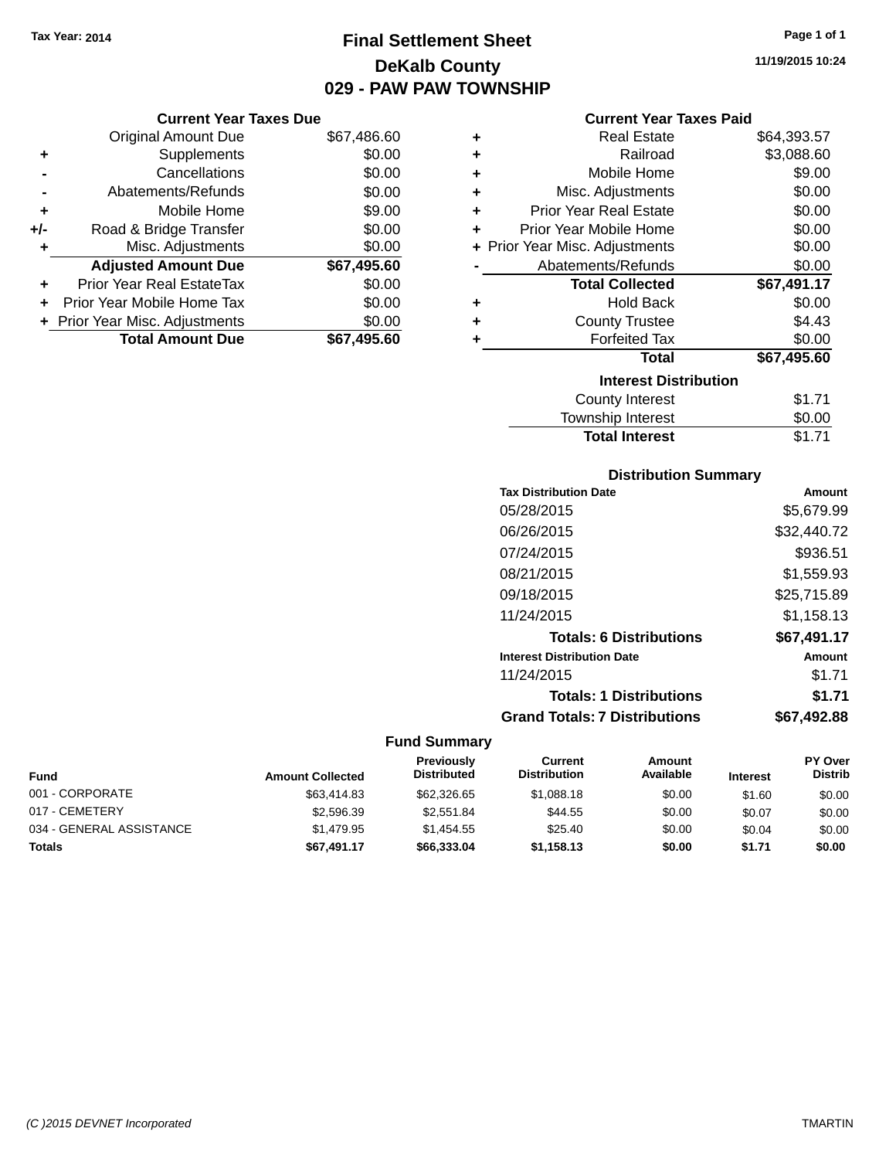# **Final Settlement Sheet Tax Year: 2014 Page 1 of 1 DeKalb County 029 - PAW PAW TOWNSHIP**

## **Current Year Taxes Due**

|       | <b>Original Amount Due</b>       | \$67,486.60 |
|-------|----------------------------------|-------------|
| ٠     | Supplements                      | \$0.00      |
|       | Cancellations                    | \$0.00      |
|       | Abatements/Refunds               | \$0.00      |
| ÷     | Mobile Home                      | \$9.00      |
| $+/-$ | Road & Bridge Transfer           | \$0.00      |
| ٠     | Misc. Adjustments                | \$0.00      |
|       | <b>Adjusted Amount Due</b>       | \$67,495.60 |
|       | <b>Prior Year Real EstateTax</b> | \$0.00      |
|       | Prior Year Mobile Home Tax       | \$0.00      |
|       | + Prior Year Misc. Adjustments   | \$0.00      |
|       | <b>Total Amount Due</b>          | \$67,495.60 |

## **Current Year Taxes Paid**

| ٠ | <b>Real Estate</b>             | \$64,393.57 |
|---|--------------------------------|-------------|
| ٠ | Railroad                       | \$3,088.60  |
| ÷ | Mobile Home                    | \$9.00      |
| ٠ | Misc. Adjustments              | \$0.00      |
| ٠ | <b>Prior Year Real Estate</b>  | \$0.00      |
| ٠ | Prior Year Mobile Home         | \$0.00      |
|   | + Prior Year Misc. Adjustments | \$0.00      |
|   | Abatements/Refunds             | \$0.00      |
|   | <b>Total Collected</b>         | \$67,491.17 |
| ٠ | Hold Back                      | \$0.00      |
| ٠ | <b>County Trustee</b>          | \$4.43      |
| ٠ | <b>Forfeited Tax</b>           | \$0.00      |
|   | <b>Total</b>                   | \$67,495.60 |
|   | <b>Interest Distribution</b>   |             |
|   | <b>County Interest</b>         | \$1.71      |
|   | <b>Township Interest</b>       | \$0.00      |
|   | <b>Total Interest</b>          | \$1.71      |

# **Distribution Summary**

| <b>Tax Distribution Date</b>         | Amount      |
|--------------------------------------|-------------|
| 05/28/2015                           | \$5.679.99  |
| 06/26/2015                           | \$32,440.72 |
| 07/24/2015                           | \$936.51    |
| 08/21/2015                           | \$1,559.93  |
| 09/18/2015                           | \$25.715.89 |
| 11/24/2015                           | \$1,158.13  |
| <b>Totals: 6 Distributions</b>       | \$67,491.17 |
| <b>Interest Distribution Date</b>    | Amount      |
| 11/24/2015                           | \$1.71      |
| <b>Totals: 1 Distributions</b>       | \$1.71      |
| <b>Grand Totals: 7 Distributions</b> | \$67,492.88 |

| <b>Fund</b>              | <b>Amount Collected</b> | <b>Previously</b><br><b>Distributed</b> | Current<br><b>Distribution</b> | Amount<br>Available | <b>Interest</b> | <b>PY Over</b><br><b>Distrib</b> |
|--------------------------|-------------------------|-----------------------------------------|--------------------------------|---------------------|-----------------|----------------------------------|
| 001 - CORPORATE          | \$63,414.83             | \$62,326.65                             | \$1.088.18                     | \$0.00              | \$1.60          | \$0.00                           |
| 017 - CEMETERY           | \$2,596.39              | \$2.551.84                              | \$44.55                        | \$0.00              | \$0.07          | \$0.00                           |
| 034 - GENERAL ASSISTANCE | \$1.479.95              | \$1.454.55                              | \$25.40                        | \$0.00              | \$0.04          | \$0.00                           |
| <b>Totals</b>            | \$67,491.17             | \$66,333,04                             | \$1.158.13                     | \$0.00              | \$1.71          | \$0.00                           |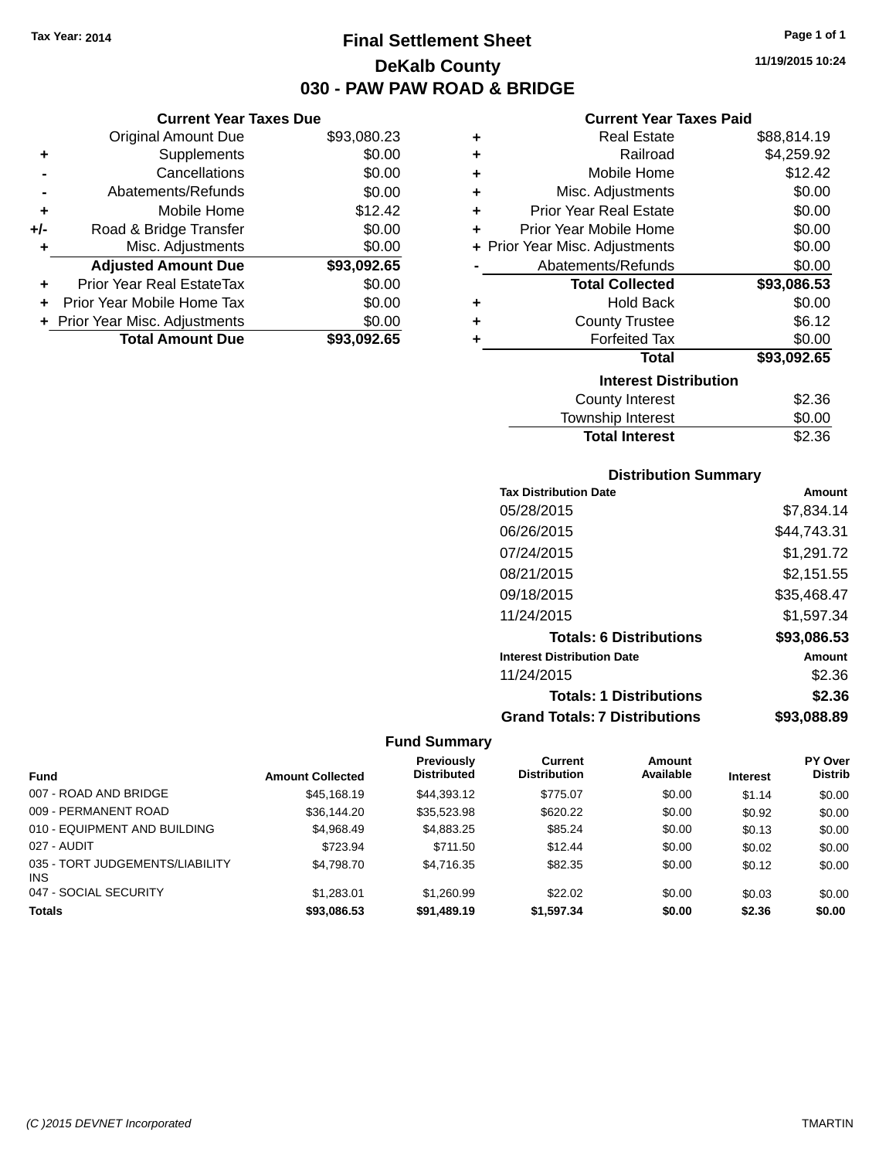# **Final Settlement Sheet Tax Year: 2014 Page 1 of 1 DeKalb County 030 - PAW PAW ROAD & BRIDGE**

**11/19/2015 10:24**

## **Current Year Taxes Paid**

| ٠ | <b>Real Estate</b>             | \$88,814.19 |
|---|--------------------------------|-------------|
| ٠ | Railroad                       | \$4,259.92  |
| ٠ | Mobile Home                    | \$12.42     |
| ٠ | Misc. Adjustments              | \$0.00      |
| ٠ | <b>Prior Year Real Estate</b>  | \$0.00      |
| ٠ | Prior Year Mobile Home         | \$0.00      |
|   | + Prior Year Misc. Adjustments | \$0.00      |
|   | Abatements/Refunds             | \$0.00      |
|   | <b>Total Collected</b>         | \$93,086.53 |
| ٠ | <b>Hold Back</b>               | \$0.00      |
| ٠ | <b>County Trustee</b>          | \$6.12      |
| ٠ | <b>Forfeited Tax</b>           | \$0.00      |
|   | <b>Total</b>                   | \$93,092.65 |
|   | <b>Interest Distribution</b>   |             |
|   | <b>County Interest</b>         | \$2.36      |
|   | <b>Township Interest</b>       | \$0.00      |

| <b>Total Interest</b> | \$2.36 |
|-----------------------|--------|
| Township Interest     | \$0.00 |
| County Interest       | \$2.36 |

# **Distribution Summary**

| <b>Tax Distribution Date</b>         | Amount      |
|--------------------------------------|-------------|
| 05/28/2015                           | \$7,834.14  |
| 06/26/2015                           | \$44.743.31 |
| 07/24/2015                           | \$1,291.72  |
| 08/21/2015                           | \$2,151.55  |
| 09/18/2015                           | \$35,468.47 |
| 11/24/2015                           | \$1,597.34  |
| <b>Totals: 6 Distributions</b>       | \$93,086.53 |
| <b>Interest Distribution Date</b>    | Amount      |
| 11/24/2015                           | \$2.36      |
| <b>Totals: 1 Distributions</b>       | \$2.36      |
| <b>Grand Totals: 7 Distributions</b> | \$93.088.89 |

# **Fund Summary**

|                                         |                         | <b>Previously</b>  | Current             | Amount    |                 | <b>PY Over</b> |
|-----------------------------------------|-------------------------|--------------------|---------------------|-----------|-----------------|----------------|
| <b>Fund</b>                             | <b>Amount Collected</b> | <b>Distributed</b> | <b>Distribution</b> | Available | <b>Interest</b> | <b>Distrib</b> |
| 007 - ROAD AND BRIDGE                   | \$45,168.19             | \$44.393.12        | \$775.07            | \$0.00    | \$1.14          | \$0.00         |
| 009 - PERMANENT ROAD                    | \$36,144,20             | \$35,523.98        | \$620.22            | \$0.00    | \$0.92          | \$0.00         |
| 010 - EQUIPMENT AND BUILDING            | \$4.968.49              | \$4,883.25         | \$85.24             | \$0.00    | \$0.13          | \$0.00         |
| 027 - AUDIT                             | \$723.94                | \$711.50           | \$12.44             | \$0.00    | \$0.02          | \$0.00         |
| 035 - TORT JUDGEMENTS/LIABILITY<br>INS. | \$4,798.70              | \$4.716.35         | \$82.35             | \$0.00    | \$0.12          | \$0.00         |
| 047 - SOCIAL SECURITY                   | \$1.283.01              | \$1,260.99         | \$22.02             | \$0.00    | \$0.03          | \$0.00         |
| <b>Totals</b>                           | \$93.086.53             | \$91.489.19        | \$1,597.34          | \$0.00    | \$2.36          | \$0.00         |

**Current Year Taxes Due**

| <b>Original Amount Due</b>       | \$93,080.23             |
|----------------------------------|-------------------------|
| Supplements                      | \$0.00                  |
| Cancellations                    | \$0.00                  |
| Abatements/Refunds               | \$0.00                  |
| Mobile Home                      | \$12.42                 |
| Road & Bridge Transfer           | \$0.00                  |
| Misc. Adjustments                | \$0.00                  |
| <b>Adjusted Amount Due</b>       | \$93,092.65             |
| <b>Prior Year Real EstateTax</b> | \$0.00                  |
| Prior Year Mobile Home Tax       | \$0.00                  |
| + Prior Year Misc. Adjustments   | \$0.00                  |
|                                  | \$93,092.65             |
|                                  | <b>Total Amount Due</b> |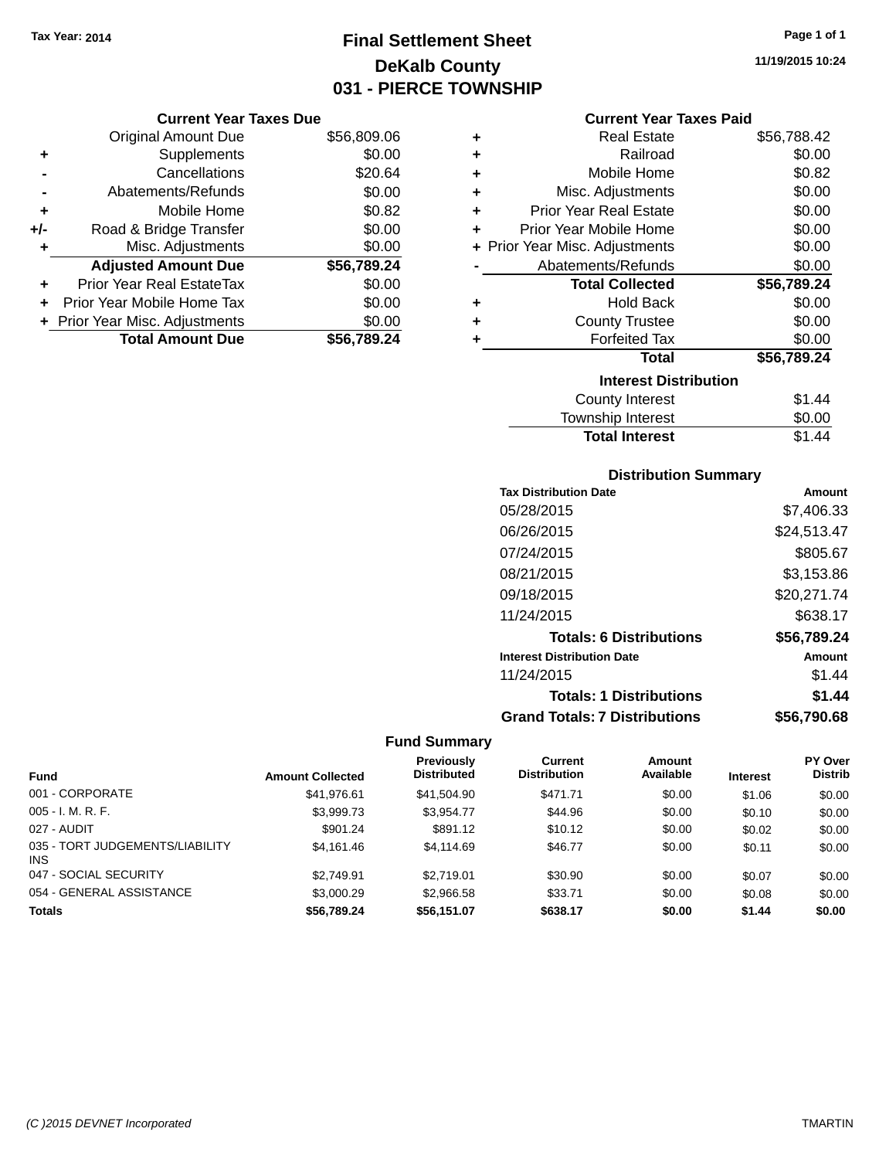# **Final Settlement Sheet Tax Year: 2014 Page 1 of 1 DeKalb County 031 - PIERCE TOWNSHIP**

## **Current Year Taxes Due**

|     | <b>Original Amount Due</b>     | \$56,809.06 |
|-----|--------------------------------|-------------|
| ٠   | Supplements                    | \$0.00      |
|     | Cancellations                  | \$20.64     |
|     | Abatements/Refunds             | \$0.00      |
| ٠   | Mobile Home                    | \$0.82      |
| +/- | Road & Bridge Transfer         | \$0.00      |
| ٠   | Misc. Adjustments              | \$0.00      |
|     | <b>Adjusted Amount Due</b>     | \$56,789.24 |
| ÷   | Prior Year Real EstateTax      | \$0.00      |
|     | Prior Year Mobile Home Tax     | \$0.00      |
|     | + Prior Year Misc. Adjustments | \$0.00      |
|     | <b>Total Amount Due</b>        | \$56,789.24 |

### **Current Year Taxes Paid**

| ٠ | Real Estate                    | \$56,788.42 |
|---|--------------------------------|-------------|
| ÷ | Railroad                       | \$0.00      |
| ÷ | Mobile Home                    | \$0.82      |
| ٠ | Misc. Adjustments              | \$0.00      |
| ٠ | <b>Prior Year Real Estate</b>  | \$0.00      |
| ÷ | Prior Year Mobile Home         | \$0.00      |
|   | + Prior Year Misc. Adjustments | \$0.00      |
|   | Abatements/Refunds             | \$0.00      |
|   | <b>Total Collected</b>         | \$56,789.24 |
| ٠ | <b>Hold Back</b>               | \$0.00      |
| ٠ | <b>County Trustee</b>          | \$0.00      |
|   | <b>Forfeited Tax</b>           | \$0.00      |
|   | <b>Total</b>                   | \$56,789.24 |
|   | <b>Interest Distribution</b>   |             |
|   | <b>County Interest</b>         | \$1.44      |
|   | <b>Township Interest</b>       | \$0.00      |
|   | <b>Total Interest</b>          | \$1.44      |

# **Distribution Summary**

| <b>Tax Distribution Date</b>         | Amount      |
|--------------------------------------|-------------|
| 05/28/2015                           | \$7,406.33  |
| 06/26/2015                           | \$24,513.47 |
| 07/24/2015                           | \$805.67    |
| 08/21/2015                           | \$3,153.86  |
| 09/18/2015                           | \$20,271.74 |
| 11/24/2015                           | \$638.17    |
| <b>Totals: 6 Distributions</b>       | \$56,789.24 |
| <b>Interest Distribution Date</b>    | Amount      |
| 11/24/2015                           | \$1.44      |
| <b>Totals: 1 Distributions</b>       | \$1.44      |
| <b>Grand Totals: 7 Distributions</b> | \$56.790.68 |

|                                         |                         | Previously         | Current             | <b>Amount</b> |                 | <b>PY Over</b> |
|-----------------------------------------|-------------------------|--------------------|---------------------|---------------|-----------------|----------------|
| <b>Fund</b>                             | <b>Amount Collected</b> | <b>Distributed</b> | <b>Distribution</b> | Available     | <b>Interest</b> | <b>Distrib</b> |
| 001 - CORPORATE                         | \$41,976.61             | \$41,504.90        | \$471.71            | \$0.00        | \$1.06          | \$0.00         |
| $005 - I. M. R. F.$                     | \$3,999.73              | \$3.954.77         | \$44.96             | \$0.00        | \$0.10          | \$0.00         |
| 027 - AUDIT                             | \$901.24                | \$891.12           | \$10.12             | \$0.00        | \$0.02          | \$0.00         |
| 035 - TORT JUDGEMENTS/LIABILITY<br>INS. | \$4.161.46              | \$4,114,69         | \$46.77             | \$0.00        | \$0.11          | \$0.00         |
| 047 - SOCIAL SECURITY                   | \$2.749.91              | \$2.719.01         | \$30.90             | \$0.00        | \$0.07          | \$0.00         |
| 054 - GENERAL ASSISTANCE                | \$3,000.29              | \$2,966.58         | \$33.71             | \$0.00        | \$0.08          | \$0.00         |
| <b>Totals</b>                           | \$56,789,24             | \$56,151.07        | \$638.17            | \$0.00        | \$1.44          | \$0.00         |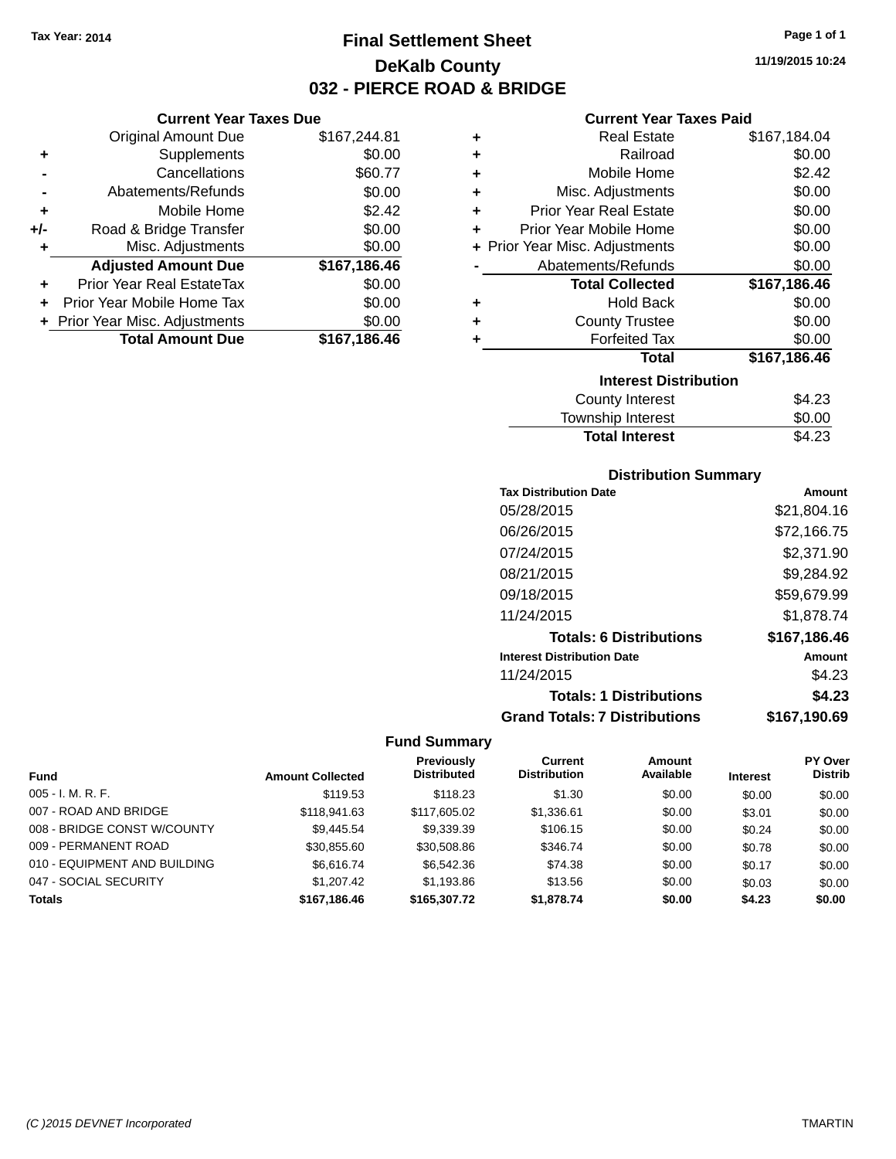**Current Year Taxes Due** Original Amount Due \$167,244.81

**Adjusted Amount Due \$167,186.46**

**Total Amount Due \$167,186.46**

**+** Supplements \$0.00 **-** Cancellations \$60.77 **-** Abatements/Refunds \$0.00 **+** Mobile Home \$2.42 **+/-** Road & Bridge Transfer \$0.00 **+** Misc. Adjustments \$0.00

**+** Prior Year Real EstateTax \$0.00 **+** Prior Year Mobile Home Tax \$0.00 **+ Prior Year Misc. Adjustments**  $$0.00$ 

# **Final Settlement Sheet Tax Year: 2014 Page 1 of 1 DeKalb County 032 - PIERCE ROAD & BRIDGE**

**11/19/2015 10:24**

## **Current Year Taxes Paid**

| ٠ | <b>Real Estate</b>             | \$167,184.04 |
|---|--------------------------------|--------------|
| ٠ | Railroad                       | \$0.00       |
| ٠ | Mobile Home                    | \$2.42       |
| ٠ | Misc. Adjustments              | \$0.00       |
| ٠ | <b>Prior Year Real Estate</b>  | \$0.00       |
| ٠ | Prior Year Mobile Home         | \$0.00       |
|   | + Prior Year Misc. Adjustments | \$0.00       |
|   | Abatements/Refunds             | \$0.00       |
|   | <b>Total Collected</b>         | \$167,186.46 |
| ٠ | <b>Hold Back</b>               | \$0.00       |
| ٠ | <b>County Trustee</b>          | \$0.00       |
| ٠ | <b>Forfeited Tax</b>           | \$0.00       |
|   | <b>Total</b>                   | \$167,186.46 |
|   | <b>Interest Distribution</b>   |              |
|   | <b>County Interest</b>         | \$4.23       |
|   | Township Interest              | \$0.00       |

# **Distribution Summary**

Total Interest \$4.23

| <b>PIJUIDUUJUI JUIIIIIUI</b>         |              |
|--------------------------------------|--------------|
| <b>Tax Distribution Date</b>         | Amount       |
| 05/28/2015                           | \$21,804.16  |
| 06/26/2015                           | \$72,166.75  |
| 07/24/2015                           | \$2,371.90   |
| 08/21/2015                           | \$9,284.92   |
| 09/18/2015                           | \$59,679.99  |
| 11/24/2015                           | \$1,878.74   |
| <b>Totals: 6 Distributions</b>       | \$167,186.46 |
| <b>Interest Distribution Date</b>    | Amount       |
| 11/24/2015                           | \$4.23       |
| <b>Totals: 1 Distributions</b>       | \$4.23       |
| <b>Grand Totals: 7 Distributions</b> | \$167.190.69 |

|                              |                         | Previously         | <b>Current</b>      | <b>Amount</b> |                 | <b>PY Over</b> |
|------------------------------|-------------------------|--------------------|---------------------|---------------|-----------------|----------------|
| <b>Fund</b>                  | <b>Amount Collected</b> | <b>Distributed</b> | <b>Distribution</b> | Available     | <b>Interest</b> | <b>Distrib</b> |
| $005 - I. M. R. F.$          | \$119.53                | \$118.23           | \$1.30              | \$0.00        | \$0.00          | \$0.00         |
| 007 - ROAD AND BRIDGE        | \$118,941.63            | \$117,605.02       | \$1,336.61          | \$0.00        | \$3.01          | \$0.00         |
| 008 - BRIDGE CONST W/COUNTY  | \$9.445.54              | \$9,339.39         | \$106.15            | \$0.00        | \$0.24          | \$0.00         |
| 009 - PERMANENT ROAD         | \$30,855.60             | \$30,508.86        | \$346.74            | \$0.00        | \$0.78          | \$0.00         |
| 010 - EQUIPMENT AND BUILDING | \$6.616.74              | \$6,542.36         | \$74.38             | \$0.00        | \$0.17          | \$0.00         |
| 047 - SOCIAL SECURITY        | \$1,207.42              | \$1.193.86         | \$13.56             | \$0.00        | \$0.03          | \$0.00         |
| <b>Totals</b>                | \$167,186,46            | \$165,307.72       | \$1,878.74          | \$0.00        | \$4.23          | \$0.00         |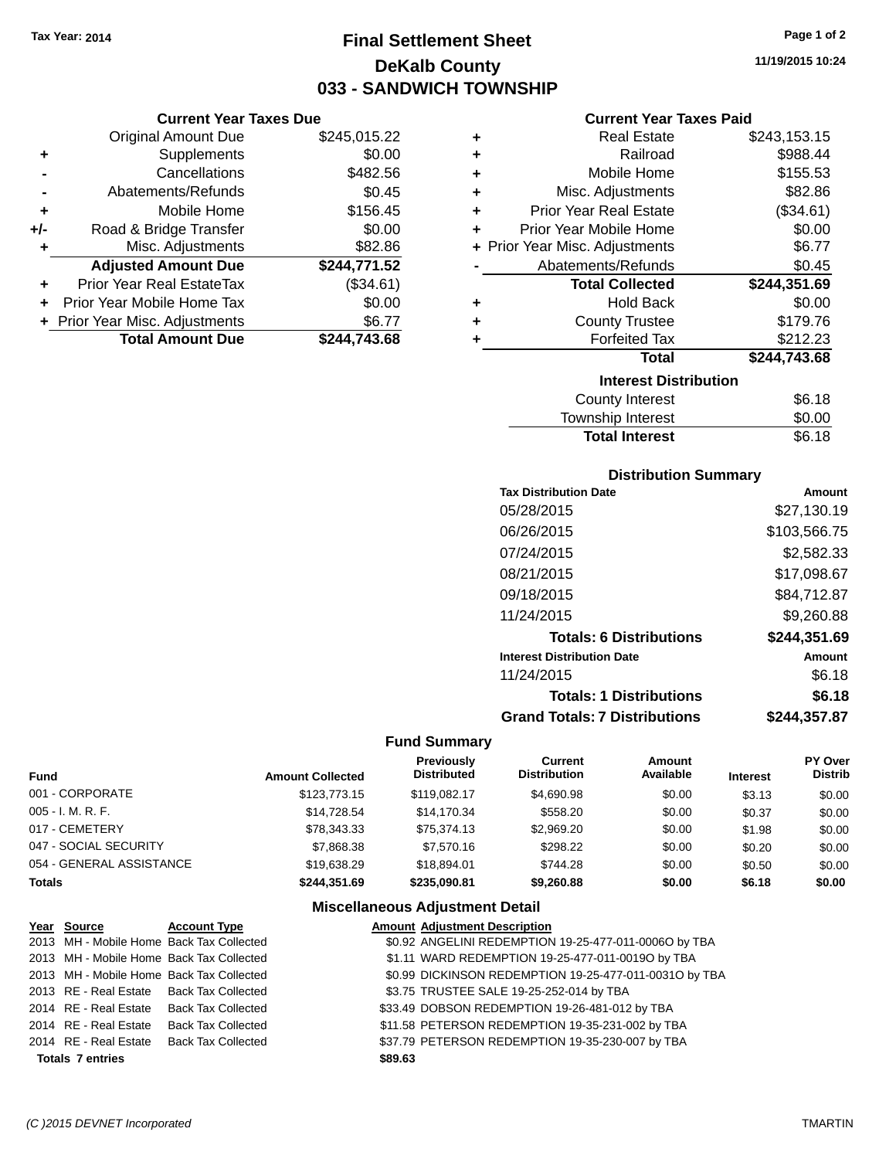# **Final Settlement Sheet Tax Year: 2014 Page 1 of 2 DeKalb County 033 - SANDWICH TOWNSHIP**

**11/19/2015 10:24**

## **Current Year Taxes Paid**

|     | <b>Current Year Taxes Due</b>  |              |            |
|-----|--------------------------------|--------------|------------|
|     | <b>Original Amount Due</b>     | \$245,015.22 | ÷          |
|     | Supplements                    | \$0.00       | ٠          |
|     | Cancellations                  | \$482.56     | ٠          |
|     | Abatements/Refunds             | \$0.45       | ٠          |
|     | Mobile Home                    | \$156.45     | F<br>٠     |
| +/- | Road & Bridge Transfer         | \$0.00       | Pri        |
|     | Misc. Adjustments              | \$82.86      | + Prior Ye |
|     | <b>Adjusted Amount Due</b>     | \$244,771.52 |            |
| ÷   | Prior Year Real EstateTax      | (\$34.61)    |            |
|     | Prior Year Mobile Home Tax     | \$0.00       | ٠          |
|     | + Prior Year Misc. Adjustments | \$6.77       |            |
|     | <b>Total Amount Due</b>        | \$244,743.68 |            |
|     |                                |              |            |

| ٠ | <b>Real Estate</b>             | \$243,153.15 |
|---|--------------------------------|--------------|
| ٠ | Railroad                       | \$988.44     |
| ٠ | Mobile Home                    | \$155.53     |
| ÷ | Misc. Adjustments              | \$82.86      |
| ٠ | <b>Prior Year Real Estate</b>  | (\$34.61)    |
| ÷ | Prior Year Mobile Home         | \$0.00       |
|   | + Prior Year Misc. Adjustments | \$6.77       |
|   | Abatements/Refunds             | \$0.45       |
|   |                                |              |
|   | <b>Total Collected</b>         | \$244,351.69 |
| ٠ | <b>Hold Back</b>               | \$0.00       |
| ÷ | <b>County Trustee</b>          | \$179.76     |
| ٠ | <b>Forfeited Tax</b>           | \$212.23     |
|   | Total                          | \$244,743.68 |
|   | <b>Interest Distribution</b>   |              |
|   | County Interest                | \$6.18       |

## **Distribution Summary**

Total Interest \$6.18

| <b>Tax Distribution Date</b>         | Amount       |
|--------------------------------------|--------------|
| 05/28/2015                           | \$27,130.19  |
| 06/26/2015                           | \$103,566.75 |
| 07/24/2015                           | \$2,582.33   |
| 08/21/2015                           | \$17,098.67  |
| 09/18/2015                           | \$84,712.87  |
| 11/24/2015                           | \$9,260.88   |
| <b>Totals: 6 Distributions</b>       | \$244,351.69 |
| <b>Interest Distribution Date</b>    | Amount       |
| 11/24/2015                           | \$6.18       |
| <b>Totals: 1 Distributions</b>       | \$6.18       |
| <b>Grand Totals: 7 Distributions</b> | \$244.357.87 |

# **Fund Summary**

| <b>Fund</b>              | <b>Amount Collected</b> | <b>Previously</b><br><b>Distributed</b> | <b>Current</b><br><b>Distribution</b> | Amount<br>Available | <b>Interest</b> | PY Over<br><b>Distrib</b> |
|--------------------------|-------------------------|-----------------------------------------|---------------------------------------|---------------------|-----------------|---------------------------|
| 001 - CORPORATE          | \$123,773.15            | \$119.082.17                            | \$4,690.98                            | \$0.00              | \$3.13          | \$0.00                    |
| $005 - I. M. R. F.$      | \$14.728.54             | \$14,170.34                             | \$558.20                              | \$0.00              | \$0.37          | \$0.00                    |
| 017 - CEMETERY           | \$78,343.33             | \$75.374.13                             | \$2,969.20                            | \$0.00              | \$1.98          | \$0.00                    |
| 047 - SOCIAL SECURITY    | \$7,868.38              | \$7.570.16                              | \$298.22                              | \$0.00              | \$0.20          | \$0.00                    |
| 054 - GENERAL ASSISTANCE | \$19.638.29             | \$18,894.01                             | \$744.28                              | \$0.00              | \$0.50          | \$0.00                    |
| <b>Totals</b>            | \$244.351.69            | \$235.090.81                            | \$9,260.88                            | \$0.00              | \$6.18          | \$0.00                    |

|                         | Year Source                              | <b>Account Type</b>       |         | <b>Amount Adjustment Description</b>                   |
|-------------------------|------------------------------------------|---------------------------|---------|--------------------------------------------------------|
|                         | 2013 MH - Mobile Home Back Tax Collected |                           |         | \$0.92 ANGELINI REDEMPTION 19-25-477-011-0006O by TBA  |
|                         | 2013 MH - Mobile Home Back Tax Collected |                           |         | \$1.11 WARD REDEMPTION 19-25-477-011-0019O by TBA      |
|                         | 2013 MH - Mobile Home Back Tax Collected |                           |         | \$0.99 DICKINSON REDEMPTION 19-25-477-011-0031O by TBA |
|                         | 2013 RE - Real Estate Back Tax Collected |                           |         | \$3.75 TRUSTEE SALE 19-25-252-014 by TBA               |
|                         | 2014 RE - Real Estate Back Tax Collected |                           |         | \$33.49 DOBSON REDEMPTION 19-26-481-012 by TBA         |
|                         | 2014 RE - Real Estate                    | <b>Back Tax Collected</b> |         | \$11.58 PETERSON REDEMPTION 19-35-231-002 by TBA       |
|                         | 2014 RE - Real Estate                    | <b>Back Tax Collected</b> |         | \$37.79 PETERSON REDEMPTION 19-35-230-007 by TBA       |
| <b>Totals 7 entries</b> |                                          |                           | \$89.63 |                                                        |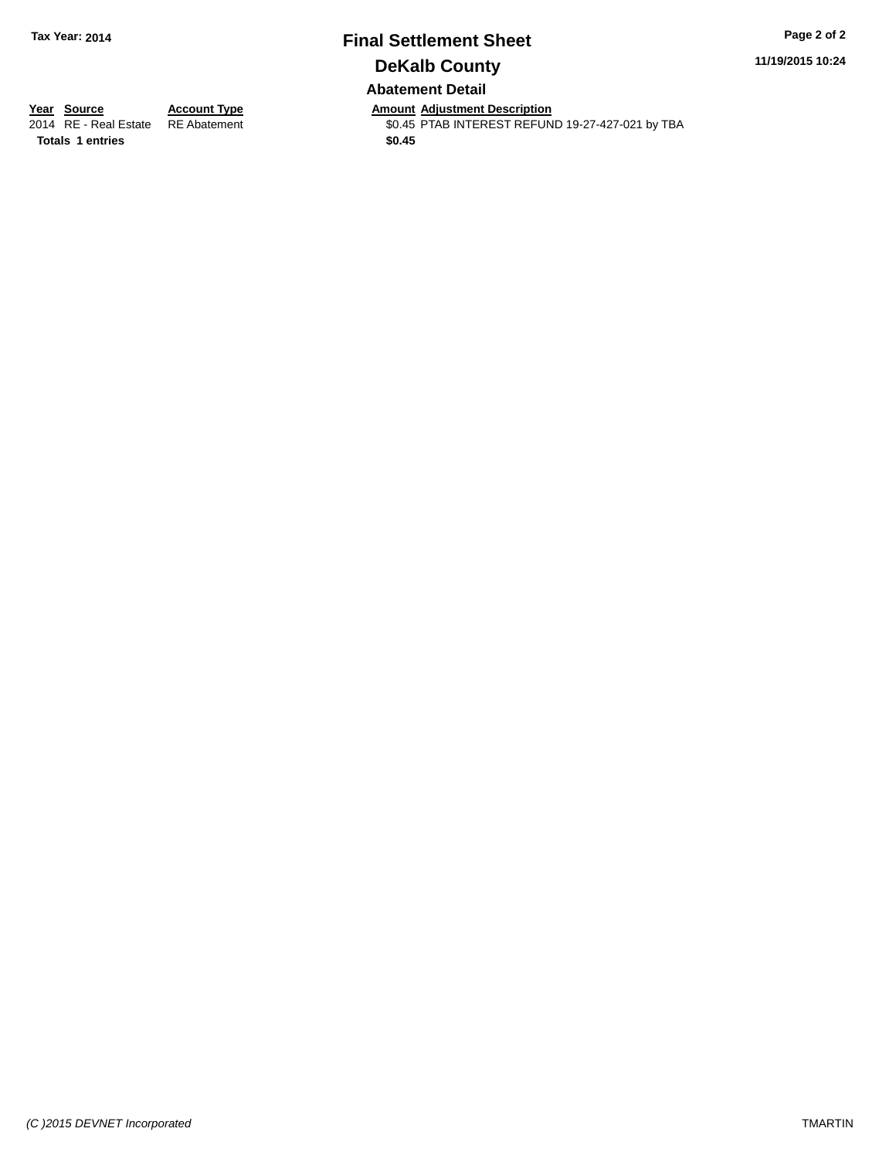# **Final Settlement Sheet Tax Year: 2014 Page 2 of 2 DeKalb County Abatement Detail**

**11/19/2015 10:24**

**Totals \$0.45 1 entries**

**Year Source Account Type And Amount Adjustment Description**<br>2014 RE - Real Estate RE Abatement **Amount Adjustment REFUN** \$0.45 PTAB INTEREST REFUND 19-27-427-021 by TBA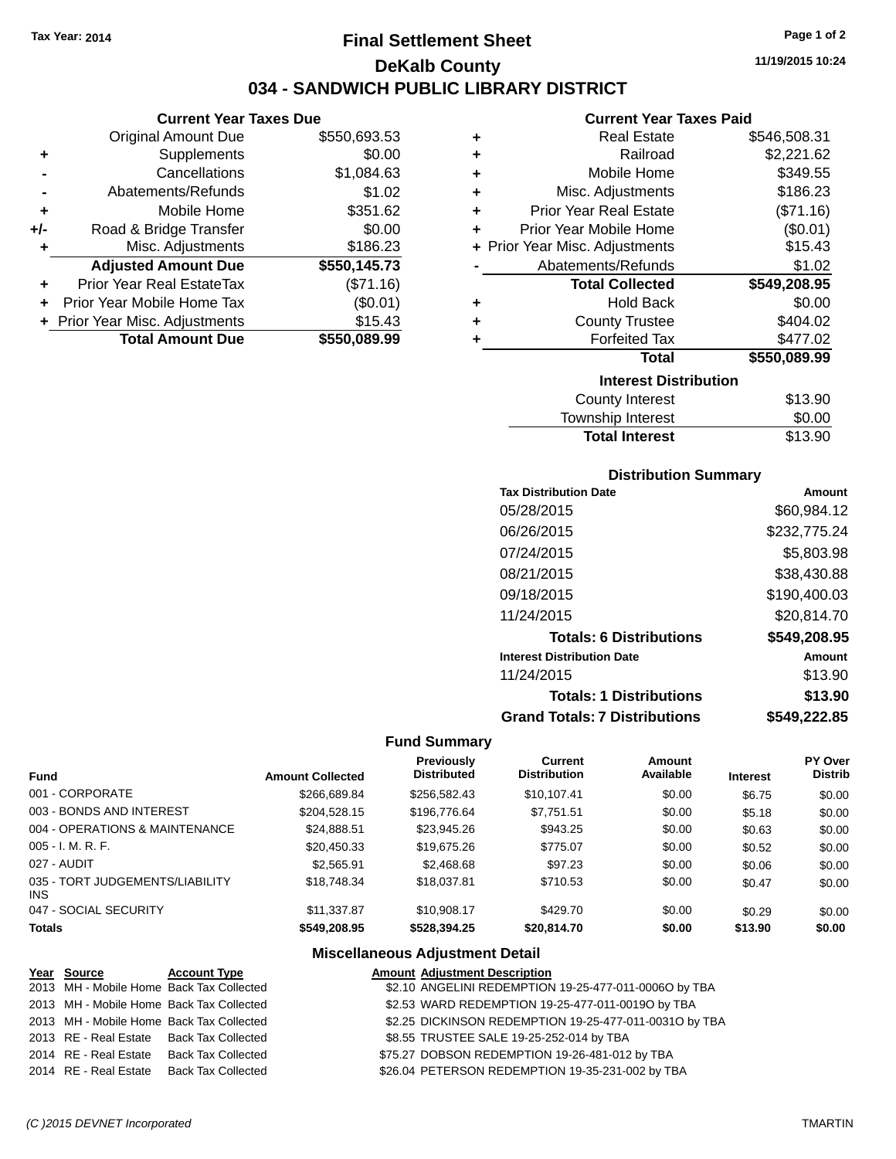**Current Year Taxes Due** Original Amount Due \$550,693.53

**Adjusted Amount Due \$550,145.73**

**Total Amount Due \$550,089.99**

**+** Supplements \$0.00 **-** Cancellations \$1,084.63 **-** Abatements/Refunds \$1.02 **+** Mobile Home \$351.62 **+/-** Road & Bridge Transfer \$0.00 **+** Misc. Adjustments \$186.23

**+** Prior Year Real EstateTax (\$71.16) **+** Prior Year Mobile Home Tax (\$0.01) **+ Prior Year Misc. Adjustments \$15.43** 

# **Final Settlement Sheet Tax Year: 2014 Page 1 of 2 DeKalb County 034 - SANDWICH PUBLIC LIBRARY DISTRICT**

**11/19/2015 10:24**

## **Current Year Taxes Paid**

| ٠ | <b>Real Estate</b>             | \$546,508.31 |
|---|--------------------------------|--------------|
| ٠ | Railroad                       | \$2,221.62   |
| ٠ | Mobile Home                    | \$349.55     |
| ÷ | Misc. Adjustments              | \$186.23     |
| ÷ | <b>Prior Year Real Estate</b>  | (\$71.16)    |
| ٠ | Prior Year Mobile Home         | (\$0.01)     |
|   | + Prior Year Misc. Adjustments | \$15.43      |
|   | Abatements/Refunds             | \$1.02       |
|   | <b>Total Collected</b>         | \$549,208.95 |
| ٠ | <b>Hold Back</b>               | \$0.00       |
| ٠ | <b>County Trustee</b>          | \$404.02     |
| ٠ | <b>Forfeited Tax</b>           | \$477.02     |
|   | <b>Total</b>                   | \$550,089.99 |
|   | <b>Interest Distribution</b>   |              |
|   | <b>County Interest</b>         | \$13.90      |
|   |                                |              |

| <b>Total Interest</b> | \$13.90 |
|-----------------------|---------|
| Township Interest     | \$0.00  |
| County Interest       | \$13.90 |

## **Distribution Summary**

| <b>Tax Distribution Date</b>         | Amount       |
|--------------------------------------|--------------|
| 05/28/2015                           | \$60.984.12  |
| 06/26/2015                           | \$232,775.24 |
| 07/24/2015                           | \$5,803.98   |
| 08/21/2015                           | \$38,430.88  |
| 09/18/2015                           | \$190,400.03 |
| 11/24/2015                           | \$20,814.70  |
| <b>Totals: 6 Distributions</b>       | \$549,208.95 |
| <b>Interest Distribution Date</b>    | Amount       |
| 11/24/2015                           | \$13.90      |
| <b>Totals: 1 Distributions</b>       | \$13.90      |
| <b>Grand Totals: 7 Distributions</b> | \$549.222.85 |

#### **Fund Summary**

| <b>Fund</b>                             | <b>Amount Collected</b> | <b>Previously</b><br><b>Distributed</b> | Current<br><b>Distribution</b> | Amount<br>Available | <b>Interest</b> | PY Over<br><b>Distrib</b> |
|-----------------------------------------|-------------------------|-----------------------------------------|--------------------------------|---------------------|-----------------|---------------------------|
| 001 - CORPORATE                         | \$266.689.84            | \$256,582.43                            | \$10.107.41                    | \$0.00              | \$6.75          | \$0.00                    |
| 003 - BONDS AND INTEREST                | \$204.528.15            | \$196,776,64                            | \$7,751.51                     | \$0.00              | \$5.18          | \$0.00                    |
| 004 - OPERATIONS & MAINTENANCE          | \$24,888.51             | \$23,945.26                             | \$943.25                       | \$0.00              | \$0.63          | \$0.00                    |
| $005 - I. M. R. F.$                     | \$20,450.33             | \$19,675.26                             | \$775.07                       | \$0.00              | \$0.52          | \$0.00                    |
| 027 - AUDIT                             | \$2,565.91              | \$2,468.68                              | \$97.23                        | \$0.00              | \$0.06          | \$0.00                    |
| 035 - TORT JUDGEMENTS/LIABILITY<br>INS. | \$18,748.34             | \$18,037.81                             | \$710.53                       | \$0.00              | \$0.47          | \$0.00                    |
| 047 - SOCIAL SECURITY                   | \$11,337.87             | \$10,908.17                             | \$429.70                       | \$0.00              | \$0.29          | \$0.00                    |
| <b>Totals</b>                           | \$549,208.95            | \$528,394.25                            | \$20,814.70                    | \$0.00              | \$13.90         | \$0.00                    |

| Year Source | <b>Account Type</b>                      | <b>Amount Adjustment Description</b>                   |
|-------------|------------------------------------------|--------------------------------------------------------|
|             | 2013 MH - Mobile Home Back Tax Collected | \$2.10 ANGELINI REDEMPTION 19-25-477-011-0006O by TBA  |
|             | 2013 MH - Mobile Home Back Tax Collected | \$2.53 WARD REDEMPTION 19-25-477-011-0019O by TBA      |
|             | 2013 MH - Mobile Home Back Tax Collected | \$2.25 DICKINSON REDEMPTION 19-25-477-011-0031O by TBA |
|             | 2013 RE - Real Estate Back Tax Collected | \$8.55 TRUSTEE SALE 19-25-252-014 by TBA               |
|             | 2014 RE - Real Estate Back Tax Collected | \$75.27 DOBSON REDEMPTION 19-26-481-012 by TBA         |
|             | 2014 RE - Real Estate Back Tax Collected | \$26.04 PETERSON REDEMPTION 19-35-231-002 by TBA       |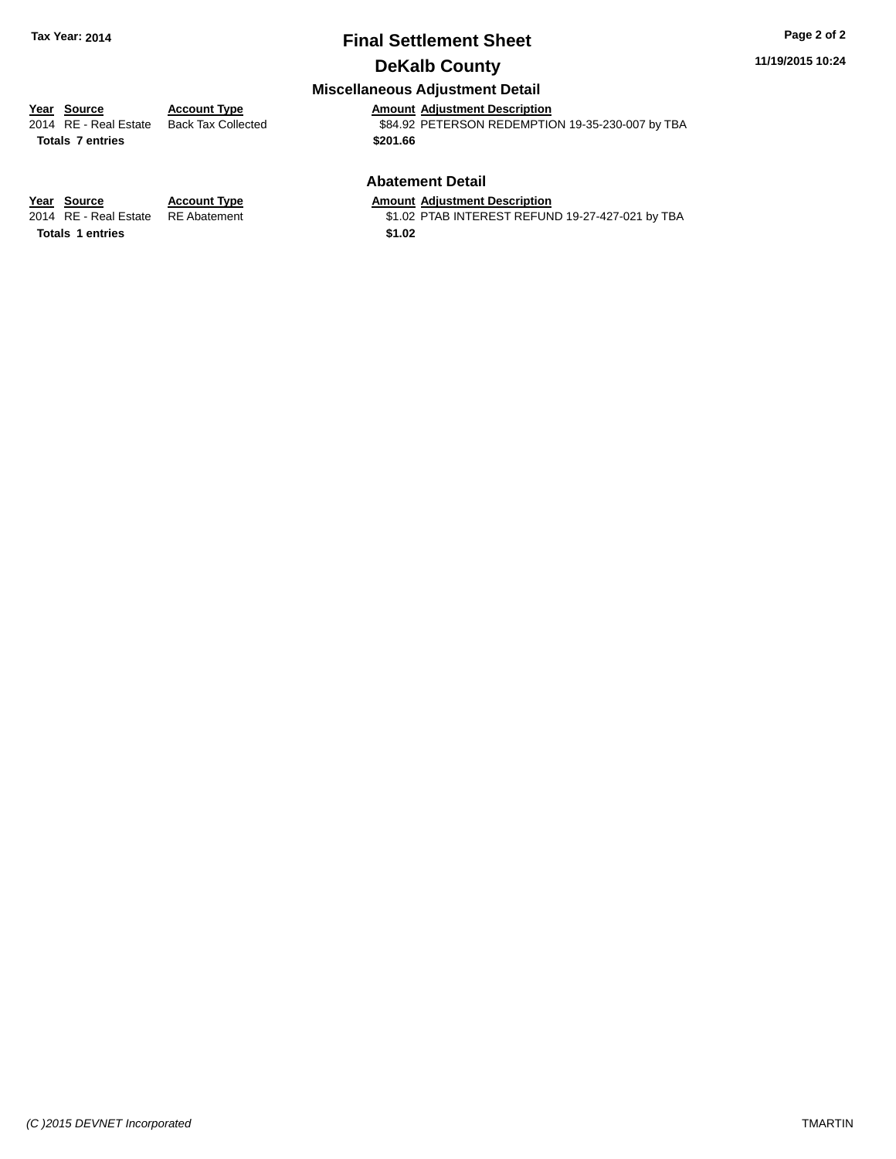# **Final Settlement Sheet Tax Year: 2014 Page 2 of 2**

# **DeKalb County**

## **Miscellaneous Adjustment Detail**

**Totals \$201.66 7 entries**

**Year Source Account Type Amount Adjustment Description** \$84.92 PETERSON REDEMPTION 19-35-230-007 by TBA

### **Abatement Detail**

\$1.02 PTAB INTEREST REFUND 19-27-427-021 by TBA

**Year Source Account Type Amount Adjustment Description**<br>2014 RE - Real Estate RE Abatement \$1.02 PTAB INTEREST REFUN Totals 1 entries \$1.02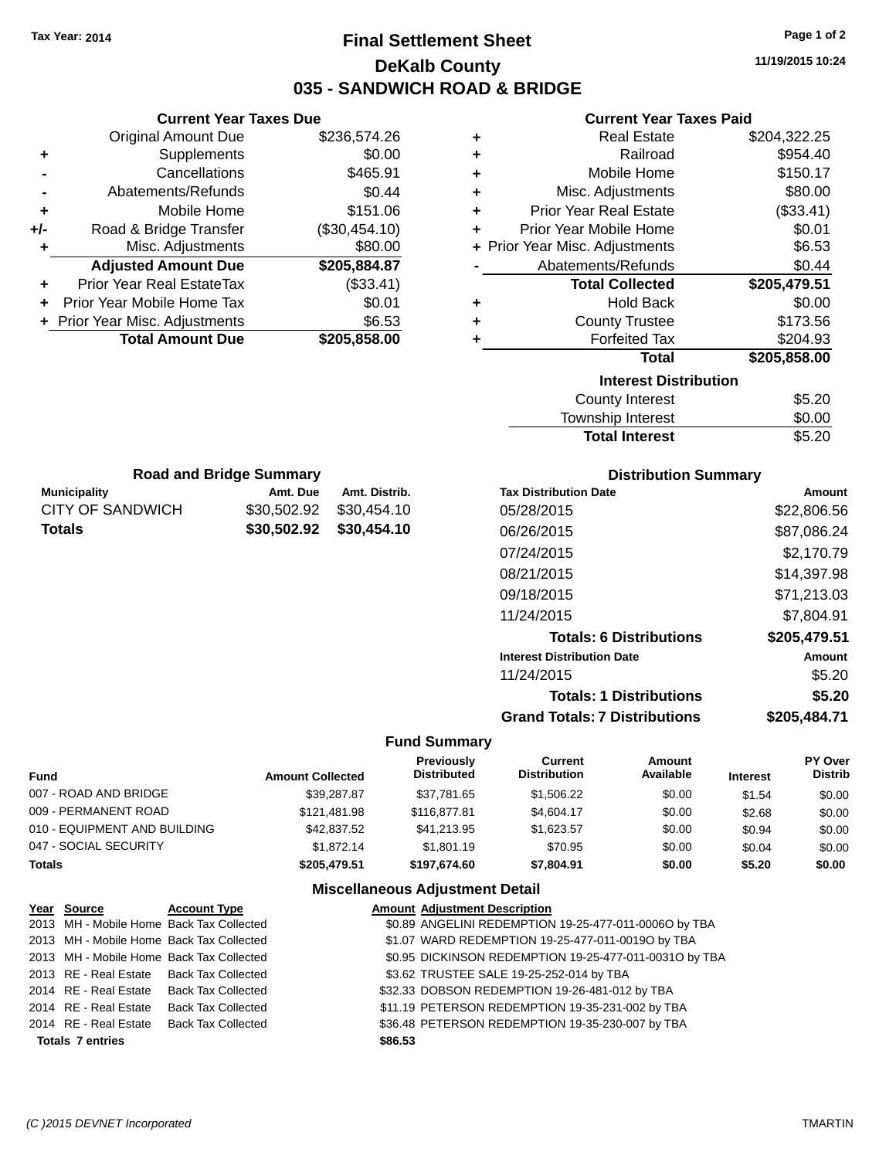# **Final Settlement Sheet Tax Year: 2014 Page 1 of 2 DeKalb County 035 - SANDWICH ROAD & BRIDGE**

**11/19/2015 10:24**

## **Current Year Taxes Paid**

|   | Gullent Ieal Taxes Falu        |              |
|---|--------------------------------|--------------|
| ٠ | <b>Real Estate</b>             | \$204,322.25 |
| ٠ | Railroad                       | \$954.40     |
| ٠ | Mobile Home                    | \$150.17     |
| ÷ | Misc. Adjustments              | \$80.00      |
| ٠ | <b>Prior Year Real Estate</b>  | (\$33.41)    |
|   | Prior Year Mobile Home         | \$0.01       |
|   | + Prior Year Misc. Adjustments | \$6.53       |
|   | Abatements/Refunds             | \$0.44       |
|   | <b>Total Collected</b>         | \$205,479.51 |
| ٠ | <b>Hold Back</b>               | \$0.00       |
| ٠ | <b>County Trustee</b>          | \$173.56     |
| ٠ | <b>Forfeited Tax</b>           | \$204.93     |
|   | <b>Total</b>                   | \$205,858.00 |
|   | <b>Interest Distribution</b>   |              |
|   | <b>County Interest</b>         | \$5.20       |
|   | <b>Township Interest</b>       | \$0.00       |
|   | <b>Total Interest</b>          | \$5.20       |

|                  | <b>Road and Bridge Summary</b> |                         |
|------------------|--------------------------------|-------------------------|
| Municipality     | Amt. Due                       | Amt. Distrib.           |
| CITY OF SANDWICH | \$30,502.92                    | \$30,454.10             |
| Totals           |                                | \$30,502.92 \$30,454.10 |

**Current Year Taxes Due** Original Amount Due \$236,574.26

**Adjusted Amount Due \$205,884.87**

**Total Amount Due \$205,858.00**

**+** Supplements \$0.00 **-** Cancellations \$465.91 **-** Abatements/Refunds \$0.44 **+** Mobile Home \$151.06 **+/-** Road & Bridge Transfer (\$30,454.10) **+** Misc. Adjustments \$80.00

**+** Prior Year Real EstateTax (\$33.41) **+** Prior Year Mobile Home Tax \$0.01 **+ Prior Year Misc. Adjustments**  $$6.53$ 

## **Distribution Summary**

| <b>Tax Distribution Date</b>         | Amount       |
|--------------------------------------|--------------|
| 05/28/2015                           | \$22,806.56  |
| 06/26/2015                           | \$87,086.24  |
| 07/24/2015                           | \$2,170.79   |
| 08/21/2015                           | \$14,397.98  |
| 09/18/2015                           | \$71,213.03  |
| 11/24/2015                           | \$7,804.91   |
| <b>Totals: 6 Distributions</b>       | \$205,479.51 |
| <b>Interest Distribution Date</b>    | Amount       |
| 11/24/2015                           | \$5.20       |
| <b>Totals: 1 Distributions</b>       | \$5.20       |
| <b>Grand Totals: 7 Distributions</b> | \$205,484.71 |

#### **Fund Summary**

| Fund                         | <b>Amount Collected</b> | Previously<br><b>Distributed</b> | <b>Current</b><br><b>Distribution</b> | Amount<br>Available | <b>Interest</b> | PY Over<br><b>Distrib</b> |
|------------------------------|-------------------------|----------------------------------|---------------------------------------|---------------------|-----------------|---------------------------|
| 007 - ROAD AND BRIDGE        | \$39,287.87             | \$37.781.65                      | \$1,506.22                            | \$0.00              | \$1.54          | \$0.00                    |
| 009 - PERMANENT ROAD         | \$121.481.98            | \$116,877.81                     | \$4,604.17                            | \$0.00              | \$2.68          | \$0.00                    |
| 010 - EQUIPMENT AND BUILDING | \$42,837.52             | \$41.213.95                      | \$1.623.57                            | \$0.00              | \$0.94          | \$0.00                    |
| 047 - SOCIAL SECURITY        | \$1,872.14              | \$1,801.19                       | \$70.95                               | \$0.00              | \$0.04          | \$0.00                    |
| Totals                       | \$205,479.51            | \$197.674.60                     | \$7,804.91                            | \$0.00              | \$5.20          | \$0.00                    |

| Year Source             | <b>Account Type</b>                      |         | <b>Amount Adjustment Description</b>                   |
|-------------------------|------------------------------------------|---------|--------------------------------------------------------|
|                         | 2013 MH - Mobile Home Back Tax Collected |         | \$0.89 ANGELINI REDEMPTION 19-25-477-011-0006O by TBA  |
|                         | 2013 MH - Mobile Home Back Tax Collected |         | \$1.07 WARD REDEMPTION 19-25-477-011-0019O by TBA      |
|                         | 2013 MH - Mobile Home Back Tax Collected |         | \$0.95 DICKINSON REDEMPTION 19-25-477-011-00310 by TBA |
|                         | 2013 RE - Real Estate Back Tax Collected |         | \$3.62 TRUSTEE SALE 19-25-252-014 by TBA               |
|                         | 2014 RE - Real Estate Back Tax Collected |         | \$32.33 DOBSON REDEMPTION 19-26-481-012 by TBA         |
|                         | 2014 RE - Real Estate Back Tax Collected |         | \$11.19 PETERSON REDEMPTION 19-35-231-002 by TBA       |
|                         | 2014 RE - Real Estate Back Tax Collected |         | \$36.48 PETERSON REDEMPTION 19-35-230-007 by TBA       |
| <b>Totals 7 entries</b> |                                          | \$86.53 |                                                        |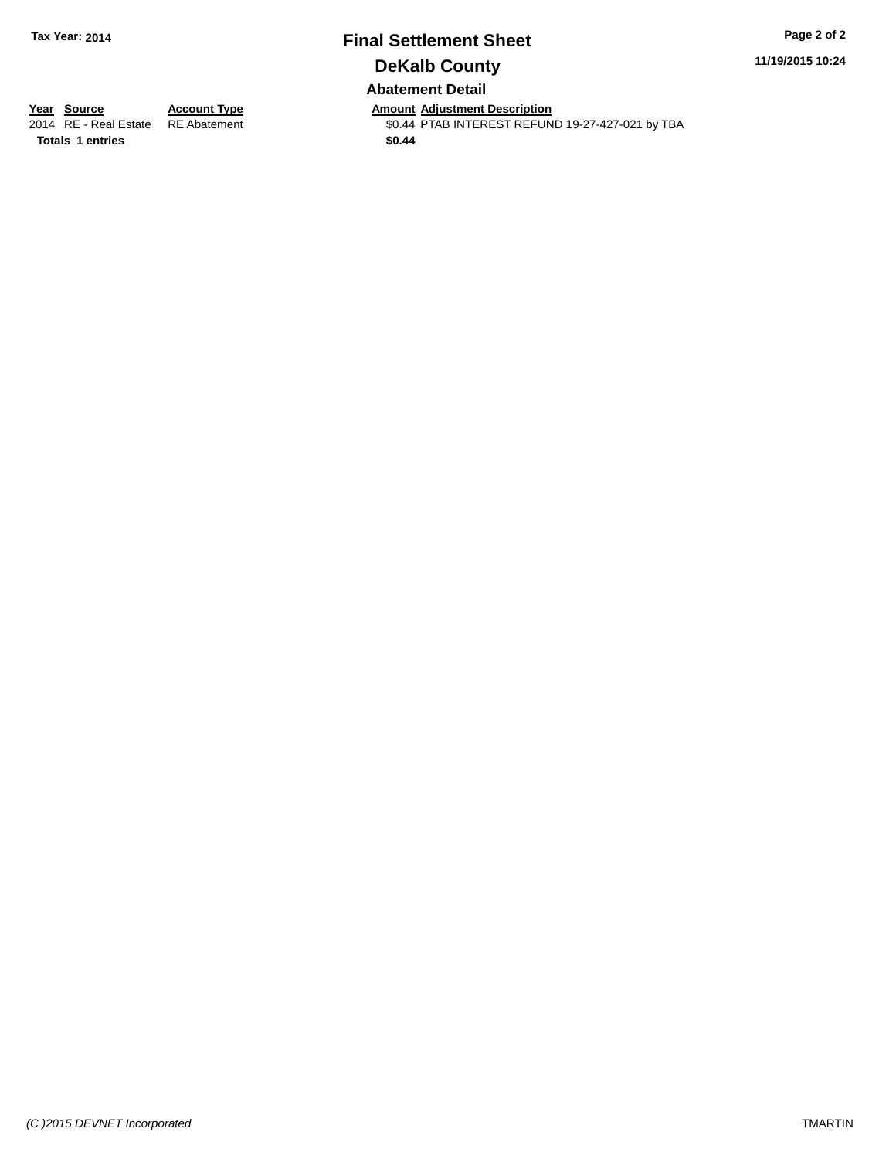# **Final Settlement Sheet Tax Year: 2014 Page 2 of 2 DeKalb County Abatement Detail**

**11/19/2015 10:24**

**Totals \$0.44 1 entries**

**Year Source Account Type Anneunt Adjustment Description**<br>2014 RE - Real Estate RE Abatement **Amount Adjustment REFUN** \$0.44 PTAB INTEREST REFUND 19-27-427-021 by TBA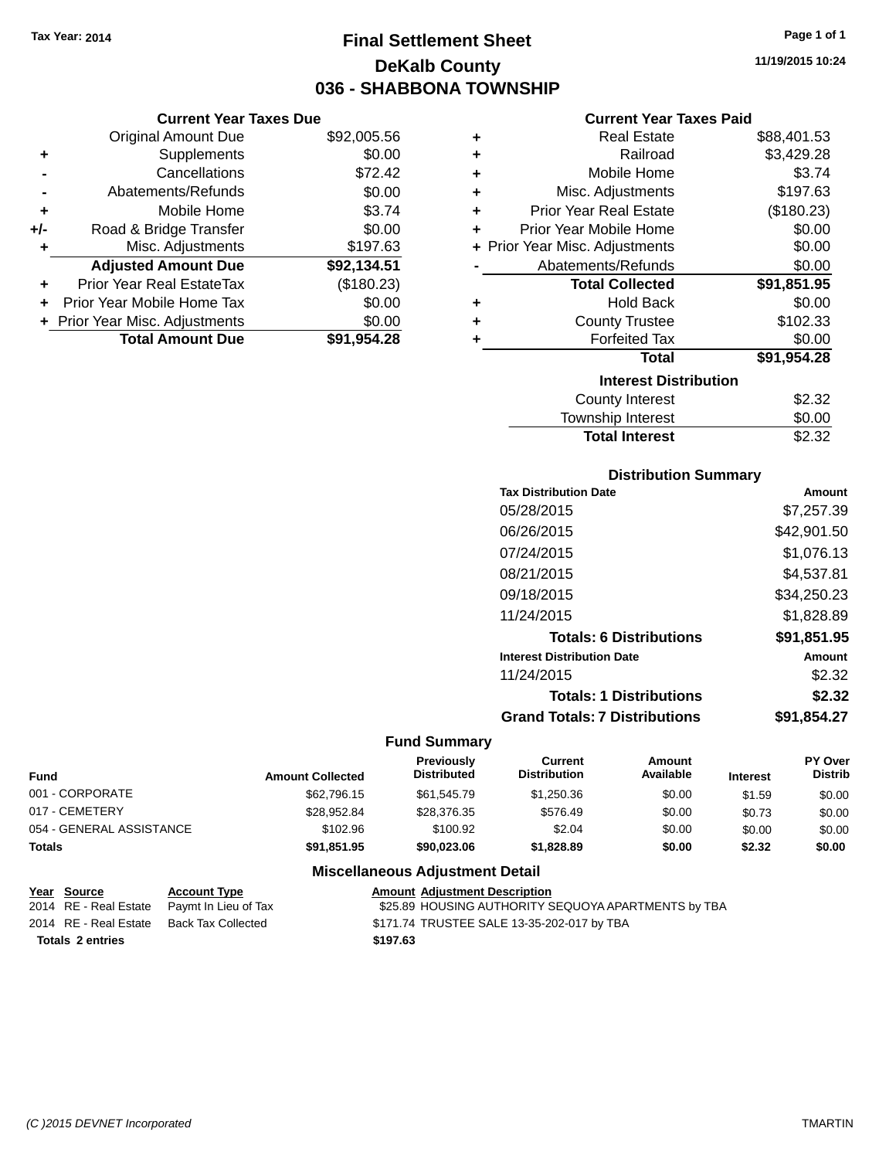# **Final Settlement Sheet Tax Year: 2014 Page 1 of 1 DeKalb County 036 - SHABBONA TOWNSHIP**

**11/19/2015 10:24**

## **Current Year Taxes Paid**

|     | <b>Current Year Taxes Due</b>  |             |  |  |  |
|-----|--------------------------------|-------------|--|--|--|
|     | <b>Original Amount Due</b>     | \$92,005.56 |  |  |  |
| ٠   | Supplements                    | \$0.00      |  |  |  |
|     | Cancellations                  | \$72.42     |  |  |  |
|     | Abatements/Refunds             | \$0.00      |  |  |  |
| ٠   | Mobile Home                    | \$3.74      |  |  |  |
| +/- | Road & Bridge Transfer         | \$0.00      |  |  |  |
| ٠   | Misc. Adjustments              | \$197.63    |  |  |  |
|     | <b>Adjusted Amount Due</b>     | \$92,134.51 |  |  |  |
| ٠   | Prior Year Real EstateTax      | (\$180.23)  |  |  |  |
| ÷   | Prior Year Mobile Home Tax     | \$0.00      |  |  |  |
|     | + Prior Year Misc. Adjustments | \$0.00      |  |  |  |
|     | <b>Total Amount Due</b>        | \$91.954.28 |  |  |  |

| ٠ | <b>Real Estate</b>             | \$88,401.53 |
|---|--------------------------------|-------------|
| ٠ | Railroad                       | \$3,429.28  |
| ٠ | Mobile Home                    | \$3.74      |
| ٠ | Misc. Adjustments              | \$197.63    |
| ٠ | <b>Prior Year Real Estate</b>  | (\$180.23)  |
| ٠ | Prior Year Mobile Home         | \$0.00      |
|   | + Prior Year Misc. Adjustments | \$0.00      |
|   | Abatements/Refunds             | \$0.00      |
|   | <b>Total Collected</b>         | \$91,851.95 |
| ٠ | Hold Back                      | \$0.00      |
| ٠ | <b>County Trustee</b>          | \$102.33    |
| ٠ | <b>Forfeited Tax</b>           | \$0.00      |
|   | <b>Total</b>                   | \$91,954.28 |
|   | <b>Interest Distribution</b>   |             |
|   | <b>County Interest</b>         | \$2.32      |
|   | Township Interest              | \$0.00      |
|   | <b>Total Interest</b>          | \$2.32      |

# **Distribution Summary**

| <b>Tax Distribution Date</b>         | Amount      |
|--------------------------------------|-------------|
| 05/28/2015                           | \$7,257.39  |
| 06/26/2015                           | \$42,901.50 |
| 07/24/2015                           | \$1,076.13  |
| 08/21/2015                           | \$4,537.81  |
| 09/18/2015                           | \$34,250.23 |
| 11/24/2015                           | \$1,828.89  |
| <b>Totals: 6 Distributions</b>       | \$91,851.95 |
| <b>Interest Distribution Date</b>    | Amount      |
| 11/24/2015                           | \$2.32      |
| <b>Totals: 1 Distributions</b>       | \$2.32      |
| <b>Grand Totals: 7 Distributions</b> | \$91.854.27 |

# **Fund Summary**

| <b>Fund</b>              | <b>Amount Collected</b> | <b>Previously</b><br><b>Distributed</b> | Current<br><b>Distribution</b> | Amount<br>Available | <b>Interest</b> | <b>PY Over</b><br><b>Distrib</b> |
|--------------------------|-------------------------|-----------------------------------------|--------------------------------|---------------------|-----------------|----------------------------------|
| 001 - CORPORATE          | \$62,796.15             | \$61,545.79                             | \$1,250.36                     | \$0.00              | \$1.59          | \$0.00                           |
| 017 - CEMETERY           | \$28.952.84             | \$28,376,35                             | \$576.49                       | \$0.00              | \$0.73          | \$0.00                           |
| 054 - GENERAL ASSISTANCE | \$102.96                | \$100.92                                | \$2.04                         | \$0.00              | \$0.00          | \$0.00                           |
| <b>Totals</b>            | \$91,851.95             | \$90,023.06                             | \$1,828.89                     | \$0.00              | \$2.32          | \$0.00                           |

| <u>Year Source</u>      | <b>Account Type</b>  | <b>Amount Adiustment Description</b>                |
|-------------------------|----------------------|-----------------------------------------------------|
| 2014 RE - Real Estate   | Pavmt In Lieu of Tax | \$25.89 HOUSING AUTHORITY SEQUOYA APARTMENTS by TBA |
| 2014 RE - Real Estate   | Back Tax Collected   | \$171.74 TRUSTEE SALE 13-35-202-017 by TBA          |
| <b>Totals 2 entries</b> |                      | \$197.63                                            |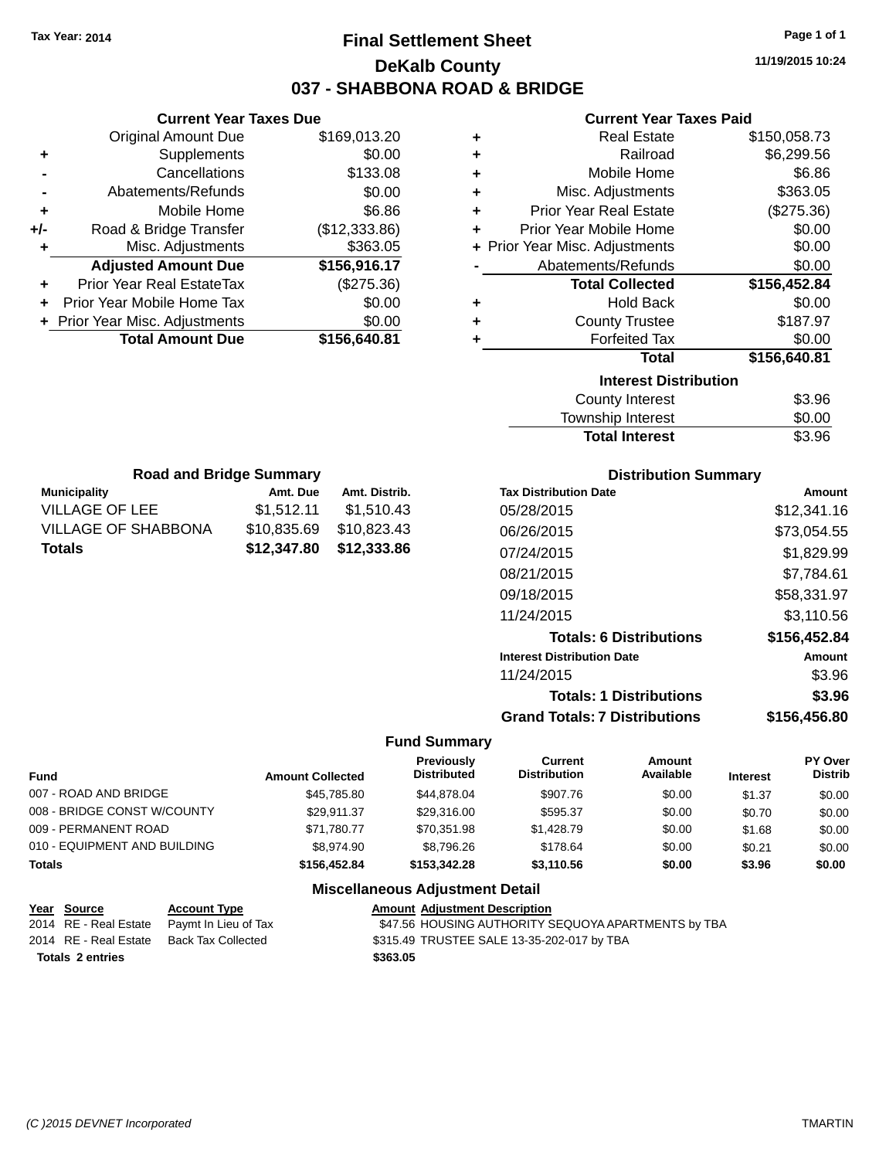# **Final Settlement Sheet Tax Year: 2014 Page 1 of 1 DeKalb County 037 - SHABBONA ROAD & BRIDGE**

**11/19/2015 10:24**

#### **Current Year Taxes Paid**

|     | <b>Current Year Taxes Due</b>  |               |   |
|-----|--------------------------------|---------------|---|
|     | <b>Original Amount Due</b>     | \$169,013.20  |   |
| ٠   | Supplements                    | \$0.00        |   |
|     | Cancellations                  | \$133.08      |   |
|     | Abatements/Refunds             | \$0.00        | ÷ |
|     | Mobile Home                    | \$6.86        | ٠ |
| +/- | Road & Bridge Transfer         | (\$12,333.86) |   |
|     | Misc. Adjustments              | \$363.05      |   |
|     | <b>Adjusted Amount Due</b>     | \$156,916.17  |   |
|     | Prior Year Real EstateTax      | (\$275.36)    |   |
|     | Prior Year Mobile Home Tax     | \$0.00        |   |
|     | + Prior Year Misc. Adjustments | \$0.00        |   |
|     | <b>Total Amount Due</b>        | \$156,640.81  |   |
|     |                                |               |   |

**Municipality Municipality** Amt. Due Amt. Distrib. **Road and Bridge Summary**

VILLAGE OF LEE \$1,512.11 \$1,510.43 VILLAGE OF SHABBONA \$10,835.69 \$10,823.43 **Totals \$12,347.80 \$12,333.86**

| ٠ | <b>Real Estate</b>             | \$150,058.73 |
|---|--------------------------------|--------------|
| ٠ | Railroad                       | \$6,299.56   |
| ÷ | Mobile Home                    | \$6.86       |
| ٠ | Misc. Adjustments              | \$363.05     |
| ٠ | <b>Prior Year Real Estate</b>  | (\$275.36)   |
| ÷ | Prior Year Mobile Home         | \$0.00       |
|   | + Prior Year Misc. Adjustments | \$0.00       |
|   | Abatements/Refunds             | \$0.00       |
|   |                                |              |
|   | <b>Total Collected</b>         | \$156,452.84 |
| ٠ | Hold Back                      | \$0.00       |
| ٠ | <b>County Trustee</b>          | \$187.97     |
| ٠ | <b>Forfeited Tax</b>           | \$0.00       |
|   | <b>Total</b>                   | \$156,640.81 |
|   | <b>Interest Distribution</b>   |              |
|   | <b>County Interest</b>         | \$3.96       |

| 191110111011101001    | vv.vv  |
|-----------------------|--------|
| <b>Total Interest</b> | \$3.96 |
|                       |        |

| <b>Distribution Summary</b>          |              |
|--------------------------------------|--------------|
| <b>Tax Distribution Date</b>         | Amount       |
| 05/28/2015                           | \$12,341.16  |
| 06/26/2015                           | \$73,054.55  |
| 07/24/2015                           | \$1,829.99   |
| 08/21/2015                           | \$7,784.61   |
| 09/18/2015                           | \$58.331.97  |
| 11/24/2015                           | \$3.110.56   |
| <b>Totals: 6 Distributions</b>       | \$156,452.84 |
| <b>Interest Distribution Date</b>    | Amount       |
| 11/24/2015                           | \$3.96       |
| <b>Totals: 1 Distributions</b>       | \$3.96       |
| <b>Grand Totals: 7 Distributions</b> | \$156.456.80 |

#### **Fund Summary**

| Fund                         | <b>Amount Collected</b> | Previously<br><b>Distributed</b> | Current<br><b>Distribution</b> | Amount<br>Available | <b>Interest</b> | PY Over<br><b>Distrib</b> |
|------------------------------|-------------------------|----------------------------------|--------------------------------|---------------------|-----------------|---------------------------|
| 007 - ROAD AND BRIDGE        | \$45,785.80             | \$44.878.04                      | \$907.76                       | \$0.00              | \$1.37          | \$0.00                    |
| 008 - BRIDGE CONST W/COUNTY  | \$29.911.37             | \$29,316,00                      | \$595.37                       | \$0.00              | \$0.70          | \$0.00                    |
| 009 - PERMANENT ROAD         | \$71.780.77             | \$70.351.98                      | \$1.428.79                     | \$0.00              | \$1.68          | \$0.00                    |
| 010 - EQUIPMENT AND BUILDING | \$8,974.90              | \$8.796.26                       | \$178.64                       | \$0.00              | \$0.21          | \$0.00                    |
| Totals                       | \$156,452.84            | \$153,342,28                     | \$3,110.56                     | \$0.00              | \$3.96          | \$0.00                    |
|                              |                         | Miccollangous Adiustmant Datail  |                                |                     |                 |                           |

| Year Source             | <b>Account Type</b>  | <b>Amount Adiustment Description</b>                |
|-------------------------|----------------------|-----------------------------------------------------|
| 2014 RE - Real Estate   | Pavmt In Lieu of Tax | \$47.56 HOUSING AUTHORITY SEQUOYA APARTMENTS by TBA |
| 2014 RE - Real Estate   | Back Tax Collected   | \$315.49 TRUSTEE SALE 13-35-202-017 by TBA          |
| <b>Totals 2 entries</b> |                      | \$363.05                                            |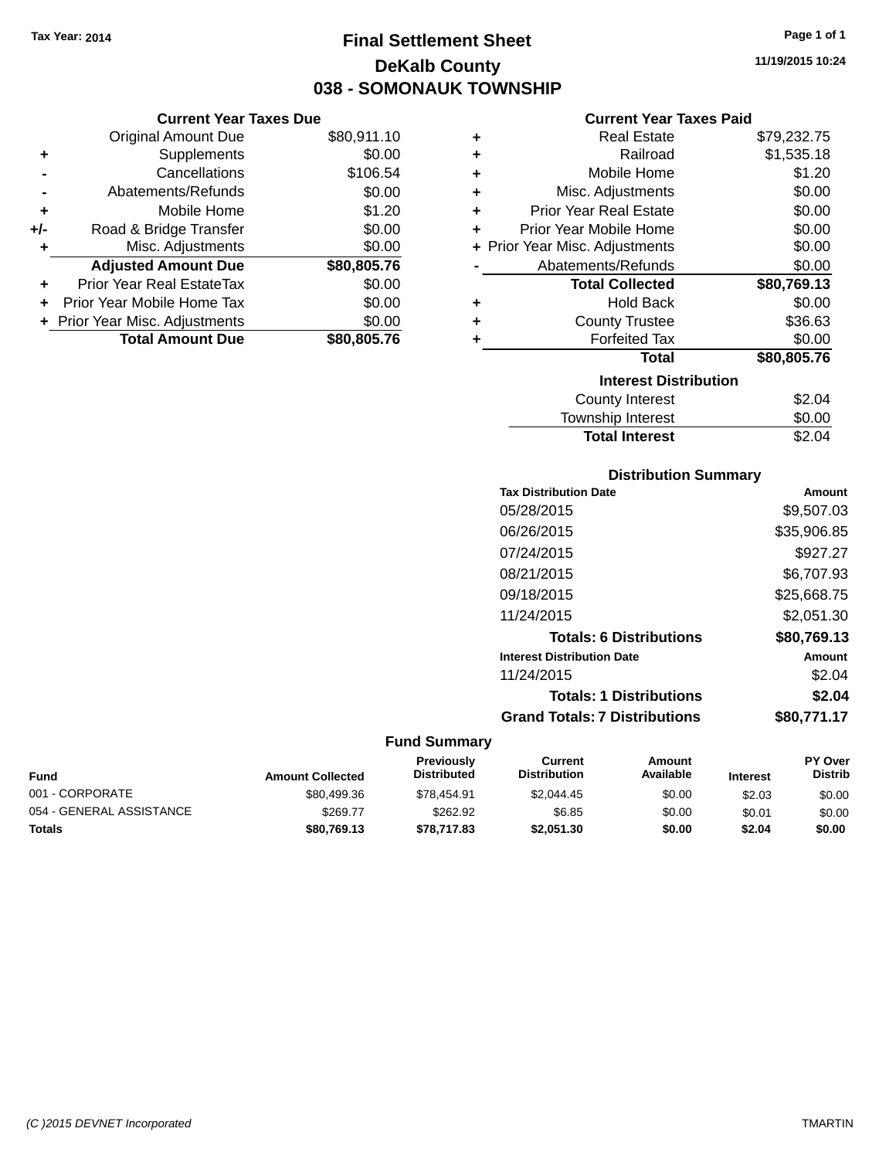**Current Year Taxes Due** Original Amount Due \$80,911.10

**Adjusted Amount Due \$80,805.76**

**Total Amount Due \$80,805.76**

**+** Supplements \$0.00 **-** Cancellations \$106.54 **-** Abatements/Refunds \$0.00 **+** Mobile Home \$1.20 **+/-** Road & Bridge Transfer \$0.00 **+** Misc. Adjustments \$0.00

**+** Prior Year Real EstateTax \$0.00 **+** Prior Year Mobile Home Tax \$0.00 **+ Prior Year Misc. Adjustments**  $$0.00$ 

# **Final Settlement Sheet Tax Year: 2014 Page 1 of 1 DeKalb County 038 - SOMONAUK TOWNSHIP**

**11/19/2015 10:24**

#### **Current Year Taxes Paid**

| ٠ | <b>Real Estate</b>             | \$79,232.75 |
|---|--------------------------------|-------------|
| ٠ | Railroad                       | \$1,535.18  |
| ÷ | Mobile Home                    | \$1.20      |
| ÷ | Misc. Adjustments              | \$0.00      |
| ÷ | <b>Prior Year Real Estate</b>  | \$0.00      |
| ÷ | Prior Year Mobile Home         | \$0.00      |
|   | + Prior Year Misc. Adjustments | \$0.00      |
|   | Abatements/Refunds             | \$0.00      |
|   | <b>Total Collected</b>         | \$80,769.13 |
| ÷ | <b>Hold Back</b>               | \$0.00      |
| ÷ | <b>County Trustee</b>          | \$36.63     |
| ÷ | <b>Forfeited Tax</b>           | \$0.00      |
|   | <b>Total</b>                   | \$80,805.76 |
|   | <b>Interest Distribution</b>   |             |
|   | <b>County Interest</b>         | \$2.04      |
|   | <b>Township Interest</b>       | \$0.00      |

| <b>Total Interest</b>        | \$2.04 |
|------------------------------|--------|
| <b>Distribution Summary</b>  |        |
| <b>Tax Distribution Date</b> | Amount |

| 05/28/2015                           | \$9,507.03  |
|--------------------------------------|-------------|
| 06/26/2015                           | \$35,906.85 |
| 07/24/2015                           | \$927.27    |
| 08/21/2015                           | \$6,707.93  |
| 09/18/2015                           | \$25,668.75 |
| 11/24/2015                           | \$2,051.30  |
| <b>Totals: 6 Distributions</b>       | \$80,769.13 |
| <b>Interest Distribution Date</b>    | Amount      |
| 11/24/2015                           | \$2.04      |
| <b>Totals: 1 Distributions</b>       | \$2.04      |
| <b>Grand Totals: 7 Distributions</b> | \$80,771.17 |
|                                      |             |

| Fund                     | <b>Amount Collected</b> | <b>Previously</b><br><b>Distributed</b> | Current<br><b>Distribution</b> | Amount<br>Available | <b>Interest</b> | <b>PY Over</b><br><b>Distrib</b> |
|--------------------------|-------------------------|-----------------------------------------|--------------------------------|---------------------|-----------------|----------------------------------|
| 001 - CORPORATE          | \$80,499.36             | \$78.454.91                             | \$2,044.45                     | \$0.00              | \$2.03          | \$0.00                           |
| 054 - GENERAL ASSISTANCE | \$269.77                | \$262.92                                | \$6.85                         | \$0.00              | \$0.01          | \$0.00                           |
| <b>Totals</b>            | \$80,769.13             | \$78,717.83                             | \$2,051.30                     | \$0.00              | \$2.04          | \$0.00                           |

| ァし            |  |  |
|---------------|--|--|
|               |  |  |
|               |  |  |
|               |  |  |
| $\sim$ $\sim$ |  |  |

| <b>Interest</b> |  |
|-----------------|--|
|                 |  |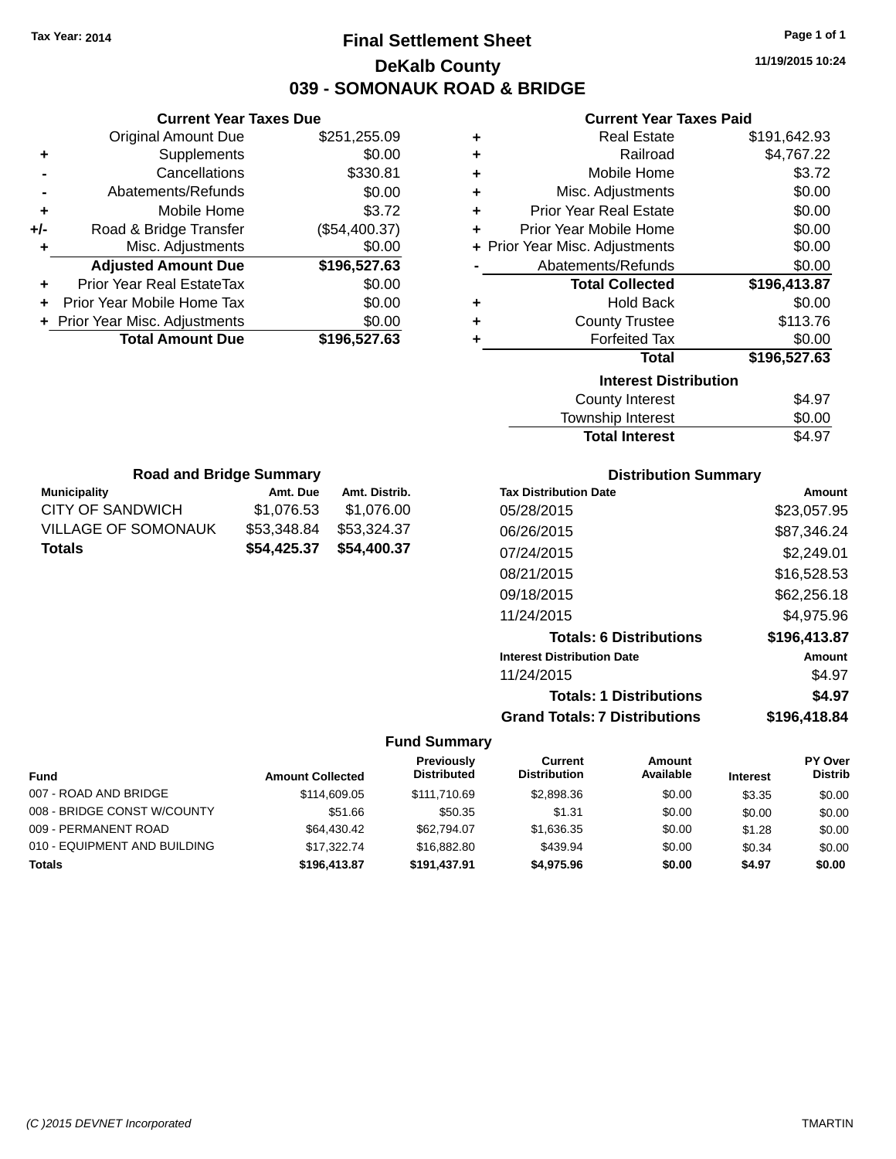# **Final Settlement Sheet Tax Year: 2014 Page 1 of 1 DeKalb County 039 - SOMONAUK ROAD & BRIDGE**

**11/19/2015 10:24**

## **Current Year Taxes Paid**

|     | <b>Current Year Taxes Due</b>  |               |  |
|-----|--------------------------------|---------------|--|
|     | <b>Original Amount Due</b>     | \$251,255.09  |  |
| ٠   | Supplements                    | \$0.00        |  |
|     | Cancellations                  | \$330.81      |  |
|     | Abatements/Refunds             | \$0.00        |  |
| ٠   | Mobile Home                    | \$3.72        |  |
| +/- | Road & Bridge Transfer         | (\$54,400.37) |  |
| ٠   | Misc. Adjustments              | \$0.00        |  |
|     | <b>Adjusted Amount Due</b>     | \$196,527.63  |  |
|     | Prior Year Real EstateTax      | \$0.00        |  |
|     | Prior Year Mobile Home Tax     | \$0.00        |  |
|     | + Prior Year Misc. Adjustments | \$0.00        |  |
|     | <b>Total Amount Due</b>        | \$196,527.63  |  |
|     |                                |               |  |

| ٠ | <b>Real Estate</b>             | \$191,642.93 |
|---|--------------------------------|--------------|
| ÷ | Railroad                       | \$4,767.22   |
| ٠ | Mobile Home                    | \$3.72       |
| ٠ | Misc. Adjustments              | \$0.00       |
| ÷ | <b>Prior Year Real Estate</b>  | \$0.00       |
| ٠ | Prior Year Mobile Home         | \$0.00       |
|   | + Prior Year Misc. Adjustments | \$0.00       |
|   | Abatements/Refunds             | \$0.00       |
|   | <b>Total Collected</b>         | \$196,413.87 |
|   |                                |              |
| ٠ | Hold Back                      | \$0.00       |
| ٠ | <b>County Trustee</b>          | \$113.76     |
| ٠ | <b>Forfeited Tax</b>           | \$0.00       |
|   | <b>Total</b>                   | \$196,527.63 |
|   | <b>Interest Distribution</b>   |              |
|   | County Interest                | \$4.97       |

| <b>Total Interest</b> | \$4.97 |
|-----------------------|--------|
| Township Interest     | \$0.00 |
| County Interest       | \$4.97 |

| <b>Road and Bridge Summary</b> |             |               |  |  |
|--------------------------------|-------------|---------------|--|--|
| <b>Municipality</b>            | Amt. Due    | Amt. Distrib. |  |  |
| CITY OF SANDWICH               | \$1,076.53  | \$1,076.00    |  |  |
| VILLAGE OF SOMONAUK            | \$53,348.84 | \$53,324.37   |  |  |
| <b>Totals</b>                  | \$54,425.37 | \$54,400.37   |  |  |

# **Distribution Summary**

| <b>Tax Distribution Date</b>         | Amount       |
|--------------------------------------|--------------|
| 05/28/2015                           | \$23.057.95  |
| 06/26/2015                           | \$87,346.24  |
| 07/24/2015                           | \$2,249.01   |
| 08/21/2015                           | \$16,528.53  |
| 09/18/2015                           | \$62,256.18  |
| 11/24/2015                           | \$4,975.96   |
| <b>Totals: 6 Distributions</b>       | \$196,413.87 |
| <b>Interest Distribution Date</b>    | Amount       |
| 11/24/2015                           | \$4.97       |
| <b>Totals: 1 Distributions</b>       | \$4.97       |
| <b>Grand Totals: 7 Distributions</b> | \$196.418.84 |

| <b>Fund</b>                  | <b>Amount Collected</b> | Previously<br><b>Distributed</b> | Current<br><b>Distribution</b> | Amount<br>Available | <b>Interest</b> | <b>PY Over</b><br><b>Distrib</b> |
|------------------------------|-------------------------|----------------------------------|--------------------------------|---------------------|-----------------|----------------------------------|
| 007 - ROAD AND BRIDGE        | \$114,609.05            | \$111.710.69                     | \$2,898.36                     | \$0.00              | \$3.35          | \$0.00                           |
| 008 - BRIDGE CONST W/COUNTY  | \$51.66                 | \$50.35                          | \$1.31                         | \$0.00              | \$0.00          | \$0.00                           |
| 009 - PERMANENT ROAD         | \$64.430.42             | \$62,794.07                      | \$1.636.35                     | \$0.00              | \$1.28          | \$0.00                           |
| 010 - EQUIPMENT AND BUILDING | \$17,322,74             | \$16,882,80                      | \$439.94                       | \$0.00              | \$0.34          | \$0.00                           |
| <b>Totals</b>                | \$196,413.87            | \$191.437.91                     | \$4.975.96                     | \$0.00              | \$4.97          | \$0.00                           |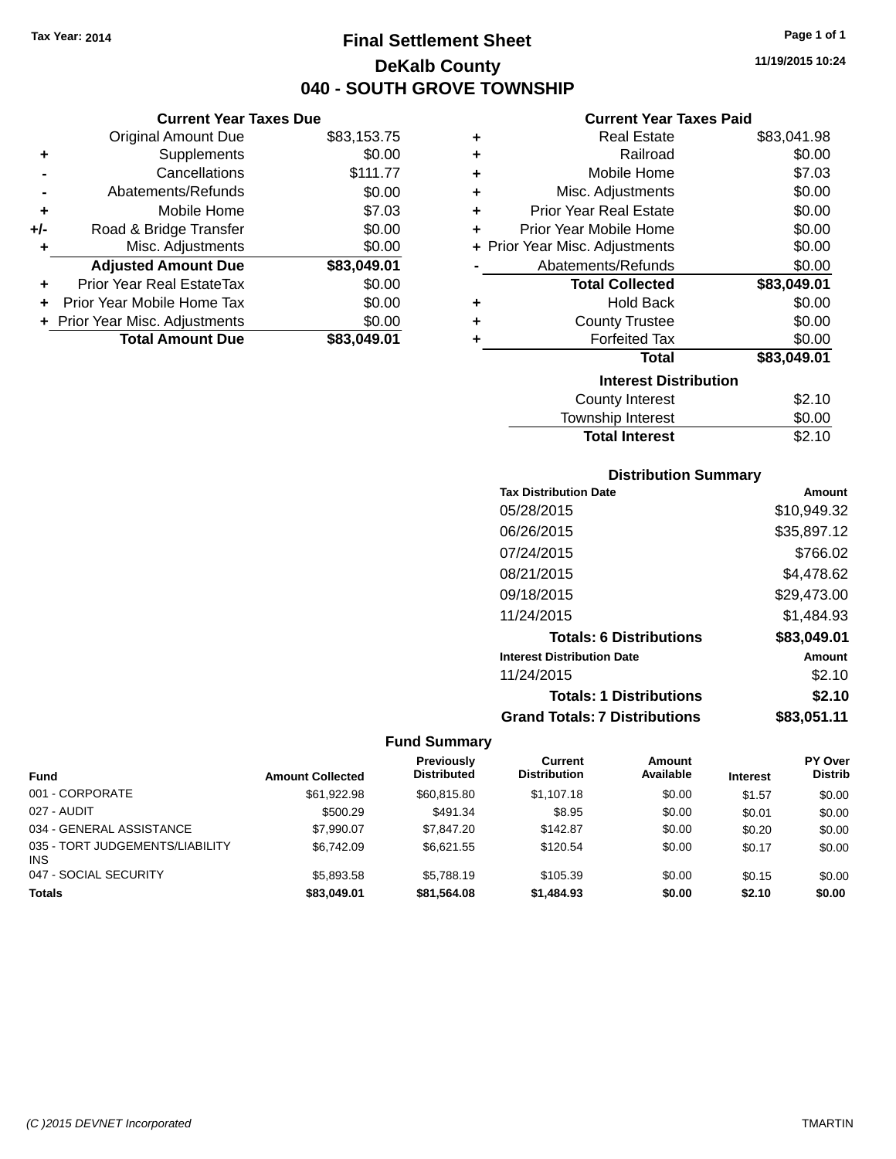**Current Year Taxes Due** Original Amount Due \$83,153.75

**Adjusted Amount Due \$83,049.01**

**Total Amount Due \$83,049.01**

**+** Supplements \$0.00 **-** Cancellations \$111.77 **-** Abatements/Refunds \$0.00 **+** Mobile Home \$7.03 **+/-** Road & Bridge Transfer \$0.00 **+** Misc. Adjustments \$0.00

**+** Prior Year Real EstateTax \$0.00 **+** Prior Year Mobile Home Tax \$0.00 **+ Prior Year Misc. Adjustments**  $$0.00$ 

# **Final Settlement Sheet Tax Year: 2014 Page 1 of 1 DeKalb County 040 - SOUTH GROVE TOWNSHIP**

**11/19/2015 10:24**

## **Current Year Taxes Paid**

| ٠ | Real Estate                    | \$83,041.98 |
|---|--------------------------------|-------------|
| ÷ | Railroad                       | \$0.00      |
| ٠ | Mobile Home                    | \$7.03      |
| ÷ | Misc. Adjustments              | \$0.00      |
| ÷ | <b>Prior Year Real Estate</b>  | \$0.00      |
| ٠ | Prior Year Mobile Home         | \$0.00      |
|   | + Prior Year Misc. Adjustments | \$0.00      |
|   | Abatements/Refunds             | \$0.00      |
|   |                                |             |
|   | <b>Total Collected</b>         | \$83,049.01 |
| ٠ | Hold Back                      | \$0.00      |
| ٠ | <b>County Trustee</b>          | \$0.00      |
| ٠ | <b>Forfeited Tax</b>           | \$0.00      |
|   | <b>Total</b>                   | \$83,049.01 |
|   | <b>Interest Distribution</b>   |             |
|   | County Interest                | \$2.10      |

| Township Interest     | \$0.00 |
|-----------------------|--------|
| <b>Total Interest</b> | \$2.10 |

## **Distribution Summary**

| <b>Tax Distribution Date</b>         | Amount      |
|--------------------------------------|-------------|
| 05/28/2015                           | \$10,949.32 |
| 06/26/2015                           | \$35,897.12 |
| 07/24/2015                           | \$766.02    |
| 08/21/2015                           | \$4.478.62  |
| 09/18/2015                           | \$29,473.00 |
| 11/24/2015                           | \$1,484.93  |
| <b>Totals: 6 Distributions</b>       | \$83,049.01 |
| <b>Interest Distribution Date</b>    | Amount      |
| 11/24/2015                           | \$2.10      |
| <b>Totals: 1 Distributions</b>       | \$2.10      |
| <b>Grand Totals: 7 Distributions</b> | \$83,051.11 |

| <b>Fund</b>                                   | <b>Amount Collected</b> | <b>Previously</b><br><b>Distributed</b> | Current<br><b>Distribution</b> | Amount<br>Available | <b>Interest</b> | PY Over<br><b>Distrib</b> |
|-----------------------------------------------|-------------------------|-----------------------------------------|--------------------------------|---------------------|-----------------|---------------------------|
| 001 - CORPORATE                               | \$61.922.98             | \$60,815.80                             | \$1,107.18                     | \$0.00              | \$1.57          | \$0.00                    |
| 027 - AUDIT                                   | \$500.29                | \$491.34                                | \$8.95                         | \$0.00              | \$0.01          | \$0.00                    |
| 034 - GENERAL ASSISTANCE                      | \$7.990.07              | \$7,847,20                              | \$142.87                       | \$0.00              | \$0.20          | \$0.00                    |
| 035 - TORT JUDGEMENTS/LIABILITY<br><b>INS</b> | \$6,742.09              | \$6.621.55                              | \$120.54                       | \$0.00              | \$0.17          | \$0.00                    |
| 047 - SOCIAL SECURITY                         | \$5,893,58              | \$5.788.19                              | \$105.39                       | \$0.00              | \$0.15          | \$0.00                    |
| <b>Totals</b>                                 | \$83,049.01             | \$81,564.08                             | \$1,484.93                     | \$0.00              | \$2.10          | \$0.00                    |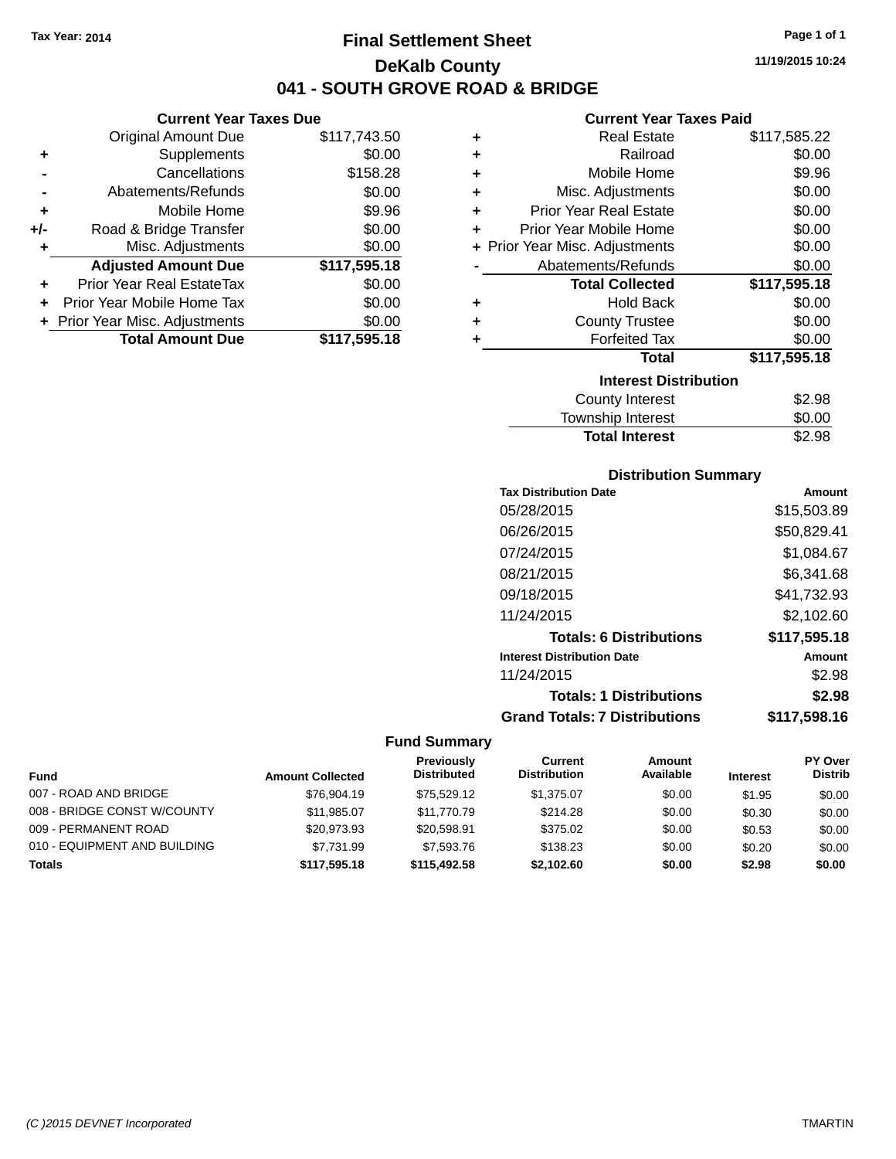**Original Amount Due** 

**Adjusted Amount Due** 

**Total Amount Due** 

**+** Supplements **-** Cancellations **-** Abatements/Refunds **+** Mobile Home **+/-** Road & Bridge Transfer **+** Misc. Adjustments

**+** Prior Year Real EstateTax \$0.00 **+** Prior Year Mobile Home Tax **+** Prior Year Misc. Adjustments

# **Final Settlement Sheet Tax Year: 2014 Page 1 of 1 DeKalb County 041 - SOUTH GROVE ROAD & BRIDGE**

**11/19/2015 10:24**

## **Current Year Taxes Paid**

| <b>Current Year Taxes Due</b> |              |   | <b>Current Year Taxes Paid</b> |                                              |  |
|-------------------------------|--------------|---|--------------------------------|----------------------------------------------|--|
| ll Amount Due                 | \$117,743.50 | ٠ | <b>Real Estate</b>             | \$117,585.22                                 |  |
| Supplements                   | \$0.00       | ٠ | Railroad                       | \$0.00                                       |  |
| Cancellations                 | \$158.28     | ٠ | Mobile Home                    | \$9.96                                       |  |
| าents/Refunds                 | \$0.00       | ٠ | Misc. Adjustments              | \$0.00                                       |  |
| Mobile Home                   | \$9.96       | ÷ | <b>Prior Year Real Estate</b>  | \$0.00                                       |  |
| ridge Transfer                | \$0.00       | ÷ | Prior Year Mobile Home         | \$0.00                                       |  |
| . Adjustments                 | \$0.00       |   | + Prior Year Misc. Adjustments | \$0.00                                       |  |
| <b>Amount Due</b>             | \$117,595.18 |   | Abatements/Refunds             | \$0.00                                       |  |
| leal EstateTax≀               | \$0.00       |   | <b>Total Collected</b>         | \$117,595.18                                 |  |
| bile Home Tax                 | \$0.00       | ÷ | <b>Hold Back</b>               | \$0.00                                       |  |
| . Adjustments                 | \$0.00       | ÷ | <b>County Trustee</b>          | \$0.00                                       |  |
| <b>Amount Due</b>             | \$117,595.18 |   | <b>Forfeited Tax</b>           | \$0.00                                       |  |
|                               |              |   | <b>Total</b>                   | \$117,595.18                                 |  |
|                               |              |   | <b>Interest Distribution</b>   |                                              |  |
|                               |              |   |                                | $\mathbb{A} \cap \mathbb{A} \cap \mathbb{A}$ |  |

| \$2.98 |
|--------|
| \$0.00 |
| \$2.98 |
|        |

## **Distribution Summary**

| <b>Tax Distribution Date</b>         | Amount       |
|--------------------------------------|--------------|
| 05/28/2015                           | \$15,503.89  |
| 06/26/2015                           | \$50,829.41  |
| 07/24/2015                           | \$1,084.67   |
| 08/21/2015                           | \$6,341.68   |
| 09/18/2015                           | \$41,732.93  |
| 11/24/2015                           | \$2,102.60   |
| <b>Totals: 6 Distributions</b>       | \$117,595.18 |
| <b>Interest Distribution Date</b>    | Amount       |
| 11/24/2015                           | \$2.98       |
| <b>Totals: 1 Distributions</b>       | \$2.98       |
| <b>Grand Totals: 7 Distributions</b> | \$117,598.16 |

| <b>Fund</b>                  | <b>Amount Collected</b> | Previously<br><b>Distributed</b> | Current<br><b>Distribution</b> | Amount<br>Available | <b>Interest</b> | <b>PY Over</b><br><b>Distrib</b> |
|------------------------------|-------------------------|----------------------------------|--------------------------------|---------------------|-----------------|----------------------------------|
| 007 - ROAD AND BRIDGE        | \$76,904.19             | \$75.529.12                      | \$1.375.07                     | \$0.00              | \$1.95          | \$0.00                           |
| 008 - BRIDGE CONST W/COUNTY  | \$11,985.07             | \$11,770.79                      | \$214.28                       | \$0.00              | \$0.30          | \$0.00                           |
| 009 - PERMANENT ROAD         | \$20.973.93             | \$20,598.91                      | \$375.02                       | \$0.00              | \$0.53          | \$0.00                           |
| 010 - EQUIPMENT AND BUILDING | \$7.731.99              | \$7,593.76                       | \$138.23                       | \$0.00              | \$0.20          | \$0.00                           |
| <b>Totals</b>                | \$117,595.18            | \$115,492.58                     | \$2,102.60                     | \$0.00              | \$2.98          | \$0.00                           |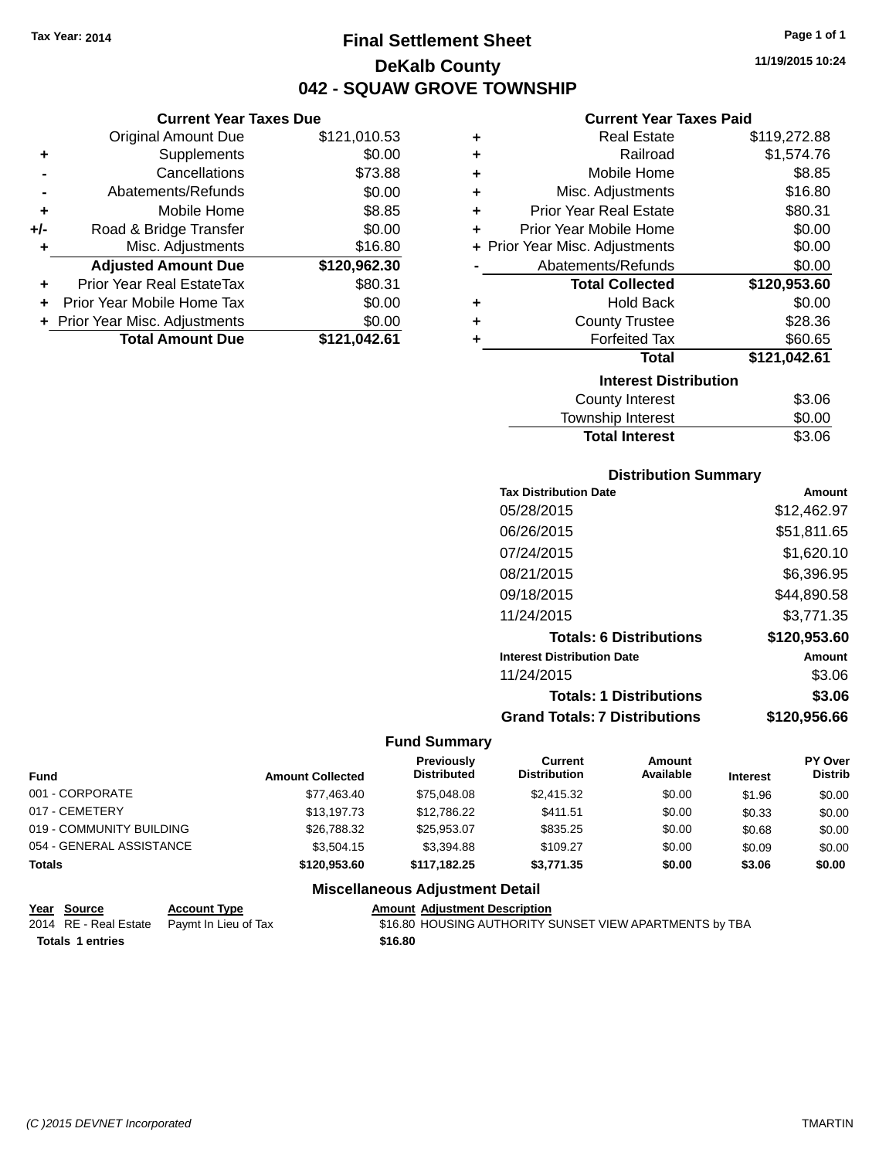# **Final Settlement Sheet Tax Year: 2014 Page 1 of 1 DeKalb County 042 - SQUAW GROVE TOWNSHIP**

**11/19/2015 10:24**

## **Current Year Taxes Paid**

|   | <b>Real Estate</b>             | \$119,272.88 |
|---|--------------------------------|--------------|
| ٠ | Railroad                       | \$1,574.76   |
| ٠ | Mobile Home                    | \$8.85       |
| ٠ | Misc. Adjustments              | \$16.80      |
| ٠ | <b>Prior Year Real Estate</b>  | \$80.31      |
| ٠ | Prior Year Mobile Home         | \$0.00       |
|   | + Prior Year Misc. Adjustments | \$0.00       |
|   | Abatements/Refunds             | \$0.00       |
|   | <b>Total Collected</b>         | \$120,953.60 |
| ÷ | <b>Hold Back</b>               | \$0.00       |
| ٠ | <b>County Trustee</b>          | \$28.36      |
| ٠ | <b>Forfeited Tax</b>           | \$60.65      |
|   | <b>Total</b>                   | \$121,042.61 |
|   | <b>Interest Distribution</b>   |              |
|   | <b>County Interest</b>         | \$3.06       |
|   | <b>Township Interest</b>       | \$0.00       |
|   |                                |              |

# Total Interest \$3.06

| <b>Distribution Summary</b>          |              |
|--------------------------------------|--------------|
| <b>Tax Distribution Date</b>         | Amount       |
| 05/28/2015                           | \$12,462.97  |
| 06/26/2015                           | \$51,811.65  |
| 07/24/2015                           | \$1,620.10   |
| 08/21/2015                           | \$6,396.95   |
| 09/18/2015                           | \$44,890.58  |
| 11/24/2015                           | \$3,771.35   |
| <b>Totals: 6 Distributions</b>       | \$120,953.60 |
| <b>Interest Distribution Date</b>    | Amount       |
| 11/24/2015                           | \$3.06       |
| <b>Totals: 1 Distributions</b>       | \$3.06       |
| <b>Grand Totals: 7 Distributions</b> | \$120,956.66 |

#### **Fund Summary**

| <b>Fund</b>              | <b>Amount Collected</b> | Previously<br><b>Distributed</b>       | Current<br><b>Distribution</b> | Amount<br>Available | <b>Interest</b> | <b>PY Over</b><br><b>Distrib</b> |
|--------------------------|-------------------------|----------------------------------------|--------------------------------|---------------------|-----------------|----------------------------------|
| 001 - CORPORATE          | \$77.463.40             | \$75,048,08                            | \$2,415.32                     | \$0.00              | \$1.96          | \$0.00                           |
| 017 - CEMETERY           | \$13.197.73             | \$12,786,22                            | \$411.51                       | \$0.00              | \$0.33          | \$0.00                           |
| 019 - COMMUNITY BUILDING | \$26,788.32             | \$25.953.07                            | \$835.25                       | \$0.00              | \$0.68          | \$0.00                           |
| 054 - GENERAL ASSISTANCE | \$3,504.15              | \$3.394.88                             | \$109.27                       | \$0.00              | \$0.09          | \$0.00                           |
| <b>Totals</b>            | \$120,953.60            | \$117.182.25                           | \$3,771,35                     | \$0.00              | \$3.06          | \$0.00                           |
|                          |                         | <b>Miscellaneous Adjustment Detail</b> |                                |                     |                 |                                  |

## **Year Source Account Type Amount Adjustment Description**

| rear Source             | ACCOUNT TYPE                               |         | Allioulit Aulustillelit Describtion                     |
|-------------------------|--------------------------------------------|---------|---------------------------------------------------------|
|                         | 2014 RE - Real Estate Paymt In Lieu of Tax |         | \$16.80 HOUSING AUTHORITY SUNSET VIEW APARTMENTS by TBA |
| <b>Totals 1 entries</b> |                                            | \$16.80 |                                                         |

|     | + Prior Year Misc. Adjustments<br><b>Total Amount Due</b> | \$0.00       |
|-----|-----------------------------------------------------------|--------------|
|     | Prior Year Mobile Home Tax                                | \$0.00       |
| ÷   | <b>Prior Year Real EstateTax</b>                          | \$80.31      |
|     | <b>Adjusted Amount Due</b>                                | \$120,962.30 |
| ٠   | Misc. Adjustments                                         | \$16.80      |
| +/- | Road & Bridge Transfer                                    | \$0.00       |

**Current Year Taxes Due** Original Amount Due \$121,010.53

**+** Supplements \$0.00 **-** Cancellations \$73.88 **-** Abatements/Refunds \$0.00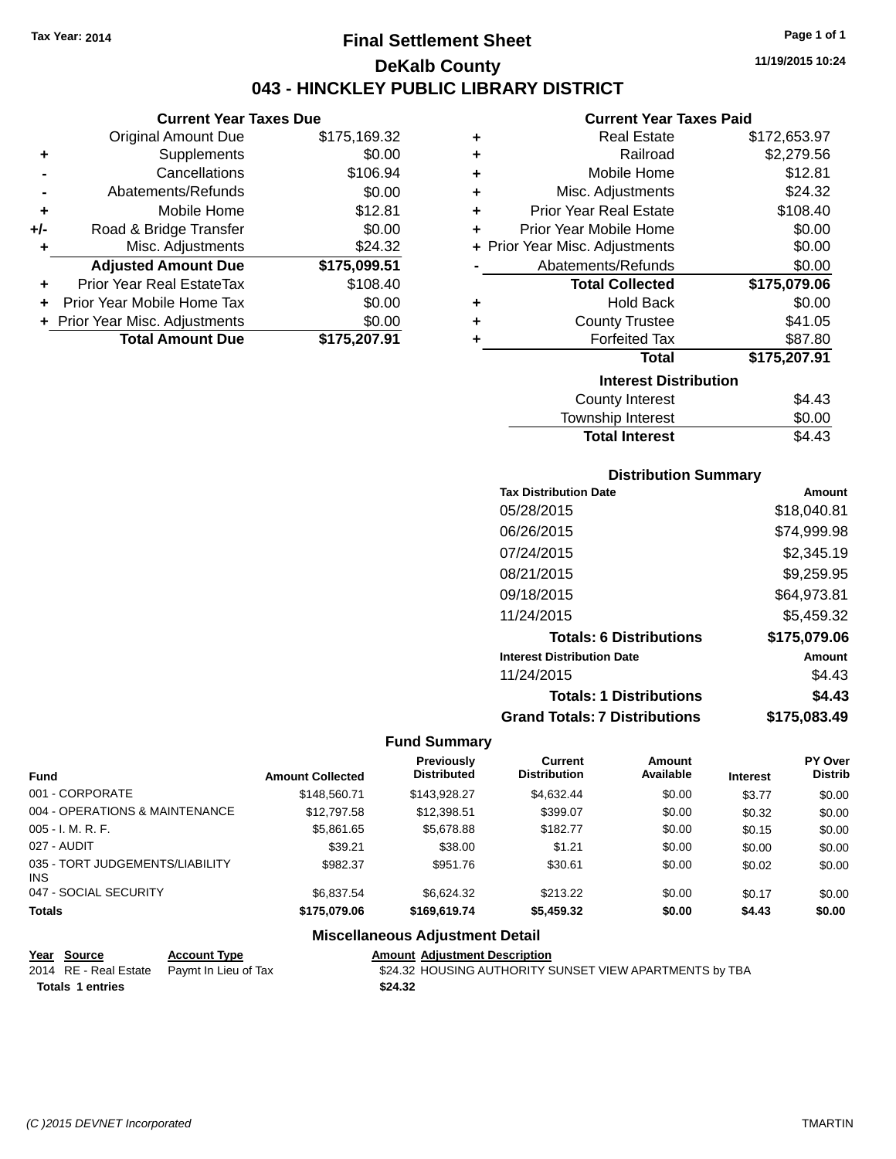# **Final Settlement Sheet Tax Year: 2014 Page 1 of 1 DeKalb County 043 - HINCKLEY PUBLIC LIBRARY DISTRICT**

**11/19/2015 10:24**

# **Current Year Taxes Paid**

| \$175,169.32<br>Original Amount Due<br>\$0.00<br>Supplements<br>٠<br>\$106.94<br>Cancellations<br>\$0.00<br>Abatements/Refunds<br>\$12.81<br>Mobile Home<br>٠<br>\$0.00<br>Road & Bridge Transfer<br>+/-<br>\$24.32<br>Misc. Adjustments<br>٠<br><b>Adjusted Amount Due</b><br>\$175,099.51<br>\$108.40<br>Prior Year Real EstateTax<br>÷<br>\$0.00<br>Prior Year Mobile Home Tax<br>\$0.00<br>+ Prior Year Misc. Adjustments | <b>Current Year Taxes Due</b> |  |
|-------------------------------------------------------------------------------------------------------------------------------------------------------------------------------------------------------------------------------------------------------------------------------------------------------------------------------------------------------------------------------------------------------------------------------|-------------------------------|--|
|                                                                                                                                                                                                                                                                                                                                                                                                                               |                               |  |
|                                                                                                                                                                                                                                                                                                                                                                                                                               |                               |  |
|                                                                                                                                                                                                                                                                                                                                                                                                                               |                               |  |
|                                                                                                                                                                                                                                                                                                                                                                                                                               |                               |  |
|                                                                                                                                                                                                                                                                                                                                                                                                                               |                               |  |
|                                                                                                                                                                                                                                                                                                                                                                                                                               |                               |  |
|                                                                                                                                                                                                                                                                                                                                                                                                                               |                               |  |
|                                                                                                                                                                                                                                                                                                                                                                                                                               |                               |  |
|                                                                                                                                                                                                                                                                                                                                                                                                                               |                               |  |
|                                                                                                                                                                                                                                                                                                                                                                                                                               |                               |  |
|                                                                                                                                                                                                                                                                                                                                                                                                                               |                               |  |
| \$175,207.91                                                                                                                                                                                                                                                                                                                                                                                                                  | <b>Total Amount Due</b>       |  |

| ٠ | <b>Real Estate</b>             | \$172,653.97 |  |  |  |
|---|--------------------------------|--------------|--|--|--|
| ٠ | Railroad                       | \$2,279.56   |  |  |  |
| ٠ | Mobile Home                    | \$12.81      |  |  |  |
| ٠ | Misc. Adjustments              | \$24.32      |  |  |  |
| ٠ | <b>Prior Year Real Estate</b>  | \$108.40     |  |  |  |
| ٠ | Prior Year Mobile Home         | \$0.00       |  |  |  |
|   | + Prior Year Misc. Adjustments | \$0.00       |  |  |  |
|   | Abatements/Refunds             | \$0.00       |  |  |  |
|   | <b>Total Collected</b>         | \$175,079.06 |  |  |  |
| ٠ | Hold Back                      | \$0.00       |  |  |  |
| ٠ | <b>County Trustee</b>          | \$41.05      |  |  |  |
| ٠ | <b>Forfeited Tax</b>           | \$87.80      |  |  |  |
|   | <b>Total</b>                   | \$175,207.91 |  |  |  |
|   | <b>Interest Distribution</b>   |              |  |  |  |
|   | <b>County Interest</b>         | \$4.43       |  |  |  |
|   | Township Interest              | \$0.00       |  |  |  |

# **Distribution Summary**

Total Interest \$4.43

| <b>Tax Distribution Date</b>         | Amount       |
|--------------------------------------|--------------|
| 05/28/2015                           | \$18,040.81  |
| 06/26/2015                           | \$74,999.98  |
| 07/24/2015                           | \$2,345.19   |
| 08/21/2015                           | \$9,259.95   |
| 09/18/2015                           | \$64,973.81  |
| 11/24/2015                           | \$5.459.32   |
| <b>Totals: 6 Distributions</b>       | \$175,079.06 |
| <b>Interest Distribution Date</b>    | Amount       |
| 11/24/2015                           | \$4.43       |
| <b>Totals: 1 Distributions</b>       | \$4.43       |
| <b>Grand Totals: 7 Distributions</b> | \$175.083.49 |

#### **Fund Summary**

| <b>Fund</b>                                   | <b>Amount Collected</b> | Previously<br><b>Distributed</b> | Current<br><b>Distribution</b> | Amount<br>Available | <b>Interest</b> | <b>PY Over</b><br><b>Distrib</b> |
|-----------------------------------------------|-------------------------|----------------------------------|--------------------------------|---------------------|-----------------|----------------------------------|
| 001 - CORPORATE                               | \$148,560.71            | \$143.928.27                     | \$4.632.44                     | \$0.00              | \$3.77          | \$0.00                           |
| 004 - OPERATIONS & MAINTENANCE                | \$12,797.58             | \$12.398.51                      | \$399.07                       | \$0.00              | \$0.32          | \$0.00                           |
| $005 - I. M. R. F.$                           | \$5.861.65              | \$5,678.88                       | \$182.77                       | \$0.00              | \$0.15          | \$0.00                           |
| 027 - AUDIT                                   | \$39.21                 | \$38.00                          | \$1.21                         | \$0.00              | \$0.00          | \$0.00                           |
| 035 - TORT JUDGEMENTS/LIABILITY<br><b>INS</b> | \$982.37                | \$951.76                         | \$30.61                        | \$0.00              | \$0.02          | \$0.00                           |
| 047 - SOCIAL SECURITY                         | \$6.837.54              | \$6.624.32                       | \$213.22                       | \$0.00              | \$0.17          | \$0.00                           |
| <b>Totals</b>                                 | \$175,079.06            | \$169,619.74                     | \$5,459.32                     | \$0.00              | \$4.43          | \$0.00                           |

## **Miscellaneous Adjustment Detail**

| Year Source                                | <b>Account Type</b> | Amount  |
|--------------------------------------------|---------------------|---------|
| 2014 RE - Real Estate Paymt In Lieu of Tax |                     | \$24.32 |
| <b>Totals 1 entries</b>                    |                     | \$24.32 |

**Amount Adjustment Description** \$24.32 HOUSING AUTHORITY SUNSET VIEW APARTMENTS by TBA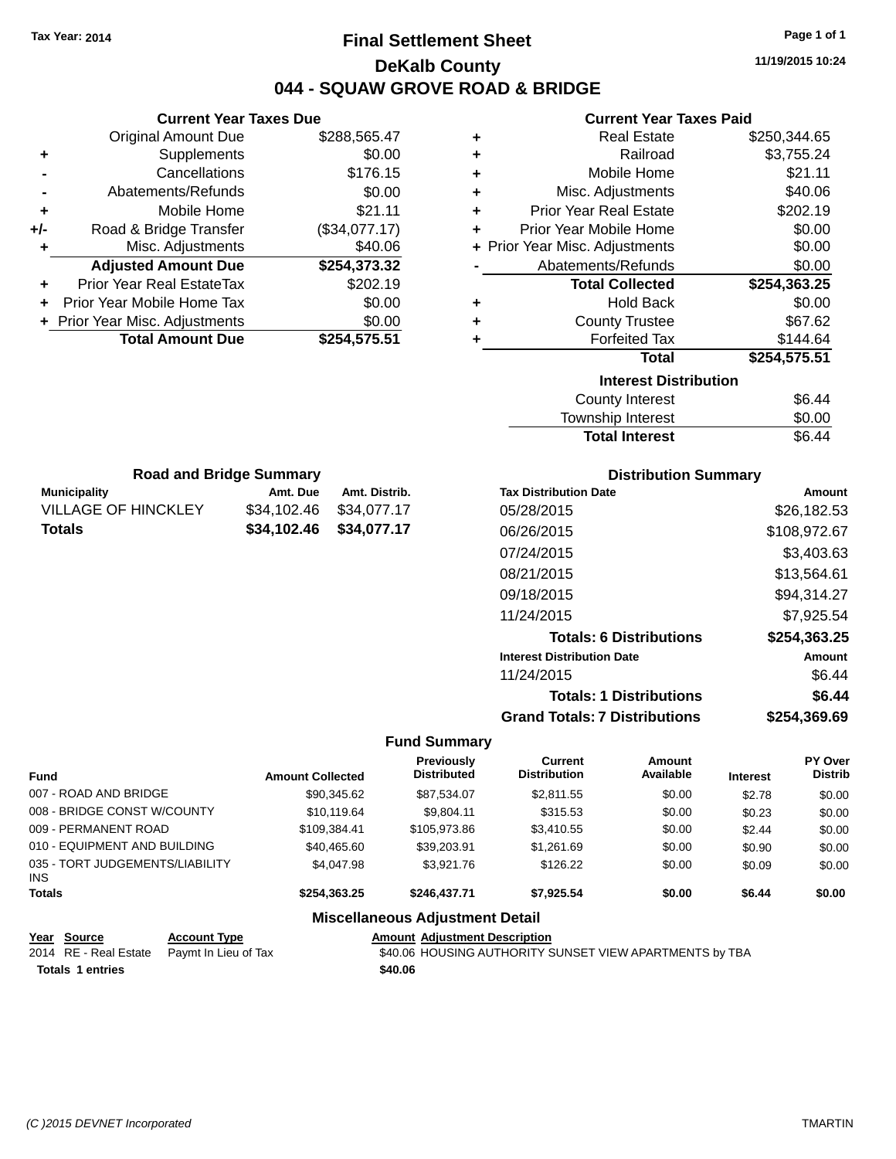# **Final Settlement Sheet Tax Year: 2014 Page 1 of 1 DeKalb County 044 - SQUAW GROVE ROAD & BRIDGE**

**11/19/2015 10:24**

#### **Current Year Taxes Paid**

|     | <b>Original Amount Due</b>       | \$288,565.47  |
|-----|----------------------------------|---------------|
| ٠   | Supplements                      | \$0.00        |
|     | Cancellations                    | \$176.15      |
|     | Abatements/Refunds               | \$0.00        |
| ٠   | Mobile Home                      | \$21.11       |
| +/- | Road & Bridge Transfer           | (\$34,077.17) |
| ٠   | Misc. Adjustments                | \$40.06       |
|     | <b>Adjusted Amount Due</b>       | \$254,373.32  |
|     | <b>Prior Year Real EstateTax</b> | \$202.19      |
| ÷   | Prior Year Mobile Home Tax       | \$0.00        |
|     | + Prior Year Misc. Adjustments   | \$0.00        |
|     | <b>Total Amount Due</b>          | \$254,575.51  |
|     |                                  |               |

**Municipality Municipality** Amt. Due Amt. Distrib. **Road and Bridge Summary**

VILLAGE OF HINCKLEY \$34,102.46 \$34,077.17 **Totals \$34,102.46 \$34,077.17**

**Current Year Taxes Due**

| ٠ | <b>Real Estate</b>             | \$250,344.65 |
|---|--------------------------------|--------------|
| ٠ | Railroad                       | \$3,755.24   |
| ٠ | Mobile Home                    | \$21.11      |
| ٠ | Misc. Adjustments              | \$40.06      |
| ٠ | <b>Prior Year Real Estate</b>  | \$202.19     |
| ٠ | Prior Year Mobile Home         | \$0.00       |
|   | + Prior Year Misc. Adjustments | \$0.00       |
|   | Abatements/Refunds             | \$0.00       |
|   | <b>Total Collected</b>         | \$254,363.25 |
| ٠ | <b>Hold Back</b>               | \$0.00       |
| ٠ | <b>County Trustee</b>          | \$67.62      |
| ٠ | <b>Forfeited Tax</b>           | \$144.64     |
|   | Total                          | \$254,575.51 |
|   | <b>Interest Distribution</b>   |              |
|   |                                |              |
|   | <b>County Interest</b>         | \$6.44       |

### Township Interest \$0.00 Total Interest \$6.44

| <b>Distribution Summary</b>          |              |  |  |  |
|--------------------------------------|--------------|--|--|--|
| <b>Tax Distribution Date</b>         | Amount       |  |  |  |
| 05/28/2015                           | \$26,182.53  |  |  |  |
| 06/26/2015                           | \$108,972.67 |  |  |  |
| 07/24/2015                           | \$3,403.63   |  |  |  |
| 08/21/2015                           | \$13,564.61  |  |  |  |
| 09/18/2015                           | \$94,314.27  |  |  |  |
| 11/24/2015                           | \$7.925.54   |  |  |  |
| <b>Totals: 6 Distributions</b>       | \$254,363.25 |  |  |  |
| <b>Interest Distribution Date</b>    | Amount       |  |  |  |
| 11/24/2015                           | \$6.44       |  |  |  |
| <b>Totals: 1 Distributions</b>       | \$6.44       |  |  |  |
| <b>Grand Totals: 7 Distributions</b> | \$254.369.69 |  |  |  |

#### **Fund Summary**

| <b>Fund</b>                            | <b>Amount Collected</b> | Previously<br><b>Distributed</b> | Current<br><b>Distribution</b> | Amount<br>Available | <b>Interest</b> | <b>PY Over</b><br><b>Distrib</b> |
|----------------------------------------|-------------------------|----------------------------------|--------------------------------|---------------------|-----------------|----------------------------------|
| 007 - ROAD AND BRIDGE                  | \$90,345.62             | \$87.534.07                      | \$2,811.55                     | \$0.00              | \$2.78          | \$0.00                           |
| 008 - BRIDGE CONST W/COUNTY            | \$10,119.64             | \$9.804.11                       | \$315.53                       | \$0.00              | \$0.23          | \$0.00                           |
| 009 - PERMANENT ROAD                   | \$109.384.41            | \$105,973.86                     | \$3,410.55                     | \$0.00              | \$2.44          | \$0.00                           |
| 010 - EQUIPMENT AND BUILDING           | \$40,465.60             | \$39,203.91                      | \$1,261.69                     | \$0.00              | \$0.90          | \$0.00                           |
| 035 - TORT JUDGEMENTS/LIABILITY<br>INS | \$4.047.98              | \$3,921.76                       | \$126.22                       | \$0.00              | \$0.09          | \$0.00                           |
| <b>Totals</b>                          | \$254.363.25            | \$246,437.71                     | \$7.925.54                     | \$0.00              | \$6.44          | \$0.00                           |
|                                        |                         |                                  |                                |                     |                 |                                  |

# **Miscellaneous Adjustment Detail**

**Year Source Account Type Amount Adjustment Description**<br>2014 RE - Real Estate Paymt In Lieu of Tax **AMOUS AUTHORITY** S40.06 HOUSING AUTHORITY S **Totals \$40.06 1 entries**

\$40.06 HOUSING AUTHORITY SUNSET VIEW APARTMENTS by TBA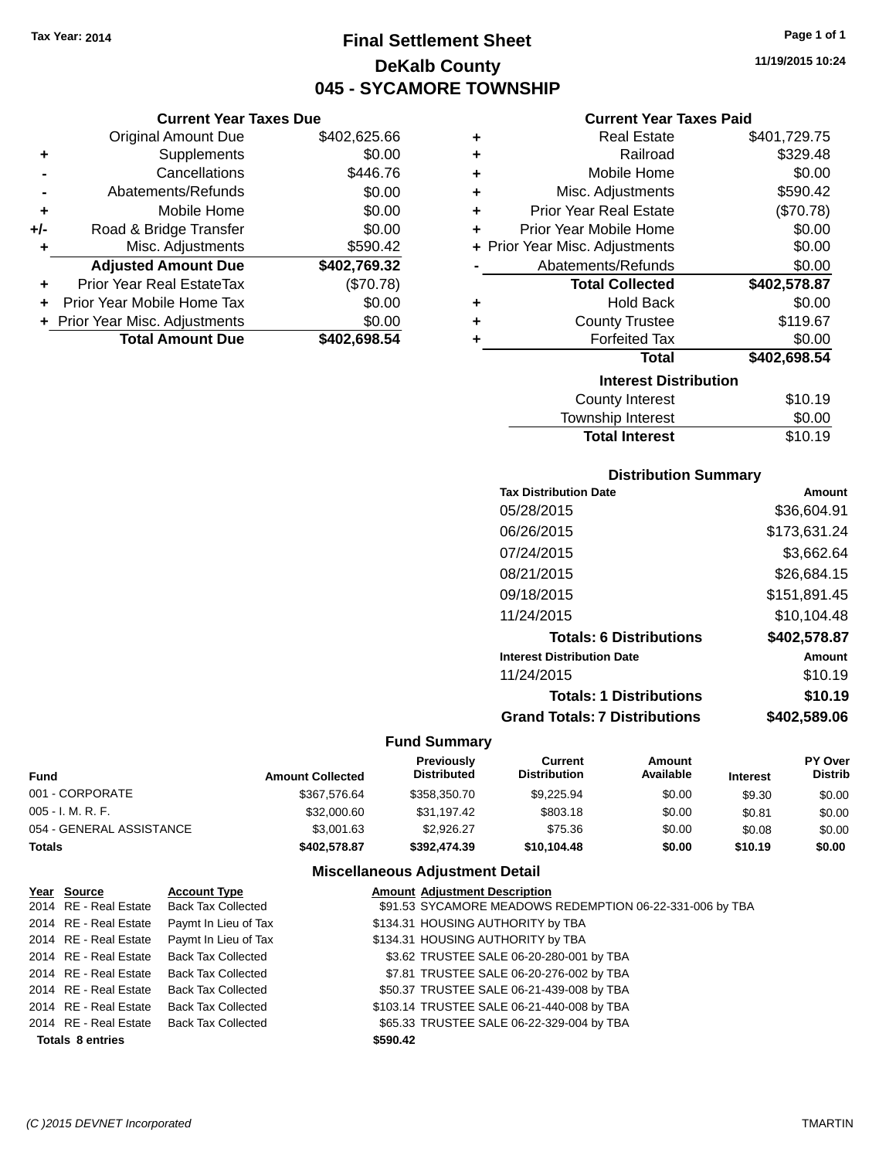**Current Year Taxes Due**

# **Final Settlement Sheet Tax Year: 2014 Page 1 of 1 DeKalb County 045 - SYCAMORE TOWNSHIP**

**11/19/2015 10:24**

| <b>Current Year Taxes Paid</b> |  |  |  |
|--------------------------------|--|--|--|
|--------------------------------|--|--|--|

|     | OUITUR TUUT TUAUS DUU            |              |   | OUITUR TUUT TUAUJ LUIU         |              |
|-----|----------------------------------|--------------|---|--------------------------------|--------------|
|     | <b>Original Amount Due</b>       | \$402,625.66 | ٠ | <b>Real Estate</b>             | \$401,729.75 |
| ٠   | Supplements                      | \$0.00       | ٠ | Railroad                       | \$329.48     |
|     | Cancellations                    | \$446.76     | ٠ | Mobile Home                    | \$0.00       |
|     | Abatements/Refunds               | \$0.00       | ٠ | Misc. Adjustments              | \$590.42     |
| ٠   | Mobile Home                      | \$0.00       | ٠ | <b>Prior Year Real Estate</b>  | (\$70.78)    |
| +/- | Road & Bridge Transfer           | \$0.00       | ٠ | Prior Year Mobile Home         | \$0.00       |
|     | Misc. Adjustments                | \$590.42     |   | + Prior Year Misc. Adjustments | \$0.00       |
|     | <b>Adjusted Amount Due</b>       | \$402,769.32 |   | Abatements/Refunds             | \$0.00       |
| ÷.  | <b>Prior Year Real EstateTax</b> | (\$70.78)    |   | <b>Total Collected</b>         | \$402,578.87 |
| ÷.  | Prior Year Mobile Home Tax       | \$0.00       | ٠ | <b>Hold Back</b>               | \$0.00       |
|     | + Prior Year Misc. Adjustments   | \$0.00       | ٠ | <b>County Trustee</b>          | \$119.67     |
|     | <b>Total Amount Due</b>          | \$402,698.54 |   | <b>Forfeited Tax</b>           | \$0.00       |
|     |                                  |              |   | Total                          | \$402,698.54 |
|     |                                  |              |   | <b>Interest Distribution</b>   |              |
|     |                                  |              |   | <b>County Interest</b>         | \$10.19      |

| Interest Distribution            |         |  |  |  |
|----------------------------------|---------|--|--|--|
| <b>County Interest</b>           | \$10.19 |  |  |  |
| Township Interest                | \$0.00  |  |  |  |
| \$10.19<br><b>Total Interest</b> |         |  |  |  |
|                                  |         |  |  |  |

## **Distribution Summary**

| <b>Tax Distribution Date</b>         | Amount       |
|--------------------------------------|--------------|
| 05/28/2015                           | \$36,604.91  |
| 06/26/2015                           | \$173,631.24 |
| 07/24/2015                           | \$3,662.64   |
| 08/21/2015                           | \$26,684.15  |
| 09/18/2015                           | \$151,891.45 |
| 11/24/2015                           | \$10,104.48  |
| <b>Totals: 6 Distributions</b>       | \$402,578.87 |
| <b>Interest Distribution Date</b>    | Amount       |
| 11/24/2015                           | \$10.19      |
| <b>Totals: 1 Distributions</b>       | \$10.19      |
| <b>Grand Totals: 7 Distributions</b> | \$402,589.06 |

#### **Fund Summary**

| Fund                     | <b>Amount Collected</b> | <b>Previously</b><br><b>Distributed</b> | Current<br><b>Distribution</b> | Amount<br>Available | <b>Interest</b> | <b>PY Over</b><br><b>Distrib</b> |
|--------------------------|-------------------------|-----------------------------------------|--------------------------------|---------------------|-----------------|----------------------------------|
| 001 - CORPORATE          | \$367.576.64            | \$358,350.70                            | \$9.225.94                     | \$0.00              | \$9.30          | \$0.00                           |
| 005 - I. M. R. F.        | \$32,000.60             | \$31.197.42                             | \$803.18                       | \$0.00              | \$0.81          | \$0.00                           |
| 054 - GENERAL ASSISTANCE | \$3,001.63              | \$2.926.27                              | \$75.36                        | \$0.00              | \$0.08          | \$0.00                           |
| Totals                   | \$402,578.87            | \$392.474.39                            | \$10.104.48                    | \$0.00              | \$10.19         | \$0.00                           |

| Year Source             | <b>Account Type</b>       | <b>Amount Adjustment Description</b>                     |
|-------------------------|---------------------------|----------------------------------------------------------|
| 2014 RE - Real Estate   | Back Tax Collected        | \$91.53 SYCAMORE MEADOWS REDEMPTION 06-22-331-006 by TBA |
| 2014 RE - Real Estate   | Paymt In Lieu of Tax      | \$134.31 HOUSING AUTHORITY by TBA                        |
| 2014 RE - Real Estate   | Paymt In Lieu of Tax      | \$134.31 HOUSING AUTHORITY by TBA                        |
| 2014 RE - Real Estate   | <b>Back Tax Collected</b> | \$3.62 TRUSTEE SALE 06-20-280-001 by TBA                 |
| 2014 RE - Real Estate   | Back Tax Collected        | \$7.81 TRUSTEE SALE 06-20-276-002 by TBA                 |
| 2014 RE - Real Estate   | Back Tax Collected        | \$50.37 TRUSTEE SALE 06-21-439-008 by TBA                |
| 2014 RE - Real Estate   | Back Tax Collected        | \$103.14 TRUSTEE SALE 06-21-440-008 by TBA               |
| 2014 RE - Real Estate   | Back Tax Collected        | \$65.33 TRUSTEE SALE 06-22-329-004 by TBA                |
| <b>Totals 8 entries</b> |                           | \$590.42                                                 |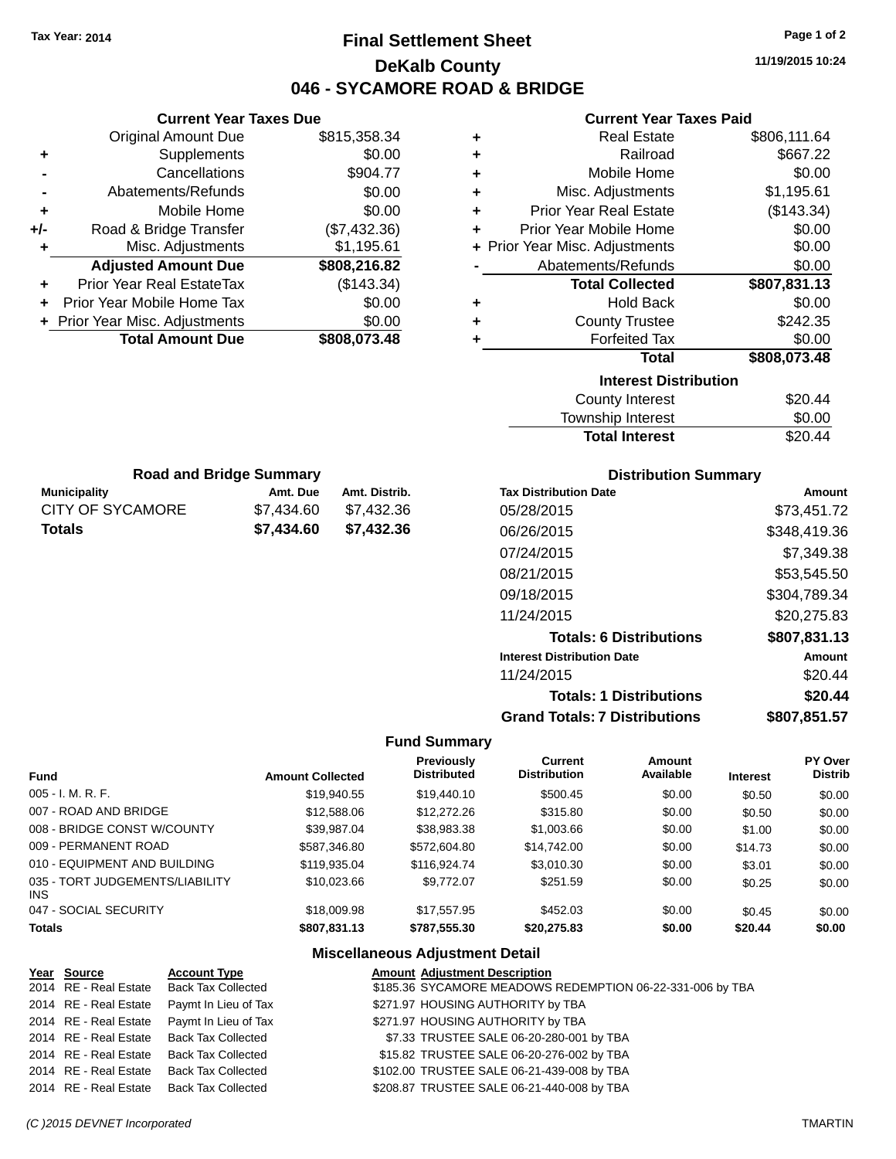# **Final Settlement Sheet Tax Year: 2014 Page 1 of 2 DeKalb County 046 - SYCAMORE ROAD & BRIDGE**

**11/19/2015 10:24**

## **Current Year Taxes Paid**

|     | VAN CIIL I CAN TAACS DAG         |              | OUITUR TUUT TUAUJ LUIU |                                |              |
|-----|----------------------------------|--------------|------------------------|--------------------------------|--------------|
|     | <b>Original Amount Due</b>       | \$815,358.34 |                        | <b>Real Estate</b>             | \$806,111.64 |
| ٠   | Supplements                      | \$0.00       |                        | Railroad                       | \$667.22     |
|     | Cancellations                    | \$904.77     | ٠                      | Mobile Home                    | \$0.00       |
|     | Abatements/Refunds               | \$0.00       | ٠                      | Misc. Adjustments              | \$1,195.61   |
|     | Mobile Home                      | \$0.00       | ٠                      | <b>Prior Year Real Estate</b>  | (\$143.34)   |
| +/- | Road & Bridge Transfer           | (\$7,432.36) | ٠                      | Prior Year Mobile Home         | \$0.00       |
|     | Misc. Adjustments                | \$1,195.61   |                        | + Prior Year Misc. Adjustments | \$0.00       |
|     | <b>Adjusted Amount Due</b>       | \$808,216.82 |                        | Abatements/Refunds             | \$0.00       |
| ٠   | <b>Prior Year Real EstateTax</b> | (\$143.34)   |                        | <b>Total Collected</b>         | \$807,831.13 |
|     | Prior Year Mobile Home Tax       | \$0.00       | ٠                      | <b>Hold Back</b>               | \$0.00       |
|     | + Prior Year Misc. Adjustments   | \$0.00       | ٠                      | <b>County Trustee</b>          | \$242.35     |
|     | <b>Total Amount Due</b>          | \$808,073.48 |                        | <b>Forfeited Tax</b>           | \$0.00       |
|     |                                  |              |                        | Total                          | \$808,073.48 |
|     |                                  |              |                        | <b>Interest Distribution</b>   |              |
|     |                                  |              |                        | <b>County Interest</b>         | \$20.44      |
|     |                                  |              |                        | <b>Township Interest</b>       | \$0.00       |
|     |                                  |              |                        | <b>Total Interest</b>          | \$20.44      |
|     |                                  |              |                        |                                |              |
|     | <b>Doad and Rridge Summary</b>   |              |                        | Distribution Cummany           |              |

| <b>Road and Bridge Summary</b> |            |               |  |  |  |  |
|--------------------------------|------------|---------------|--|--|--|--|
| <b>Municipality</b>            | Amt. Due   | Amt. Distrib. |  |  |  |  |
| CITY OF SYCAMORE               | \$7.434.60 | \$7.432.36    |  |  |  |  |
| <b>Totals</b>                  | \$7,434.60 | \$7,432.36    |  |  |  |  |

**Current Year Taxes Due**

### **Distribution Summary**

| <b>Tax Distribution Date</b>         | Amount       |
|--------------------------------------|--------------|
| 05/28/2015                           | \$73,451.72  |
| 06/26/2015                           | \$348,419.36 |
| 07/24/2015                           | \$7,349.38   |
| 08/21/2015                           | \$53,545.50  |
| 09/18/2015                           | \$304,789.34 |
| 11/24/2015                           | \$20,275.83  |
| <b>Totals: 6 Distributions</b>       | \$807,831.13 |
| <b>Interest Distribution Date</b>    | Amount       |
| 11/24/2015                           | \$20.44      |
| <b>Totals: 1 Distributions</b>       | \$20.44      |
| <b>Grand Totals: 7 Distributions</b> | \$807,851.57 |

#### **Fund Summary**

| <b>Fund</b>                             | <b>Amount Collected</b> | <b>Previously</b><br><b>Distributed</b> | Current<br><b>Distribution</b> | Amount<br>Available | <b>Interest</b> | <b>PY Over</b><br><b>Distrib</b> |
|-----------------------------------------|-------------------------|-----------------------------------------|--------------------------------|---------------------|-----------------|----------------------------------|
| $005 - I. M. R. F.$                     | \$19.940.55             | \$19,440.10                             | \$500.45                       | \$0.00              | \$0.50          | \$0.00                           |
| 007 - ROAD AND BRIDGE                   | \$12,588.06             | \$12,272.26                             | \$315.80                       | \$0.00              | \$0.50          | \$0.00                           |
| 008 - BRIDGE CONST W/COUNTY             | \$39.987.04             | \$38,983.38                             | \$1,003.66                     | \$0.00              | \$1.00          | \$0.00                           |
| 009 - PERMANENT ROAD                    | \$587,346.80            | \$572,604.80                            | \$14,742.00                    | \$0.00              | \$14.73         | \$0.00                           |
| 010 - EQUIPMENT AND BUILDING            | \$119.935.04            | \$116.924.74                            | \$3,010.30                     | \$0.00              | \$3.01          | \$0.00                           |
| 035 - TORT JUDGEMENTS/LIABILITY<br>INS. | \$10.023.66             | \$9,772.07                              | \$251.59                       | \$0.00              | \$0.25          | \$0.00                           |
| 047 - SOCIAL SECURITY                   | \$18,009.98             | \$17.557.95                             | \$452.03                       | \$0.00              | \$0.45          | \$0.00                           |
| <b>Totals</b>                           | \$807,831.13            | \$787,555.30                            | \$20,275.83                    | \$0.00              | \$20.44         | \$0.00                           |

| Year Source           | <b>Account Type</b>                        | <b>Amount Adjustment Description</b>                      |
|-----------------------|--------------------------------------------|-----------------------------------------------------------|
| 2014 RE - Real Estate | Back Tax Collected                         | \$185.36 SYCAMORE MEADOWS REDEMPTION 06-22-331-006 by TBA |
|                       | 2014 RE - Real Estate Paymt In Lieu of Tax | \$271.97 HOUSING AUTHORITY by TBA                         |
|                       | 2014 RE - Real Estate Paymt In Lieu of Tax | \$271.97 HOUSING AUTHORITY by TBA                         |
|                       | 2014 RE - Real Estate Back Tax Collected   | \$7.33 TRUSTEE SALE 06-20-280-001 by TBA                  |
|                       | 2014 RE - Real Estate Back Tax Collected   | \$15.82 TRUSTEE SALE 06-20-276-002 by TBA                 |
| 2014 RE - Real Estate | Back Tax Collected                         | \$102.00 TRUSTEE SALE 06-21-439-008 by TBA                |
|                       | 2014 RE - Real Estate Back Tax Collected   | \$208.87 TRUSTEE SALE 06-21-440-008 by TBA                |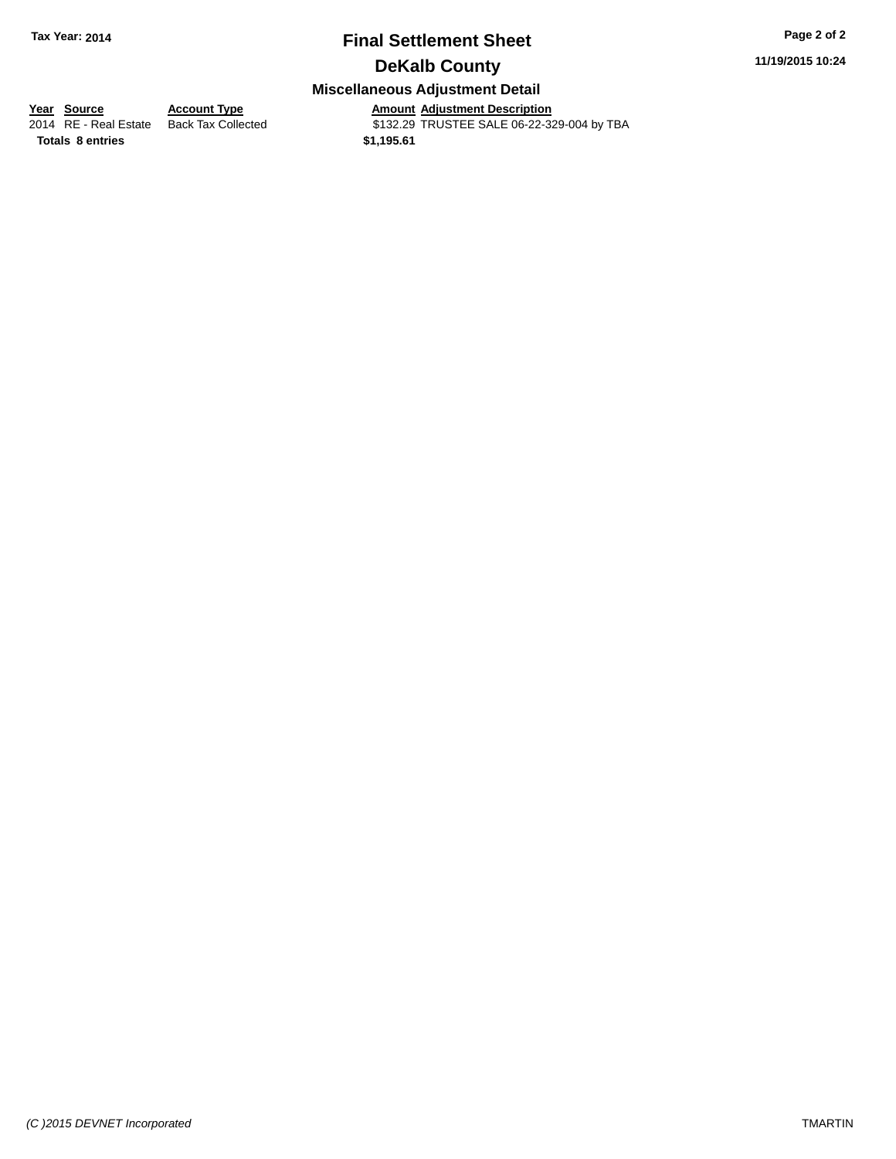# **Final Settlement Sheet Tax Year: 2014 Page 2 of 2**

**11/19/2015 10:24**

# **DeKalb County**

## **Miscellaneous Adjustment Detail**

**<u>Year Source</u> Account Type<br>
2014 RE - Real Estate Back Tax Collected** 

**Totals 8 entries 81,195.61** 

Amount Adjustment Description<br>\$132.29 TRUSTEE SALE 06-22-329-004 by TBA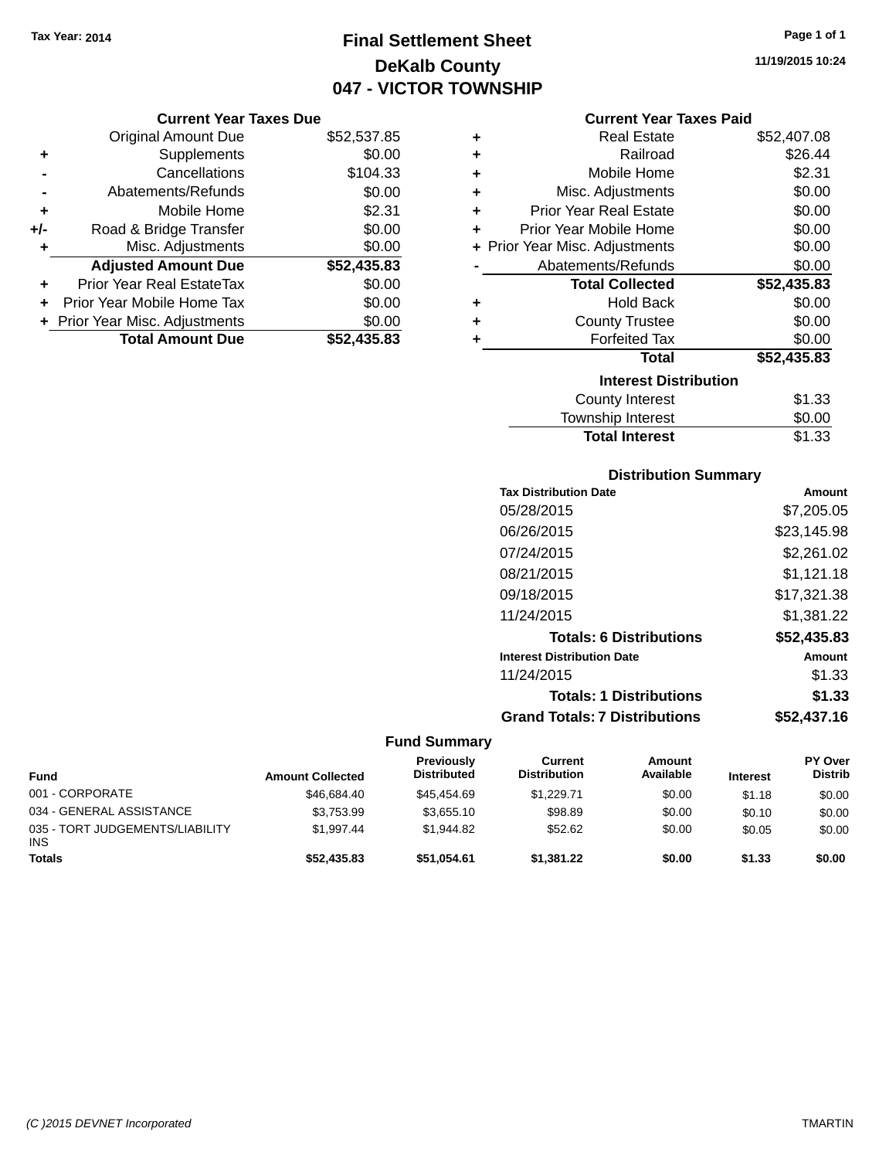# **Final Settlement Sheet Tax Year: 2014 Page 1 of 1 DeKalb County 047 - VICTOR TOWNSHIP**

#### **Current Year Taxes Due**

|       | <b>Original Amount Due</b>       | \$52,537.85 |
|-------|----------------------------------|-------------|
| ٠     | Supplements                      | \$0.00      |
|       | Cancellations                    | \$104.33    |
|       | Abatements/Refunds               | \$0.00      |
| ÷     | Mobile Home                      | \$2.31      |
| $+/-$ | Road & Bridge Transfer           | \$0.00      |
| ٠     | Misc. Adjustments                | \$0.00      |
|       | <b>Adjusted Amount Due</b>       | \$52,435.83 |
| ÷     | <b>Prior Year Real EstateTax</b> | \$0.00      |
|       | Prior Year Mobile Home Tax       | \$0.00      |
|       | + Prior Year Misc. Adjustments   | \$0.00      |
|       | <b>Total Amount Due</b>          | \$52,435.83 |

|   | <b>Current Year Taxes Paid</b> |             |
|---|--------------------------------|-------------|
| ٠ | Real Estate                    | \$52,407.08 |
| ٠ | Railroad                       | \$26.44     |
| ٠ | Mobile Home                    | \$2.31      |
| ÷ | Misc. Adjustments              | \$0.00      |
| ٠ | <b>Prior Year Real Estate</b>  | \$0.00      |
| ٠ | Prior Year Mobile Home         | \$0.00      |
|   | + Prior Year Misc. Adjustments | \$0.00      |
|   | Abatements/Refunds             | \$0.00      |
|   | <b>Total Collected</b>         | \$52,435.83 |
| ٠ | Hold Back                      | \$0.00      |
| ٠ | <b>County Trustee</b>          | \$0.00      |
|   | <b>Forfeited Tax</b>           | \$0.00      |
|   | <b>Total</b>                   | \$52,435.83 |
|   | <b>Interest Distribution</b>   |             |
|   | <b>County Interest</b>         | \$1.33      |
|   | <b>Township Interest</b>       | \$0.00      |

# **Distribution Summary**

**Total Interest** \$1.33

| <b>PISUINGUOIL SUITIITIGI y</b>      |             |
|--------------------------------------|-------------|
| <b>Tax Distribution Date</b>         | Amount      |
| 05/28/2015                           | \$7,205.05  |
| 06/26/2015                           | \$23,145.98 |
| 07/24/2015                           | \$2.261.02  |
| 08/21/2015                           | \$1.121.18  |
| 09/18/2015                           | \$17.321.38 |
| 11/24/2015                           | \$1,381.22  |
| <b>Totals: 6 Distributions</b>       | \$52,435.83 |
| <b>Interest Distribution Date</b>    | Amount      |
| 11/24/2015                           | \$1.33      |
| <b>Totals: 1 Distributions</b>       | \$1.33      |
| <b>Grand Totals: 7 Distributions</b> | \$52.437.16 |

| <b>Fund</b>                                   | <b>Amount Collected</b> | Previously<br><b>Distributed</b> | Current<br><b>Distribution</b> | Amount<br>Available | <b>Interest</b> | PY Over<br><b>Distrib</b> |
|-----------------------------------------------|-------------------------|----------------------------------|--------------------------------|---------------------|-----------------|---------------------------|
| 001 - CORPORATE                               | \$46,684.40             | \$45,454.69                      | \$1.229.71                     | \$0.00              | \$1.18          | \$0.00                    |
| 034 - GENERAL ASSISTANCE                      | \$3.753.99              | \$3.655.10                       | \$98.89                        | \$0.00              | \$0.10          | \$0.00                    |
| 035 - TORT JUDGEMENTS/LIABILITY<br><b>INS</b> | \$1.997.44              | \$1.944.82                       | \$52.62                        | \$0.00              | \$0.05          | \$0.00                    |
| <b>Totals</b>                                 | \$52,435.83             | \$51,054.61                      | \$1,381.22                     | \$0.00              | \$1.33          | \$0.00                    |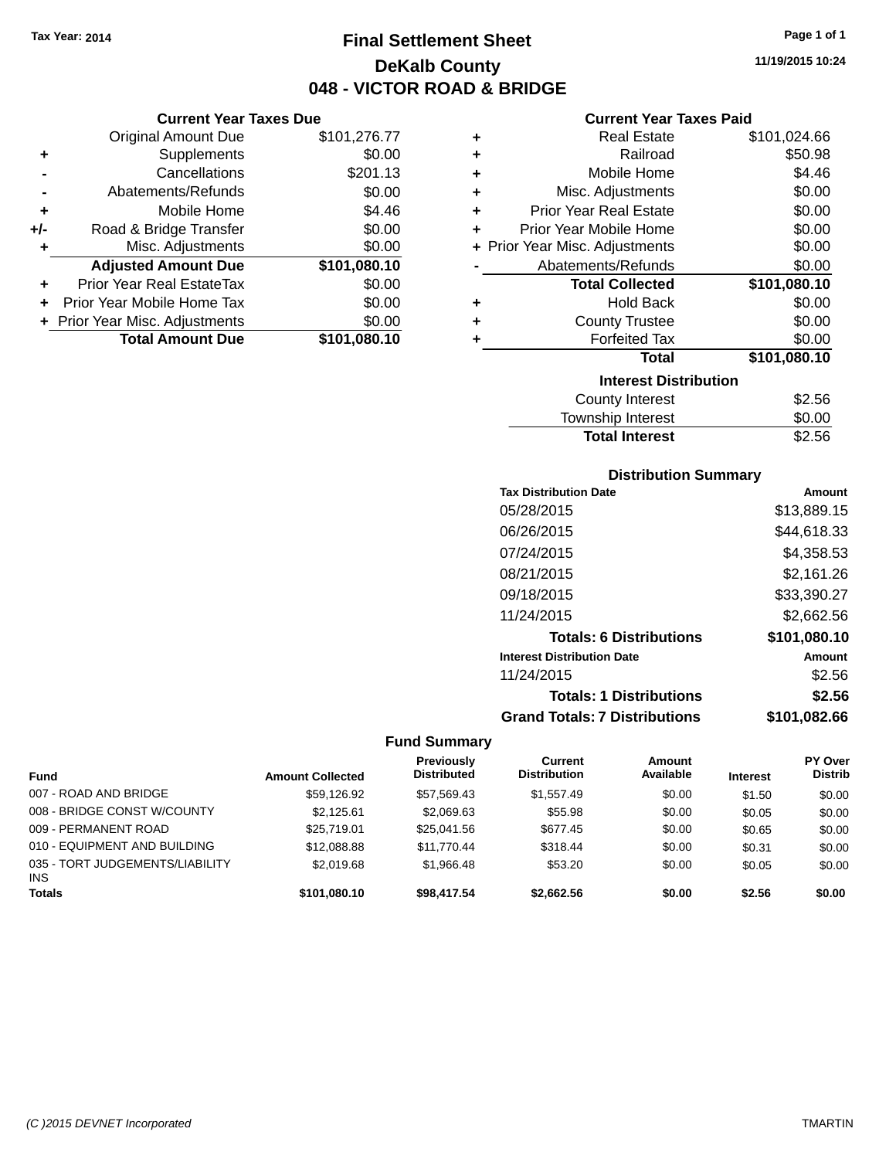**Current Year Taxes Due**

# **Final Settlement Sheet Tax Year: 2014 Page 1 of 1 DeKalb County 048 - VICTOR ROAD & BRIDGE**

**11/19/2015 10:24**

## **Current Year Taxes Paid**

|                | <b>Original Amount Due</b>     | \$101,276.77 | ٠ | <b>Real Estate</b>             | \$101,024.66 |
|----------------|--------------------------------|--------------|---|--------------------------------|--------------|
| ÷              | Supplements                    | \$0.00       | ٠ | Railroad                       | \$50.98      |
| $\blacksquare$ | Cancellations                  | \$201.13     |   | Mobile Home                    | \$4.46       |
|                | Abatements/Refunds             | \$0.00       | ٠ | Misc. Adjustments              | \$0.00       |
| ٠              | Mobile Home                    | \$4.46       | ٠ | <b>Prior Year Real Estate</b>  | \$0.00       |
| I-             | Road & Bridge Transfer         | \$0.00       | ٠ | Prior Year Mobile Home         | \$0.00       |
| ÷              | Misc. Adjustments              | \$0.00       |   | + Prior Year Misc. Adjustments | \$0.00       |
|                | <b>Adjusted Amount Due</b>     | \$101,080.10 |   | Abatements/Refunds             | \$0.00       |
| ÷              | Prior Year Real EstateTax      | \$0.00       |   | <b>Total Collected</b>         | \$101,080.10 |
|                | + Prior Year Mobile Home Tax   | \$0.00       | ٠ | <b>Hold Back</b>               | \$0.00       |
|                | + Prior Year Misc. Adjustments | \$0.00       | ٠ | <b>County Trustee</b>          | \$0.00       |
|                | <b>Total Amount Due</b>        | \$101,080.10 |   | <b>Forfeited Tax</b>           | \$0.00       |
|                |                                |              |   | Total                          | \$101,080.10 |
|                |                                |              |   | <b>Interest Distribution</b>   |              |
|                |                                |              |   | County Interest                | \$2.56       |
|                |                                |              |   |                                |              |

| <b>Total Interest</b> | \$2.56 |
|-----------------------|--------|
| Township Interest     | \$0.00 |
| County Interest       | \$2.56 |

## **Distribution Summary**

| <b>Tax Distribution Date</b>         | Amount       |
|--------------------------------------|--------------|
| 05/28/2015                           | \$13,889.15  |
| 06/26/2015                           | \$44.618.33  |
| 07/24/2015                           | \$4,358.53   |
| 08/21/2015                           | \$2,161.26   |
| 09/18/2015                           | \$33,390.27  |
| 11/24/2015                           | \$2,662.56   |
| <b>Totals: 6 Distributions</b>       | \$101,080.10 |
| <b>Interest Distribution Date</b>    | Amount       |
| 11/24/2015                           | \$2.56       |
| <b>Totals: 1 Distributions</b>       | \$2.56       |
| <b>Grand Totals: 7 Distributions</b> | \$101,082.66 |

| <b>Fund</b>                                   | <b>Amount Collected</b> | Previously<br><b>Distributed</b> | Current<br><b>Distribution</b> | Amount<br>Available | <b>Interest</b> | PY Over<br><b>Distrib</b> |
|-----------------------------------------------|-------------------------|----------------------------------|--------------------------------|---------------------|-----------------|---------------------------|
| 007 - ROAD AND BRIDGE                         | \$59.126.92             | \$57,569.43                      | \$1.557.49                     | \$0.00              | \$1.50          | \$0.00                    |
| 008 - BRIDGE CONST W/COUNTY                   | \$2.125.61              | \$2,069.63                       | \$55.98                        | \$0.00              | \$0.05          | \$0.00                    |
| 009 - PERMANENT ROAD                          | \$25,719.01             | \$25.041.56                      | \$677.45                       | \$0.00              | \$0.65          | \$0.00                    |
| 010 - EQUIPMENT AND BUILDING                  | \$12,088.88             | \$11,770.44                      | \$318.44                       | \$0.00              | \$0.31          | \$0.00                    |
| 035 - TORT JUDGEMENTS/LIABILITY<br><b>INS</b> | \$2,019.68              | \$1.966.48                       | \$53.20                        | \$0.00              | \$0.05          | \$0.00                    |
| <b>Totals</b>                                 | \$101.080.10            | \$98,417.54                      | \$2,662.56                     | \$0.00              | \$2.56          | \$0.00                    |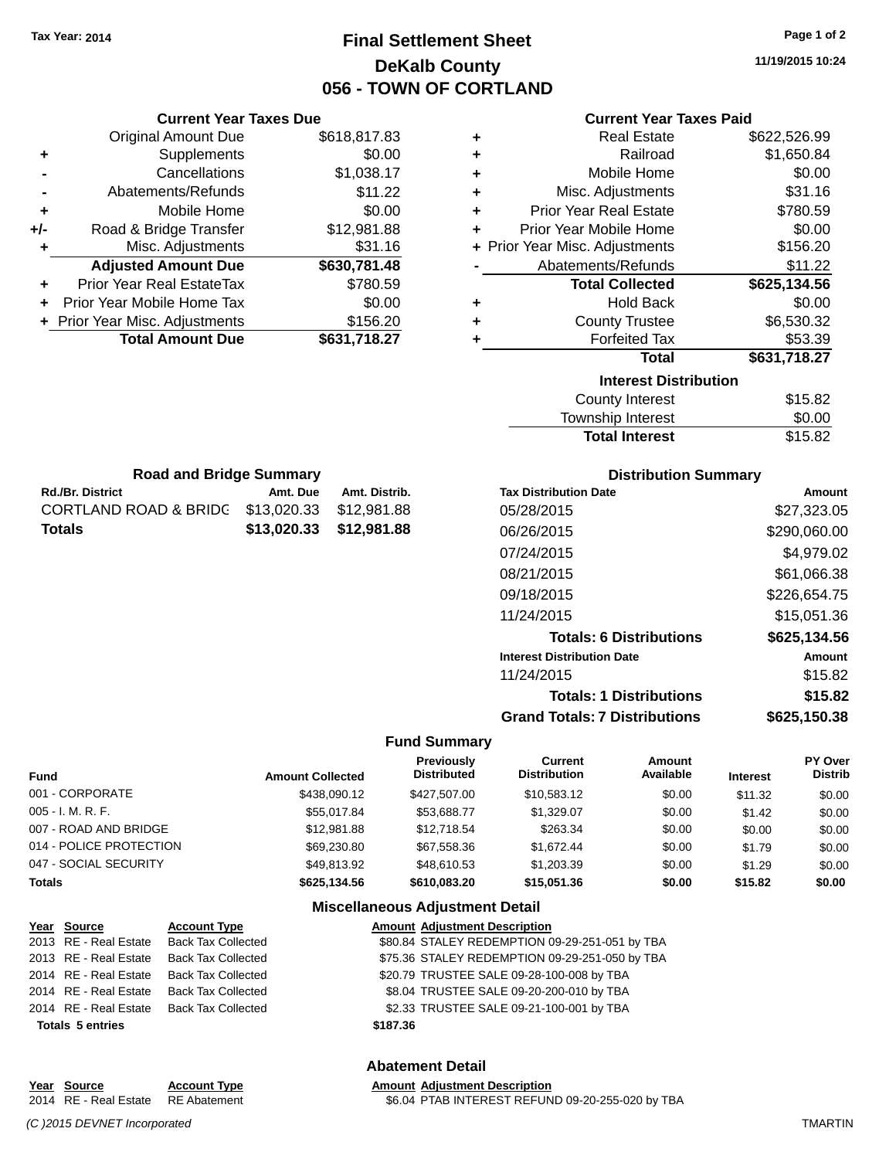**Current Year Taxes Due** Original Amount Due \$618,817.83

**Adjusted Amount Due \$630,781.48**

**Total Amount Due \$631,718.27**

**+** Supplements \$0.00 **-** Cancellations \$1,038.17 **-** Abatements/Refunds \$11.22 **+** Mobile Home \$0.00 **+/-** Road & Bridge Transfer \$12,981.88 **+** Misc. Adjustments \$31.16

**+** Prior Year Real EstateTax \$780.59 **+** Prior Year Mobile Home Tax \$0.00 **+** Prior Year Misc. Adjustments \$156.20

**Rd./Br. District Community Community Amt. Due Amt. Distrib. Road and Bridge Summary**

CORTLAND ROAD & BRIDG \$13,020.33 \$12,981.88 **Totals \$13,020.33 \$12,981.88**

# **Final Settlement Sheet Tax Year: 2014 Page 1 of 2 DeKalb County 056 - TOWN OF CORTLAND**

**11/19/2015 10:24**

### **Current Year Taxes Paid**

| ٠ | <b>Real Estate</b>             | \$622,526.99 |
|---|--------------------------------|--------------|
| ٠ | Railroad                       | \$1,650.84   |
| ٠ | Mobile Home                    | \$0.00       |
| ٠ | Misc. Adjustments              | \$31.16      |
| ٠ | <b>Prior Year Real Estate</b>  | \$780.59     |
| ٠ | Prior Year Mobile Home         | \$0.00       |
|   | + Prior Year Misc. Adjustments | \$156.20     |
|   | Abatements/Refunds             | \$11.22      |
|   | <b>Total Collected</b>         | \$625,134.56 |
| ٠ | <b>Hold Back</b>               | \$0.00       |
| ٠ | <b>County Trustee</b>          | \$6,530.32   |
| ٠ | <b>Forfeited Tax</b>           | \$53.39      |
|   | <b>Total</b>                   | \$631,718.27 |
|   | <b>Interest Distribution</b>   |              |
|   | <b>County Interest</b>         | \$15.82      |
|   | <b>Township Interest</b>       | \$0.00       |

| County Interest       | \$15.82 |
|-----------------------|---------|
| Township Interest     | \$0.00  |
| <b>Total Interest</b> | \$15.82 |
|                       |         |

| <b>Distribution Summary</b> |  |
|-----------------------------|--|
|-----------------------------|--|

| <b>Tax Distribution Date</b>         | Amount       |
|--------------------------------------|--------------|
| 05/28/2015                           | \$27,323.05  |
| 06/26/2015                           | \$290,060.00 |
| 07/24/2015                           | \$4,979.02   |
| 08/21/2015                           | \$61,066.38  |
| 09/18/2015                           | \$226,654.75 |
| 11/24/2015                           | \$15,051.36  |
| <b>Totals: 6 Distributions</b>       | \$625,134.56 |
| <b>Interest Distribution Date</b>    | Amount       |
| 11/24/2015                           | \$15.82      |
| <b>Totals: 1 Distributions</b>       | \$15.82      |
| <b>Grand Totals: 7 Distributions</b> | \$625.150.38 |

### **Fund Summary**

| <b>Fund</b>             | <b>Amount Collected</b> | <b>Previously</b><br><b>Distributed</b> | <b>Current</b><br><b>Distribution</b> | Amount<br>Available | <b>Interest</b> | PY Over<br><b>Distrib</b> |
|-------------------------|-------------------------|-----------------------------------------|---------------------------------------|---------------------|-----------------|---------------------------|
| 001 - CORPORATE         | \$438,090.12            | \$427,507,00                            | \$10.583.12                           | \$0.00              | \$11.32         | \$0.00                    |
| $005 - I. M. R. F.$     | \$55,017.84             | \$53.688.77                             | \$1.329.07                            | \$0.00              | \$1.42          | \$0.00                    |
| 007 - ROAD AND BRIDGE   | \$12,981.88             | \$12,718.54                             | \$263.34                              | \$0.00              | \$0.00          | \$0.00                    |
| 014 - POLICE PROTECTION | \$69,230.80             | \$67.558.36                             | \$1.672.44                            | \$0.00              | \$1.79          | \$0.00                    |
| 047 - SOCIAL SECURITY   | \$49.813.92             | \$48,610.53                             | \$1,203.39                            | \$0.00              | \$1.29          | \$0.00                    |
| <b>Totals</b>           | \$625.134.56            | \$610.083.20                            | \$15,051,36                           | \$0.00              | \$15.82         | \$0.00                    |

#### **Miscellaneous Adjustment Detail**

| Year Source             | <b>Account Type</b>                      |          | <b>Amount Adjustment Description</b>           |
|-------------------------|------------------------------------------|----------|------------------------------------------------|
|                         | 2013 RE - Real Estate Back Tax Collected |          | \$80.84 STALEY REDEMPTION 09-29-251-051 by TBA |
|                         | 2013 RE - Real Estate Back Tax Collected |          | \$75.36 STALEY REDEMPTION 09-29-251-050 by TBA |
|                         | 2014 RE - Real Estate Back Tax Collected |          | \$20.79 TRUSTEE SALE 09-28-100-008 by TBA      |
|                         | 2014 RE - Real Estate Back Tax Collected |          | \$8.04 TRUSTEE SALE 09-20-200-010 by TBA       |
|                         | 2014 RE - Real Estate Back Tax Collected |          | \$2.33 TRUSTEE SALE 09-21-100-001 by TBA       |
| <b>Totals 5 entries</b> |                                          | \$187.36 |                                                |
|                         |                                          |          |                                                |

#### **Abatement Detail**

#### **Year Source Account Type Amount Adjustment Description** 2014 RE - Real Estate RE Abatement \$6.04 PTAB INTEREST REFUND 09-20-255-020 by TBA

*(C )2015 DEVNET Incorporated* TMARTIN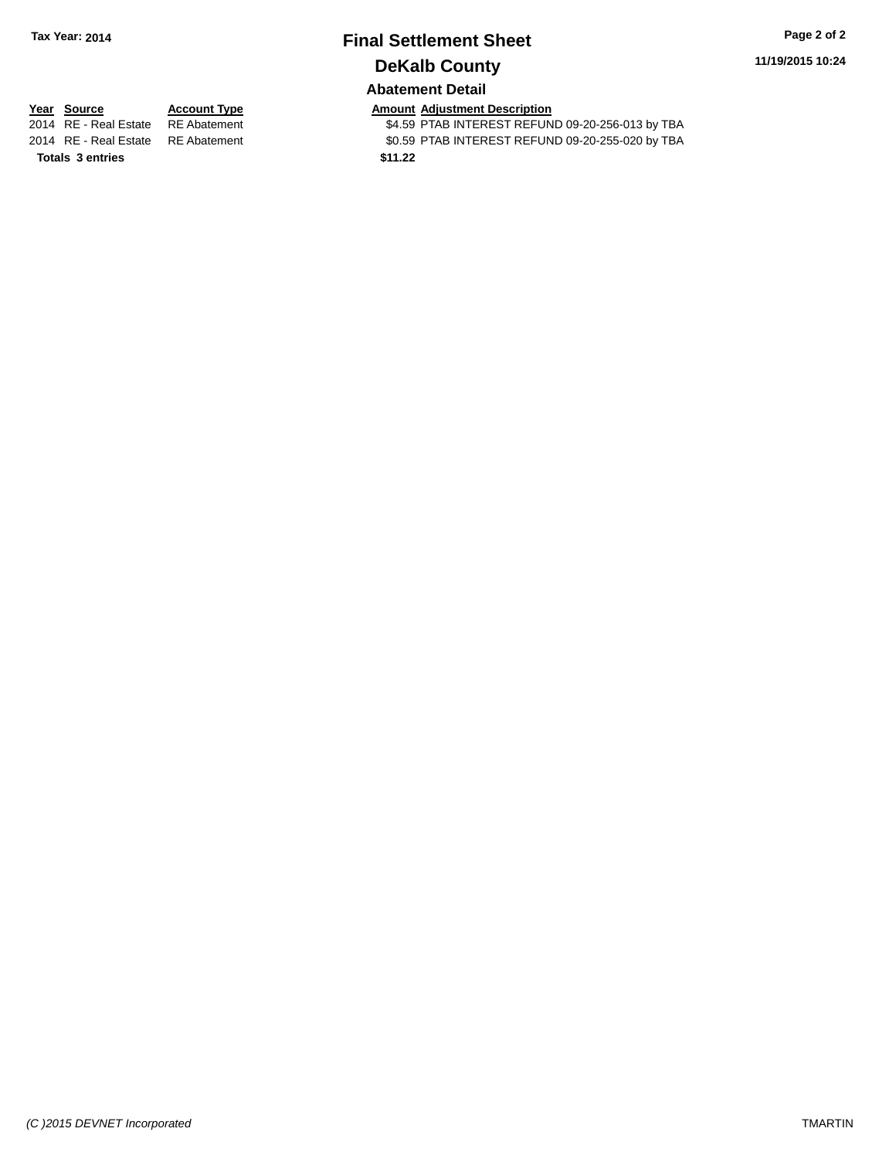# **Final Settlement Sheet Tax Year: 2014 Page 2 of 2 DeKalb County**

**11/19/2015 10:24**

# **Abatement Detail**

**Totals \$11.22 3 entries**

**Year Source Account Type Account Type Amount Adjustment Description**<br>2014 RE - Real Estate RE Abatement **1998 ALLER ST ALLER ASSESS ALLER** SALS9 PTAB INTEREST REFUN \$4.59 PTAB INTEREST REFUND 09-20-256-013 by TBA 2014 RE - Real Estate RE Abatement \$0.59 PTAB INTEREST REFUND 09-20-255-020 by TBA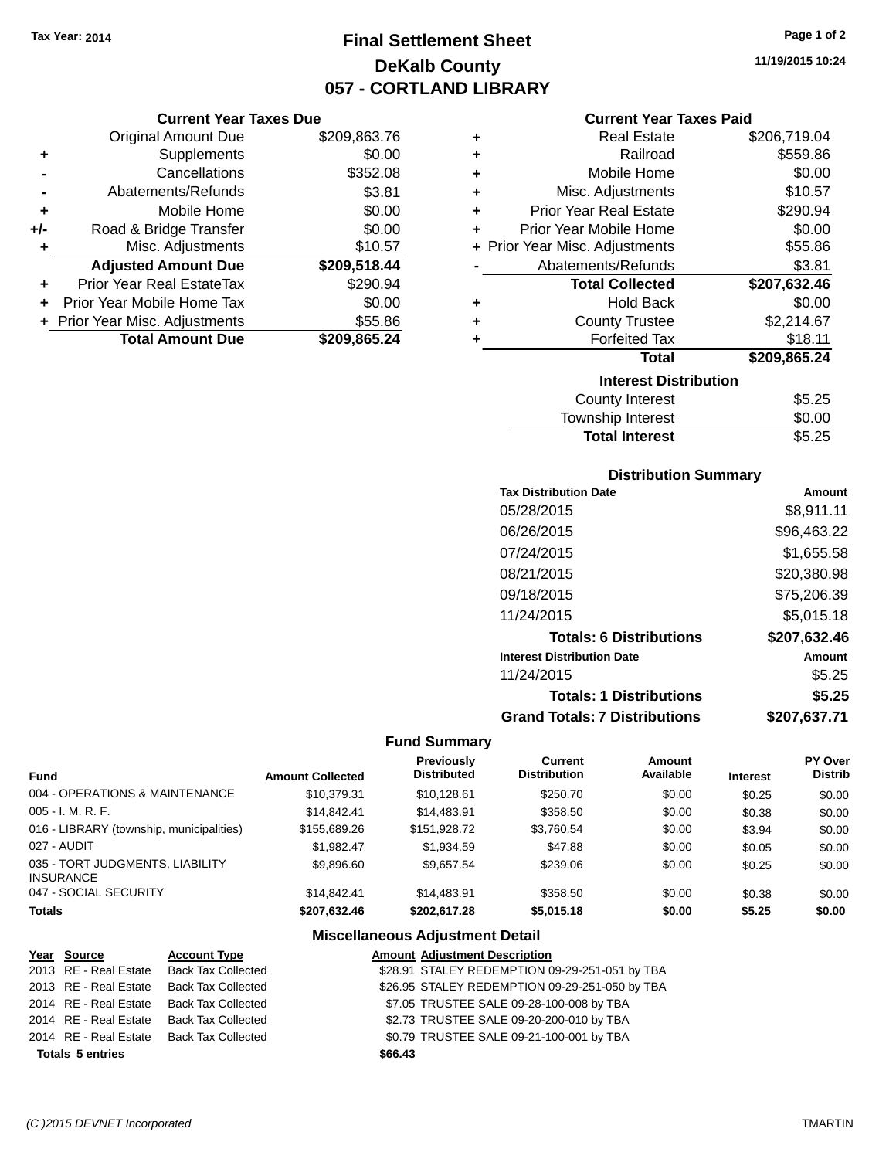# **Final Settlement Sheet Tax Year: 2014 Page 1 of 2 DeKalb County 057 - CORTLAND LIBRARY**

**11/19/2015 10:24**

## **Current Year Taxes Paid**

|     | <b>Current Year Taxes Due</b>  |              |    |  |  |
|-----|--------------------------------|--------------|----|--|--|
|     | <b>Original Amount Due</b>     | \$209,863.76 |    |  |  |
|     | Supplements                    | \$0.00       |    |  |  |
|     | Cancellations                  | \$352.08     |    |  |  |
|     | Abatements/Refunds             | \$3.81       |    |  |  |
|     | Mobile Home                    | \$0.00       |    |  |  |
| +/- | Road & Bridge Transfer         | \$0.00       |    |  |  |
|     | Misc. Adjustments              | \$10.57      | ьF |  |  |
|     | <b>Adjusted Amount Due</b>     | \$209,518.44 |    |  |  |
|     | Prior Year Real EstateTax      | \$290.94     |    |  |  |
|     | Prior Year Mobile Home Tax     | \$0.00       |    |  |  |
|     | + Prior Year Misc. Adjustments | \$55.86      |    |  |  |
|     | <b>Total Amount Due</b>        | \$209,865.24 |    |  |  |
|     |                                |              |    |  |  |

| ٠ | <b>Real Estate</b>             | \$206,719.04 |
|---|--------------------------------|--------------|
| ٠ | Railroad                       | \$559.86     |
| ÷ | Mobile Home                    | \$0.00       |
| ٠ | Misc. Adjustments              | \$10.57      |
| ٠ | <b>Prior Year Real Estate</b>  | \$290.94     |
| ÷ | Prior Year Mobile Home         | \$0.00       |
|   | + Prior Year Misc. Adjustments | \$55.86      |
|   | Abatements/Refunds             | \$3.81       |
|   | <b>Total Collected</b>         | \$207,632.46 |
| ٠ | Hold Back                      | \$0.00       |
| ٠ | <b>County Trustee</b>          | \$2,214.67   |
| ٠ | <b>Forfeited Tax</b>           | \$18.11      |
|   | <b>Total</b>                   | \$209,865.24 |
|   | <b>Interest Distribution</b>   |              |
|   | County Interest                | \$5.25       |
|   | <b>Township Interest</b>       | \$0.00       |
|   | <b>Total Interest</b>          | \$5.25       |

## **Distribution Summary**

| <b>Tax Distribution Date</b>         | Amount       |
|--------------------------------------|--------------|
| 05/28/2015                           | \$8,911.11   |
| 06/26/2015                           | \$96,463.22  |
| 07/24/2015                           | \$1,655.58   |
| 08/21/2015                           | \$20,380.98  |
| 09/18/2015                           | \$75,206.39  |
| 11/24/2015                           | \$5,015.18   |
| <b>Totals: 6 Distributions</b>       | \$207,632.46 |
| <b>Interest Distribution Date</b>    | Amount       |
| 11/24/2015                           | \$5.25       |
| <b>Totals: 1 Distributions</b>       | \$5.25       |
| <b>Grand Totals: 7 Distributions</b> | \$207,637.71 |

## **Fund Summary**

| <b>Fund</b>                                         | <b>Amount Collected</b> | <b>Previously</b><br><b>Distributed</b> | Current<br><b>Distribution</b> | Amount<br>Available | <b>Interest</b> | PY Over<br><b>Distrib</b> |
|-----------------------------------------------------|-------------------------|-----------------------------------------|--------------------------------|---------------------|-----------------|---------------------------|
| 004 - OPERATIONS & MAINTENANCE                      | \$10,379.31             | \$10,128.61                             | \$250.70                       | \$0.00              | \$0.25          | \$0.00                    |
| 005 - I. M. R. F.                                   | \$14.842.41             | \$14,483.91                             | \$358.50                       | \$0.00              | \$0.38          | \$0.00                    |
| 016 - LIBRARY (township, municipalities)            | \$155,689.26            | \$151.928.72                            | \$3.760.54                     | \$0.00              | \$3.94          | \$0.00                    |
| 027 - AUDIT                                         | \$1.982.47              | \$1,934.59                              | \$47.88                        | \$0.00              | \$0.05          | \$0.00                    |
| 035 - TORT JUDGMENTS, LIABILITY<br><b>INSURANCE</b> | \$9,896.60              | \$9.657.54                              | \$239.06                       | \$0.00              | \$0.25          | \$0.00                    |
| 047 - SOCIAL SECURITY                               | \$14.842.41             | \$14,483.91                             | \$358.50                       | \$0.00              | \$0.38          | \$0.00                    |
| <b>Totals</b>                                       | \$207,632.46            | \$202.617.28                            | \$5,015.18                     | \$0.00              | \$5.25          | \$0.00                    |

| Year Source             | <b>Account Type</b>                      |         | <b>Amount Adjustment Description</b>           |
|-------------------------|------------------------------------------|---------|------------------------------------------------|
| 2013 RE - Real Estate   | Back Tax Collected                       |         | \$28.91 STALEY REDEMPTION 09-29-251-051 by TBA |
| 2013 RE - Real Estate   | Back Tax Collected                       |         | \$26.95 STALEY REDEMPTION 09-29-251-050 by TBA |
|                         | 2014 RE - Real Estate Back Tax Collected |         | \$7.05 TRUSTEE SALE 09-28-100-008 by TBA       |
| 2014 RE - Real Estate   | Back Tax Collected                       |         | \$2.73 TRUSTEE SALE 09-20-200-010 by TBA       |
|                         | 2014 RE - Real Estate Back Tax Collected |         | \$0.79 TRUSTEE SALE 09-21-100-001 by TBA       |
| <b>Totals 5 entries</b> |                                          | \$66.43 |                                                |
|                         |                                          |         |                                                |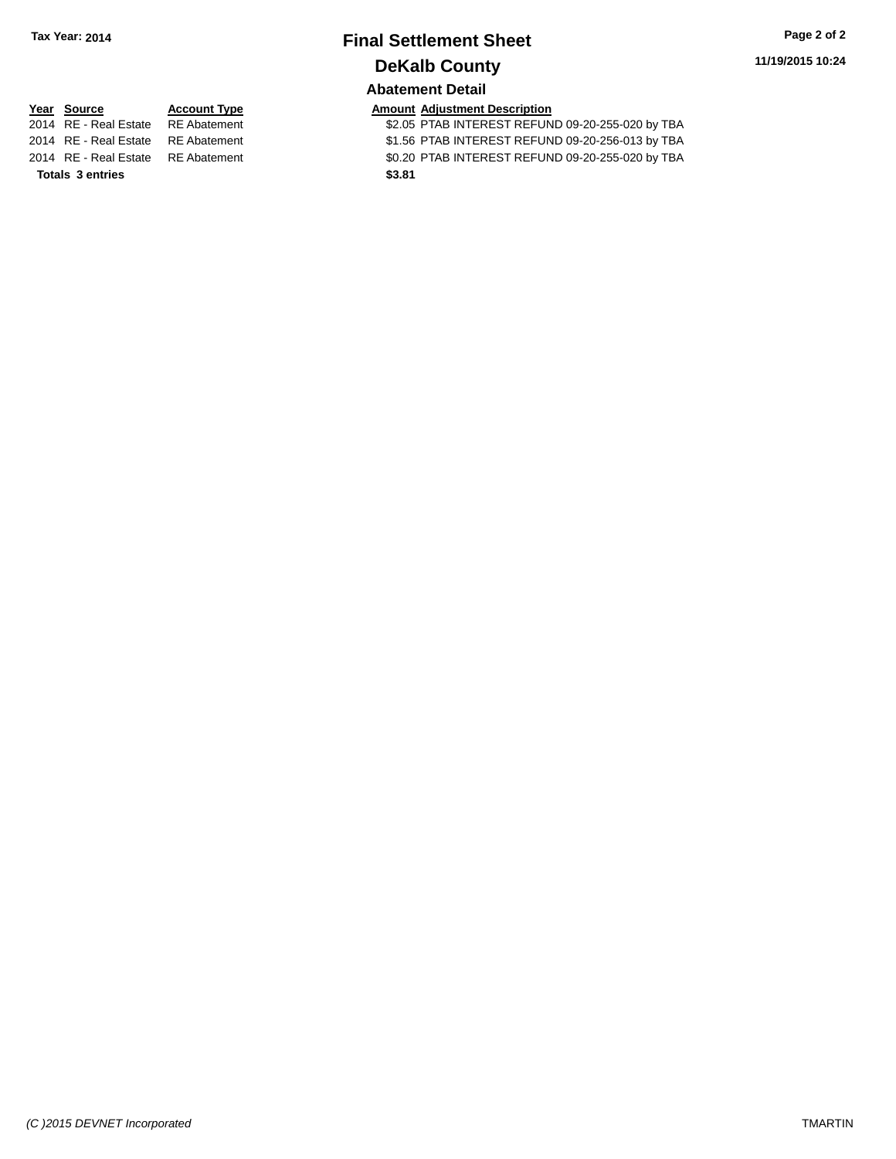# **Final Settlement Sheet Tax Year: 2014 Page 2 of 2 DeKalb County Abatement Detail**

| 2014 RE - Real Estate | <b>RE</b> Abateme |
|-----------------------|-------------------|
| 2014 RE - Real Estate | <b>RE</b> Abateme |
| 2014 RE - Real Estate | <b>RE</b> Abateme |

**Totals \$3.81 3 entries**

**Year** Source **Account Type Account Adjustment Description** 

2014 RE - Real Estate RE Abatement \$2.05 PTAB INTEREST REFUND 09-20-255-020 by TBA 2014 RE - Real Estate RE Abatement \$1.56 PTAB INTEREST REFUND 09-20-256-013 by TBA 2014 RE - Real Estate RE Abatement \$0.20 PTAB INTEREST REFUND 09-20-255-020 by TBA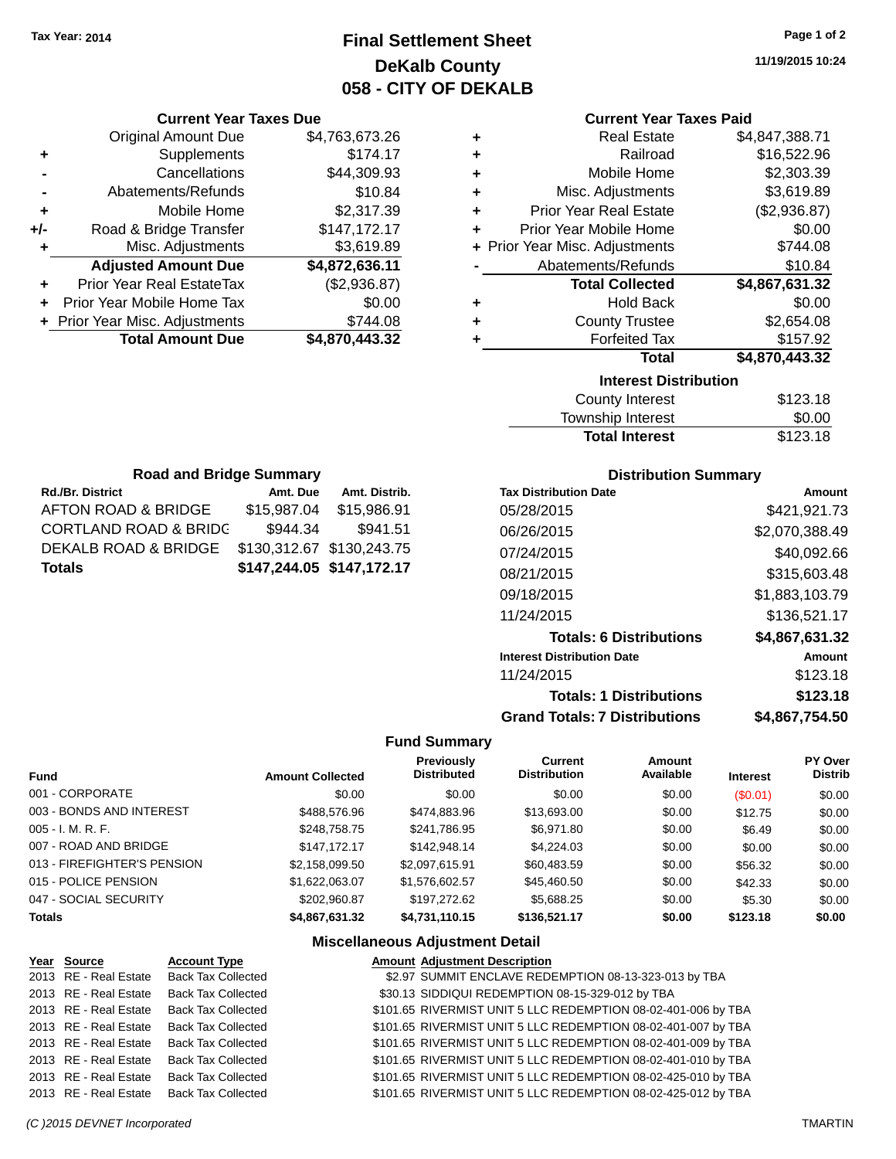# **Final Settlement Sheet Tax Year: 2014 Page 1 of 2 DeKalb County 058 - CITY OF DEKALB**

**11/19/2015 10:24**

### **Current Year Taxes Paid**

| ٠ | <b>Real Estate</b>             | \$4,847,388.71 |  |  |  |
|---|--------------------------------|----------------|--|--|--|
| ٠ | Railroad                       | \$16,522.96    |  |  |  |
| ٠ | Mobile Home                    | \$2,303.39     |  |  |  |
| ٠ | Misc. Adjustments              | \$3,619.89     |  |  |  |
| ٠ | <b>Prior Year Real Estate</b>  | (\$2,936.87)   |  |  |  |
| ÷ | Prior Year Mobile Home         | \$0.00         |  |  |  |
|   | + Prior Year Misc. Adjustments | \$744.08       |  |  |  |
|   | Abatements/Refunds             | \$10.84        |  |  |  |
|   | <b>Total Collected</b>         | \$4,867,631.32 |  |  |  |
| ٠ | <b>Hold Back</b>               | \$0.00         |  |  |  |
| ٠ | <b>County Trustee</b>          | \$2,654.08     |  |  |  |
| ٠ | <b>Forfeited Tax</b>           | \$157.92       |  |  |  |
|   | <b>Total</b>                   | \$4,870,443.32 |  |  |  |
|   | <b>Interest Distribution</b>   |                |  |  |  |
|   | <b>County Interest</b>         | \$123.18       |  |  |  |
|   |                                |                |  |  |  |

| \$123.18 |
|----------|
| \$0.00   |
| \$123.18 |
|          |

| <b>Road and Bridge Summary</b>   |                           |                           |  |  |  |
|----------------------------------|---------------------------|---------------------------|--|--|--|
| <b>Rd./Br. District</b>          | Amt. Due                  | Amt. Distrib.             |  |  |  |
| AFTON ROAD & BRIDGE              | \$15,987.04               | \$15,986.91               |  |  |  |
| <b>CORTLAND ROAD &amp; BRIDG</b> | \$944.34                  | \$941.51                  |  |  |  |
| DEKALB ROAD & BRIDGE             | \$130,312.67 \$130,243.75 |                           |  |  |  |
| <b>Totals</b>                    |                           | \$147,244.05 \$147,172.17 |  |  |  |

**Current Year Taxes Due** Original Amount Due \$4,763,673.26

**Adjusted Amount Due \$4,872,636.11**

**Total Amount Due \$4,870,443.32**

**+** Supplements \$174.17 **-** Cancellations \$44,309.93 **-** Abatements/Refunds \$10.84 **+** Mobile Home \$2,317.39 **+/-** Road & Bridge Transfer \$147,172.17 **+** Misc. Adjustments \$3,619.89

**+** Prior Year Real EstateTax (\$2,936.87) **+** Prior Year Mobile Home Tax \$0.00 **+** Prior Year Misc. Adjustments \$744.08

## **Distribution Summary**

| <b>Tax Distribution Date</b>         | Amount         |
|--------------------------------------|----------------|
| 05/28/2015                           | \$421,921.73   |
| 06/26/2015                           | \$2,070,388.49 |
| 07/24/2015                           | \$40,092.66    |
| 08/21/2015                           | \$315,603.48   |
| 09/18/2015                           | \$1,883,103.79 |
| 11/24/2015                           | \$136,521.17   |
| <b>Totals: 6 Distributions</b>       | \$4,867,631.32 |
| <b>Interest Distribution Date</b>    | <b>Amount</b>  |
| 11/24/2015                           | \$123.18       |
| <b>Totals: 1 Distributions</b>       | \$123.18       |
| <b>Grand Totals: 7 Distributions</b> | \$4.867.754.50 |

### **Fund Summary**

| <b>Fund</b>                 | <b>Amount Collected</b> | <b>Previously</b><br><b>Distributed</b> | <b>Current</b><br><b>Distribution</b> | Amount<br>Available | <b>Interest</b> | PY Over<br><b>Distrib</b> |
|-----------------------------|-------------------------|-----------------------------------------|---------------------------------------|---------------------|-----------------|---------------------------|
| 001 - CORPORATE             | \$0.00                  | \$0.00                                  | \$0.00                                | \$0.00              | (S0.01)         | \$0.00                    |
| 003 - BONDS AND INTEREST    | \$488,576.96            | \$474,883.96                            | \$13,693.00                           | \$0.00              | \$12.75         | \$0.00                    |
| $005 - I. M. R. F.$         | \$248,758,75            | \$241.786.95                            | \$6.971.80                            | \$0.00              | \$6.49          | \$0.00                    |
| 007 - ROAD AND BRIDGE       | \$147.172.17            | \$142,948.14                            | \$4,224,03                            | \$0.00              | \$0.00          | \$0.00                    |
| 013 - FIREFIGHTER'S PENSION | \$2,158,099.50          | \$2,097,615.91                          | \$60,483.59                           | \$0.00              | \$56.32         | \$0.00                    |
| 015 - POLICE PENSION        | \$1,622,063.07          | \$1,576,602.57                          | \$45,460.50                           | \$0.00              | \$42.33         | \$0.00                    |
| 047 - SOCIAL SECURITY       | \$202.960.87            | \$197.272.62                            | \$5,688.25                            | \$0.00              | \$5.30          | \$0.00                    |
| <b>Totals</b>               | \$4,867,631.32          | \$4,731,110.15                          | \$136,521.17                          | \$0.00              | \$123.18        | \$0.00                    |

| Year Source           | <b>Account Type</b>       | <b>Amount Adjustment Description</b>                          |
|-----------------------|---------------------------|---------------------------------------------------------------|
| 2013 RE - Real Estate | <b>Back Tax Collected</b> | \$2.97 SUMMIT ENCLAVE REDEMPTION 08-13-323-013 by TBA         |
| 2013 RE - Real Estate | <b>Back Tax Collected</b> | \$30.13 SIDDIQUI REDEMPTION 08-15-329-012 by TBA              |
| 2013 RE - Real Estate | <b>Back Tax Collected</b> | \$101.65 RIVERMIST UNIT 5 LLC REDEMPTION 08-02-401-006 by TBA |
| 2013 RE - Real Estate | <b>Back Tax Collected</b> | \$101.65 RIVERMIST UNIT 5 LLC REDEMPTION 08-02-401-007 by TBA |
| 2013 RE - Real Estate | <b>Back Tax Collected</b> | \$101.65 RIVERMIST UNIT 5 LLC REDEMPTION 08-02-401-009 by TBA |
| 2013 RE - Real Estate | <b>Back Tax Collected</b> | \$101.65 RIVERMIST UNIT 5 LLC REDEMPTION 08-02-401-010 by TBA |
| 2013 RE - Real Estate | <b>Back Tax Collected</b> | \$101.65 RIVERMIST UNIT 5 LLC REDEMPTION 08-02-425-010 by TBA |
| 2013 RE - Real Estate | <b>Back Tax Collected</b> | \$101.65 RIVERMIST UNIT 5 LLC REDEMPTION 08-02-425-012 by TBA |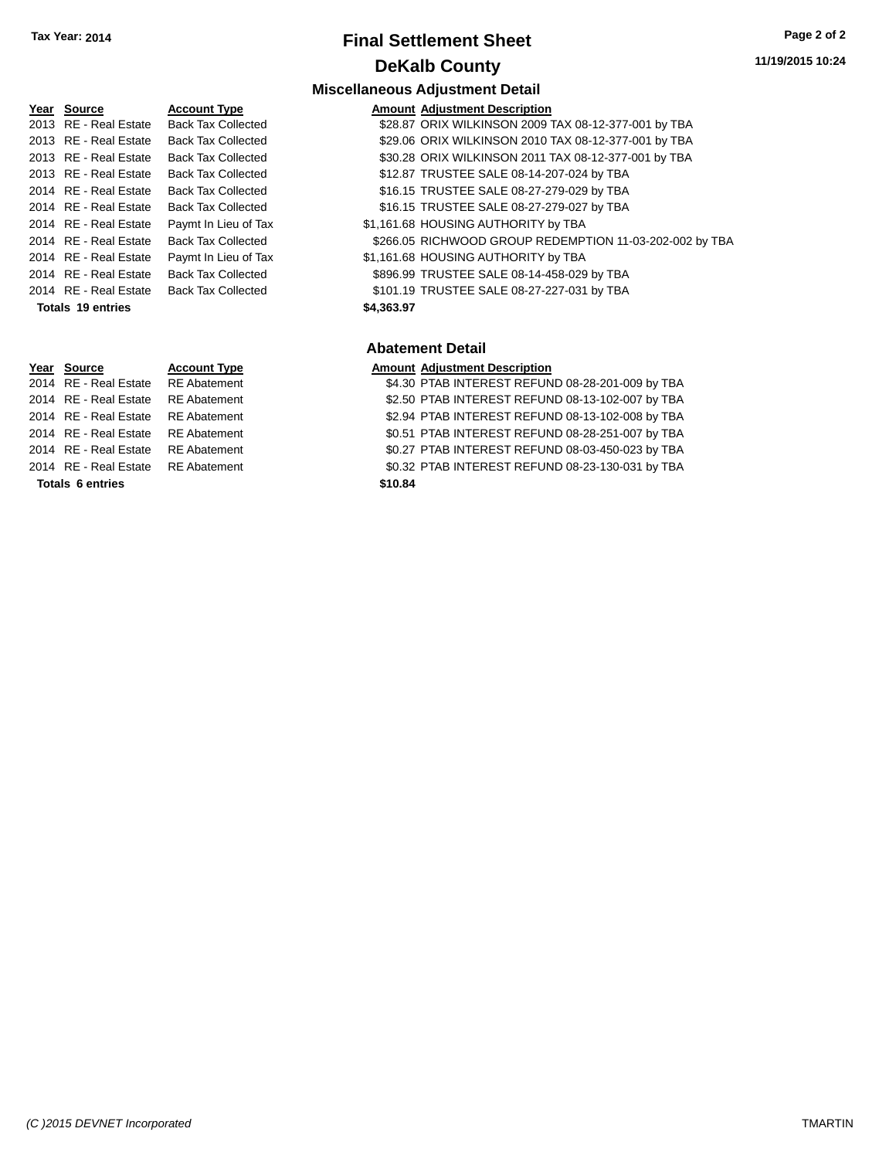# **Final Settlement Sheet Tax Year: 2014 Page 2 of 2 DeKalb County**

**Miscellaneous Adjustment Detail**

2013 RE - Real Estate Back Tax Collected 2013 RE - Real Estate Back Tax Collected 2013 RE - Real Estate Back Tax Collected 2013 RE - Real Estate Back Tax Collected 2014 RE - Real Estate Back Tax Collected 2014 RE - Real Estate Back Tax Collected 2014 RE - Real Estate Paymt In Lieu of Tax 2014 RE - Real Estate Paymt In Lieu of Tax 2014 RE - Real Estate Back Tax Collected 2014 RE - Real Estate Back Tax Collected **Totals \$4,363.97 19 entries**

**Totals \$10.84 6 entries**

# **Year Source Account Type Amount Adjustment Description**

| <b>IGAI JUULUE</b>    | Account Type              | Allioulit Aujustinent Description                       |
|-----------------------|---------------------------|---------------------------------------------------------|
| 2013 RE - Real Estate | <b>Back Tax Collected</b> | \$28.87 ORIX WILKINSON 2009 TAX 08-12-377-001 by TBA    |
| 2013 RE - Real Estate | <b>Back Tax Collected</b> | \$29.06 ORIX WILKINSON 2010 TAX 08-12-377-001 by TBA    |
| 2013 RE - Real Estate | <b>Back Tax Collected</b> | \$30.28 ORIX WILKINSON 2011 TAX 08-12-377-001 by TBA    |
| 2013 RE - Real Estate | <b>Back Tax Collected</b> | \$12.87 TRUSTEE SALE 08-14-207-024 by TBA               |
| 2014 RE - Real Estate | <b>Back Tax Collected</b> | \$16.15 TRUSTEE SALE 08-27-279-029 by TBA               |
| 2014 RE - Real Estate | Back Tax Collected        | \$16.15 TRUSTEE SALE 08-27-279-027 by TBA               |
| 2014 RE - Real Estate | Paymt In Lieu of Tax      | \$1,161.68 HOUSING AUTHORITY by TBA                     |
| 2014 RE - Real Estate | <b>Back Tax Collected</b> | \$266.05 RICHWOOD GROUP REDEMPTION 11-03-202-002 by TBA |
| 2014 RE - Real Estate | Paymt In Lieu of Tax      | \$1,161.68 HOUSING AUTHORITY by TBA                     |
| 2014 RE - Real Estate | Back Tax Collected        | \$896.99 TRUSTEE SALE 08-14-458-029 by TBA              |
| 2014 RE - Real Estate | <b>Back Tax Collected</b> | \$101.19 TRUSTEE SALE 08-27-227-031 by TBA              |

## **Abatement Detail**

# **Year Source Account Type Amount Adjustment Description** 2014 RE - Real Estate RE Abatement \$4.30 PTAB INTEREST REFUND 08-28-201-009 by TBA 2014 RE - Real Estate RE Abatement \$2.50 PTAB INTEREST REFUND 08-13-102-007 by TBA 2014 RE - Real Estate RE Abatement \$2.94 PTAB INTEREST REFUND 08-13-102-008 by TBA 2014 RE - Real Estate RE Abatement \$0.51 PTAB INTEREST REFUND 08-28-251-007 by TBA 2014 RE - Real Estate RE Abatement \$0.27 PTAB INTEREST REFUND 08-03-450-023 by TBA 2014 RE - Real Estate RE Abatement \$0.32 PTAB INTEREST REFUND 08-23-130-031 by TBA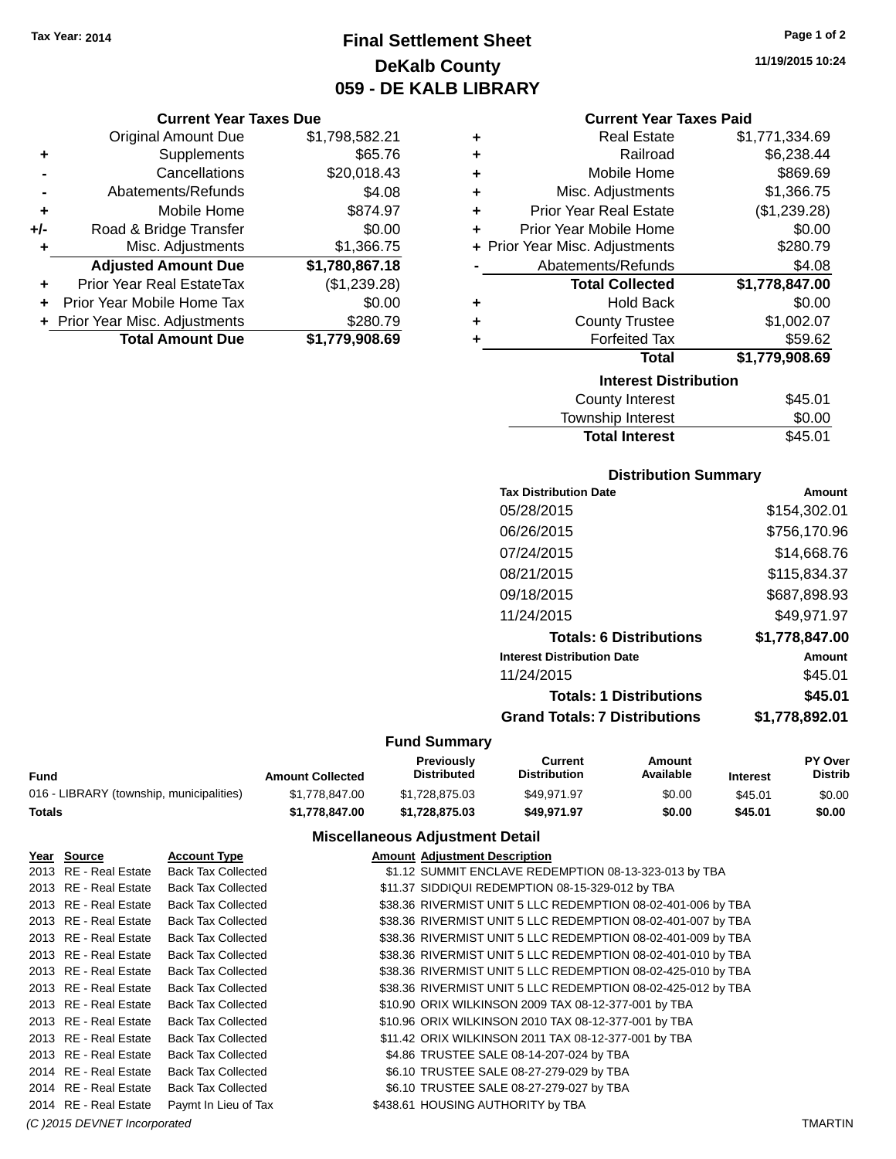# **Final Settlement Sheet Tax Year: 2014 Page 1 of 2 DeKalb County 059 - DE KALB LIBRARY**

**11/19/2015 10:24**

## **Current Year Taxes Due**

|       | <b>Original Amount Due</b>       | \$1,798,582.21 |
|-------|----------------------------------|----------------|
| ٠     | Supplements                      | \$65.76        |
|       | Cancellations                    | \$20,018.43    |
|       | Abatements/Refunds               | \$4.08         |
| ٠     | Mobile Home                      | \$874.97       |
| $+/-$ | Road & Bridge Transfer           | \$0.00         |
| ٠     | Misc. Adjustments                | \$1,366.75     |
|       | <b>Adjusted Amount Due</b>       | \$1,780,867.18 |
|       | <b>Prior Year Real EstateTax</b> | (\$1,239.28)   |
|       | Prior Year Mobile Home Tax       | \$0.00         |
|       | + Prior Year Misc. Adjustments   | \$280.79       |
|       | <b>Total Amount Due</b>          | \$1,779,908.69 |

| <b>Current Year Taxes Paid</b> |  |  |  |
|--------------------------------|--|--|--|
|--------------------------------|--|--|--|

| ٠ | <b>Real Estate</b>             | \$1,771,334.69 |
|---|--------------------------------|----------------|
| ٠ | Railroad                       | \$6,238.44     |
| ٠ | Mobile Home                    | \$869.69       |
| ٠ | Misc. Adjustments              | \$1,366.75     |
| ٠ | <b>Prior Year Real Estate</b>  | (\$1,239.28)   |
| ٠ | Prior Year Mobile Home         | \$0.00         |
|   | + Prior Year Misc. Adjustments | \$280.79       |
|   | Abatements/Refunds             | \$4.08         |
|   | <b>Total Collected</b>         | \$1,778,847.00 |
|   |                                |                |
| ٠ | <b>Hold Back</b>               | \$0.00         |
| ٠ | <b>County Trustee</b>          | \$1,002.07     |
| ٠ | <b>Forfeited Tax</b>           | \$59.62        |
|   | <b>Total</b>                   | \$1,779,908.69 |
|   | <b>Interest Distribution</b>   |                |

| <b>Total Interest</b> | \$45.01 |
|-----------------------|---------|
| Township Interest     | \$0.00  |
| County Interest       | \$45.01 |

## **Distribution Summary**

| <b>Tax Distribution Date</b>         | Amount         |
|--------------------------------------|----------------|
| 05/28/2015                           | \$154,302.01   |
| 06/26/2015                           | \$756,170.96   |
| 07/24/2015                           | \$14,668.76    |
| 08/21/2015                           | \$115.834.37   |
| 09/18/2015                           | \$687,898.93   |
| 11/24/2015                           | \$49.971.97    |
| <b>Totals: 6 Distributions</b>       | \$1,778,847.00 |
| <b>Interest Distribution Date</b>    | Amount         |
| 11/24/2015                           | \$45.01        |
| <b>Totals: 1 Distributions</b>       | \$45.01        |
| <b>Grand Totals: 7 Distributions</b> | \$1,778,892.01 |
|                                      |                |

# **Fund Summary**

 $\sim$ 

|                                          | Previously              |                    | Current             | Amount    |          | PY Over |
|------------------------------------------|-------------------------|--------------------|---------------------|-----------|----------|---------|
| Fund                                     | <b>Amount Collected</b> | <b>Distributed</b> | <b>Distribution</b> | Available | Interest | Distrib |
| 016 - LIBRARY (township, municipalities) | \$1.778.847.00          | \$1.728.875.03     | \$49.971.97         | \$0.00    | \$45.01  | \$0.00  |
| Totals                                   | \$1,778,847.00          | \$1.728.875.03     | \$49.971.97         | \$0.00    | \$45.01  | \$0.00  |

| Year Source                  | <b>Account Type</b>       | <b>Amount Adjustment Description</b>                         |         |
|------------------------------|---------------------------|--------------------------------------------------------------|---------|
| 2013 RE - Real Estate        | <b>Back Tax Collected</b> | \$1.12 SUMMIT ENCLAVE REDEMPTION 08-13-323-013 by TBA        |         |
| 2013 RE - Real Estate        | <b>Back Tax Collected</b> | \$11.37 SIDDIQUI REDEMPTION 08-15-329-012 by TBA             |         |
| 2013 RE - Real Estate        | <b>Back Tax Collected</b> | \$38.36 RIVERMIST UNIT 5 LLC REDEMPTION 08-02-401-006 by TBA |         |
| 2013 RE - Real Estate        | <b>Back Tax Collected</b> | \$38.36 RIVERMIST UNIT 5 LLC REDEMPTION 08-02-401-007 by TBA |         |
| 2013 RE - Real Estate        | <b>Back Tax Collected</b> | \$38.36 RIVERMIST UNIT 5 LLC REDEMPTION 08-02-401-009 by TBA |         |
| 2013 RE - Real Estate        | <b>Back Tax Collected</b> | \$38.36 RIVERMIST UNIT 5 LLC REDEMPTION 08-02-401-010 by TBA |         |
| 2013 RE - Real Estate        | <b>Back Tax Collected</b> | \$38.36 RIVERMIST UNIT 5 LLC REDEMPTION 08-02-425-010 by TBA |         |
| 2013 RE - Real Estate        | <b>Back Tax Collected</b> | \$38.36 RIVERMIST UNIT 5 LLC REDEMPTION 08-02-425-012 by TBA |         |
| 2013 RE - Real Estate        | <b>Back Tax Collected</b> | \$10.90 ORIX WILKINSON 2009 TAX 08-12-377-001 by TBA         |         |
| 2013 RE - Real Estate        | <b>Back Tax Collected</b> | \$10.96 ORIX WILKINSON 2010 TAX 08-12-377-001 by TBA         |         |
| 2013 RE - Real Estate        | <b>Back Tax Collected</b> | \$11.42 ORIX WILKINSON 2011 TAX 08-12-377-001 by TBA         |         |
| 2013 RE - Real Estate        | <b>Back Tax Collected</b> | \$4.86 TRUSTEE SALE 08-14-207-024 by TBA                     |         |
| 2014 RE - Real Estate        | <b>Back Tax Collected</b> | \$6.10 TRUSTEE SALE 08-27-279-029 by TBA                     |         |
| 2014 RE - Real Estate        | <b>Back Tax Collected</b> | \$6.10 TRUSTEE SALE 08-27-279-027 by TBA                     |         |
| 2014 RE - Real Estate        | Paymt In Lieu of Tax      | \$438.61 HOUSING AUTHORITY by TBA                            |         |
| (C) 2015 DEVNET Incorporated |                           |                                                              | TMARTIN |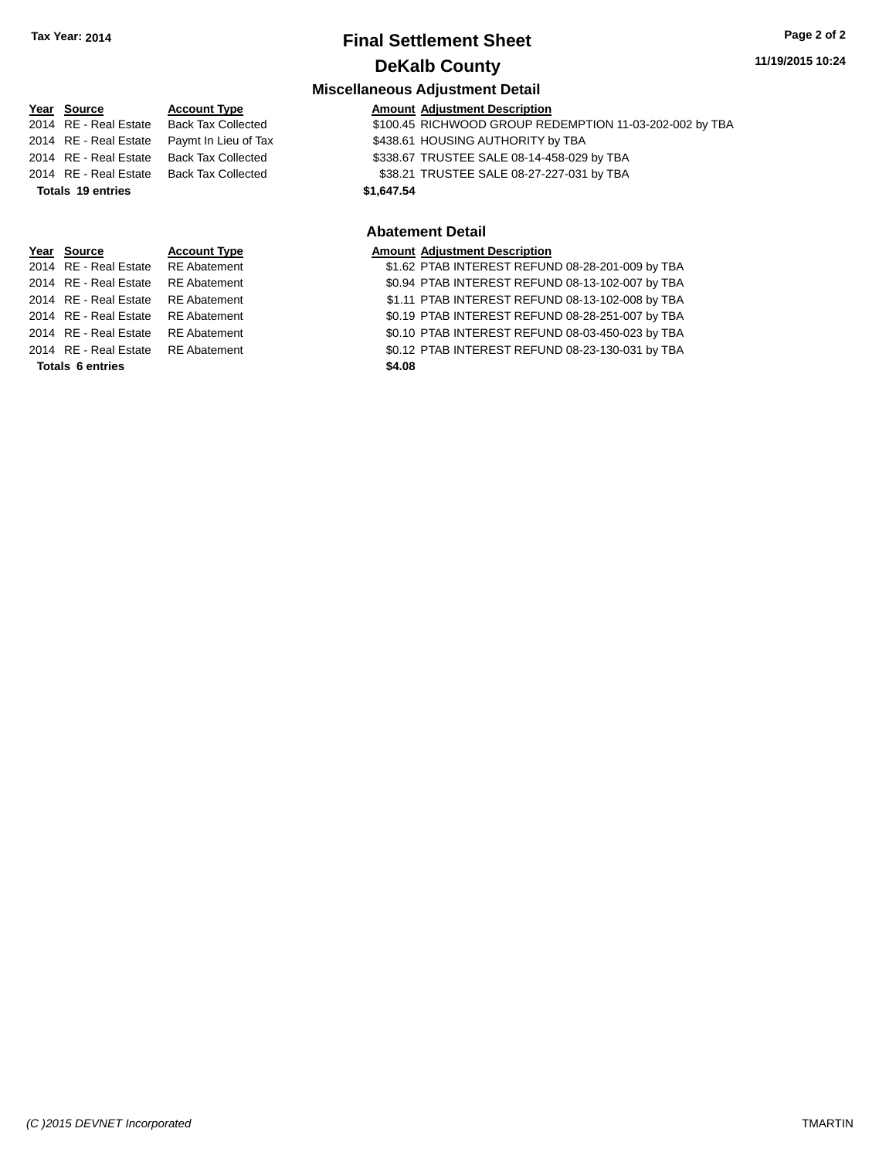# **Final Settlement Sheet Tax Year: 2014 Page 2 of 2 DeKalb County**

# **11/19/2015 10:24**

# **Miscellaneous Adjustment Detail**

| Year Source           | <b>Account Type</b>       | <b>Amount Adjustment Description</b>                    |
|-----------------------|---------------------------|---------------------------------------------------------|
| 2014 RE - Real Estate | <b>Back Tax Collected</b> | \$100.45 RICHWOOD GROUP REDEMPTION 11-03-202-002 by TBA |
| 2014 RE - Real Estate | Paymt In Lieu of Tax      | \$438.61 HOUSING AUTHORITY by TBA                       |
| 2014 RE - Real Estate | Back Tax Collected        | \$338.67 TRUSTEE SALE 08-14-458-029 by TBA              |
| 2014 RE - Real Estate | Back Tax Collected        | \$38.21 TRUSTEE SALE 08-27-227-031 by TBA               |
| Totals 19 entries     |                           | \$1,647.54                                              |
|                       |                           |                                                         |

#### **Abatement Detail**

| Year Source                        | <b>Account Type</b> | <b>Amount Adjustment Description</b>             |
|------------------------------------|---------------------|--------------------------------------------------|
| 2014 RE - Real Estate RE Abatement |                     | \$1.62 PTAB INTEREST REFUND 08-28-201-009 by TBA |
| 2014 RE - Real Estate RE Abatement |                     | \$0.94 PTAB INTEREST REFUND 08-13-102-007 by TBA |
| 2014 RE - Real Estate RE Abatement |                     | \$1.11 PTAB INTEREST REFUND 08-13-102-008 by TBA |
| 2014 RE - Real Estate RE Abatement |                     | \$0.19 PTAB INTEREST REFUND 08-28-251-007 by TBA |
| 2014 RE - Real Estate RE Abatement |                     | \$0.10 PTAB INTEREST REFUND 08-03-450-023 by TBA |
| 2014 RE - Real Estate RE Abatement |                     | \$0.12 PTAB INTEREST REFUND 08-23-130-031 by TBA |
| <b>Totals 6 entries</b>            |                     | \$4.08                                           |

| \$1.62 PTAB INTEREST REFUND 08-28-201-009 by TBA |
|--------------------------------------------------|
| \$0.94 PTAB INTEREST REFUND 08-13-102-007 by TBA |
| \$1.11 PTAB INTEREST REFUND 08-13-102-008 by TBA |
| \$0.19 PTAB INTEREST REFUND 08-28-251-007 by TBA |
| \$0.10 PTAB INTEREST REFUND 08-03-450-023 by TBA |
| \$0.12 PTAB INTEREST REFUND 08-23-130-031 by TBA |
| \$4.08                                           |
|                                                  |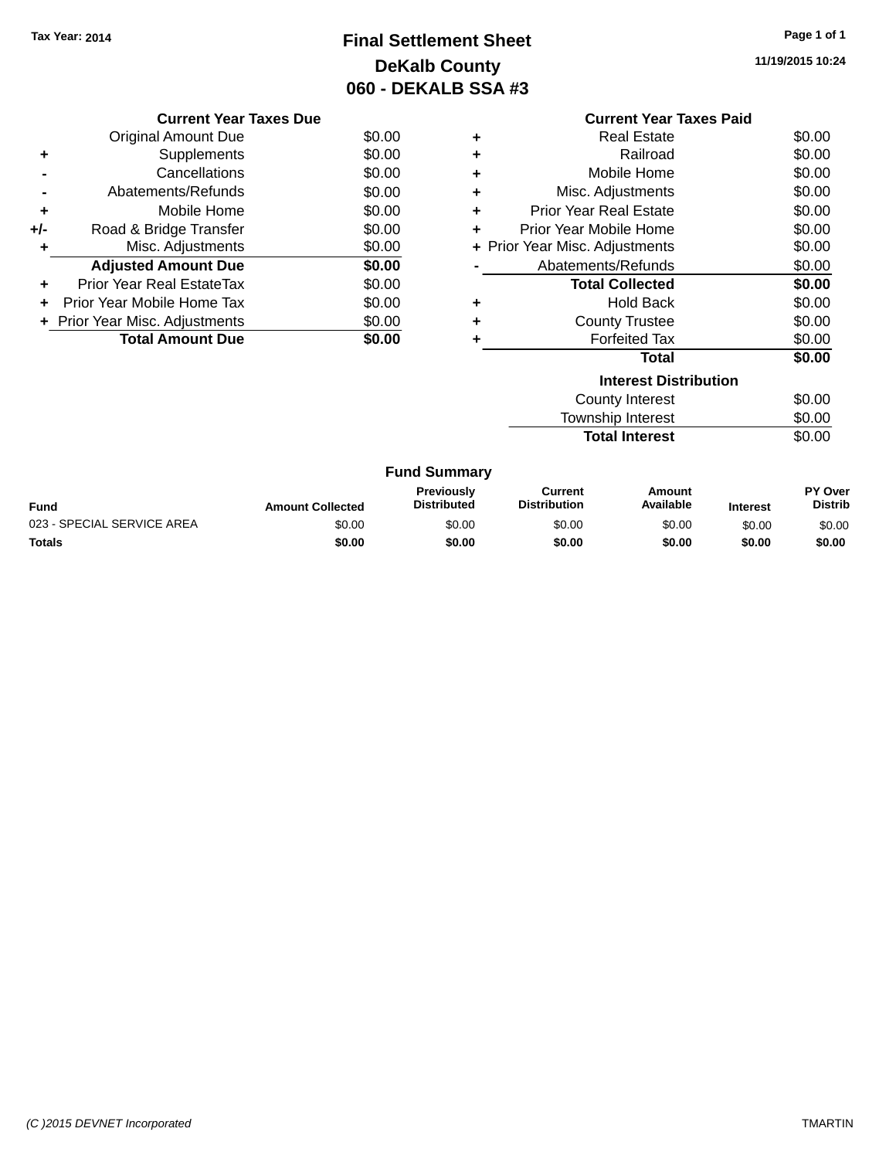# **Final Settlement Sheet Tax Year: 2014 Page 1 of 1 DeKalb County 060 - DEKALB SSA #3**

**11/19/2015 10:24**

|     | <b>Current Year Taxes Due</b>            |        |  |  |  |  |
|-----|------------------------------------------|--------|--|--|--|--|
|     | Original Amount Due                      | \$0.00 |  |  |  |  |
|     | Supplements                              | \$0.00 |  |  |  |  |
|     | Cancellations                            | \$0.00 |  |  |  |  |
|     | Abatements/Refunds                       | \$0.00 |  |  |  |  |
| ٠   | Mobile Home                              | \$0.00 |  |  |  |  |
| +/- | Road & Bridge Transfer                   | \$0.00 |  |  |  |  |
|     | Misc. Adjustments                        | \$0.00 |  |  |  |  |
|     | <b>Adjusted Amount Due</b>               | \$0.00 |  |  |  |  |
|     | Prior Year Real EstateTax                | \$0.00 |  |  |  |  |
|     | Prior Year Mobile Home Tax               | \$0.00 |  |  |  |  |
|     | \$0.00<br>+ Prior Year Misc. Adjustments |        |  |  |  |  |
|     | <b>Total Amount Due</b><br>\$0.00        |        |  |  |  |  |
|     |                                          |        |  |  |  |  |

|   | <b>Current Year Taxes Paid</b> |        |
|---|--------------------------------|--------|
| ٠ | Real Estate                    | \$0.00 |
| ÷ | Railroad                       | \$0.00 |
| ÷ | Mobile Home                    | \$0.00 |
| ÷ | Misc. Adjustments              | \$0.00 |
| ÷ | Prior Year Real Estate         | \$0.00 |
| ÷ | Prior Year Mobile Home         | \$0.00 |
|   | + Prior Year Misc. Adjustments | \$0.00 |
|   | Abatements/Refunds             | \$0.00 |
|   | <b>Total Collected</b>         | \$0.00 |
| ٠ | <b>Hold Back</b>               | \$0.00 |
|   | <b>County Trustee</b>          | \$0.00 |
| ÷ | <b>Forfeited Tax</b>           | \$0.00 |
|   | Total                          | \$0.00 |
|   | <b>Interest Distribution</b>   |        |
|   | <b>County Interest</b>         | \$0.00 |
|   | Township Interest              | \$0.00 |

**Total Interest** \$0.00

| <b>Fund Summary</b> |  |
|---------------------|--|
|---------------------|--|

| <b>Fund</b>                | <b>Amount Collected</b> | <b>Previously</b><br><b>Distributed</b> | Current<br><b>Distribution</b> | Amount<br>Available | <b>Interest</b> | <b>PY Over</b><br><b>Distrib</b> |
|----------------------------|-------------------------|-----------------------------------------|--------------------------------|---------------------|-----------------|----------------------------------|
| 023 - SPECIAL SERVICE AREA | \$0.00                  | \$0.00                                  | \$0.00                         | \$0.00              | \$0.00          | \$0.00                           |
| Totals                     | \$0.00                  | \$0.00                                  | \$0.00                         | \$0.00              | \$0.00          | \$0.00                           |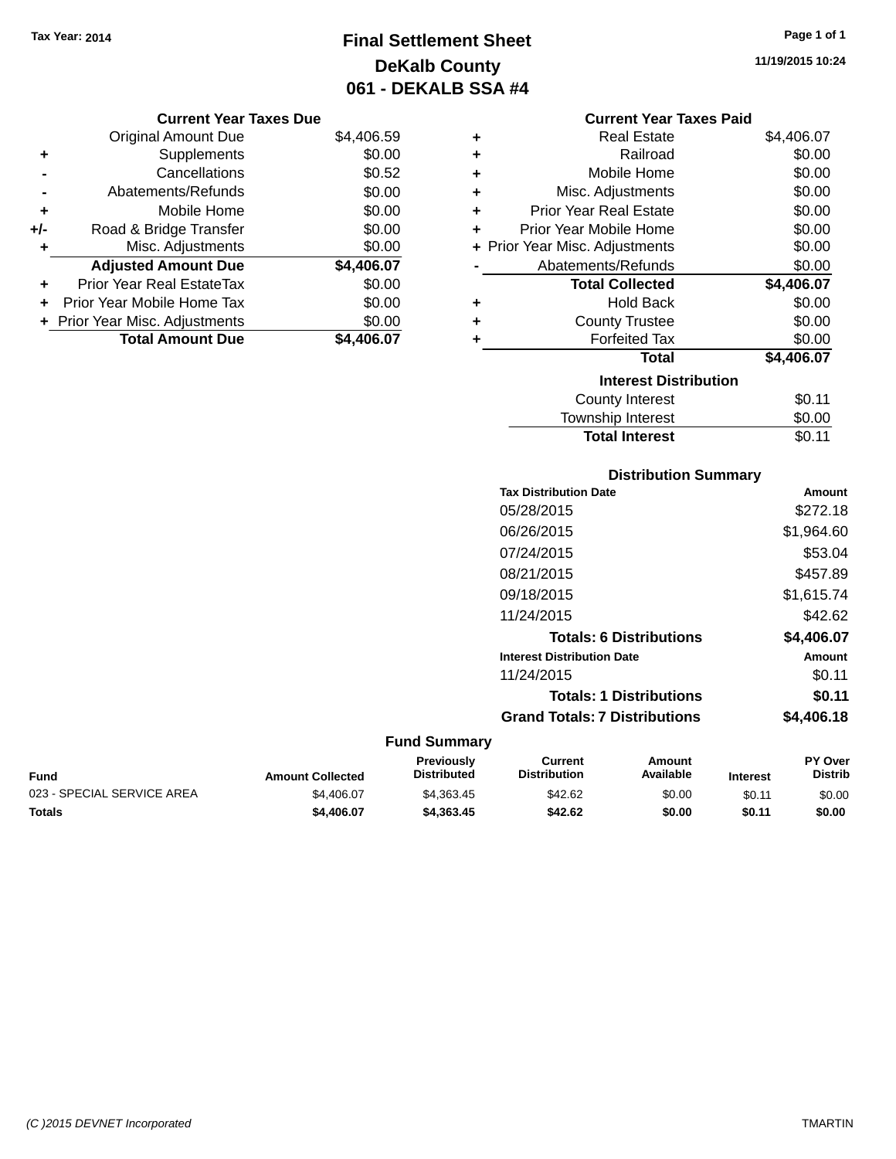# **Final Settlement Sheet Tax Year: 2014 Page 1 of 1 DeKalb County 061 - DEKALB SSA #4**

**11/19/2015 10:24**

## **Current Year Taxes Due**

|     | <b>Original Amount Due</b>     | \$4,406.59 |
|-----|--------------------------------|------------|
| ٠   | Supplements                    | \$0.00     |
|     | Cancellations                  | \$0.52     |
|     | Abatements/Refunds             | \$0.00     |
| ٠   | Mobile Home                    | \$0.00     |
| +/- | Road & Bridge Transfer         | \$0.00     |
| ٠   | Misc. Adjustments              | \$0.00     |
|     | <b>Adjusted Amount Due</b>     | \$4,406.07 |
| ÷   | Prior Year Real EstateTax      | \$0.00     |
|     | Prior Year Mobile Home Tax     | \$0.00     |
|     | + Prior Year Misc. Adjustments | \$0.00     |
|     | <b>Total Amount Due</b>        | \$4.406.07 |

### **Current Year Taxes Paid**

| ٠ | <b>Real Estate</b>             | \$4,406.07 |
|---|--------------------------------|------------|
| ٠ | Railroad                       | \$0.00     |
| ٠ | Mobile Home                    | \$0.00     |
| ٠ | Misc. Adjustments              | \$0.00     |
| ٠ | <b>Prior Year Real Estate</b>  | \$0.00     |
| ÷ | Prior Year Mobile Home         | \$0.00     |
|   | + Prior Year Misc. Adjustments | \$0.00     |
|   | Abatements/Refunds             | \$0.00     |
|   |                                |            |
|   | <b>Total Collected</b>         | \$4,406.07 |
| ٠ | <b>Hold Back</b>               | \$0.00     |
| ٠ | <b>County Trustee</b>          | \$0.00     |
| ٠ | <b>Forfeited Tax</b>           | \$0.00     |
|   | Total                          | \$4,406.07 |
|   | <b>Interest Distribution</b>   |            |
|   | <b>County Interest</b>         | \$0.11     |

# **Distribution Summary Tax Distribution Date Amount** 05/28/2015 \$272.18 06/26/2015 \$1,964.60 07/24/2015 \$53.04 08/21/2015 \$457.89 09/18/2015 \$1,615.74 11/24/2015 \$42.62 **Totals: 6 Distributions \$4,406.07 Interest Distribution Date Amount** 11/24/2015 \$0.11 **Totals: 1 Distributions \$0.11 Grand Totals: 7 Distributions \$4,406.18**

Total Interest \$0.11

| Fund                       | <b>Amount Collected</b> | Previously<br>Distributed | Current<br><b>Distribution</b> | Amount<br>Available | <b>Interest</b> | <b>PY Over</b><br><b>Distrib</b> |
|----------------------------|-------------------------|---------------------------|--------------------------------|---------------------|-----------------|----------------------------------|
| 023 - SPECIAL SERVICE AREA | \$4.406.07              | \$4.363.45                | \$42.62                        | \$0.00              | \$0.11          | \$0.00                           |
| Totals                     | \$4.406.07              | \$4,363,45                | \$42.62                        | \$0.00              | \$0.11          | \$0.00                           |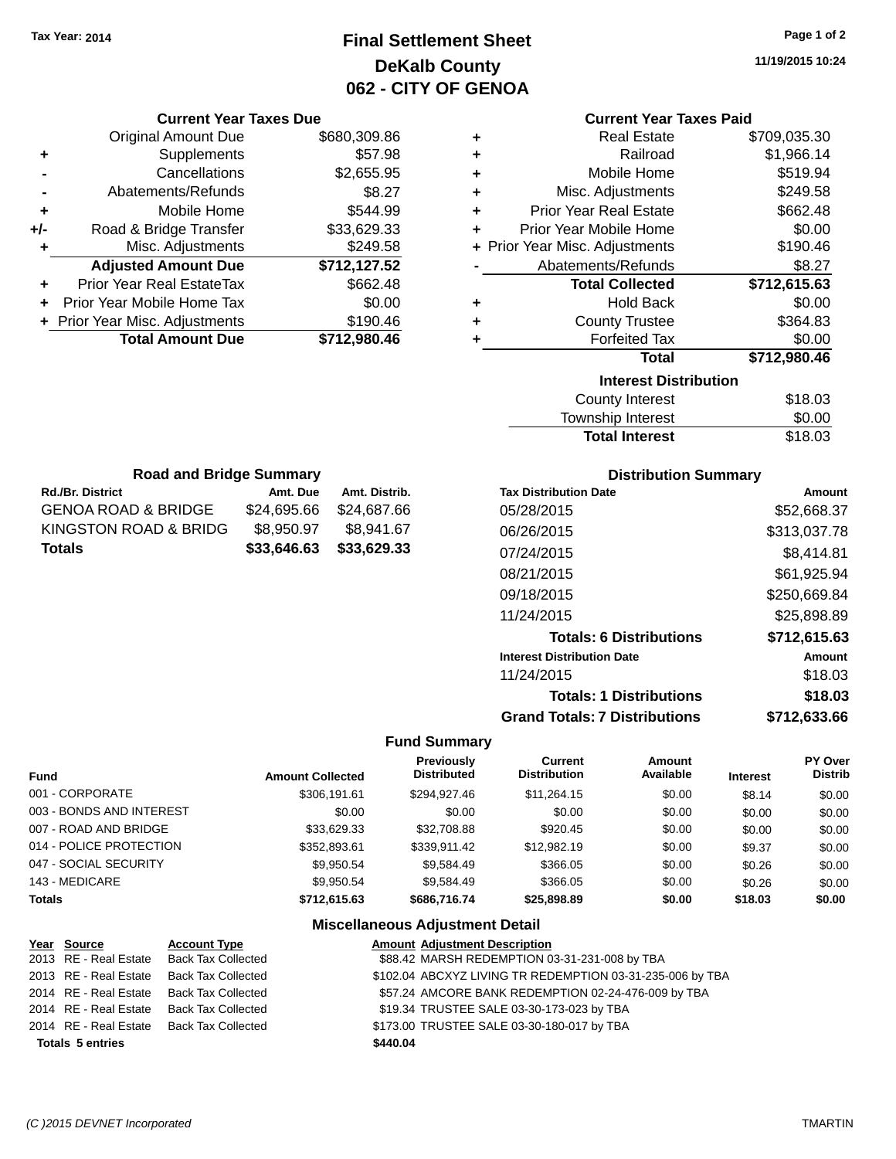# **Final Settlement Sheet Tax Year: 2014 Page 1 of 2 DeKalb County 062 - CITY OF GENOA**

**11/19/2015 10:24**

| <b>Current Year Taxes Paid</b> |  |  |  |
|--------------------------------|--|--|--|
|--------------------------------|--|--|--|

| ٠ | <b>Real Estate</b>             | \$709,035.30 |
|---|--------------------------------|--------------|
| ٠ | Railroad                       | \$1,966.14   |
| ÷ | Mobile Home                    | \$519.94     |
| ÷ | Misc. Adjustments              | \$249.58     |
| ÷ | <b>Prior Year Real Estate</b>  | \$662.48     |
| ٠ | Prior Year Mobile Home         | \$0.00       |
|   | + Prior Year Misc. Adjustments | \$190.46     |
|   | Abatements/Refunds             | \$8.27       |
|   |                                |              |
|   | <b>Total Collected</b>         | \$712,615.63 |
| ٠ | <b>Hold Back</b>               | \$0.00       |
| ٠ | <b>County Trustee</b>          | \$364.83     |
| ٠ | <b>Forfeited Tax</b>           | \$0.00       |
|   | <b>Total</b>                   | \$712,980.46 |
|   | <b>Interest Distribution</b>   |              |
|   | <b>County Interest</b>         | \$18.03      |

| County Interest       | \$18.03 |
|-----------------------|---------|
| Township Interest     | \$0.00  |
| <b>Total Interest</b> | \$18.03 |

| <b>Road and Bridge Summary</b>              |             |               |  |  |
|---------------------------------------------|-------------|---------------|--|--|
| <b>Rd./Br. District</b>                     | Amt. Due    | Amt. Distrib. |  |  |
| <b>GENOA ROAD &amp; BRIDGE</b>              | \$24,695.66 | \$24,687.66   |  |  |
| KINGSTON ROAD & BRIDG                       | \$8,950.97  | \$8.941.67    |  |  |
| \$33,629.33<br>\$33,646.63<br><b>Totals</b> |             |               |  |  |

**Current Year Taxes Due** Original Amount Due \$680,309.86

**Adjusted Amount Due \$712,127.52**

**+** Supplements \$57.98 **-** Cancellations \$2,655.95 **-** Abatements/Refunds **\$8.27 +** Mobile Home \$544.99 **+/-** Road & Bridge Transfer \$33,629.33<br>**+** Misc. Adjustments \$249.58

**+** Prior Year Real EstateTax \$662.48 **+** Prior Year Mobile Home Tax \$0.00 **+** Prior Year Misc. Adjustments \$190.46<br>Total Amount Due \$712,980.46

**Total Amount Due** 

**+** Misc. Adjustments

## **Distribution Summary**

| <b>Tax Distribution Date</b>         | Amount       |
|--------------------------------------|--------------|
| 05/28/2015                           | \$52.668.37  |
| 06/26/2015                           | \$313,037.78 |
| 07/24/2015                           | \$8.414.81   |
| 08/21/2015                           | \$61,925.94  |
| 09/18/2015                           | \$250,669.84 |
| 11/24/2015                           | \$25,898,89  |
| <b>Totals: 6 Distributions</b>       | \$712,615.63 |
| <b>Interest Distribution Date</b>    | Amount       |
| 11/24/2015                           | \$18.03      |
| <b>Totals: 1 Distributions</b>       | \$18.03      |
| <b>Grand Totals: 7 Distributions</b> | \$712.633.66 |

### **Fund Summary**

| <b>Fund</b>              | <b>Amount Collected</b> | <b>Previously</b><br><b>Distributed</b> | Current<br><b>Distribution</b> | Amount<br>Available | <b>Interest</b> | PY Over<br><b>Distrib</b> |
|--------------------------|-------------------------|-----------------------------------------|--------------------------------|---------------------|-----------------|---------------------------|
| 001 - CORPORATE          | \$306.191.61            | \$294.927.46                            | \$11.264.15                    | \$0.00              | \$8.14          | \$0.00                    |
| 003 - BONDS AND INTEREST | \$0.00                  | \$0.00                                  | \$0.00                         | \$0.00              | \$0.00          | \$0.00                    |
| 007 - ROAD AND BRIDGE    | \$33.629.33             | \$32,708.88                             | \$920.45                       | \$0.00              | \$0.00          | \$0.00                    |
| 014 - POLICE PROTECTION  | \$352,893.61            | \$339.911.42                            | \$12,982.19                    | \$0.00              | \$9.37          | \$0.00                    |
| 047 - SOCIAL SECURITY    | \$9,950.54              | \$9.584.49                              | \$366.05                       | \$0.00              | \$0.26          | \$0.00                    |
| 143 - MEDICARE           | \$9.950.54              | \$9.584.49                              | \$366.05                       | \$0.00              | \$0.26          | \$0.00                    |
| <b>Totals</b>            | \$712.615.63            | \$686,716,74                            | \$25,898,89                    | \$0.00              | \$18.03         | \$0.00                    |

| Year Source             | <b>Account Type</b>                      |          | <b>Amount Adjustment Description</b>                      |
|-------------------------|------------------------------------------|----------|-----------------------------------------------------------|
| 2013 RE - Real Estate   | Back Tax Collected                       |          | \$88.42 MARSH REDEMPTION 03-31-231-008 by TBA             |
|                         | 2013 RE - Real Estate Back Tax Collected |          | \$102.04 ABCXYZ LIVING TR REDEMPTION 03-31-235-006 by TBA |
|                         | 2014 RE - Real Estate Back Tax Collected |          | \$57.24 AMCORE BANK REDEMPTION 02-24-476-009 by TBA       |
| 2014 RE - Real Estate   | Back Tax Collected                       |          | \$19.34 TRUSTEE SALE 03-30-173-023 by TBA                 |
| 2014 RE - Real Estate   | Back Tax Collected                       |          | \$173.00 TRUSTEE SALE 03-30-180-017 by TBA                |
| <b>Totals 5 entries</b> |                                          | \$440.04 |                                                           |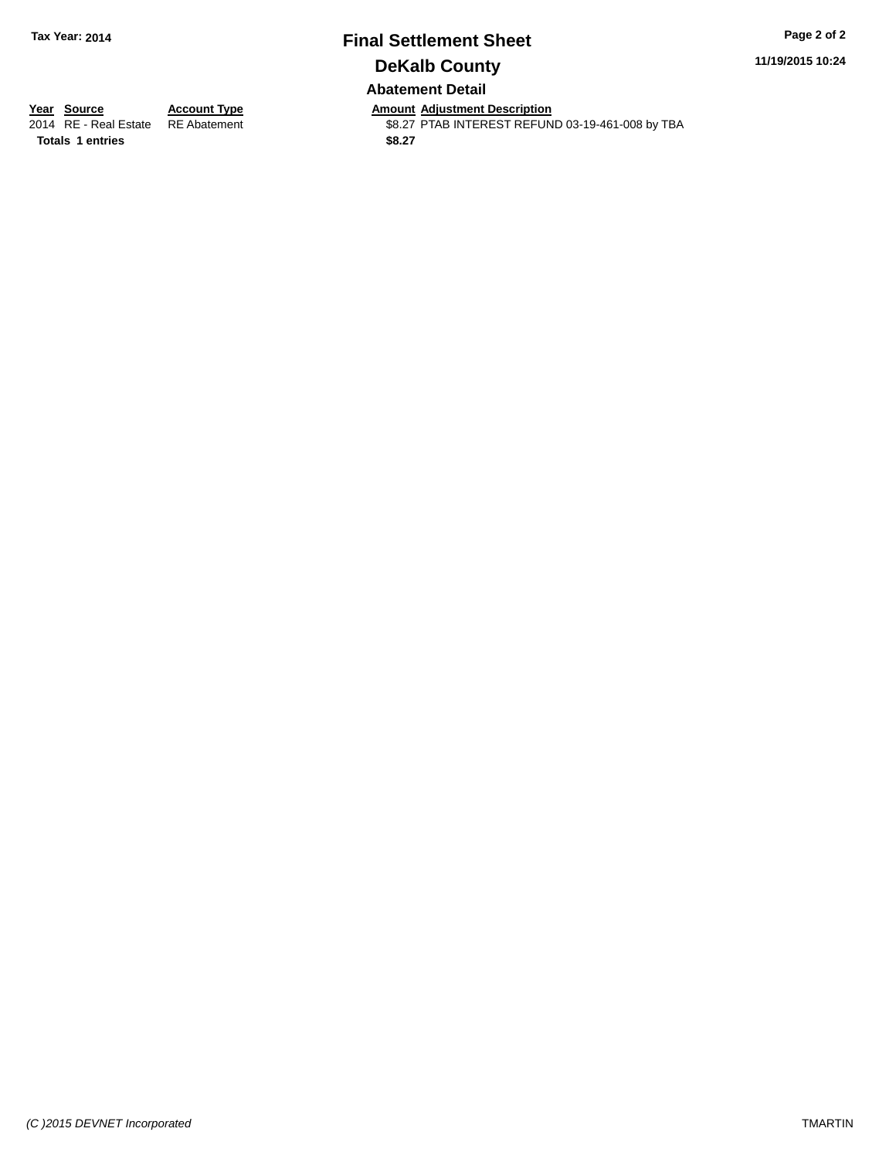### **Final Settlement Sheet Tax Year: 2014 Page 2 of 2 DeKalb County Abatement Detail**

**11/19/2015 10:24**

**Totals 1 entries** \$8.27

**Year Source Account Type Anneunt Adjustment Description**<br>2014 RE - Real Estate RE Abatement **Amount Adjustment REFUN** \$8.27 PTAB INTEREST REFUND 03-19-461-008 by TBA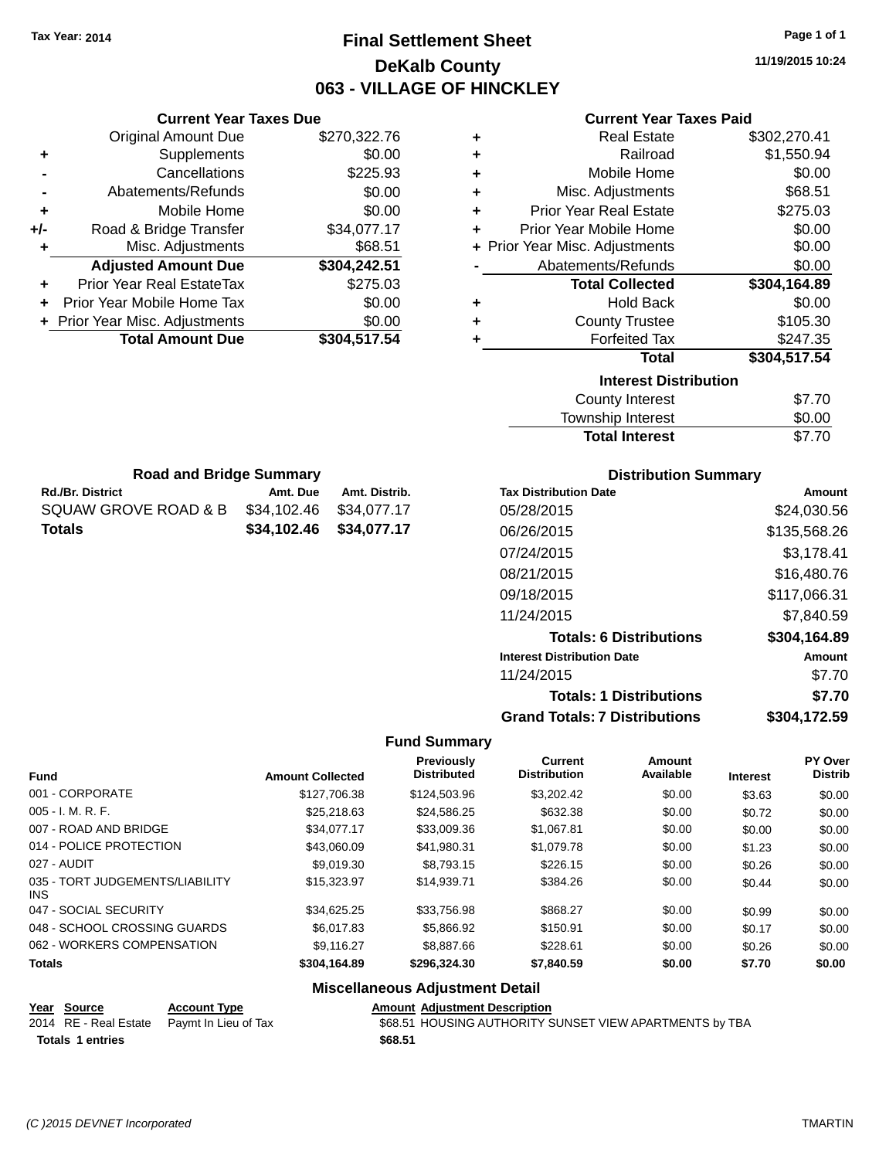# **Final Settlement Sheet Tax Year: 2014 Page 1 of 1 DeKalb County 063 - VILLAGE OF HINCKLEY**

**11/19/2015 10:24**

### **Current Year Taxes Paid**

|     | <b>Total Amount Due</b>        | \$304,517.54 |
|-----|--------------------------------|--------------|
|     | + Prior Year Misc. Adjustments | \$0.00       |
| ÷   | Prior Year Mobile Home Tax     | \$0.00       |
|     | Prior Year Real EstateTax      | \$275.03     |
|     | <b>Adjusted Amount Due</b>     | \$304,242.51 |
| ٠   | Misc. Adjustments              | \$68.51      |
| +/- | Road & Bridge Transfer         | \$34,077.17  |
| ÷   | Mobile Home                    | \$0.00       |
|     | Abatements/Refunds             | \$0.00       |
|     | Cancellations                  | \$225.93     |
| ٠   | Supplements                    | \$0.00       |
|     | <b>Original Amount Due</b>     | \$270,322.76 |
|     |                                |              |

Rd./Br. District **Amt. Due** Amt. Distrib. **Road and Bridge Summary**

SQUAW GROVE ROAD & B \$34,102.46 \$34,077.17 **Totals \$34,102.46 \$34,077.17**

**Current Year Taxes Due**

| ٠ | Real Estate                    | \$302,270.41 |
|---|--------------------------------|--------------|
| ÷ | Railroad                       | \$1,550.94   |
| ٠ | Mobile Home                    | \$0.00       |
| ٠ | Misc. Adjustments              | \$68.51      |
| ٠ | <b>Prior Year Real Estate</b>  | \$275.03     |
| ٠ | Prior Year Mobile Home         | \$0.00       |
|   | + Prior Year Misc. Adjustments | \$0.00       |
|   | Abatements/Refunds             | \$0.00       |
|   | <b>Total Collected</b>         | \$304,164.89 |
|   |                                |              |
| ٠ | <b>Hold Back</b>               | \$0.00       |
| ٠ | <b>County Trustee</b>          | \$105.30     |
| ٠ | <b>Forfeited Tax</b>           | \$247.35     |
|   | <b>Total</b>                   | \$304,517.54 |
|   | <b>Interest Distribution</b>   |              |
|   | <b>County Interest</b>         | \$7.70       |

| <b>Total Interest</b> | \$7.70       |
|-----------------------|--------------|
| Township Interest     | \$0.00       |
| County Interest       | <u>ა/./∪</u> |

| <b>Distribution Summary</b>          |              |  |  |  |  |
|--------------------------------------|--------------|--|--|--|--|
| <b>Tax Distribution Date</b>         | Amount       |  |  |  |  |
| 05/28/2015                           | \$24,030.56  |  |  |  |  |
| 06/26/2015                           | \$135,568.26 |  |  |  |  |
| 07/24/2015                           | \$3,178.41   |  |  |  |  |
| 08/21/2015                           | \$16,480.76  |  |  |  |  |
| 09/18/2015                           | \$117,066.31 |  |  |  |  |
| 11/24/2015                           | \$7,840.59   |  |  |  |  |
| <b>Totals: 6 Distributions</b>       | \$304,164.89 |  |  |  |  |
| <b>Interest Distribution Date</b>    | Amount       |  |  |  |  |
| 11/24/2015                           | \$7.70       |  |  |  |  |
| <b>Totals: 1 Distributions</b>       | \$7.70       |  |  |  |  |
| <b>Grand Totals: 7 Distributions</b> | \$304,172.59 |  |  |  |  |

#### **Fund Summary**

| <b>Fund</b>                                   | <b>Amount Collected</b> | <b>Previously</b><br><b>Distributed</b> | Current<br><b>Distribution</b> | Amount<br>Available | <b>Interest</b> | PY Over<br><b>Distrib</b> |
|-----------------------------------------------|-------------------------|-----------------------------------------|--------------------------------|---------------------|-----------------|---------------------------|
| 001 - CORPORATE                               | \$127.706.38            | \$124,503.96                            | \$3,202.42                     | \$0.00              | \$3.63          | \$0.00                    |
| 005 - I. M. R. F.                             | \$25,218.63             | \$24,586.25                             | \$632.38                       | \$0.00              | \$0.72          | \$0.00                    |
| 007 - ROAD AND BRIDGE                         | \$34.077.17             | \$33,009.36                             | \$1,067.81                     | \$0.00              | \$0.00          | \$0.00                    |
| 014 - POLICE PROTECTION                       | \$43,060.09             | \$41.980.31                             | \$1,079.78                     | \$0.00              | \$1.23          | \$0.00                    |
| 027 - AUDIT                                   | \$9,019.30              | \$8,793.15                              | \$226.15                       | \$0.00              | \$0.26          | \$0.00                    |
| 035 - TORT JUDGEMENTS/LIABILITY<br><b>INS</b> | \$15,323.97             | \$14,939.71                             | \$384.26                       | \$0.00              | \$0.44          | \$0.00                    |
| 047 - SOCIAL SECURITY                         | \$34.625.25             | \$33,756.98                             | \$868.27                       | \$0.00              | \$0.99          | \$0.00                    |
| 048 - SCHOOL CROSSING GUARDS                  | \$6,017.83              | \$5,866.92                              | \$150.91                       | \$0.00              | \$0.17          | \$0.00                    |
| 062 - WORKERS COMPENSATION                    | \$9.116.27              | \$8,887.66                              | \$228.61                       | \$0.00              | \$0.26          | \$0.00                    |
| <b>Totals</b>                                 | \$304,164.89            | \$296,324.30                            | \$7,840.59                     | \$0.00              | \$7.70          | \$0.00                    |
|                                               |                         |                                         |                                |                     |                 |                           |

### **Miscellaneous Adjustment Detail**

| Year Source             | <b>Account Type</b>                        | <b>Amount Adjustment Description</b>                    |
|-------------------------|--------------------------------------------|---------------------------------------------------------|
|                         | 2014 RE - Real Estate Paymt In Lieu of Tax | \$68.51 HOUSING AUTHORITY SUNSET VIEW APARTMENTS by TBA |
| <b>Totals 1 entries</b> |                                            | \$68.51                                                 |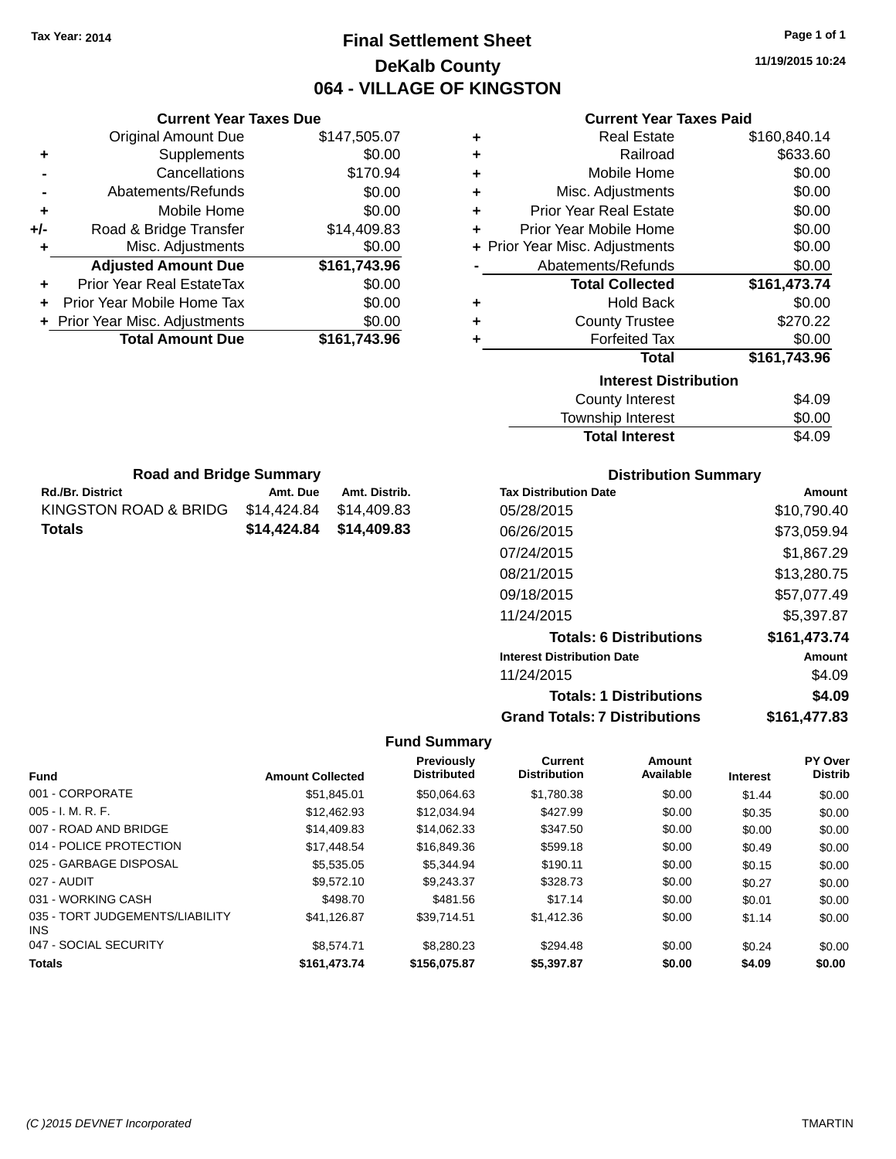# **Final Settlement Sheet Tax Year: 2014 Page 1 of 1 DeKalb County 064 - VILLAGE OF KINGSTON**

**11/19/2015 10:24**

#### **Current Year Taxes Paid**

|     | <b>Current Year Taxes Due</b>  |              |  |  |  |
|-----|--------------------------------|--------------|--|--|--|
|     | <b>Original Amount Due</b>     | \$147,505.07 |  |  |  |
| ٠   | Supplements                    | \$0.00       |  |  |  |
|     | Cancellations                  | \$170.94     |  |  |  |
|     | Abatements/Refunds             | \$0.00       |  |  |  |
| ٠   | Mobile Home                    | \$0.00       |  |  |  |
| +/- | Road & Bridge Transfer         | \$14,409.83  |  |  |  |
| ٠   | Misc. Adjustments              | \$0.00       |  |  |  |
|     | <b>Adjusted Amount Due</b>     | \$161,743.96 |  |  |  |
| ٠   | Prior Year Real EstateTax      | \$0.00       |  |  |  |
| ٠   | Prior Year Mobile Home Tax     | \$0.00       |  |  |  |
|     | + Prior Year Misc. Adjustments | \$0.00       |  |  |  |
|     | <b>Total Amount Due</b>        | \$161.743.96 |  |  |  |
|     |                                |              |  |  |  |

**Rd./Br. District Co. Amt. Due Amt. Distrib. Road and Bridge Summary**

KINGSTON ROAD & BRIDG \$14,424.84 \$14,409.83 **Totals \$14,424.84 \$14,409.83**

| ٠ | <b>Real Estate</b>             | \$160,840.14 |
|---|--------------------------------|--------------|
| ٠ | Railroad                       | \$633.60     |
| ٠ | Mobile Home                    | \$0.00       |
| ٠ | Misc. Adjustments              | \$0.00       |
| ٠ | <b>Prior Year Real Estate</b>  | \$0.00       |
| ٠ | Prior Year Mobile Home         | \$0.00       |
|   | + Prior Year Misc. Adjustments | \$0.00       |
|   | Abatements/Refunds             | \$0.00       |
|   | <b>Total Collected</b>         | \$161,473.74 |
| ٠ | <b>Hold Back</b>               | \$0.00       |
| ÷ | <b>County Trustee</b>          | \$270.22     |
| ٠ | <b>Forfeited Tax</b>           | \$0.00       |
|   | <b>Total</b>                   | \$161,743.96 |
|   | <b>Interest Distribution</b>   |              |
|   | <b>County Interest</b>         | \$4.09       |
|   | Townshin Interest              | ፍስ ሰስ        |

| <b>Total Interest</b>     | \$4.09 |
|---------------------------|--------|
| Township Interest         | \$0.00 |
| <b>COUTTLY IFFICITION</b> | J4.UY  |

| <b>Distribution Summary</b> |  |
|-----------------------------|--|
|                             |  |

| <b>Tax Distribution Date</b>         | Amount       |
|--------------------------------------|--------------|
| 05/28/2015                           | \$10,790.40  |
| 06/26/2015                           | \$73,059.94  |
| 07/24/2015                           | \$1,867.29   |
| 08/21/2015                           | \$13,280.75  |
| 09/18/2015                           | \$57,077.49  |
| 11/24/2015                           | \$5,397.87   |
| <b>Totals: 6 Distributions</b>       | \$161,473.74 |
| <b>Interest Distribution Date</b>    | Amount       |
| 11/24/2015                           | \$4.09       |
| <b>Totals: 1 Distributions</b>       | \$4.09       |
| <b>Grand Totals: 7 Distributions</b> | \$161.477.83 |

| <b>Fund</b>                             | <b>Amount Collected</b> | <b>Previously</b><br><b>Distributed</b> | <b>Current</b><br><b>Distribution</b> | Amount<br>Available | <b>Interest</b> | <b>PY Over</b><br><b>Distrib</b> |
|-----------------------------------------|-------------------------|-----------------------------------------|---------------------------------------|---------------------|-----------------|----------------------------------|
| 001 - CORPORATE                         | \$51,845.01             | \$50,064.63                             | \$1,780.38                            | \$0.00              | \$1.44          | \$0.00                           |
| $005 - I. M. R. F.$                     | \$12,462.93             | \$12.034.94                             | \$427.99                              | \$0.00              | \$0.35          | \$0.00                           |
| 007 - ROAD AND BRIDGE                   | \$14,409.83             | \$14.062.33                             | \$347.50                              | \$0.00              | \$0.00          | \$0.00                           |
| 014 - POLICE PROTECTION                 | \$17,448.54             | \$16,849.36                             | \$599.18                              | \$0.00              | \$0.49          | \$0.00                           |
| 025 - GARBAGE DISPOSAL                  | \$5,535.05              | \$5.344.94                              | \$190.11                              | \$0.00              | \$0.15          | \$0.00                           |
| 027 - AUDIT                             | \$9.572.10              | \$9.243.37                              | \$328.73                              | \$0.00              | \$0.27          | \$0.00                           |
| 031 - WORKING CASH                      | \$498.70                | \$481.56                                | \$17.14                               | \$0.00              | \$0.01          | \$0.00                           |
| 035 - TORT JUDGEMENTS/LIABILITY<br>INS. | \$41,126.87             | \$39.714.51                             | \$1,412.36                            | \$0.00              | \$1.14          | \$0.00                           |
| 047 - SOCIAL SECURITY                   | \$8,574.71              | \$8,280,23                              | \$294.48                              | \$0.00              | \$0.24          | \$0.00                           |
| <b>Totals</b>                           | \$161,473.74            | \$156,075.87                            | \$5,397.87                            | \$0.00              | \$4.09          | \$0.00                           |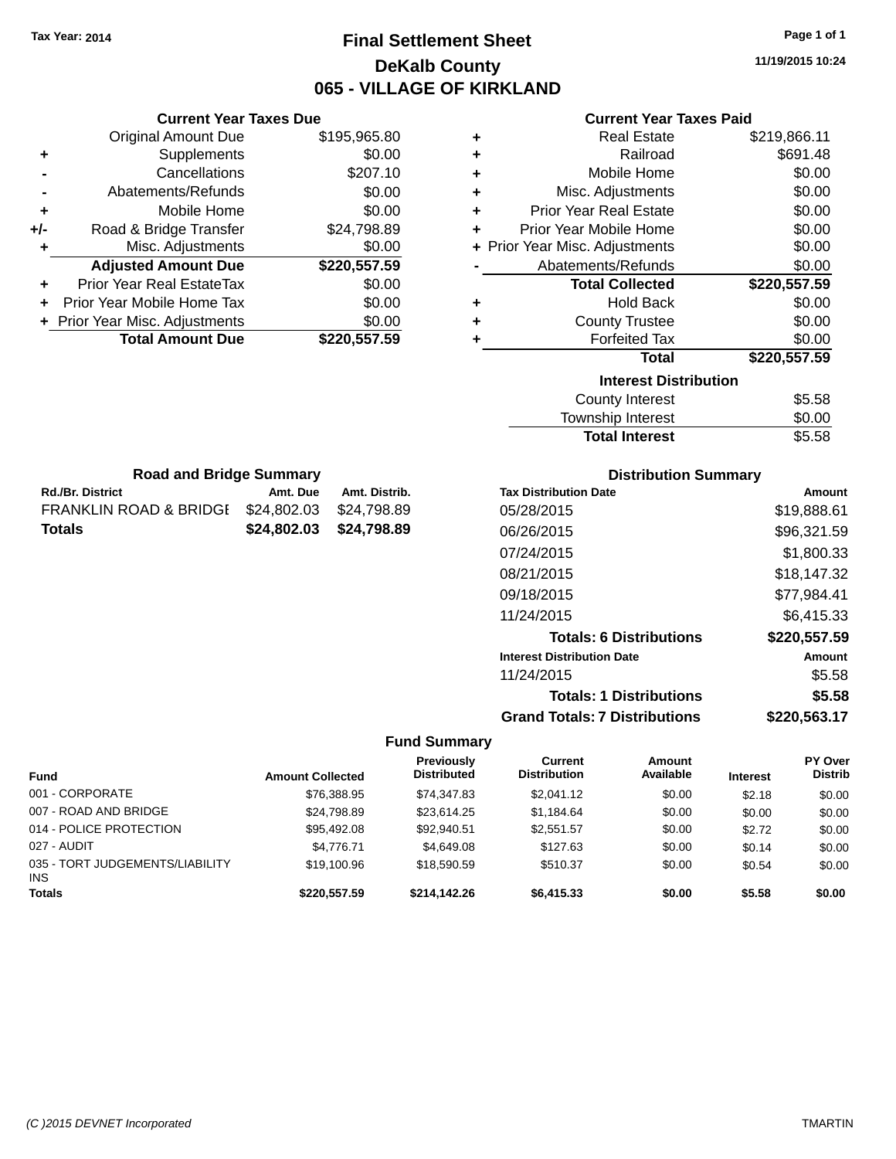# **Final Settlement Sheet Tax Year: 2014 Page 1 of 1 DeKalb County 065 - VILLAGE OF KIRKLAND**

**11/19/2015 10:24**

### **Current Year Taxes Paid**

|     | <b>Current Year Taxes Due</b>  |              |  |  |  |
|-----|--------------------------------|--------------|--|--|--|
|     | <b>Original Amount Due</b>     | \$195,965.80 |  |  |  |
| ٠   | Supplements                    | \$0.00       |  |  |  |
|     | Cancellations                  | \$207.10     |  |  |  |
|     | Abatements/Refunds             | \$0.00       |  |  |  |
| ٠   | Mobile Home                    | \$0.00       |  |  |  |
| +/- | Road & Bridge Transfer         | \$24,798.89  |  |  |  |
|     | Misc. Adjustments              | \$0.00       |  |  |  |
|     | <b>Adjusted Amount Due</b>     | \$220,557.59 |  |  |  |
| ٠   | Prior Year Real EstateTax      | \$0.00       |  |  |  |
|     | Prior Year Mobile Home Tax     | \$0.00       |  |  |  |
|     | + Prior Year Misc. Adjustments | \$0.00       |  |  |  |
|     | <b>Total Amount Due</b>        | \$220,557.59 |  |  |  |
|     |                                |              |  |  |  |

**Rd./Br. District Co. Amt. Due Amt. Distrib. Road and Bridge Summary**

FRANKLIN ROAD & BRIDGE \$24,802.03 \$24,798.89 **Totals \$24,802.03 \$24,798.89**

| ٠ | <b>Real Estate</b>             | \$219,866.11 |
|---|--------------------------------|--------------|
| ÷ | Railroad                       | \$691.48     |
| ÷ | Mobile Home                    | \$0.00       |
| ÷ | Misc. Adjustments              | \$0.00       |
| ٠ | <b>Prior Year Real Estate</b>  | \$0.00       |
| ٠ | Prior Year Mobile Home         | \$0.00       |
|   | + Prior Year Misc. Adjustments | \$0.00       |
|   | Abatements/Refunds             | \$0.00       |
|   |                                |              |
|   | <b>Total Collected</b>         | \$220,557.59 |
| ٠ | <b>Hold Back</b>               | \$0.00       |
| ٠ | <b>County Trustee</b>          | \$0.00       |
| ٠ | <b>Forfeited Tax</b>           | \$0.00       |
|   | <b>Total</b>                   | \$220,557.59 |
|   | <b>Interest Distribution</b>   |              |
|   | <b>County Interest</b>         | \$5.58       |

| Township Interest     | \$0.00 |
|-----------------------|--------|
| <b>Total Interest</b> | \$5.58 |
|                       |        |

| <b>Distribution Summary</b>          |              |  |  |  |  |
|--------------------------------------|--------------|--|--|--|--|
| <b>Tax Distribution Date</b>         | Amount       |  |  |  |  |
| 05/28/2015                           | \$19,888.61  |  |  |  |  |
| 06/26/2015                           | \$96,321.59  |  |  |  |  |
| 07/24/2015                           | \$1.800.33   |  |  |  |  |
| 08/21/2015                           | \$18,147.32  |  |  |  |  |
| 09/18/2015                           | \$77,984.41  |  |  |  |  |
| 11/24/2015                           | \$6,415.33   |  |  |  |  |
| <b>Totals: 6 Distributions</b>       | \$220,557.59 |  |  |  |  |
| <b>Interest Distribution Date</b>    | Amount       |  |  |  |  |
| 11/24/2015                           | \$5.58       |  |  |  |  |
| <b>Totals: 1 Distributions</b>       | \$5.58       |  |  |  |  |
| <b>Grand Totals: 7 Distributions</b> | \$220.563.17 |  |  |  |  |

| <b>Fund</b>                            | <b>Amount Collected</b> | <b>Previously</b><br><b>Distributed</b> | <b>Current</b><br><b>Distribution</b> | Amount<br>Available | <b>Interest</b> | <b>PY Over</b><br><b>Distrib</b> |
|----------------------------------------|-------------------------|-----------------------------------------|---------------------------------------|---------------------|-----------------|----------------------------------|
| 001 - CORPORATE                        | \$76,388.95             | \$74.347.83                             | \$2,041.12                            | \$0.00              | \$2.18          | \$0.00                           |
| 007 - ROAD AND BRIDGE                  | \$24,798.89             | \$23.614.25                             | \$1,184.64                            | \$0.00              | \$0.00          | \$0.00                           |
| 014 - POLICE PROTECTION                | \$95,492.08             | \$92,940.51                             | \$2,551.57                            | \$0.00              | \$2.72          | \$0.00                           |
| 027 - AUDIT                            | \$4.776.71              | \$4,649.08                              | \$127.63                              | \$0.00              | \$0.14          | \$0.00                           |
| 035 - TORT JUDGEMENTS/LIABILITY<br>INS | \$19,100.96             | \$18,590.59                             | \$510.37                              | \$0.00              | \$0.54          | \$0.00                           |
| <b>Totals</b>                          | \$220,557.59            | \$214,142,26                            | \$6,415.33                            | \$0.00              | \$5.58          | \$0.00                           |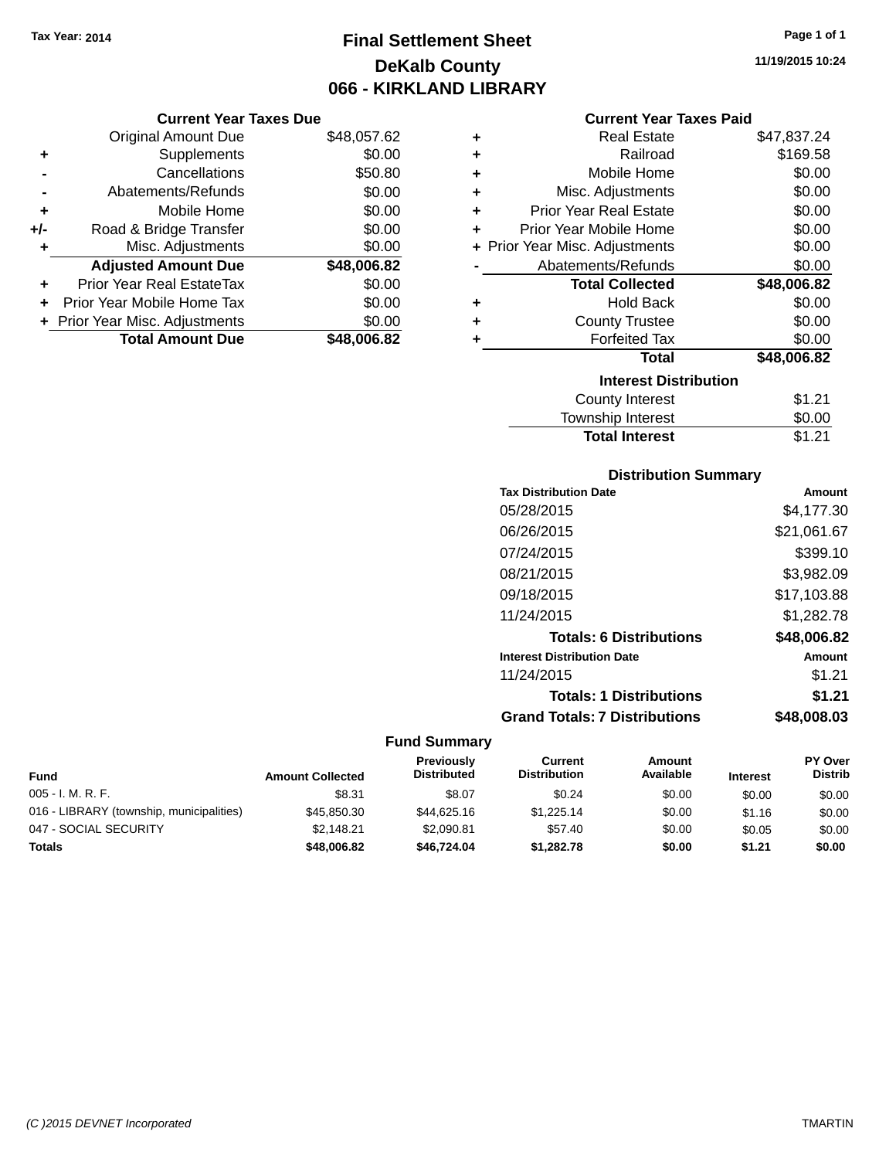**Current Year Taxes Due** Original Amount Due \$48,057.62

**Adjusted Amount Due \$48,006.82**

**Total Amount Due \$48,006.82**

**+** Supplements \$0.00 **-** Cancellations \$50.80 **-** Abatements/Refunds \$0.00 **+** Mobile Home \$0.00 **+/-** Road & Bridge Transfer \$0.00 **+** Misc. Adjustments \$0.00

**+** Prior Year Real EstateTax \$0.00 **+** Prior Year Mobile Home Tax \$0.00 **+ Prior Year Misc. Adjustments**  $$0.00$ 

# **Final Settlement Sheet Tax Year: 2014 Page 1 of 1 DeKalb County 066 - KIRKLAND LIBRARY**

**Current Year Taxes Paid**

|   | Gurrent fear Taxes Palu        |             |
|---|--------------------------------|-------------|
| ٠ | Real Estate                    | \$47,837.24 |
| ٠ | Railroad                       | \$169.58    |
| ÷ | Mobile Home                    | \$0.00      |
| ÷ | Misc. Adjustments              | \$0.00      |
| ÷ | <b>Prior Year Real Estate</b>  | \$0.00      |
| ٠ | Prior Year Mobile Home         | \$0.00      |
|   | + Prior Year Misc. Adjustments | \$0.00      |
|   | Abatements/Refunds             | \$0.00      |
|   | <b>Total Collected</b>         | \$48,006.82 |
| ٠ | <b>Hold Back</b>               | \$0.00      |
| ٠ | <b>County Trustee</b>          | \$0.00      |
| ٠ | <b>Forfeited Tax</b>           | \$0.00      |
|   | Total                          | \$48,006.82 |
|   | <b>Interest Distribution</b>   |             |
|   | County Interest                | \$1.21      |
|   | <b>Township Interest</b>       | \$0.00      |
|   | <b>Total Interest</b>          | \$1.21      |

### **Distribution Summary**

| <b>Tax Distribution Date</b>         | Amount      |
|--------------------------------------|-------------|
| 05/28/2015                           | \$4.177.30  |
| 06/26/2015                           | \$21,061.67 |
| 07/24/2015                           | \$399.10    |
| 08/21/2015                           | \$3,982.09  |
| 09/18/2015                           | \$17,103.88 |
| 11/24/2015                           | \$1,282.78  |
| <b>Totals: 6 Distributions</b>       | \$48,006.82 |
| <b>Interest Distribution Date</b>    | Amount      |
| 11/24/2015                           | \$1.21      |
| <b>Totals: 1 Distributions</b>       | \$1.21      |
| <b>Grand Totals: 7 Distributions</b> | \$48.008.03 |

| <b>Fund</b>                              | <b>Amount Collected</b> | <b>Previously</b><br><b>Distributed</b> | Current<br><b>Distribution</b> | Amount<br>Available | <b>Interest</b> | PY Over<br><b>Distrib</b> |
|------------------------------------------|-------------------------|-----------------------------------------|--------------------------------|---------------------|-----------------|---------------------------|
| $005 - I. M. R. F.$                      | \$8.31                  | \$8.07                                  | \$0.24                         | \$0.00              | \$0.00          | \$0.00                    |
| 016 - LIBRARY (township, municipalities) | \$45,850.30             | \$44,625,16                             | \$1.225.14                     | \$0.00              | \$1.16          | \$0.00                    |
| 047 - SOCIAL SECURITY                    | \$2.148.21              | \$2.090.81                              | \$57.40                        | \$0.00              | \$0.05          | \$0.00                    |
| <b>Totals</b>                            | \$48,006.82             | \$46,724.04                             | \$1,282.78                     | \$0.00              | \$1.21          | \$0.00                    |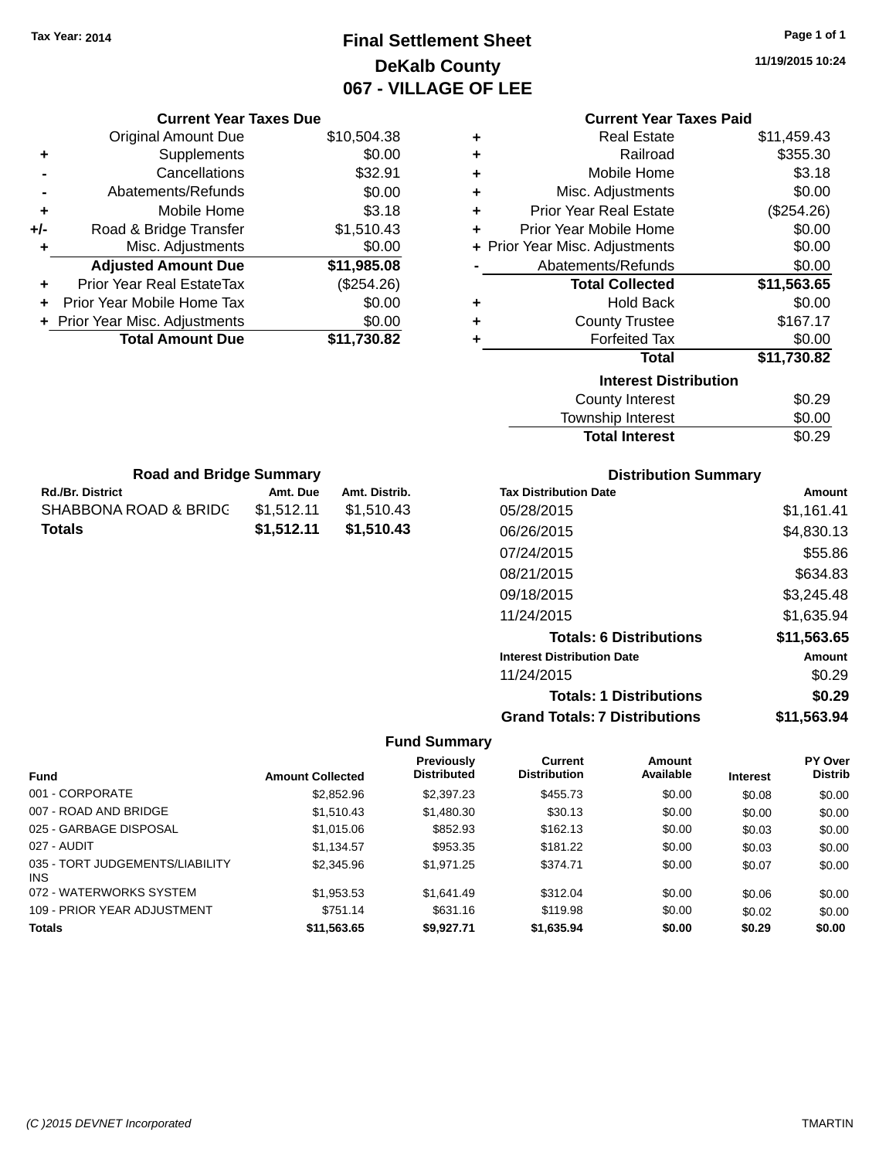**Current Year Taxes Due** Original Amount Due \$10,504.38

**Adjusted Amount Due \$11,985.08**

**Total Amount Due \$11,730.82**

**+** Supplements \$0.00 **-** Cancellations \$32.91 **-** Abatements/Refunds \$0.00 **+** Mobile Home \$3.18 **+/-** Road & Bridge Transfer \$1,510.43 **+** Misc. Adjustments \$0.00

**+** Prior Year Real EstateTax (\$254.26) **+** Prior Year Mobile Home Tax \$0.00 **+ Prior Year Misc. Adjustments**  $$0.00$ 

**Rd./Br. District Community Community Amt. Due Amt. Distrib. Road and Bridge Summary**

SHABBONA ROAD & BRIDG \$1,512.11 \$1,510.43 **Totals \$1,512.11 \$1,510.43**

# **Final Settlement Sheet Tax Year: 2014 Page 1 of 1 DeKalb County 067 - VILLAGE OF LEE**

**11/19/2015 10:24**

|   | <b>Current Year Taxes Paid</b> |             |  |  |  |
|---|--------------------------------|-------------|--|--|--|
| ٠ | Real Estate                    | \$11,459.43 |  |  |  |
| ٠ | Railroad                       | \$355.30    |  |  |  |
| ÷ | Mobile Home                    | \$3.18      |  |  |  |
| ٠ | Misc. Adjustments              | \$0.00      |  |  |  |
| ÷ | <b>Prior Year Real Estate</b>  | (\$254.26)  |  |  |  |
| ÷ | Prior Year Mobile Home         | \$0.00      |  |  |  |
|   | + Prior Year Misc. Adjustments | \$0.00      |  |  |  |
|   | Abatements/Refunds             | \$0.00      |  |  |  |
|   | <b>Total Collected</b>         | \$11,563.65 |  |  |  |
| ٠ | <b>Hold Back</b>               | \$0.00      |  |  |  |
| ٠ | <b>County Trustee</b>          | \$167.17    |  |  |  |
| ÷ | <b>Forfeited Tax</b>           | \$0.00      |  |  |  |
|   | <b>Total</b>                   | \$11,730.82 |  |  |  |
|   | <b>Interest Distribution</b>   |             |  |  |  |
|   | <b>County Interest</b>         |             |  |  |  |
|   | Township Interest              | \$0.00      |  |  |  |
|   | <b>Total Interest</b>          | \$0.29      |  |  |  |
|   |                                |             |  |  |  |

| <b>Distribution Summary</b>          |             |
|--------------------------------------|-------------|
| <b>Tax Distribution Date</b>         | Amount      |
| 05/28/2015                           | \$1,161.41  |
| 06/26/2015                           | \$4,830.13  |
| 07/24/2015                           | \$55.86     |
| 08/21/2015                           | \$634.83    |
| 09/18/2015                           | \$3,245.48  |
| 11/24/2015                           | \$1,635.94  |
| <b>Totals: 6 Distributions</b>       | \$11,563.65 |
| <b>Interest Distribution Date</b>    | Amount      |
| 11/24/2015                           | \$0.29      |
| <b>Totals: 1 Distributions</b>       | \$0.29      |
| <b>Grand Totals: 7 Distributions</b> | \$11.563.94 |

|                                         | <b>Amount Collected</b> | Previously<br><b>Distributed</b> | <b>Current</b><br><b>Distribution</b> | Amount<br>Available |                 | <b>PY Over</b><br><b>Distrib</b> |
|-----------------------------------------|-------------------------|----------------------------------|---------------------------------------|---------------------|-----------------|----------------------------------|
| <b>Fund</b>                             |                         |                                  |                                       |                     | <b>Interest</b> |                                  |
| 001 - CORPORATE                         | \$2,852.96              | \$2,397.23                       | \$455.73                              | \$0.00              | \$0.08          | \$0.00                           |
| 007 - ROAD AND BRIDGE                   | \$1,510.43              | \$1,480.30                       | \$30.13                               | \$0.00              | \$0.00          | \$0.00                           |
| 025 - GARBAGE DISPOSAL                  | \$1,015.06              | \$852.93                         | \$162.13                              | \$0.00              | \$0.03          | \$0.00                           |
| 027 - AUDIT                             | \$1.134.57              | \$953.35                         | \$181.22                              | \$0.00              | \$0.03          | \$0.00                           |
| 035 - TORT JUDGEMENTS/LIABILITY<br>INS. | \$2,345.96              | \$1.971.25                       | \$374.71                              | \$0.00              | \$0.07          | \$0.00                           |
| 072 - WATERWORKS SYSTEM                 | \$1,953.53              | \$1.641.49                       | \$312.04                              | \$0.00              | \$0.06          | \$0.00                           |
| 109 - PRIOR YEAR ADJUSTMENT             | \$751.14                | \$631.16                         | \$119.98                              | \$0.00              | \$0.02          | \$0.00                           |
| <b>Totals</b>                           | \$11,563.65             | \$9,927.71                       | \$1,635.94                            | \$0.00              | \$0.29          | \$0.00                           |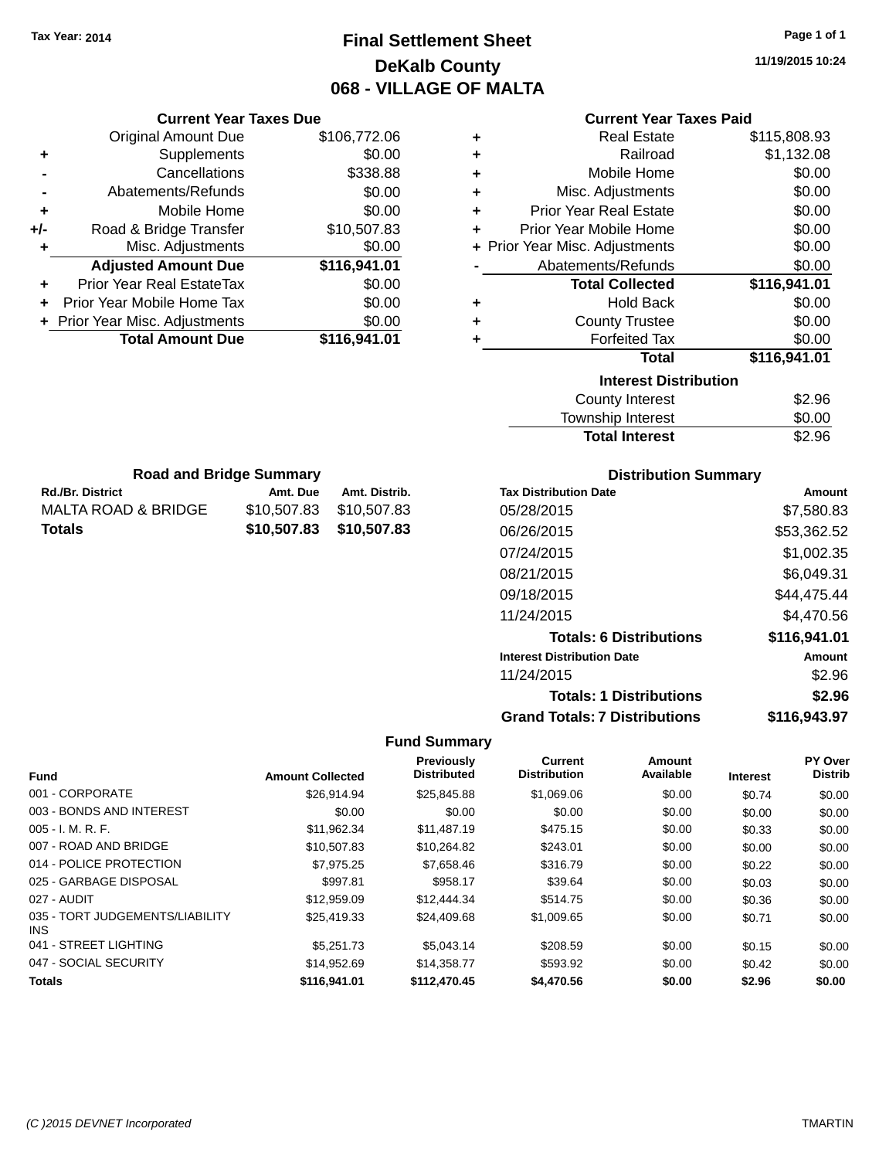# **Final Settlement Sheet Tax Year: 2014 Page 1 of 1 DeKalb County 068 - VILLAGE OF MALTA**

**11/19/2015 10:24**

| <b>Current Year Taxes Due</b>  |              |  |  |  |
|--------------------------------|--------------|--|--|--|
| <b>Original Amount Due</b>     | \$106,772.06 |  |  |  |
| Supplements                    | \$0.00       |  |  |  |
| Cancellations                  | \$338.88     |  |  |  |
| Abatements/Refunds             | \$0.00       |  |  |  |
| Mobile Home                    | \$0.00       |  |  |  |
| Road & Bridge Transfer         | \$10,507.83  |  |  |  |
| Misc. Adjustments              | \$0.00       |  |  |  |
| <b>Adjusted Amount Due</b>     | \$116,941.01 |  |  |  |
| Prior Year Real EstateTax      | \$0.00       |  |  |  |
| Prior Year Mobile Home Tax     | \$0.00       |  |  |  |
| + Prior Year Misc. Adjustments | \$0.00       |  |  |  |
| <b>Total Amount Due</b>        | \$116.941.01 |  |  |  |
|                                |              |  |  |  |

**Rd./Br. District Co. Amt. Due Amt. Distrib. Road and Bridge Summary**

MALTA ROAD & BRIDGE \$10,507.83 \$10,507.83 **Totals \$10,507.83 \$10,507.83**

### **Current Year Taxes Paid**

| <b>Real Estate</b>             | \$115,808.93 |
|--------------------------------|--------------|
| Railroad                       | \$1,132.08   |
| Mobile Home                    | \$0.00       |
| Misc. Adjustments              | \$0.00       |
| <b>Prior Year Real Estate</b>  | \$0.00       |
| Prior Year Mobile Home         | \$0.00       |
| + Prior Year Misc. Adjustments | \$0.00       |
| Abatements/Refunds             | \$0.00       |
| <b>Total Collected</b>         | \$116,941.01 |
| <b>Hold Back</b>               | \$0.00       |
| <b>County Trustee</b>          | \$0.00       |
| <b>Forfeited Tax</b>           | \$0.00       |
| <b>Total</b>                   | \$116,941.01 |
| <b>Interest Distribution</b>   |              |
|                                |              |
|                                |              |

# Township Interest \$0.00 **Total Interest** \$2.96

| <b>Distribution Summary</b>          |              |
|--------------------------------------|--------------|
| <b>Tax Distribution Date</b>         | Amount       |
| 05/28/2015                           | \$7,580.83   |
| 06/26/2015                           | \$53,362.52  |
| 07/24/2015                           | \$1,002.35   |
| 08/21/2015                           | \$6,049.31   |
| 09/18/2015                           | \$44,475.44  |
| 11/24/2015                           | \$4.470.56   |
| <b>Totals: 6 Distributions</b>       | \$116,941.01 |
| <b>Interest Distribution Date</b>    | Amount       |
| 11/24/2015                           | \$2.96       |
| <b>Totals: 1 Distributions</b>       | \$2.96       |
| <b>Grand Totals: 7 Distributions</b> | \$116.943.97 |

| <b>Fund</b>                             | <b>Amount Collected</b> | <b>Previously</b><br><b>Distributed</b> | <b>Current</b><br><b>Distribution</b> | Amount<br>Available | <b>Interest</b> | <b>PY Over</b><br><b>Distrib</b> |
|-----------------------------------------|-------------------------|-----------------------------------------|---------------------------------------|---------------------|-----------------|----------------------------------|
|                                         |                         |                                         |                                       |                     |                 |                                  |
| 001 - CORPORATE                         | \$26,914.94             | \$25,845.88                             | \$1,069.06                            | \$0.00              | \$0.74          | \$0.00                           |
| 003 - BONDS AND INTEREST                | \$0.00                  | \$0.00                                  | \$0.00                                | \$0.00              | \$0.00          | \$0.00                           |
| $005 - I. M. R. F.$                     | \$11.962.34             | \$11.487.19                             | \$475.15                              | \$0.00              | \$0.33          | \$0.00                           |
| 007 - ROAD AND BRIDGE                   | \$10,507.83             | \$10.264.82                             | \$243.01                              | \$0.00              | \$0.00          | \$0.00                           |
| 014 - POLICE PROTECTION                 | \$7,975.25              | \$7,658.46                              | \$316.79                              | \$0.00              | \$0.22          | \$0.00                           |
| 025 - GARBAGE DISPOSAL                  | \$997.81                | \$958.17                                | \$39.64                               | \$0.00              | \$0.03          | \$0.00                           |
| 027 - AUDIT                             | \$12,959.09             | \$12,444.34                             | \$514.75                              | \$0.00              | \$0.36          | \$0.00                           |
| 035 - TORT JUDGEMENTS/LIABILITY<br>INS. | \$25,419.33             | \$24,409.68                             | \$1,009.65                            | \$0.00              | \$0.71          | \$0.00                           |
| 041 - STREET LIGHTING                   | \$5.251.73              | \$5.043.14                              | \$208.59                              | \$0.00              | \$0.15          | \$0.00                           |
| 047 - SOCIAL SECURITY                   | \$14,952.69             | \$14,358.77                             | \$593.92                              | \$0.00              | \$0.42          | \$0.00                           |
| <b>Totals</b>                           | \$116,941.01            | \$112,470.45                            | \$4,470.56                            | \$0.00              | \$2.96          | \$0.00                           |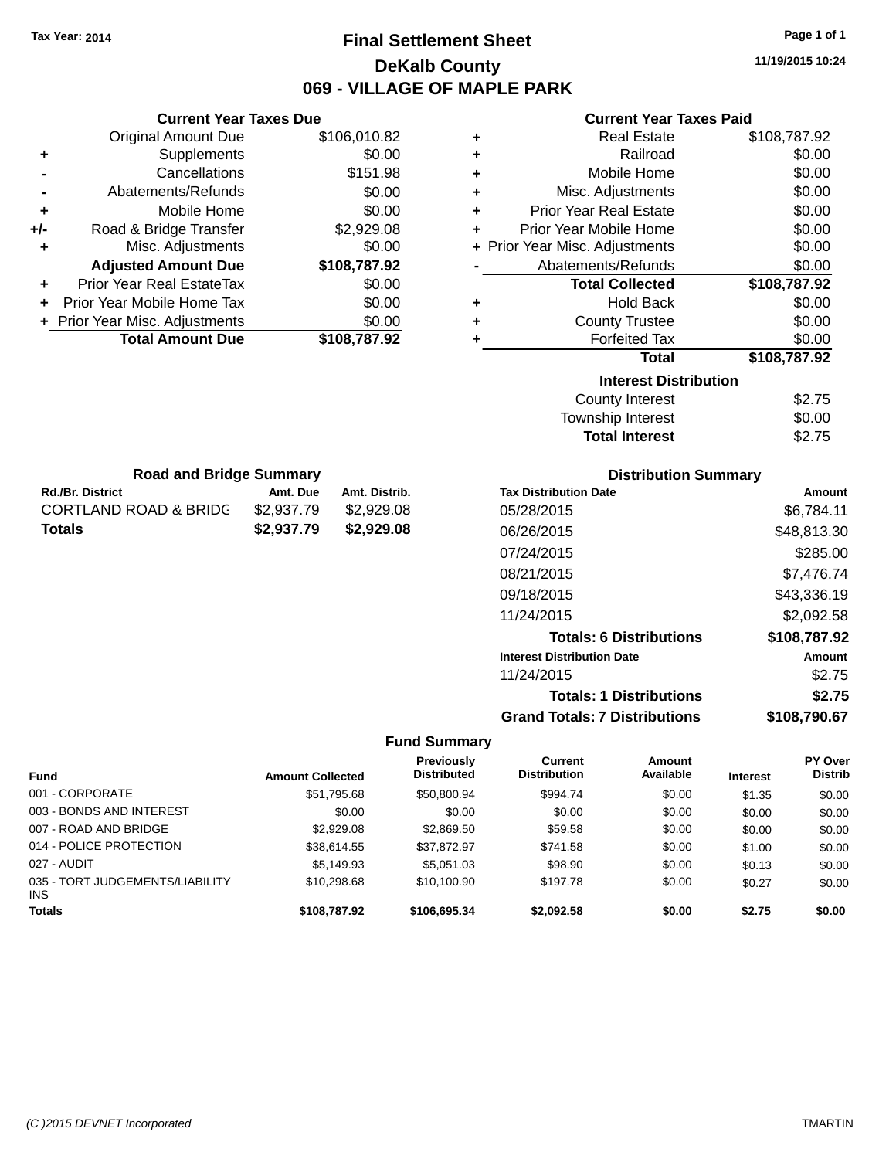# **Final Settlement Sheet Tax Year: 2014 Page 1 of 1 DeKalb County 069 - VILLAGE OF MAPLE PARK**

**11/19/2015 10:24**

### **Current Year Taxes Paid**

|     | <b>Current Year Taxes Due</b>  |              |
|-----|--------------------------------|--------------|
|     | <b>Original Amount Due</b>     | \$106,010.82 |
| ٠   | Supplements                    | \$0.00       |
|     | Cancellations                  | \$151.98     |
|     | Abatements/Refunds             | \$0.00       |
| ٠   | Mobile Home                    | \$0.00       |
| +/- | Road & Bridge Transfer         | \$2,929.08   |
| ٠   | Misc. Adjustments              | \$0.00       |
|     | <b>Adjusted Amount Due</b>     | \$108,787.92 |
| ٠   | Prior Year Real EstateTax      | \$0.00       |
| ٠   | Prior Year Mobile Home Tax     | \$0.00       |
|     | + Prior Year Misc. Adjustments | \$0.00       |
|     | <b>Total Amount Due</b>        | \$108,787.92 |

**Rd./Br. District Co. Amt. Due Amt. Distrib. Road and Bridge Summary**

CORTLAND ROAD & BRIDG \$2,937.79 \$2,929.08 **Totals \$2,937.79 \$2,929.08**

| ٠ | <b>Real Estate</b>             | \$108,787.92 |
|---|--------------------------------|--------------|
| ÷ | Railroad                       | \$0.00       |
| ٠ | Mobile Home                    | \$0.00       |
| ٠ | Misc. Adjustments              | \$0.00       |
| ٠ | <b>Prior Year Real Estate</b>  | \$0.00       |
| ٠ | Prior Year Mobile Home         | \$0.00       |
|   | + Prior Year Misc. Adjustments | \$0.00       |
|   | Abatements/Refunds             | \$0.00       |
|   | <b>Total Collected</b>         | \$108,787.92 |
|   |                                |              |
| ٠ | <b>Hold Back</b>               | \$0.00       |
| ٠ | <b>County Trustee</b>          | \$0.00       |
| ٠ | <b>Forfeited Tax</b>           | \$0.00       |
|   | Total                          | \$108,787.92 |
|   | <b>Interest Distribution</b>   |              |
|   | <b>County Interest</b>         | \$2.75       |

| <b>Total Interest</b>  | \$2.75      |
|------------------------|-------------|
| Township Interest      | \$0.00      |
| <b>County Interest</b> | <b>JZ.I</b> |

| <b>Distribution Summary</b>          |              |
|--------------------------------------|--------------|
| <b>Tax Distribution Date</b>         | Amount       |
| 05/28/2015                           | \$6.784.11   |
| 06/26/2015                           | \$48.813.30  |
| 07/24/2015                           | \$285.00     |
| 08/21/2015                           | \$7,476.74   |
| 09/18/2015                           | \$43,336.19  |
| 11/24/2015                           | \$2,092.58   |
| <b>Totals: 6 Distributions</b>       | \$108,787.92 |
| <b>Interest Distribution Date</b>    | Amount       |
| 11/24/2015                           | \$2.75       |
| <b>Totals: 1 Distributions</b>       | \$2.75       |
| <b>Grand Totals: 7 Distributions</b> | \$108,790.67 |

| <b>Fund</b>                                   | <b>Amount Collected</b> | Previously<br><b>Distributed</b> | Current<br><b>Distribution</b> | <b>Amount</b><br>Available | <b>Interest</b> | <b>PY Over</b><br><b>Distrib</b> |
|-----------------------------------------------|-------------------------|----------------------------------|--------------------------------|----------------------------|-----------------|----------------------------------|
| 001 - CORPORATE                               | \$51,795.68             | \$50,800.94                      | \$994.74                       | \$0.00                     | \$1.35          | \$0.00                           |
| 003 - BONDS AND INTEREST                      | \$0.00                  | \$0.00                           | \$0.00                         | \$0.00                     | \$0.00          | \$0.00                           |
| 007 - ROAD AND BRIDGE                         | \$2,929.08              | \$2,869.50                       | \$59.58                        | \$0.00                     | \$0.00          | \$0.00                           |
| 014 - POLICE PROTECTION                       | \$38.614.55             | \$37.872.97                      | \$741.58                       | \$0.00                     | \$1.00          | \$0.00                           |
| 027 - AUDIT                                   | \$5,149.93              | \$5.051.03                       | \$98.90                        | \$0.00                     | \$0.13          | \$0.00                           |
| 035 - TORT JUDGEMENTS/LIABILITY<br><b>INS</b> | \$10,298.68             | \$10.100.90                      | \$197.78                       | \$0.00                     | \$0.27          | \$0.00                           |
| <b>Totals</b>                                 | \$108,787.92            | \$106,695.34                     | \$2,092.58                     | \$0.00                     | \$2.75          | \$0.00                           |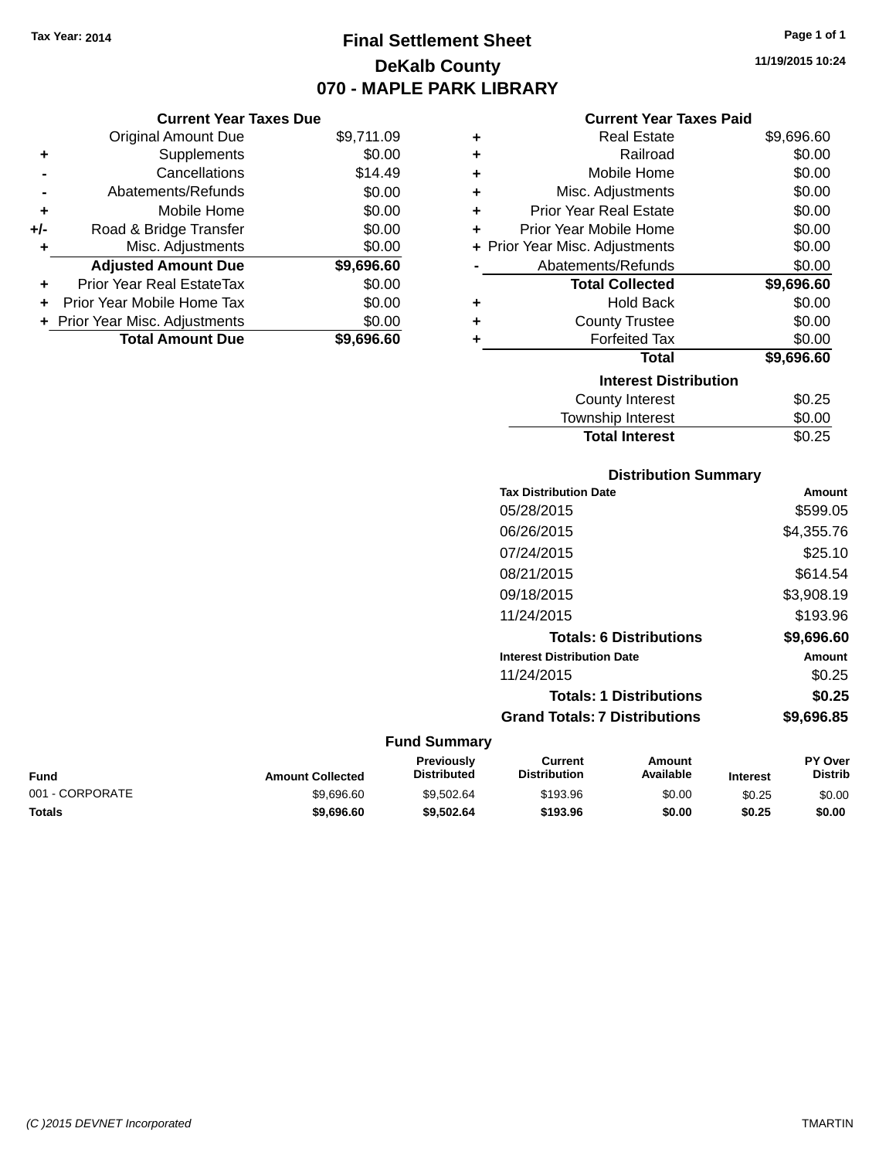**Current Year Taxes Due** Original Amount Due \$9,711.09

**Adjusted Amount Due \$9,696.60**

**Total Amount Due \$9,696.60**

**+** Supplements \$0.00 **-** Cancellations \$14.49 **-** Abatements/Refunds \$0.00 **+** Mobile Home \$0.00 **+/-** Road & Bridge Transfer \$0.00 **+** Misc. Adjustments \$0.00

**+** Prior Year Real EstateTax \$0.00 **+** Prior Year Mobile Home Tax \$0.00 **+ Prior Year Misc. Adjustments**  $$0.00$ 

# **Final Settlement Sheet Tax Year: 2014 Page 1 of 1 DeKalb County 070 - MAPLE PARK LIBRARY**

**11/19/2015 10:24**

#### **Current Year Taxes Paid**

| ٠ | <b>Real Estate</b>             | \$9,696.60 |
|---|--------------------------------|------------|
| ٠ | Railroad                       | \$0.00     |
| ÷ | Mobile Home                    | \$0.00     |
| ÷ | Misc. Adjustments              | \$0.00     |
| ٠ | <b>Prior Year Real Estate</b>  | \$0.00     |
| ٠ | Prior Year Mobile Home         | \$0.00     |
|   | + Prior Year Misc. Adjustments | \$0.00     |
|   | Abatements/Refunds             | \$0.00     |
|   | <b>Total Collected</b>         | \$9,696.60 |
| ÷ | <b>Hold Back</b>               | \$0.00     |
| ٠ | <b>County Trustee</b>          | \$0.00     |
| ÷ | <b>Forfeited Tax</b>           | \$0.00     |
|   | <b>Total</b>                   | \$9,696.60 |
|   | <b>Interest Distribution</b>   |            |
|   | <b>County Interest</b>         | \$0.25     |
|   | <b>Township Interest</b>       | \$0.00     |

| <b>Distribution Summary</b>          |            |
|--------------------------------------|------------|
| <b>Tax Distribution Date</b>         | Amount     |
| 05/28/2015                           | \$599.05   |
| 06/26/2015                           | \$4,355.76 |
| 07/24/2015                           | \$25.10    |
| 08/21/2015                           | \$614.54   |
| 09/18/2015                           | \$3,908.19 |
| 11/24/2015                           | \$193.96   |
| <b>Totals: 6 Distributions</b>       | \$9,696.60 |
| <b>Interest Distribution Date</b>    | Amount     |
| 11/24/2015                           | \$0.25     |
| <b>Totals: 1 Distributions</b>       | \$0.25     |
| <b>Grand Totals: 7 Distributions</b> | \$9.696.85 |

Total Interest \$0.25

| Fund            | <b>Amount Collected</b> | Previously<br><b>Distributed</b> | Current<br><b>Distribution</b> | Amount<br><b>Available</b> | <b>Interest</b> | <b>PY Over</b><br><b>Distrib</b> |
|-----------------|-------------------------|----------------------------------|--------------------------------|----------------------------|-----------------|----------------------------------|
| 001 - CORPORATE | \$9.696.60              | \$9.502.64                       | \$193.96                       | \$0.00                     | \$0.25          | \$0.00                           |
| Totals          | \$9,696.60              | \$9,502.64                       | \$193.96                       | \$0.00                     | \$0.25          | \$0.00                           |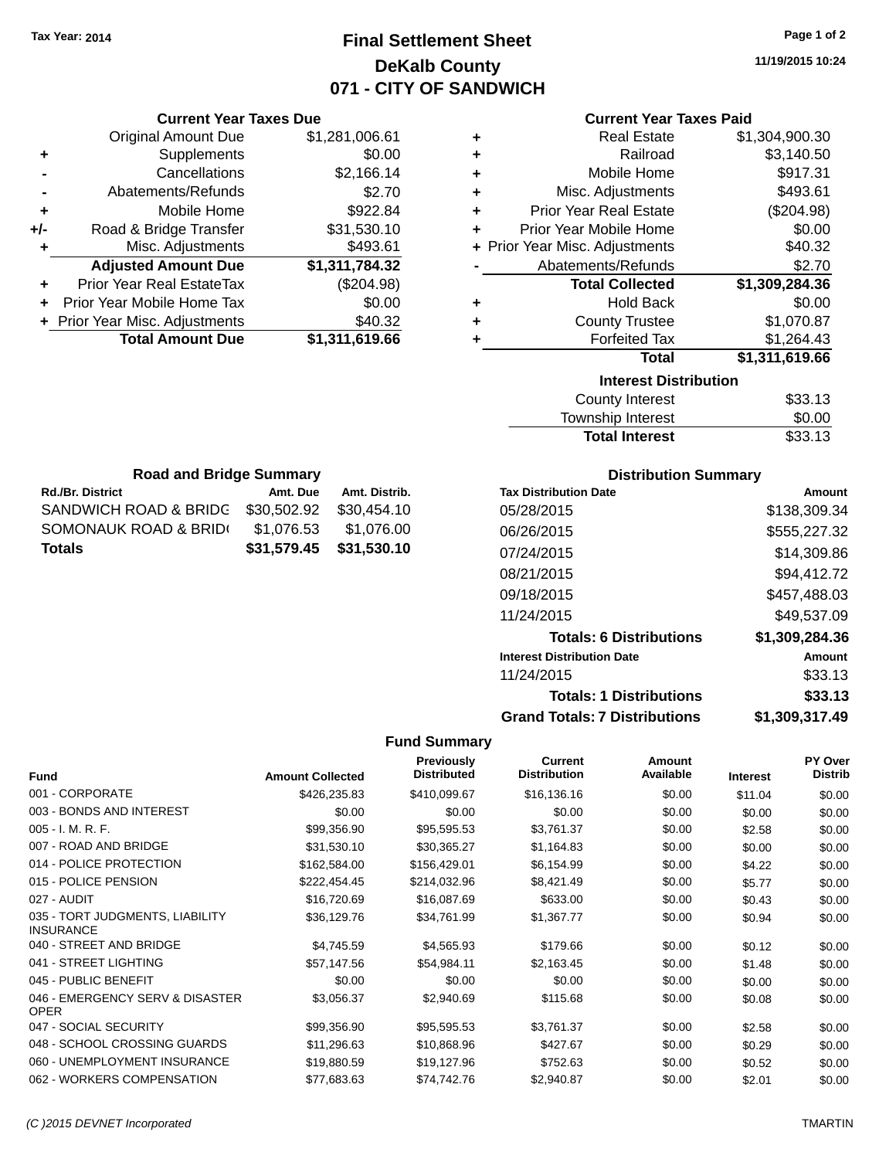# **Final Settlement Sheet Tax Year: 2014 Page 1 of 2 DeKalb County 071 - CITY OF SANDWICH**

**11/19/2015 10:24**

| <b>Current Year Taxes Paid</b> |  |  |  |
|--------------------------------|--|--|--|
|--------------------------------|--|--|--|

| ٠ | <b>Real Estate</b>             | \$1,304,900.30 |
|---|--------------------------------|----------------|
| ÷ | Railroad                       | \$3,140.50     |
| ÷ | Mobile Home                    | \$917.31       |
| ÷ | Misc. Adjustments              | \$493.61       |
| ÷ | <b>Prior Year Real Estate</b>  | (\$204.98)     |
| ÷ | Prior Year Mobile Home         | \$0.00         |
|   | + Prior Year Misc. Adjustments | \$40.32        |
|   | Abatements/Refunds             | \$2.70         |
|   | <b>Total Collected</b>         | \$1,309,284.36 |
| ٠ | <b>Hold Back</b>               | \$0.00         |
| ÷ | <b>County Trustee</b>          | \$1,070.87     |
| ÷ | <b>Forfeited Tax</b>           | \$1,264.43     |
|   | Total                          | \$1,311,619.66 |
|   | <b>Interest Distribution</b>   |                |
|   | <b>County Interest</b>         | \$33.13        |
|   | Township Interact              | ድስ ሰስ          |

| w.co. Distinguion     |         |  |
|-----------------------|---------|--|
| County Interest       | \$33.13 |  |
| Township Interest     | \$0.00  |  |
| <b>Total Interest</b> | \$33.13 |  |
|                       |         |  |

| <b>Road and Bridge Summary</b> |             |               |  |  |  |  |
|--------------------------------|-------------|---------------|--|--|--|--|
| Rd./Br. District               | Amt. Due    | Amt. Distrib. |  |  |  |  |
| SANDWICH ROAD & BRIDG          | \$30,502.92 | \$30,454.10   |  |  |  |  |
| SOMONAUK ROAD & BRID(          | \$1,076.53  | \$1,076.00    |  |  |  |  |
| Totals                         | \$31,579.45 | \$31,530.10   |  |  |  |  |

**Current Year Taxes Due** Original Amount Due \$1,281,006.61

**Adjusted Amount Due \$1,311,784.32**

**Total Amount Due \$1,311,619.66**

**+** Supplements \$0.00 **-** Cancellations \$2,166.14 **-** Abatements/Refunds \$2.70 **+** Mobile Home \$922.84 **+/-** Road & Bridge Transfer \$31,530.10 **+** Misc. Adjustments \$493.61

**+** Prior Year Real EstateTax (\$204.98) **+** Prior Year Mobile Home Tax \$0.00 **+** Prior Year Misc. Adjustments \$40.32

### **Distribution Summary**

| <b>Tax Distribution Date</b>         | Amount         |
|--------------------------------------|----------------|
| 05/28/2015                           | \$138,309.34   |
| 06/26/2015                           | \$555,227.32   |
| 07/24/2015                           | \$14.309.86    |
| 08/21/2015                           | \$94,412.72    |
| 09/18/2015                           | \$457,488.03   |
| 11/24/2015                           | \$49.537.09    |
| <b>Totals: 6 Distributions</b>       | \$1,309,284.36 |
| <b>Interest Distribution Date</b>    | Amount         |
| 11/24/2015                           | \$33.13        |
| <b>Totals: 1 Distributions</b>       | \$33.13        |
| <b>Grand Totals: 7 Distributions</b> | \$1.309.317.49 |

| <b>Fund</b>                                         | <b>Amount Collected</b> | Previously<br><b>Distributed</b> | <b>Current</b><br><b>Distribution</b> | <b>Amount</b><br>Available | <b>Interest</b> | <b>PY Over</b><br><b>Distrib</b> |
|-----------------------------------------------------|-------------------------|----------------------------------|---------------------------------------|----------------------------|-----------------|----------------------------------|
| 001 - CORPORATE                                     | \$426,235.83            | \$410,099.67                     | \$16,136.16                           | \$0.00                     | \$11.04         | \$0.00                           |
| 003 - BONDS AND INTEREST                            | \$0.00                  | \$0.00                           | \$0.00                                | \$0.00                     | \$0.00          | \$0.00                           |
| $005 - I. M. R. F.$                                 | \$99,356.90             | \$95,595.53                      | \$3,761.37                            | \$0.00                     | \$2.58          | \$0.00                           |
| 007 - ROAD AND BRIDGE                               | \$31,530.10             | \$30,365.27                      | \$1,164.83                            | \$0.00                     | \$0.00          | \$0.00                           |
| 014 - POLICE PROTECTION                             | \$162,584.00            | \$156,429.01                     | \$6,154.99                            | \$0.00                     | \$4.22          | \$0.00                           |
| 015 - POLICE PENSION                                | \$222,454.45            | \$214,032.96                     | \$8,421.49                            | \$0.00                     | \$5.77          | \$0.00                           |
| 027 - AUDIT                                         | \$16,720.69             | \$16,087.69                      | \$633.00                              | \$0.00                     | \$0.43          | \$0.00                           |
| 035 - TORT JUDGMENTS, LIABILITY<br><b>INSURANCE</b> | \$36,129.76             | \$34,761.99                      | \$1,367.77                            | \$0.00                     | \$0.94          | \$0.00                           |
| 040 - STREET AND BRIDGE                             | \$4,745.59              | \$4,565.93                       | \$179.66                              | \$0.00                     | \$0.12          | \$0.00                           |
| 041 - STREET LIGHTING                               | \$57,147.56             | \$54,984.11                      | \$2,163.45                            | \$0.00                     | \$1.48          | \$0.00                           |
| 045 - PUBLIC BENEFIT                                | \$0.00                  | \$0.00                           | \$0.00                                | \$0.00                     | \$0.00          | \$0.00                           |
| 046 - EMERGENCY SERV & DISASTER<br><b>OPER</b>      | \$3,056.37              | \$2,940.69                       | \$115.68                              | \$0.00                     | \$0.08          | \$0.00                           |
| 047 - SOCIAL SECURITY                               | \$99,356.90             | \$95,595.53                      | \$3,761.37                            | \$0.00                     | \$2.58          | \$0.00                           |
| 048 - SCHOOL CROSSING GUARDS                        | \$11,296.63             | \$10,868.96                      | \$427.67                              | \$0.00                     | \$0.29          | \$0.00                           |
| 060 - UNEMPLOYMENT INSURANCE                        | \$19,880.59             | \$19,127.96                      | \$752.63                              | \$0.00                     | \$0.52          | \$0.00                           |
| 062 - WORKERS COMPENSATION                          | \$77,683.63             | \$74,742.76                      | \$2,940.87                            | \$0.00                     | \$2.01          | \$0.00                           |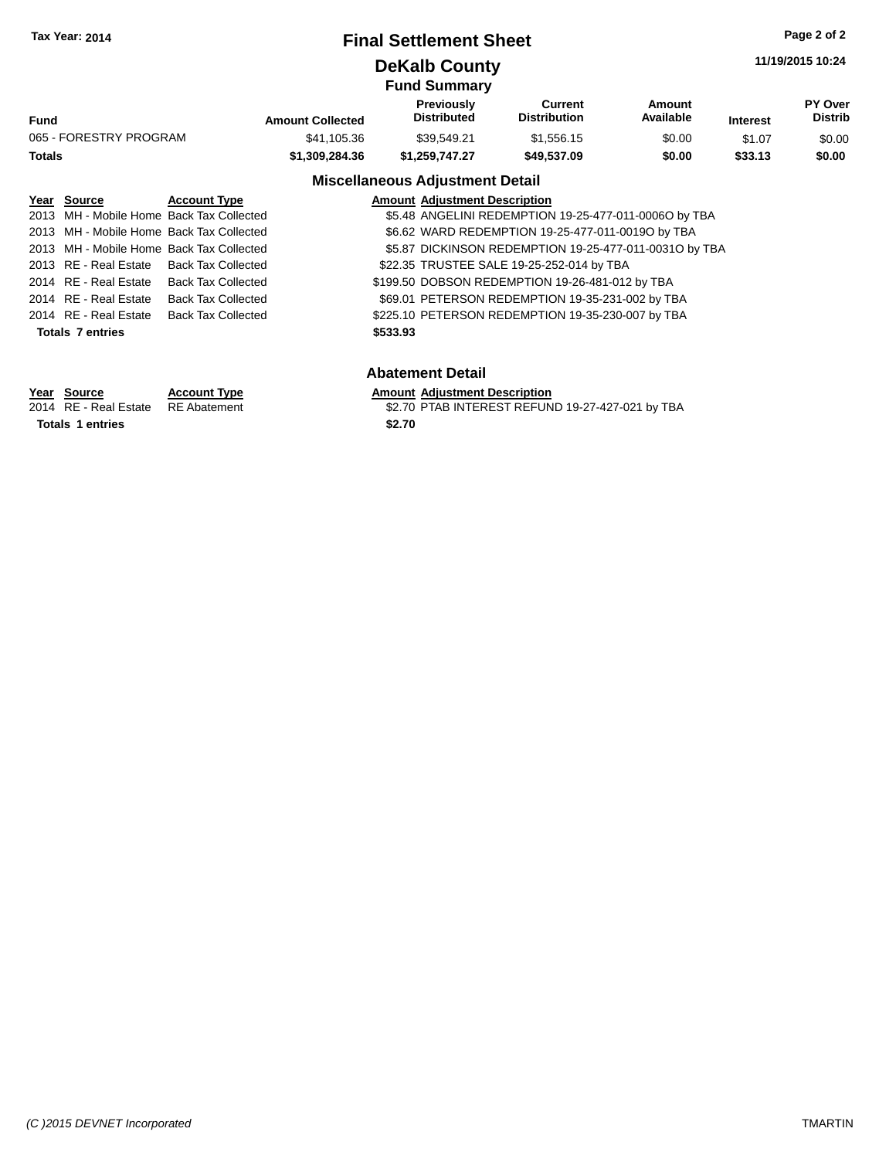### **Final Settlement Sheet Tax Year: 2014 Page 2 of 2**

### **DeKalb County**

**11/19/2015 10:24**

|                        |                         | <b>Fund Summary</b>                    |                                |                     |                 |                           |
|------------------------|-------------------------|----------------------------------------|--------------------------------|---------------------|-----------------|---------------------------|
| <b>Fund</b>            | <b>Amount Collected</b> | Previously<br><b>Distributed</b>       | Current<br><b>Distribution</b> | Amount<br>Available | <b>Interest</b> | PY Over<br><b>Distrib</b> |
| 065 - FORESTRY PROGRAM | \$41,105.36             | \$39.549.21                            | \$1.556.15                     | \$0.00              | \$1.07          | \$0.00                    |
| Totals                 | \$1,309,284.36          | \$1.259.747.27                         | \$49,537.09                    | \$0.00              | \$33.13         | \$0.00                    |
|                        |                         | <b>Miscellaneous Adjustment Detail</b> |                                |                     |                 |                           |

### **Year Source Account Type Amount Adjustment Description**

| rear <b>Source</b>      | ACCOUNT TYPE                             |          | Alliount Adjustment Description                        |
|-------------------------|------------------------------------------|----------|--------------------------------------------------------|
|                         | 2013 MH - Mobile Home Back Tax Collected |          | \$5.48 ANGELINI REDEMPTION 19-25-477-011-0006O by TBA  |
|                         | 2013 MH - Mobile Home Back Tax Collected |          | \$6.62 WARD REDEMPTION 19-25-477-011-00190 by TBA      |
|                         | 2013 MH - Mobile Home Back Tax Collected |          | \$5.87 DICKINSON REDEMPTION 19-25-477-011-0031O by TBA |
|                         | 2013 RE - Real Estate Back Tax Collected |          | \$22.35 TRUSTEE SALE 19-25-252-014 by TBA              |
|                         | 2014 RE - Real Estate Back Tax Collected |          | \$199.50 DOBSON REDEMPTION 19-26-481-012 by TBA        |
| 2014 RE - Real Estate   | <b>Back Tax Collected</b>                |          | \$69.01 PETERSON REDEMPTION 19-35-231-002 by TBA       |
|                         | 2014 RE - Real Estate Back Tax Collected |          | \$225.10 PETERSON REDEMPTION 19-35-230-007 by TBA      |
| <b>Totals 7 entries</b> |                                          | \$533.93 |                                                        |
|                         |                                          |          |                                                        |

### **Abatement Detail**

# **Year Source Account Type Amount Adjustment Description**<br>2014 RE - Real Estate RE Abatement \$2.70 PTAB INTEREST REFUN

\$2.70 PTAB INTEREST REFUND 19-27-427-021 by TBA

Totals 1 entries \$2.70

*(C )2015 DEVNET Incorporated* TMARTIN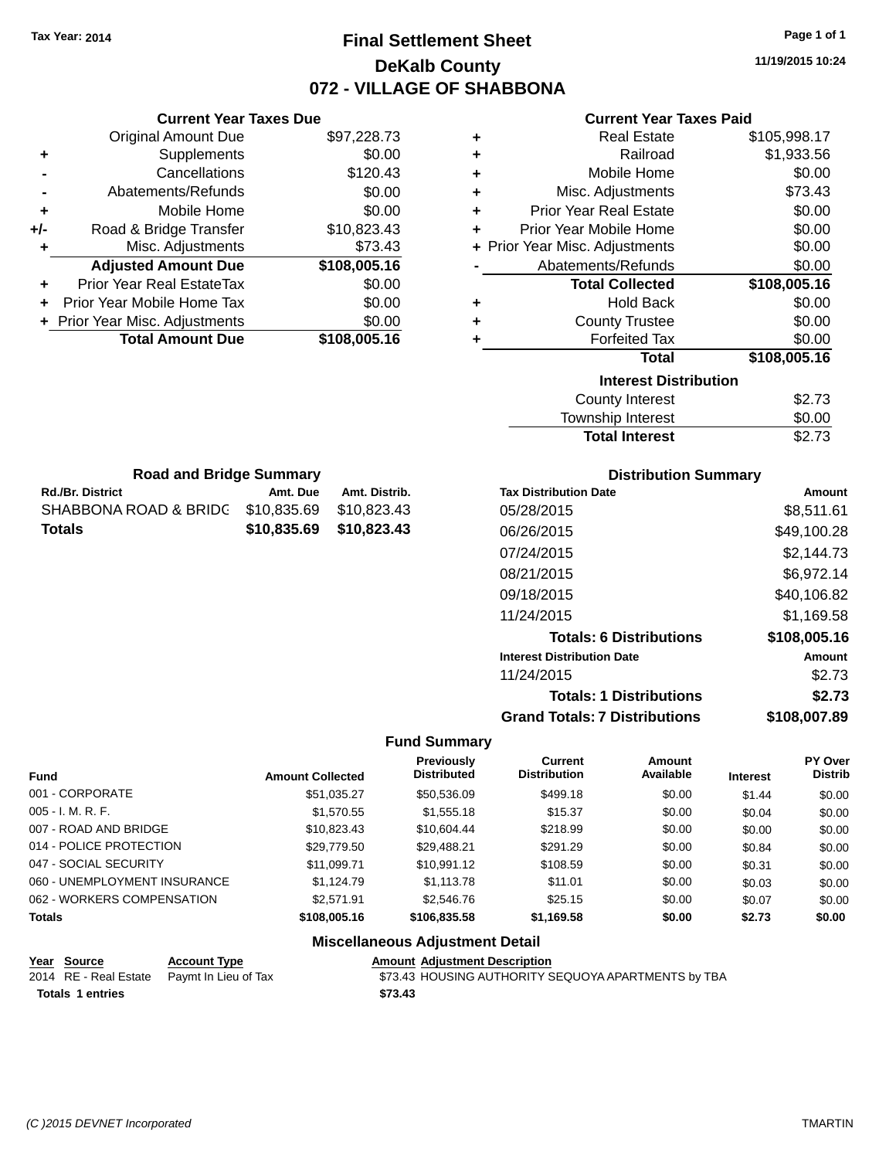# **Final Settlement Sheet Tax Year: 2014 Page 1 of 1 DeKalb County 072 - VILLAGE OF SHABBONA**

**11/19/2015 10:24**

#### **Current Year Taxes Paid**

|     | <b>Current Year Taxes Due</b> |              |
|-----|-------------------------------|--------------|
|     | <b>Original Amount Due</b>    | \$97,228.73  |
| ٠   | Supplements                   | \$0.00       |
|     | Cancellations                 | \$120.43     |
|     | Abatements/Refunds            | \$0.00       |
| ٠   | Mobile Home                   | \$0.00       |
| +/- | Road & Bridge Transfer        | \$10,823.43  |
| ٠   | Misc. Adjustments             | \$73.43      |
|     | <b>Adjusted Amount Due</b>    | \$108,005.16 |
| ٠   | Prior Year Real EstateTax     | \$0.00       |
| ÷   | Prior Year Mobile Home Tax    | \$0.00       |
|     | Prior Year Misc. Adjustments  | \$0.00       |
|     | <b>Total Amount Due</b>       | \$108,005.16 |
|     |                               |              |

**Rd./Br. District Co. Amt. Due Amt. Distrib. Road and Bridge Summary**

SHABBONA ROAD & BRIDG \$10,835.69 \$10,823.43 **Totals \$10,835.69 \$10,823.43**

| ٠ | <b>Real Estate</b>             | \$105,998.17 |
|---|--------------------------------|--------------|
| ÷ | Railroad                       | \$1,933.56   |
| ÷ | Mobile Home                    | \$0.00       |
| ٠ | Misc. Adjustments              | \$73.43      |
| ٠ | <b>Prior Year Real Estate</b>  | \$0.00       |
| ٠ | Prior Year Mobile Home         | \$0.00       |
|   | + Prior Year Misc. Adjustments | \$0.00       |
|   | Abatements/Refunds             | \$0.00       |
|   | <b>Total Collected</b>         | \$108,005.16 |
| ٠ | <b>Hold Back</b>               | \$0.00       |
| ٠ | <b>County Trustee</b>          | \$0.00       |
| ٠ | <b>Forfeited Tax</b>           | \$0.00       |
|   | <b>Total</b>                   | \$108,005.16 |
|   | <b>Interest Distribution</b>   |              |
|   |                                |              |
|   | <b>County Interest</b>         | \$2.73       |

| Township Interest     | \$0.00 |
|-----------------------|--------|
| <b>Total Interest</b> | \$2.73 |

| <b>Distribution Summary</b>          |              |  |  |  |
|--------------------------------------|--------------|--|--|--|
| <b>Tax Distribution Date</b>         | Amount       |  |  |  |
| 05/28/2015                           | \$8,511.61   |  |  |  |
| 06/26/2015                           | \$49,100.28  |  |  |  |
| 07/24/2015                           | \$2,144.73   |  |  |  |
| 08/21/2015                           | \$6,972.14   |  |  |  |
| 09/18/2015                           | \$40,106.82  |  |  |  |
| 11/24/2015                           | \$1,169.58   |  |  |  |
| <b>Totals: 6 Distributions</b>       | \$108,005.16 |  |  |  |
| <b>Interest Distribution Date</b>    | Amount       |  |  |  |
| 11/24/2015                           | \$2.73       |  |  |  |
| <b>Totals: 1 Distributions</b>       | \$2.73       |  |  |  |
| <b>Grand Totals: 7 Distributions</b> | \$108.007.89 |  |  |  |

### **Fund Summary**

| <b>Fund</b>                  | <b>Amount Collected</b> | <b>Previously</b><br><b>Distributed</b> | Current<br><b>Distribution</b> | Amount<br>Available | <b>Interest</b> | <b>PY Over</b><br><b>Distrib</b> |
|------------------------------|-------------------------|-----------------------------------------|--------------------------------|---------------------|-----------------|----------------------------------|
| 001 - CORPORATE              | \$51,035.27             | \$50,536.09                             | \$499.18                       | \$0.00              | \$1.44          | \$0.00                           |
| $005 - I. M. R. F.$          | \$1,570.55              | \$1,555.18                              | \$15.37                        | \$0.00              | \$0.04          | \$0.00                           |
| 007 - ROAD AND BRIDGE        | \$10,823.43             | \$10.604.44                             | \$218.99                       | \$0.00              | \$0.00          | \$0.00                           |
| 014 - POLICE PROTECTION      | \$29.779.50             | \$29,488.21                             | \$291.29                       | \$0.00              | \$0.84          | \$0.00                           |
| 047 - SOCIAL SECURITY        | \$11.099.71             | \$10.991.12                             | \$108.59                       | \$0.00              | \$0.31          | \$0.00                           |
| 060 - UNEMPLOYMENT INSURANCE | \$1.124.79              | \$1,113.78                              | \$11.01                        | \$0.00              | \$0.03          | \$0.00                           |
| 062 - WORKERS COMPENSATION   | \$2,571.91              | \$2,546.76                              | \$25.15                        | \$0.00              | \$0.07          | \$0.00                           |
| <b>Totals</b>                | \$108,005.16            | \$106,835.58                            | \$1,169.58                     | \$0.00              | \$2.73          | \$0.00                           |

### **Miscellaneous Adjustment Detail**

| Year Source             | <b>Account Type</b>                        | <b>Amount Adiustment Description</b>                |
|-------------------------|--------------------------------------------|-----------------------------------------------------|
|                         | 2014 RE - Real Estate Paymt In Lieu of Tax | \$73.43 HOUSING AUTHORITY SEQUOYA APARTMENTS by TBA |
| <b>Totals 1 entries</b> |                                            | \$73.43                                             |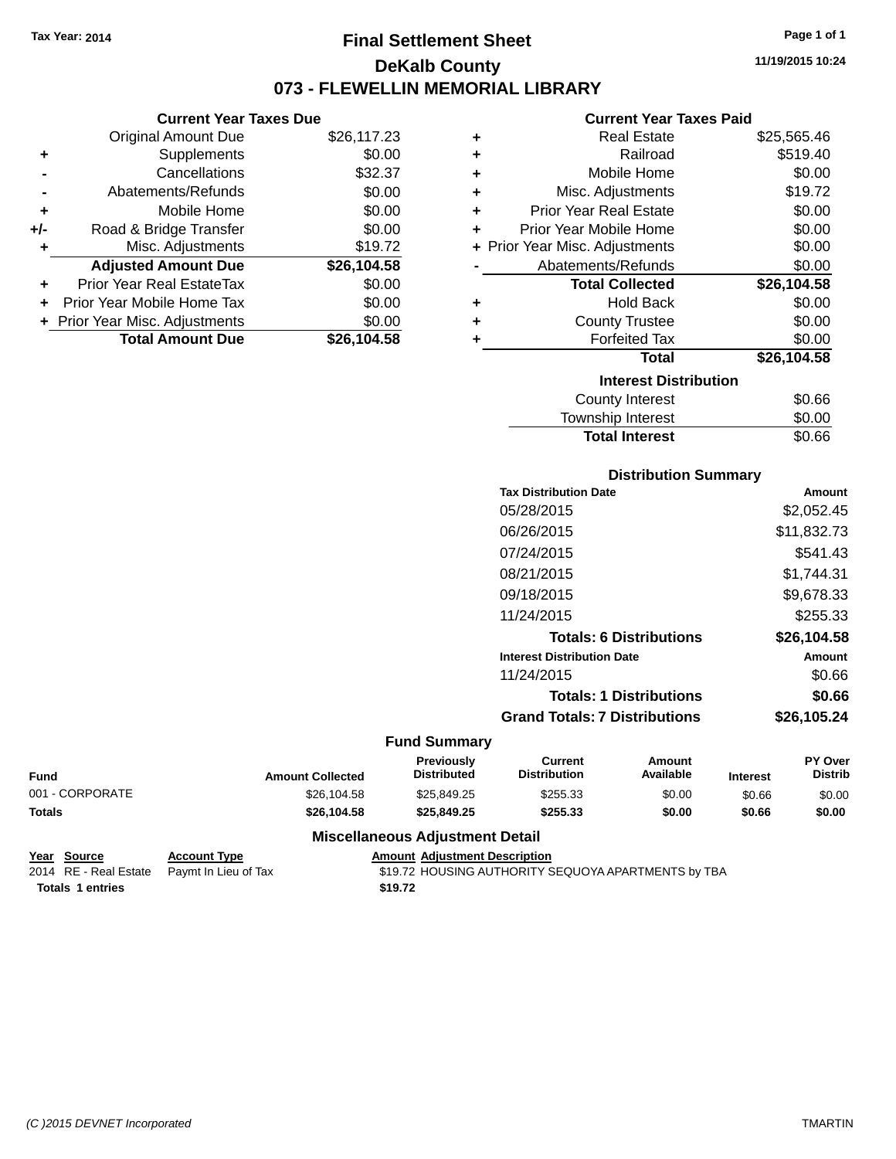### **Final Settlement Sheet Tax Year: 2014 Page 1 of 1 DeKalb County 073 - FLEWELLIN MEMORIAL LIBRARY**

**11/19/2015 10:24**

#### **Current Year Taxes Paid**

| ٠ | <b>Real Estate</b>             | \$25,565.46 |
|---|--------------------------------|-------------|
| ٠ | Railroad                       | \$519.40    |
| ٠ | Mobile Home                    | \$0.00      |
| ٠ | Misc. Adjustments              | \$19.72     |
| ÷ | <b>Prior Year Real Estate</b>  | \$0.00      |
| ٠ | Prior Year Mobile Home         | \$0.00      |
|   | + Prior Year Misc. Adjustments | \$0.00      |
|   | Abatements/Refunds             | \$0.00      |
|   | <b>Total Collected</b>         | \$26,104.58 |
| ٠ | <b>Hold Back</b>               | \$0.00      |
| ٠ | <b>County Trustee</b>          | \$0.00      |
| ÷ | <b>Forfeited Tax</b>           | \$0.00      |
|   | <b>Total</b>                   | \$26,104.58 |
|   | <b>Interest Distribution</b>   |             |
|   | County Interest                | \$0.66      |
|   | <b>Township Interest</b>       | \$0.00      |

| <b>Distribution Summary</b>          |             |
|--------------------------------------|-------------|
| <b>Tax Distribution Date</b>         | Amount      |
| 05/28/2015                           | \$2,052.45  |
| 06/26/2015                           | \$11,832.73 |
| 07/24/2015                           | \$541.43    |
| 08/21/2015                           | \$1,744.31  |
| 09/18/2015                           | \$9,678.33  |
| 11/24/2015                           | \$255.33    |
| <b>Totals: 6 Distributions</b>       | \$26,104.58 |
| <b>Interest Distribution Date</b>    | Amount      |
| 11/24/2015                           | \$0.66      |
| <b>Totals: 1 Distributions</b>       | \$0.66      |
| <b>Grand Totals: 7 Distributions</b> | \$26,105.24 |

**Total Interest** \$0.66

#### **Fund Summary**

| <b>Fund</b>     | <b>Amount Collected</b> | <b>Previously</b><br><b>Distributed</b> | Current<br><b>Distribution</b> | Amount<br>Available | <b>Interest</b> | PY Over<br>Distrib |
|-----------------|-------------------------|-----------------------------------------|--------------------------------|---------------------|-----------------|--------------------|
| 001 - CORPORATE | \$26.104.58             | \$25.849.25                             | \$255.33                       | \$0.00              | \$0.66          | \$0.00             |
| <b>Totals</b>   | \$26.104.58             | \$25.849.25                             | \$255.33                       | \$0.00              | \$0.66          | \$0.00             |

#### **Miscellaneous Adjustment Detail**

**Year Source Account Type Account Type Amount Adjustment Description**<br>2014 RE - Real Estate Paymt In Lieu of Tax \$19.72 HOUSING AUTHORITY S Totals 1 entries \$19.72

**Current Year Taxes Due** Original Amount Due \$26,117.23

**Adjusted Amount Due \$26,104.58**

**Total Amount Due \$26,104.58**

**+** Supplements \$0.00 **-** Cancellations \$32.37 **-** Abatements/Refunds \$0.00 **+** Mobile Home \$0.00 **+/-** Road & Bridge Transfer \$0.00 **+** Misc. Adjustments \$19.72

**+** Prior Year Real EstateTax \$0.00 **+** Prior Year Mobile Home Tax \$0.00 **+ Prior Year Misc. Adjustments**  $$0.00$ 

\$19.72 HOUSING AUTHORITY SEQUOYA APARTMENTS by TBA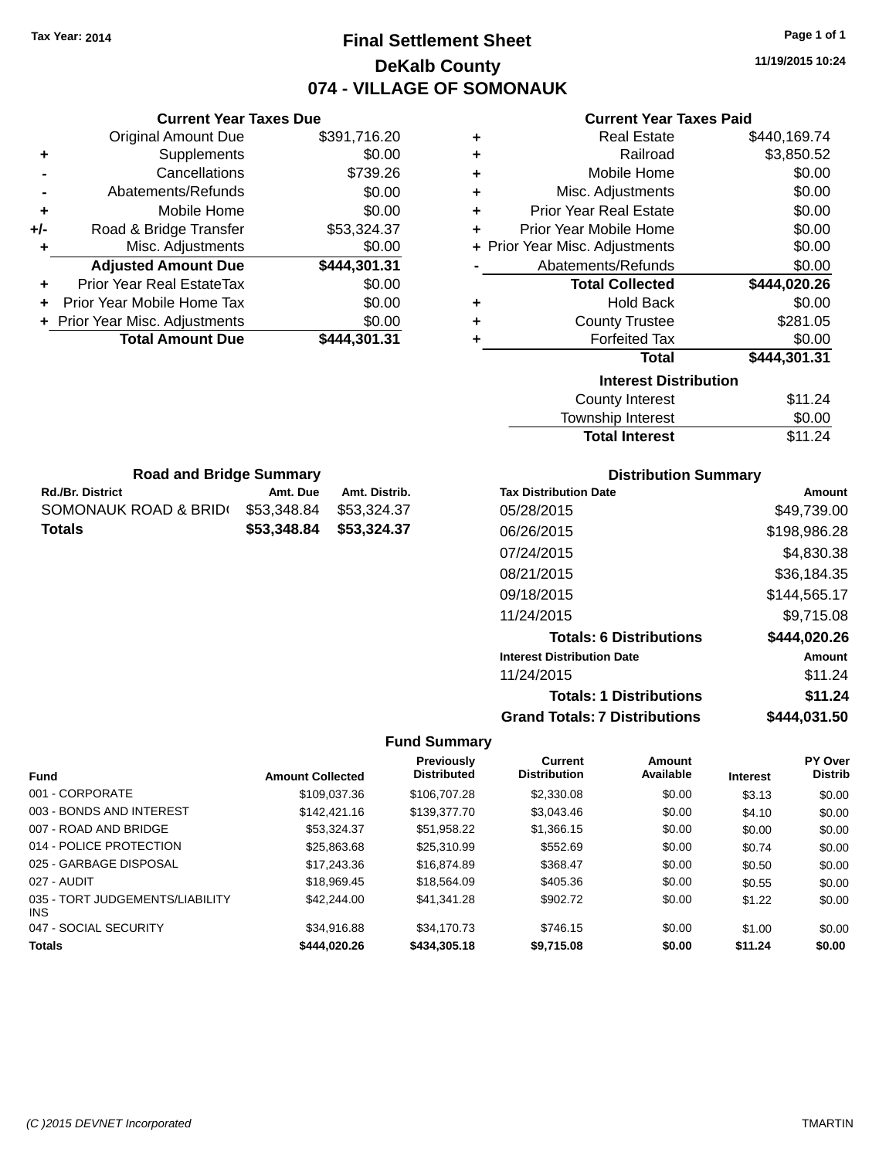# **Final Settlement Sheet Tax Year: 2014 Page 1 of 1 DeKalb County 074 - VILLAGE OF SOMONAUK**

**11/19/2015 10:24**

| <b>Current Year Taxes Paid</b> |  |  |  |
|--------------------------------|--|--|--|
|--------------------------------|--|--|--|

| ٠ | <b>Real Estate</b>             | \$440,169.74 |
|---|--------------------------------|--------------|
| ٠ | Railroad                       | \$3,850.52   |
| ٠ | Mobile Home                    | \$0.00       |
| ÷ | Misc. Adjustments              | \$0.00       |
| ÷ | <b>Prior Year Real Estate</b>  | \$0.00       |
| ٠ | Prior Year Mobile Home         | \$0.00       |
|   | + Prior Year Misc. Adjustments | \$0.00       |
|   | Abatements/Refunds             | \$0.00       |
|   | <b>Total Collected</b>         | \$444,020.26 |
| ٠ | <b>Hold Back</b>               | \$0.00       |
| ٠ | <b>County Trustee</b>          | \$281.05     |
| ٠ | <b>Forfeited Tax</b>           | \$0.00       |
|   | <b>Total</b>                   | \$444,301.31 |
|   | <b>Interest Distribution</b>   |              |
|   | <b>County Interest</b>         | \$11.24      |
|   | <b>Township Interest</b>       | \$0.00       |

| Interest Distribution  |         |
|------------------------|---------|
| <b>County Interest</b> | \$11.24 |
| Township Interest      | \$0.00  |
| <b>Total Interest</b>  | \$11.24 |
|                        |         |

| <b>Rd./Br. District</b>                      | Amt. Due | Amt. Distrib.           | Tax |
|----------------------------------------------|----------|-------------------------|-----|
| SOMONAUK ROAD & BRID(\$53,348.84 \$53,324.37 |          |                         | 05/ |
| <b>Totals</b>                                |          | \$53,348.84 \$53,324.37 | 06/ |
|                                              |          |                         | 07/ |
|                                              |          |                         |     |

**Current Year Taxes Due** Original Amount Due \$391,716.20

**Adjusted Amount Due \$444,301.31**

**Total Amount Due \$444,301.31**

**+** Supplements \$0.00 **-** Cancellations \$739.26 **-** Abatements/Refunds \$0.00 **+** Mobile Home \$0.00 **+/-** Road & Bridge Transfer \$53,324.37 **+** Misc. Adjustments \$0.00

**+** Prior Year Real EstateTax \$0.00 **+** Prior Year Mobile Home Tax \$0.00 **+ Prior Year Misc. Adjustments**  $$0.00$ 

**Road and Bridge Summary**

#### **Distribution Summary**

| <b>Tax Distribution Date</b>         | Amount        |
|--------------------------------------|---------------|
| 05/28/2015                           | \$49,739.00   |
| 06/26/2015                           | \$198,986.28  |
| 07/24/2015                           | \$4,830.38    |
| 08/21/2015                           | \$36,184.35   |
| 09/18/2015                           | \$144,565.17  |
| 11/24/2015                           | \$9,715.08    |
| <b>Totals: 6 Distributions</b>       | \$444,020.26  |
| <b>Interest Distribution Date</b>    | <b>Amount</b> |
| 11/24/2015                           | \$11.24       |
| <b>Totals: 1 Distributions</b>       | \$11.24       |
| <b>Grand Totals: 7 Distributions</b> | \$444,031.50  |

| <b>Fund</b>                             | <b>Amount Collected</b> | <b>Previously</b><br><b>Distributed</b> | Current<br><b>Distribution</b> | Amount<br>Available | <b>Interest</b> | <b>PY Over</b><br><b>Distrib</b> |
|-----------------------------------------|-------------------------|-----------------------------------------|--------------------------------|---------------------|-----------------|----------------------------------|
| 001 - CORPORATE                         | \$109.037.36            | \$106,707.28                            | \$2,330.08                     | \$0.00              | \$3.13          | \$0.00                           |
| 003 - BONDS AND INTEREST                | \$142,421.16            | \$139,377.70                            | \$3.043.46                     | \$0.00              | \$4.10          | \$0.00                           |
| 007 - ROAD AND BRIDGE                   | \$53.324.37             | \$51.958.22                             | \$1,366.15                     | \$0.00              | \$0.00          | \$0.00                           |
| 014 - POLICE PROTECTION                 | \$25,863,68             | \$25,310.99                             | \$552.69                       | \$0.00              | \$0.74          | \$0.00                           |
| 025 - GARBAGE DISPOSAL                  | \$17,243.36             | \$16,874.89                             | \$368.47                       | \$0.00              | \$0.50          | \$0.00                           |
| 027 - AUDIT                             | \$18.969.45             | \$18,564.09                             | \$405.36                       | \$0.00              | \$0.55          | \$0.00                           |
| 035 - TORT JUDGEMENTS/LIABILITY<br>INS. | \$42,244.00             | \$41.341.28                             | \$902.72                       | \$0.00              | \$1.22          | \$0.00                           |
| 047 - SOCIAL SECURITY                   | \$34.916.88             | \$34,170.73                             | \$746.15                       | \$0.00              | \$1.00          | \$0.00                           |
| <b>Totals</b>                           | \$444.020.26            | \$434,305.18                            | \$9,715.08                     | \$0.00              | \$11.24         | \$0.00                           |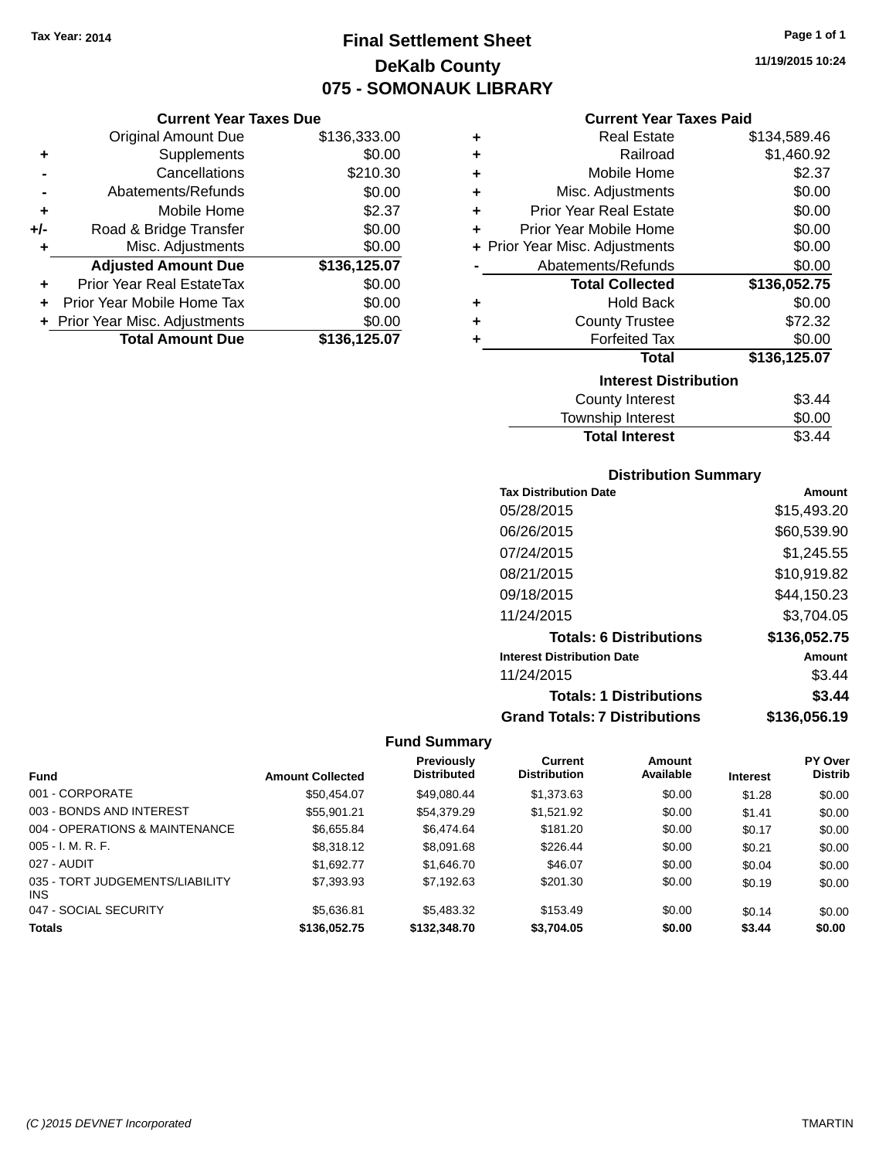# **Final Settlement Sheet Tax Year: 2014 Page 1 of 1 DeKalb County 075 - SOMONAUK LIBRARY**

**Current Year Taxes Due**

|       | <b>Original Amount Due</b>     | \$136,333.00 |
|-------|--------------------------------|--------------|
| ٠     | Supplements                    | \$0.00       |
|       | Cancellations                  | \$210.30     |
|       | Abatements/Refunds             | \$0.00       |
| ÷     | Mobile Home                    | \$2.37       |
| $+/-$ | Road & Bridge Transfer         | \$0.00       |
| ٠     | Misc. Adjustments              | \$0.00       |
|       | <b>Adjusted Amount Due</b>     | \$136,125.07 |
|       | Prior Year Real EstateTax      | \$0.00       |
| ÷     | Prior Year Mobile Home Tax     | \$0.00       |
|       | + Prior Year Misc. Adjustments | \$0.00       |
|       | <b>Total Amount Due</b>        | \$136,125.07 |
|       |                                |              |

#### **Current Year Taxes Paid**

| ٠ | <b>Real Estate</b>             | \$134,589.46 |
|---|--------------------------------|--------------|
| ÷ | Railroad                       | \$1,460.92   |
| ÷ | Mobile Home                    | \$2.37       |
| ٠ | Misc. Adjustments              | \$0.00       |
| ٠ | <b>Prior Year Real Estate</b>  | \$0.00       |
| ٠ | Prior Year Mobile Home         | \$0.00       |
|   | + Prior Year Misc. Adjustments | \$0.00       |
|   | Abatements/Refunds             | \$0.00       |
|   |                                |              |
|   | <b>Total Collected</b>         | \$136,052.75 |
| ٠ | <b>Hold Back</b>               | \$0.00       |
| ÷ | <b>County Trustee</b>          | \$72.32      |
| ٠ | <b>Forfeited Tax</b>           | \$0.00       |
|   | <b>Total</b>                   | \$136,125.07 |
|   | <b>Interest Distribution</b>   |              |
|   | County Interest                | \$3.44       |

### **Distribution Summary**

Total Interest \$3.44

| <b>Tax Distribution Date</b>         | Amount       |
|--------------------------------------|--------------|
| 05/28/2015                           | \$15.493.20  |
| 06/26/2015                           | \$60,539.90  |
| 07/24/2015                           | \$1,245.55   |
| 08/21/2015                           | \$10,919.82  |
| 09/18/2015                           | \$44,150.23  |
| 11/24/2015                           | \$3,704.05   |
| <b>Totals: 6 Distributions</b>       | \$136,052.75 |
| <b>Interest Distribution Date</b>    | Amount       |
| 11/24/2015                           | \$3.44       |
| <b>Totals: 1 Distributions</b>       | \$3.44       |
| <b>Grand Totals: 7 Distributions</b> | \$136.056.19 |

|                                         |                         | Previously         | Current             | Amount    |                 | <b>PY Over</b> |
|-----------------------------------------|-------------------------|--------------------|---------------------|-----------|-----------------|----------------|
| <b>Fund</b>                             | <b>Amount Collected</b> | <b>Distributed</b> | <b>Distribution</b> | Available | <b>Interest</b> | <b>Distrib</b> |
| 001 - CORPORATE                         | \$50,454.07             | \$49,080.44        | \$1,373.63          | \$0.00    | \$1.28          | \$0.00         |
| 003 - BONDS AND INTEREST                | \$55,901.21             | \$54,379.29        | \$1,521.92          | \$0.00    | \$1.41          | \$0.00         |
| 004 - OPERATIONS & MAINTENANCE          | \$6,655.84              | \$6,474.64         | \$181.20            | \$0.00    | \$0.17          | \$0.00         |
| $005 - I. M. R. F.$                     | \$8,318.12              | \$8,091.68         | \$226.44            | \$0.00    | \$0.21          | \$0.00         |
| 027 - AUDIT                             | \$1.692.77              | \$1,646.70         | \$46.07             | \$0.00    | \$0.04          | \$0.00         |
| 035 - TORT JUDGEMENTS/LIABILITY<br>INS. | \$7,393.93              | \$7,192.63         | \$201.30            | \$0.00    | \$0.19          | \$0.00         |
| 047 - SOCIAL SECURITY                   | \$5.636.81              | \$5,483,32         | \$153.49            | \$0.00    | \$0.14          | \$0.00         |
| <b>Totals</b>                           | \$136,052.75            | \$132,348,70       | \$3.704.05          | \$0.00    | \$3.44          | \$0.00         |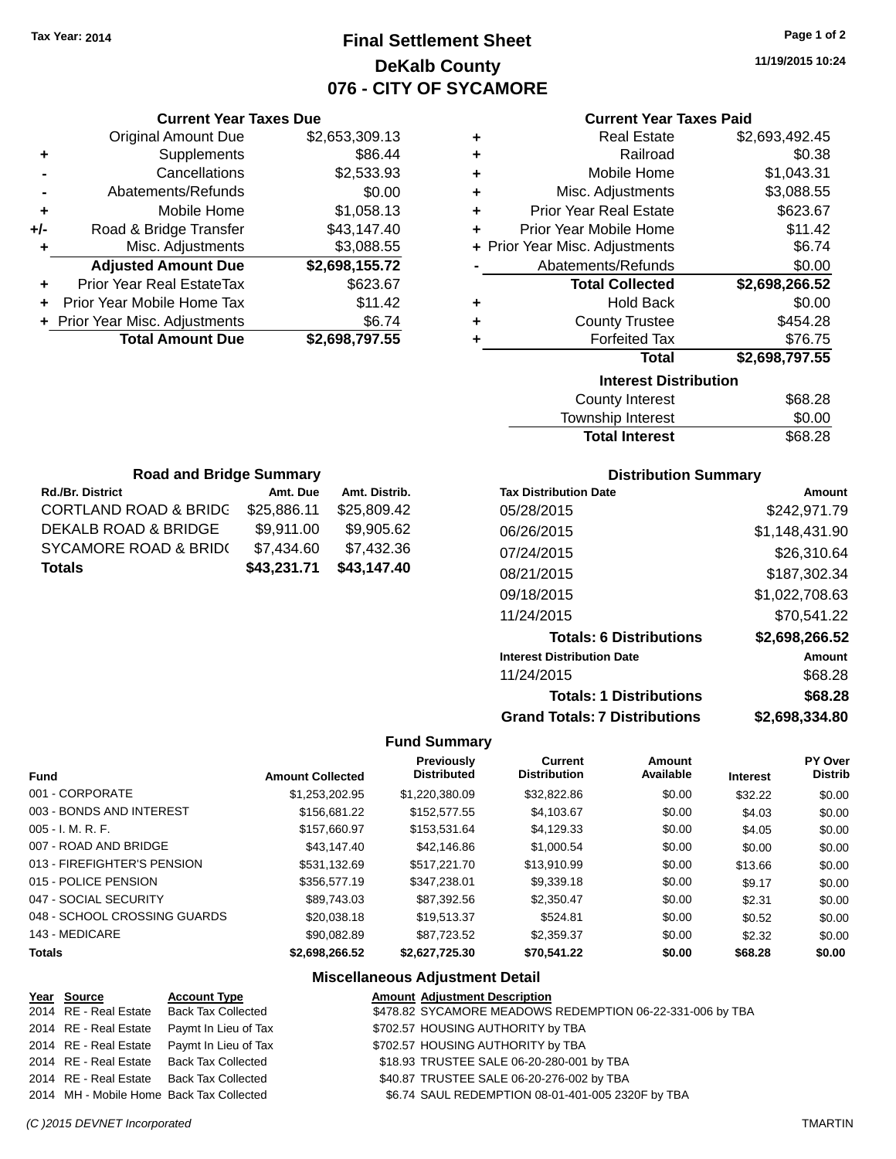# **Final Settlement Sheet Tax Year: 2014 Page 1 of 2 DeKalb County 076 - CITY OF SYCAMORE**

**11/19/2015 10:24**

### **Current Year Taxes Paid**

|       | <b>Current Year Taxes Due</b>  |                |
|-------|--------------------------------|----------------|
|       | <b>Original Amount Due</b>     | \$2,653,309.13 |
| ٠     | Supplements                    | \$86.44        |
|       | Cancellations                  | \$2,533.93     |
|       | Abatements/Refunds             | \$0.00         |
| ٠     | Mobile Home                    | \$1,058.13     |
| $+/-$ | Road & Bridge Transfer         | \$43,147.40    |
|       | Misc. Adjustments              | \$3,088.55     |
|       | <b>Adjusted Amount Due</b>     | \$2,698,155.72 |
| ٠     | Prior Year Real EstateTax      | \$623.67       |
|       | Prior Year Mobile Home Tax     | \$11.42        |
|       | + Prior Year Misc. Adjustments | \$6.74         |
|       | <b>Total Amount Due</b>        | \$2,698,797.55 |
|       |                                |                |

| ٠ | <b>Real Estate</b>             | \$2,693,492.45 |
|---|--------------------------------|----------------|
| ٠ | Railroad                       | \$0.38         |
| ٠ | Mobile Home                    | \$1,043.31     |
| ٠ | Misc. Adjustments              | \$3,088.55     |
| ٠ | <b>Prior Year Real Estate</b>  | \$623.67       |
| ٠ | Prior Year Mobile Home         | \$11.42        |
|   | + Prior Year Misc. Adjustments | \$6.74         |
|   | Abatements/Refunds             | \$0.00         |
|   | <b>Total Collected</b>         | \$2,698,266.52 |
| ٠ | <b>Hold Back</b>               | \$0.00         |
| ٠ | <b>County Trustee</b>          | \$454.28       |
|   |                                |                |
| ٠ | <b>Forfeited Tax</b>           | \$76.75        |
|   | <b>Total</b>                   | \$2,698,797.55 |
|   | <b>Interest Distribution</b>   |                |

| <b>Total Interest</b> | \$68.28 |
|-----------------------|---------|
| Township Interest     | \$0.00  |
| County Interest       | \$68.28 |

| <b>Road and Bridge Summary</b>   |             |               |  |
|----------------------------------|-------------|---------------|--|
| <b>Rd./Br. District</b>          | Amt. Due    | Amt. Distrib. |  |
| <b>CORTLAND ROAD &amp; BRIDG</b> | \$25,886.11 | \$25,809.42   |  |
| <b>DEKALB ROAD &amp; BRIDGE</b>  | \$9,911.00  | \$9,905.62    |  |
| SYCAMORE ROAD & BRIDO            | \$7,434.60  | \$7,432.36    |  |
| <b>Totals</b>                    | \$43,231.71 | \$43,147.40   |  |

### **Distribution Summary**

| <b>Tax Distribution Date</b>         | Amount         |
|--------------------------------------|----------------|
| 05/28/2015                           | \$242,971.79   |
| 06/26/2015                           | \$1,148,431.90 |
| 07/24/2015                           | \$26,310.64    |
| 08/21/2015                           | \$187,302.34   |
| 09/18/2015                           | \$1,022,708.63 |
| 11/24/2015                           | \$70.541.22    |
| <b>Totals: 6 Distributions</b>       | \$2,698,266.52 |
| <b>Interest Distribution Date</b>    | Amount         |
| 11/24/2015                           | \$68.28        |
| <b>Totals: 1 Distributions</b>       | \$68.28        |
| <b>Grand Totals: 7 Distributions</b> | \$2,698,334.80 |

### **Fund Summary**

| <b>Fund</b>                  | <b>Amount Collected</b> | <b>Previously</b><br><b>Distributed</b> | <b>Current</b><br><b>Distribution</b> | Amount<br>Available | <b>Interest</b> | PY Over<br><b>Distrib</b> |
|------------------------------|-------------------------|-----------------------------------------|---------------------------------------|---------------------|-----------------|---------------------------|
| 001 - CORPORATE              | \$1.253.202.95          | \$1.220.380.09                          | \$32,822.86                           | \$0.00              | \$32.22         | \$0.00                    |
| 003 - BONDS AND INTEREST     | \$156,681,22            | \$152,577,55                            | \$4,103,67                            | \$0.00              | \$4.03          | \$0.00                    |
| $005 - I. M. R. F.$          | \$157,660.97            | \$153.531.64                            | \$4.129.33                            | \$0.00              | \$4.05          | \$0.00                    |
| 007 - ROAD AND BRIDGE        | \$43,147.40             | \$42,146.86                             | \$1,000.54                            | \$0.00              | \$0.00          | \$0.00                    |
| 013 - FIREFIGHTER'S PENSION  | \$531.132.69            | \$517,221,70                            | \$13.910.99                           | \$0.00              | \$13.66         | \$0.00                    |
| 015 - POLICE PENSION         | \$356,577.19            | \$347.238.01                            | \$9,339.18                            | \$0.00              | \$9.17          | \$0.00                    |
| 047 - SOCIAL SECURITY        | \$89.743.03             | \$87.392.56                             | \$2,350.47                            | \$0.00              | \$2.31          | \$0.00                    |
| 048 - SCHOOL CROSSING GUARDS | \$20.038.18             | \$19.513.37                             | \$524.81                              | \$0.00              | \$0.52          | \$0.00                    |
| 143 - MEDICARE               | \$90.082.89             | \$87.723.52                             | \$2.359.37                            | \$0.00              | \$2.32          | \$0.00                    |
| <b>Totals</b>                | \$2,698,266.52          | \$2,627,725.30                          | \$70,541.22                           | \$0.00              | \$68.28         | \$0.00                    |

### **Miscellaneous Adjustment Detail**

| <u>Year Source</u> | <b>Account Type</b>                        | <b>Amount Adjustment Description</b>              |                                                           |
|--------------------|--------------------------------------------|---------------------------------------------------|-----------------------------------------------------------|
|                    | 2014 RE - Real Estate Back Tax Collected   |                                                   | \$478.82 SYCAMORE MEADOWS REDEMPTION 06-22-331-006 by TBA |
|                    | 2014 RE - Real Estate Paymt In Lieu of Tax | \$702.57 HOUSING AUTHORITY by TBA                 |                                                           |
|                    | 2014 RE - Real Estate Paymt In Lieu of Tax | \$702.57 HOUSING AUTHORITY by TBA                 |                                                           |
|                    | 2014 RE - Real Estate Back Tax Collected   | \$18.93 TRUSTEE SALE 06-20-280-001 by TBA         |                                                           |
|                    | 2014 RE - Real Estate Back Tax Collected   | \$40.87 TRUSTEE SALE 06-20-276-002 by TBA         |                                                           |
|                    | 2014 MH - Mobile Home Back Tax Collected   | \$6.74 SAUL REDEMPTION 08-01-401-005 2320F by TBA |                                                           |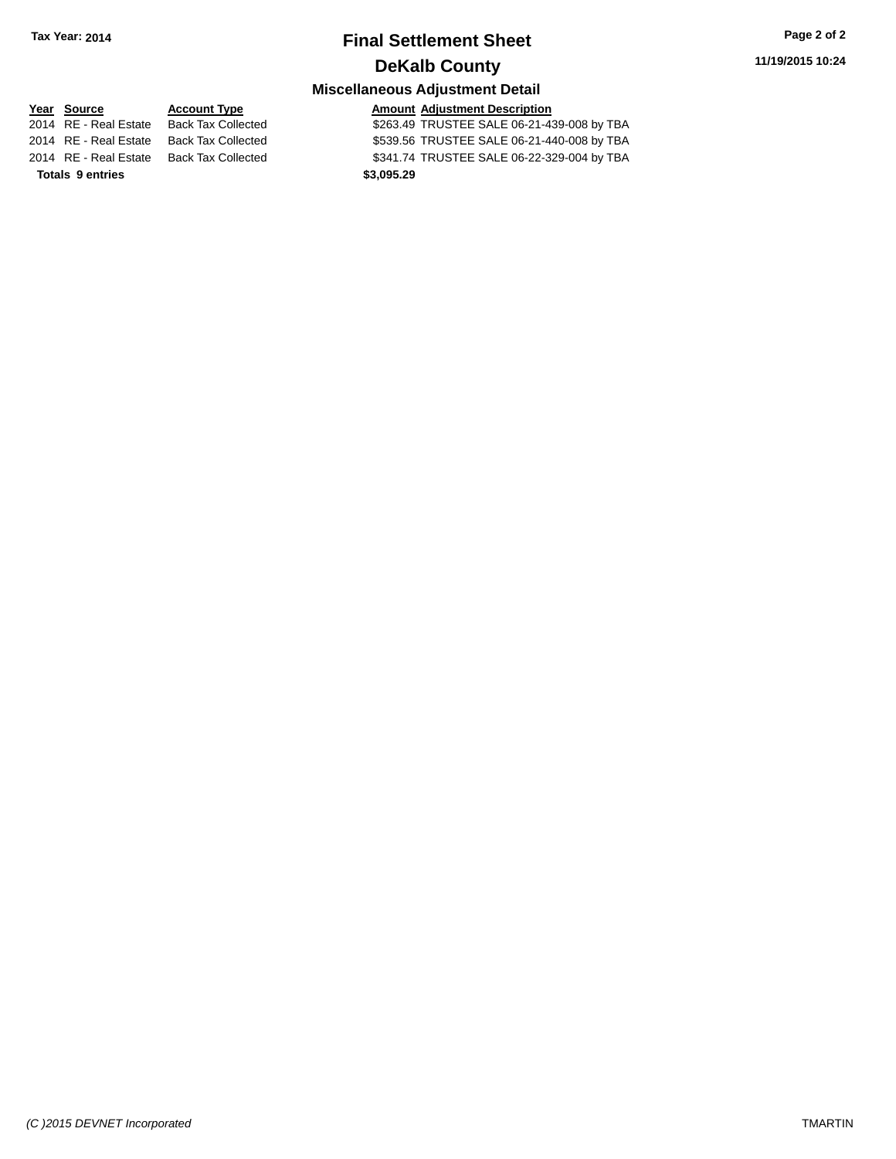# **Final Settlement Sheet Tax Year: 2014 Page 2 of 2 DeKalb County**

### **Miscellaneous Adjustment Detail**

**Totals 9 entries 9 and 2011 12:30 \$3,095.29** 

**Year** Source **Account Type Account Adjustment Description** 2014 RE - Real Estate Back Tax Collected **\$263.49 TRUSTEE SALE 06-21-439-008 by TBA** 2014 RE - Real Estate Back Tax Collected \$539.56 TRUSTEE SALE 06-21-440-008 by TBA 2014 RE - Real Estate Back Tax Collected \$341.74 TRUSTEE SALE 06-22-329-004 by TBA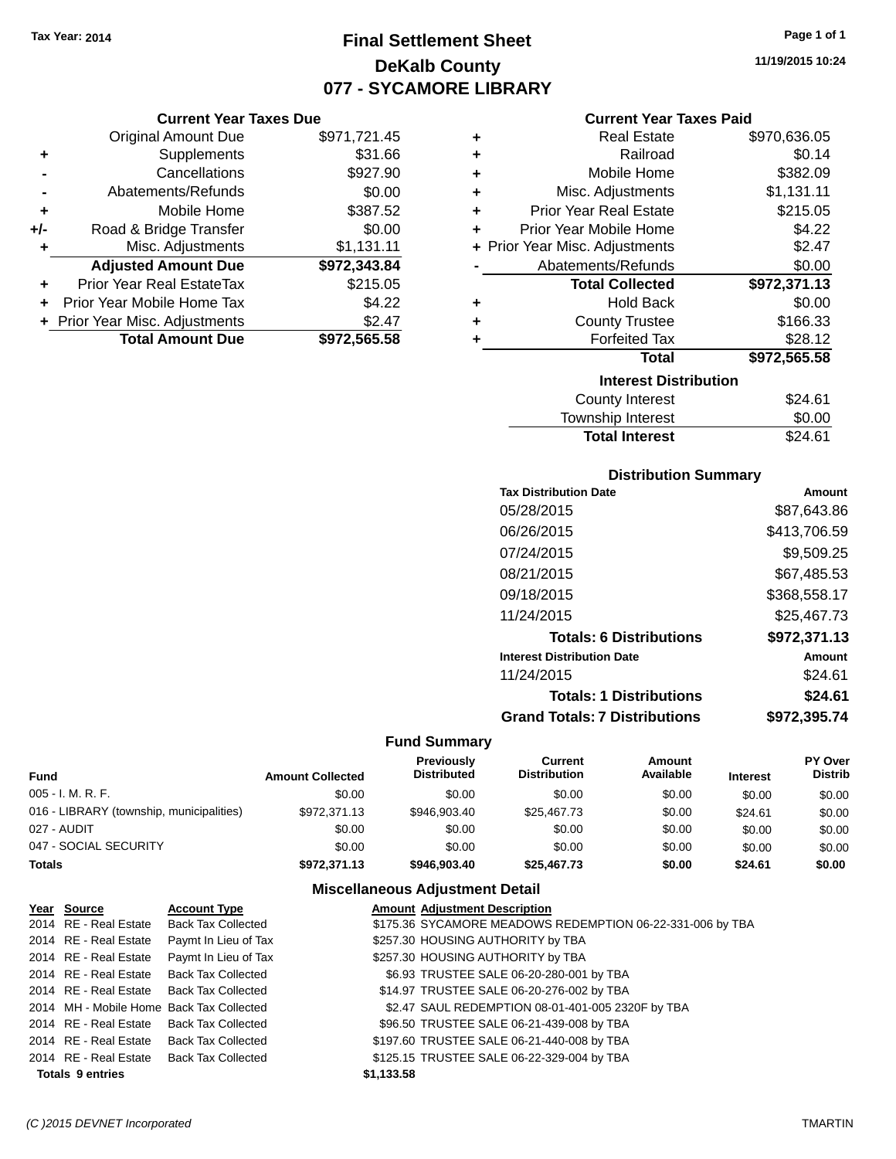**Current Year Taxes Due** Original Amount Due \$971,721.45

**Adjusted Amount Due \$972,343.84**

**Total Amount Due \$972,565.58**

**+** Supplements \$31.66 **-** Cancellations \$927.90 **-** Abatements/Refunds \$0.00 **+** Mobile Home \$387.52 **+/-** Road & Bridge Transfer \$0.00<br>**+** Misc. Adjustments \$1,131.11

**+** Prior Year Real EstateTax \$215.05 **+** Prior Year Mobile Home Tax \$4.22 **+** Prior Year Misc. Adjustments \$2.47

**+** Misc. Adjustments

# **Final Settlement Sheet Tax Year: 2014 Page 1 of 1 DeKalb County 077 - SYCAMORE LIBRARY**

**11/19/2015 10:24**

### **Current Year Taxes Paid**

| ٠ | <b>Real Estate</b>             | \$970,636.05 |
|---|--------------------------------|--------------|
| ٠ | Railroad                       | \$0.14       |
| ٠ | Mobile Home                    | \$382.09     |
| ٠ | Misc. Adjustments              | \$1,131.11   |
| ÷ | <b>Prior Year Real Estate</b>  | \$215.05     |
| ٠ | Prior Year Mobile Home         | \$4.22       |
|   | + Prior Year Misc. Adjustments | \$2.47       |
|   | Abatements/Refunds             | \$0.00       |
|   | <b>Total Collected</b>         | \$972,371.13 |
| ٠ | <b>Hold Back</b>               | \$0.00       |
| ٠ | <b>County Trustee</b>          | \$166.33     |
| ٠ | <b>Forfeited Tax</b>           | \$28.12      |
|   | <b>Total</b>                   | \$972,565.58 |
|   | <b>Interest Distribution</b>   |              |
|   | <b>County Interest</b>         | \$24.61      |
|   | Township Interest              | \$0.00       |

|                       | -----   |
|-----------------------|---------|
| <b>Total Interest</b> | \$24.61 |
|                       |         |

|  | <b>Distribution Summary</b> |  |
|--|-----------------------------|--|
|  |                             |  |

| <b>Tax Distribution Date</b>         | Amount       |
|--------------------------------------|--------------|
| 05/28/2015                           | \$87,643.86  |
| 06/26/2015                           | \$413,706.59 |
| 07/24/2015                           | \$9,509.25   |
| 08/21/2015                           | \$67,485.53  |
| 09/18/2015                           | \$368,558.17 |
| 11/24/2015                           | \$25,467.73  |
| <b>Totals: 6 Distributions</b>       | \$972,371.13 |
| <b>Interest Distribution Date</b>    | Amount       |
| 11/24/2015                           | \$24.61      |
| <b>Totals: 1 Distributions</b>       | \$24.61      |
| <b>Grand Totals: 7 Distributions</b> | \$972,395.74 |

#### **Fund Summary**

| <b>Fund</b>                              | <b>Amount Collected</b> | <b>Previously</b><br><b>Distributed</b> | Current<br><b>Distribution</b> | Amount<br>Available | <b>Interest</b> | PY Over<br><b>Distrib</b> |
|------------------------------------------|-------------------------|-----------------------------------------|--------------------------------|---------------------|-----------------|---------------------------|
| 005 - I. M. R. F.                        | \$0.00                  | \$0.00                                  | \$0.00                         | \$0.00              | \$0.00          | \$0.00                    |
| 016 - LIBRARY (township, municipalities) | \$972.371.13            | \$946,903.40                            | \$25,467.73                    | \$0.00              | \$24.61         | \$0.00                    |
| 027 - AUDIT                              | \$0.00                  | \$0.00                                  | \$0.00                         | \$0.00              | \$0.00          | \$0.00                    |
| 047 - SOCIAL SECURITY                    | \$0.00                  | \$0.00                                  | \$0.00                         | \$0.00              | \$0.00          | \$0.00                    |
| <b>Totals</b>                            | \$972,371.13            | \$946,903,40                            | \$25,467.73                    | \$0.00              | \$24.61         | \$0.00                    |

### **Miscellaneous Adjustment Detail**

| Year Source             | <b>Account Type</b>                      | <b>Amount Adjustment Description</b>                      |
|-------------------------|------------------------------------------|-----------------------------------------------------------|
| 2014 RE - Real Estate   | <b>Back Tax Collected</b>                | \$175.36 SYCAMORE MEADOWS REDEMPTION 06-22-331-006 by TBA |
| 2014 RE - Real Estate   | Paymt In Lieu of Tax                     | \$257.30 HOUSING AUTHORITY by TBA                         |
| 2014 RE - Real Estate   | Paymt In Lieu of Tax                     | \$257.30 HOUSING AUTHORITY by TBA                         |
| 2014 RE - Real Estate   | <b>Back Tax Collected</b>                | \$6.93 TRUSTEE SALE 06-20-280-001 by TBA                  |
|                         | 2014 RE - Real Estate Back Tax Collected | \$14.97 TRUSTEE SALE 06-20-276-002 by TBA                 |
|                         | 2014 MH - Mobile Home Back Tax Collected | \$2.47 SAUL REDEMPTION 08-01-401-005 2320F by TBA         |
| 2014 RE - Real Estate   | Back Tax Collected                       | \$96.50 TRUSTEE SALE 06-21-439-008 by TBA                 |
| 2014 RE - Real Estate   | Back Tax Collected                       | \$197.60 TRUSTEE SALE 06-21-440-008 by TBA                |
| 2014 RE - Real Estate   | Back Tax Collected                       | \$125.15 TRUSTEE SALE 06-22-329-004 by TBA                |
| <b>Totals 9 entries</b> |                                          | \$1,133.58                                                |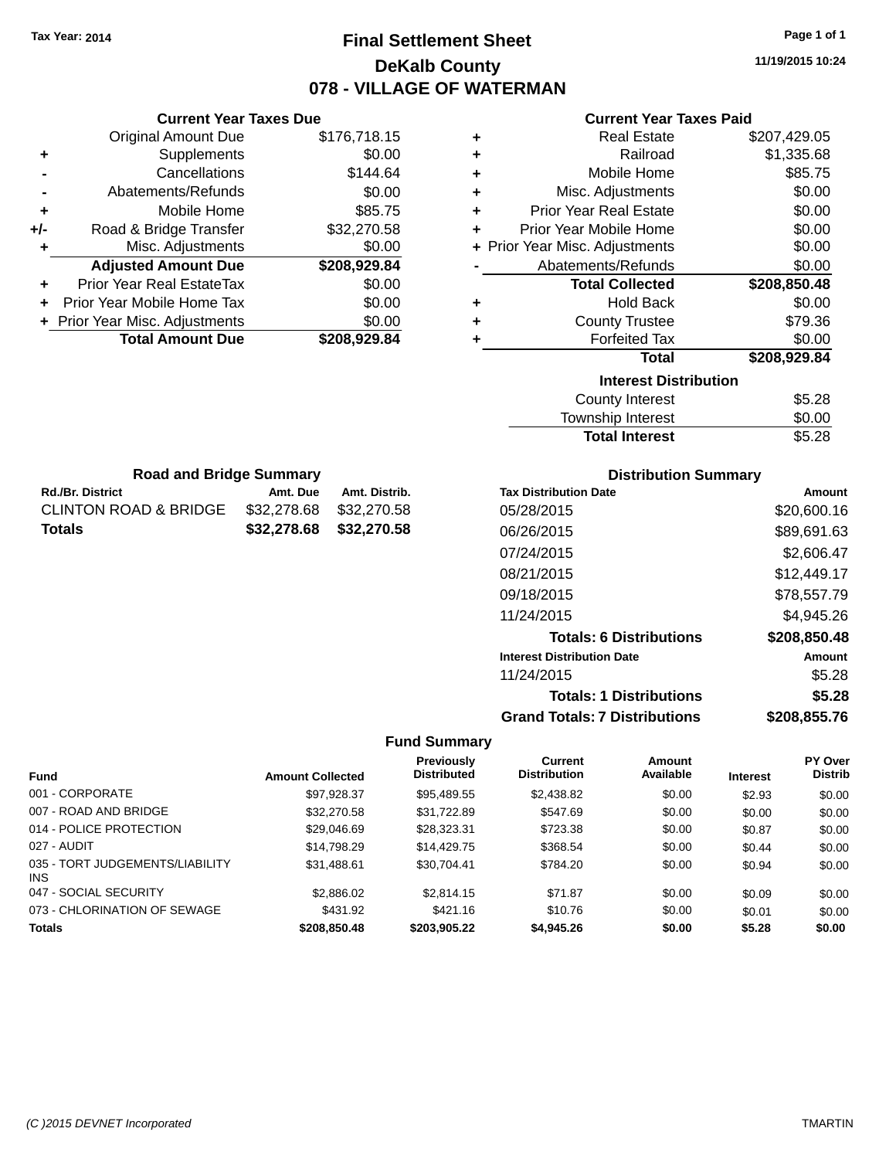# **Final Settlement Sheet Tax Year: 2014 Page 1 of 1 DeKalb County 078 - VILLAGE OF WATERMAN**

**11/19/2015 10:24**

### **Current Year Taxes Paid**

|     | <b>Current Year Taxes Due</b>  |              |
|-----|--------------------------------|--------------|
|     | <b>Original Amount Due</b>     | \$176,718.15 |
| ٠   | Supplements                    | \$0.00       |
|     | Cancellations                  | \$144.64     |
|     | Abatements/Refunds             | \$0.00       |
| ٠   | Mobile Home                    | \$85.75      |
| +/- | Road & Bridge Transfer         | \$32,270.58  |
| ٠   | Misc. Adjustments              | \$0.00       |
|     | <b>Adjusted Amount Due</b>     | \$208,929.84 |
| ٠   | Prior Year Real EstateTax      | \$0.00       |
| ÷   | Prior Year Mobile Home Tax     | \$0.00       |
|     | + Prior Year Misc. Adjustments | \$0.00       |
|     | <b>Total Amount Due</b>        | \$208.929.84 |
|     |                                |              |

**Rd./Br. District Co. Amt. Due Amt. Distrib. Road and Bridge Summary**

CLINTON ROAD & BRIDGE \$32,278.68 \$32,270.58 **Totals \$32,278.68 \$32,270.58**

| ٠ | <b>Real Estate</b>             | \$207,429.05 |
|---|--------------------------------|--------------|
| ÷ | Railroad                       | \$1,335.68   |
| ÷ | Mobile Home                    | \$85.75      |
| ٠ | Misc. Adjustments              | \$0.00       |
| ٠ | <b>Prior Year Real Estate</b>  | \$0.00       |
| ÷ | Prior Year Mobile Home         | \$0.00       |
|   | + Prior Year Misc. Adjustments | \$0.00       |
|   | Abatements/Refunds             | \$0.00       |
|   |                                |              |
|   | <b>Total Collected</b>         | \$208,850.48 |
| ٠ | <b>Hold Back</b>               | \$0.00       |
| ٠ | <b>County Trustee</b>          | \$79.36      |
| ٠ | <b>Forfeited Tax</b>           | \$0.00       |
|   | <b>Total</b>                   | \$208,929.84 |
|   | <b>Interest Distribution</b>   |              |
|   | <b>County Interest</b>         | \$5.28       |

# Total Interest \$5.28

| <b>Distribution Summary</b>          |              |
|--------------------------------------|--------------|
| <b>Tax Distribution Date</b>         | Amount       |
| 05/28/2015                           | \$20,600.16  |
| 06/26/2015                           | \$89,691.63  |
| 07/24/2015                           | \$2,606.47   |
| 08/21/2015                           | \$12,449.17  |
| 09/18/2015                           | \$78,557.79  |
| 11/24/2015                           | \$4.945.26   |
| <b>Totals: 6 Distributions</b>       | \$208,850.48 |
| <b>Interest Distribution Date</b>    | Amount       |
| 11/24/2015                           | \$5.28       |
| <b>Totals: 1 Distributions</b>       | \$5.28       |
| <b>Grand Totals: 7 Distributions</b> | \$208.855.76 |

|                                         |                         | Previously         | Current             | Amount    |                 | PY Over        |
|-----------------------------------------|-------------------------|--------------------|---------------------|-----------|-----------------|----------------|
| <b>Fund</b>                             | <b>Amount Collected</b> | <b>Distributed</b> | <b>Distribution</b> | Available | <b>Interest</b> | <b>Distrib</b> |
| 001 - CORPORATE                         | \$97,928.37             | \$95,489.55        | \$2,438.82          | \$0.00    | \$2.93          | \$0.00         |
| 007 - ROAD AND BRIDGE                   | \$32,270.58             | \$31.722.89        | \$547.69            | \$0.00    | \$0.00          | \$0.00         |
| 014 - POLICE PROTECTION                 | \$29,046.69             | \$28,323.31        | \$723.38            | \$0.00    | \$0.87          | \$0.00         |
| 027 - AUDIT                             | \$14.798.29             | \$14,429.75        | \$368.54            | \$0.00    | \$0.44          | \$0.00         |
| 035 - TORT JUDGEMENTS/LIABILITY<br>INS. | \$31.488.61             | \$30.704.41        | \$784.20            | \$0.00    | \$0.94          | \$0.00         |
| 047 - SOCIAL SECURITY                   | \$2,886.02              | \$2,814.15         | \$71.87             | \$0.00    | \$0.09          | \$0.00         |
| 073 - CHLORINATION OF SEWAGE            | \$431.92                | \$421.16           | \$10.76             | \$0.00    | \$0.01          | \$0.00         |
| <b>Totals</b>                           | \$208,850,48            | \$203.905.22       | \$4,945.26          | \$0.00    | \$5.28          | \$0.00         |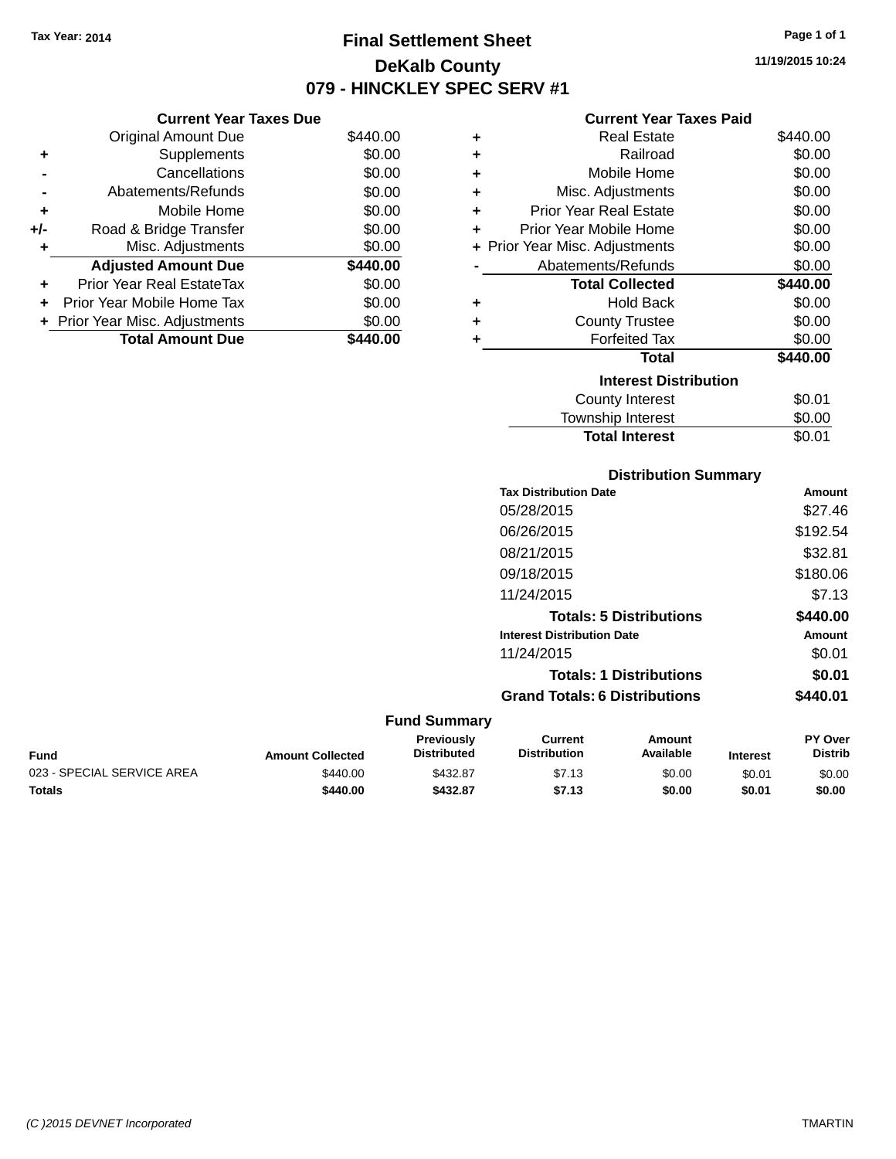**Current Year Taxes Due**

# **Final Settlement Sheet Tax Year: 2014 Page 1 of 1 DeKalb County 079 - HINCKLEY SPEC SERV #1**

**11/19/2015 10:24**

#### **Current Year Taxes Paid**

Total Interest \$0.01

|                | <b>Original Amount Due</b>     | \$440.00 | ٠ | <b>Real Estate</b>             | \$440.00 |
|----------------|--------------------------------|----------|---|--------------------------------|----------|
| ٠              | Supplements                    | \$0.00   | ٠ | Railroad                       | \$0.00   |
|                | Cancellations                  | \$0.00   | ٠ | Mobile Home                    | \$0.00   |
| $\blacksquare$ | Abatements/Refunds             | \$0.00   | ٠ | Misc. Adjustments              | \$0.00   |
| ٠              | Mobile Home                    | \$0.00   | ٠ | <b>Prior Year Real Estate</b>  | \$0.00   |
| I-             | Road & Bridge Transfer         | \$0.00   | ٠ | Prior Year Mobile Home         | \$0.00   |
| ٠              | Misc. Adjustments              | \$0.00   |   | + Prior Year Misc. Adjustments | \$0.00   |
|                | <b>Adjusted Amount Due</b>     | \$440.00 |   | Abatements/Refunds             | \$0.00   |
| ÷              | Prior Year Real EstateTax      | \$0.00   |   | <b>Total Collected</b>         | \$440.00 |
|                | + Prior Year Mobile Home Tax   | \$0.00   | ٠ | <b>Hold Back</b>               | \$0.00   |
|                | + Prior Year Misc. Adjustments | \$0.00   | ٠ | <b>County Trustee</b>          | \$0.00   |
|                | <b>Total Amount Due</b>        | \$440.00 |   | <b>Forfeited Tax</b>           | \$0.00   |
|                |                                |          |   | <b>Total</b>                   | \$440.00 |
|                |                                |          |   | <b>Interest Distribution</b>   |          |
|                |                                |          |   | County Interest                | \$0.01   |
|                |                                |          |   | <b>Township Interest</b>       | \$0.00   |

#### **Distribution Summary Tax Distribution Date Amount** 05/28/2015 \$27.46 06/26/2015 \$192.54 08/21/2015 \$32.81 09/18/2015 \$180.06 11/24/2015 \$7.13 **Totals: 5 Distributions \$440.00 Interest Distribution Date Amount** 11/24/2015 \$0.01 **Totals: 1 Distributions \$0.01 Grand Totals: 6 Distributions \$440.01 Fund Summary PY Over Amount Current Previously**

| Fund                       | <b>Amount Collected</b> | πισνισμοιν<br><b>Distributed</b> | uuru<br><b>Distribution</b> | Allivulit<br>Available | <b>Interest</b> | ו שע<br><b>Distrib</b> |
|----------------------------|-------------------------|----------------------------------|-----------------------------|------------------------|-----------------|------------------------|
| 023 - SPECIAL SERVICE AREA | \$440.00                | \$432.87                         | \$7.13                      | \$0.00                 | \$0.01          | \$0.00                 |
| Totals                     | \$440.00                | \$432.87                         | \$7.13                      | \$0.00                 | \$0.01          | \$0.00                 |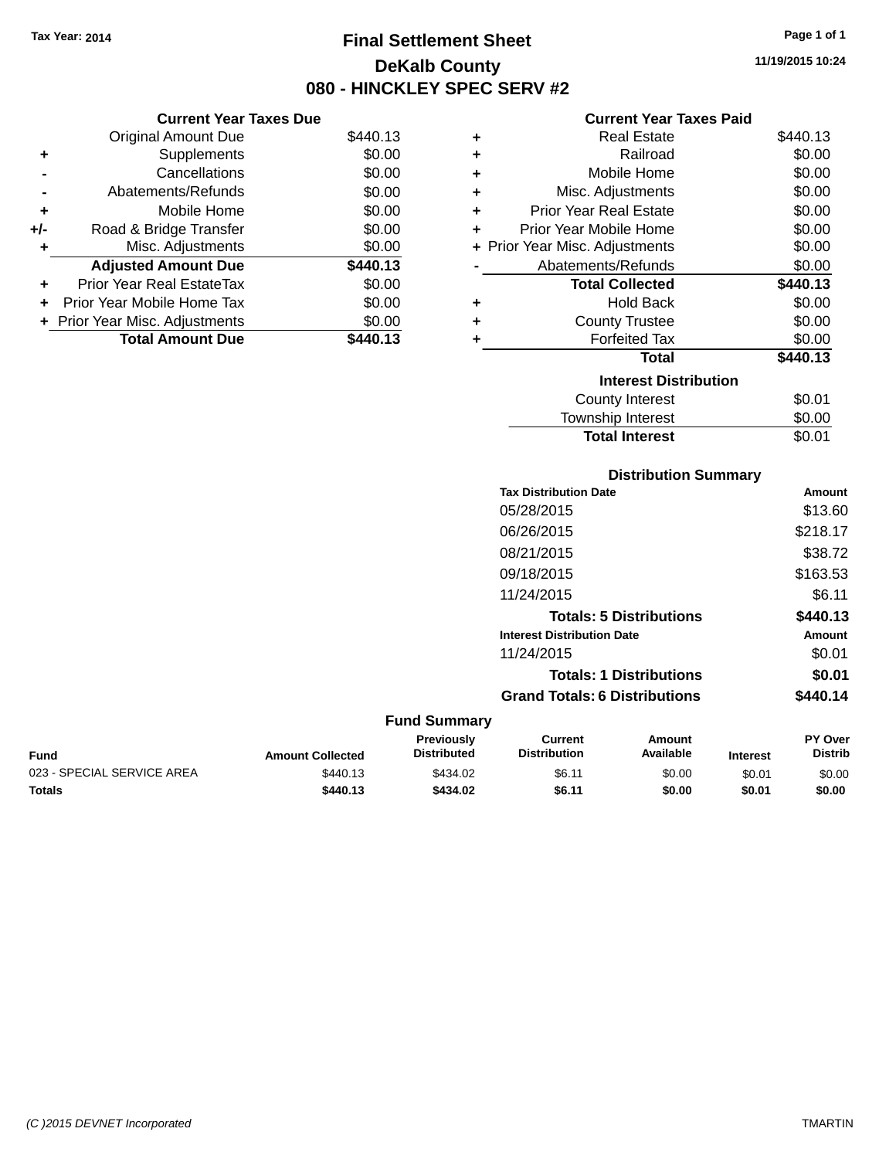**Current Year Taxes Due** Original Amount Due \$440.13

**Adjusted Amount Due \$440.13**

Total Amount Due \$440.13

**+** Supplements \$0.00 **-** Cancellations \$0.00 **-** Abatements/Refunds \$0.00 **+** Mobile Home \$0.00 **+/-** Road & Bridge Transfer \$0.00 **+** Misc. Adjustments \$0.00

**+** Prior Year Real EstateTax \$0.00 **+** Prior Year Mobile Home Tax \$0.00 **+ Prior Year Misc. Adjustments**  $$0.00$ 

# **Final Settlement Sheet Tax Year: 2014 Page 1 of 1 DeKalb County 080 - HINCKLEY SPEC SERV #2**

**11/19/2015 10:24**

#### **Current Year Taxes Paid**

| ٠ | <b>Real Estate</b>             | \$440.13 |
|---|--------------------------------|----------|
| ٠ | Railroad                       | \$0.00   |
| ÷ | Mobile Home                    | \$0.00   |
| ٠ | Misc. Adjustments              | \$0.00   |
| ٠ | Prior Year Real Estate         | \$0.00   |
| ÷ | Prior Year Mobile Home         | \$0.00   |
|   | + Prior Year Misc. Adjustments | \$0.00   |
|   | Abatements/Refunds             | \$0.00   |
|   | <b>Total Collected</b>         | \$440.13 |
| ٠ | <b>Hold Back</b>               | \$0.00   |
| ٠ | <b>County Trustee</b>          | \$0.00   |
| ٠ | <b>Forfeited Tax</b>           | \$0.00   |
|   | Total                          | \$440.13 |
|   | <b>Interest Distribution</b>   |          |
|   | County Interest                | \$0.01   |
|   | <b>Township Interest</b>       | \$0.00   |
|   | <b>Total Interest</b>          | \$0.01   |

|                            |                         | <b>Distribution Summary</b>      |                                       |                                |                 |                           |
|----------------------------|-------------------------|----------------------------------|---------------------------------------|--------------------------------|-----------------|---------------------------|
|                            |                         |                                  | <b>Tax Distribution Date</b>          |                                |                 | <b>Amount</b>             |
|                            |                         |                                  | 05/28/2015                            |                                |                 | \$13.60                   |
|                            |                         |                                  | 06/26/2015                            |                                |                 | \$218.17                  |
|                            |                         |                                  | 08/21/2015                            |                                |                 | \$38.72                   |
|                            |                         |                                  | 09/18/2015                            |                                |                 | \$163.53                  |
|                            |                         |                                  | 11/24/2015                            |                                |                 | \$6.11                    |
|                            |                         |                                  |                                       | <b>Totals: 5 Distributions</b> |                 | \$440.13                  |
|                            |                         |                                  | <b>Interest Distribution Date</b>     |                                |                 | <b>Amount</b>             |
|                            |                         |                                  | 11/24/2015                            |                                |                 | \$0.01                    |
|                            |                         |                                  |                                       | <b>Totals: 1 Distributions</b> |                 | \$0.01                    |
|                            |                         |                                  | <b>Grand Totals: 6 Distributions</b>  |                                |                 | \$440.14                  |
|                            |                         | <b>Fund Summary</b>              |                                       |                                |                 |                           |
| <b>Fund</b>                | <b>Amount Collected</b> | Previously<br><b>Distributed</b> | <b>Current</b><br><b>Distribution</b> | <b>Amount</b><br>Available     | <b>Interest</b> | PY Over<br><b>Distrib</b> |
| 023 - SPECIAL SERVICE AREA | \$440.13                | \$434.02                         | \$6.11                                | \$0.00                         | \$0.01          | \$0.00                    |

**Totals \$440.13 \$434.02 \$6.11 \$0.00 \$0.01 \$0.00**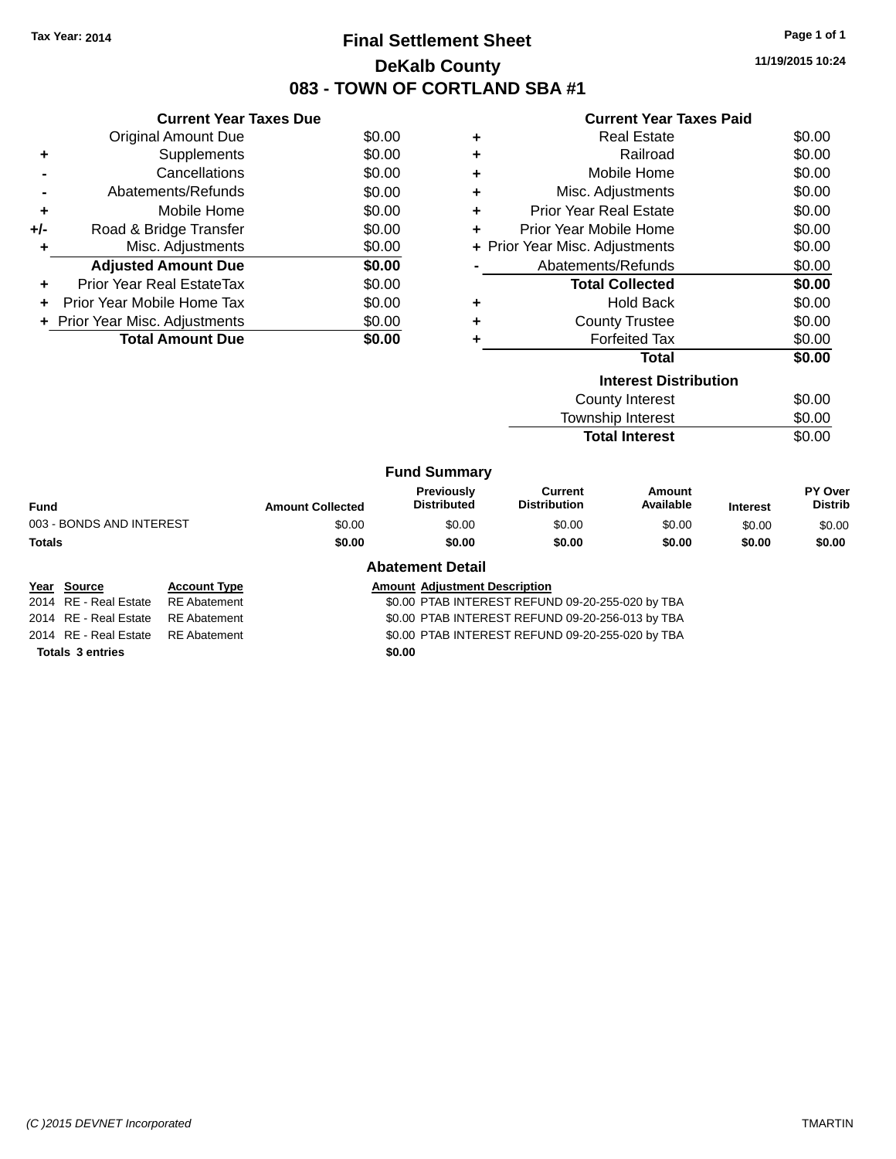# **Final Settlement Sheet Tax Year: 2014 Page 1 of 1 DeKalb County 083 - TOWN OF CORTLAND SBA #1**

**11/19/2015 10:24**

|  | <b>Current Year Taxes Paid</b> |  |  |  |
|--|--------------------------------|--|--|--|
|--|--------------------------------|--|--|--|

|     | <b>Current Year Taxes Due</b>    |        |
|-----|----------------------------------|--------|
|     | <b>Original Amount Due</b>       | \$0.00 |
| ٠   | Supplements                      | \$0.00 |
|     | Cancellations                    | \$0.00 |
|     | Abatements/Refunds               | \$0.00 |
| ٠   | Mobile Home                      | \$0.00 |
| +/- | Road & Bridge Transfer           | \$0.00 |
|     | Misc. Adjustments                | \$0.00 |
|     | <b>Adjusted Amount Due</b>       | \$0.00 |
|     | <b>Prior Year Real EstateTax</b> | \$0.00 |
| ÷   | Prior Year Mobile Home Tax       | \$0.00 |
|     | + Prior Year Misc. Adjustments   | \$0.00 |
|     | <b>Total Amount Due</b>          | \$0.00 |

|   | <b>Interest Distribution</b>   |        |
|---|--------------------------------|--------|
|   | <b>Total</b>                   | \$0.00 |
|   | <b>Forfeited Tax</b>           | \$0.00 |
| ٠ | <b>County Trustee</b>          | \$0.00 |
| ٠ | Hold Back                      | \$0.00 |
|   | <b>Total Collected</b>         | \$0.00 |
|   | Abatements/Refunds             | \$0.00 |
|   | + Prior Year Misc. Adjustments | \$0.00 |
|   | Prior Year Mobile Home         | \$0.00 |
| ٠ | <b>Prior Year Real Estate</b>  | \$0.00 |
| ٠ | Misc. Adjustments              | \$0.00 |
|   | Mobile Home                    | \$0.00 |
| ٠ | Railroad                       | \$0.00 |
|   | <b>Real Estate</b>             | \$0.00 |
|   |                                |        |

| County Interest                            | \$0.00           |
|--------------------------------------------|------------------|
| Township Interest<br><b>Total Interest</b> | \$0.00<br>\$0.00 |
|                                            |                  |

|                          |                         | <b>Fund Summary</b>                     |                                |                     |                 |                           |
|--------------------------|-------------------------|-----------------------------------------|--------------------------------|---------------------|-----------------|---------------------------|
| <b>Fund</b>              | <b>Amount Collected</b> | <b>Previously</b><br><b>Distributed</b> | Current<br><b>Distribution</b> | Amount<br>Available | <b>Interest</b> | PY Over<br><b>Distrib</b> |
| 003 - BONDS AND INTEREST | \$0.00                  | \$0.00                                  | \$0.00                         | \$0.00              | \$0.00          | \$0.00                    |
| <b>Totals</b>            | \$0.00                  | \$0.00                                  | \$0.00                         | \$0.00              | \$0.00          | \$0.00                    |
|                          |                         | <b>Abatement Detail</b>                 |                                |                     |                 |                           |

### **Year Source Account Type Account Adjustment Description**

2014 RE - Real Estate RE Abatement \$0.00 PTAB INTEREST REFUND 09-20-255-020 by TBA 2014 RE - Real Estate RE Abatement \$0.00 PTAB INTEREST REFUND 09-20-256-013 by TBA 2014 RE - Real Estate RE Abatement \$0.00 PTAB INTEREST REFUND 09-20-255-020 by TBA

**Totals \$0.00 3 entries**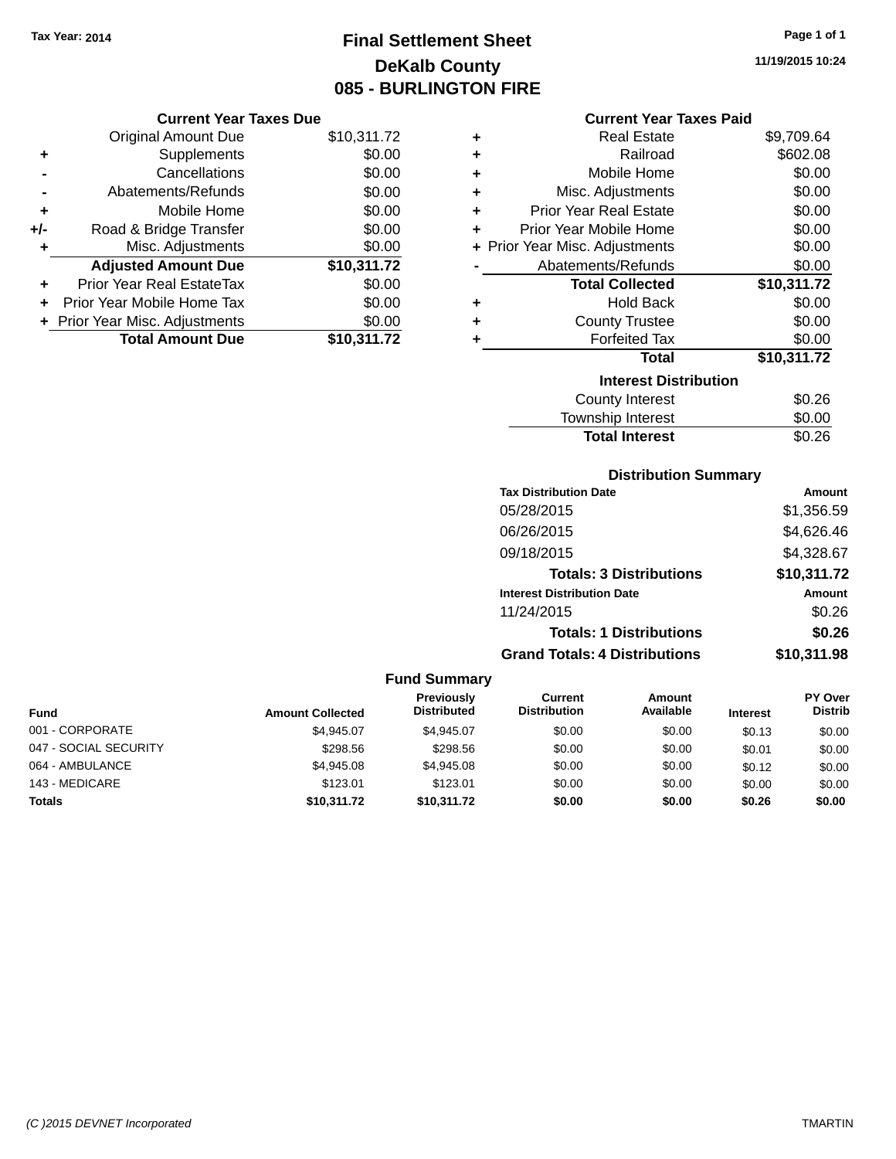# **Final Settlement Sheet Tax Year: 2014 Page 1 of 1 DeKalb County 085 - BURLINGTON FIRE**

**11/19/2015 10:24**

#### **Current Year Taxes Paid**

|     | <b>Current Year Taxes Due</b>  |             |
|-----|--------------------------------|-------------|
|     | <b>Original Amount Due</b>     | \$10,311.72 |
| ٠   | Supplements                    | \$0.00      |
|     | Cancellations                  | \$0.00      |
|     | Abatements/Refunds             | \$0.00      |
| ٠   | Mobile Home                    | \$0.00      |
| +/- | Road & Bridge Transfer         | \$0.00      |
| ٠   | Misc. Adjustments              | \$0.00      |
|     | <b>Adjusted Amount Due</b>     | \$10,311.72 |
| ٠   | Prior Year Real EstateTax      | \$0.00      |
| ÷   | Prior Year Mobile Home Tax     | \$0.00      |
|     | + Prior Year Misc. Adjustments | \$0.00      |
|     | <b>Total Amount Due</b>        | \$10,311.72 |

| ٠ | Real Estate                    | \$9,709.64  |
|---|--------------------------------|-------------|
| ٠ | Railroad                       | \$602.08    |
| ٠ | Mobile Home                    | \$0.00      |
| ٠ | Misc. Adjustments              | \$0.00      |
| ٠ | Prior Year Real Estate         | \$0.00      |
| ٠ | Prior Year Mobile Home         | \$0.00      |
|   | + Prior Year Misc. Adjustments | \$0.00      |
|   | Abatements/Refunds             | \$0.00      |
|   | <b>Total Collected</b>         | \$10,311.72 |
| ٠ | <b>Hold Back</b>               | \$0.00      |
| ٠ | <b>County Trustee</b>          | \$0.00      |
| ٠ | <b>Forfeited Tax</b>           | \$0.00      |
|   | <b>Total</b>                   | \$10,311.72 |
|   | <b>Interest Distribution</b>   |             |
|   | County Interest                | \$0.26      |
|   | <b>Township Interest</b>       | \$0.00      |
|   | <b>Total Interest</b>          | \$0.26      |

### **Distribution Summary**

| <b>Tax Distribution Date</b>         | <b>Amount</b> |
|--------------------------------------|---------------|
| 05/28/2015                           | \$1,356.59    |
| 06/26/2015                           | \$4,626.46    |
| 09/18/2015                           | \$4,328.67    |
| <b>Totals: 3 Distributions</b>       | \$10,311.72   |
| <b>Interest Distribution Date</b>    | <b>Amount</b> |
| 11/24/2015                           | \$0.26        |
| <b>Totals: 1 Distributions</b>       | \$0.26        |
| <b>Grand Totals: 4 Distributions</b> | \$10,311.98   |

|                       |                         | <b>Fund Summary</b>                     |                                |                            |                 |                                  |
|-----------------------|-------------------------|-----------------------------------------|--------------------------------|----------------------------|-----------------|----------------------------------|
| <b>Fund</b>           | <b>Amount Collected</b> | <b>Previously</b><br><b>Distributed</b> | Current<br><b>Distribution</b> | <b>Amount</b><br>Available | <b>Interest</b> | <b>PY Over</b><br><b>Distrib</b> |
| 001 - CORPORATE       | \$4.945.07              | \$4.945.07                              | \$0.00                         | \$0.00                     | \$0.13          | \$0.00                           |
| 047 - SOCIAL SECURITY | \$298.56                | \$298.56                                | \$0.00                         | \$0.00                     | \$0.01          | \$0.00                           |
| 064 - AMBULANCE       | \$4.945.08              | \$4,945.08                              | \$0.00                         | \$0.00                     | \$0.12          | \$0.00                           |
| 143 - MEDICARE        | \$123.01                | \$123.01                                | \$0.00                         | \$0.00                     | \$0.00          | \$0.00                           |
| <b>Totals</b>         | \$10,311.72             | \$10,311.72                             | \$0.00                         | \$0.00                     | \$0.26          | \$0.00                           |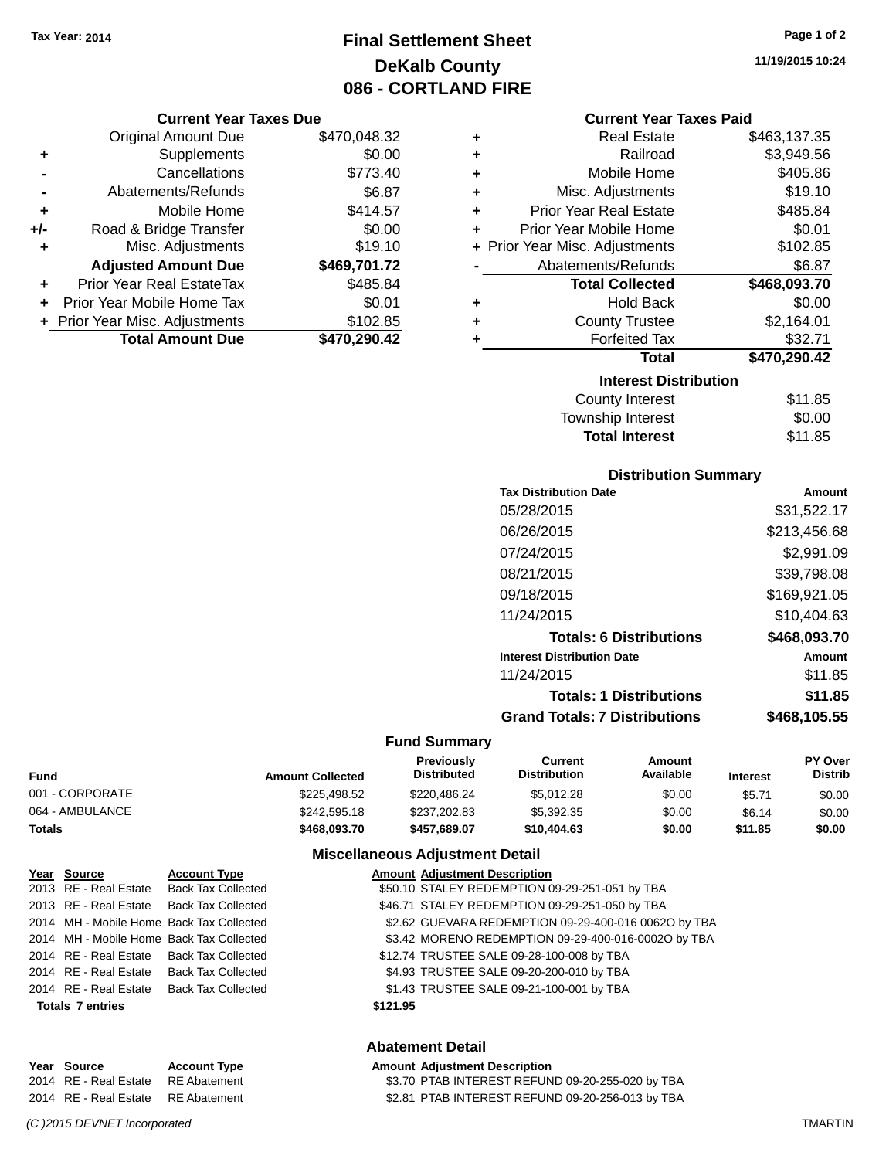# **Final Settlement Sheet Tax Year: 2014 Page 1 of 2 DeKalb County 086 - CORTLAND FIRE**

#### **Current Year Taxes Due**

|     | <b>Original Amount Due</b>     | \$470,048.32 |
|-----|--------------------------------|--------------|
| ٠   | Supplements                    | \$0.00       |
|     | Cancellations                  | \$773.40     |
|     | Abatements/Refunds             | \$6.87       |
| ٠   | Mobile Home                    | \$414.57     |
| +/- | Road & Bridge Transfer         | \$0.00       |
| ٠   | Misc. Adjustments              | \$19.10      |
|     | <b>Adjusted Amount Due</b>     | \$469,701.72 |
| ÷   | Prior Year Real EstateTax      | \$485.84     |
|     | Prior Year Mobile Home Tax     | \$0.01       |
|     | + Prior Year Misc. Adjustments | \$102.85     |
|     | <b>Total Amount Due</b>        | \$470,290.42 |

| ٠ | <b>Real Estate</b>             | \$463,137.35 |
|---|--------------------------------|--------------|
| ٠ | Railroad                       | \$3,949.56   |
| ٠ | Mobile Home                    | \$405.86     |
| ٠ | Misc. Adjustments              | \$19.10      |
| ٠ | <b>Prior Year Real Estate</b>  | \$485.84     |
| ٠ | Prior Year Mobile Home         | \$0.01       |
|   | + Prior Year Misc. Adjustments | \$102.85     |
|   | Abatements/Refunds             | \$6.87       |
|   | <b>Total Collected</b>         | \$468,093.70 |
| ٠ | <b>Hold Back</b>               | \$0.00       |
| ٠ | <b>County Trustee</b>          | \$2,164.01   |
| ٠ | <b>Forfeited Tax</b>           | \$32.71      |
|   | <b>Total</b>                   | \$470,290.42 |
|   | <b>Interest Distribution</b>   |              |
|   | <b>County Interest</b>         | \$11.85      |
|   | <b>Township Interast</b>       | ደስ ሰስ        |

| <b>Total Interest</b> | \$11.85 |
|-----------------------|---------|
| Township Interest     | \$0.00  |
| County Interest       | \$11.85 |

### **Distribution Summary**

| Amount       |
|--------------|
| \$31,522.17  |
| \$213,456.68 |
| \$2,991.09   |
| \$39,798.08  |
| \$169,921.05 |
| \$10,404.63  |
| \$468,093.70 |
| Amount       |
| \$11.85      |
| \$11.85      |
| \$468.105.55 |
|              |

### **Fund Summary**

| Fund            | <b>Amount Collected</b> | <b>Previously</b><br><b>Distributed</b> | Current<br><b>Distribution</b> | Amount<br>Available | <b>Interest</b> | <b>PY Over</b><br><b>Distrib</b> |
|-----------------|-------------------------|-----------------------------------------|--------------------------------|---------------------|-----------------|----------------------------------|
| 001 - CORPORATE | \$225,498.52            | \$220,486.24                            | \$5.012.28                     | \$0.00              | \$5.71          | \$0.00                           |
| 064 - AMBULANCE | \$242,595.18            | \$237.202.83                            | \$5,392,35                     | \$0.00              | \$6.14          | \$0.00                           |
| Totals          | \$468.093.70            | \$457.689.07                            | \$10,404.63                    | \$0.00              | \$11.85         | \$0.00                           |

### **Miscellaneous Adjustment Detail**

| Year Source             | <b>Account Type</b>                      | <b>Amount Adjustment Description</b>                 |
|-------------------------|------------------------------------------|------------------------------------------------------|
|                         | 2013 RE - Real Estate Back Tax Collected | \$50.10 STALEY REDEMPTION 09-29-251-051 by TBA       |
|                         | 2013 RE - Real Estate Back Tax Collected | \$46.71 STALEY REDEMPTION 09-29-251-050 by TBA       |
|                         | 2014 MH - Mobile Home Back Tax Collected | \$2.62 GUEVARA REDEMPTION 09-29-400-016 00620 by TBA |
|                         | 2014 MH - Mobile Home Back Tax Collected | \$3.42 MORENO REDEMPTION 09-29-400-016-0002O by TBA  |
|                         | 2014 RE - Real Estate Back Tax Collected | \$12.74 TRUSTEE SALE 09-28-100-008 by TBA            |
|                         | 2014 RE - Real Estate Back Tax Collected | \$4.93 TRUSTEE SALE 09-20-200-010 by TBA             |
|                         | 2014 RE - Real Estate Back Tax Collected | \$1.43 TRUSTEE SALE 09-21-100-001 by TBA             |
| <b>Totals 7 entries</b> |                                          | \$121.95                                             |

### **Abatement Detail**

| Year Source                        | <b>Account Type</b> | <b>Amount Adiustment Description</b>             |
|------------------------------------|---------------------|--------------------------------------------------|
| 2014 RE - Real Estate RE Abatement |                     | \$3.70 PTAB INTEREST REFUND 09-20-255-020 by TBA |
| 2014 RE - Real Estate RE Abatement |                     | \$2.81 PTAB INTEREST REFUND 09-20-256-013 by TBA |

**11/19/2015 10:24**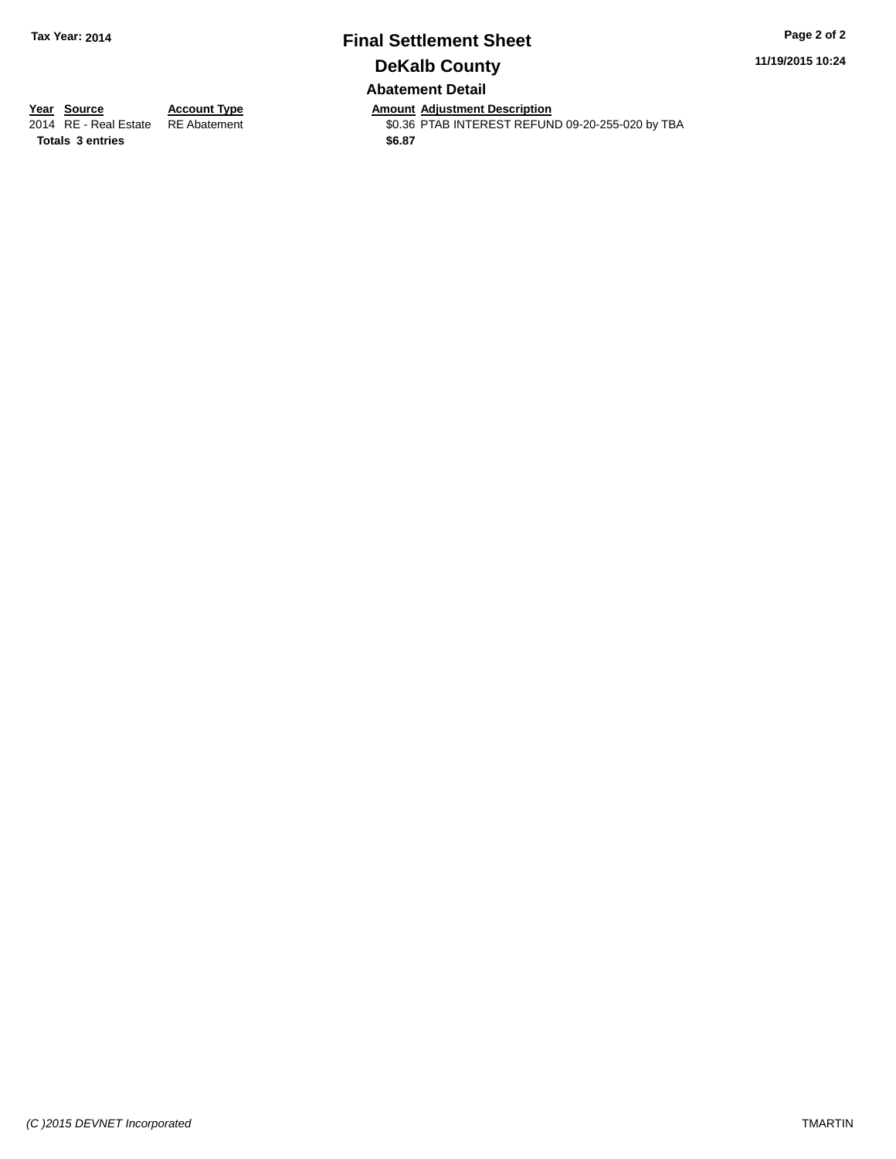### **Final Settlement Sheet Tax Year: 2014 Page 2 of 2 DeKalb County Abatement Detail**

**11/19/2015 10:24**

**Totals \$6.87 3 entries**

**Year Source Account Type Anneunt Adjustment Description**<br>2014 RE - Real Estate RE Abatement **Amount Adjustment REFUN** \$0.36 PTAB INTEREST REFUND 09-20-255-020 by TBA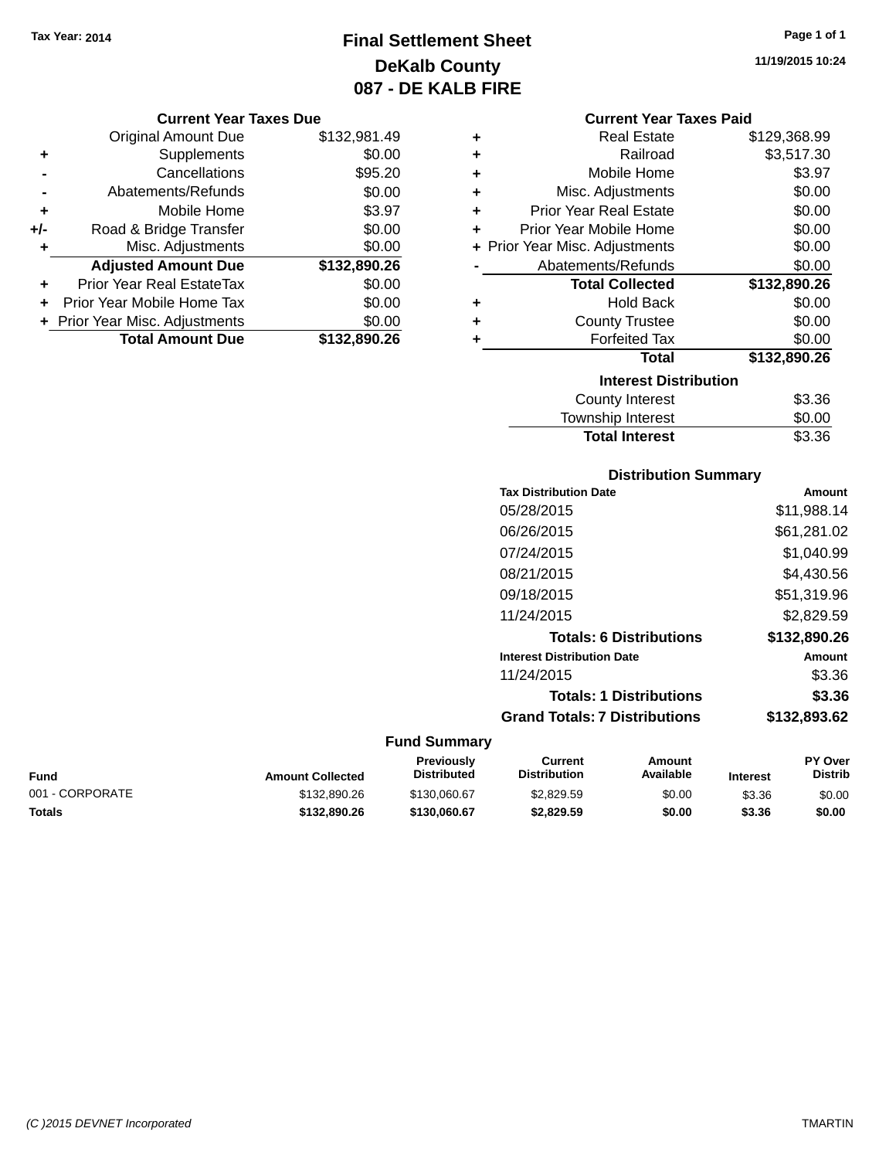# **Final Settlement Sheet Tax Year: 2014 Page 1 of 1 DeKalb County 087 - DE KALB FIRE**

#### **Current Year Taxes Due**

|       | <b>Original Amount Due</b>       | \$132,981.49 |
|-------|----------------------------------|--------------|
| ٠     | Supplements                      | \$0.00       |
|       | Cancellations                    | \$95.20      |
|       | Abatements/Refunds               | \$0.00       |
| ٠     | Mobile Home                      | \$3.97       |
| $+/-$ | Road & Bridge Transfer           | \$0.00       |
| ٠     | Misc. Adjustments                | \$0.00       |
|       | <b>Adjusted Amount Due</b>       | \$132,890.26 |
|       | <b>Prior Year Real EstateTax</b> | \$0.00       |
|       | Prior Year Mobile Home Tax       | \$0.00       |
|       | + Prior Year Misc. Adjustments   | \$0.00       |
|       | <b>Total Amount Due</b>          | \$132,890.26 |

| ٠ | <b>Real Estate</b>             | \$129,368.99 |
|---|--------------------------------|--------------|
| ÷ | Railroad                       | \$3,517.30   |
| ÷ | Mobile Home                    | \$3.97       |
| ٠ | Misc. Adjustments              | \$0.00       |
| ٠ | <b>Prior Year Real Estate</b>  | \$0.00       |
| ٠ | Prior Year Mobile Home         | \$0.00       |
|   | + Prior Year Misc. Adjustments | \$0.00       |
|   | Abatements/Refunds             | \$0.00       |
|   |                                |              |
|   | <b>Total Collected</b>         | \$132,890.26 |
| ٠ | <b>Hold Back</b>               | \$0.00       |
| ٠ | <b>County Trustee</b>          | \$0.00       |
| ٠ | <b>Forfeited Tax</b>           | \$0.00       |
|   | <b>Total</b>                   | \$132,890.26 |
|   | <b>Interest Distribution</b>   |              |
|   | <b>County Interest</b>         | \$3.36       |

### **Distribution Summary Tax Distribution Date Amount** 05/28/2015 \$11,988.14 06/26/2015 \$61,281.02 07/24/2015 \$1,040.99 08/21/2015 \$4,430.56 09/18/2015 \$51,319.96 11/24/2015 \$2,829.59 **Totals: 6 Distributions \$132,890.26 Interest Distribution Date Amount** 11/24/2015 \$3.36 **Totals: 1 Distributions \$3.36 Grand Totals: 7 Distributions \$132,893.62**

Total Interest \$3.36

#### **Fund Summary**

| Fund            | <b>Amount Collected</b> | <b>Previously</b><br>Distributed | Current<br><b>Distribution</b> | Amount<br>Available | <b>Interest</b> | <b>PY Over</b><br><b>Distrib</b> |
|-----------------|-------------------------|----------------------------------|--------------------------------|---------------------|-----------------|----------------------------------|
| 001 - CORPORATE | \$132,890.26            | \$130,060.67                     | \$2,829.59                     | \$0.00              | \$3.36          | \$0.00                           |
| Totals          | \$132.890.26            | \$130,060.67                     | \$2,829.59                     | \$0.00              | \$3.36          | \$0.00                           |

**11/19/2015 10:24**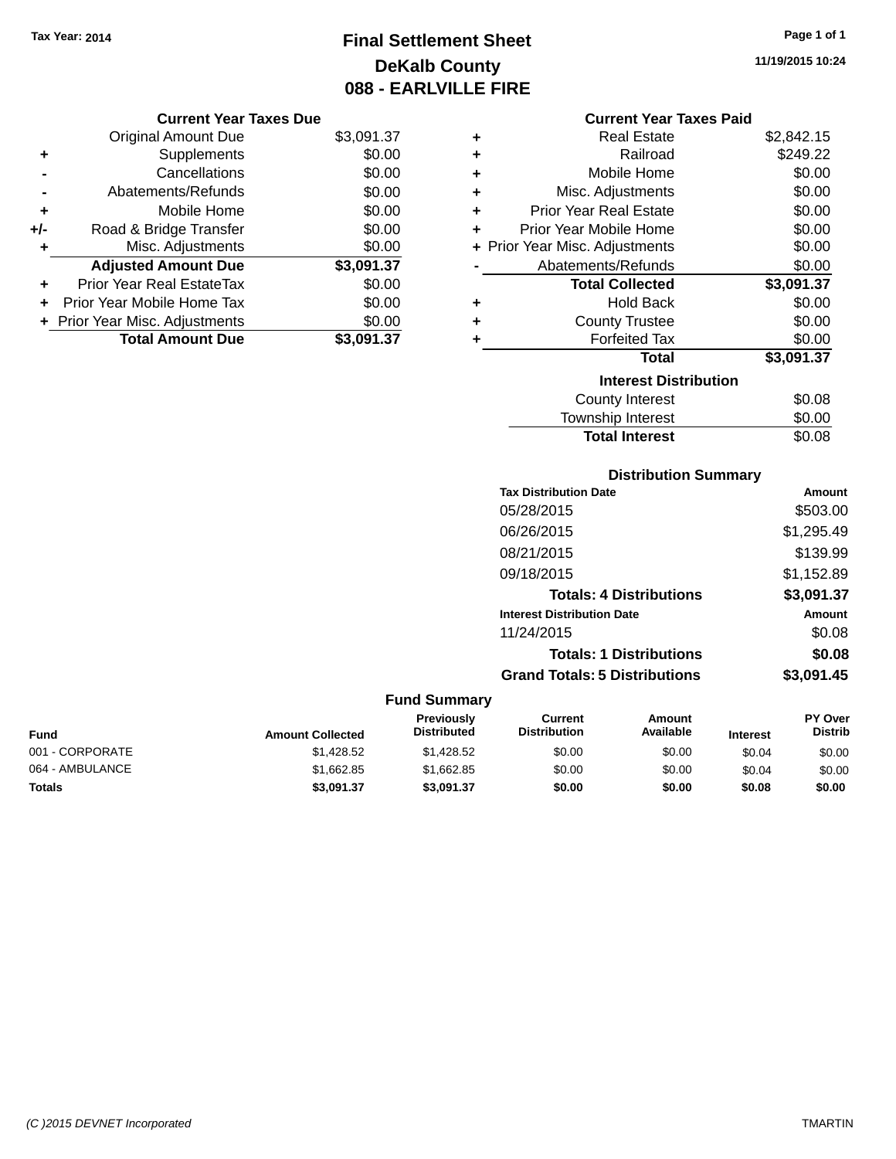**Current Year Taxes Due** Original Amount Due \$3,091.37

**Adjusted Amount Due \$3,091.37**

**Total Amount Due \$3,091.37**

**+** Supplements \$0.00 **-** Cancellations \$0.00 **-** Abatements/Refunds \$0.00 **+** Mobile Home \$0.00 **+/-** Road & Bridge Transfer \$0.00 **+** Misc. Adjustments \$0.00

**+** Prior Year Real EstateTax \$0.00 **+** Prior Year Mobile Home Tax \$0.00 **+ Prior Year Misc. Adjustments**  $$0.00$ 

# **Final Settlement Sheet Tax Year: 2014 Page 1 of 1 DeKalb County 088 - EARLVILLE FIRE**

**11/19/2015 10:24**

#### **Current Year Taxes Paid**

| ٠ | <b>Real Estate</b>             | \$2,842.15 |
|---|--------------------------------|------------|
| ٠ | Railroad                       | \$249.22   |
| ٠ | Mobile Home                    | \$0.00     |
| ٠ | Misc. Adjustments              | \$0.00     |
| ٠ | <b>Prior Year Real Estate</b>  | \$0.00     |
| ÷ | Prior Year Mobile Home         | \$0.00     |
|   | + Prior Year Misc. Adjustments | \$0.00     |
|   | Abatements/Refunds             | \$0.00     |
|   | <b>Total Collected</b>         | \$3,091.37 |
| ٠ | Hold Back                      | \$0.00     |
| ٠ | <b>County Trustee</b>          | \$0.00     |
| ٠ | <b>Forfeited Tax</b>           | \$0.00     |
|   | Total                          | \$3,091.37 |
|   | <b>Interest Distribution</b>   |            |
|   | County Interest                | \$0.08     |
|   | Township Interest              | \$0.00     |
|   | <b>Total Interest</b>          | \$0.08     |

### **Distribution Summary**

| <b>Tax Distribution Date</b>         | Amount     |
|--------------------------------------|------------|
| 05/28/2015                           | \$503.00   |
| 06/26/2015                           | \$1,295.49 |
| 08/21/2015                           | \$139.99   |
| 09/18/2015                           | \$1,152.89 |
| <b>Totals: 4 Distributions</b>       | \$3,091.37 |
| <b>Interest Distribution Date</b>    | Amount     |
| 11/24/2015                           | \$0.08     |
| <b>Totals: 1 Distributions</b>       | \$0.08     |
| <b>Grand Totals: 5 Distributions</b> | \$3,091.45 |

| <b>Fund</b>     | <b>Amount Collected</b> | <b>Previously</b><br><b>Distributed</b> | Current<br><b>Distribution</b> | Amount<br>Available | <b>Interest</b> | <b>PY Over</b><br><b>Distrib</b> |
|-----------------|-------------------------|-----------------------------------------|--------------------------------|---------------------|-----------------|----------------------------------|
| 001 - CORPORATE | \$1,428.52              | \$1.428.52                              | \$0.00                         | \$0.00              | \$0.04          | \$0.00                           |
| 064 - AMBULANCE | \$1.662.85              | \$1,662.85                              | \$0.00                         | \$0.00              | \$0.04          | \$0.00                           |
| <b>Totals</b>   | \$3,091.37              | \$3.091.37                              | \$0.00                         | \$0.00              | \$0.08          | \$0.00                           |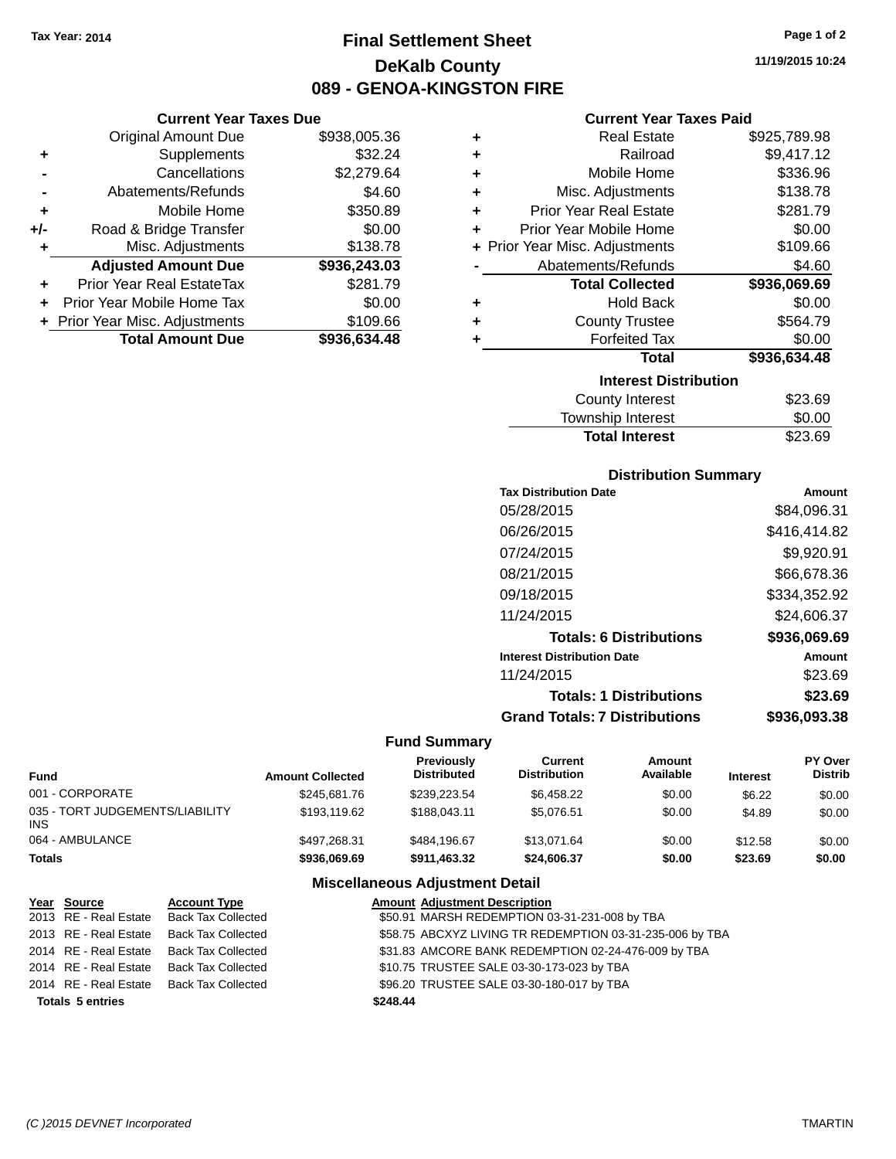**Current Year Taxes Due** Original Amount Due \$938,005.36

**Adjusted Amount Due \$936,243.03**

**Total Amount Due \$936,634.48**

**+** Supplements \$32.24 **-** Cancellations \$2,279.64 **-** Abatements/Refunds \$4.60 **+** Mobile Home \$350.89 **+/-** Road & Bridge Transfer \$0.00 **+** Misc. Adjustments \$138.78

**+** Prior Year Real EstateTax \$281.79 **+** Prior Year Mobile Home Tax \$0.00 **+** Prior Year Misc. Adjustments \$109.66

# **Final Settlement Sheet Tax Year: 2014 Page 1 of 2 DeKalb County 089 - GENOA-KINGSTON FIRE**

**11/19/2015 10:24**

### **Current Year Taxes Paid**

| ٠ | <b>Real Estate</b>             | \$925,789.98 |
|---|--------------------------------|--------------|
| ٠ | Railroad                       | \$9,417.12   |
| ٠ | Mobile Home                    | \$336.96     |
| ٠ | Misc. Adjustments              | \$138.78     |
| ٠ | <b>Prior Year Real Estate</b>  | \$281.79     |
| ٠ | Prior Year Mobile Home         | \$0.00       |
|   | + Prior Year Misc. Adjustments | \$109.66     |
|   | Abatements/Refunds             | \$4.60       |
|   | <b>Total Collected</b>         | \$936,069.69 |
| ٠ | <b>Hold Back</b>               | \$0.00       |
| ٠ | <b>County Trustee</b>          | \$564.79     |
| ٠ | <b>Forfeited Tax</b>           | \$0.00       |
|   | <b>Total</b>                   | \$936,634.48 |
|   | <b>Interest Distribution</b>   |              |
|   | <b>County Interest</b>         | \$23.69      |
|   | <b>Township Interest</b>       | \$0.00       |

| <b>Distribution Summary</b> |  |
|-----------------------------|--|

Total Interest \$23.69

| Amount       |
|--------------|
| \$84,096.31  |
| \$416.414.82 |
| \$9,920.91   |
| \$66,678.36  |
| \$334,352.92 |
| \$24,606.37  |
| \$936,069.69 |
| Amount       |
| \$23.69      |
| \$23.69      |
| \$936.093.38 |
|              |

#### **Fund Summary**

| <b>Amount Collected</b> | <b>Previously</b><br><b>Distributed</b> | Current<br><b>Distribution</b> | Amount<br>Available | <b>Interest</b> | PY Over<br><b>Distrib</b> |
|-------------------------|-----------------------------------------|--------------------------------|---------------------|-----------------|---------------------------|
| \$245,681.76            | \$239,223.54                            | \$6.458.22                     | \$0.00              | \$6.22          | \$0.00                    |
| \$193,119.62            | \$188,043.11                            | \$5.076.51                     | \$0.00              | \$4.89          | \$0.00                    |
| \$497.268.31            | \$484.196.67                            | \$13.071.64                    | \$0.00              | \$12.58         | \$0.00                    |
| \$936,069.69            | \$911.463.32                            | \$24,606.37                    | \$0.00              | \$23.69         | \$0.00                    |
|                         |                                         |                                |                     |                 |                           |

#### **Miscellaneous Adjustment Detail**

| Year Source             | <b>Account Type</b>                      | <b>Amount Adjustment Description</b>                     |
|-------------------------|------------------------------------------|----------------------------------------------------------|
|                         | 2013 RE - Real Estate Back Tax Collected | \$50.91 MARSH REDEMPTION 03-31-231-008 by TBA            |
| 2013 RE - Real Estate   | Back Tax Collected                       | \$58.75 ABCXYZ LIVING TR REDEMPTION 03-31-235-006 by TBA |
| 2014 RE - Real Estate   | Back Tax Collected                       | \$31.83 AMCORE BANK REDEMPTION 02-24-476-009 by TBA      |
|                         | 2014 RE - Real Estate Back Tax Collected | \$10.75 TRUSTEE SALE 03-30-173-023 by TBA                |
|                         | 2014 RE - Real Estate Back Tax Collected | \$96.20 TRUSTEE SALE 03-30-180-017 by TBA                |
| <b>Totals 5 entries</b> |                                          | \$248.44                                                 |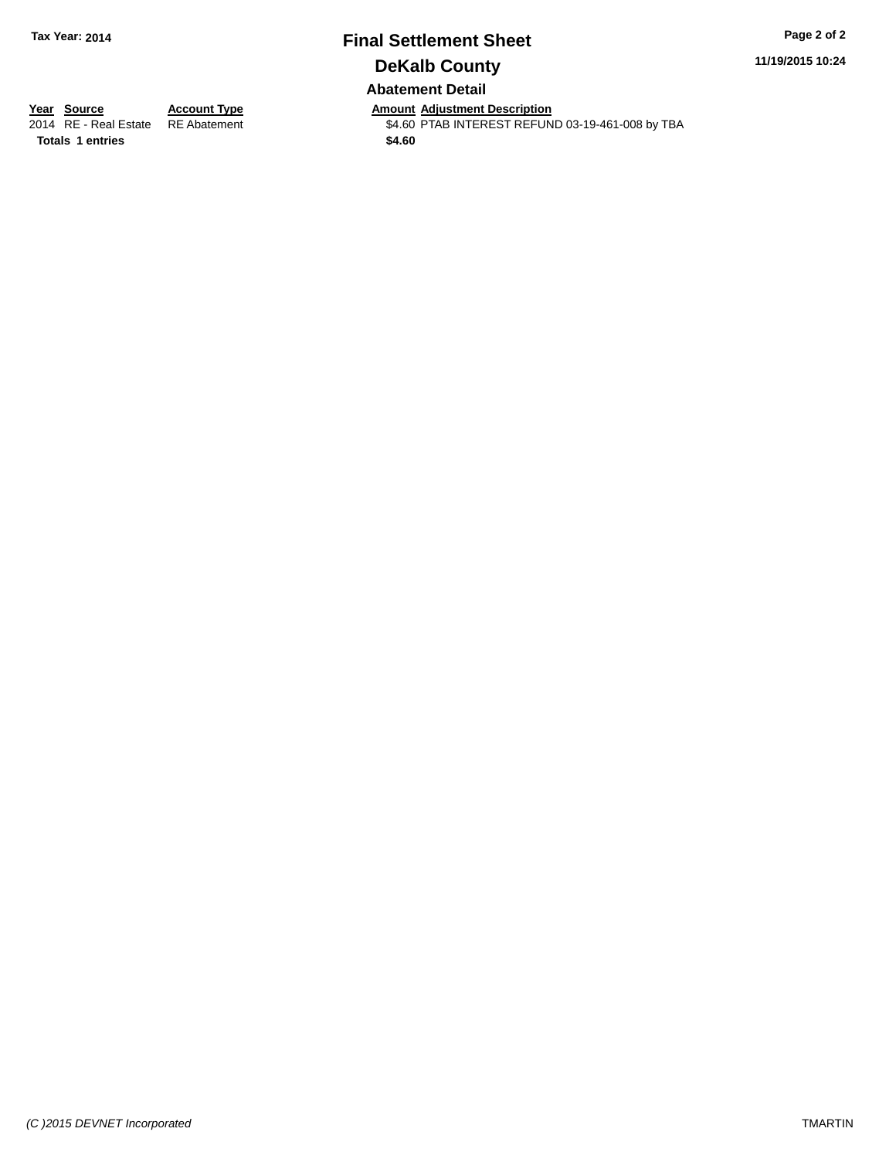### **Final Settlement Sheet Tax Year: 2014 Page 2 of 2 DeKalb County Abatement Detail**

**11/19/2015 10:24**

**Totals 1 entries** \$4.60

**Year Source Account Type Anneurs Amount Adjustment Description**<br>2014 RE - Real Estate RE Abatement **Account 1998 ALLER ACCOUNTEREST REFUN** \$4.60 PTAB INTEREST REFUND 03-19-461-008 by TBA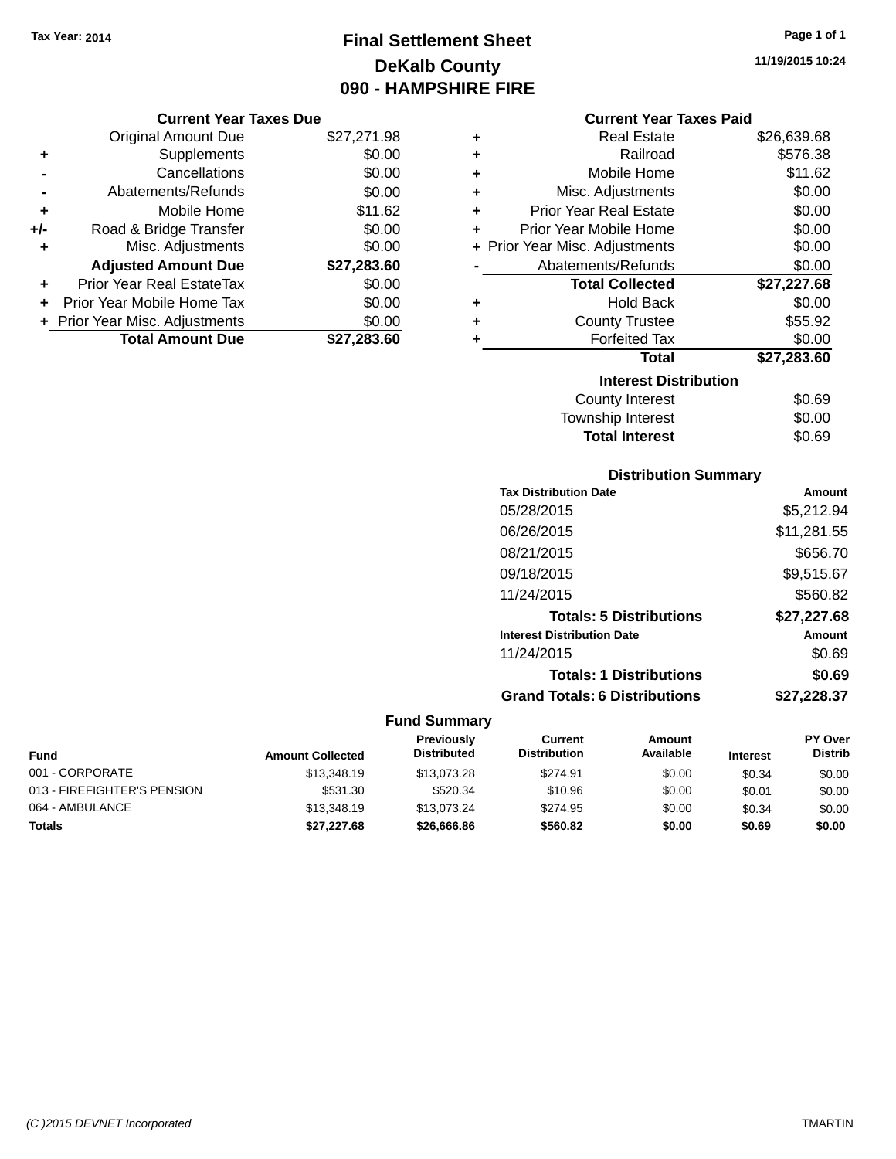# **Final Settlement Sheet Tax Year: 2014 Page 1 of 1 DeKalb County 090 - HAMPSHIRE FIRE**

# **11/19/2015 10:24**

|   | <b>Current Year Taxes Paid</b> |             |  |  |  |  |  |
|---|--------------------------------|-------------|--|--|--|--|--|
| ٠ | <b>Real Estate</b>             | \$26,639.68 |  |  |  |  |  |
| ٠ | Railroad                       | \$576.38    |  |  |  |  |  |
| ٠ | Mobile Home                    | \$11.62     |  |  |  |  |  |
| ÷ | Misc. Adjustments              | \$0.00      |  |  |  |  |  |
| ٠ | <b>Prior Year Real Estate</b>  | \$0.00      |  |  |  |  |  |
| ٠ | Prior Year Mobile Home         | \$0.00      |  |  |  |  |  |
|   | + Prior Year Misc. Adjustments | \$0.00      |  |  |  |  |  |
|   | Abatements/Refunds             | \$0.00      |  |  |  |  |  |
|   | <b>Total Collected</b>         | \$27,227.68 |  |  |  |  |  |
| ٠ | <b>Hold Back</b>               | \$0.00      |  |  |  |  |  |
| ٠ | <b>County Trustee</b>          | \$55.92     |  |  |  |  |  |
| ٠ | <b>Forfeited Tax</b>           | \$0.00      |  |  |  |  |  |
|   | Total                          | \$27,283.60 |  |  |  |  |  |
|   | <b>Interest Distribution</b>   |             |  |  |  |  |  |
|   | <b>County Interest</b>         | \$0.69      |  |  |  |  |  |
|   | <b>Township Interest</b>       | \$0.00      |  |  |  |  |  |

# **Distribution Summary**

Total Interest \$0.69

| <b>Tax Distribution Date</b>         | <b>Amount</b> |
|--------------------------------------|---------------|
| 05/28/2015                           | \$5,212.94    |
| 06/26/2015                           | \$11,281.55   |
| 08/21/2015                           | \$656.70      |
| 09/18/2015                           | \$9,515.67    |
| 11/24/2015                           | \$560.82      |
| <b>Totals: 5 Distributions</b>       | \$27,227.68   |
| <b>Interest Distribution Date</b>    | <b>Amount</b> |
| 11/24/2015                           | \$0.69        |
| <b>Totals: 1 Distributions</b>       | \$0.69        |
| <b>Grand Totals: 6 Distributions</b> | \$27,228.37   |

| Fund                        | <b>Amount Collected</b> | Previously<br><b>Distributed</b> | Current<br><b>Distribution</b> | Amount<br>Available | <b>Interest</b> | <b>PY Over</b><br><b>Distrib</b> |
|-----------------------------|-------------------------|----------------------------------|--------------------------------|---------------------|-----------------|----------------------------------|
| 001 - CORPORATE             | \$13,348.19             | \$13,073.28                      | \$274.91                       | \$0.00              | \$0.34          | \$0.00                           |
| 013 - FIREFIGHTER'S PENSION | \$531.30                | \$520.34                         | \$10.96                        | \$0.00              | \$0.01          | \$0.00                           |
| 064 - AMBULANCE             | \$13,348.19             | \$13,073,24                      | \$274.95                       | \$0.00              | \$0.34          | \$0.00                           |
| Totals                      | \$27,227.68             | \$26,666.86                      | \$560.82                       | \$0.00              | \$0.69          | \$0.00                           |

|     | <b>Original Amount Due</b>     | \$27,271.98 |  |
|-----|--------------------------------|-------------|--|
| ٠   | Supplements                    | \$0.00      |  |
|     | Cancellations                  | \$0.00      |  |
|     | Abatements/Refunds             | \$0.00      |  |
| ÷   | Mobile Home                    | \$11.62     |  |
| +/- | Road & Bridge Transfer         | \$0.00      |  |
| ٠   | Misc. Adjustments              | \$0.00      |  |
|     | <b>Adjusted Amount Due</b>     | \$27,283.60 |  |
| ٠   | Prior Year Real EstateTax      | \$0.00      |  |
| ٠   | Prior Year Mobile Home Tax     | \$0.00      |  |
|     | + Prior Year Misc. Adjustments | \$0.00      |  |
|     | <b>Total Amount Due</b>        | \$27,283.60 |  |
|     |                                |             |  |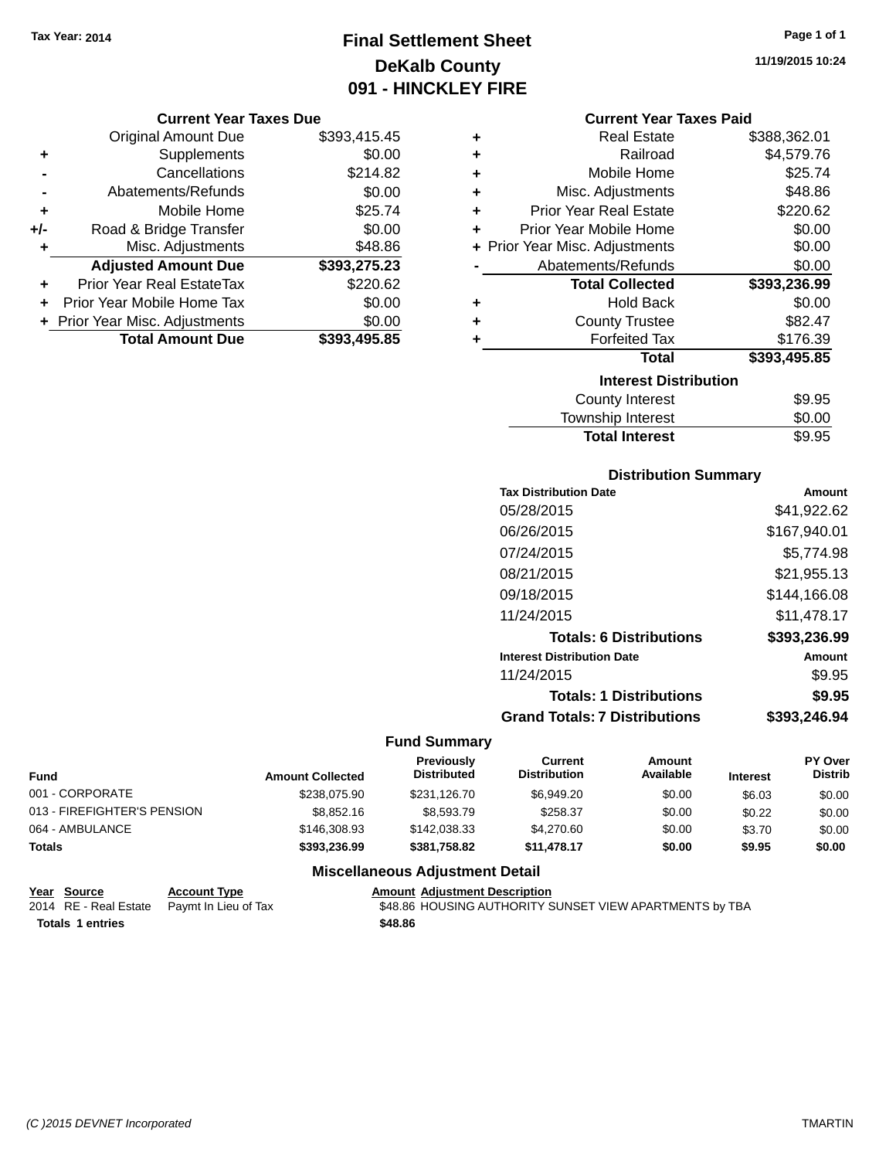# **Final Settlement Sheet Tax Year: 2014 Page 1 of 1 DeKalb County 091 - HINCKLEY FIRE**

#### **Current Year Taxes Due**

|       | <b>Original Amount Due</b>       | \$393,415.45 |
|-------|----------------------------------|--------------|
| ٠     | Supplements                      | \$0.00       |
|       | Cancellations                    | \$214.82     |
|       | Abatements/Refunds               | \$0.00       |
| ٠     | Mobile Home                      | \$25.74      |
| $+/-$ | Road & Bridge Transfer           | \$0.00       |
| ٠     | Misc. Adjustments                | \$48.86      |
|       | <b>Adjusted Amount Due</b>       | \$393,275.23 |
| ÷     | <b>Prior Year Real EstateTax</b> | \$220.62     |
|       | Prior Year Mobile Home Tax       | \$0.00       |
|       | + Prior Year Misc. Adjustments   | \$0.00       |
|       | <b>Total Amount Due</b>          | \$393,495.85 |

#### **Current Year Taxes Paid**

| ٠ | Real Estate                    | \$388,362.01 |
|---|--------------------------------|--------------|
| ٠ | Railroad                       | \$4,579.76   |
| ٠ | Mobile Home                    | \$25.74      |
| ٠ | Misc. Adjustments              | \$48.86      |
| ٠ | Prior Year Real Estate         | \$220.62     |
| ٠ | Prior Year Mobile Home         | \$0.00       |
|   | + Prior Year Misc. Adjustments | \$0.00       |
|   | Abatements/Refunds             | \$0.00       |
|   | <b>Total Collected</b>         | \$393,236.99 |
| ٠ | <b>Hold Back</b>               | \$0.00       |
| ٠ | <b>County Trustee</b>          | \$82.47      |
| ٠ | <b>Forfeited Tax</b>           | \$176.39     |
|   | <b>Total</b>                   | \$393,495.85 |
|   | <b>Interest Distribution</b>   |              |
|   | <b>County Interest</b>         | \$9.95       |
|   | <b>Township Interest</b>       | \$0.00       |
|   | <b>Total Interest</b>          | \$9.95       |

### **Distribution Summary**

| <b>Tax Distribution Date</b>         | Amount       |
|--------------------------------------|--------------|
| 05/28/2015                           | \$41.922.62  |
| 06/26/2015                           | \$167,940.01 |
| 07/24/2015                           | \$5.774.98   |
| 08/21/2015                           | \$21,955.13  |
| 09/18/2015                           | \$144.166.08 |
| 11/24/2015                           | \$11.478.17  |
| <b>Totals: 6 Distributions</b>       | \$393,236.99 |
| <b>Interest Distribution Date</b>    | Amount       |
| 11/24/2015                           | \$9.95       |
| <b>Totals: 1 Distributions</b>       | \$9.95       |
| <b>Grand Totals: 7 Distributions</b> | \$393.246.94 |

### **Fund Summary**

| <b>Fund</b>                 | <b>Amount Collected</b> | <b>Previously</b><br><b>Distributed</b> | Current<br><b>Distribution</b> | Amount<br>Available | <b>Interest</b> | <b>PY Over</b><br><b>Distrib</b> |
|-----------------------------|-------------------------|-----------------------------------------|--------------------------------|---------------------|-----------------|----------------------------------|
| 001 - CORPORATE             | \$238,075.90            | \$231,126.70                            | \$6,949.20                     | \$0.00              | \$6.03          | \$0.00                           |
| 013 - FIREFIGHTER'S PENSION | \$8,852.16              | \$8,593,79                              | \$258.37                       | \$0.00              | \$0.22          | \$0.00                           |
| 064 - AMBULANCE             | \$146,308.93            | \$142,038.33                            | \$4,270.60                     | \$0.00              | \$3.70          | \$0.00                           |
| <b>Totals</b>               | \$393,236.99            | \$381.758.82                            | \$11,478.17                    | \$0.00              | \$9.95          | \$0.00                           |

### **Miscellaneous Adjustment Detail**

| Year Source             | <b>Account Type</b>                        |         | <b>Amount Adiustment Description</b>                    |
|-------------------------|--------------------------------------------|---------|---------------------------------------------------------|
|                         | 2014 RE - Real Estate Paymt In Lieu of Tax |         | \$48.86 HOUSING AUTHORITY SUNSET VIEW APARTMENTS by TBA |
| <b>Totals 1 entries</b> |                                            | \$48.86 |                                                         |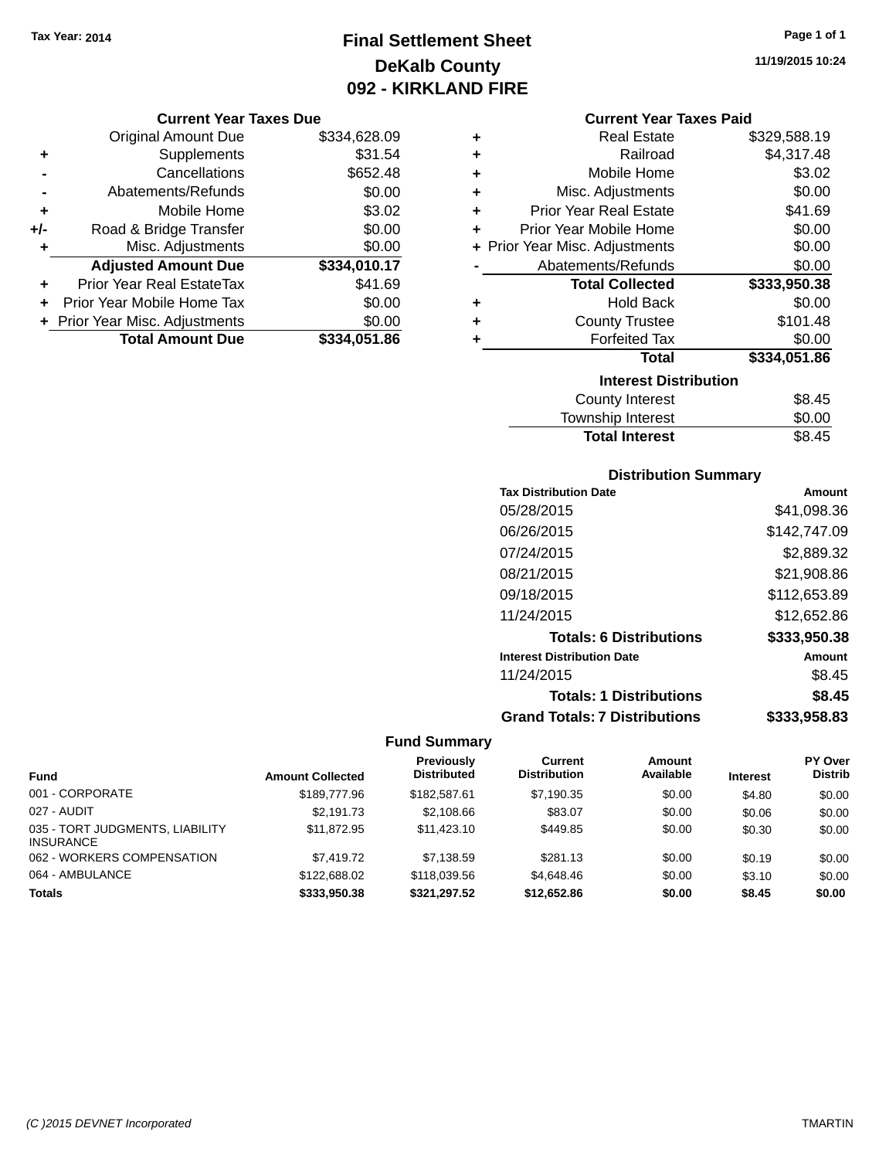# **Final Settlement Sheet Tax Year: 2014 Page 1 of 1 DeKalb County 092 - KIRKLAND FIRE**

#### **Current Year Taxes Due**

|       | <b>Original Amount Due</b>       | \$334,628.09 |
|-------|----------------------------------|--------------|
| ٠     | Supplements                      | \$31.54      |
|       | Cancellations                    | \$652.48     |
|       | Abatements/Refunds               | \$0.00       |
| ٠     | Mobile Home                      | \$3.02       |
| $+/-$ | Road & Bridge Transfer           | \$0.00       |
| ٠     | Misc. Adjustments                | \$0.00       |
|       | <b>Adjusted Amount Due</b>       | \$334,010.17 |
| ÷     | <b>Prior Year Real EstateTax</b> | \$41.69      |
|       | Prior Year Mobile Home Tax       | \$0.00       |
|       | + Prior Year Misc. Adjustments   | \$0.00       |
|       | <b>Total Amount Due</b>          | \$334,051.86 |

| ٠ | <b>Real Estate</b>             | \$329,588.19 |
|---|--------------------------------|--------------|
| ÷ | Railroad                       | \$4,317.48   |
| ٠ | Mobile Home                    | \$3.02       |
| ٠ | Misc. Adjustments              | \$0.00       |
| ÷ | <b>Prior Year Real Estate</b>  | \$41.69      |
| ٠ | Prior Year Mobile Home         | \$0.00       |
|   | + Prior Year Misc. Adjustments | \$0.00       |
|   | Abatements/Refunds             | \$0.00       |
|   | <b>Total Collected</b>         | \$333,950.38 |
| ٠ | <b>Hold Back</b>               | \$0.00       |
| ٠ | <b>County Trustee</b>          | \$101.48     |
| ٠ | <b>Forfeited Tax</b>           | \$0.00       |
|   | <b>Total</b>                   | \$334,051.86 |
|   | <b>Interest Distribution</b>   |              |
|   | <b>County Interest</b>         | \$8.45       |
|   |                                | ີ ລ          |

### Township Interest \$0.00 Total Interest \$8.45

### **Distribution Summary**

| <b>Tax Distribution Date</b>         | Amount       |
|--------------------------------------|--------------|
| 05/28/2015                           | \$41.098.36  |
| 06/26/2015                           | \$142,747.09 |
| 07/24/2015                           | \$2,889.32   |
| 08/21/2015                           | \$21,908.86  |
| 09/18/2015                           | \$112,653.89 |
| 11/24/2015                           | \$12,652.86  |
| <b>Totals: 6 Distributions</b>       | \$333,950.38 |
| <b>Interest Distribution Date</b>    | Amount       |
| 11/24/2015                           | \$8.45       |
| <b>Totals: 1 Distributions</b>       | \$8.45       |
| <b>Grand Totals: 7 Distributions</b> | \$333.958.83 |

|                                              |                         | <b>Previously</b>  | Current             | <b>Amount</b> |                 | <b>PY Over</b> |
|----------------------------------------------|-------------------------|--------------------|---------------------|---------------|-----------------|----------------|
| <b>Fund</b>                                  | <b>Amount Collected</b> | <b>Distributed</b> | <b>Distribution</b> | Available     | <b>Interest</b> | <b>Distrib</b> |
| 001 - CORPORATE                              | \$189,777.96            | \$182,587.61       | \$7.190.35          | \$0.00        | \$4.80          | \$0.00         |
| 027 - AUDIT                                  | \$2.191.73              | \$2,108.66         | \$83.07             | \$0.00        | \$0.06          | \$0.00         |
| 035 - TORT JUDGMENTS, LIABILITY<br>INSURANCE | \$11.872.95             | \$11,423.10        | \$449.85            | \$0.00        | \$0.30          | \$0.00         |
| 062 - WORKERS COMPENSATION                   | \$7,419.72              | \$7,138.59         | \$281.13            | \$0.00        | \$0.19          | \$0.00         |
| 064 - AMBULANCE                              | \$122,688,02            | \$118,039.56       | \$4,648,46          | \$0.00        | \$3.10          | \$0.00         |
| <b>Totals</b>                                | \$333,950,38            | \$321.297.52       | \$12,652.86         | \$0.00        | \$8.45          | \$0.00         |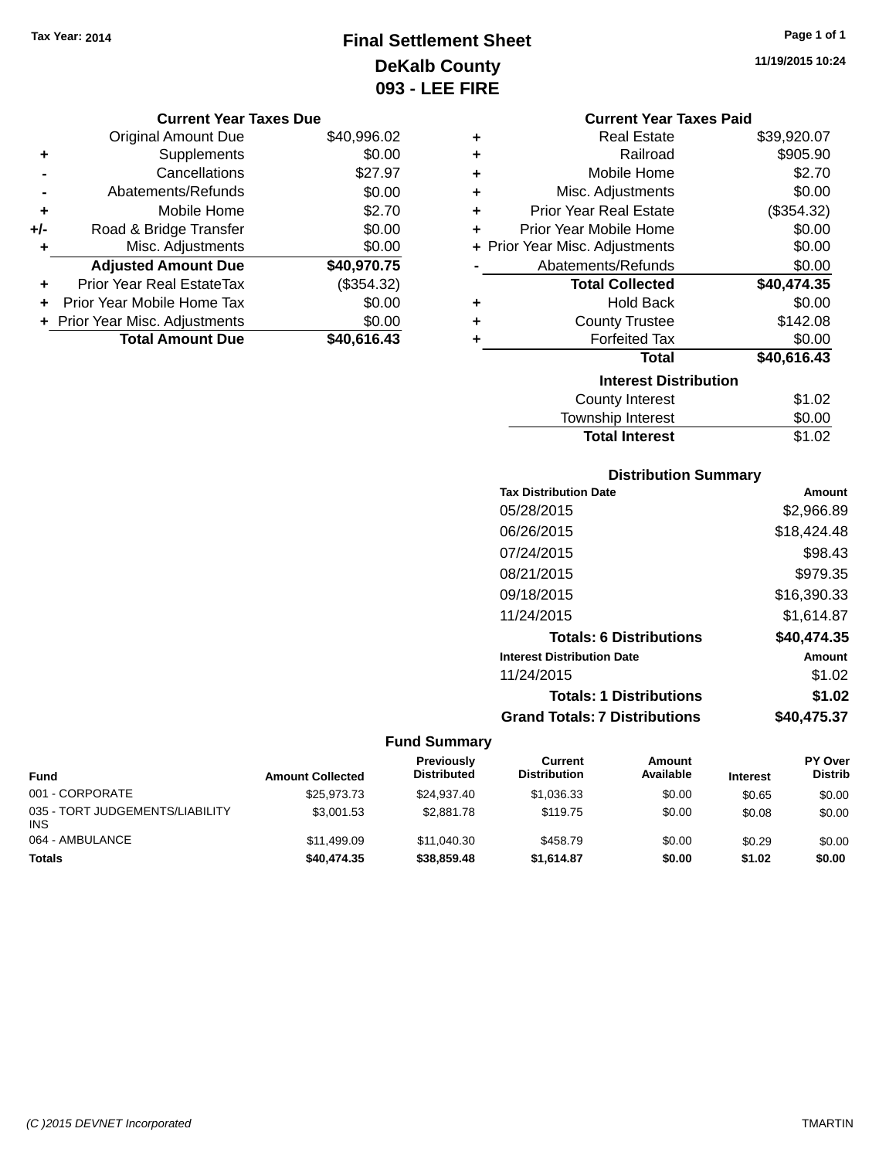# **Final Settlement Sheet Tax Year: 2014 Page 1 of 1 DeKalb County 093 - LEE FIRE**

**11/19/2015 10:24**

|       | <b>Original Amount Due</b>       | \$40,996.02 |
|-------|----------------------------------|-------------|
| ٠     | Supplements                      | \$0.00      |
|       | Cancellations                    | \$27.97     |
|       | Abatements/Refunds               | \$0.00      |
| ٠     | Mobile Home                      | \$2.70      |
| $+/-$ | Road & Bridge Transfer           | \$0.00      |
| ٠     | Misc. Adjustments                | \$0.00      |
|       | <b>Adjusted Amount Due</b>       | \$40,970.75 |
|       | <b>Prior Year Real EstateTax</b> | (\$354.32)  |
|       | Prior Year Mobile Home Tax       | \$0.00      |
|       | + Prior Year Misc. Adjustments   | \$0.00      |
|       | <b>Total Amount Due</b>          | \$40,616.43 |

|   | <b>Current Year Taxes Paid</b> |             |  |  |  |
|---|--------------------------------|-------------|--|--|--|
| ٠ | <b>Real Estate</b>             | \$39,920.07 |  |  |  |
| ٠ | Railroad                       | \$905.90    |  |  |  |
| ٠ | Mobile Home                    | \$2.70      |  |  |  |
| ٠ | Misc. Adjustments              | \$0.00      |  |  |  |
| ٠ | <b>Prior Year Real Estate</b>  | (\$354.32)  |  |  |  |
| ÷ | Prior Year Mobile Home         | \$0.00      |  |  |  |
|   | + Prior Year Misc. Adjustments | \$0.00      |  |  |  |
|   | Abatements/Refunds             | \$0.00      |  |  |  |
|   | <b>Total Collected</b>         | \$40,474.35 |  |  |  |
| ٠ | <b>Hold Back</b>               | \$0.00      |  |  |  |
| ÷ | <b>County Trustee</b>          | \$142.08    |  |  |  |
| ٠ | <b>Forfeited Tax</b>           | \$0.00      |  |  |  |
|   | <b>Total</b>                   | \$40,616.43 |  |  |  |
|   | <b>Interest Distribution</b>   |             |  |  |  |
|   | <b>County Interest</b>         | \$1.02      |  |  |  |
|   | <b>Township Interest</b>       | \$0.00      |  |  |  |
|   | <b>Total Interest</b>          | \$1.02      |  |  |  |

| <b>Distribution Summary</b>  |             |  |  |  |
|------------------------------|-------------|--|--|--|
| <b>Tax Distribution Date</b> | Amount      |  |  |  |
| 05/28/2015                   | \$2,966.89  |  |  |  |
| 06/26/2015                   | \$18,424.48 |  |  |  |
| 07/24/2015                   | \$98.43     |  |  |  |
| 08/21/2015                   | \$979.35    |  |  |  |
| 09/18/2015                   | \$16,390.33 |  |  |  |
|                              |             |  |  |  |

| 11/24/2015                           | \$1,614.87  |
|--------------------------------------|-------------|
| <b>Totals: 6 Distributions</b>       | \$40,474.35 |
| <b>Interest Distribution Date</b>    | Amount      |
| 11/24/2015                           | \$1.02      |
| <b>Totals: 1 Distributions</b>       | \$1.02      |
| <b>Grand Totals: 7 Distributions</b> | \$40,475.37 |

| <b>Fund</b>                                   | <b>Amount Collected</b> | <b>Previously</b><br><b>Distributed</b> | Current<br><b>Distribution</b> | Amount<br>Available | <b>Interest</b> | <b>PY Over</b><br><b>Distrib</b> |
|-----------------------------------------------|-------------------------|-----------------------------------------|--------------------------------|---------------------|-----------------|----------------------------------|
| 001 - CORPORATE                               | \$25.973.73             | \$24.937.40                             | \$1.036.33                     | \$0.00              | \$0.65          | \$0.00                           |
| 035 - TORT JUDGEMENTS/LIABILITY<br><b>INS</b> | \$3,001.53              | \$2,881.78                              | \$119.75                       | \$0.00              | \$0.08          | \$0.00                           |
| 064 - AMBULANCE                               | \$11,499.09             | \$11,040.30                             | \$458.79                       | \$0.00              | \$0.29          | \$0.00                           |
| <b>Totals</b>                                 | \$40,474.35             | \$38,859,48                             | \$1.614.87                     | \$0.00              | \$1.02          | \$0.00                           |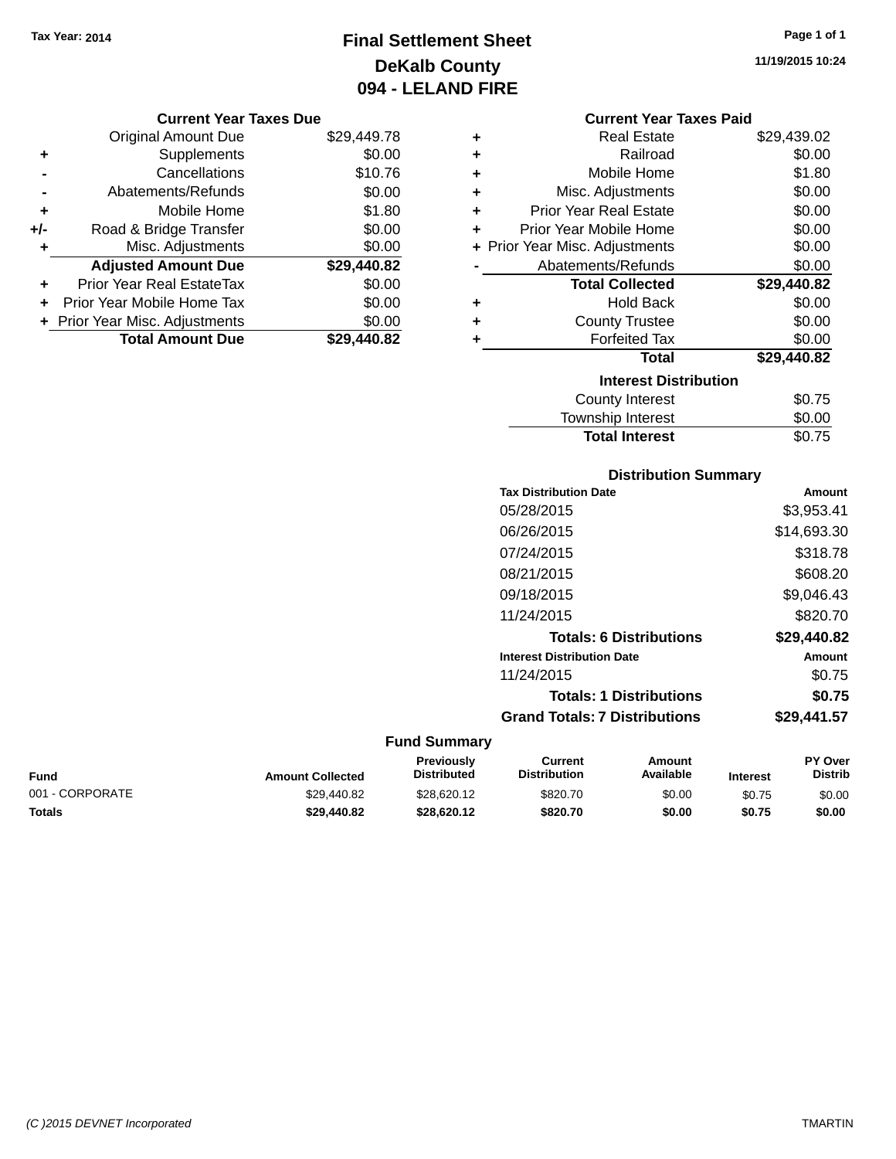# **Final Settlement Sheet Tax Year: 2014 Page 1 of 1 DeKalb County 094 - LELAND FIRE**

**11/19/2015 10:24**

#### **Current Year Taxes Due**

|       | <b>Original Amount Due</b>       | \$29,449.78 |
|-------|----------------------------------|-------------|
| ٠     | Supplements                      | \$0.00      |
|       | Cancellations                    | \$10.76     |
|       | Abatements/Refunds               | \$0.00      |
| ٠     | Mobile Home                      | \$1.80      |
| $+/-$ | Road & Bridge Transfer           | \$0.00      |
| ٠     | Misc. Adjustments                | \$0.00      |
|       | <b>Adjusted Amount Due</b>       | \$29,440.82 |
|       | <b>Prior Year Real EstateTax</b> | \$0.00      |
|       | Prior Year Mobile Home Tax       | \$0.00      |
|       | + Prior Year Misc. Adjustments   | \$0.00      |
|       | <b>Total Amount Due</b>          | \$29.440.82 |

#### **Current Year Taxes Paid**

| ٠ | Real Estate                    | \$29,439.02 |
|---|--------------------------------|-------------|
| ٠ | Railroad                       | \$0.00      |
| ٠ | Mobile Home                    | \$1.80      |
| ٠ | Misc. Adjustments              | \$0.00      |
| ٠ | Prior Year Real Estate         | \$0.00      |
| ٠ | Prior Year Mobile Home         | \$0.00      |
|   | + Prior Year Misc. Adjustments | \$0.00      |
|   | Abatements/Refunds             | \$0.00      |
|   | <b>Total Collected</b>         | \$29,440.82 |
| ٠ | <b>Hold Back</b>               | \$0.00      |
| ٠ | <b>County Trustee</b>          | \$0.00      |
| ٠ | <b>Forfeited Tax</b>           | \$0.00      |
|   | Total                          | \$29,440.82 |
|   | <b>Interest Distribution</b>   |             |
|   | County Interest                | \$0.75      |
|   | <b>Township Interest</b>       | \$0.00      |
|   | <b>Total Interest</b>          | \$0.75      |

# **Distribution Summary**

| <b>Tax Distribution Date</b>         | Amount      |
|--------------------------------------|-------------|
| 05/28/2015                           | \$3,953.41  |
| 06/26/2015                           | \$14,693.30 |
| 07/24/2015                           | \$318.78    |
| 08/21/2015                           | \$608.20    |
| 09/18/2015                           | \$9,046.43  |
| 11/24/2015                           | \$820.70    |
| <b>Totals: 6 Distributions</b>       | \$29,440.82 |
| <b>Interest Distribution Date</b>    | Amount      |
| 11/24/2015                           | \$0.75      |
| <b>Totals: 1 Distributions</b>       | \$0.75      |
| <b>Grand Totals: 7 Distributions</b> | \$29,441.57 |
|                                      |             |

| Fund            | <b>Amount Collected</b> | Previously<br><b>Distributed</b> | Current<br><b>Distribution</b> | Amount<br>Available | <b>Interest</b> | <b>PY Over</b><br><b>Distrib</b> |
|-----------------|-------------------------|----------------------------------|--------------------------------|---------------------|-----------------|----------------------------------|
| 001 - CORPORATE | \$29.440.82             | \$28,620.12                      | \$820.70                       | \$0.00              | \$0.75          | \$0.00                           |
| Totals          | \$29,440.82             | \$28,620.12                      | \$820.70                       | \$0.00              | \$0.75          | \$0.00                           |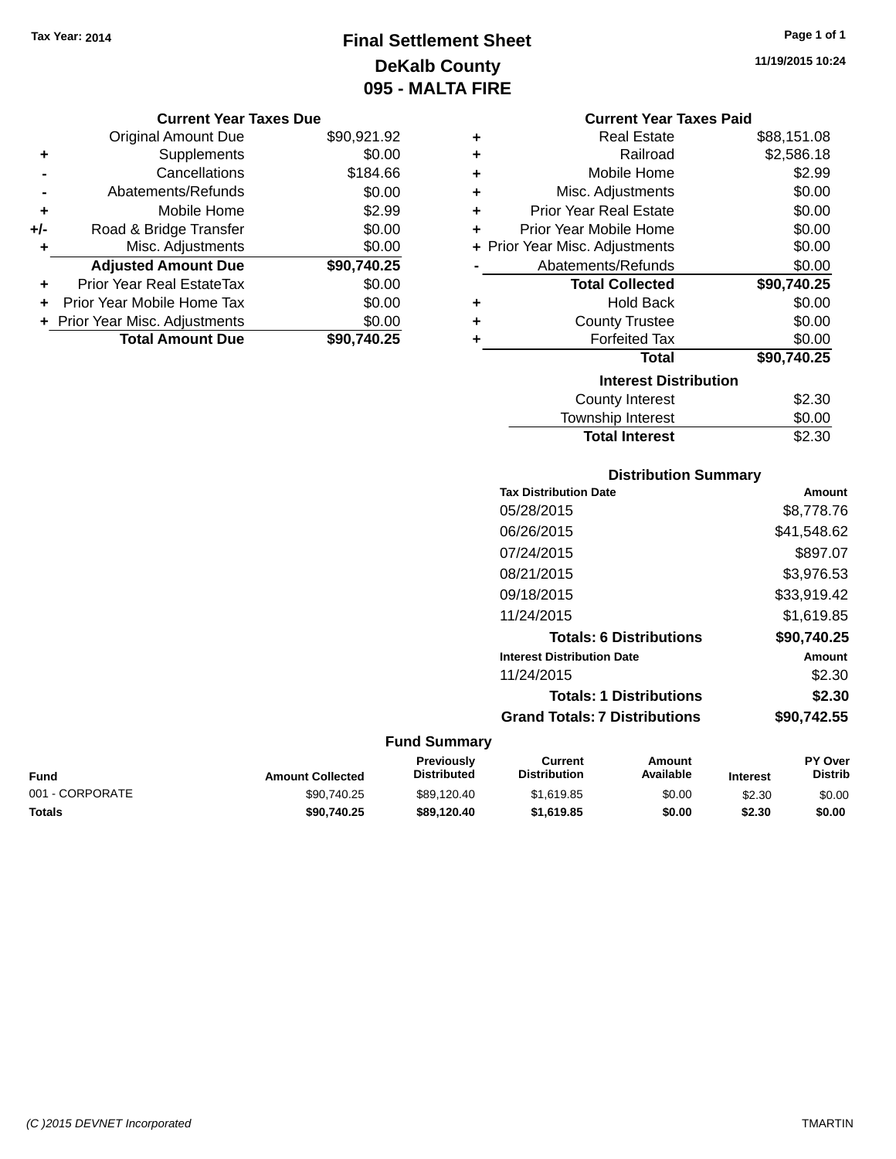# **Final Settlement Sheet Tax Year: 2014 Page 1 of 1 DeKalb County 095 - MALTA FIRE**

**11/19/2015 10:24**

|     | <b>Original Amount Due</b>       | \$90,921.92 |
|-----|----------------------------------|-------------|
| ٠   | Supplements                      | \$0.00      |
|     | Cancellations                    | \$184.66    |
|     | Abatements/Refunds               | \$0.00      |
| ÷   | Mobile Home                      | \$2.99      |
| +/- | Road & Bridge Transfer           | \$0.00      |
| ٠   | Misc. Adjustments                | \$0.00      |
|     | <b>Adjusted Amount Due</b>       | \$90,740.25 |
| ÷   | <b>Prior Year Real EstateTax</b> | \$0.00      |
|     | Prior Year Mobile Home Tax       | \$0.00      |
|     | + Prior Year Misc. Adjustments   | \$0.00      |
|     | <b>Total Amount Due</b>          | \$90.740.25 |

|   | <b>Current Year Taxes Paid</b> |             |  |  |  |
|---|--------------------------------|-------------|--|--|--|
| ٠ | <b>Real Estate</b>             | \$88,151.08 |  |  |  |
| ٠ | Railroad                       | \$2,586.18  |  |  |  |
| ٠ | Mobile Home                    | \$2.99      |  |  |  |
| ٠ | Misc. Adjustments              | \$0.00      |  |  |  |

| ٠ | <b>Prior Year Real Estate</b>  | \$0.00      |  |  |  |  |
|---|--------------------------------|-------------|--|--|--|--|
| ٠ | Prior Year Mobile Home         | \$0.00      |  |  |  |  |
|   | + Prior Year Misc. Adjustments | \$0.00      |  |  |  |  |
|   | Abatements/Refunds             | \$0.00      |  |  |  |  |
|   | <b>Total Collected</b>         | \$90,740.25 |  |  |  |  |
| ÷ | <b>Hold Back</b>               | \$0.00      |  |  |  |  |
| ÷ | <b>County Trustee</b>          | \$0.00      |  |  |  |  |
| ٠ | <b>Forfeited Tax</b>           | \$0.00      |  |  |  |  |
|   | <b>Total</b>                   | \$90,740.25 |  |  |  |  |
|   | <b>Interest Distribution</b>   |             |  |  |  |  |
|   | <b>County Interest</b>         | \$2.30      |  |  |  |  |
|   | <b>Township Interest</b>       | \$0.00      |  |  |  |  |
|   | <b>Total Interest</b>          | \$2.30      |  |  |  |  |

### **Distribution Summary Tax Distribution Date Amount** 05/28/2015 \$8,778.76 06/26/2015 \$41,548.62 07/24/2015 \$897.07 08/21/2015 \$3,976.53 09/18/2015 \$33,919.42 11/24/2015 \$1,619.85 **Totals: 6 Distributions \$90,740.25 Interest Distribution Date Amount** 11/24/2015 \$2.30 **Totals: 1 Distributions \$2.30 Grand Totals: 7 Distributions \$90,742.55**

| Fund            | <b>Amount Collected</b> | <b>Previously</b><br><b>Distributed</b> | Current<br><b>Distribution</b> | Amount<br>Available | <b>Interest</b> | <b>PY Over</b><br><b>Distrib</b> |
|-----------------|-------------------------|-----------------------------------------|--------------------------------|---------------------|-----------------|----------------------------------|
| 001 - CORPORATE | \$90,740.25             | \$89.120.40                             | \$1,619.85                     | \$0.00              | \$2.30          | \$0.00                           |
| Totals          | \$90,740.25             | \$89.120.40                             | \$1,619.85                     | \$0.00              | \$2.30          | \$0.00                           |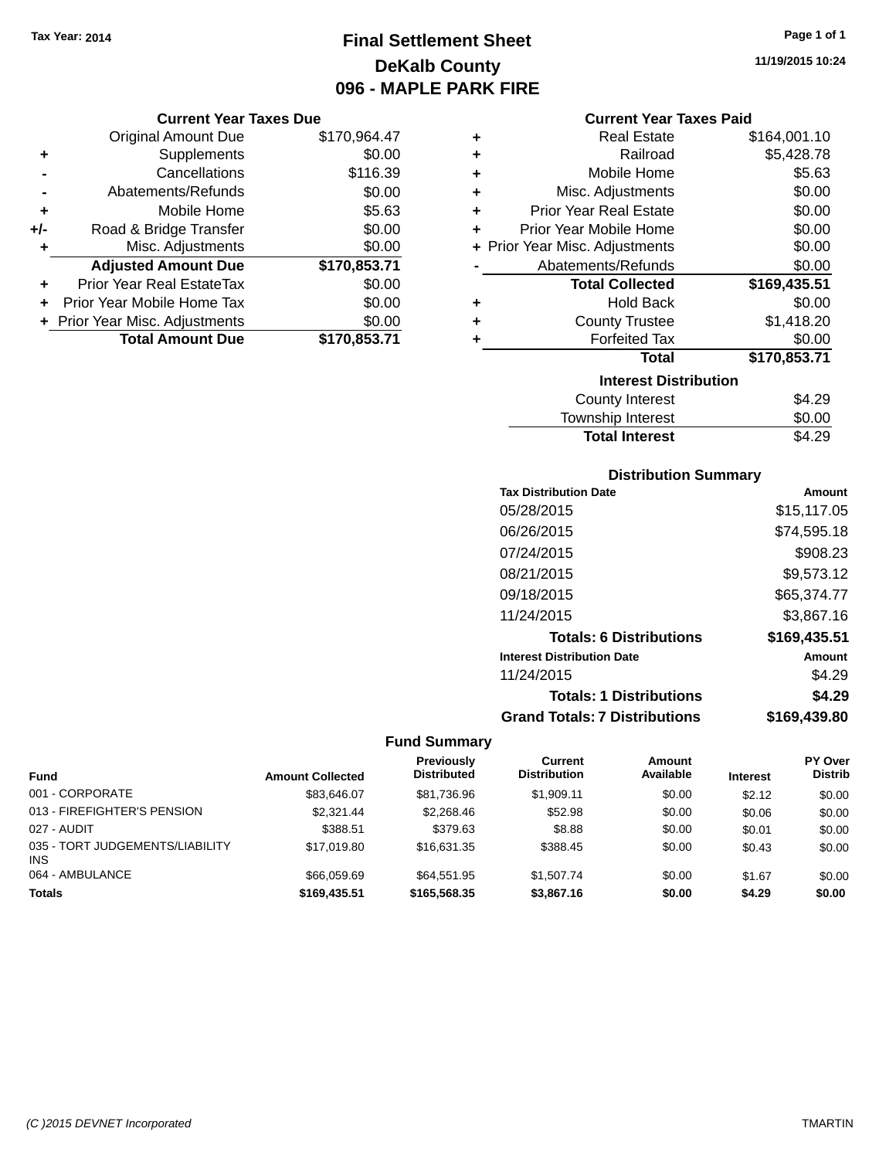# **Final Settlement Sheet Tax Year: 2014 Page 1 of 1 DeKalb County 096 - MAPLE PARK FIRE**

**11/19/2015 10:24**

### **Current Year Taxes Paid**

|     | <b>Current Year Taxes Due</b>  |              |  |  |  |
|-----|--------------------------------|--------------|--|--|--|
|     | <b>Original Amount Due</b>     | \$170,964.47 |  |  |  |
| ٠   | Supplements                    | \$0.00       |  |  |  |
|     | Cancellations                  | \$116.39     |  |  |  |
|     | Abatements/Refunds             | \$0.00       |  |  |  |
| ٠   | Mobile Home                    | \$5.63       |  |  |  |
| +/- | Road & Bridge Transfer         | \$0.00       |  |  |  |
| ٠   | Misc. Adjustments              | \$0.00       |  |  |  |
|     | <b>Adjusted Amount Due</b>     | \$170,853.71 |  |  |  |
| ٠   | Prior Year Real EstateTax      | \$0.00       |  |  |  |
| ٠   | Prior Year Mobile Home Tax     | \$0.00       |  |  |  |
|     | + Prior Year Misc. Adjustments | \$0.00       |  |  |  |
|     | <b>Total Amount Due</b>        | \$170,853.71 |  |  |  |

| ٠                            | <b>Real Estate</b>             | \$164,001.10 |  |  |
|------------------------------|--------------------------------|--------------|--|--|
| ٠                            | Railroad                       | \$5,428.78   |  |  |
| ÷                            | Mobile Home                    | \$5.63       |  |  |
| ÷                            | Misc. Adjustments              | \$0.00       |  |  |
| ٠                            | <b>Prior Year Real Estate</b>  | \$0.00       |  |  |
| ٠                            | Prior Year Mobile Home         | \$0.00       |  |  |
|                              | + Prior Year Misc. Adjustments | \$0.00       |  |  |
|                              | Abatements/Refunds             | \$0.00       |  |  |
|                              | <b>Total Collected</b>         | \$169,435.51 |  |  |
| ٠                            | <b>Hold Back</b>               | \$0.00       |  |  |
| ÷                            | <b>County Trustee</b>          | \$1,418.20   |  |  |
| ٠                            | <b>Forfeited Tax</b>           | \$0.00       |  |  |
|                              | <b>Total</b>                   | \$170,853.71 |  |  |
| <b>Interest Distribution</b> |                                |              |  |  |
|                              | <b>County Interest</b>         | \$4.29       |  |  |
|                              | Township Interest              | \$0.00       |  |  |
|                              | <b>Total Interest</b>          | \$4.29       |  |  |

### **Distribution Summary**

| <b>Tax Distribution Date</b>         | Amount       |
|--------------------------------------|--------------|
| 05/28/2015                           | \$15,117.05  |
| 06/26/2015                           | \$74,595.18  |
| 07/24/2015                           | \$908.23     |
| 08/21/2015                           | \$9,573.12   |
| 09/18/2015                           | \$65,374.77  |
| 11/24/2015                           | \$3,867.16   |
| <b>Totals: 6 Distributions</b>       | \$169,435.51 |
| <b>Interest Distribution Date</b>    | Amount       |
| 11/24/2015                           | \$4.29       |
| <b>Totals: 1 Distributions</b>       | \$4.29       |
| <b>Grand Totals: 7 Distributions</b> | \$169.439.80 |

| <b>Fund</b>                                   | <b>Amount Collected</b> | <b>Previously</b><br><b>Distributed</b> | Current<br><b>Distribution</b> | <b>Amount</b><br>Available | <b>Interest</b> | <b>PY Over</b><br><b>Distrib</b> |
|-----------------------------------------------|-------------------------|-----------------------------------------|--------------------------------|----------------------------|-----------------|----------------------------------|
| 001 - CORPORATE                               | \$83.646.07             | \$81.736.96                             | \$1.909.11                     | \$0.00                     | \$2.12          | \$0.00                           |
| 013 - FIREFIGHTER'S PENSION                   | \$2,321.44              | \$2,268,46                              | \$52.98                        | \$0.00                     | \$0.06          | \$0.00                           |
| 027 - AUDIT                                   | \$388.51                | \$379.63                                | \$8.88                         | \$0.00                     | \$0.01          | \$0.00                           |
| 035 - TORT JUDGEMENTS/LIABILITY<br><b>INS</b> | \$17,019.80             | \$16.631.35                             | \$388.45                       | \$0.00                     | \$0.43          | \$0.00                           |
| 064 - AMBULANCE                               | \$66,059.69             | \$64.551.95                             | \$1.507.74                     | \$0.00                     | \$1.67          | \$0.00                           |
| <b>Totals</b>                                 | \$169,435.51            | \$165,568,35                            | \$3,867.16                     | \$0.00                     | \$4.29          | \$0.00                           |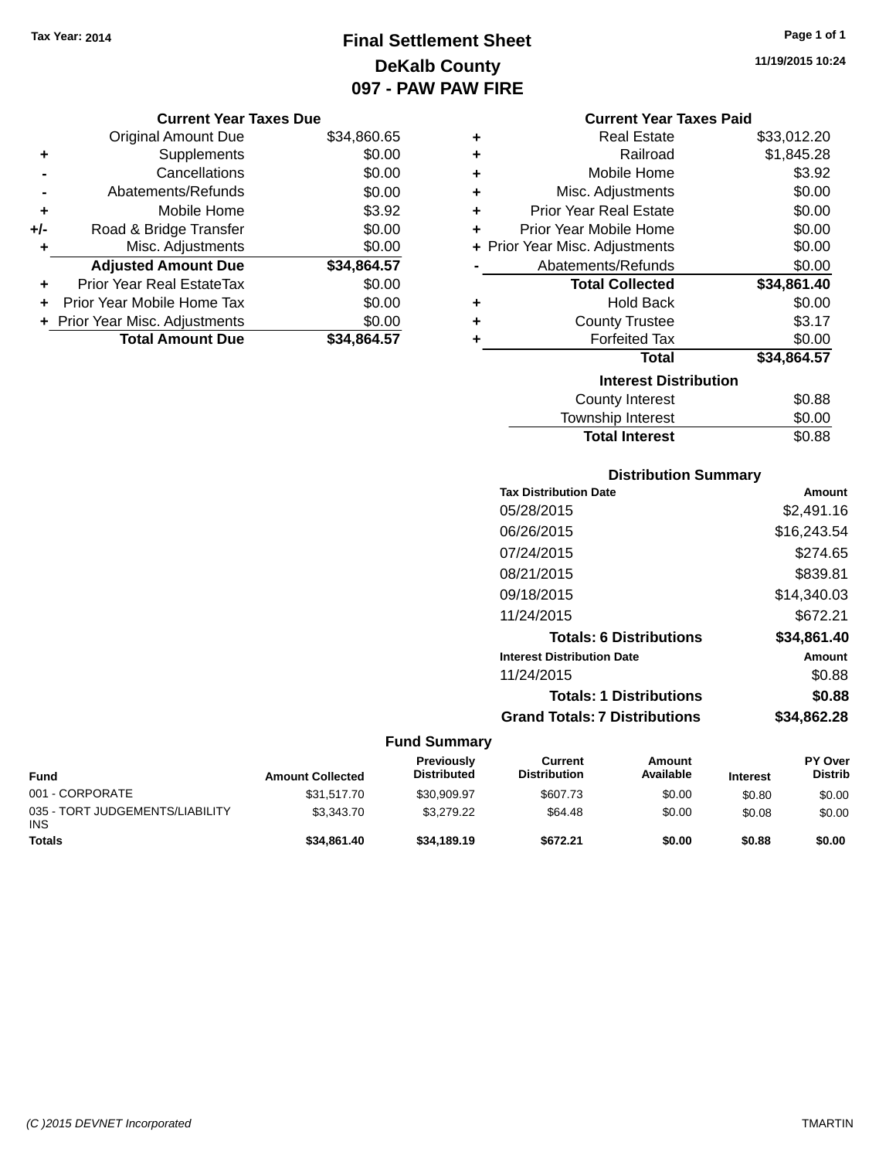# **Final Settlement Sheet Tax Year: 2014 Page 1 of 1 DeKalb County 097 - PAW PAW FIRE**

**11/19/2015 10:24**

## **Current Year Taxes Due**

|       | <b>Original Amount Due</b>     | \$34,860.65 |
|-------|--------------------------------|-------------|
| ٠     | Supplements                    | \$0.00      |
|       | Cancellations                  | \$0.00      |
|       | Abatements/Refunds             | \$0.00      |
| ٠     | Mobile Home                    | \$3.92      |
| $+/-$ | Road & Bridge Transfer         | \$0.00      |
| ٠     | Misc. Adjustments              | \$0.00      |
|       | <b>Adjusted Amount Due</b>     | \$34,864.57 |
|       | Prior Year Real EstateTax      | \$0.00      |
|       | Prior Year Mobile Home Tax     | \$0.00      |
|       | + Prior Year Misc. Adjustments | \$0.00      |
|       | <b>Total Amount Due</b>        | \$34.864.57 |

|   | <b>Current Year Taxes Paid</b> |             |
|---|--------------------------------|-------------|
| ٠ | Real Estate                    | \$33,012.20 |
| ÷ | Railroad                       | \$1,845.28  |
| ÷ | Mobile Home                    | \$3.92      |
| ÷ | Misc. Adjustments              | \$0.00      |
| ÷ | <b>Prior Year Real Estate</b>  | \$0.00      |
| ٠ | Prior Year Mobile Home         | \$0.00      |
|   | + Prior Year Misc. Adjustments | \$0.00      |
|   | Abatements/Refunds             | \$0.00      |
|   | <b>Total Collected</b>         | \$34,861.40 |
| ٠ | Hold Back                      | \$0.00      |
| ٠ | <b>County Trustee</b>          | \$3.17      |
| ٠ | <b>Forfeited Tax</b>           | \$0.00      |
|   |                                |             |
|   | <b>Total</b>                   | \$34,864.57 |
|   | <b>Interest Distribution</b>   |             |
|   | <b>County Interest</b>         | \$0.88      |

# **Distribution Summary Tax Distribution Date Amount** 05/28/2015 \$2,491.16 06/26/2015 \$16,243.54 07/24/2015 \$274.65 08/21/2015 \$839.81 09/18/2015 \$14,340.03 11/24/2015 \$672.21 **Totals: 6 Distributions \$34,861.40 Interest Distribution Date Amount** 11/24/2015 \$0.88 **Totals: 1 Distributions \$0.88 Grand Totals: 7 Distributions \$34,862.28**

Total Interest \$0.88

| Fund                                          | <b>Amount Collected</b> | Previously<br><b>Distributed</b> | Current<br><b>Distribution</b> | Amount<br>Available | <b>Interest</b> | <b>PY Over</b><br><b>Distrib</b> |
|-----------------------------------------------|-------------------------|----------------------------------|--------------------------------|---------------------|-----------------|----------------------------------|
| 001 - CORPORATE                               | \$31.517.70             | \$30,909.97                      | \$607.73                       | \$0.00              | \$0.80          | \$0.00                           |
| 035 - TORT JUDGEMENTS/LIABILITY<br><b>INS</b> | \$3.343.70              | \$3.279.22                       | \$64.48                        | \$0.00              | \$0.08          | \$0.00                           |
| <b>Totals</b>                                 | \$34,861.40             | \$34.189.19                      | \$672.21                       | \$0.00              | \$0.88          | \$0.00                           |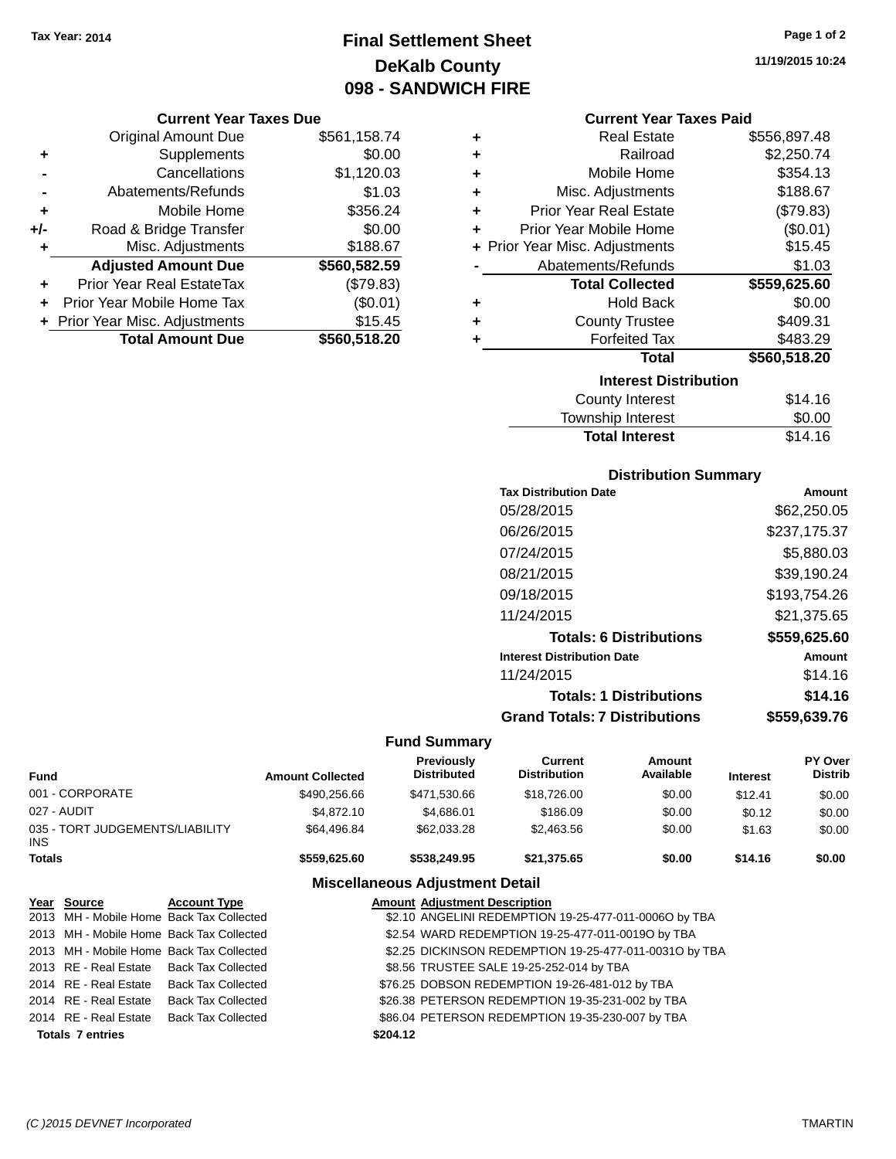# **Final Settlement Sheet Tax Year: 2014 Page 1 of 2 DeKalb County 098 - SANDWICH FIRE**

#### **Current Year Taxes Due**

|       | <b>Original Amount Due</b>       | \$561,158.74 |
|-------|----------------------------------|--------------|
| ٠     | Supplements                      | \$0.00       |
|       | Cancellations                    | \$1,120.03   |
|       | Abatements/Refunds               | \$1.03       |
| ٠     | Mobile Home                      | \$356.24     |
| $+/-$ | Road & Bridge Transfer           | \$0.00       |
| ٠     | Misc. Adjustments                | \$188.67     |
|       | <b>Adjusted Amount Due</b>       | \$560,582.59 |
|       | <b>Prior Year Real EstateTax</b> | (\$79.83)    |
|       | Prior Year Mobile Home Tax       | (\$0.01)     |
|       | + Prior Year Misc. Adjustments   | \$15.45      |
|       | <b>Total Amount Due</b>          | \$560,518.20 |

#### **Current Year Taxes Paid**

| ٠ | <b>Real Estate</b>             | \$556,897.48 |
|---|--------------------------------|--------------|
| ٠ | Railroad                       | \$2,250.74   |
| ÷ | Mobile Home                    | \$354.13     |
| ٠ | Misc. Adjustments              | \$188.67     |
| ٠ | <b>Prior Year Real Estate</b>  | (\$79.83)    |
| ٠ | Prior Year Mobile Home         | (\$0.01)     |
|   | + Prior Year Misc. Adjustments | \$15.45      |
|   | Abatements/Refunds             | \$1.03       |
|   |                                |              |
|   | <b>Total Collected</b>         | \$559,625.60 |
| ٠ | <b>Hold Back</b>               | \$0.00       |
| ÷ | <b>County Trustee</b>          | \$409.31     |
| ٠ | <b>Forfeited Tax</b>           | \$483.29     |
|   | <b>Total</b>                   | \$560,518.20 |
|   | <b>Interest Distribution</b>   |              |
|   | <b>County Interest</b>         | \$14.16      |

## **Distribution Summary**

Total Interest \$14.16

| <b>Tax Distribution Date</b>         | Amount       |
|--------------------------------------|--------------|
| 05/28/2015                           | \$62,250.05  |
| 06/26/2015                           | \$237,175.37 |
| 07/24/2015                           | \$5,880.03   |
| 08/21/2015                           | \$39.190.24  |
| 09/18/2015                           | \$193,754.26 |
| 11/24/2015                           | \$21.375.65  |
| <b>Totals: 6 Distributions</b>       | \$559,625.60 |
| <b>Interest Distribution Date</b>    | Amount       |
| 11/24/2015                           | \$14.16      |
| <b>Totals: 1 Distributions</b>       | \$14.16      |
| <b>Grand Totals: 7 Distributions</b> | \$559.639.76 |

#### **Fund Summary**

| <b>Fund</b>   |                                          |                     | <b>Amount Collected</b> | <b>Previously</b><br><b>Distributed</b>               | <b>Current</b><br><b>Distribution</b>                  | Amount<br>Available | <b>Interest</b> | <b>PY Over</b><br><b>Distrib</b> |
|---------------|------------------------------------------|---------------------|-------------------------|-------------------------------------------------------|--------------------------------------------------------|---------------------|-----------------|----------------------------------|
|               | 001 - CORPORATE                          |                     | \$490,256.66            | \$471,530.66                                          | \$18,726,00                                            | \$0.00              | \$12.41         | \$0.00                           |
|               | 027 - AUDIT                              |                     | \$4,872.10              | \$4.686.01                                            | \$186.09                                               | \$0.00              | \$0.12          | \$0.00                           |
| INS.          | 035 - TORT JUDGEMENTS/LIABILITY          |                     | \$64,496.84             | \$62,033,28                                           | \$2,463.56                                             | \$0.00              | \$1.63          | \$0.00                           |
| <b>Totals</b> |                                          |                     | \$559,625,60            | \$538,249.95                                          | \$21.375.65                                            | \$0.00              | \$14.16         | \$0.00                           |
|               |                                          |                     |                         | <b>Miscellaneous Adjustment Detail</b>                |                                                        |                     |                 |                                  |
|               | Year Source                              | <b>Account Type</b> |                         | <b>Amount Adiustment Description</b>                  |                                                        |                     |                 |                                  |
|               | 2013 MH - Mobile Home Back Tax Collected |                     |                         | \$2.10 ANGELINI REDEMPTION 19-25-477-011-0006O by TBA |                                                        |                     |                 |                                  |
|               | 2013 MH - Mobile Home Back Tax Collected |                     |                         |                                                       | \$2.54 WARD REDEMPTION 19-25-477-011-00190 by TBA      |                     |                 |                                  |
|               | 2013 MH - Mobile Home Back Tax Collected |                     |                         |                                                       | \$2.25 DICKINSON REDEMPTION 19-25-477-011-00310 by TBA |                     |                 |                                  |

2013 RE - Real Estate Back Tax Collected \$8.56 TRUSTEE SALE 19-25-252-014 by TBA

2014 RE - Real Estate Back Tax Collected \$76.25 DOBSON REDEMPTION 19-26-481-012 by TBA

2014 RE - Real Estate Back Tax Collected \$26.38 PETERSON REDEMPTION 19-35-231-002 by TBA

2014 RE - Real Estate Back Tax Collected \$86.04 PETERSON REDEMPTION 19-35-230-007 by TBA

**Totals \$204.12 7 entries**

**11/19/2015 10:24**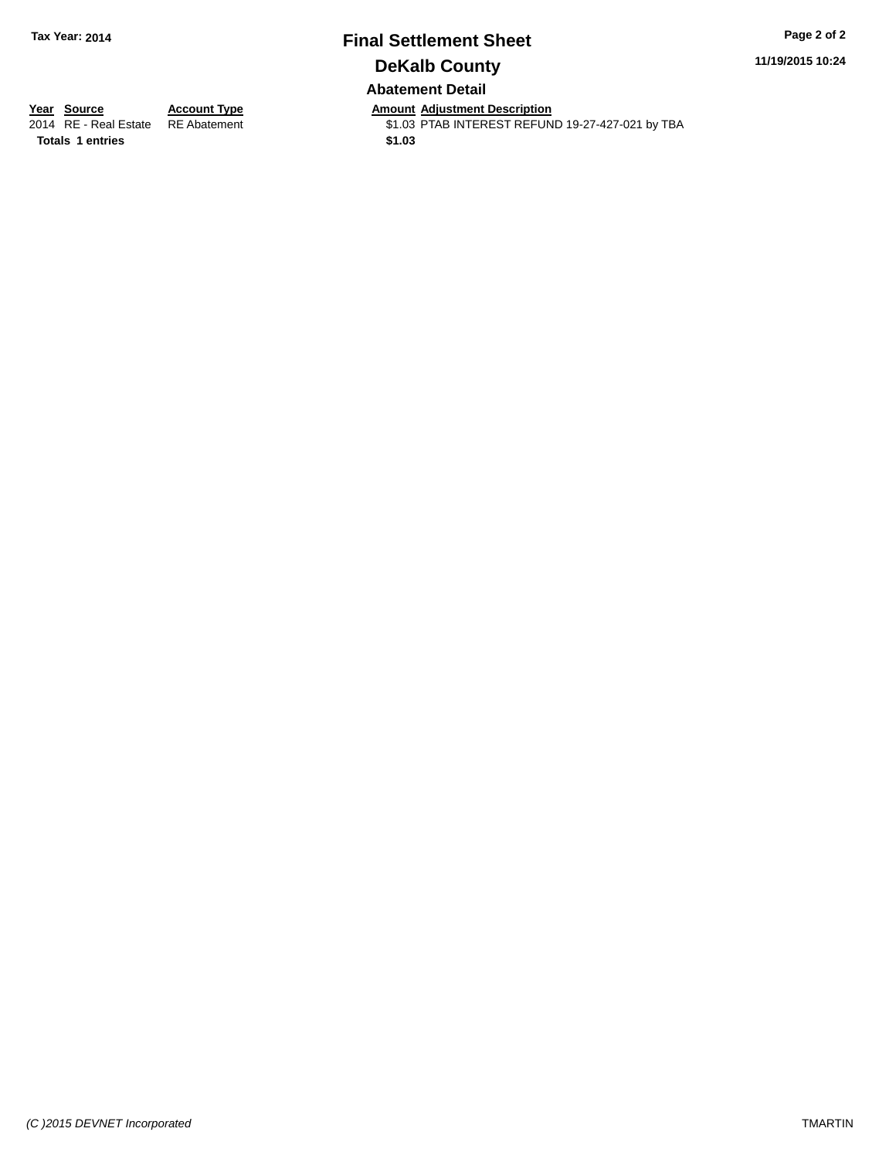# **Final Settlement Sheet Tax Year: 2014 Page 2 of 2 DeKalb County Abatement Detail**

**11/19/2015 10:24**

**Totals 1 entries** \$1.03

**Year Source Account Type Anneurs Amount Adjustment Description**<br>2014 RE - Real Estate RE Abatement **Alternative St.03 PTAB INTEREST REFUN** \$1.03 PTAB INTEREST REFUND 19-27-427-021 by TBA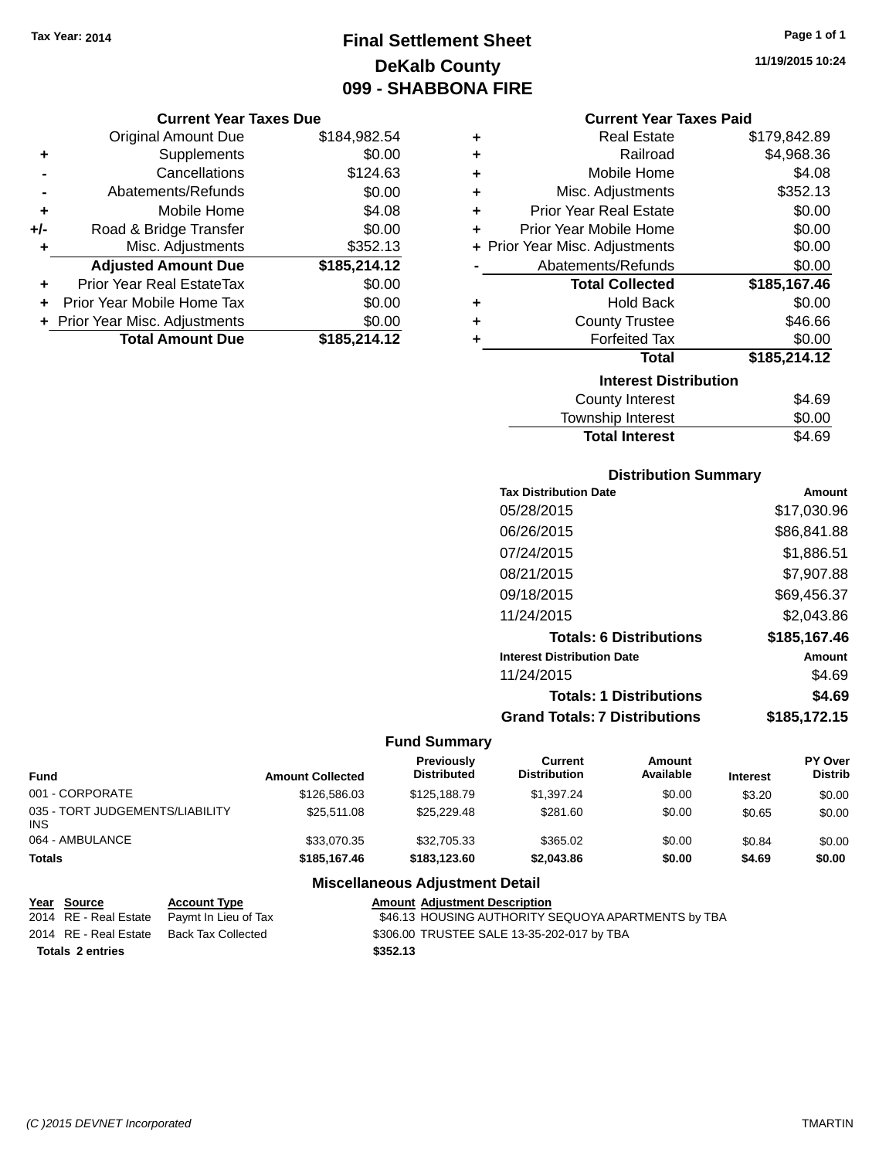# **Final Settlement Sheet Tax Year: 2014 Page 1 of 1 DeKalb County 099 - SHABBONA FIRE**

#### **Current Year Taxes Due**

|     | <b>Original Amount Due</b>     | \$184,982.54 |
|-----|--------------------------------|--------------|
| ٠   | Supplements                    | \$0.00       |
|     | Cancellations                  | \$124.63     |
|     | Abatements/Refunds             | \$0.00       |
| ÷   | Mobile Home                    | \$4.08       |
| +/- | Road & Bridge Transfer         | \$0.00       |
| ٠   | Misc. Adjustments              | \$352.13     |
|     | <b>Adjusted Amount Due</b>     | \$185,214.12 |
|     | Prior Year Real EstateTax      | \$0.00       |
|     | Prior Year Mobile Home Tax     | \$0.00       |
|     | + Prior Year Misc. Adjustments | \$0.00       |
|     | <b>Total Amount Due</b>        | \$185,214.12 |

| ٠ | <b>Real Estate</b>             | \$179,842.89 |
|---|--------------------------------|--------------|
| ٠ | Railroad                       | \$4,968.36   |
| ÷ | Mobile Home                    | \$4.08       |
| ٠ | Misc. Adjustments              | \$352.13     |
| ٠ | <b>Prior Year Real Estate</b>  | \$0.00       |
| ÷ | Prior Year Mobile Home         | \$0.00       |
|   | + Prior Year Misc. Adjustments | \$0.00       |
|   | Abatements/Refunds             | \$0.00       |
|   | <b>Total Collected</b>         | \$185,167.46 |
| ٠ | <b>Hold Back</b>               | \$0.00       |
| ٠ | <b>County Trustee</b>          | \$46.66      |
| ٠ | <b>Forfeited Tax</b>           | \$0.00       |
|   | <b>Total</b>                   | \$185,214.12 |
|   | <b>Interest Distribution</b>   |              |
|   | <b>County Interest</b>         | \$4.69       |
|   | Township Interast              | ድስ ሰስ        |

# Township Interest 50.00<br>Total Interest \$4.69 **Total Interest**

## **Distribution Summary**

| <b>Tax Distribution Date</b>         | Amount       |
|--------------------------------------|--------------|
| 05/28/2015                           | \$17,030.96  |
| 06/26/2015                           | \$86,841.88  |
| 07/24/2015                           | \$1,886.51   |
| 08/21/2015                           | \$7,907.88   |
| 09/18/2015                           | \$69,456.37  |
| 11/24/2015                           | \$2,043.86   |
| <b>Totals: 6 Distributions</b>       | \$185,167.46 |
| <b>Interest Distribution Date</b>    | Amount       |
| 11/24/2015                           | \$4.69       |
| <b>Totals: 1 Distributions</b>       | \$4.69       |
| <b>Grand Totals: 7 Distributions</b> | \$185.172.15 |

# **Fund Summary**

| Fund                                          | <b>Amount Collected</b> | <b>Previously</b><br><b>Distributed</b> | Current<br><b>Distribution</b> | Amount<br>Available | <b>Interest</b> | <b>PY Over</b><br><b>Distrib</b> |
|-----------------------------------------------|-------------------------|-----------------------------------------|--------------------------------|---------------------|-----------------|----------------------------------|
| 001 - CORPORATE                               | \$126,586.03            | \$125,188,79                            | \$1,397.24                     | \$0.00              | \$3.20          | \$0.00                           |
| 035 - TORT JUDGEMENTS/LIABILITY<br><b>INS</b> | \$25,511.08             | \$25,229.48                             | \$281.60                       | \$0.00              | \$0.65          | \$0.00                           |
| 064 - AMBULANCE                               | \$33,070.35             | \$32,705,33                             | \$365.02                       | \$0.00              | \$0.84          | \$0.00                           |
| <b>Totals</b>                                 | \$185,167,46            | \$183,123,60                            | \$2,043.86                     | \$0.00              | \$4.69          | \$0.00                           |

| Year Source             | <b>Account Type</b>  | <b>Amount Adiustment Description</b>                |  |
|-------------------------|----------------------|-----------------------------------------------------|--|
| 2014 RE - Real Estate   | Paymt In Lieu of Tax | \$46.13 HOUSING AUTHORITY SEQUOYA APARTMENTS by TBA |  |
| 2014 RE - Real Estate   | Back Tax Collected   | \$306.00 TRUSTEE SALE 13-35-202-017 by TBA          |  |
| <b>Totals 2 entries</b> |                      | \$352.13                                            |  |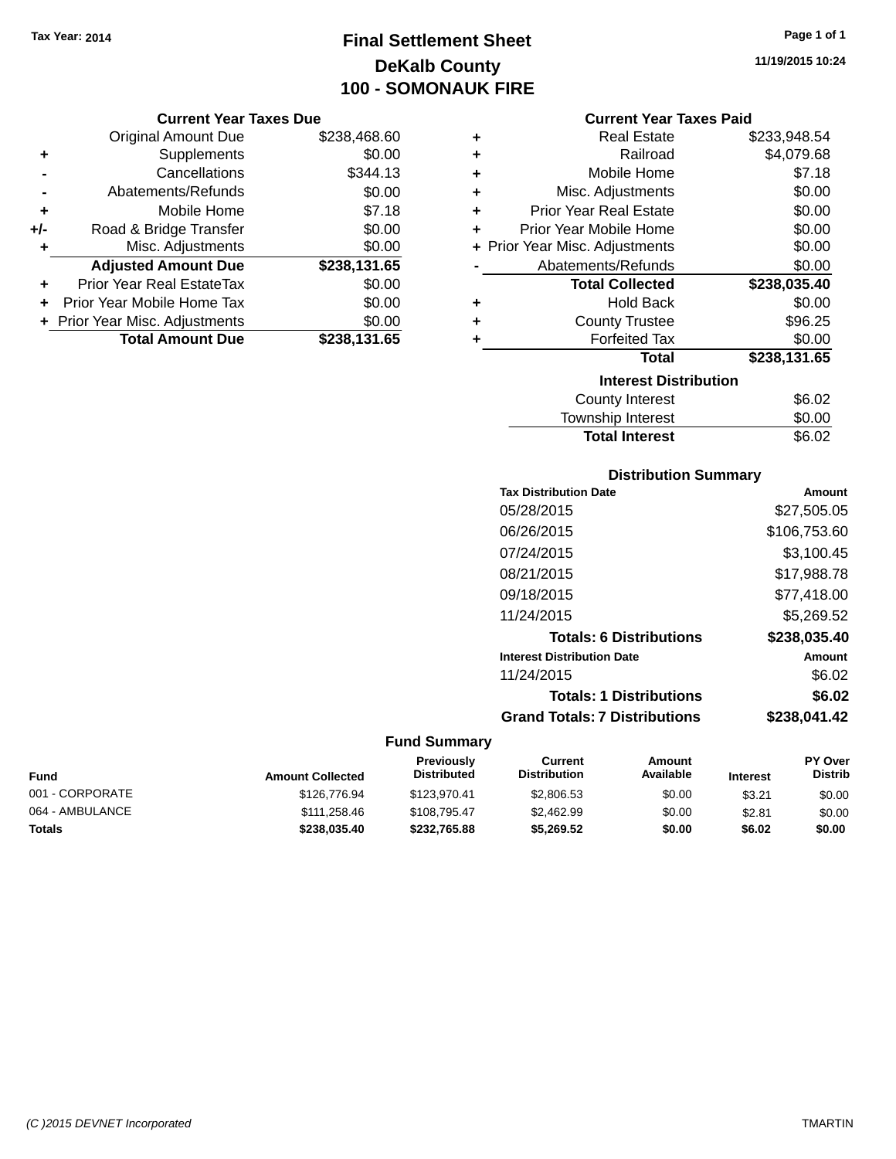# **Final Settlement Sheet Tax Year: 2014 Page 1 of 1 DeKalb County 100 - SOMONAUK FIRE**

#### **Current Year Taxes Due**

|       | <b>Original Amount Due</b>       | \$238,468.60 |
|-------|----------------------------------|--------------|
| ٠     | Supplements                      | \$0.00       |
|       | Cancellations                    | \$344.13     |
|       | Abatements/Refunds               | \$0.00       |
| ٠     | Mobile Home                      | \$7.18       |
| $+/-$ | Road & Bridge Transfer           | \$0.00       |
| ٠     | Misc. Adjustments                | \$0.00       |
|       | <b>Adjusted Amount Due</b>       | \$238,131.65 |
| ÷     | <b>Prior Year Real EstateTax</b> | \$0.00       |
|       | Prior Year Mobile Home Tax       | \$0.00       |
|       | + Prior Year Misc. Adjustments   | \$0.00       |
|       | <b>Total Amount Due</b>          | \$238,131.65 |

#### **Current Year Taxes Paid**

| ٠                            | Real Estate                    | \$233,948.54 |  |  |
|------------------------------|--------------------------------|--------------|--|--|
| ÷                            | Railroad                       | \$4,079.68   |  |  |
| ٠                            | Mobile Home                    | \$7.18       |  |  |
| ÷                            | Misc. Adjustments              | \$0.00       |  |  |
| ٠                            | <b>Prior Year Real Estate</b>  | \$0.00       |  |  |
| ٠                            | Prior Year Mobile Home         | \$0.00       |  |  |
|                              | + Prior Year Misc. Adjustments | \$0.00       |  |  |
|                              | Abatements/Refunds             | \$0.00       |  |  |
|                              | <b>Total Collected</b>         | \$238,035.40 |  |  |
| ٠                            | <b>Hold Back</b>               | \$0.00       |  |  |
| ٠                            | <b>County Trustee</b>          | \$96.25      |  |  |
| ٠                            | <b>Forfeited Tax</b>           | \$0.00       |  |  |
|                              | Total                          | \$238,131.65 |  |  |
| <b>Interest Distribution</b> |                                |              |  |  |
|                              | <b>County Interest</b>         | \$6.02       |  |  |
|                              | <b>Township Interest</b>       | \$0.00       |  |  |
|                              | <b>Total Interest</b>          | \$6.02       |  |  |

# **Distribution Summary**

| <b>Tax Distribution Date</b>         | Amount       |
|--------------------------------------|--------------|
| 05/28/2015                           | \$27,505.05  |
| 06/26/2015                           | \$106,753.60 |
| 07/24/2015                           | \$3.100.45   |
| 08/21/2015                           | \$17,988.78  |
| 09/18/2015                           | \$77,418.00  |
| 11/24/2015                           | \$5.269.52   |
| <b>Totals: 6 Distributions</b>       | \$238,035.40 |
| <b>Interest Distribution Date</b>    | Amount       |
| 11/24/2015                           | \$6.02       |
| <b>Totals: 1 Distributions</b>       | \$6.02       |
| <b>Grand Totals: 7 Distributions</b> | \$238,041.42 |

# **Fund Summary**

| Fund            | <b>Amount Collected</b> | <b>Previously</b><br><b>Distributed</b> | Current<br><b>Distribution</b> | Amount<br>Available | <b>Interest</b> | <b>PY Over</b><br><b>Distrib</b> |
|-----------------|-------------------------|-----------------------------------------|--------------------------------|---------------------|-----------------|----------------------------------|
| 001 - CORPORATE | \$126,776.94            | \$123,970.41                            | \$2,806.53                     | \$0.00              | \$3.21          | \$0.00                           |
| 064 - AMBULANCE | \$111,258.46            | \$108.795.47                            | \$2,462.99                     | \$0.00              | \$2.81          | \$0.00                           |
| <b>Totals</b>   | \$238,035.40            | \$232.765.88                            | \$5.269.52                     | \$0.00              | \$6.02          | \$0.00                           |

**11/19/2015 10:24**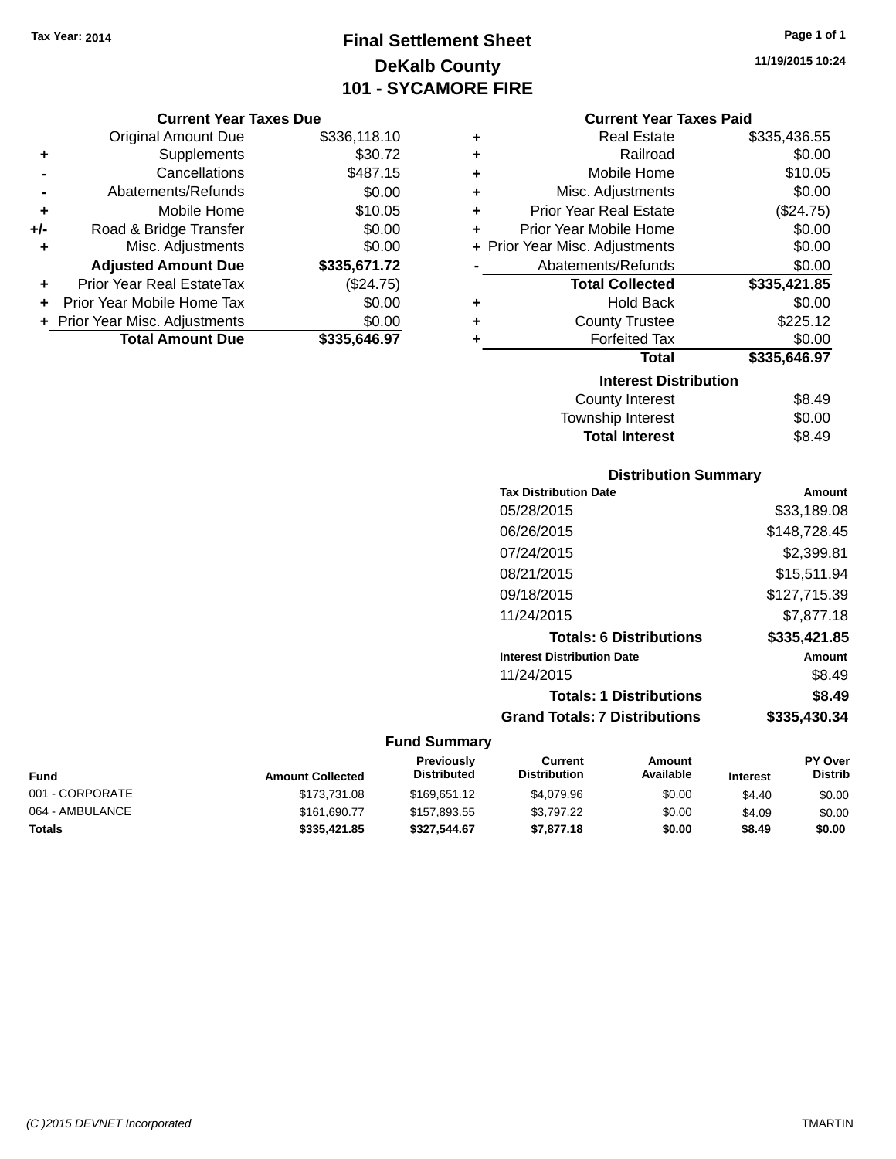# **Final Settlement Sheet Tax Year: 2014 Page 1 of 1 DeKalb County 101 - SYCAMORE FIRE**

#### **Current Year Taxes Due**

|       | <b>Original Amount Due</b>       | \$336,118.10 |
|-------|----------------------------------|--------------|
| ٠     | Supplements                      | \$30.72      |
|       | Cancellations                    | \$487.15     |
|       | Abatements/Refunds               | \$0.00       |
| ÷     | Mobile Home                      | \$10.05      |
| $+/-$ | Road & Bridge Transfer           | \$0.00       |
| ٠     | Misc. Adjustments                | \$0.00       |
|       | <b>Adjusted Amount Due</b>       | \$335,671.72 |
|       | <b>Prior Year Real EstateTax</b> | (\$24.75)    |
|       | Prior Year Mobile Home Tax       | \$0.00       |
|       | + Prior Year Misc. Adjustments   | \$0.00       |
|       | <b>Total Amount Due</b>          | \$335,646.97 |

| ٠ | <b>Real Estate</b>             | \$335,436.55 |
|---|--------------------------------|--------------|
| ÷ | Railroad                       | \$0.00       |
| ÷ | Mobile Home                    | \$10.05      |
| ÷ | Misc. Adjustments              | \$0.00       |
| ٠ | <b>Prior Year Real Estate</b>  | (\$24.75)    |
| ٠ | Prior Year Mobile Home         | \$0.00       |
|   | + Prior Year Misc. Adjustments | \$0.00       |
|   | Abatements/Refunds             | \$0.00       |
|   | <b>Total Collected</b>         | \$335,421.85 |
| ٠ | <b>Hold Back</b>               | \$0.00       |
| ٠ | <b>County Trustee</b>          | \$225.12     |
| ٠ | <b>Forfeited Tax</b>           | \$0.00       |
|   | Total                          | \$335,646.97 |
|   | <b>Interest Distribution</b>   |              |
|   | <b>County Interest</b>         | \$8.49       |
|   |                                | ີ ລ          |

| <b>Total Interest</b> | \$8.49 |
|-----------------------|--------|
| Township Interest     | \$0.00 |
| County interest       | ৩০.৭৬  |

## **Distribution Summary**

| <b>Tax Distribution Date</b>         | Amount       |
|--------------------------------------|--------------|
| 05/28/2015                           | \$33,189.08  |
| 06/26/2015                           | \$148.728.45 |
| 07/24/2015                           | \$2,399.81   |
| 08/21/2015                           | \$15.511.94  |
| 09/18/2015                           | \$127,715.39 |
| 11/24/2015                           | \$7.877.18   |
| <b>Totals: 6 Distributions</b>       | \$335,421.85 |
| <b>Interest Distribution Date</b>    | Amount       |
| 11/24/2015                           | \$8.49       |
| <b>Totals: 1 Distributions</b>       | \$8.49       |
| <b>Grand Totals: 7 Distributions</b> | \$335,430.34 |
|                                      |              |

| Fund            | <b>Amount Collected</b> | <b>Previously</b><br><b>Distributed</b> | Current<br><b>Distribution</b> | Amount<br>Available | <b>Interest</b> | <b>PY Over</b><br><b>Distrib</b> |
|-----------------|-------------------------|-----------------------------------------|--------------------------------|---------------------|-----------------|----------------------------------|
| 001 - CORPORATE | \$173,731.08            | \$169,651.12                            | \$4,079.96                     | \$0.00              | \$4.40          | \$0.00                           |
| 064 - AMBULANCE | \$161,690.77            | \$157.893.55                            | \$3.797.22                     | \$0.00              | \$4.09          | \$0.00                           |
| Totals          | \$335,421.85            | \$327.544.67                            | \$7,877.18                     | \$0.00              | \$8.49          | \$0.00                           |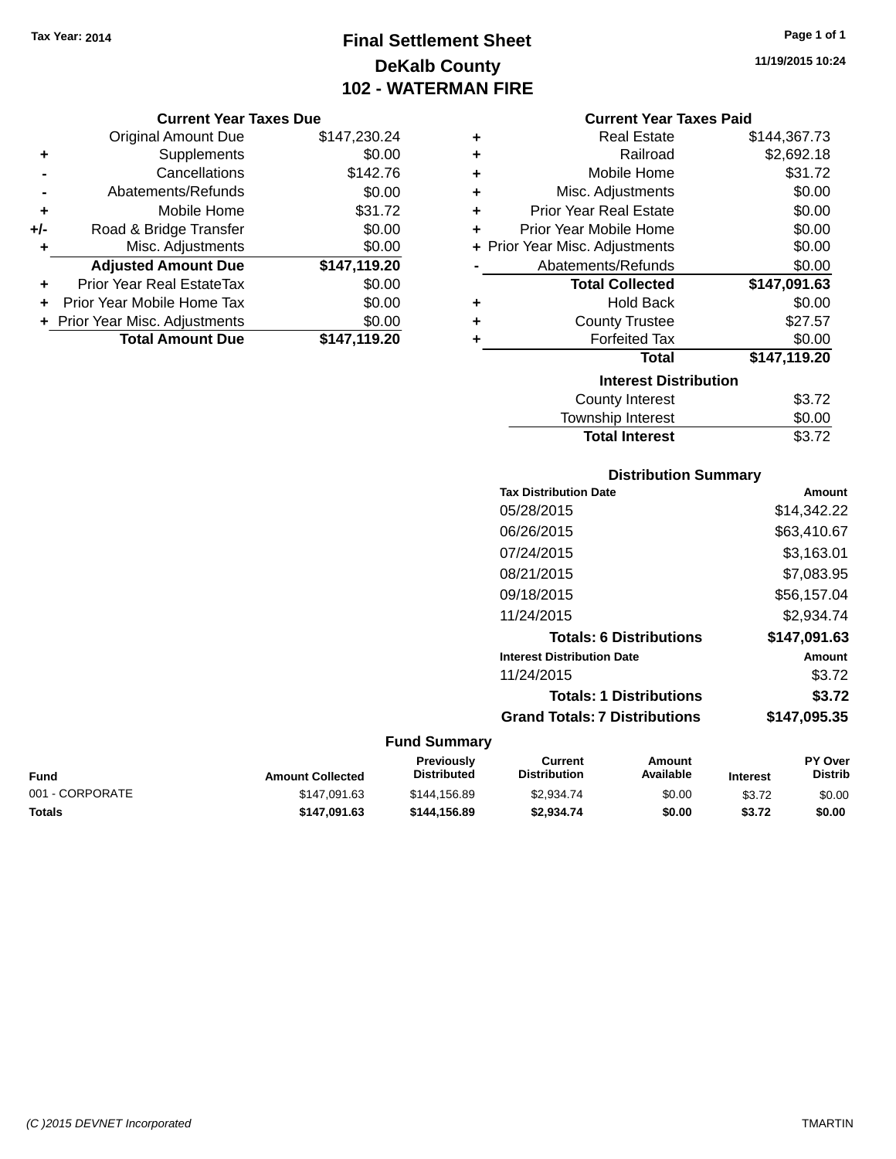# **Final Settlement Sheet Tax Year: 2014 Page 1 of 1 DeKalb County 102 - WATERMAN FIRE**

# **Current Year Taxes Due**

|       | <b>UUITEIIL TEAL TAXES DUE</b>   |              |
|-------|----------------------------------|--------------|
|       | <b>Original Amount Due</b>       | \$147,230.24 |
| ٠     | Supplements                      | \$0.00       |
|       | Cancellations                    | \$142.76     |
|       | Abatements/Refunds               | \$0.00       |
| ٠     | Mobile Home                      | \$31.72      |
| $+/-$ | Road & Bridge Transfer           | \$0.00       |
| ٠     | Misc. Adjustments                | \$0.00       |
|       | <b>Adjusted Amount Due</b>       | \$147,119.20 |
| ÷     | <b>Prior Year Real EstateTax</b> | \$0.00       |
|       | Prior Year Mobile Home Tax       | \$0.00       |
|       | + Prior Year Misc. Adjustments   | \$0.00       |
|       | <b>Total Amount Due</b>          | \$147,119.20 |

### **Current Year Taxes Paid**

| ٠ | Real Estate                    | \$144,367.73 |
|---|--------------------------------|--------------|
| ٠ | Railroad                       | \$2,692.18   |
| ÷ | Mobile Home                    | \$31.72      |
| ٠ | Misc. Adjustments              | \$0.00       |
| ٠ | <b>Prior Year Real Estate</b>  | \$0.00       |
| ٠ | Prior Year Mobile Home         | \$0.00       |
|   | + Prior Year Misc. Adjustments | \$0.00       |
|   | Abatements/Refunds             | \$0.00       |
|   | <b>Total Collected</b>         | \$147,091.63 |
| ٠ | <b>Hold Back</b>               | \$0.00       |
| ٠ | <b>County Trustee</b>          | \$27.57      |
|   | <b>Forfeited Tax</b>           | \$0.00       |
|   | <b>Total</b>                   | \$147,119.20 |
|   | <b>Interest Distribution</b>   |              |
|   | County Interest                | \$3.72       |
|   | <b>Township Interest</b>       | \$0.00       |
|   | <b>Total Interest</b>          | \$3.72       |

# **Distribution Summary**

| <b>Tax Distribution Date</b>         | Amount       |
|--------------------------------------|--------------|
| 05/28/2015                           | \$14,342.22  |
| 06/26/2015                           | \$63,410.67  |
| 07/24/2015                           | \$3,163.01   |
| 08/21/2015                           | \$7,083.95   |
| 09/18/2015                           | \$56,157.04  |
| 11/24/2015                           | \$2.934.74   |
| <b>Totals: 6 Distributions</b>       | \$147,091.63 |
| <b>Interest Distribution Date</b>    | Amount       |
| 11/24/2015                           | \$3.72       |
| <b>Totals: 1 Distributions</b>       | \$3.72       |
| <b>Grand Totals: 7 Distributions</b> | \$147,095.35 |
|                                      |              |

# **Fund Summary**

| Fund            | <b>Amount Collected</b> | <b>Previously</b><br><b>Distributed</b> | Current<br><b>Distribution</b> | Amount<br>Available | <b>Interest</b> | <b>PY Over</b><br><b>Distrib</b> |
|-----------------|-------------------------|-----------------------------------------|--------------------------------|---------------------|-----------------|----------------------------------|
| 001 - CORPORATE | \$147.091.63            | \$144,156.89                            | \$2,934.74                     | \$0.00              | \$3.72          | \$0.00                           |
| Totals          | \$147.091.63            | \$144.156.89                            | \$2.934.74                     | \$0.00              | \$3.72          | \$0.00                           |

**11/19/2015 10:24**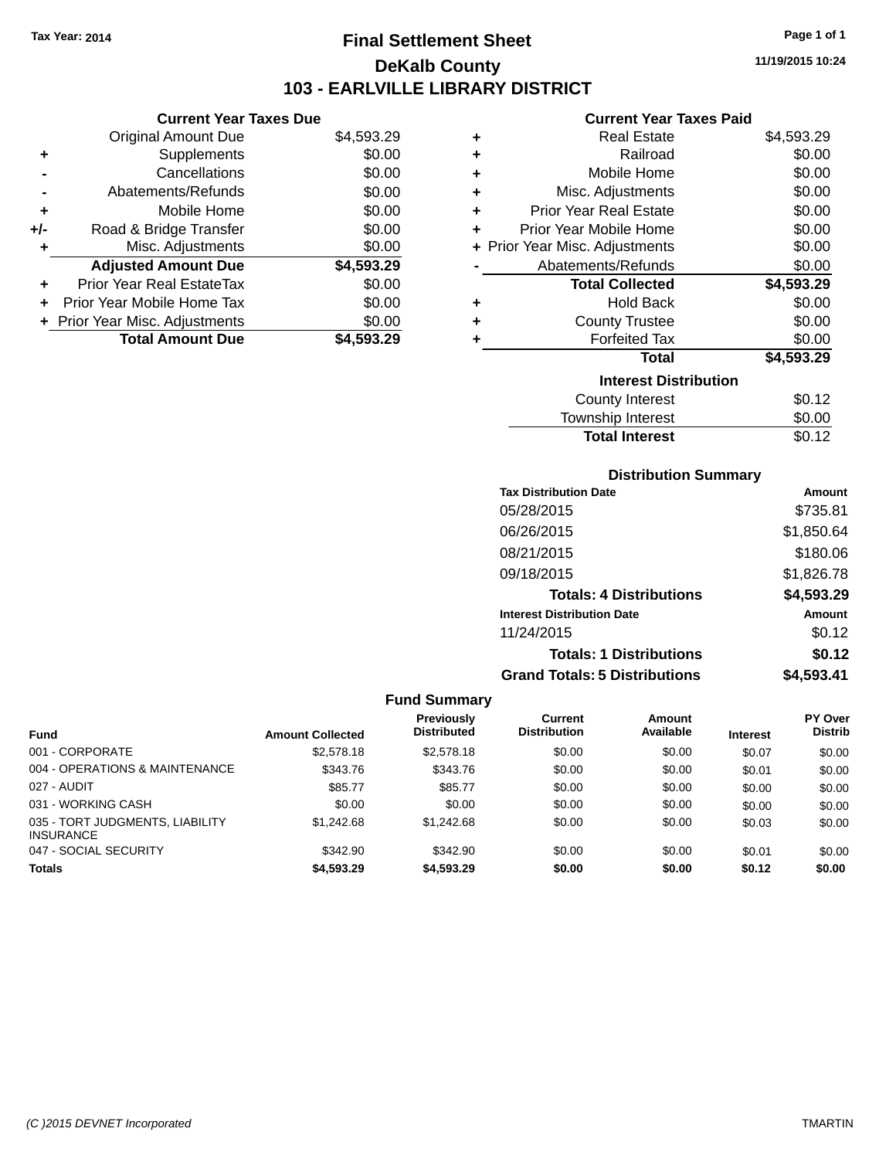# **Final Settlement Sheet Tax Year: 2014 Page 1 of 1 DeKalb County 103 - EARLVILLE LIBRARY DISTRICT**

**11/19/2015 10:24**

## **Current Year Taxes Paid**

|       | <b>UUITEIIL TEAL TAXES DUE</b>   |            |   | Gurrent Tear Taxes Falu        |            |
|-------|----------------------------------|------------|---|--------------------------------|------------|
|       | Original Amount Due              | \$4,593.29 | ٠ | <b>Real Estate</b>             | \$4,593.29 |
| ٠     | Supplements                      | \$0.00     | ٠ | Railroad                       | \$0.00     |
|       | Cancellations                    | \$0.00     | ٠ | Mobile Home                    | \$0.00     |
|       | Abatements/Refunds               | \$0.00     | ٠ | Misc. Adjustments              | \$0.00     |
| ٠     | Mobile Home                      | \$0.00     | ٠ | <b>Prior Year Real Estate</b>  | \$0.00     |
| I-    | Road & Bridge Transfer           | \$0.00     | ٠ | Prior Year Mobile Home         | \$0.00     |
| ٠     | Misc. Adjustments                | \$0.00     |   | + Prior Year Misc. Adjustments | \$0.00     |
|       | <b>Adjusted Amount Due</b>       | \$4,593.29 |   | Abatements/Refunds             | \$0.00     |
| ٠     | <b>Prior Year Real EstateTax</b> | \$0.00     |   | <b>Total Collected</b>         | \$4,593.29 |
| $\pm$ | Prior Year Mobile Home Tax       | \$0.00     | ٠ | <b>Hold Back</b>               | \$0.00     |
|       | + Prior Year Misc. Adjustments   | \$0.00     | ٠ | <b>County Trustee</b>          | \$0.00     |
|       | <b>Total Amount Due</b>          | \$4,593.29 |   | <b>Forfeited Tax</b>           | \$0.00     |
|       |                                  |            |   | Total                          | \$4,593.29 |
|       |                                  |            |   | <b>Interest Distribution</b>   |            |
|       |                                  |            |   | <b>County Interest</b>         | \$0.12     |
|       |                                  |            |   |                                |            |

| Township Interest     | \$0.00 |
|-----------------------|--------|
| <b>Total Interest</b> | \$0.12 |

## **Distribution Summary**

| <b>Tax Distribution Date</b>         | Amount     |
|--------------------------------------|------------|
| 05/28/2015                           | \$735.81   |
| 06/26/2015                           | \$1,850.64 |
| 08/21/2015                           | \$180.06   |
| 09/18/2015                           | \$1,826.78 |
| <b>Totals: 4 Distributions</b>       | \$4,593.29 |
| <b>Interest Distribution Date</b>    | Amount     |
| 11/24/2015                           | \$0.12     |
| <b>Totals: 1 Distributions</b>       | \$0.12     |
| <b>Grand Totals: 5 Distributions</b> | \$4,593.41 |

#### **Fund Summary**

| <b>Fund</b>                                         | <b>Amount Collected</b> | Previously<br>Distributed | Current<br><b>Distribution</b> | Amount<br>Available | <b>Interest</b> | <b>PY Over</b><br><b>Distrib</b> |
|-----------------------------------------------------|-------------------------|---------------------------|--------------------------------|---------------------|-----------------|----------------------------------|
| 001 - CORPORATE                                     | \$2,578.18              | \$2,578.18                | \$0.00                         | \$0.00              | \$0.07          | \$0.00                           |
| 004 - OPERATIONS & MAINTENANCE                      | \$343.76                | \$343.76                  | \$0.00                         | \$0.00              | \$0.01          | \$0.00                           |
| 027 - AUDIT                                         | \$85.77                 | \$85.77                   | \$0.00                         | \$0.00              | \$0.00          | \$0.00                           |
| 031 - WORKING CASH                                  | \$0.00                  | \$0.00                    | \$0.00                         | \$0.00              | \$0.00          | \$0.00                           |
| 035 - TORT JUDGMENTS, LIABILITY<br><b>INSURANCE</b> | \$1.242.68              | \$1,242.68                | \$0.00                         | \$0.00              | \$0.03          | \$0.00                           |
| 047 - SOCIAL SECURITY                               | \$342.90                | \$342.90                  | \$0.00                         | \$0.00              | \$0.01          | \$0.00                           |
| <b>Totals</b>                                       | \$4,593.29              | \$4,593,29                | \$0.00                         | \$0.00              | \$0.12          | \$0.00                           |

**Current Year Taxes Due**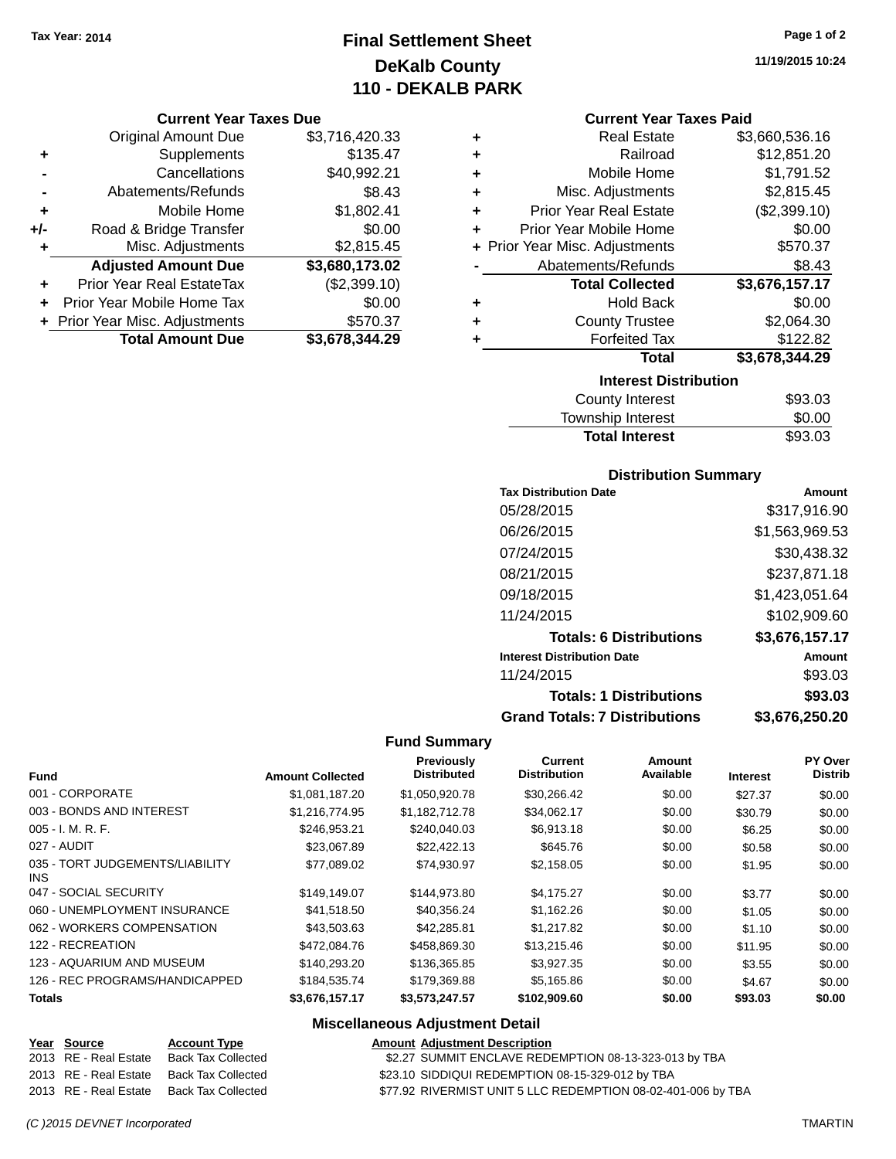# **Final Settlement Sheet Tax Year: 2014 Page 1 of 2 DeKalb County 110 - DEKALB PARK**

#### **Current Year Taxes Due**

|       | <b>Original Amount Due</b>       | \$3,716,420.33 |
|-------|----------------------------------|----------------|
| ٠     | Supplements                      | \$135.47       |
|       | Cancellations                    | \$40,992.21    |
|       | Abatements/Refunds               | \$8.43         |
| ÷     | Mobile Home                      | \$1,802.41     |
| $+/-$ | Road & Bridge Transfer           | \$0.00         |
| ٠     | Misc. Adjustments                | \$2,815.45     |
|       | <b>Adjusted Amount Due</b>       | \$3,680,173.02 |
|       | <b>Prior Year Real EstateTax</b> | (\$2,399.10)   |
|       | Prior Year Mobile Home Tax       | \$0.00         |
|       | + Prior Year Misc. Adjustments   | \$570.37       |
|       | <b>Total Amount Due</b>          | \$3,678,344.29 |

**11/19/2015 10:24**

### **Current Year Taxes Paid**

| ٠ | <b>Real Estate</b>             | \$3,660,536.16 |
|---|--------------------------------|----------------|
| ٠ | Railroad                       | \$12,851.20    |
| ٠ | Mobile Home                    | \$1,791.52     |
| ٠ | Misc. Adjustments              | \$2,815.45     |
| ٠ | <b>Prior Year Real Estate</b>  | (\$2,399.10)   |
| ٠ | Prior Year Mobile Home         | \$0.00         |
|   | + Prior Year Misc. Adjustments | \$570.37       |
|   | Abatements/Refunds             | \$8.43         |
|   | <b>Total Collected</b>         | \$3,676,157.17 |
| ٠ | <b>Hold Back</b>               | \$0.00         |
| ٠ | <b>County Trustee</b>          | \$2,064.30     |
| ٠ | <b>Forfeited Tax</b>           | \$122.82       |
|   | Total                          | \$3,678,344.29 |
|   | <b>Interest Distribution</b>   |                |
|   | County Interact                | ድስ? ሰ?         |

| <b>County Interest</b> | \$93.03 |
|------------------------|---------|
| Township Interest      | \$0.00  |
| <b>Total Interest</b>  | \$93.03 |

## **Distribution Summary**

| <b>Tax Distribution Date</b>         | Amount         |
|--------------------------------------|----------------|
| 05/28/2015                           | \$317,916.90   |
| 06/26/2015                           | \$1,563,969.53 |
| 07/24/2015                           | \$30,438.32    |
| 08/21/2015                           | \$237,871.18   |
| 09/18/2015                           | \$1,423,051.64 |
| 11/24/2015                           | \$102,909.60   |
| <b>Totals: 6 Distributions</b>       | \$3,676,157.17 |
| <b>Interest Distribution Date</b>    | Amount         |
| 11/24/2015                           | \$93.03        |
| <b>Totals: 1 Distributions</b>       | \$93.03        |
| <b>Grand Totals: 7 Distributions</b> | \$3.676.250.20 |

## **Fund Summary**

| <b>Fund</b>                                   | <b>Amount Collected</b> | Previously<br><b>Distributed</b> | Current<br><b>Distribution</b> | Amount<br>Available | <b>Interest</b> | PY Over<br><b>Distrib</b> |
|-----------------------------------------------|-------------------------|----------------------------------|--------------------------------|---------------------|-----------------|---------------------------|
| 001 - CORPORATE                               | \$1.081.187.20          | \$1,050,920.78                   | \$30,266.42                    | \$0.00              | \$27.37         | \$0.00                    |
| 003 - BONDS AND INTEREST                      | \$1,216,774.95          | \$1,182,712.78                   | \$34,062.17                    | \$0.00              | \$30.79         | \$0.00                    |
| $005 - I. M. R. F.$                           | \$246.953.21            | \$240,040.03                     | \$6,913.18                     | \$0.00              | \$6.25          | \$0.00                    |
| 027 - AUDIT                                   | \$23,067.89             | \$22,422.13                      | \$645.76                       | \$0.00              | \$0.58          | \$0.00                    |
| 035 - TORT JUDGEMENTS/LIABILITY<br><b>INS</b> | \$77.089.02             | \$74,930.97                      | \$2,158.05                     | \$0.00              | \$1.95          | \$0.00                    |
| 047 - SOCIAL SECURITY                         | \$149.149.07            | \$144,973.80                     | \$4,175.27                     | \$0.00              | \$3.77          | \$0.00                    |
| 060 - UNEMPLOYMENT INSURANCE                  | \$41,518.50             | \$40,356.24                      | \$1,162.26                     | \$0.00              | \$1.05          | \$0.00                    |
| 062 - WORKERS COMPENSATION                    | \$43,503,63             | \$42,285.81                      | \$1,217.82                     | \$0.00              | \$1.10          | \$0.00                    |
| 122 - RECREATION                              | \$472,084.76            | \$458,869.30                     | \$13,215.46                    | \$0.00              | \$11.95         | \$0.00                    |
| 123 - AQUARIUM AND MUSEUM                     | \$140,293,20            | \$136,365,85                     | \$3.927.35                     | \$0.00              | \$3.55          | \$0.00                    |
| 126 - REC PROGRAMS/HANDICAPPED                | \$184,535.74            | \$179.369.88                     | \$5,165.86                     | \$0.00              | \$4.67          | \$0.00                    |
| <b>Totals</b>                                 | \$3,676,157.17          | \$3,573,247.57                   | \$102,909.60                   | \$0.00              | \$93.03         | \$0.00                    |

| Year Source           | <b>Account Type</b> | <b>Amount Adiustment Description</b>                         |
|-----------------------|---------------------|--------------------------------------------------------------|
| 2013 RE - Real Estate | Back Tax Collected  | \$2.27 SUMMIT ENCLAVE REDEMPTION 08-13-323-013 by TBA        |
| 2013 RE - Real Estate | Back Tax Collected  | \$23.10 SIDDIQUI REDEMPTION 08-15-329-012 by TBA             |
| 2013 RE - Real Estate | Back Tax Collected  | \$77.92 RIVERMIST UNIT 5 LLC REDEMPTION 08-02-401-006 by TBA |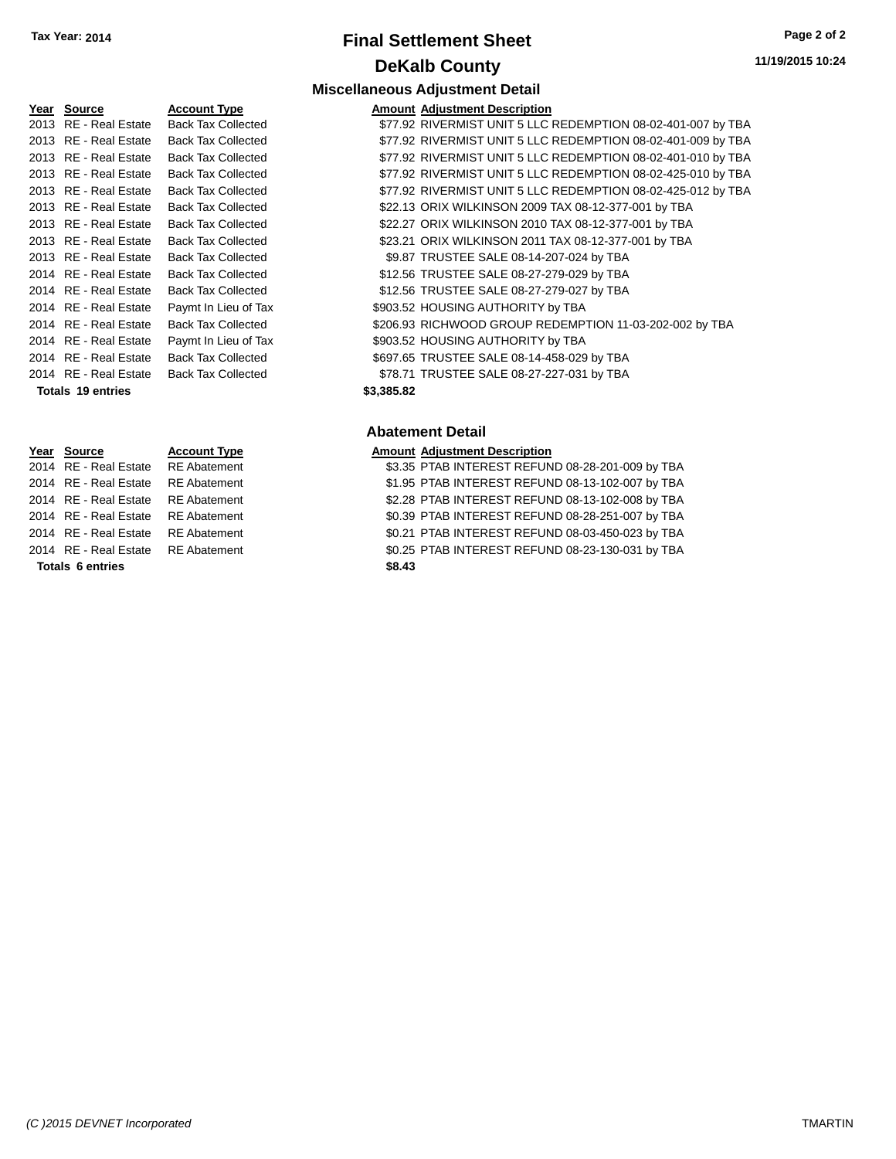# **Final Settlement Sheet Tax Year: 2014 Page 2 of 2 DeKalb County Miscellaneous Adjustment Detail**

| Yea <u>r</u> Source   | <b>Account Type</b>       | Amount     |
|-----------------------|---------------------------|------------|
| 2013 RE - Real Estate | <b>Back Tax Collected</b> | \$77.92    |
| 2013 RE - Real Estate | <b>Back Tax Collected</b> | \$77.92    |
| 2013 RE - Real Estate | <b>Back Tax Collected</b> | \$77.92    |
| 2013 RE - Real Estate | <b>Back Tax Collected</b> | \$77.92    |
| 2013 RE - Real Estate | <b>Back Tax Collected</b> | \$77.92    |
| 2013 RE - Real Estate | <b>Back Tax Collected</b> | \$22.13    |
| 2013 RE - Real Estate | <b>Back Tax Collected</b> | \$22.27    |
| 2013 RE - Real Estate | <b>Back Tax Collected</b> | \$23.21    |
| 2013 RE - Real Estate | <b>Back Tax Collected</b> | \$9.87     |
| 2014 RE - Real Estate | <b>Back Tax Collected</b> | \$12.56    |
| 2014 RE - Real Estate | <b>Back Tax Collected</b> | \$12.56    |
| 2014 RE - Real Estate | Paymt In Lieu of Tax      | \$903.52   |
| 2014 RE - Real Estate | <b>Back Tax Collected</b> | \$206.93   |
| 2014 RE - Real Estate | Paymt In Lieu of Tax      | \$903.52   |
| 2014 RE - Real Estate | <b>Back Tax Collected</b> | \$697.65   |
| 2014 RE - Real Estate | <b>Back Tax Collected</b> | \$78.71    |
| Totals 19 entries     |                           | \$3,385.82 |

|                 | 2014 RE Redi Esidie   |   |  |  |  |
|-----------------|-----------------------|---|--|--|--|
|                 | 2014 RE - Real Estate | F |  |  |  |
|                 | 2014 RE - Real Estate | F |  |  |  |
|                 | 2014 RE - Real Estate | F |  |  |  |
|                 | 2014 RE - Real Estate | F |  |  |  |
|                 | 2014 RE - Real Estate | F |  |  |  |
| Tatala Cantolas |                       |   |  |  |  |

2014 RE Abatement \$3.35 PTAB INTEREST REFUND 08:35 2014 RE Abatement **RE** 22 RE Abatement **RE** 2014 RE Abatement **30.39 PTAB INTEREST REFUND** 30 2014 RE Abatement **3.21 PTAB INTEREST REFUND** 3 2014 RE Abatement State \$1.25 PTAB INTEREST REFUND 08:25

**Totals 6 entries** \$8

| Year Source              | <b>Account Type</b>       |            | <b>Amount Adjustment Description</b>                         |
|--------------------------|---------------------------|------------|--------------------------------------------------------------|
| 2013 RE - Real Estate    | <b>Back Tax Collected</b> |            | \$77.92 RIVERMIST UNIT 5 LLC REDEMPTION 08-02-401-007 by TBA |
| 2013 RE - Real Estate    | <b>Back Tax Collected</b> |            | \$77.92 RIVERMIST UNIT 5 LLC REDEMPTION 08-02-401-009 by TBA |
| 2013 RE - Real Estate    | <b>Back Tax Collected</b> |            | \$77.92 RIVERMIST UNIT 5 LLC REDEMPTION 08-02-401-010 by TBA |
| 2013 RE - Real Estate    | <b>Back Tax Collected</b> |            | \$77.92 RIVERMIST UNIT 5 LLC REDEMPTION 08-02-425-010 by TBA |
| 2013 RE - Real Estate    | <b>Back Tax Collected</b> |            | \$77.92 RIVERMIST UNIT 5 LLC REDEMPTION 08-02-425-012 by TBA |
| 2013 RE - Real Estate    | <b>Back Tax Collected</b> |            | \$22.13 ORIX WILKINSON 2009 TAX 08-12-377-001 by TBA         |
| 2013 RE - Real Estate    | <b>Back Tax Collected</b> |            | \$22.27 ORIX WILKINSON 2010 TAX 08-12-377-001 by TBA         |
| 2013 RE - Real Estate    | <b>Back Tax Collected</b> |            | \$23.21 ORIX WILKINSON 2011 TAX 08-12-377-001 by TBA         |
| 2013 RE - Real Estate    | <b>Back Tax Collected</b> |            | \$9.87 TRUSTEE SALE 08-14-207-024 by TBA                     |
| 2014 RE - Real Estate    | <b>Back Tax Collected</b> |            | \$12.56 TRUSTEE SALE 08-27-279-029 by TBA                    |
| 2014 RE - Real Estate    | <b>Back Tax Collected</b> |            | \$12.56 TRUSTEE SALE 08-27-279-027 by TBA                    |
| 2014 RE - Real Estate    | Paymt In Lieu of Tax      |            | \$903.52 HOUSING AUTHORITY by TBA                            |
| 2014 RE - Real Estate    | <b>Back Tax Collected</b> |            | \$206.93 RICHWOOD GROUP REDEMPTION 11-03-202-002 by TBA      |
| 2014 RE - Real Estate    | Paymt In Lieu of Tax      |            | \$903.52 HOUSING AUTHORITY by TBA                            |
| 2014 RE - Real Estate    | <b>Back Tax Collected</b> |            | \$697.65 TRUSTEE SALE 08-14-458-029 by TBA                   |
| 2014 RE - Real Estate    | <b>Back Tax Collected</b> |            | \$78.71 TRUSTEE SALE 08-27-227-031 by TBA                    |
| <b>Totals 19 entries</b> |                           | \$3,385.82 |                                                              |

## **Abatement Detail**

# **Year Source Account Type Amount Adjustment Description**<br>2014 RE - Real Estate RE Abatement **Amount Adjustment Description**

|      | 3.35 PTAB INTEREST REFUND 08-28-201-009 by TBA |  |  |
|------|------------------------------------------------|--|--|
|      | 1.95 PTAB INTEREST REFUND 08-13-102-007 by TBA |  |  |
|      | 2.28 PTAB INTEREST REFUND 08-13-102-008 by TBA |  |  |
|      | 0.39 PTAB INTEREST REFUND 08-28-251-007 by TBA |  |  |
|      | 0.21 PTAB INTEREST REFUND 08-03-450-023 by TBA |  |  |
|      | 0.25 PTAB INTEREST REFUND 08-23-130-031 by TBA |  |  |
| 8.43 |                                                |  |  |
|      |                                                |  |  |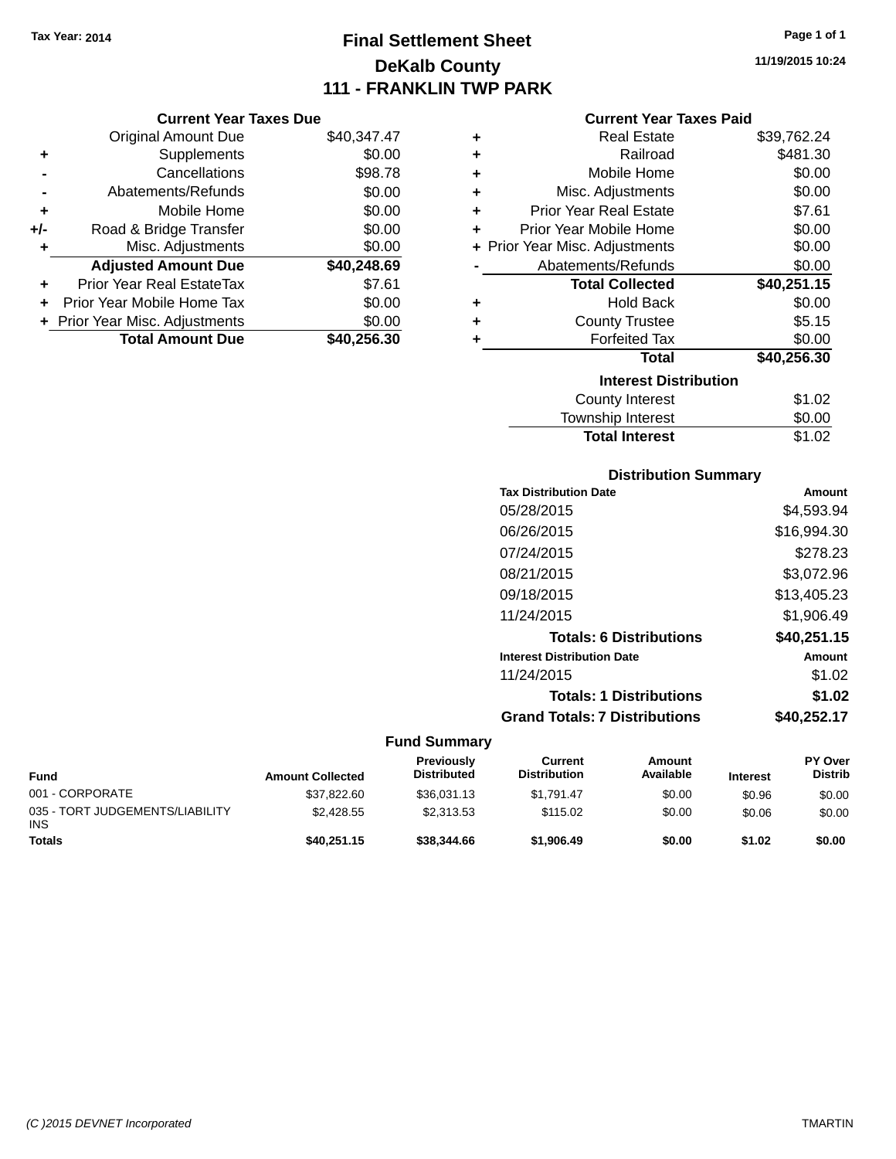**Current Year Taxes Due** Original Amount Due \$40,347.47

**Adjusted Amount Due \$40,248.69**

**Total Amount Due \$40,256.30**

**+** Supplements \$0.00 **-** Cancellations \$98.78 **-** Abatements/Refunds \$0.00 **+** Mobile Home \$0.00 **+/-** Road & Bridge Transfer \$0.00 **+** Misc. Adjustments \$0.00

**+** Prior Year Real EstateTax \$7.61 **+** Prior Year Mobile Home Tax \$0.00 **+ Prior Year Misc. Adjustments**  $$0.00$ 

# **Final Settlement Sheet Tax Year: 2014 Page 1 of 1 DeKalb County 111 - FRANKLIN TWP PARK**

**11/19/2015 10:24**

#### **Current Year Taxes Paid**

| ٠ | <b>Real Estate</b>             | \$39,762.24 |
|---|--------------------------------|-------------|
| ٠ | Railroad                       | \$481.30    |
| ٠ | Mobile Home                    | \$0.00      |
| ٠ | Misc. Adjustments              | \$0.00      |
| ٠ | <b>Prior Year Real Estate</b>  | \$7.61      |
| ٠ | Prior Year Mobile Home         | \$0.00      |
|   | + Prior Year Misc. Adjustments | \$0.00      |
|   | Abatements/Refunds             | \$0.00      |
|   | <b>Total Collected</b>         | \$40,251.15 |
| ٠ | <b>Hold Back</b>               | \$0.00      |
| ٠ | <b>County Trustee</b>          | \$5.15      |
| ٠ | <b>Forfeited Tax</b>           | \$0.00      |
|   | <b>Total</b>                   | \$40,256.30 |
|   | <b>Interest Distribution</b>   |             |
|   | <b>County Interest</b>         | \$1.02      |
|   | Townshin Interest              | SO 00       |

# County Interest \$1.02 Township Interest  $$0.00$ Total Interest \$1.02

## **Distribution Summary**

| <b>Tax Distribution Date</b>         | Amount      |
|--------------------------------------|-------------|
| 05/28/2015                           | \$4,593.94  |
| 06/26/2015                           | \$16,994.30 |
| 07/24/2015                           | \$278.23    |
| 08/21/2015                           | \$3,072.96  |
| 09/18/2015                           | \$13,405.23 |
| 11/24/2015                           | \$1,906.49  |
| <b>Totals: 6 Distributions</b>       | \$40,251.15 |
| <b>Interest Distribution Date</b>    | Amount      |
| 11/24/2015                           | \$1.02      |
| <b>Totals: 1 Distributions</b>       | \$1.02      |
| <b>Grand Totals: 7 Distributions</b> | \$40,252.17 |

| Fund                                          | <b>Amount Collected</b> | <b>Previously</b><br><b>Distributed</b> | Current<br><b>Distribution</b> | Amount<br>Available | <b>Interest</b> | PY Over<br><b>Distrib</b> |
|-----------------------------------------------|-------------------------|-----------------------------------------|--------------------------------|---------------------|-----------------|---------------------------|
| 001 - CORPORATE                               | \$37,822.60             | \$36.031.13                             | \$1.791.47                     | \$0.00              | \$0.96          | \$0.00                    |
| 035 - TORT JUDGEMENTS/LIABILITY<br><b>INS</b> | \$2,428.55              | \$2.313.53                              | \$115.02                       | \$0.00              | \$0.06          | \$0.00                    |
| <b>Totals</b>                                 | \$40.251.15             | \$38,344.66                             | \$1,906.49                     | \$0.00              | \$1.02          | \$0.00                    |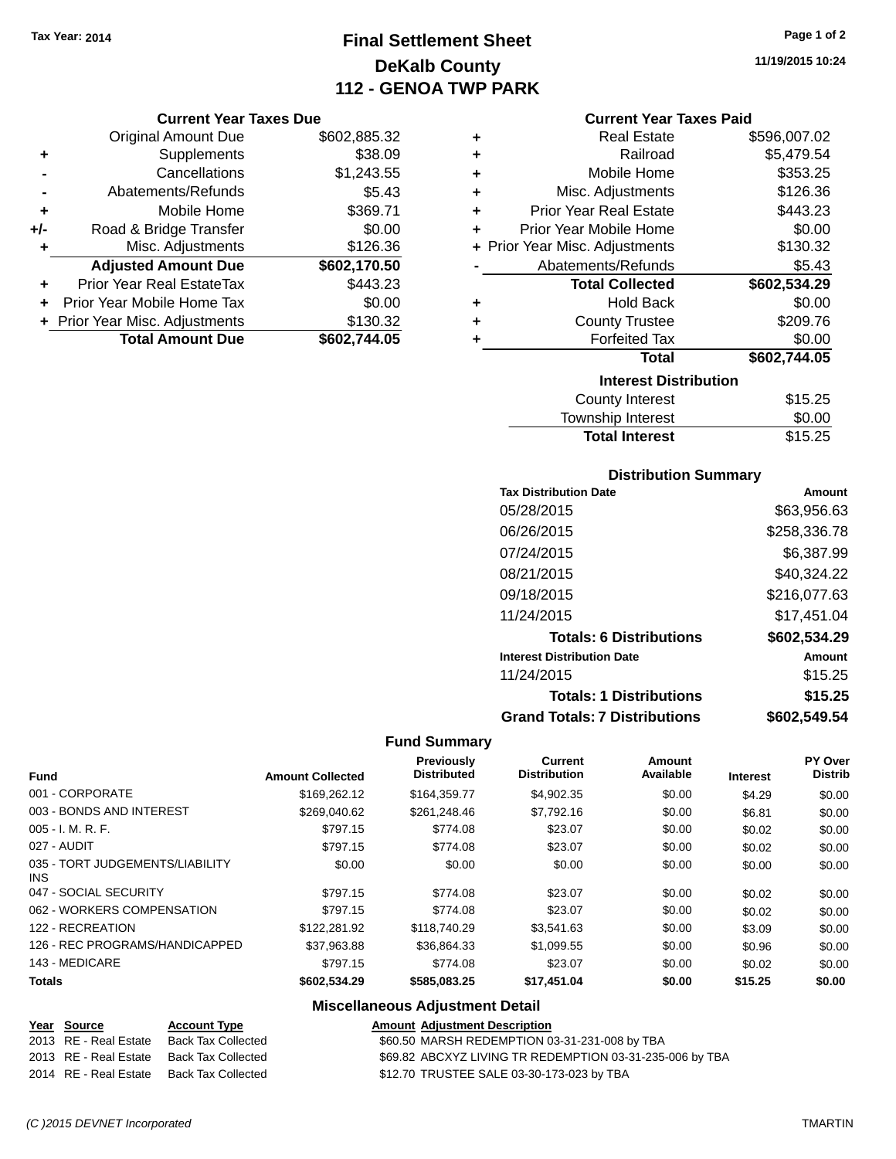# **Final Settlement Sheet Tax Year: 2014 Page 1 of 2 DeKalb County 112 - GENOA TWP PARK**

## **Current Year Taxes Due**

|     | <b>Original Amount Due</b>       | \$602,885.32 |
|-----|----------------------------------|--------------|
| ٠   | Supplements                      | \$38.09      |
|     | Cancellations                    | \$1,243.55   |
|     | Abatements/Refunds               | \$5.43       |
| ٠   | Mobile Home                      | \$369.71     |
| +/- | Road & Bridge Transfer           | \$0.00       |
| ٠   | Misc. Adjustments                | \$126.36     |
|     | <b>Adjusted Amount Due</b>       | \$602,170.50 |
|     | <b>Prior Year Real EstateTax</b> | \$443.23     |
|     | Prior Year Mobile Home Tax       | \$0.00       |
|     | + Prior Year Misc. Adjustments   | \$130.32     |
|     | <b>Total Amount Due</b>          | \$602,744.05 |

| ٠ | <b>Real Estate</b>             | \$596,007.02 |
|---|--------------------------------|--------------|
| ٠ | Railroad                       | \$5,479.54   |
| ٠ | Mobile Home                    | \$353.25     |
| ٠ | Misc. Adjustments              | \$126.36     |
| ÷ | <b>Prior Year Real Estate</b>  | \$443.23     |
| ٠ | Prior Year Mobile Home         | \$0.00       |
|   | + Prior Year Misc. Adjustments | \$130.32     |
|   | Abatements/Refunds             | \$5.43       |
|   | <b>Total Collected</b>         | \$602,534.29 |
| ٠ | <b>Hold Back</b>               | \$0.00       |
| ٠ | <b>County Trustee</b>          | \$209.76     |
| ٠ | <b>Forfeited Tax</b>           | \$0.00       |
|   | Total                          | \$602,744.05 |
|   | <b>Interest Distribution</b>   |              |
|   | <b>County Interest</b>         | \$15.25      |
|   | المستحقين الماما والمستنددة    | ጦጣ ጣጣ        |

| <b>Total Interest</b> | \$15.25 |
|-----------------------|---------|
| Township Interest     | \$0.00  |
| County Interest       | \$15.25 |

## **Distribution Summary**

| <b>Tax Distribution Date</b>         | Amount       |
|--------------------------------------|--------------|
| 05/28/2015                           | \$63.956.63  |
| 06/26/2015                           | \$258,336.78 |
| 07/24/2015                           | \$6.387.99   |
| 08/21/2015                           | \$40.324.22  |
| 09/18/2015                           | \$216,077.63 |
| 11/24/2015                           | \$17.451.04  |
| <b>Totals: 6 Distributions</b>       | \$602,534.29 |
| <b>Interest Distribution Date</b>    | Amount       |
| 11/24/2015                           | \$15.25      |
| <b>Totals: 1 Distributions</b>       | \$15.25      |
| <b>Grand Totals: 7 Distributions</b> | \$602,549.54 |

# **Fund Summary**

| <b>Fund</b>                             | <b>Amount Collected</b> | Previously<br><b>Distributed</b> | <b>Current</b><br><b>Distribution</b> | <b>Amount</b><br>Available | <b>Interest</b> | PY Over<br><b>Distrib</b> |
|-----------------------------------------|-------------------------|----------------------------------|---------------------------------------|----------------------------|-----------------|---------------------------|
| 001 - CORPORATE                         | \$169,262.12            | \$164,359,77                     | \$4,902.35                            | \$0.00                     | \$4.29          | \$0.00                    |
| 003 - BONDS AND INTEREST                | \$269.040.62            | \$261.248.46                     | \$7,792.16                            | \$0.00                     | \$6.81          | \$0.00                    |
| $005 - I. M. R. F.$                     | \$797.15                | \$774.08                         | \$23.07                               | \$0.00                     | \$0.02          | \$0.00                    |
| 027 - AUDIT                             | \$797.15                | \$774.08                         | \$23.07                               | \$0.00                     | \$0.02          | \$0.00                    |
| 035 - TORT JUDGEMENTS/LIABILITY<br>INS. | \$0.00                  | \$0.00                           | \$0.00                                | \$0.00                     | \$0.00          | \$0.00                    |
| 047 - SOCIAL SECURITY                   | \$797.15                | \$774.08                         | \$23.07                               | \$0.00                     | \$0.02          | \$0.00                    |
| 062 - WORKERS COMPENSATION              | \$797.15                | \$774.08                         | \$23.07                               | \$0.00                     | \$0.02          | \$0.00                    |
| 122 - RECREATION                        | \$122.281.92            | \$118,740.29                     | \$3.541.63                            | \$0.00                     | \$3.09          | \$0.00                    |
| 126 - REC PROGRAMS/HANDICAPPED          | \$37.963.88             | \$36.864.33                      | \$1.099.55                            | \$0.00                     | \$0.96          | \$0.00                    |
| 143 - MEDICARE                          | \$797.15                | \$774.08                         | \$23.07                               | \$0.00                     | \$0.02          | \$0.00                    |
| <b>Totals</b>                           | \$602,534.29            | \$585,083.25                     | \$17,451.04                           | \$0.00                     | \$15.25         | \$0.00                    |

| Year Source           | <b>Account Type</b>                      | <b>Amount Adjustment Description</b>                     |
|-----------------------|------------------------------------------|----------------------------------------------------------|
| 2013 RE - Real Estate | Back Tax Collected                       | \$60.50 MARSH REDEMPTION 03-31-231-008 by TBA            |
|                       | 2013 RE - Real Estate Back Tax Collected | \$69.82 ABCXYZ LIVING TR REDEMPTION 03-31-235-006 by TBA |
| 2014 RE - Real Estate | Back Tax Collected                       | \$12.70 TRUSTEE SALE 03-30-173-023 by TBA                |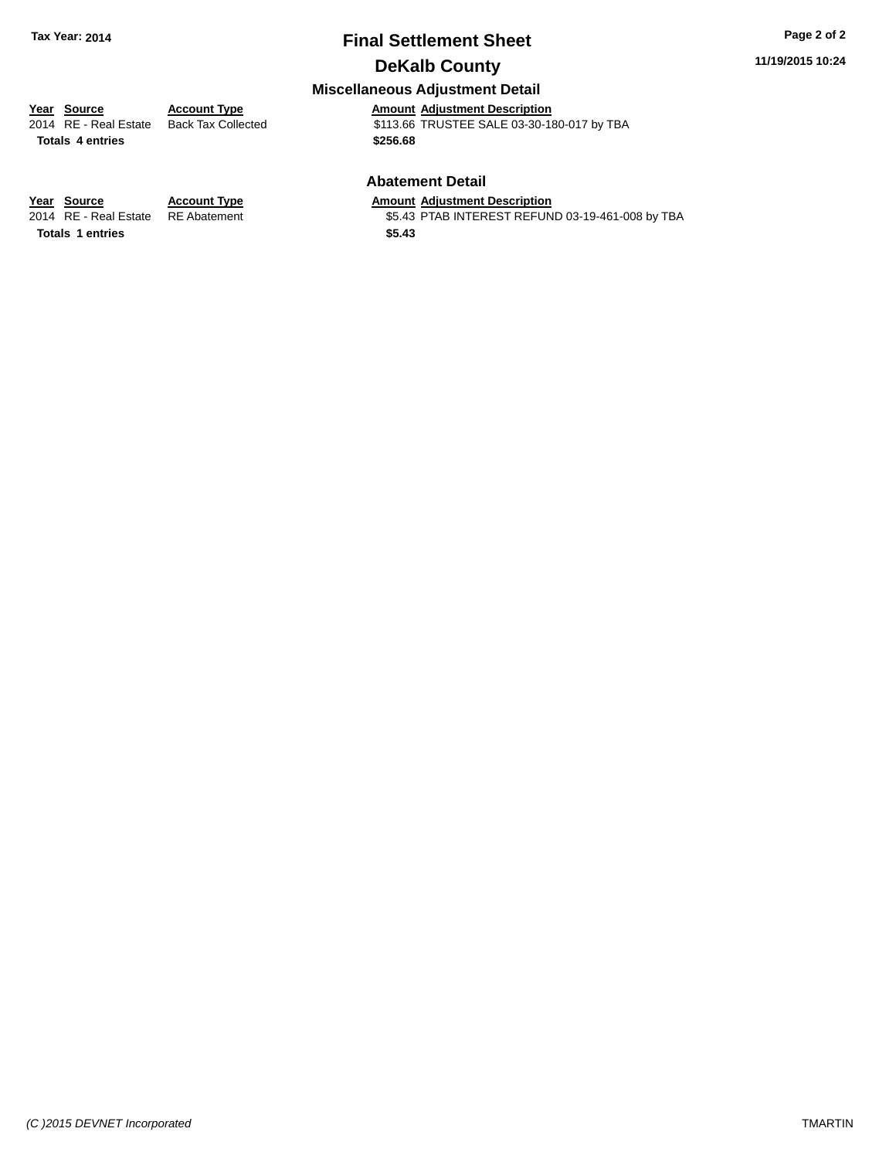# **Final Settlement Sheet Tax Year: 2014 Page 2 of 2**

# **DeKalb County**

# **11/19/2015 10:24**

## **Miscellaneous Adjustment Detail**

**Year Source Account Type Amount Adjustment Description** \$113.66 TRUSTEE SALE 03-30-180-017 by TBA **Totals \$256.68 4 entries**

#### **Abatement Detail**

\$5.43 PTAB INTEREST REFUND 03-19-461-008 by TBA

**Year Source Account Type Amount Adjustment Description**<br>2014 RE - Real Estate RE Abatement **Amount Adjustment Description Totals \$5.43 1 entries**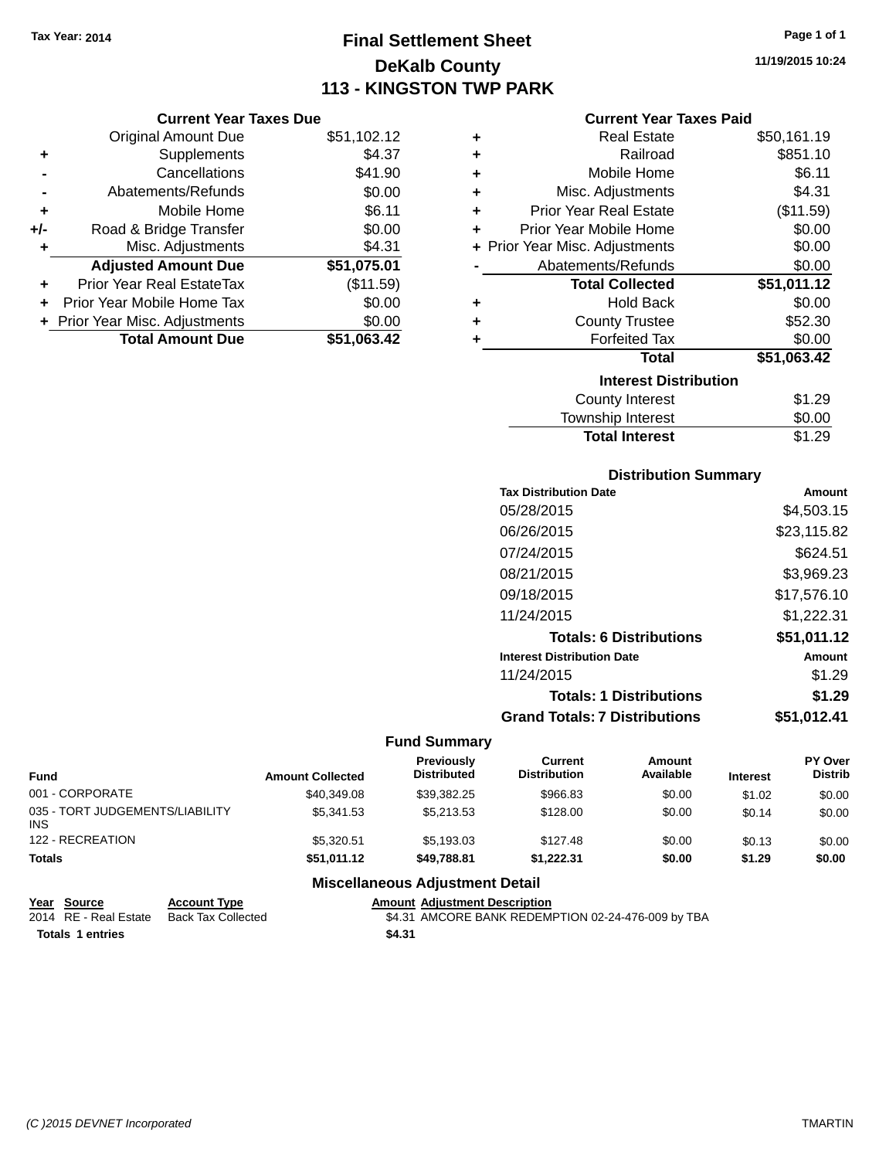**Current Year Taxes Due**

# **Final Settlement Sheet Tax Year: 2014 Page 1 of 1 DeKalb County 113 - KINGSTON TWP PARK**

**11/19/2015 10:24**

### **Current Year Taxes Paid**

|                      | <b>Original Amount Due</b>     | \$51,102.12 | ٠ | <b>Real Estate</b>             | \$50,161.19 |
|----------------------|--------------------------------|-------------|---|--------------------------------|-------------|
| ÷                    | Supplements                    | \$4.37      | ٠ | Railroad                       | \$851.10    |
| $\blacksquare$       | Cancellations                  | \$41.90     | ٠ | Mobile Home                    | \$6.11      |
|                      | Abatements/Refunds             | \$0.00      | ٠ | Misc. Adjustments              | \$4.31      |
| ٠                    | Mobile Home                    | \$6.11      | ٠ | <b>Prior Year Real Estate</b>  | (\$11.59)   |
| J-                   | Road & Bridge Transfer         | \$0.00      | ٠ | Prior Year Mobile Home         | \$0.00      |
| ٠                    | Misc. Adjustments              | \$4.31      |   | + Prior Year Misc. Adjustments | \$0.00      |
|                      | <b>Adjusted Amount Due</b>     | \$51,075.01 |   | Abatements/Refunds             | \$0.00      |
| $\ddot{\phantom{1}}$ | Prior Year Real EstateTax      | (\$11.59)   |   | <b>Total Collected</b>         | \$51,011.12 |
|                      | + Prior Year Mobile Home Tax   | \$0.00      | ٠ | <b>Hold Back</b>               | \$0.00      |
|                      | + Prior Year Misc. Adjustments | \$0.00      | ٠ | <b>County Trustee</b>          | \$52.30     |
|                      | <b>Total Amount Due</b>        | \$51,063.42 |   | <b>Forfeited Tax</b>           | \$0.00      |
|                      |                                |             |   | Total                          | \$51,063.42 |
|                      |                                |             |   | <b>Interest Distribution</b>   |             |
|                      |                                |             |   | <b>County Interest</b>         | \$1.29      |
|                      |                                |             |   |                                |             |

# $$1.29$ Township Interest \$0.00 Total Interest \$1.29

## **Distribution Summary**

| <b>Tax Distribution Date</b>         | Amount      |
|--------------------------------------|-------------|
| 05/28/2015                           | \$4,503.15  |
| 06/26/2015                           | \$23,115.82 |
| 07/24/2015                           | \$624.51    |
| 08/21/2015                           | \$3,969.23  |
| 09/18/2015                           | \$17,576.10 |
| 11/24/2015                           | \$1,222.31  |
| <b>Totals: 6 Distributions</b>       | \$51,011.12 |
| <b>Interest Distribution Date</b>    | Amount      |
| 11/24/2015                           | \$1.29      |
| <b>Totals: 1 Distributions</b>       | \$1.29      |
| <b>Grand Totals: 7 Distributions</b> | \$51,012.41 |

#### **Fund Summary**

| Fund                                    | <b>Amount Collected</b> | Previously<br><b>Distributed</b> | Current<br><b>Distribution</b> | Amount<br>Available | <b>Interest</b> | PY Over<br><b>Distrib</b> |
|-----------------------------------------|-------------------------|----------------------------------|--------------------------------|---------------------|-----------------|---------------------------|
| 001 - CORPORATE                         | \$40,349.08             | \$39.382.25                      | \$966.83                       | \$0.00              | \$1.02          | \$0.00                    |
| 035 - TORT JUDGEMENTS/LIABILITY<br>INS. | \$5,341,53              | \$5,213,53                       | \$128.00                       | \$0.00              | \$0.14          | \$0.00                    |
| 122 - RECREATION                        | \$5.320.51              | \$5.193.03                       | \$127.48                       | \$0.00              | \$0.13          | \$0.00                    |
| <b>Totals</b>                           | \$51.011.12             | \$49.788.81                      | \$1.222.31                     | \$0.00              | \$1.29          | \$0.00                    |

| Year Source             | <b>Account Type</b>                      |        | <b>Amount Adiustment Description</b>               |
|-------------------------|------------------------------------------|--------|----------------------------------------------------|
|                         | 2014 RE - Real Estate Back Tax Collected |        | \$4.31 AMCORE BANK REDEMPTION 02-24-476-009 by TBA |
| <b>Totals 1 entries</b> |                                          | \$4.31 |                                                    |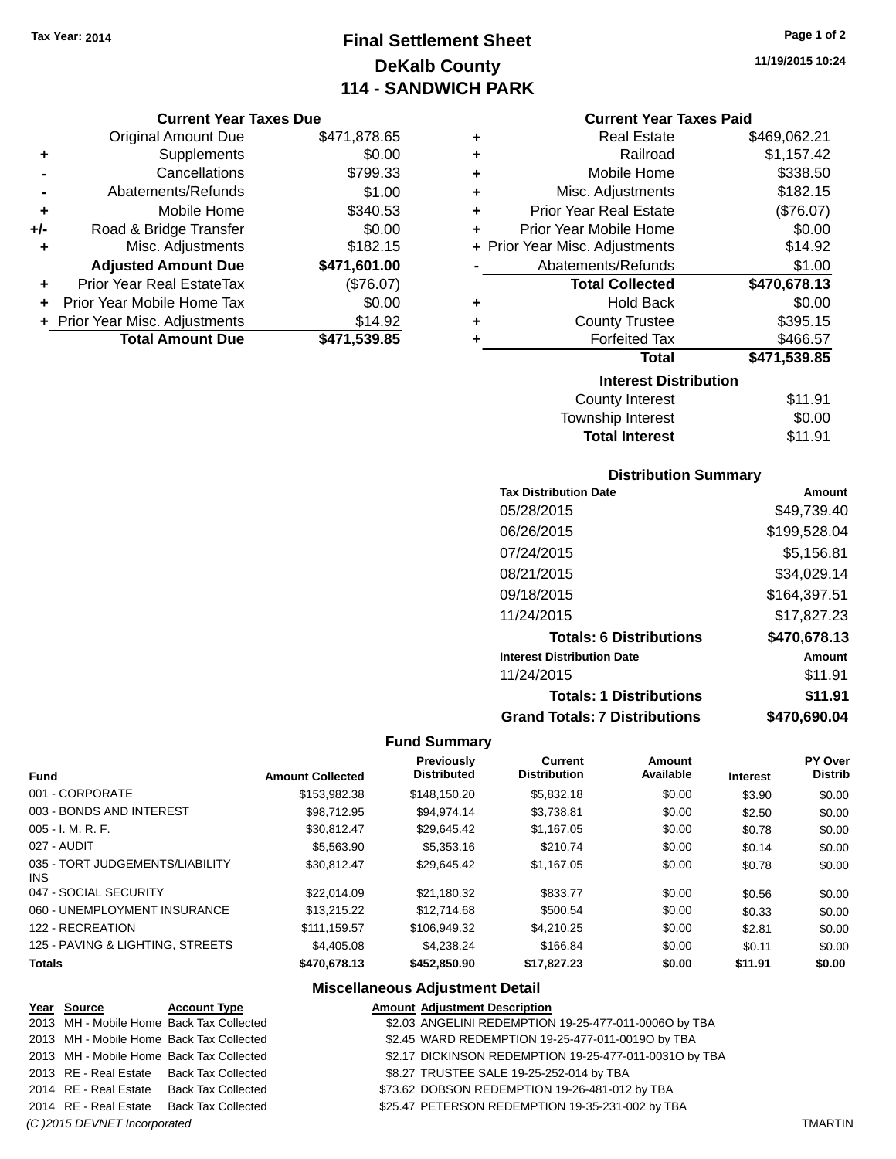# **Final Settlement Sheet Tax Year: 2014 Page 1 of 2 DeKalb County 114 - SANDWICH PARK**

#### **Current Year Taxes Due**

|       | <b>Original Amount Due</b>       | \$471,878.65 |
|-------|----------------------------------|--------------|
| ٠     | Supplements                      | \$0.00       |
|       | Cancellations                    | \$799.33     |
|       | Abatements/Refunds               | \$1.00       |
| ÷     | Mobile Home                      | \$340.53     |
| $+/-$ | Road & Bridge Transfer           | \$0.00       |
| ٠     | Misc. Adjustments                | \$182.15     |
|       | <b>Adjusted Amount Due</b>       | \$471,601.00 |
|       | <b>Prior Year Real EstateTax</b> | (\$76.07)    |
|       | Prior Year Mobile Home Tax       | \$0.00       |
|       | + Prior Year Misc. Adjustments   | \$14.92      |
|       | <b>Total Amount Due</b>          | \$471,539.85 |

| ٠ | <b>Real Estate</b>             | \$469,062.21 |
|---|--------------------------------|--------------|
| ÷ | Railroad                       | \$1,157.42   |
| ÷ | Mobile Home                    | \$338.50     |
| ٠ | Misc. Adjustments              | \$182.15     |
| ٠ | <b>Prior Year Real Estate</b>  | (\$76.07)    |
| ÷ | Prior Year Mobile Home         | \$0.00       |
|   | + Prior Year Misc. Adjustments | \$14.92      |
|   | Abatements/Refunds             | \$1.00       |
|   | <b>Total Collected</b>         | \$470,678.13 |
| ٠ | Hold Back                      | \$0.00       |
| ÷ | <b>County Trustee</b>          | \$395.15     |
| ٠ | <b>Forfeited Tax</b>           | \$466.57     |
|   | <b>Total</b>                   | \$471,539.85 |
|   | <b>Interest Distribution</b>   |              |
|   | <b>County Interest</b>         | \$11.91      |
|   | <b>Township Interest</b>       | \$0.00       |
|   | <b>Total Interest</b>          | \$11.91      |

## **Distribution Summary**

| <b>Tax Distribution Date</b>         | Amount       |
|--------------------------------------|--------------|
| 05/28/2015                           | \$49.739.40  |
| 06/26/2015                           | \$199,528.04 |
| 07/24/2015                           | \$5,156.81   |
| 08/21/2015                           | \$34,029.14  |
| 09/18/2015                           | \$164,397.51 |
| 11/24/2015                           | \$17.827.23  |
| <b>Totals: 6 Distributions</b>       | \$470,678.13 |
| <b>Interest Distribution Date</b>    | Amount       |
| 11/24/2015                           | \$11.91      |
| <b>Totals: 1 Distributions</b>       | \$11.91      |
| <b>Grand Totals: 7 Distributions</b> | \$470.690.04 |

## **Fund Summary**

| <b>Fund</b>                             | <b>Amount Collected</b> | <b>Previously</b><br><b>Distributed</b> | Current<br><b>Distribution</b> | Amount<br>Available | <b>Interest</b> | <b>PY Over</b><br><b>Distrib</b> |
|-----------------------------------------|-------------------------|-----------------------------------------|--------------------------------|---------------------|-----------------|----------------------------------|
| 001 - CORPORATE                         | \$153,982.38            | \$148.150.20                            | \$5,832.18                     | \$0.00              | \$3.90          | \$0.00                           |
| 003 - BONDS AND INTEREST                | \$98.712.95             | \$94.974.14                             | \$3,738.81                     | \$0.00              | \$2.50          | \$0.00                           |
| $005 - I. M. R. F.$                     | \$30.812.47             | \$29.645.42                             | \$1.167.05                     | \$0.00              | \$0.78          | \$0.00                           |
| 027 - AUDIT                             | \$5,563.90              | \$5,353.16                              | \$210.74                       | \$0.00              | \$0.14          | \$0.00                           |
| 035 - TORT JUDGEMENTS/LIABILITY<br>INS. | \$30.812.47             | \$29.645.42                             | \$1.167.05                     | \$0.00              | \$0.78          | \$0.00                           |
| 047 - SOCIAL SECURITY                   | \$22,014.09             | \$21,180.32                             | \$833.77                       | \$0.00              | \$0.56          | \$0.00                           |
| 060 - UNEMPLOYMENT INSURANCE            | \$13,215,22             | \$12,714.68                             | \$500.54                       | \$0.00              | \$0.33          | \$0.00                           |
| 122 - RECREATION                        | \$111.159.57            | \$106,949.32                            | \$4,210.25                     | \$0.00              | \$2.81          | \$0.00                           |
| 125 - PAVING & LIGHTING, STREETS        | \$4,405.08              | \$4.238.24                              | \$166.84                       | \$0.00              | \$0.11          | \$0.00                           |
| <b>Totals</b>                           | \$470,678.13            | \$452,850.90                            | \$17,827.23                    | \$0.00              | \$11.91         | \$0.00                           |

# **Miscellaneous Adjustment Detail**

| Year Source                  | <b>Account Type</b>                      | <b>Amount Adjustment Description</b>                   |                |
|------------------------------|------------------------------------------|--------------------------------------------------------|----------------|
|                              | 2013 MH - Mobile Home Back Tax Collected | \$2.03 ANGELINI REDEMPTION 19-25-477-011-0006O by TBA  |                |
|                              | 2013 MH - Mobile Home Back Tax Collected | \$2.45 WARD REDEMPTION 19-25-477-011-0019O by TBA      |                |
|                              | 2013 MH - Mobile Home Back Tax Collected | \$2.17 DICKINSON REDEMPTION 19-25-477-011-0031O by TBA |                |
|                              | 2013 RE - Real Estate Back Tax Collected | \$8.27 TRUSTEE SALE 19-25-252-014 by TBA               |                |
|                              | 2014 RE - Real Estate Back Tax Collected | \$73.62 DOBSON REDEMPTION 19-26-481-012 by TBA         |                |
|                              | 2014 RE - Real Estate Back Tax Collected | \$25.47 PETERSON REDEMPTION 19-35-231-002 by TBA       |                |
| (C) 2015 DEVNET Incorporated |                                          |                                                        | <b>TMARTIN</b> |

**11/19/2015 10:24**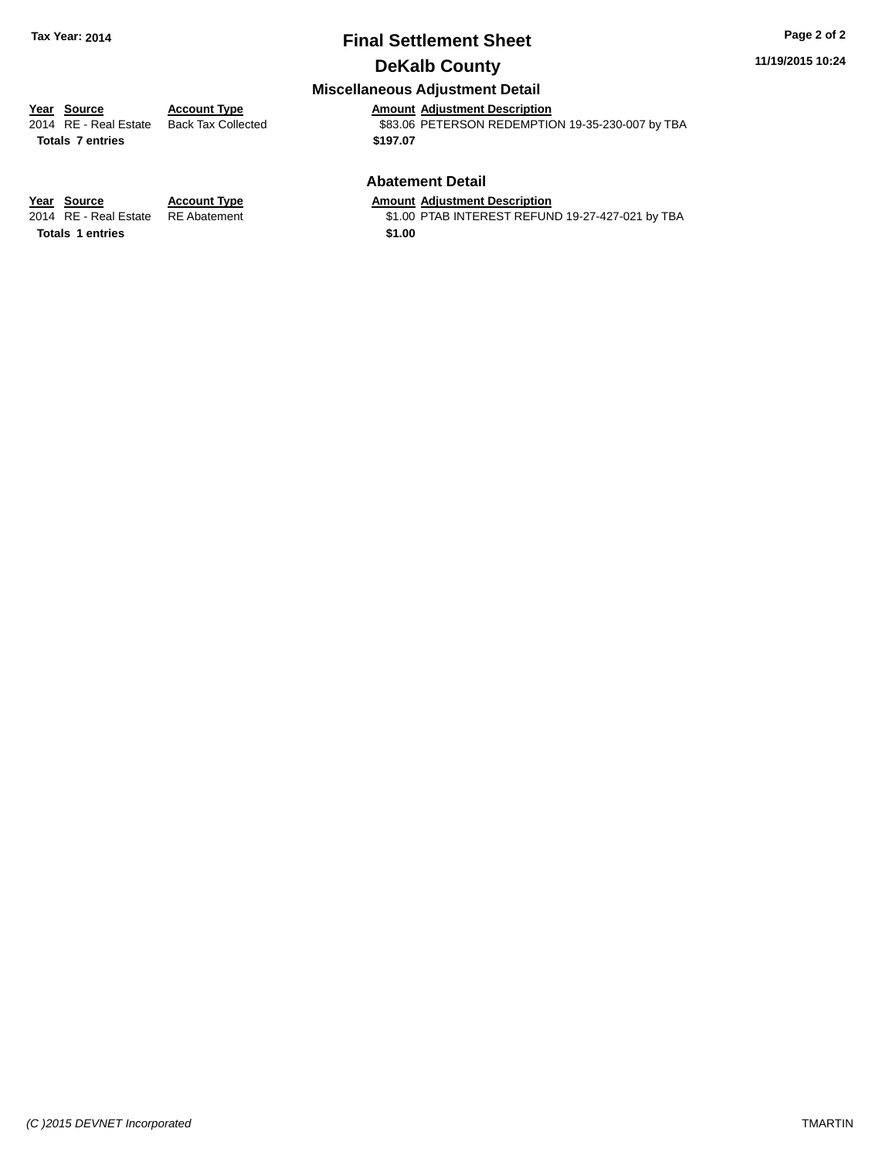# **Final Settlement Sheet Tax Year: 2014 Page 2 of 2**

# **DeKalb County**

## **Miscellaneous Adjustment Detail**

**Totals \$197.07 7 entries**

**Year Source Account Type Amount Adjustment Description** \$83.06 PETERSON REDEMPTION 19-35-230-007 by TBA

## **Abatement Detail**

\$1.00 PTAB INTEREST REFUND 19-27-427-021 by TBA

**Year Source Account Type Amount Adjustment Description**<br>2014 RE - Real Estate RE Abatement \$1.00 PTAB INTEREST REFUN **Totals 1 entries** \$1.00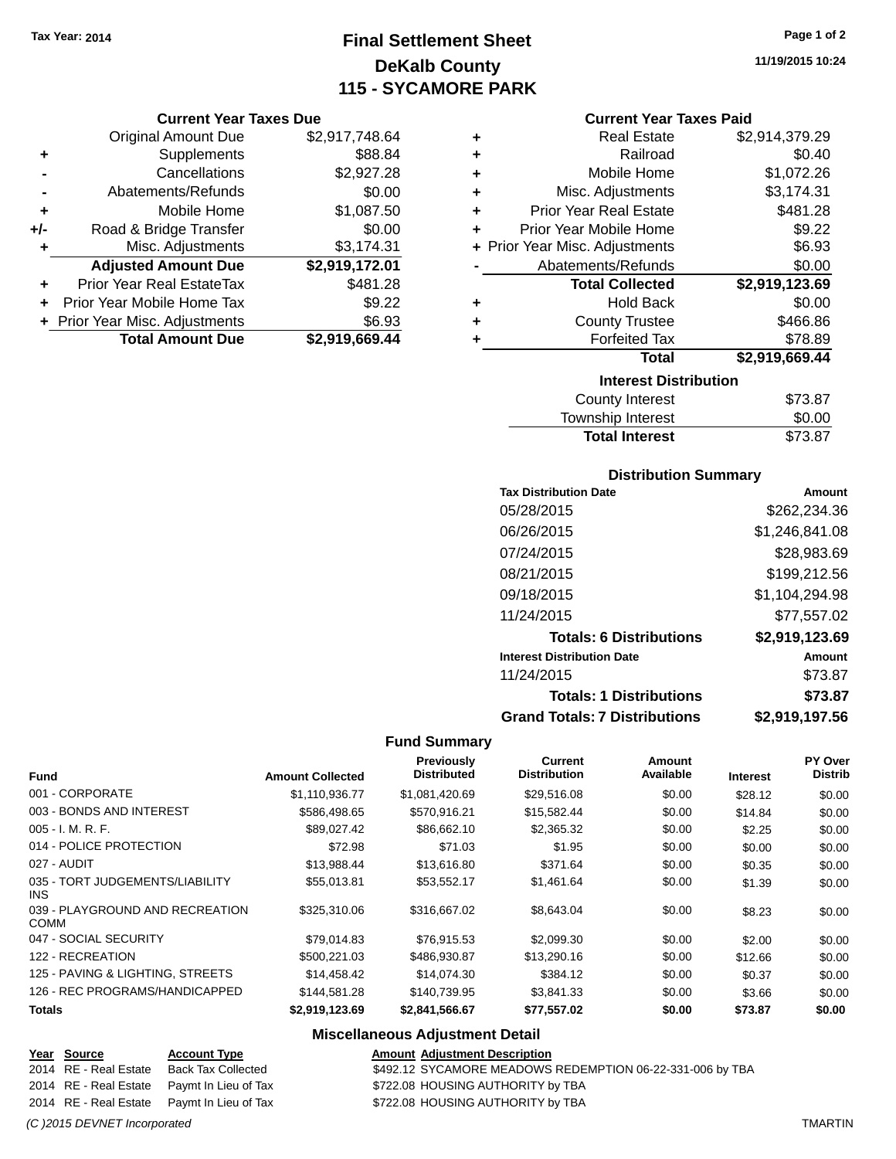# **Final Settlement Sheet Tax Year: 2014 Page 1 of 2 DeKalb County 115 - SYCAMORE PARK**

## **Current Year Taxes Due**

|     | <b>Original Amount Due</b>       | \$2,917,748.64 |
|-----|----------------------------------|----------------|
| ٠   | Supplements                      | \$88.84        |
|     | Cancellations                    | \$2,927.28     |
|     | Abatements/Refunds               | \$0.00         |
| ٠   | Mobile Home                      | \$1,087.50     |
| +/- | Road & Bridge Transfer           | \$0.00         |
| ٠   | Misc. Adjustments                | \$3,174.31     |
|     | <b>Adjusted Amount Due</b>       | \$2,919,172.01 |
|     | <b>Prior Year Real EstateTax</b> | \$481.28       |
|     | Prior Year Mobile Home Tax       | \$9.22         |
|     | + Prior Year Misc. Adjustments   | \$6.93         |
|     | <b>Total Amount Due</b>          | \$2,919,669.44 |

| ٠ | <b>Real Estate</b>             | \$2,914,379.29 |  |  |  |  |
|---|--------------------------------|----------------|--|--|--|--|
| ٠ | Railroad                       | \$0.40         |  |  |  |  |
| ٠ | Mobile Home                    | \$1,072.26     |  |  |  |  |
| ٠ | Misc. Adjustments              | \$3,174.31     |  |  |  |  |
| ٠ | <b>Prior Year Real Estate</b>  | \$481.28       |  |  |  |  |
| ٠ | Prior Year Mobile Home         | \$9.22         |  |  |  |  |
|   | + Prior Year Misc. Adjustments | \$6.93         |  |  |  |  |
|   | Abatements/Refunds             | \$0.00         |  |  |  |  |
|   | <b>Total Collected</b>         | \$2,919,123.69 |  |  |  |  |
| ٠ | <b>Hold Back</b>               | \$0.00         |  |  |  |  |
| ٠ | <b>County Trustee</b>          | \$466.86       |  |  |  |  |
| ٠ | <b>Forfeited Tax</b>           | \$78.89        |  |  |  |  |
|   | Total                          | \$2,919,669.44 |  |  |  |  |
|   | <b>Interest Distribution</b>   |                |  |  |  |  |
|   |                                | \$73.87        |  |  |  |  |

| <b>Total Interest</b> | \$73.87        |
|-----------------------|----------------|
| Township Interest     | \$0.00         |
| County Interest       | <b>\$73.87</b> |

## **Distribution Summary**

| <b>Tax Distribution Date</b>         | Amount         |
|--------------------------------------|----------------|
| 05/28/2015                           | \$262.234.36   |
| 06/26/2015                           | \$1,246,841.08 |
| 07/24/2015                           | \$28,983.69    |
| 08/21/2015                           | \$199,212.56   |
| 09/18/2015                           | \$1,104,294.98 |
| 11/24/2015                           | \$77.557.02    |
| <b>Totals: 6 Distributions</b>       | \$2,919,123.69 |
| <b>Interest Distribution Date</b>    | Amount         |
| 11/24/2015                           | \$73.87        |
| <b>Totals: 1 Distributions</b>       | \$73.87        |
| <b>Grand Totals: 7 Distributions</b> | \$2,919,197.56 |

## **Fund Summary**

 $\overline{\phantom{0}}$ 

| <b>Fund</b>                                   | <b>Amount Collected</b> | Previously<br><b>Distributed</b> | Current<br><b>Distribution</b> | Amount<br>Available | <b>Interest</b> | PY Over<br><b>Distrib</b> |
|-----------------------------------------------|-------------------------|----------------------------------|--------------------------------|---------------------|-----------------|---------------------------|
| 001 - CORPORATE                               | \$1,110,936.77          | \$1,081,420.69                   | \$29,516.08                    | \$0.00              | \$28.12         | \$0.00                    |
| 003 - BONDS AND INTEREST                      | \$586,498.65            | \$570,916.21                     | \$15,582.44                    | \$0.00              | \$14.84         | \$0.00                    |
| $005 - I. M. R. F.$                           | \$89,027.42             | \$86,662.10                      | \$2,365.32                     | \$0.00              | \$2.25          | \$0.00                    |
| 014 - POLICE PROTECTION                       | \$72.98                 | \$71.03                          | \$1.95                         | \$0.00              | \$0.00          | \$0.00                    |
| 027 - AUDIT                                   | \$13,988.44             | \$13,616.80                      | \$371.64                       | \$0.00              | \$0.35          | \$0.00                    |
| 035 - TORT JUDGEMENTS/LIABILITY<br><b>INS</b> | \$55,013.81             | \$53.552.17                      | \$1.461.64                     | \$0.00              | \$1.39          | \$0.00                    |
| 039 - PLAYGROUND AND RECREATION<br>COMM       | \$325,310.06            | \$316,667.02                     | \$8,643.04                     | \$0.00              | \$8.23          | \$0.00                    |
| 047 - SOCIAL SECURITY                         | \$79.014.83             | \$76.915.53                      | \$2,099.30                     | \$0.00              | \$2.00          | \$0.00                    |
| 122 - RECREATION                              | \$500.221.03            | \$486,930.87                     | \$13,290.16                    | \$0.00              | \$12.66         | \$0.00                    |
| 125 - PAVING & LIGHTING, STREETS              | \$14,458.42             | \$14,074.30                      | \$384.12                       | \$0.00              | \$0.37          | \$0.00                    |
| 126 - REC PROGRAMS/HANDICAPPED                | \$144,581.28            | \$140,739.95                     | \$3,841.33                     | \$0.00              | \$3.66          | \$0.00                    |
| <b>Totals</b>                                 | \$2,919,123.69          | \$2,841,566.67                   | \$77,557.02                    | \$0.00              | \$73.87         | \$0.00                    |

| Year Source           | <b>Account Type</b>                        | <b>Amount Adjustment Description</b>                      |
|-----------------------|--------------------------------------------|-----------------------------------------------------------|
| 2014 RE - Real Estate | Back Tax Collected                         | \$492.12 SYCAMORE MEADOWS REDEMPTION 06-22-331-006 by TBA |
|                       | 2014 RE - Real Estate Paymt In Lieu of Tax | \$722.08 HOUSING AUTHORITY by TBA                         |
|                       | 2014 RE - Real Estate Paymt In Lieu of Tax | \$722.08 HOUSING AUTHORITY by TBA                         |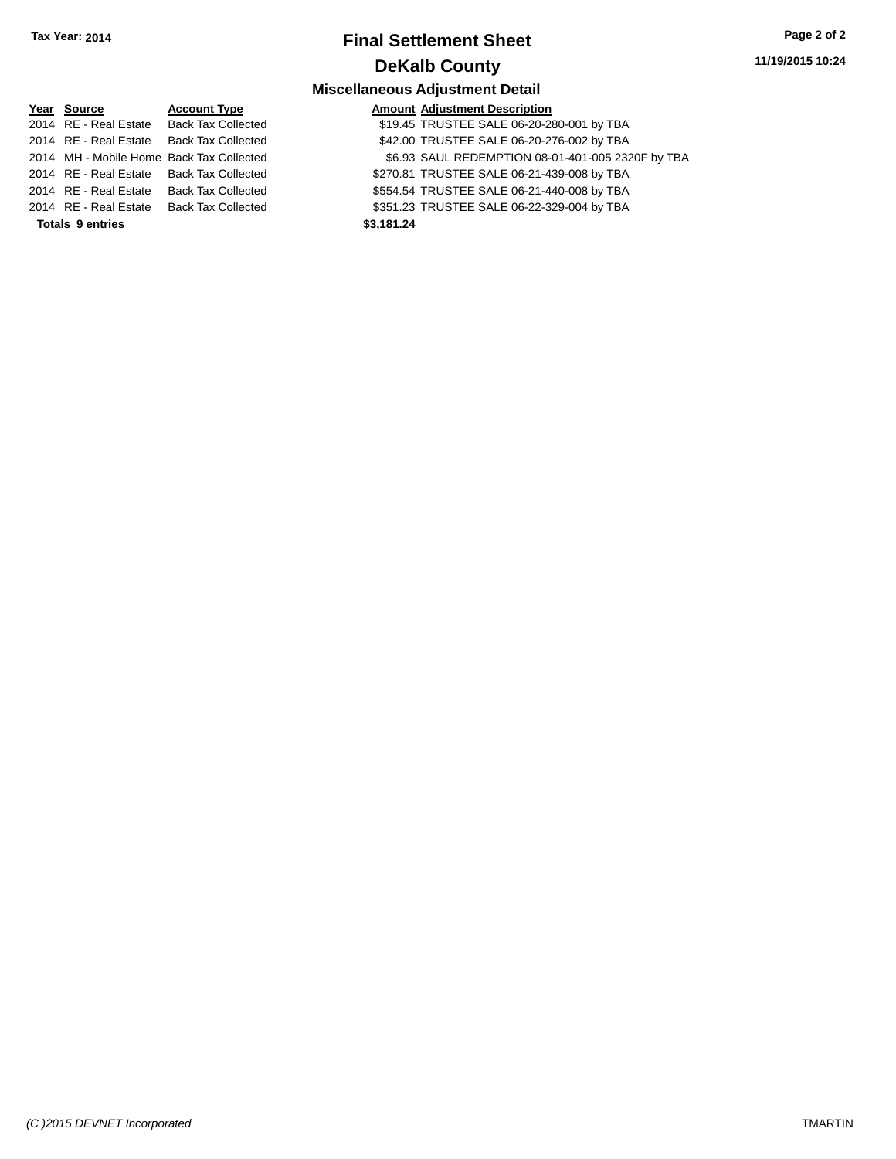# **Final Settlement Sheet Tax Year: 2014 Page 2 of 2 DeKalb County**

**11/19/2015 10:24**

| Year Source             | <b>Account Type</b>                      |            | <b>Amount Adjustment Description</b>              |
|-------------------------|------------------------------------------|------------|---------------------------------------------------|
|                         | 2014 RE - Real Estate Back Tax Collected |            | \$19.45 TRUSTEE SALE 06-20-280-001 by TBA         |
|                         | 2014 RE - Real Estate Back Tax Collected |            | \$42.00 TRUSTEE SALE 06-20-276-002 by TBA         |
|                         | 2014 MH - Mobile Home Back Tax Collected |            | \$6.93 SAUL REDEMPTION 08-01-401-005 2320F by TBA |
|                         | 2014 RE - Real Estate Back Tax Collected |            | \$270.81 TRUSTEE SALE 06-21-439-008 by TBA        |
|                         | 2014 RE - Real Estate Back Tax Collected |            | \$554.54 TRUSTEE SALE 06-21-440-008 by TBA        |
| 2014 RE - Real Estate   | Back Tax Collected                       |            | \$351.23 TRUSTEE SALE 06-22-329-004 by TBA        |
| <b>Totals 9 entries</b> |                                          | \$3,181.24 |                                                   |
|                         |                                          |            |                                                   |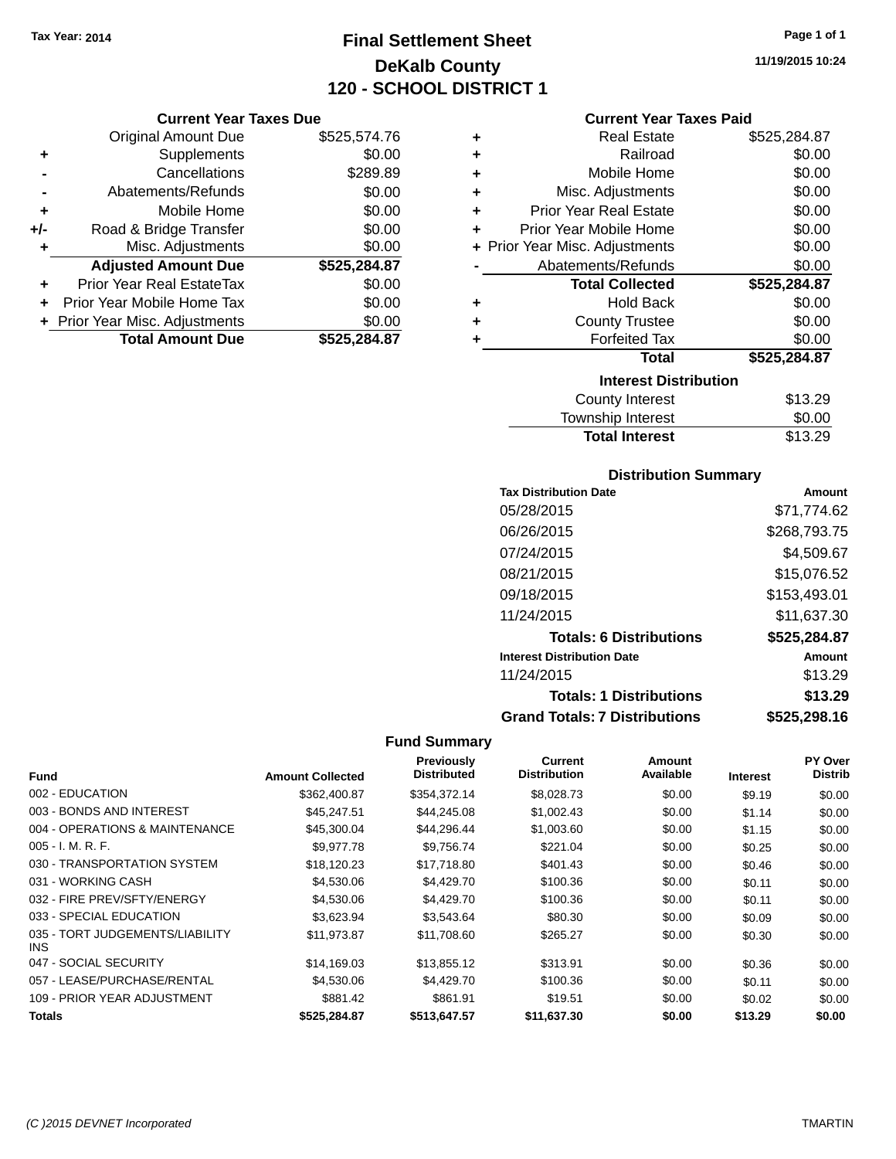# **Final Settlement Sheet Tax Year: 2014 Page 1 of 1 DeKalb County 120 - SCHOOL DISTRICT 1**

**11/19/2015 10:24**

### **Current Year Taxes Due**

|       | <b>Original Amount Due</b>       | \$525,574.76 |
|-------|----------------------------------|--------------|
| ٠     | Supplements                      | \$0.00       |
|       | Cancellations                    | \$289.89     |
|       | Abatements/Refunds               | \$0.00       |
| ٠     | Mobile Home                      | \$0.00       |
| $+/-$ | Road & Bridge Transfer           | \$0.00       |
| ٠     | Misc. Adjustments                | \$0.00       |
|       | <b>Adjusted Amount Due</b>       | \$525,284.87 |
| ÷     | <b>Prior Year Real EstateTax</b> | \$0.00       |
|       | Prior Year Mobile Home Tax       | \$0.00       |
|       | + Prior Year Misc. Adjustments   | \$0.00       |
|       | <b>Total Amount Due</b>          | \$525.284.87 |

## **Current Year Taxes Paid**

| ٠ | <b>Real Estate</b>             | \$525,284.87 |
|---|--------------------------------|--------------|
| ÷ | Railroad                       | \$0.00       |
| ÷ | Mobile Home                    | \$0.00       |
| ٠ | Misc. Adjustments              | \$0.00       |
| ٠ | <b>Prior Year Real Estate</b>  | \$0.00       |
| ٠ | Prior Year Mobile Home         | \$0.00       |
|   | + Prior Year Misc. Adjustments | \$0.00       |
|   | Abatements/Refunds             | \$0.00       |
|   |                                |              |
|   | <b>Total Collected</b>         | \$525,284.87 |
| ٠ | <b>Hold Back</b>               | \$0.00       |
| ٠ | <b>County Trustee</b>          | \$0.00       |
| ٠ | <b>Forfeited Tax</b>           | \$0.00       |
|   | <b>Total</b>                   | \$525,284.87 |
|   | <b>Interest Distribution</b>   |              |
|   | <b>County Interest</b>         | \$13.29      |

# Township Interest 50.00<br>Total Interest \$13.29 **Total Interest**

## **Distribution Summary**

| <b>Tax Distribution Date</b>         | Amount       |
|--------------------------------------|--------------|
| 05/28/2015                           | \$71.774.62  |
| 06/26/2015                           | \$268,793.75 |
| 07/24/2015                           | \$4,509.67   |
| 08/21/2015                           | \$15,076.52  |
| 09/18/2015                           | \$153,493.01 |
| 11/24/2015                           | \$11,637.30  |
| <b>Totals: 6 Distributions</b>       | \$525,284.87 |
| <b>Interest Distribution Date</b>    | Amount       |
| 11/24/2015                           | \$13.29      |
| <b>Totals: 1 Distributions</b>       | \$13.29      |
| <b>Grand Totals: 7 Distributions</b> | \$525,298.16 |

| <b>Fund</b>                                   | <b>Amount Collected</b> | <b>Previously</b><br><b>Distributed</b> | Current<br><b>Distribution</b> | Amount<br>Available | <b>Interest</b> | PY Over<br><b>Distrib</b> |
|-----------------------------------------------|-------------------------|-----------------------------------------|--------------------------------|---------------------|-----------------|---------------------------|
| 002 - EDUCATION                               | \$362,400.87            | \$354.372.14                            | \$8,028.73                     | \$0.00              | \$9.19          |                           |
|                                               |                         |                                         |                                |                     |                 | \$0.00                    |
| 003 - BONDS AND INTEREST                      | \$45.247.51             | \$44,245.08                             | \$1,002.43                     | \$0.00              | \$1.14          | \$0.00                    |
| 004 - OPERATIONS & MAINTENANCE                | \$45,300.04             | \$44,296.44                             | \$1,003.60                     | \$0.00              | \$1.15          | \$0.00                    |
| $005 - I. M. R. F.$                           | \$9,977.78              | \$9,756.74                              | \$221.04                       | \$0.00              | \$0.25          | \$0.00                    |
| 030 - TRANSPORTATION SYSTEM                   | \$18,120.23             | \$17.718.80                             | \$401.43                       | \$0.00              | \$0.46          | \$0.00                    |
| 031 - WORKING CASH                            | \$4,530.06              | \$4,429.70                              | \$100.36                       | \$0.00              | \$0.11          | \$0.00                    |
| 032 - FIRE PREV/SFTY/ENERGY                   | \$4,530.06              | \$4,429.70                              | \$100.36                       | \$0.00              | \$0.11          | \$0.00                    |
| 033 - SPECIAL EDUCATION                       | \$3,623.94              | \$3,543.64                              | \$80.30                        | \$0.00              | \$0.09          | \$0.00                    |
| 035 - TORT JUDGEMENTS/LIABILITY<br><b>INS</b> | \$11.973.87             | \$11.708.60                             | \$265.27                       | \$0.00              | \$0.30          | \$0.00                    |
| 047 - SOCIAL SECURITY                         | \$14,169.03             | \$13,855.12                             | \$313.91                       | \$0.00              | \$0.36          | \$0.00                    |
| 057 - LEASE/PURCHASE/RENTAL                   | \$4,530.06              | \$4,429.70                              | \$100.36                       | \$0.00              | \$0.11          | \$0.00                    |
| 109 - PRIOR YEAR ADJUSTMENT                   | \$881.42                | \$861.91                                | \$19.51                        | \$0.00              | \$0.02          | \$0.00                    |
| Totals                                        | \$525,284.87            | \$513,647.57                            | \$11,637.30                    | \$0.00              | \$13.29         | \$0.00                    |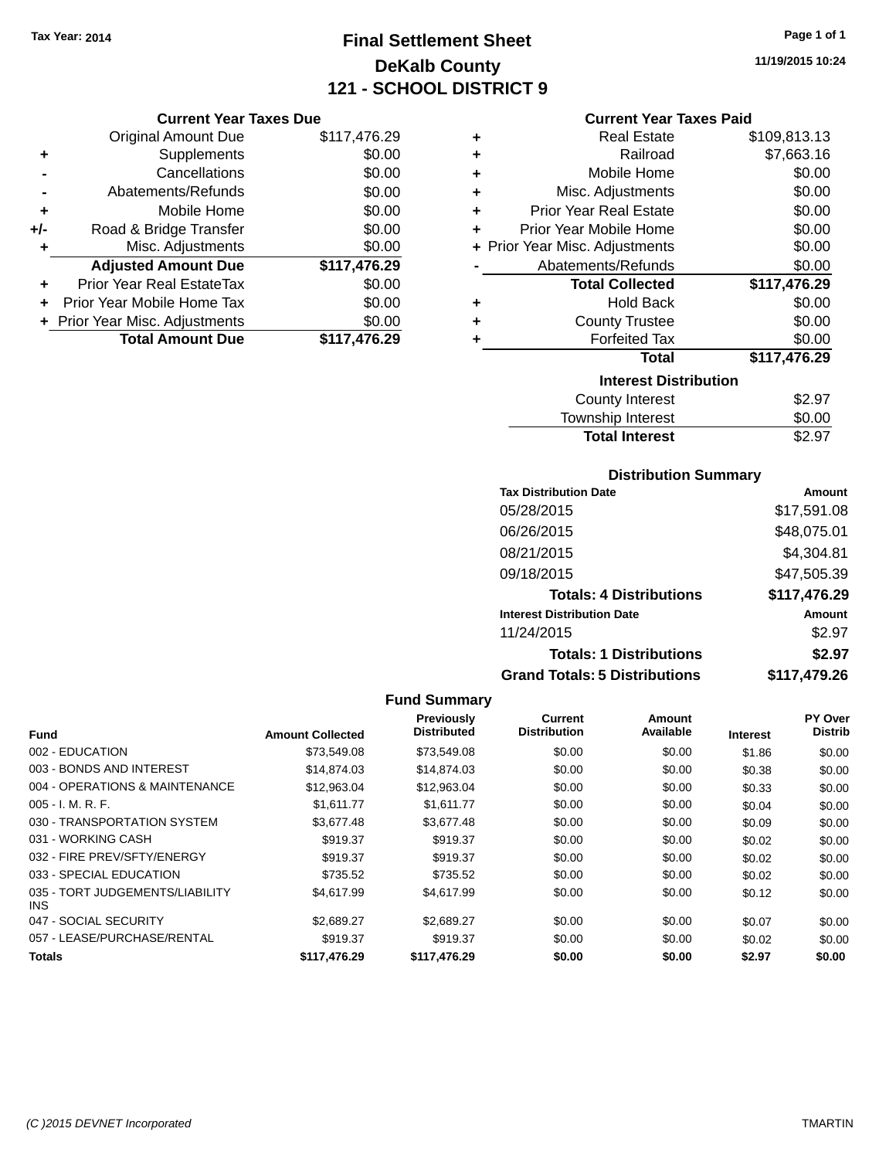# **Final Settlement Sheet Tax Year: 2014 Page 1 of 1 DeKalb County 121 - SCHOOL DISTRICT 9**

**11/19/2015 10:24**

## **Current Year Taxes Paid**

|     | <b>Current Year Taxes Due</b>    |              |  |  |  |
|-----|----------------------------------|--------------|--|--|--|
|     | <b>Original Amount Due</b>       | \$117,476.29 |  |  |  |
| ٠   | Supplements                      | \$0.00       |  |  |  |
|     | Cancellations                    | \$0.00       |  |  |  |
|     | Abatements/Refunds               | \$0.00       |  |  |  |
| ٠   | Mobile Home                      | \$0.00       |  |  |  |
| +/- | Road & Bridge Transfer           | \$0.00       |  |  |  |
| ٠   | Misc. Adjustments                | \$0.00       |  |  |  |
|     | <b>Adjusted Amount Due</b>       | \$117,476.29 |  |  |  |
| ÷   | <b>Prior Year Real EstateTax</b> | \$0.00       |  |  |  |
|     | Prior Year Mobile Home Tax       | \$0.00       |  |  |  |
|     | + Prior Year Misc. Adjustments   | \$0.00       |  |  |  |
|     | <b>Total Amount Due</b>          | \$117,476.29 |  |  |  |
|     |                                  |              |  |  |  |

| ٠ | <b>Real Estate</b>             | \$109,813.13 |
|---|--------------------------------|--------------|
| ٠ | Railroad                       | \$7,663.16   |
| ÷ | Mobile Home                    | \$0.00       |
| ٠ | Misc. Adjustments              | \$0.00       |
| ÷ | <b>Prior Year Real Estate</b>  | \$0.00       |
| ٠ | Prior Year Mobile Home         | \$0.00       |
|   | + Prior Year Misc. Adjustments | \$0.00       |
|   | Abatements/Refunds             | \$0.00       |
|   | <b>Total Collected</b>         | \$117,476.29 |
| ٠ | Hold Back                      | \$0.00       |
| ٠ | <b>County Trustee</b>          | \$0.00       |
| ٠ | <b>Forfeited Tax</b>           | \$0.00       |
|   | <b>Total</b>                   | \$117,476.29 |
|   | <b>Interest Distribution</b>   |              |
|   | <b>County Interest</b>         | \$2.97       |
|   | <b>Township Interest</b>       | \$0.00       |
|   | <b>Total Interest</b>          | \$2.97       |

## **Distribution Summary**

| <b>Tax Distribution Date</b>         | Amount       |
|--------------------------------------|--------------|
| 05/28/2015                           | \$17,591.08  |
| 06/26/2015                           | \$48,075.01  |
| 08/21/2015                           | \$4,304.81   |
| 09/18/2015                           | \$47,505.39  |
| <b>Totals: 4 Distributions</b>       | \$117,476.29 |
| <b>Interest Distribution Date</b>    | Amount       |
| 11/24/2015                           | \$2.97       |
| <b>Totals: 1 Distributions</b>       | \$2.97       |
| <b>Grand Totals: 5 Distributions</b> | \$117,479.26 |

| <b>Fund</b>                             | <b>Amount Collected</b> | Previously<br><b>Distributed</b> | Current<br><b>Distribution</b> | Amount<br>Available | <b>Interest</b> | <b>PY Over</b><br><b>Distrib</b> |
|-----------------------------------------|-------------------------|----------------------------------|--------------------------------|---------------------|-----------------|----------------------------------|
| 002 - EDUCATION                         | \$73,549.08             | \$73,549.08                      | \$0.00                         | \$0.00              | \$1.86          | \$0.00                           |
|                                         |                         |                                  |                                |                     |                 |                                  |
| 003 - BONDS AND INTEREST                | \$14,874.03             | \$14,874.03                      | \$0.00                         | \$0.00              | \$0.38          | \$0.00                           |
| 004 - OPERATIONS & MAINTENANCE          | \$12,963.04             | \$12,963.04                      | \$0.00                         | \$0.00              | \$0.33          | \$0.00                           |
| $005 - I. M. R. F.$                     | \$1.611.77              | \$1.611.77                       | \$0.00                         | \$0.00              | \$0.04          | \$0.00                           |
| 030 - TRANSPORTATION SYSTEM             | \$3,677.48              | \$3,677.48                       | \$0.00                         | \$0.00              | \$0.09          | \$0.00                           |
| 031 - WORKING CASH                      | \$919.37                | \$919.37                         | \$0.00                         | \$0.00              | \$0.02          | \$0.00                           |
| 032 - FIRE PREV/SFTY/ENERGY             | \$919.37                | \$919.37                         | \$0.00                         | \$0.00              | \$0.02          | \$0.00                           |
| 033 - SPECIAL EDUCATION                 | \$735.52                | \$735.52                         | \$0.00                         | \$0.00              | \$0.02          | \$0.00                           |
| 035 - TORT JUDGEMENTS/LIABILITY<br>INS. | \$4.617.99              | \$4,617.99                       | \$0.00                         | \$0.00              | \$0.12          | \$0.00                           |
| 047 - SOCIAL SECURITY                   | \$2,689.27              | \$2,689.27                       | \$0.00                         | \$0.00              | \$0.07          | \$0.00                           |
| 057 - LEASE/PURCHASE/RENTAL             | \$919.37                | \$919.37                         | \$0.00                         | \$0.00              | \$0.02          | \$0.00                           |
| <b>Totals</b>                           | \$117,476.29            | \$117,476.29                     | \$0.00                         | \$0.00              | \$2.97          | \$0.00                           |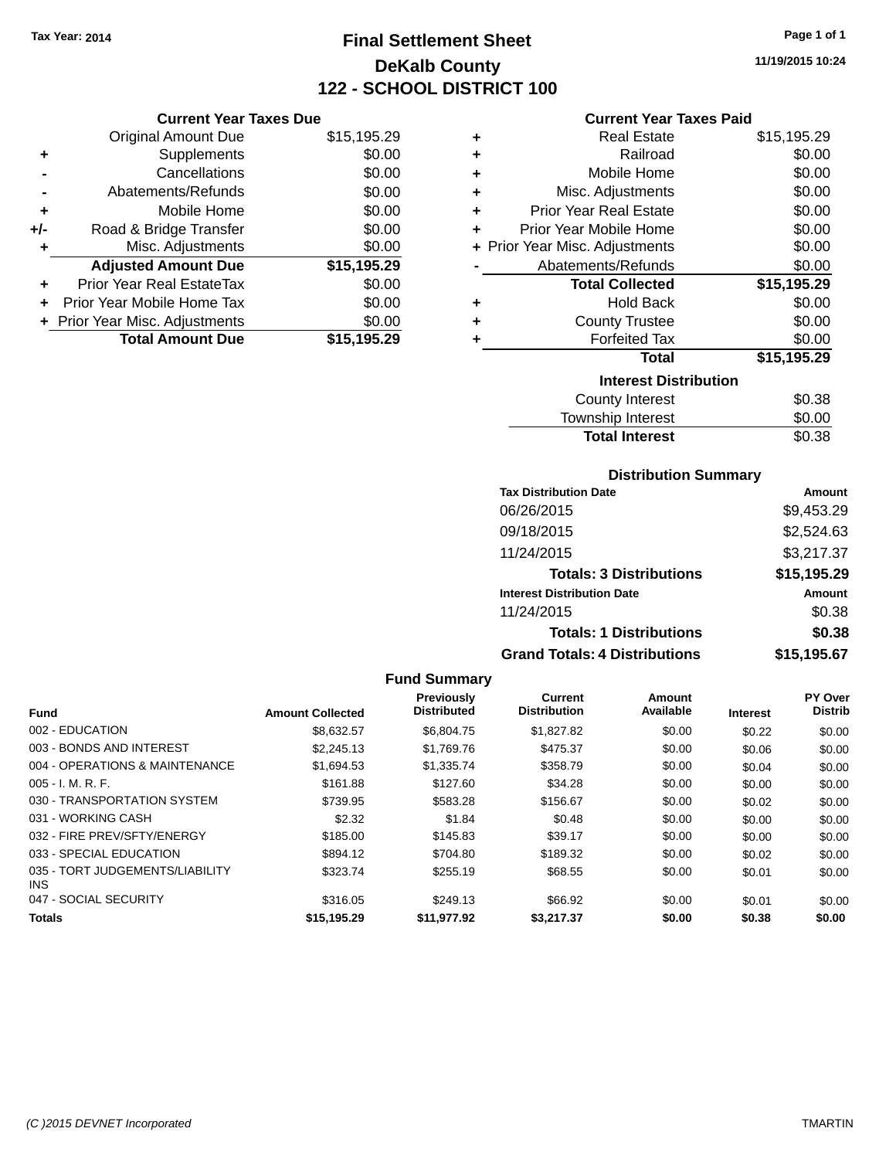# **Final Settlement Sheet Tax Year: 2014 Page 1 of 1 DeKalb County 122 - SCHOOL DISTRICT 100**

**11/19/2015 10:24**

|     | <b>Current Year Taxes Due</b>  |             |  |  |  |
|-----|--------------------------------|-------------|--|--|--|
|     | <b>Original Amount Due</b>     | \$15,195.29 |  |  |  |
| ٠   | Supplements                    | \$0.00      |  |  |  |
|     | Cancellations                  | \$0.00      |  |  |  |
|     | Abatements/Refunds             | \$0.00      |  |  |  |
| ٠   | Mobile Home                    | \$0.00      |  |  |  |
| +/- | Road & Bridge Transfer         | \$0.00      |  |  |  |
| ٠   | Misc. Adjustments              | \$0.00      |  |  |  |
|     | <b>Adjusted Amount Due</b>     | \$15,195.29 |  |  |  |
| ٠   | Prior Year Real EstateTax      | \$0.00      |  |  |  |
|     | Prior Year Mobile Home Tax     | \$0.00      |  |  |  |
|     | + Prior Year Misc. Adjustments | \$0.00      |  |  |  |
|     | <b>Total Amount Due</b>        | \$15,195.29 |  |  |  |

#### **Current Year Taxes Paid**

| ٠ | Real Estate                    | \$15,195.29 |
|---|--------------------------------|-------------|
| ÷ | Railroad                       | \$0.00      |
| ÷ | Mobile Home                    | \$0.00      |
| ٠ | Misc. Adjustments              | \$0.00      |
| ٠ | <b>Prior Year Real Estate</b>  | \$0.00      |
| ٠ | Prior Year Mobile Home         | \$0.00      |
|   | + Prior Year Misc. Adjustments | \$0.00      |
|   | Abatements/Refunds             | \$0.00      |
|   | <b>Total Collected</b>         | \$15,195.29 |
| ٠ | Hold Back                      | \$0.00      |
| ÷ | <b>County Trustee</b>          | \$0.00      |
| ٠ | <b>Forfeited Tax</b>           | \$0.00      |
|   | <b>Total</b>                   | \$15,195.29 |
|   | <b>Interest Distribution</b>   |             |
|   | <b>County Interest</b>         | \$0.38      |
|   | <b>Township Interest</b>       | \$0.00      |
|   | <b>Total Interest</b>          | \$0.38      |

#### **Distribution Summary**

| <b>Tax Distribution Date</b>         | Amount      |
|--------------------------------------|-------------|
| 06/26/2015                           | \$9,453.29  |
| 09/18/2015                           | \$2,524.63  |
| 11/24/2015                           | \$3,217.37  |
| <b>Totals: 3 Distributions</b>       | \$15,195.29 |
| <b>Interest Distribution Date</b>    | Amount      |
| 11/24/2015                           | \$0.38      |
| <b>Totals: 1 Distributions</b>       | \$0.38      |
| <b>Grand Totals: 4 Distributions</b> | \$15,195.67 |

#### **Fund Summary Fund Interest Amount Collected Distributed PY Over Distrib Amount Available Current Distribution Previously** 002 - EDUCATION \$8,632.57 \$6,804.75 \$1,827.82 \$0.00 \$0.22 \$0.00 003 - BONDS AND INTEREST 60.00 \$2,245.13 \$1,769.76 \$475.37 \$0.00 \$0.00 \$0.00 \$0.00 004 - OPERATIONS & MAINTENANCE \$1,694.53 \$1,335.74 \$358.79 \$0.00 \$0.04 \$0.00 005 - I. M. R. F. \$161.88 \$127.60 \$34.28 \$0.00 \$0.00 \$0.00 030 - TRANSPORTATION SYSTEM \$739.95 \$583.28 \$156.67 \$0.00 \$0.02 \$0.00 031 - WORKING CASH \$2.32 \$1.84 \$0.48 \$0.00 \$0.00 \$0.00 032 - FIRE PREV/SFTY/ENERGY \$185.00 \$145.83 \$39.17 \$0.00 \$0.00 \$0.00 033 - SPECIAL EDUCATION 6894.12 \$704.80 \$189.32 \$0.00 \$0.02 \$0.00 035 - TORT JUDGEMENTS/LIABILITY INS \$323.74 \$255.19 \$68.55 \$0.00 \$0.01 \$0.00 047 - SOCIAL SECURITY \$316.05 \$249.13 \$0.00 \$0.00 \$0.00 \$0.00 \$0.00 \$0.00 \$0.00 \$0.00 \$0.00 \$0.00 **Totals \$15,195.29 \$11,977.92 \$3,217.37 \$0.00 \$0.38 \$0.00**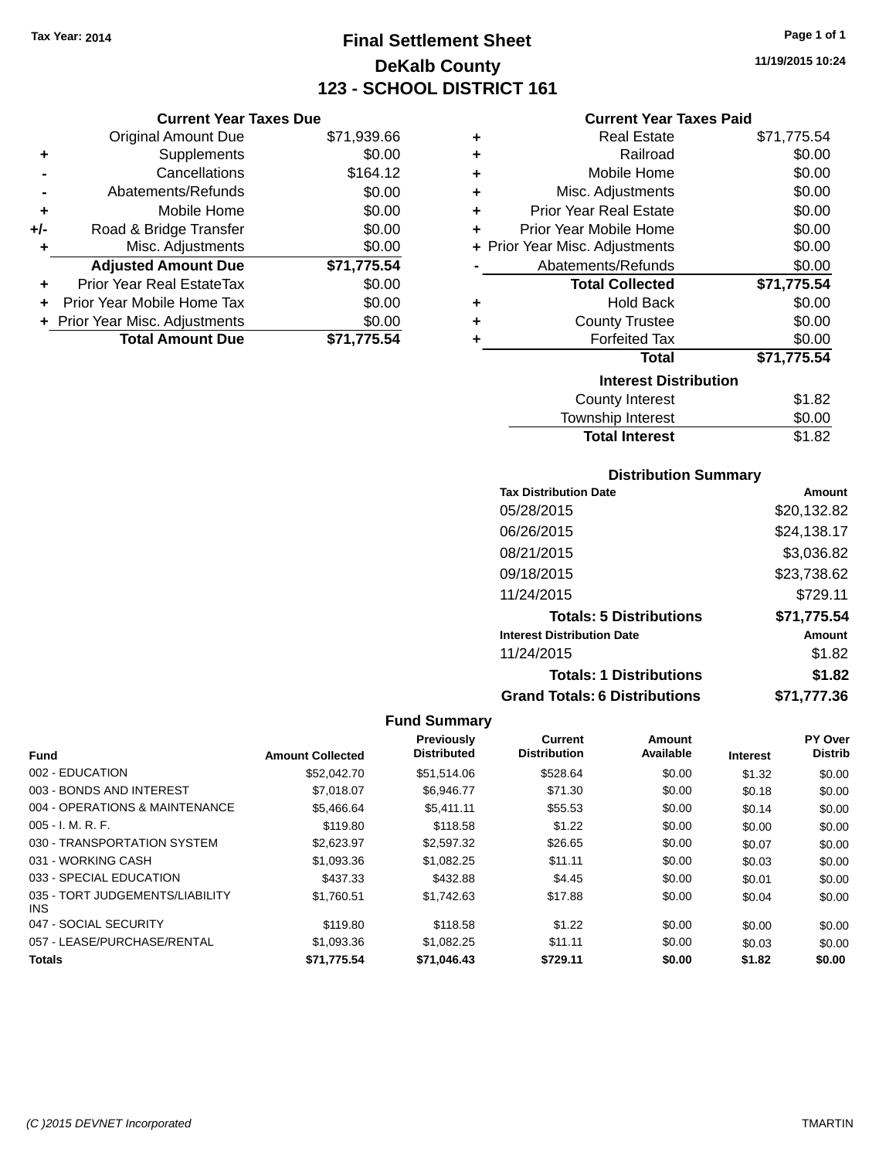# **Final Settlement Sheet Tax Year: 2014 Page 1 of 1 DeKalb County 123 - SCHOOL DISTRICT 161**

**11/19/2015 10:24**

### **Current Year Taxes Paid**

|     | <b>Current Year Taxes Due</b>  |             |
|-----|--------------------------------|-------------|
|     | <b>Original Amount Due</b>     | \$71,939.66 |
| ٠   | Supplements                    | \$0.00      |
|     | Cancellations                  | \$164.12    |
|     | Abatements/Refunds             | \$0.00      |
| ٠   | Mobile Home                    | \$0.00      |
| +/- | Road & Bridge Transfer         | \$0.00      |
| ٠   | Misc. Adjustments              | \$0.00      |
|     | <b>Adjusted Amount Due</b>     | \$71,775.54 |
|     | Prior Year Real EstateTax      | \$0.00      |
| ÷   | Prior Year Mobile Home Tax     | \$0.00      |
|     | + Prior Year Misc. Adjustments | \$0.00      |
|     | <b>Total Amount Due</b>        | \$71.775.54 |

| ٠ | <b>Real Estate</b>             | \$71,775.54 |
|---|--------------------------------|-------------|
| ÷ | Railroad                       | \$0.00      |
| ٠ | Mobile Home                    | \$0.00      |
| ٠ | Misc. Adjustments              | \$0.00      |
| ÷ | Prior Year Real Estate         | \$0.00      |
| ÷ | Prior Year Mobile Home         | \$0.00      |
|   | + Prior Year Misc. Adjustments | \$0.00      |
|   | Abatements/Refunds             | \$0.00      |
|   | <b>Total Collected</b>         | \$71,775.54 |
| ٠ | <b>Hold Back</b>               | \$0.00      |
| ٠ | <b>County Trustee</b>          | \$0.00      |
| ٠ | <b>Forfeited Tax</b>           | \$0.00      |
|   | <b>Total</b>                   | \$71,775.54 |
|   | <b>Interest Distribution</b>   |             |
|   | <b>County Interest</b>         | \$1.82      |
|   | <b>Township Interest</b>       | \$0.00      |
|   | <b>Total Interest</b>          | \$1.82      |

## **Distribution Summary**

| <b>Tax Distribution Date</b>         | Amount      |
|--------------------------------------|-------------|
| 05/28/2015                           | \$20,132.82 |
| 06/26/2015                           | \$24,138.17 |
| 08/21/2015                           | \$3.036.82  |
| 09/18/2015                           | \$23,738.62 |
| 11/24/2015                           | \$729.11    |
| <b>Totals: 5 Distributions</b>       | \$71,775.54 |
| <b>Interest Distribution Date</b>    | Amount      |
| 11/24/2015                           | \$1.82      |
| <b>Totals: 1 Distributions</b>       | \$1.82      |
| <b>Grand Totals: 6 Distributions</b> | \$71,777.36 |

|                                         |                         | Previously         | <b>Current</b>      | Amount    |                 | PY Over        |
|-----------------------------------------|-------------------------|--------------------|---------------------|-----------|-----------------|----------------|
| <b>Fund</b>                             | <b>Amount Collected</b> | <b>Distributed</b> | <b>Distribution</b> | Available | <b>Interest</b> | <b>Distrib</b> |
| 002 - EDUCATION                         | \$52,042.70             | \$51,514.06        | \$528.64            | \$0.00    | \$1.32          | \$0.00         |
| 003 - BONDS AND INTEREST                | \$7.018.07              | \$6,946.77         | \$71.30             | \$0.00    | \$0.18          | \$0.00         |
| 004 - OPERATIONS & MAINTENANCE          | \$5,466.64              | \$5.411.11         | \$55.53             | \$0.00    | \$0.14          | \$0.00         |
| $005 - I. M. R. F.$                     | \$119.80                | \$118.58           | \$1.22              | \$0.00    | \$0.00          | \$0.00         |
| 030 - TRANSPORTATION SYSTEM             | \$2.623.97              | \$2,597.32         | \$26.65             | \$0.00    | \$0.07          | \$0.00         |
| 031 - WORKING CASH                      | \$1,093.36              | \$1.082.25         | \$11.11             | \$0.00    | \$0.03          | \$0.00         |
| 033 - SPECIAL EDUCATION                 | \$437.33                | \$432.88           | \$4.45              | \$0.00    | \$0.01          | \$0.00         |
| 035 - TORT JUDGEMENTS/LIABILITY<br>INS. | \$1.760.51              | \$1,742.63         | \$17.88             | \$0.00    | \$0.04          | \$0.00         |
| 047 - SOCIAL SECURITY                   | \$119.80                | \$118.58           | \$1.22              | \$0.00    | \$0.00          | \$0.00         |
| 057 - LEASE/PURCHASE/RENTAL             | \$1,093.36              | \$1,082.25         | \$11.11             | \$0.00    | \$0.03          | \$0.00         |
| <b>Totals</b>                           | \$71.775.54             | \$71.046.43        | \$729.11            | \$0.00    | \$1.82          | \$0.00         |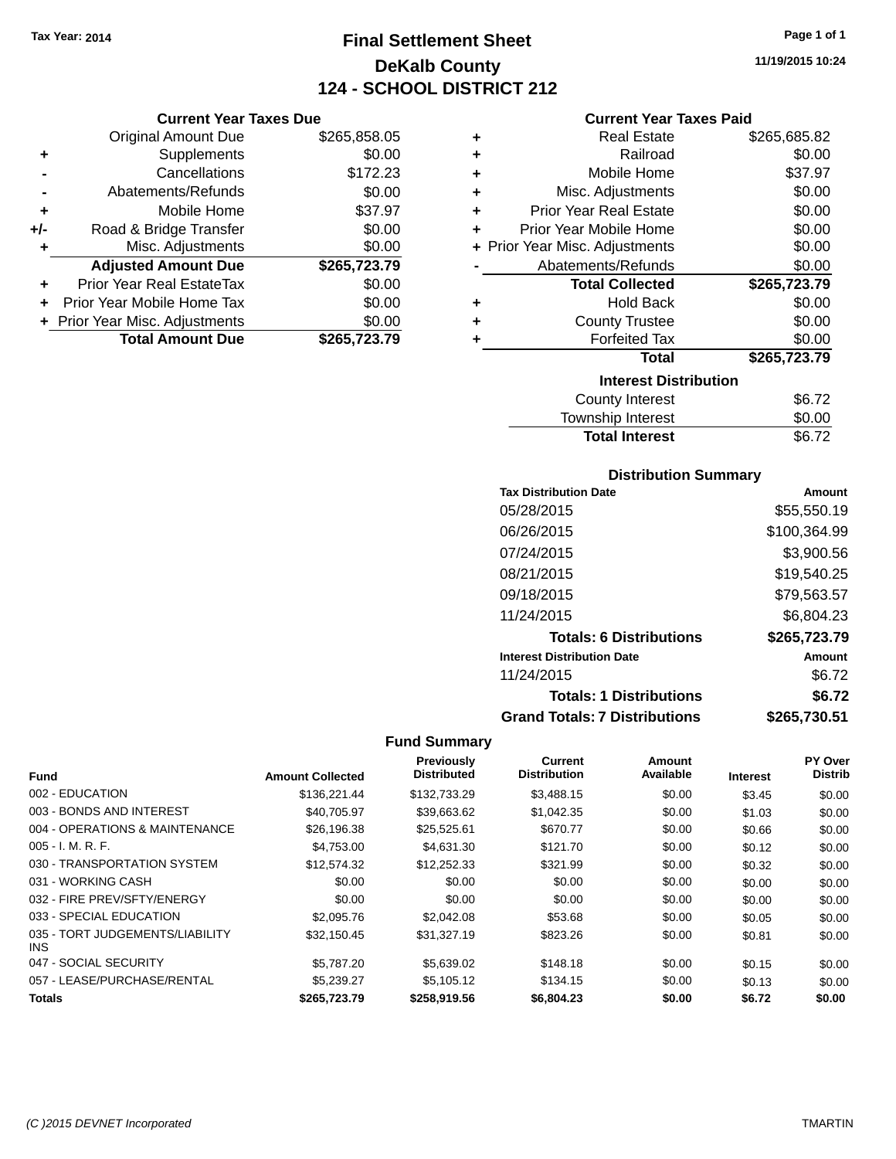**Current Year Taxes Due**

# **Final Settlement Sheet Tax Year: 2014 Page 1 of 1 DeKalb County 124 - SCHOOL DISTRICT 212**

**11/19/2015 10:24**

## **Current Year Taxes Paid**

|                      | VAN VIII TVAI TAAVJ PAV          |              |   | odhoni Ival Taxvo I did        |              |
|----------------------|----------------------------------|--------------|---|--------------------------------|--------------|
|                      | <b>Original Amount Due</b>       | \$265,858.05 | ٠ | <b>Real Estate</b>             | \$265,685.82 |
| ٠                    | Supplements                      | \$0.00       | ٠ | Railroad                       | \$0.00       |
|                      | Cancellations                    | \$172.23     | ٠ | Mobile Home                    | \$37.97      |
|                      | Abatements/Refunds               | \$0.00       | ÷ | Misc. Adjustments              | \$0.00       |
| ٠                    | Mobile Home                      | \$37.97      | ٠ | <b>Prior Year Real Estate</b>  | \$0.00       |
| I-                   | Road & Bridge Transfer           | \$0.00       | ٠ | Prior Year Mobile Home         | \$0.00       |
| ٠                    | Misc. Adjustments                | \$0.00       |   | + Prior Year Misc. Adjustments | \$0.00       |
|                      | <b>Adjusted Amount Due</b>       | \$265,723.79 |   | Abatements/Refunds             | \$0.00       |
| $\ddot{\phantom{1}}$ | <b>Prior Year Real EstateTax</b> | \$0.00       |   | <b>Total Collected</b>         | \$265,723.79 |
|                      | + Prior Year Mobile Home Tax     | \$0.00       | ٠ | <b>Hold Back</b>               | \$0.00       |
|                      | + Prior Year Misc. Adjustments   | \$0.00       | ÷ | <b>County Trustee</b>          | \$0.00       |
|                      | <b>Total Amount Due</b>          | \$265,723.79 |   | <b>Forfeited Tax</b>           | \$0.00       |
|                      |                                  |              |   | Total                          | \$265,723.79 |
|                      |                                  |              |   | <b>Interest Distribution</b>   |              |
|                      |                                  |              |   | County Interact                | ድድ 70        |

| County Interest       | \$6.72 |
|-----------------------|--------|
| Township Interest     | \$0.00 |
| <b>Total Interest</b> | \$6.72 |

## **Distribution Summary**

| <b>Tax Distribution Date</b>         | Amount       |
|--------------------------------------|--------------|
| 05/28/2015                           | \$55,550.19  |
| 06/26/2015                           | \$100,364.99 |
| 07/24/2015                           | \$3,900.56   |
| 08/21/2015                           | \$19,540.25  |
| 09/18/2015                           | \$79,563.57  |
| 11/24/2015                           | \$6,804.23   |
| <b>Totals: 6 Distributions</b>       | \$265,723.79 |
| <b>Interest Distribution Date</b>    | Amount       |
| 11/24/2015                           | \$6.72       |
| <b>Totals: 1 Distributions</b>       | \$6.72       |
| <b>Grand Totals: 7 Distributions</b> | \$265.730.51 |

| <b>Fund</b>                             | <b>Amount Collected</b> | Previously<br><b>Distributed</b> | <b>Current</b><br><b>Distribution</b> | <b>Amount</b><br>Available | <b>Interest</b> | PY Over<br><b>Distrib</b> |
|-----------------------------------------|-------------------------|----------------------------------|---------------------------------------|----------------------------|-----------------|---------------------------|
|                                         |                         |                                  |                                       |                            |                 |                           |
| 002 - EDUCATION                         | \$136.221.44            | \$132,733.29                     | \$3,488.15                            | \$0.00                     | \$3.45          | \$0.00                    |
| 003 - BONDS AND INTEREST                | \$40,705.97             | \$39,663.62                      | \$1,042.35                            | \$0.00                     | \$1.03          | \$0.00                    |
| 004 - OPERATIONS & MAINTENANCE          | \$26,196.38             | \$25,525.61                      | \$670.77                              | \$0.00                     | \$0.66          | \$0.00                    |
| $005 - I. M. R. F.$                     | \$4,753.00              | \$4,631.30                       | \$121.70                              | \$0.00                     | \$0.12          | \$0.00                    |
| 030 - TRANSPORTATION SYSTEM             | \$12.574.32             | \$12,252.33                      | \$321.99                              | \$0.00                     | \$0.32          | \$0.00                    |
| 031 - WORKING CASH                      | \$0.00                  | \$0.00                           | \$0.00                                | \$0.00                     | \$0.00          | \$0.00                    |
| 032 - FIRE PREV/SFTY/ENERGY             | \$0.00                  | \$0.00                           | \$0.00                                | \$0.00                     | \$0.00          | \$0.00                    |
| 033 - SPECIAL EDUCATION                 | \$2,095.76              | \$2,042.08                       | \$53.68                               | \$0.00                     | \$0.05          | \$0.00                    |
| 035 - TORT JUDGEMENTS/LIABILITY<br>INS. | \$32.150.45             | \$31.327.19                      | \$823.26                              | \$0.00                     | \$0.81          | \$0.00                    |
| 047 - SOCIAL SECURITY                   | \$5,787.20              | \$5,639.02                       | \$148.18                              | \$0.00                     | \$0.15          | \$0.00                    |
| 057 - LEASE/PURCHASE/RENTAL             | \$5.239.27              | \$5.105.12                       | \$134.15                              | \$0.00                     | \$0.13          | \$0.00                    |
| <b>Totals</b>                           | \$265,723.79            | \$258,919.56                     | \$6,804.23                            | \$0.00                     | \$6.72          | \$0.00                    |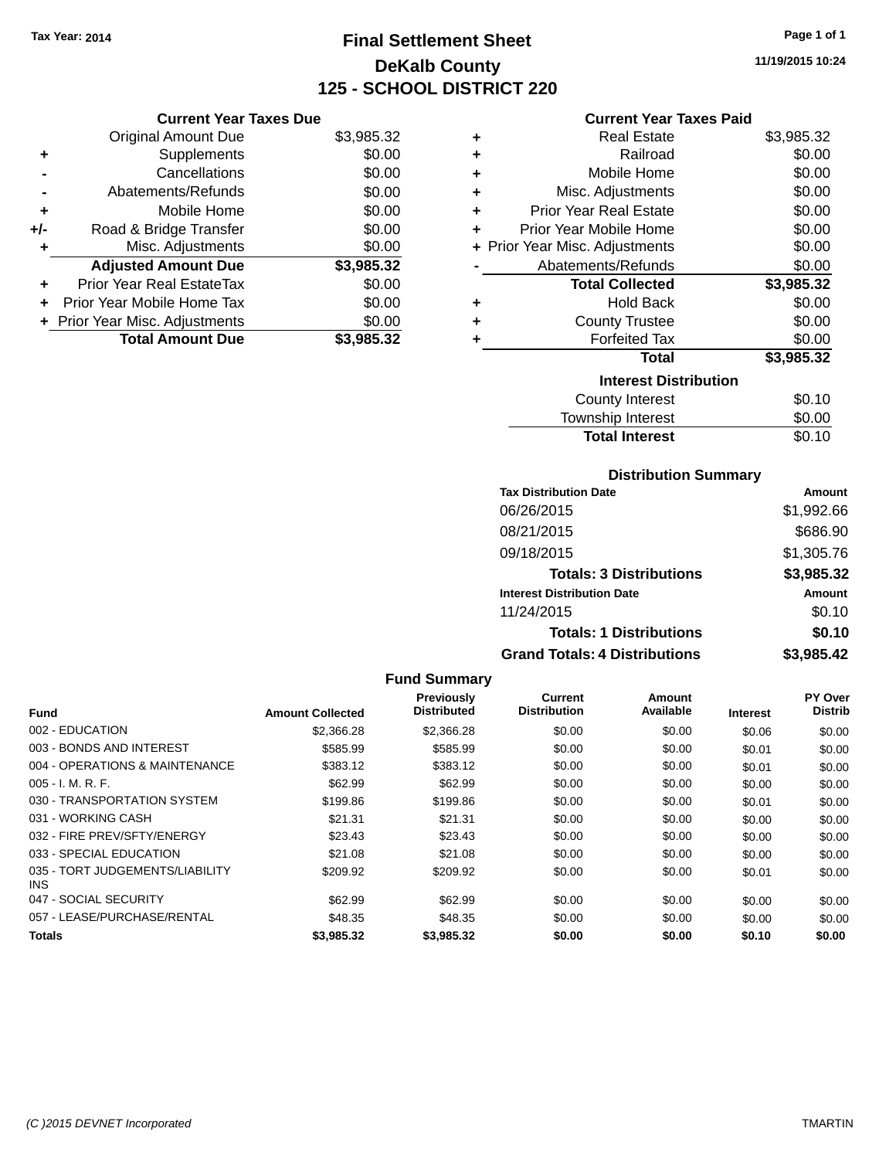# **Final Settlement Sheet Tax Year: 2014 Page 1 of 1 DeKalb County 125 - SCHOOL DISTRICT 220**

**11/19/2015 10:24**

|     | <b>Current Year Taxes Due</b>  |            |
|-----|--------------------------------|------------|
|     | <b>Original Amount Due</b>     | \$3,985.32 |
| ٠   | Supplements                    | \$0.00     |
|     | Cancellations                  | \$0.00     |
| -   | Abatements/Refunds             | \$0.00     |
| ٠   | Mobile Home                    | \$0.00     |
| +/- | Road & Bridge Transfer         | \$0.00     |
| ٠   | Misc. Adjustments              | \$0.00     |
|     | <b>Adjusted Amount Due</b>     | \$3,985.32 |
| ٠   | Prior Year Real EstateTax      | \$0.00     |
|     | Prior Year Mobile Home Tax     | \$0.00     |
|     | + Prior Year Misc. Adjustments | \$0.00     |
|     | <b>Total Amount Due</b>        | \$3,985.32 |

### **Current Year Taxes Paid**

| ٠ | Real Estate                    | \$3,985.32 |
|---|--------------------------------|------------|
| ÷ | Railroad                       | \$0.00     |
| ٠ | Mobile Home                    | \$0.00     |
| ÷ | Misc. Adjustments              | \$0.00     |
| ٠ | Prior Year Real Estate         | \$0.00     |
| ٠ | Prior Year Mobile Home         | \$0.00     |
|   | + Prior Year Misc. Adjustments | \$0.00     |
|   | Abatements/Refunds             | \$0.00     |
|   | <b>Total Collected</b>         | \$3,985.32 |
| ٠ | Hold Back                      | \$0.00     |
| ÷ | <b>County Trustee</b>          | \$0.00     |
| ٠ | <b>Forfeited Tax</b>           | \$0.00     |
|   | Total                          | \$3,985.32 |
|   | <b>Interest Distribution</b>   |            |
|   | <b>County Interest</b>         | \$0.10     |
|   | <b>Township Interest</b>       | \$0.00     |
|   | <b>Total Interest</b>          | \$0.10     |

#### **Distribution Summary**

| <b>Tax Distribution Date</b>         | Amount     |
|--------------------------------------|------------|
| 06/26/2015                           | \$1,992.66 |
| 08/21/2015                           | \$686.90   |
| 09/18/2015                           | \$1,305.76 |
| <b>Totals: 3 Distributions</b>       | \$3,985.32 |
| <b>Interest Distribution Date</b>    | Amount     |
| 11/24/2015                           | \$0.10     |
| <b>Totals: 1 Distributions</b>       | \$0.10     |
| <b>Grand Totals: 4 Distributions</b> | \$3,985.42 |

#### **Fund Summary Fund Interest Amount Collected Distributed PY Over Distrib Amount Available Current Distribution Previously** 002 - EDUCATION \$2,366.28 \$2,366.28 \$0.00 \$0.00 \$0.06 \$0.00 003 - BONDS AND INTEREST 60.00 \$585.99 \$585.99 \$585.99 \$0.00 \$0.00 \$0.01 \$0.00 004 - OPERATIONS & MAINTENANCE \$383.12 \$383.12 \$0.00 \$0.00 \$0.00 \$0.01 \$0.00 005 - I. M. R. F. Channel Communication (St. 1990) \$62.99 \$62.99 \$0.00 \$0.00 \$0.00 \$0.00 \$0.00 \$0.00 030 - TRANSPORTATION SYSTEM \$199.86 \$199.86 \$199.86 \$0.00 \$0.00 \$0.00 \$0.01 \$0.00 031 - WORKING CASH \$21.31 \$21.31 \$0.00 \$0.00 \$0.00 \$0.00 032 - FIRE PREV/SFTY/ENERGY \$23.43 \$0.00 \$0.00 \$0.00 \$0.00 \$0.00 033 - SPECIAL EDUCATION 60.00 \$21.08 \$21.08 \$21.08 \$0.00 \$0.00 \$0.00 \$0.00 \$0.00 035 - TORT JUDGEMENTS/LIABILITY INS \$209.92 \$209.92 \$0.00 \$0.00 \$0.01 \$0.00 047 - SOCIAL SECURITY \$62.99 \$62.99 \$0.00 \$0.00 \$0.00 \$0.00 057 - LEASE/PURCHASE/RENTAL \$48.35 \$48.35 \$0.00 \$0.00 \$0.00 \$0.00 \$0.00 **Totals \$3,985.32 \$3,985.32 \$0.00 \$0.00 \$0.10 \$0.00**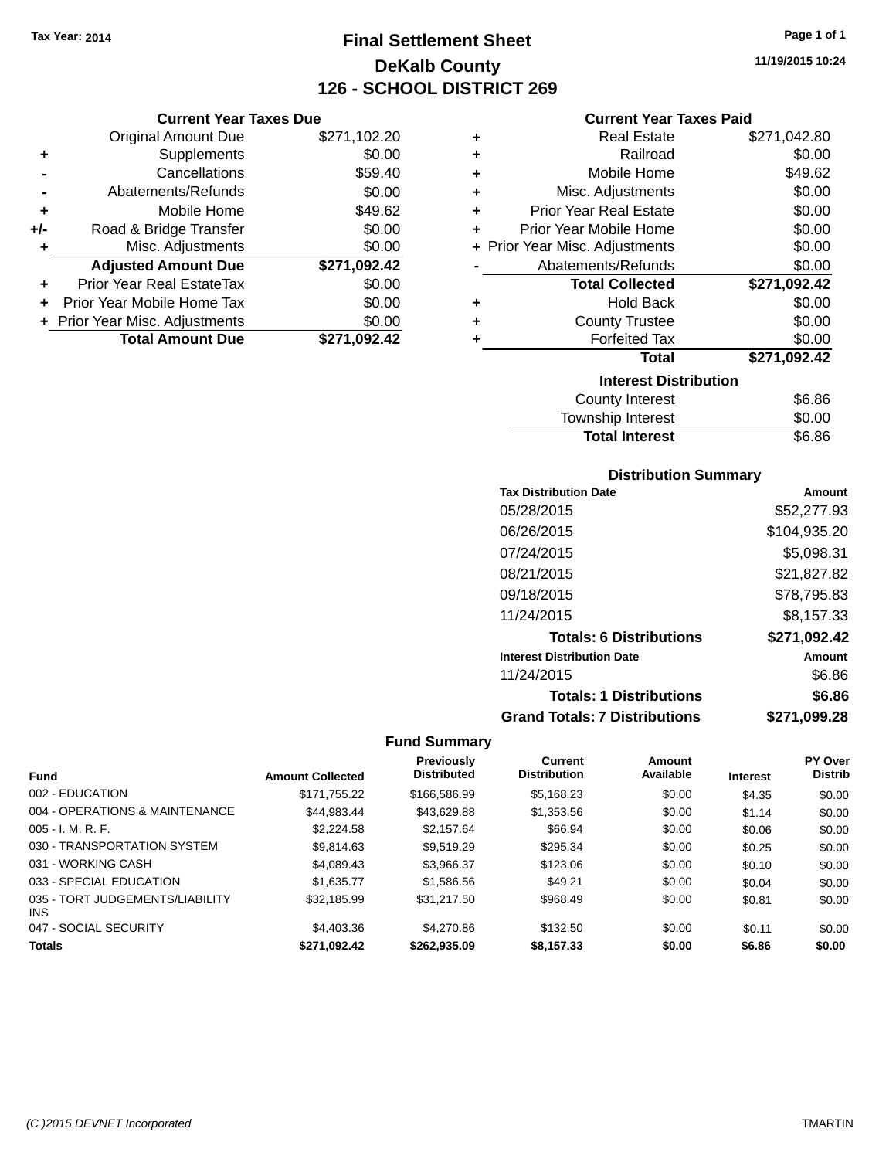# **Final Settlement Sheet Tax Year: 2014 Page 1 of 1 DeKalb County 126 - SCHOOL DISTRICT 269**

**11/19/2015 10:24**

## **Current Year Taxes Paid**

| \$271,102.20 |
|--------------|
| \$0.00       |
| \$59.40      |
| \$0.00       |
| \$49.62      |
| \$0.00       |
| \$0.00       |
| \$271,092.42 |
|              |
| \$0.00       |
| \$0.00       |
| \$0.00       |
|              |

| ٠ | <b>Real Estate</b>             | \$271,042.80 |
|---|--------------------------------|--------------|
| ٠ | Railroad                       | \$0.00       |
| ÷ | Mobile Home                    | \$49.62      |
| ٠ | Misc. Adjustments              | \$0.00       |
| ٠ | <b>Prior Year Real Estate</b>  | \$0.00       |
| ٠ | Prior Year Mobile Home         | \$0.00       |
|   | + Prior Year Misc. Adjustments | \$0.00       |
|   | Abatements/Refunds             | \$0.00       |
|   |                                |              |
|   | <b>Total Collected</b>         | \$271,092.42 |
| ٠ | <b>Hold Back</b>               | \$0.00       |
| ÷ | <b>County Trustee</b>          | \$0.00       |
| ٠ | <b>Forfeited Tax</b>           | \$0.00       |
|   | <b>Total</b>                   | \$271,092.42 |
|   | <b>Interest Distribution</b>   |              |
|   | County Interest                | \$6.86       |

## **Distribution Summary**

Total Interest \$6.86

| <b>Tax Distribution Date</b>         | Amount       |
|--------------------------------------|--------------|
| 05/28/2015                           | \$52,277.93  |
| 06/26/2015                           | \$104,935.20 |
| 07/24/2015                           | \$5,098.31   |
| 08/21/2015                           | \$21,827.82  |
| 09/18/2015                           | \$78,795.83  |
| 11/24/2015                           | \$8.157.33   |
| <b>Totals: 6 Distributions</b>       | \$271,092.42 |
| <b>Interest Distribution Date</b>    | Amount       |
| 11/24/2015                           | \$6.86       |
| <b>Totals: 1 Distributions</b>       | \$6.86       |
| <b>Grand Totals: 7 Distributions</b> | \$271,099.28 |

| <b>Fund</b>                             | <b>Amount Collected</b> | <b>Previously</b><br><b>Distributed</b> | <b>Current</b><br><b>Distribution</b> | Amount<br>Available | <b>Interest</b> | <b>PY Over</b><br><b>Distrib</b> |
|-----------------------------------------|-------------------------|-----------------------------------------|---------------------------------------|---------------------|-----------------|----------------------------------|
| 002 - EDUCATION                         | \$171.755.22            | \$166,586.99                            | \$5.168.23                            | \$0.00              | \$4.35          | \$0.00                           |
| 004 - OPERATIONS & MAINTENANCE          | \$44.983.44             | \$43.629.88                             | \$1,353.56                            | \$0.00              | \$1.14          | \$0.00                           |
| $005 - I. M. R. F.$                     | \$2,224.58              | \$2.157.64                              | \$66.94                               | \$0.00              | \$0.06          | \$0.00                           |
| 030 - TRANSPORTATION SYSTEM             | \$9.814.63              | \$9.519.29                              | \$295.34                              | \$0.00              | \$0.25          | \$0.00                           |
| 031 - WORKING CASH                      | \$4.089.43              | \$3.966.37                              | \$123.06                              | \$0.00              | \$0.10          | \$0.00                           |
| 033 - SPECIAL EDUCATION                 | \$1.635.77              | \$1,586.56                              | \$49.21                               | \$0.00              | \$0.04          | \$0.00                           |
| 035 - TORT JUDGEMENTS/LIABILITY<br>INS. | \$32.185.99             | \$31.217.50                             | \$968.49                              | \$0.00              | \$0.81          | \$0.00                           |
| 047 - SOCIAL SECURITY                   | \$4,403.36              | \$4,270.86                              | \$132.50                              | \$0.00              | \$0.11          | \$0.00                           |
| <b>Totals</b>                           | \$271,092.42            | \$262,935.09                            | \$8,157.33                            | \$0.00              | \$6.86          | \$0.00                           |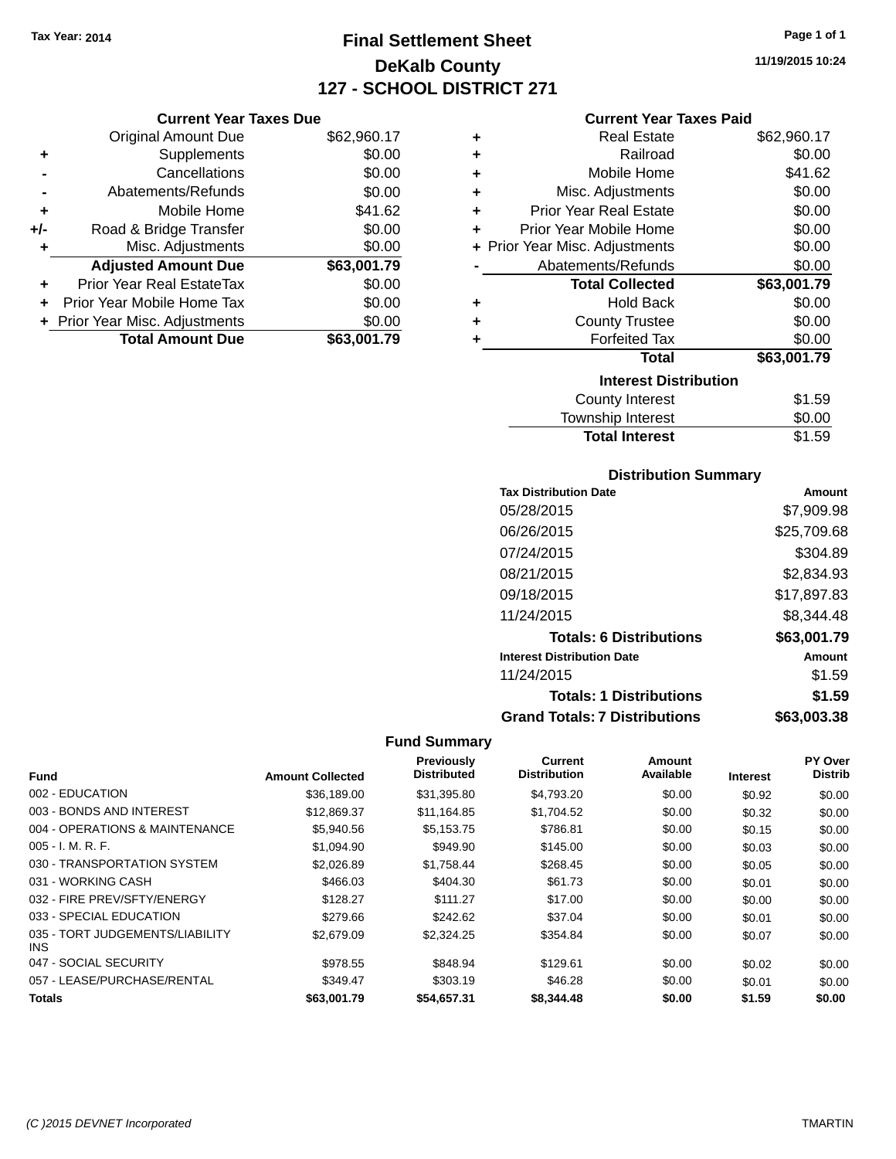# **Final Settlement Sheet Tax Year: 2014 Page 1 of 1 DeKalb County 127 - SCHOOL DISTRICT 271**

**11/19/2015 10:24**

## **Current Year Taxes Paid**

|     | <b>Current Year Taxes Due</b>  |             |
|-----|--------------------------------|-------------|
|     | <b>Original Amount Due</b>     | \$62,960.17 |
| ٠   | Supplements                    | \$0.00      |
|     | Cancellations                  | \$0.00      |
|     | Abatements/Refunds             | \$0.00      |
| ٠   | Mobile Home                    | \$41.62     |
| +/- | Road & Bridge Transfer         | \$0.00      |
| ٠   | Misc. Adjustments              | \$0.00      |
|     | <b>Adjusted Amount Due</b>     | \$63,001.79 |
|     | Prior Year Real EstateTax      | \$0.00      |
| ÷   | Prior Year Mobile Home Tax     | \$0.00      |
|     | + Prior Year Misc. Adjustments | \$0.00      |
|     | <b>Total Amount Due</b>        | \$63,001.79 |

| ٠ | <b>Real Estate</b>             | \$62,960.17 |
|---|--------------------------------|-------------|
| ٠ | Railroad                       | \$0.00      |
| ٠ | Mobile Home                    | \$41.62     |
| ٠ | Misc. Adjustments              | \$0.00      |
| ٠ | <b>Prior Year Real Estate</b>  | \$0.00      |
| ٠ | Prior Year Mobile Home         | \$0.00      |
|   | + Prior Year Misc. Adjustments | \$0.00      |
|   | Abatements/Refunds             | \$0.00      |
|   | <b>Total Collected</b>         | \$63,001.79 |
| ٠ | Hold Back                      | \$0.00      |
| ٠ | <b>County Trustee</b>          | \$0.00      |
| ٠ | <b>Forfeited Tax</b>           | \$0.00      |
|   | <b>Total</b>                   | \$63,001.79 |
|   | <b>Interest Distribution</b>   |             |
|   | <b>County Interest</b>         | \$1.59      |
|   | <b>Township Interest</b>       | \$0.00      |
|   | <b>Total Interest</b>          | \$1.59      |

## **Distribution Summary**

| <b>Tax Distribution Date</b>         | Amount      |
|--------------------------------------|-------------|
| 05/28/2015                           | \$7,909.98  |
| 06/26/2015                           | \$25,709.68 |
| 07/24/2015                           | \$304.89    |
| 08/21/2015                           | \$2,834.93  |
| 09/18/2015                           | \$17,897.83 |
| 11/24/2015                           | \$8,344.48  |
| <b>Totals: 6 Distributions</b>       | \$63,001.79 |
| <b>Interest Distribution Date</b>    | Amount      |
| 11/24/2015                           | \$1.59      |
| <b>Totals: 1 Distributions</b>       | \$1.59      |
| <b>Grand Totals: 7 Distributions</b> | \$63,003.38 |

|                                         |                         | Previously         | Current             | Amount    |                 | PY Over        |
|-----------------------------------------|-------------------------|--------------------|---------------------|-----------|-----------------|----------------|
| <b>Fund</b>                             | <b>Amount Collected</b> | <b>Distributed</b> | <b>Distribution</b> | Available | <b>Interest</b> | <b>Distrib</b> |
| 002 - EDUCATION                         | \$36,189.00             | \$31,395.80        | \$4,793.20          | \$0.00    | \$0.92          | \$0.00         |
| 003 - BONDS AND INTEREST                | \$12,869.37             | \$11,164.85        | \$1,704.52          | \$0.00    | \$0.32          | \$0.00         |
| 004 - OPERATIONS & MAINTENANCE          | \$5,940.56              | \$5,153.75         | \$786.81            | \$0.00    | \$0.15          | \$0.00         |
| $005 - I. M. R. F.$                     | \$1,094.90              | \$949.90           | \$145.00            | \$0.00    | \$0.03          | \$0.00         |
| 030 - TRANSPORTATION SYSTEM             | \$2,026.89              | \$1.758.44         | \$268.45            | \$0.00    | \$0.05          | \$0.00         |
| 031 - WORKING CASH                      | \$466.03                | \$404.30           | \$61.73             | \$0.00    | \$0.01          | \$0.00         |
| 032 - FIRE PREV/SFTY/ENERGY             | \$128.27                | \$111.27           | \$17.00             | \$0.00    | \$0.00          | \$0.00         |
| 033 - SPECIAL EDUCATION                 | \$279.66                | \$242.62           | \$37.04             | \$0.00    | \$0.01          | \$0.00         |
| 035 - TORT JUDGEMENTS/LIABILITY<br>INS. | \$2,679.09              | \$2,324.25         | \$354.84            | \$0.00    | \$0.07          | \$0.00         |
| 047 - SOCIAL SECURITY                   | \$978.55                | \$848.94           | \$129.61            | \$0.00    | \$0.02          | \$0.00         |
| 057 - LEASE/PURCHASE/RENTAL             | \$349.47                | \$303.19           | \$46.28             | \$0.00    | \$0.01          | \$0.00         |
| <b>Totals</b>                           | \$63,001.79             | \$54,657.31        | \$8,344.48          | \$0.00    | \$1.59          | \$0.00         |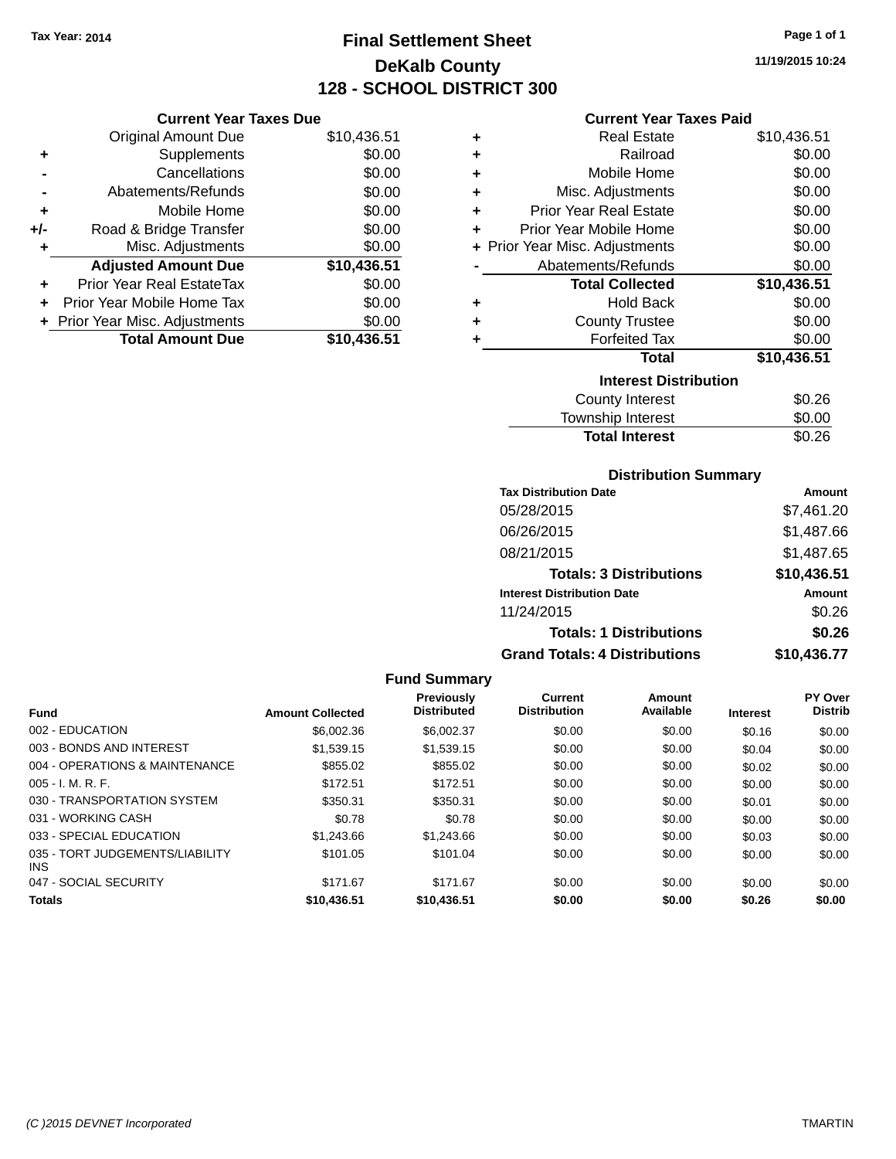# **Final Settlement Sheet Tax Year: 2014 Page 1 of 1 DeKalb County 128 - SCHOOL DISTRICT 300**

**11/19/2015 10:24**

| <b>Current Year Taxes Paid</b> |  |  |  |
|--------------------------------|--|--|--|
|--------------------------------|--|--|--|

| 5.51 | ٠ | <b>Real Estate</b>             | \$10,436.51 |
|------|---|--------------------------------|-------------|
| 0.00 | ٠ | Railroad                       | \$0.00      |
| 0.00 | ٠ | Mobile Home                    | \$0.00      |
| 0.00 | ٠ | Misc. Adjustments              | \$0.00      |
| 0.00 | ٠ | <b>Prior Year Real Estate</b>  | \$0.00      |
| 0.00 | ÷ | Prior Year Mobile Home         | \$0.00      |
| 0.00 |   | + Prior Year Misc. Adjustments | \$0.00      |
| 5.51 |   | Abatements/Refunds             | \$0.00      |
| 0.00 |   | <b>Total Collected</b>         | \$10,436.51 |
| 0.00 | ٠ | <b>Hold Back</b>               | \$0.00      |
| 0.00 | ٠ | <b>County Trustee</b>          | \$0.00      |
| 5.51 | ٠ | <b>Forfeited Tax</b>           | \$0.00      |
|      |   | <b>Total</b>                   | \$10,436.51 |
|      |   | <b>Interest Distribution</b>   |             |
|      |   | <b>County Interest</b>         | \$0.26      |
|      |   | المتواصل والمراسا والمستنددة   | ጦጣ ወጣ       |

\$101.05 \$101.04 \$0.00 \$0.00 \$0.00 \$0.00

# Township Interest \$0.00

| <b>Distribution Summary</b> |  |
|-----------------------------|--|

Total Interest \$0.26

| <b>Tax Distribution Date</b>         | <b>Amount</b> |
|--------------------------------------|---------------|
| 05/28/2015                           | \$7,461.20    |
| 06/26/2015                           | \$1,487.66    |
| 08/21/2015                           | \$1,487.65    |
| <b>Totals: 3 Distributions</b>       | \$10,436.51   |
| <b>Interest Distribution Date</b>    | <b>Amount</b> |
| 11/24/2015                           | \$0.26        |
| <b>Totals: 1 Distributions</b>       | \$0.26        |
| <b>Grand Totals: 4 Distributions</b> | \$10,436.77   |

## Original Amount Due \$10,436 **+** Supplements \$0.000 **-** Cancellations \$0.000 **-** Abatements/Refunds **\$0.000 +** Mobile Home \$0.000 **+/-** Road & Bridge Transfer \$0.000 **+/-** Road & Bridge Transfer<br> **+** Misc. Adjustments \$0.000 \$0.000 \$0.000 \$0.000 \$0.000 \$0.000 \$0.000 \$0.000 \$1.000 \$1.000 \$1.000 \$1.000 \$1.000 \$1.000 \$1.000 \$1.000 \$1.000 \$1.000 \$1.000 \$ **+** Misc. Adjustments Adjusted Amount Due \$10,436 **+** Prior Year Real EstateTax \$0.000 **+** Prior Year Mobile Home Tax \$0.000 **+** Prior Year Misc. Adjustments  $$0.001$

**Current Year Taxes Due**

| υι τσαι ινιιου. Αυμοιιτιστιο | JU.UU       |
|------------------------------|-------------|
| <b>Total Amount Due</b>      | \$10,436.51 |

|                                |                         | <b>Fund Summary</b>                     |                                |                            |          |                                  |
|--------------------------------|-------------------------|-----------------------------------------|--------------------------------|----------------------------|----------|----------------------------------|
| <b>Fund</b>                    | <b>Amount Collected</b> | <b>Previously</b><br><b>Distributed</b> | Current<br><b>Distribution</b> | <b>Amount</b><br>Available | Interest | <b>PY Over</b><br><b>Distrib</b> |
| 002 - EDUCATION                | \$6,002.36              | \$6,002.37                              | \$0.00                         | \$0.00                     | \$0.16   | \$0.00                           |
| 003 - BONDS AND INTEREST       | \$1,539.15              | \$1,539.15                              | \$0.00                         | \$0.00                     | \$0.04   | \$0.00                           |
| 004 - OPERATIONS & MAINTENANCE | \$855.02                | \$855.02                                | \$0.00                         | \$0.00                     | \$0.02   | \$0.00                           |
| $005 - I. M. R. F.$            | \$172.51                | \$172.51                                | \$0.00                         | \$0.00                     | \$0.00   | \$0.00                           |
| 030 - TRANSPORTATION SYSTEM    | \$350.31                | \$350.31                                | \$0.00                         | \$0.00                     | \$0.01   | \$0.00                           |
| 031 - WORKING CASH             | \$0.78                  | \$0.78                                  | \$0.00                         | \$0.00                     | \$0.00   | \$0.00                           |
| 033 - SPECIAL EDUCATION        | \$1,243.66              | \$1,243.66                              | \$0.00                         | \$0.00                     | \$0.03   | \$0.00                           |

047 - SOCIAL SECURITY \$171.67 \$0.00 \$0.00 \$0.00 \$0.00 \$0.00 \$0.00 **Totals \$10,436.51 \$10,436.51 \$0.00 \$0.00 \$0.26 \$0.00**

035 - TORT JUDGEMENTS/LIABILITY

INS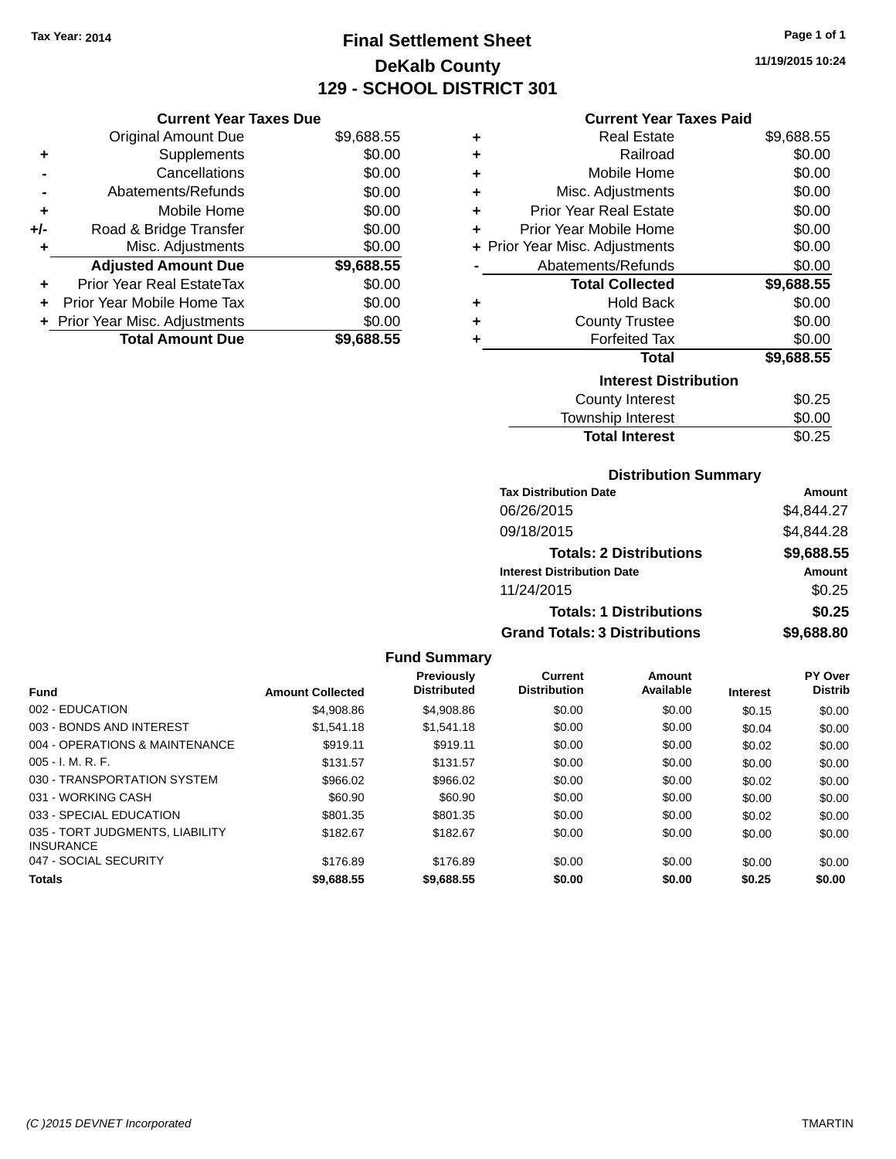# **Final Settlement Sheet Tax Year: 2014 Page 1 of 1 DeKalb County 129 - SCHOOL DISTRICT 301**

**11/19/2015 10:24**

| <b>Current Year Taxes Due</b> |
|-------------------------------|
|-------------------------------|

|       | + Prior Year Misc. Adjustments   | \$0.00     |
|-------|----------------------------------|------------|
|       | Prior Year Mobile Home Tax       | \$0.00     |
| ÷     | <b>Prior Year Real EstateTax</b> | \$0.00     |
|       | <b>Adjusted Amount Due</b>       | \$9,688.55 |
| ٠     | Misc. Adjustments                | \$0.00     |
| $+/-$ | Road & Bridge Transfer           | \$0.00     |
| ٠     | Mobile Home                      | \$0.00     |
|       | Abatements/Refunds               | \$0.00     |
|       | Cancellations                    | \$0.00     |
| ٠     | Supplements                      | \$0.00     |
|       | Original Amount Due              | \$9,688.55 |
|       |                                  |            |

## **Current Year Taxes Paid**

| ٠ | <b>Real Estate</b>             | \$9,688.55 |
|---|--------------------------------|------------|
| ٠ | Railroad                       | \$0.00     |
| ٠ | Mobile Home                    | \$0.00     |
| ÷ | Misc. Adjustments              | \$0.00     |
| ٠ | <b>Prior Year Real Estate</b>  | \$0.00     |
| ٠ | Prior Year Mobile Home         | \$0.00     |
|   | + Prior Year Misc. Adjustments | \$0.00     |
|   | Abatements/Refunds             | \$0.00     |
|   |                                |            |
|   | <b>Total Collected</b>         | \$9,688.55 |
| ٠ | <b>Hold Back</b>               | \$0.00     |
| ÷ | <b>County Trustee</b>          | \$0.00     |
| ٠ | <b>Forfeited Tax</b>           | \$0.00     |
|   | Total                          | \$9,688.55 |
|   | <b>Interest Distribution</b>   |            |
|   | County Interest                | \$0.25     |

## **Distribution Summary**

**Total Interest** \$0.25

| <b>Tax Distribution Date</b>         | Amount     |
|--------------------------------------|------------|
| 06/26/2015                           | \$4.844.27 |
| 09/18/2015                           | \$4,844.28 |
| <b>Totals: 2 Distributions</b>       | \$9,688.55 |
| <b>Interest Distribution Date</b>    | Amount     |
| 11/24/2015                           | \$0.25     |
| <b>Totals: 1 Distributions</b>       | \$0.25     |
| <b>Grand Totals: 3 Distributions</b> | \$9,688.80 |

|                                                     |                         | <b>Previously</b><br><b>Distributed</b> | Current<br><b>Distribution</b> | Amount<br>Available |                 | <b>PY Over</b><br><b>Distrib</b> |
|-----------------------------------------------------|-------------------------|-----------------------------------------|--------------------------------|---------------------|-----------------|----------------------------------|
| <b>Fund</b>                                         | <b>Amount Collected</b> |                                         |                                |                     | <b>Interest</b> |                                  |
| 002 - EDUCATION                                     | \$4,908.86              | \$4,908.86                              | \$0.00                         | \$0.00              | \$0.15          | \$0.00                           |
| 003 - BONDS AND INTEREST                            | \$1.541.18              | \$1.541.18                              | \$0.00                         | \$0.00              | \$0.04          | \$0.00                           |
| 004 - OPERATIONS & MAINTENANCE                      | \$919.11                | \$919.11                                | \$0.00                         | \$0.00              | \$0.02          | \$0.00                           |
| $005 - I. M. R. F.$                                 | \$131.57                | \$131.57                                | \$0.00                         | \$0.00              | \$0.00          | \$0.00                           |
| 030 - TRANSPORTATION SYSTEM                         | \$966.02                | \$966.02                                | \$0.00                         | \$0.00              | \$0.02          | \$0.00                           |
| 031 - WORKING CASH                                  | \$60.90                 | \$60.90                                 | \$0.00                         | \$0.00              | \$0.00          | \$0.00                           |
| 033 - SPECIAL EDUCATION                             | \$801.35                | \$801.35                                | \$0.00                         | \$0.00              | \$0.02          | \$0.00                           |
| 035 - TORT JUDGMENTS, LIABILITY<br><b>INSURANCE</b> | \$182.67                | \$182.67                                | \$0.00                         | \$0.00              | \$0.00          | \$0.00                           |
| 047 - SOCIAL SECURITY                               | \$176.89                | \$176.89                                | \$0.00                         | \$0.00              | \$0.00          | \$0.00                           |
| <b>Totals</b>                                       | \$9.688.55              | \$9.688.55                              | \$0.00                         | \$0.00              | \$0.25          | \$0.00                           |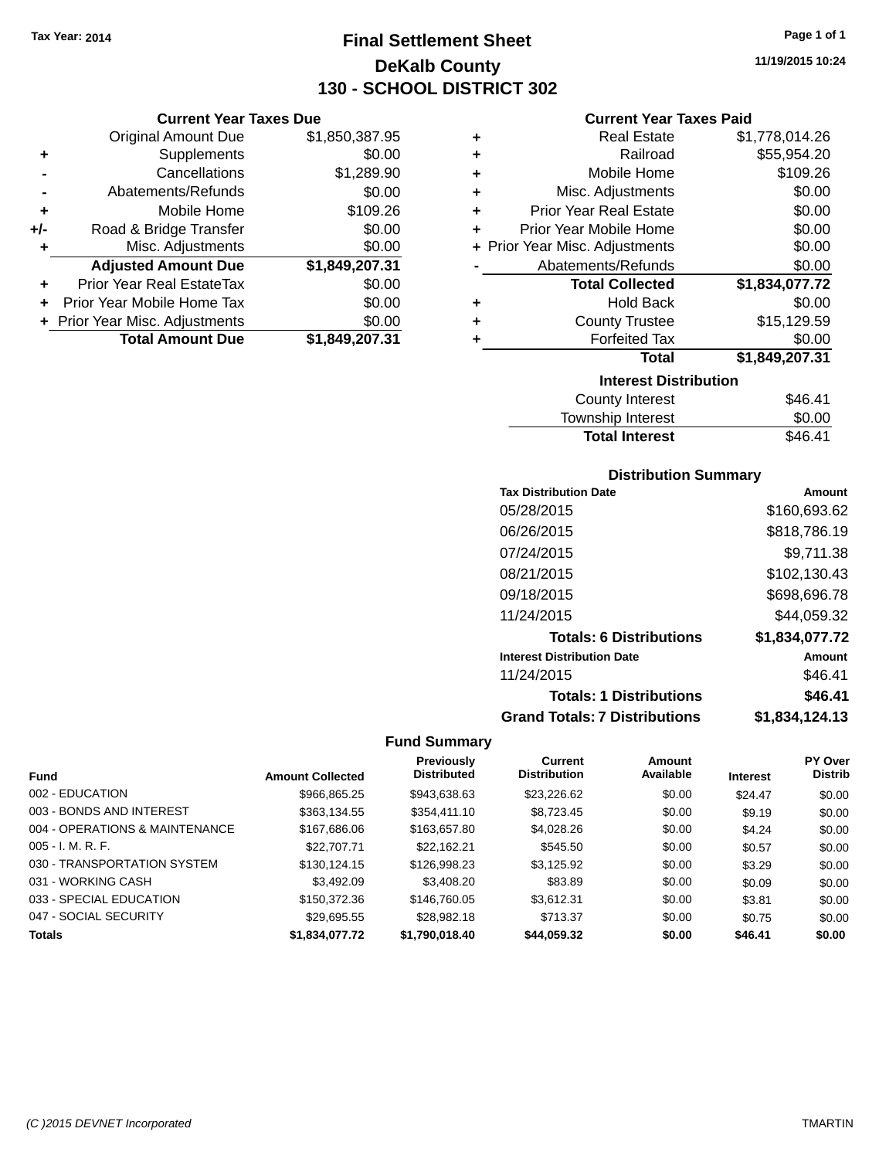# **Final Settlement Sheet Tax Year: 2014 Page 1 of 1 DeKalb County 130 - SCHOOL DISTRICT 302**

**11/19/2015 10:24**

## **Current Year Taxes Paid**

|     | <b>Current Year Taxes Due</b>    |                |      |
|-----|----------------------------------|----------------|------|
|     | <b>Original Amount Due</b>       | \$1,850,387.95 |      |
| ٠   | Supplements                      | \$0.00         | ٠    |
|     | Cancellations                    | \$1,289.90     |      |
|     | Abatements/Refunds               | \$0.00         |      |
|     | Mobile Home                      | \$109.26       |      |
| +/- | Road & Bridge Transfer           | \$0.00         |      |
|     | Misc. Adjustments                | \$0.00         | + Pi |
|     | <b>Adjusted Amount Due</b>       | \$1,849,207.31 |      |
|     | <b>Prior Year Real EstateTax</b> | \$0.00         |      |
|     | Prior Year Mobile Home Tax       | \$0.00         |      |
|     | + Prior Year Misc. Adjustments   | \$0.00         |      |
|     | <b>Total Amount Due</b>          | \$1,849,207.31 |      |
|     |                                  |                |      |

| ٠ | <b>Real Estate</b>             | \$1,778,014.26 |
|---|--------------------------------|----------------|
| ٠ | Railroad                       | \$55,954.20    |
| ÷ | Mobile Home                    | \$109.26       |
| ÷ | Misc. Adjustments              | \$0.00         |
| ٠ | <b>Prior Year Real Estate</b>  | \$0.00         |
| ÷ | Prior Year Mobile Home         | \$0.00         |
|   | + Prior Year Misc. Adjustments | \$0.00         |
|   | Abatements/Refunds             | \$0.00         |
|   |                                |                |
|   | <b>Total Collected</b>         | \$1,834,077.72 |
| ٠ | <b>Hold Back</b>               | \$0.00         |
| ٠ | <b>County Trustee</b>          | \$15,129.59    |
| ٠ | <b>Forfeited Tax</b>           | \$0.00         |
|   | <b>Total</b>                   | \$1,849,207.31 |
|   | <b>Interest Distribution</b>   |                |
|   | County Interest                | \$46.41        |

## **Distribution Summary**

Total Interest \$46.41

| <b>Tax Distribution Date</b>         | Amount         |
|--------------------------------------|----------------|
| 05/28/2015                           | \$160,693.62   |
| 06/26/2015                           | \$818,786.19   |
| 07/24/2015                           | \$9.711.38     |
| 08/21/2015                           | \$102,130.43   |
| 09/18/2015                           | \$698,696.78   |
| 11/24/2015                           | \$44,059.32    |
| <b>Totals: 6 Distributions</b>       | \$1,834,077.72 |
| <b>Interest Distribution Date</b>    | Amount         |
| 11/24/2015                           | \$46.41        |
| <b>Totals: 1 Distributions</b>       | \$46.41        |
| <b>Grand Totals: 7 Distributions</b> | \$1,834,124.13 |

|                                |                         | <b>Previously</b>  | <b>Current</b>      | Amount    |                 | <b>PY Over</b> |
|--------------------------------|-------------------------|--------------------|---------------------|-----------|-----------------|----------------|
| Fund                           | <b>Amount Collected</b> | <b>Distributed</b> | <b>Distribution</b> | Available | <b>Interest</b> | <b>Distrib</b> |
| 002 - EDUCATION                | \$966,865.25            | \$943,638.63       | \$23,226.62         | \$0.00    | \$24.47         | \$0.00         |
| 003 - BONDS AND INTEREST       | \$363.134.55            | \$354,411.10       | \$8,723.45          | \$0.00    | \$9.19          | \$0.00         |
| 004 - OPERATIONS & MAINTENANCE | \$167,686.06            | \$163,657.80       | \$4,028.26          | \$0.00    | \$4.24          | \$0.00         |
| $005 - I. M. R. F.$            | \$22,707.71             | \$22.162.21        | \$545.50            | \$0.00    | \$0.57          | \$0.00         |
| 030 - TRANSPORTATION SYSTEM    | \$130,124.15            | \$126,998.23       | \$3.125.92          | \$0.00    | \$3.29          | \$0.00         |
| 031 - WORKING CASH             | \$3,492.09              | \$3,408.20         | \$83.89             | \$0.00    | \$0.09          | \$0.00         |
| 033 - SPECIAL EDUCATION        | \$150,372,36            | \$146,760.05       | \$3.612.31          | \$0.00    | \$3.81          | \$0.00         |
| 047 - SOCIAL SECURITY          | \$29,695.55             | \$28,982.18        | \$713.37            | \$0.00    | \$0.75          | \$0.00         |
| <b>Totals</b>                  | \$1.834.077.72          | \$1.790.018.40     | \$44,059,32         | \$0.00    | \$46.41         | \$0.00         |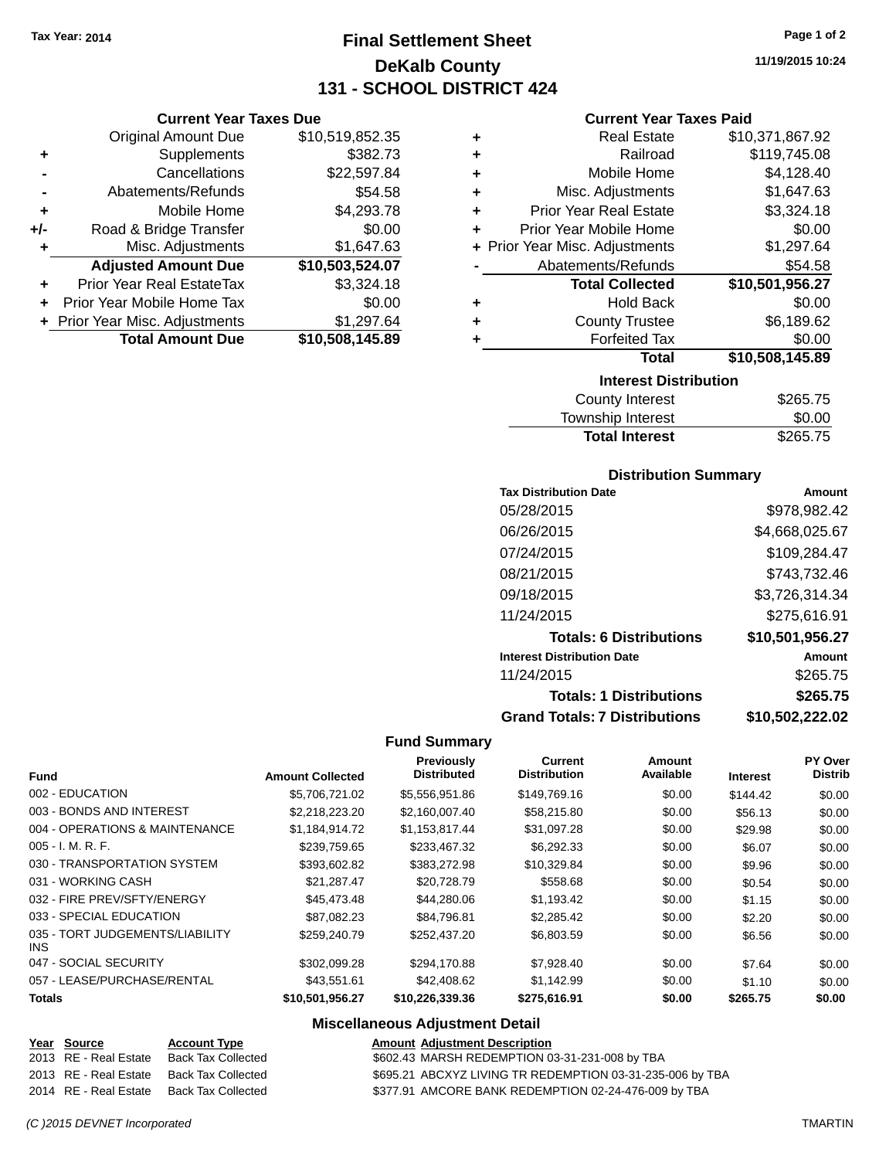**Current Year Taxes Due** Original Amount Due \$10,519,852.35

**Adjusted Amount Due \$10,503,524.07**

**Total Amount Due \$10,508,145.89**

**+** Supplements \$382.73 **-** Cancellations \$22,597.84 **-** Abatements/Refunds \$54.58 **+** Mobile Home \$4,293.78 **+/-** Road & Bridge Transfer \$0.00<br>**+** Misc. Adjustments \$1,647.63

**+** Prior Year Real EstateTax \$3,324.18 **+** Prior Year Mobile Home Tax \$0.00 **+** Prior Year Misc. Adjustments \$1,297.64

**+** Misc. Adjustments

# **Final Settlement Sheet Tax Year: 2014 Page 1 of 2 DeKalb County 131 - SCHOOL DISTRICT 424**

**11/19/2015 10:24**

## **Current Year Taxes Paid**

| ٠<br>٠                       | <b>Real Estate</b><br>Railroad | \$10,371,867.92<br>\$119,745.08 |  |  |
|------------------------------|--------------------------------|---------------------------------|--|--|
| ٠                            | Mobile Home                    | \$4,128.40                      |  |  |
| ٠                            | Misc. Adjustments              | \$1,647.63                      |  |  |
| ٠                            | <b>Prior Year Real Estate</b>  | \$3,324.18                      |  |  |
| ٠                            | Prior Year Mobile Home         | \$0.00                          |  |  |
|                              | + Prior Year Misc. Adjustments | \$1,297.64                      |  |  |
|                              | Abatements/Refunds             | \$54.58                         |  |  |
|                              | <b>Total Collected</b>         | \$10,501,956.27                 |  |  |
| ٠                            | <b>Hold Back</b>               | \$0.00                          |  |  |
| ٠                            | <b>County Trustee</b>          | \$6,189.62                      |  |  |
|                              | <b>Forfeited Tax</b>           | \$0.00                          |  |  |
|                              | <b>Total</b>                   | \$10,508,145.89                 |  |  |
| <b>Interest Distribution</b> |                                |                                 |  |  |
|                              |                                |                                 |  |  |

| County Interest       | \$265.75 |
|-----------------------|----------|
| Township Interest     | \$0.00   |
| <b>Total Interest</b> | \$265.75 |

## **Distribution Summary**

| <b>Tax Distribution Date</b>         | Amount          |
|--------------------------------------|-----------------|
| 05/28/2015                           | \$978,982.42    |
| 06/26/2015                           | \$4,668,025.67  |
| 07/24/2015                           | \$109,284.47    |
| 08/21/2015                           | \$743,732.46    |
| 09/18/2015                           | \$3,726,314.34  |
| 11/24/2015                           | \$275,616.91    |
| <b>Totals: 6 Distributions</b>       | \$10,501,956.27 |
| <b>Interest Distribution Date</b>    | Amount          |
| 11/24/2015                           | \$265.75        |
| <b>Totals: 1 Distributions</b>       | \$265.75        |
| <b>Grand Totals: 7 Distributions</b> | \$10,502,222.02 |

### **Fund Summary**

| <b>Fund</b>                             | <b>Amount Collected</b> | Previously<br><b>Distributed</b> | Current<br><b>Distribution</b> | Amount<br>Available | <b>Interest</b> | PY Over<br><b>Distrib</b> |
|-----------------------------------------|-------------------------|----------------------------------|--------------------------------|---------------------|-----------------|---------------------------|
| 002 - EDUCATION                         | \$5.706.721.02          | \$5,556,951.86                   | \$149.769.16                   | \$0.00              | \$144.42        | \$0.00                    |
| 003 - BONDS AND INTEREST                | \$2,218,223.20          | \$2,160,007.40                   | \$58,215.80                    | \$0.00              | \$56.13         | \$0.00                    |
| 004 - OPERATIONS & MAINTENANCE          | \$1,184,914.72          | \$1,153,817.44                   | \$31,097.28                    | \$0.00              | \$29.98         | \$0.00                    |
| $005 - I. M. R. F.$                     | \$239,759.65            | \$233,467.32                     | \$6,292.33                     | \$0.00              | \$6.07          | \$0.00                    |
| 030 - TRANSPORTATION SYSTEM             | \$393,602.82            | \$383,272.98                     | \$10,329.84                    | \$0.00              | \$9.96          | \$0.00                    |
| 031 - WORKING CASH                      | \$21.287.47             | \$20,728.79                      | \$558.68                       | \$0.00              | \$0.54          | \$0.00                    |
| 032 - FIRE PREV/SFTY/ENERGY             | \$45,473.48             | \$44,280,06                      | \$1.193.42                     | \$0.00              | \$1.15          | \$0.00                    |
| 033 - SPECIAL EDUCATION                 | \$87.082.23             | \$84.796.81                      | \$2,285.42                     | \$0.00              | \$2.20          | \$0.00                    |
| 035 - TORT JUDGEMENTS/LIABILITY<br>INS. | \$259,240.79            | \$252,437.20                     | \$6,803.59                     | \$0.00              | \$6.56          | \$0.00                    |
| 047 - SOCIAL SECURITY                   | \$302.099.28            | \$294,170.88                     | \$7,928.40                     | \$0.00              | \$7.64          | \$0.00                    |
| 057 - LEASE/PURCHASE/RENTAL             | \$43.551.61             | \$42,408.62                      | \$1.142.99                     | \$0.00              | \$1.10          | \$0.00                    |
| <b>Totals</b>                           | \$10,501,956.27         | \$10,226,339.36                  | \$275,616.91                   | \$0.00              | \$265.75        | \$0.00                    |

| Year Source           | <b>Account Type</b> | <b>Amount Adjustment Description</b>                      |
|-----------------------|---------------------|-----------------------------------------------------------|
| 2013 RE - Real Estate | Back Tax Collected  | \$602.43 MARSH REDEMPTION 03-31-231-008 by TBA            |
| 2013 RE - Real Estate | Back Tax Collected  | \$695.21 ABCXYZ LIVING TR REDEMPTION 03-31-235-006 by TBA |
| 2014 RE - Real Estate | Back Tax Collected  | \$377.91 AMCORE BANK REDEMPTION 02-24-476-009 by TBA      |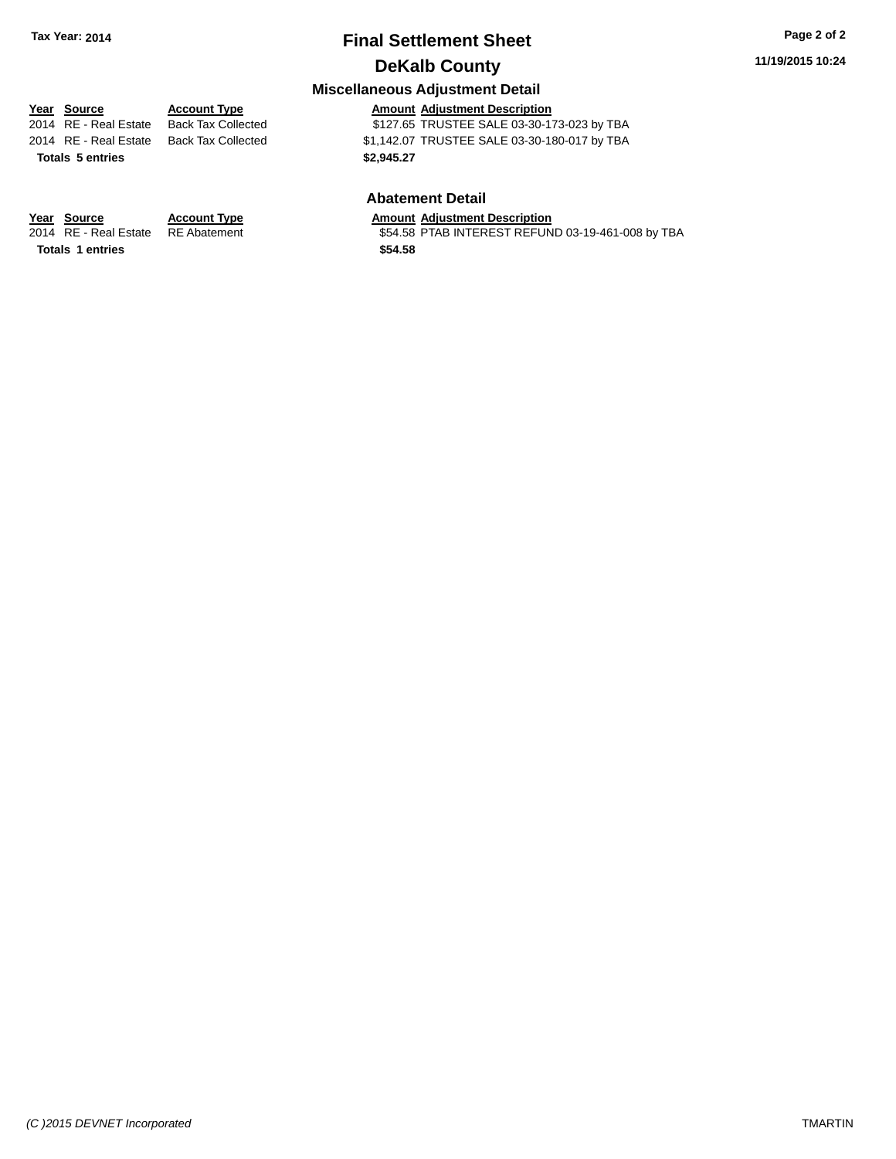# **Final Settlement Sheet Tax Year: 2014 Page 2 of 2 DeKalb County**

## **Miscellaneous Adjustment Detail**

**Totals \$2,945.27 5 entries**

**Year Source Account Type Amount Adjustment Description** \$127.65 TRUSTEE SALE 03-30-173-023 by TBA 2014 RE - Real Estate Back Tax Collected \$1,142.07 TRUSTEE SALE 03-30-180-017 by TBA

## **Abatement Detail**

\$54.58 PTAB INTEREST REFUND 03-19-461-008 by TBA

**Year Source Account Type Amount Adjustment Description**<br>2014 RE - Real Estate RE Abatement **Amount S54.58 PTAB INTEREST REFUN** 

**Totals \$54.58 1 entries**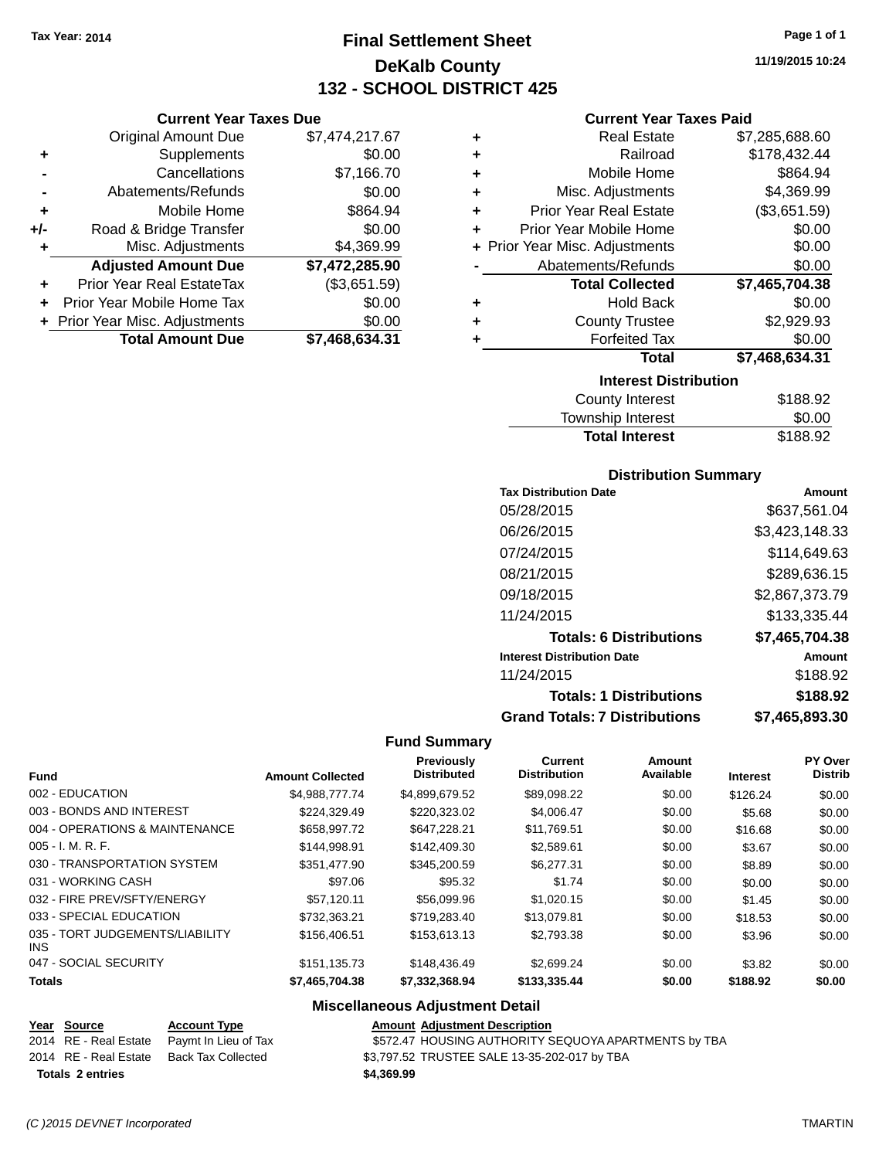**Current Year Taxes Due** Original Amount Due \$7,474,217.67

**Adjusted Amount Due \$7,472,285.90**

**+** Supplements \$0.00 **-** Cancellations \$7,166.70 **-** Abatements/Refunds \$0.00 **+** Mobile Home \$864.94 **+/-** Road & Bridge Transfer \$0.00 **+** Misc. Adjustments \$4,369.99

**+** Prior Year Real EstateTax (\$3,651.59) **+** Prior Year Mobile Home Tax \$0.00 **+** Prior Year Misc. Adjustments \$0.00<br> **1926,634.31**<br> **1926,634.31** 

**Total Amount Due** 

# **Final Settlement Sheet Tax Year: 2014 Page 1 of 1 DeKalb County 132 - SCHOOL DISTRICT 425**

**11/19/2015 10:24**

### **Current Year Taxes Paid**

| ٠ | <b>Real Estate</b>             | \$7,285,688.60 |  |  |  |
|---|--------------------------------|----------------|--|--|--|
| ÷ | Railroad                       | \$178,432.44   |  |  |  |
| ÷ | Mobile Home                    | \$864.94       |  |  |  |
| ÷ | Misc. Adjustments              | \$4,369.99     |  |  |  |
| ÷ | <b>Prior Year Real Estate</b>  | (\$3,651.59)   |  |  |  |
| ٠ | Prior Year Mobile Home         | \$0.00         |  |  |  |
|   | + Prior Year Misc. Adjustments | \$0.00         |  |  |  |
|   | Abatements/Refunds             | \$0.00         |  |  |  |
|   | <b>Total Collected</b>         | \$7,465,704.38 |  |  |  |
| ٠ | <b>Hold Back</b>               | \$0.00         |  |  |  |
| ٠ | <b>County Trustee</b>          | \$2,929.93     |  |  |  |
|   | <b>Forfeited Tax</b>           | \$0.00         |  |  |  |
|   | <b>Total</b>                   | \$7,468,634.31 |  |  |  |
|   | <b>Interest Distribution</b>   |                |  |  |  |
|   | County Interest                | \$188.92       |  |  |  |
|   |                                |                |  |  |  |

| County Interest       | \$188.92 |
|-----------------------|----------|
| Township Interest     | \$0.00   |
| <b>Total Interest</b> | \$188.92 |

## **Distribution Summary**

| <b>Tax Distribution Date</b>         | Amount         |
|--------------------------------------|----------------|
| 05/28/2015                           | \$637,561.04   |
| 06/26/2015                           | \$3,423,148.33 |
| 07/24/2015                           | \$114,649.63   |
| 08/21/2015                           | \$289,636.15   |
| 09/18/2015                           | \$2,867,373.79 |
| 11/24/2015                           | \$133,335.44   |
| <b>Totals: 6 Distributions</b>       | \$7,465,704.38 |
| <b>Interest Distribution Date</b>    | Amount         |
| 11/24/2015                           | \$188.92       |
| <b>Totals: 1 Distributions</b>       | \$188.92       |
| <b>Grand Totals: 7 Distributions</b> | \$7.465.893.30 |

### **Fund Summary**

| Fund                                          | <b>Amount Collected</b> | Previously<br><b>Distributed</b> | Current<br><b>Distribution</b> | Amount<br>Available | <b>Interest</b> | <b>PY Over</b><br><b>Distrib</b> |
|-----------------------------------------------|-------------------------|----------------------------------|--------------------------------|---------------------|-----------------|----------------------------------|
| 002 - EDUCATION                               | \$4.988.777.74          | \$4,899,679.52                   | \$89,098.22                    | \$0.00              | \$126.24        | \$0.00                           |
| 003 - BONDS AND INTEREST                      | \$224.329.49            | \$220,323.02                     | \$4,006.47                     | \$0.00              | \$5.68          | \$0.00                           |
| 004 - OPERATIONS & MAINTENANCE                | \$658,997.72            | \$647.228.21                     | \$11.769.51                    | \$0.00              | \$16.68         | \$0.00                           |
| $005 - I. M. R. F.$                           | \$144.998.91            | \$142,409.30                     | \$2.589.61                     | \$0.00              | \$3.67          | \$0.00                           |
| 030 - TRANSPORTATION SYSTEM                   | \$351.477.90            | \$345,200.59                     | \$6.277.31                     | \$0.00              | \$8.89          | \$0.00                           |
| 031 - WORKING CASH                            | \$97.06                 | \$95.32                          | \$1.74                         | \$0.00              | \$0.00          | \$0.00                           |
| 032 - FIRE PREV/SFTY/ENERGY                   | \$57.120.11             | \$56,099.96                      | \$1,020.15                     | \$0.00              | \$1.45          | \$0.00                           |
| 033 - SPECIAL EDUCATION                       | \$732,363.21            | \$719,283.40                     | \$13,079.81                    | \$0.00              | \$18.53         | \$0.00                           |
| 035 - TORT JUDGEMENTS/LIABILITY<br><b>INS</b> | \$156,406.51            | \$153,613.13                     | \$2,793,38                     | \$0.00              | \$3.96          | \$0.00                           |
| 047 - SOCIAL SECURITY                         | \$151.135.73            | \$148,436.49                     | \$2,699.24                     | \$0.00              | \$3.82          | \$0.00                           |
| <b>Totals</b>                                 | \$7,465,704.38          | \$7,332,368.94                   | \$133,335.44                   | \$0.00              | \$188.92        | \$0.00                           |

| Year Source             | <b>Account Type</b>                        | <b>Amount Adjustment Description</b>                 |
|-------------------------|--------------------------------------------|------------------------------------------------------|
|                         | 2014 RE - Real Estate Paymt In Lieu of Tax | \$572.47 HOUSING AUTHORITY SEQUOYA APARTMENTS by TBA |
|                         | 2014 RE - Real Estate Back Tax Collected   | \$3,797.52 TRUSTEE SALE 13-35-202-017 by TBA         |
| <b>Totals 2 entries</b> |                                            | \$4,369.99                                           |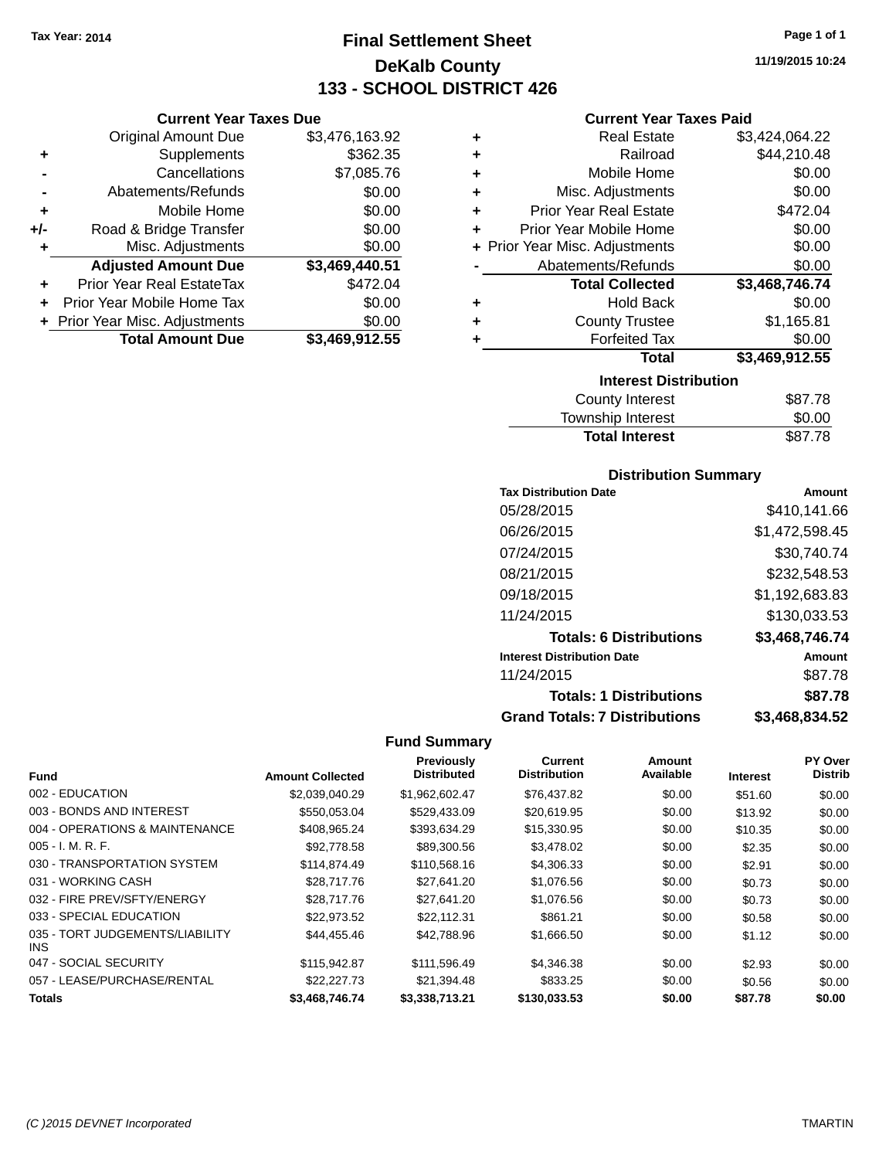# **Final Settlement Sheet Tax Year: 2014 Page 1 of 1 DeKalb County 133 - SCHOOL DISTRICT 426**

### **Current Year Taxes Due**

|     | <b>Original Amount Due</b>     | \$3,476,163.92 |
|-----|--------------------------------|----------------|
| ٠   | Supplements                    | \$362.35       |
|     | Cancellations                  | \$7,085.76     |
|     | Abatements/Refunds             | \$0.00         |
| ٠   | Mobile Home                    | \$0.00         |
| +/- | Road & Bridge Transfer         | \$0.00         |
| ٠   | Misc. Adjustments              | \$0.00         |
|     | <b>Adjusted Amount Due</b>     | \$3,469,440.51 |
|     | Prior Year Real EstateTax      | \$472.04       |
|     | Prior Year Mobile Home Tax     | \$0.00         |
|     | + Prior Year Misc. Adjustments | \$0.00         |
|     | <b>Total Amount Due</b>        | \$3,469,912.55 |

### **Current Year Taxes Paid**

| ٠ | <b>Real Estate</b>             | \$3,424,064.22 |  |  |  |
|---|--------------------------------|----------------|--|--|--|
| ٠ | Railroad                       | \$44,210.48    |  |  |  |
| ٠ | Mobile Home                    | \$0.00         |  |  |  |
| ٠ | Misc. Adjustments              | \$0.00         |  |  |  |
| ٠ | <b>Prior Year Real Estate</b>  | \$472.04       |  |  |  |
| ÷ | Prior Year Mobile Home         | \$0.00         |  |  |  |
|   | + Prior Year Misc. Adjustments | \$0.00         |  |  |  |
|   | Abatements/Refunds             | \$0.00         |  |  |  |
|   | <b>Total Collected</b>         | \$3,468,746.74 |  |  |  |
| ٠ | <b>Hold Back</b>               | \$0.00         |  |  |  |
| ٠ | <b>County Trustee</b>          | \$1,165.81     |  |  |  |
| ٠ | <b>Forfeited Tax</b>           | \$0.00         |  |  |  |
|   | <b>Total</b>                   | \$3,469,912.55 |  |  |  |
|   | <b>Interest Distribution</b>   |                |  |  |  |
|   | <b>County Interest</b>         | \$87.78        |  |  |  |
|   |                                |                |  |  |  |

| <b>Total Interest</b> | \$87.78 |
|-----------------------|---------|
| Township Interest     | \$0.00  |
| County Interest       | \$87.78 |

## **Distribution Summary**

| <b>Tax Distribution Date</b>         | Amount         |
|--------------------------------------|----------------|
| 05/28/2015                           | \$410,141.66   |
| 06/26/2015                           | \$1,472,598.45 |
| 07/24/2015                           | \$30,740.74    |
| 08/21/2015                           | \$232.548.53   |
| 09/18/2015                           | \$1,192,683.83 |
| 11/24/2015                           | \$130,033.53   |
| <b>Totals: 6 Distributions</b>       | \$3,468,746.74 |
| <b>Interest Distribution Date</b>    | Amount         |
| 11/24/2015                           | \$87.78        |
| <b>Totals: 1 Distributions</b>       | \$87.78        |
| <b>Grand Totals: 7 Distributions</b> | \$3.468.834.52 |

# **Fund Summary**

÷

| <b>Fund</b>                             | <b>Amount Collected</b> | <b>Previously</b><br><b>Distributed</b> | Current<br><b>Distribution</b> | Amount<br>Available | <b>Interest</b> | PY Over<br><b>Distrib</b> |
|-----------------------------------------|-------------------------|-----------------------------------------|--------------------------------|---------------------|-----------------|---------------------------|
|                                         |                         |                                         |                                |                     |                 |                           |
| 002 - EDUCATION                         | \$2,039,040.29          | \$1,962,602.47                          | \$76,437.82                    | \$0.00              | \$51.60         | \$0.00                    |
| 003 - BONDS AND INTEREST                | \$550,053.04            | \$529,433.09                            | \$20,619.95                    | \$0.00              | \$13.92         | \$0.00                    |
| 004 - OPERATIONS & MAINTENANCE          | \$408.965.24            | \$393.634.29                            | \$15,330.95                    | \$0.00              | \$10.35         | \$0.00                    |
| $005 - I. M. R. F.$                     | \$92,778.58             | \$89,300.56                             | \$3,478.02                     | \$0.00              | \$2.35          | \$0.00                    |
| 030 - TRANSPORTATION SYSTEM             | \$114,874.49            | \$110,568.16                            | \$4,306.33                     | \$0.00              | \$2.91          | \$0.00                    |
| 031 - WORKING CASH                      | \$28,717.76             | \$27.641.20                             | \$1,076.56                     | \$0.00              | \$0.73          | \$0.00                    |
| 032 - FIRE PREV/SFTY/ENERGY             | \$28,717.76             | \$27.641.20                             | \$1,076.56                     | \$0.00              | \$0.73          | \$0.00                    |
| 033 - SPECIAL EDUCATION                 | \$22.973.52             | \$22.112.31                             | \$861.21                       | \$0.00              | \$0.58          | \$0.00                    |
| 035 - TORT JUDGEMENTS/LIABILITY<br>INS. | \$44.455.46             | \$42,788.96                             | \$1,666.50                     | \$0.00              | \$1.12          | \$0.00                    |
| 047 - SOCIAL SECURITY                   | \$115,942.87            | \$111,596.49                            | \$4,346.38                     | \$0.00              | \$2.93          | \$0.00                    |
| 057 - LEASE/PURCHASE/RENTAL             | \$22,227.73             | \$21,394.48                             | \$833.25                       | \$0.00              | \$0.56          | \$0.00                    |
| <b>Totals</b>                           | \$3,468,746.74          | \$3,338,713.21                          | \$130,033.53                   | \$0.00              | \$87.78         | \$0.00                    |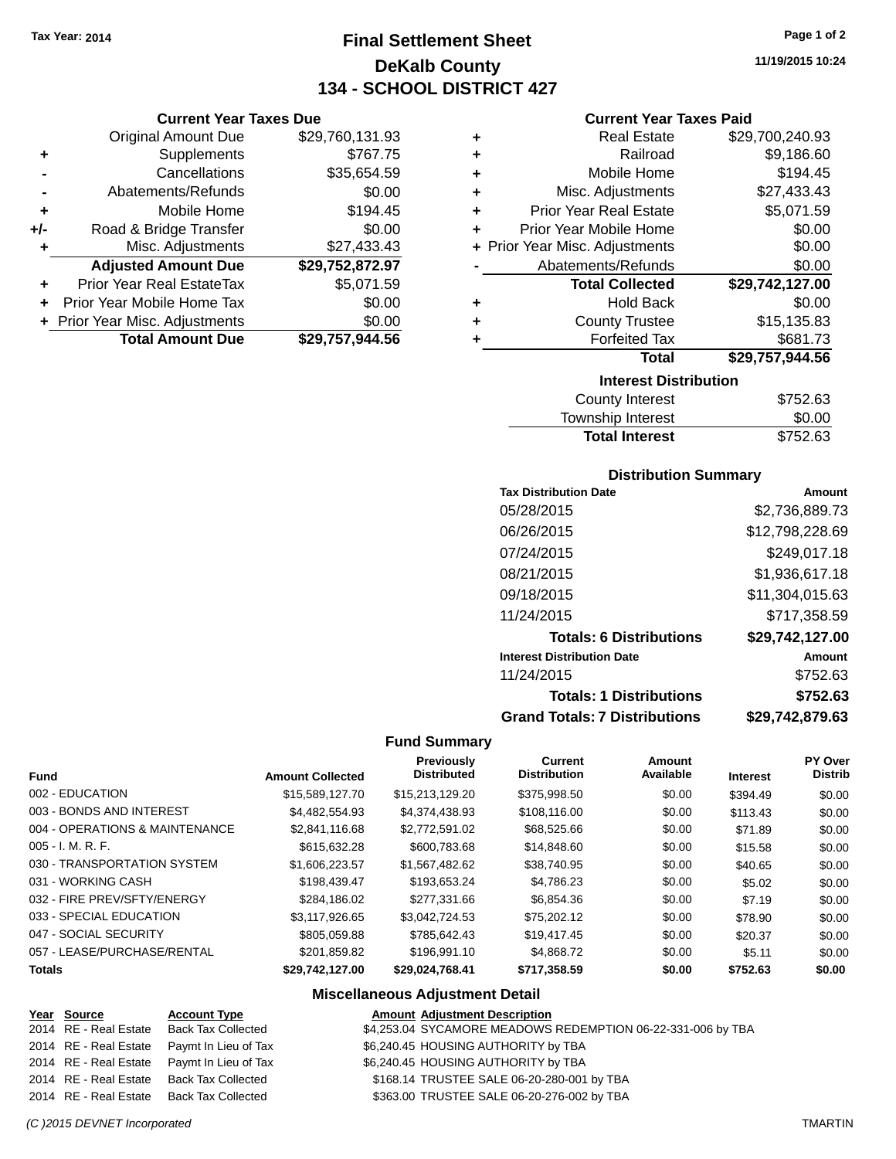**Current Year Taxes Due** Original Amount Due \$29,760,131.93

**Adjusted Amount Due \$29,752,872.97**

**Total Amount Due \$29,757,944.56**

**+** Supplements \$767.75 **-** Cancellations \$35,654.59 **-** Abatements/Refunds \$0.00 **+** Mobile Home \$194.45 **+/-** Road & Bridge Transfer \$0.00 **+** Misc. Adjustments \$27,433.43

**+** Prior Year Real EstateTax \$5,071.59 **+** Prior Year Mobile Home Tax \$0.00 **+** Prior Year Misc. Adjustments  $$0.00$ 

# **Final Settlement Sheet Tax Year: 2014 Page 1 of 2 DeKalb County 134 - SCHOOL DISTRICT 427**

**11/19/2015 10:24**

#### **Current Year Taxes Paid**

| ÷ | <b>Real Estate</b>             | \$29,700,240.93 |  |  |
|---|--------------------------------|-----------------|--|--|
| ٠ | Railroad                       | \$9,186.60      |  |  |
| ٠ | Mobile Home                    | \$194.45        |  |  |
| ٠ | Misc. Adjustments              | \$27,433.43     |  |  |
| ٠ | <b>Prior Year Real Estate</b>  | \$5,071.59      |  |  |
| ÷ | Prior Year Mobile Home         | \$0.00          |  |  |
|   | + Prior Year Misc. Adjustments | \$0.00          |  |  |
|   | Abatements/Refunds             | \$0.00          |  |  |
|   | <b>Total Collected</b>         | \$29,742,127.00 |  |  |
| ٠ | <b>Hold Back</b>               | \$0.00          |  |  |
| ٠ | <b>County Trustee</b>          | \$15,135.83     |  |  |
|   | <b>Forfeited Tax</b>           | \$681.73        |  |  |
|   | Total                          | \$29,757,944.56 |  |  |
|   | <b>Interest Distribution</b>   |                 |  |  |

| <b>County Interest</b> | \$752.63 |
|------------------------|----------|
| Township Interest      | \$0.00   |
| <b>Total Interest</b>  | \$752.63 |
|                        |          |

#### **Distribution Summary**

| <b>Tax Distribution Date</b>         | Amount          |
|--------------------------------------|-----------------|
| 05/28/2015                           | \$2,736,889.73  |
| 06/26/2015                           | \$12,798,228.69 |
| 07/24/2015                           | \$249,017.18    |
| 08/21/2015                           | \$1,936,617.18  |
| 09/18/2015                           | \$11,304,015.63 |
| 11/24/2015                           | \$717,358.59    |
| <b>Totals: 6 Distributions</b>       | \$29,742,127.00 |
| <b>Interest Distribution Date</b>    | Amount          |
| 11/24/2015                           | \$752.63        |
| <b>Totals: 1 Distributions</b>       | \$752.63        |
| <b>Grand Totals: 7 Distributions</b> | \$29,742,879.63 |

#### **Fund Summary**

| <b>Fund</b>                    | <b>Amount Collected</b> | <b>Previously</b><br><b>Distributed</b> | <b>Current</b><br><b>Distribution</b> | Amount<br>Available | <b>Interest</b> | <b>PY Over</b><br><b>Distrib</b> |
|--------------------------------|-------------------------|-----------------------------------------|---------------------------------------|---------------------|-----------------|----------------------------------|
| 002 - EDUCATION                | \$15,589,127.70         | \$15,213,129.20                         | \$375,998.50                          | \$0.00              | \$394.49        | \$0.00                           |
| 003 - BONDS AND INTEREST       | \$4,482,554.93          | \$4,374,438.93                          | \$108,116.00                          | \$0.00              | \$113.43        | \$0.00                           |
| 004 - OPERATIONS & MAINTENANCE | \$2.841.116.68          | \$2.772.591.02                          | \$68,525,66                           | \$0.00              | \$71.89         | \$0.00                           |
| $005 - I. M. R. F.$            | \$615,632.28            | \$600.783.68                            | \$14,848.60                           | \$0.00              | \$15.58         | \$0.00                           |
| 030 - TRANSPORTATION SYSTEM    | \$1,606,223,57          | \$1.567.482.62                          | \$38.740.95                           | \$0.00              | \$40.65         | \$0.00                           |
| 031 - WORKING CASH             | \$198.439.47            | \$193,653.24                            | \$4.786.23                            | \$0.00              | \$5.02          | \$0.00                           |
| 032 - FIRE PREV/SFTY/ENERGY    | \$284.186.02            | \$277.331.66                            | \$6,854,36                            | \$0.00              | \$7.19          | \$0.00                           |
| 033 - SPECIAL EDUCATION        | \$3.117.926.65          | \$3.042.724.53                          | \$75.202.12                           | \$0.00              | \$78.90         | \$0.00                           |
| 047 - SOCIAL SECURITY          | \$805,059.88            | \$785.642.43                            | \$19.417.45                           | \$0.00              | \$20.37         | \$0.00                           |
| 057 - LEASE/PURCHASE/RENTAL    | \$201.859.82            | \$196.991.10                            | \$4,868,72                            | \$0.00              | \$5.11          | \$0.00                           |
| Totals                         | \$29,742,127.00         | \$29,024,768.41                         | \$717,358.59                          | \$0.00              | \$752.63        | \$0.00                           |

### **Miscellaneous Adjustment Detail**

### **Year Source Account Type Amount Adjustment Description** \$4,253.04 SYCAMORE MEADOWS REDEMPTION 06-22-331-006 by TBA 2014 RE - Real Estate Paymt In Lieu of Tax S6,240.45 HOUSING AUTHORITY by TBA 2014 RE - Real Estate Paymt In Lieu of Tax S6,240.45 HOUSING AUTHORITY by TBA 2014 RE - Real Estate Back Tax Collected \$168.14 TRUSTEE SALE 06-20-280-001 by TBA 2014 RE - Real Estate Back Tax Collected \$363.00 TRUSTEE SALE 06-20-276-002 by TBA

#### *(C )2015 DEVNET Incorporated* TMARTIN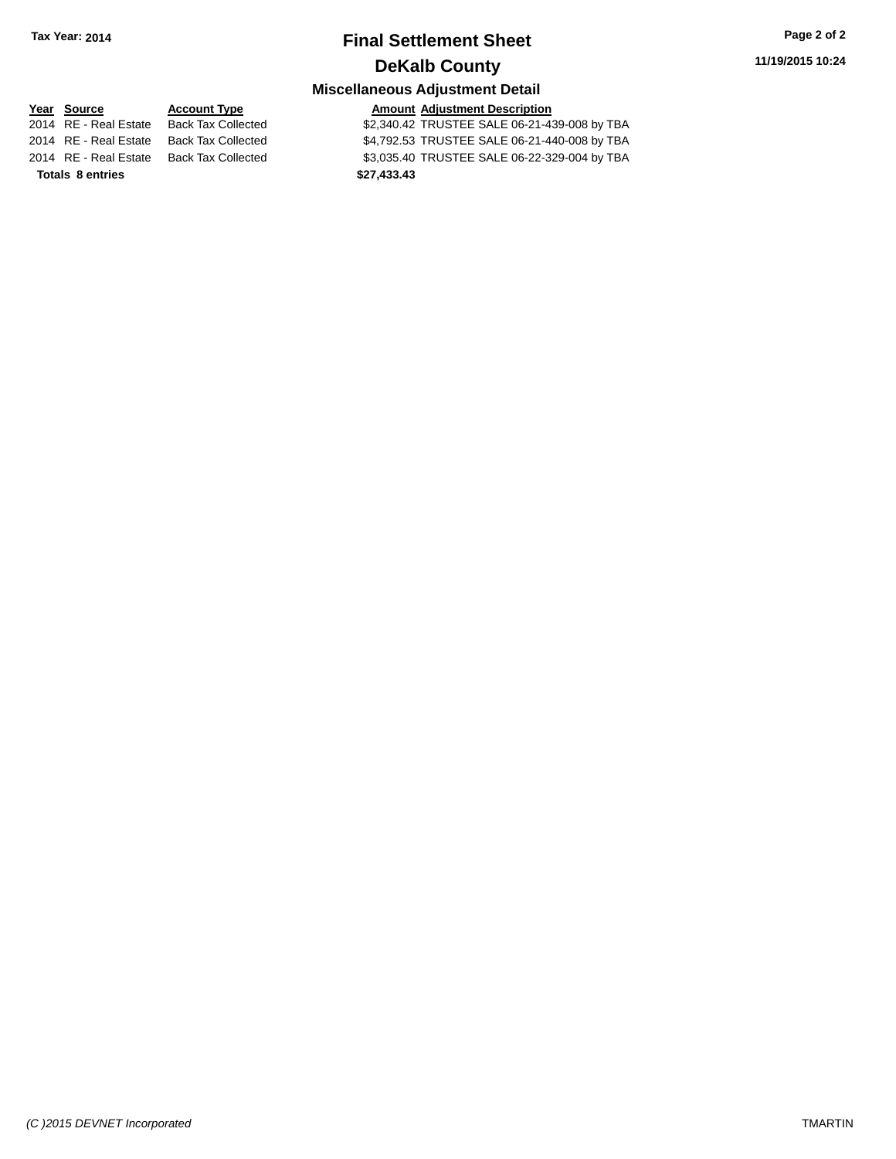# **Final Settlement Sheet Tax Year: 2014 Page 2 of 2 DeKalb County**

# **Miscellaneous Adjustment Detail**

**Year** Source **Account Type Account Adjustment Description** 2014 RE - Real Estate Back Tax Collected \$2,340.42 TRUSTEE SALE 06-21-439-008 by TBA 2014 RE - Real Estate Back Tax Collected \$4,792.53 TRUSTEE SALE 06-21-440-008 by TBA 2014 RE - Real Estate Back Tax Collected \$3,035.40 TRUSTEE SALE 06-22-329-004 by TBA **Totals \$27,433.43 8 entries**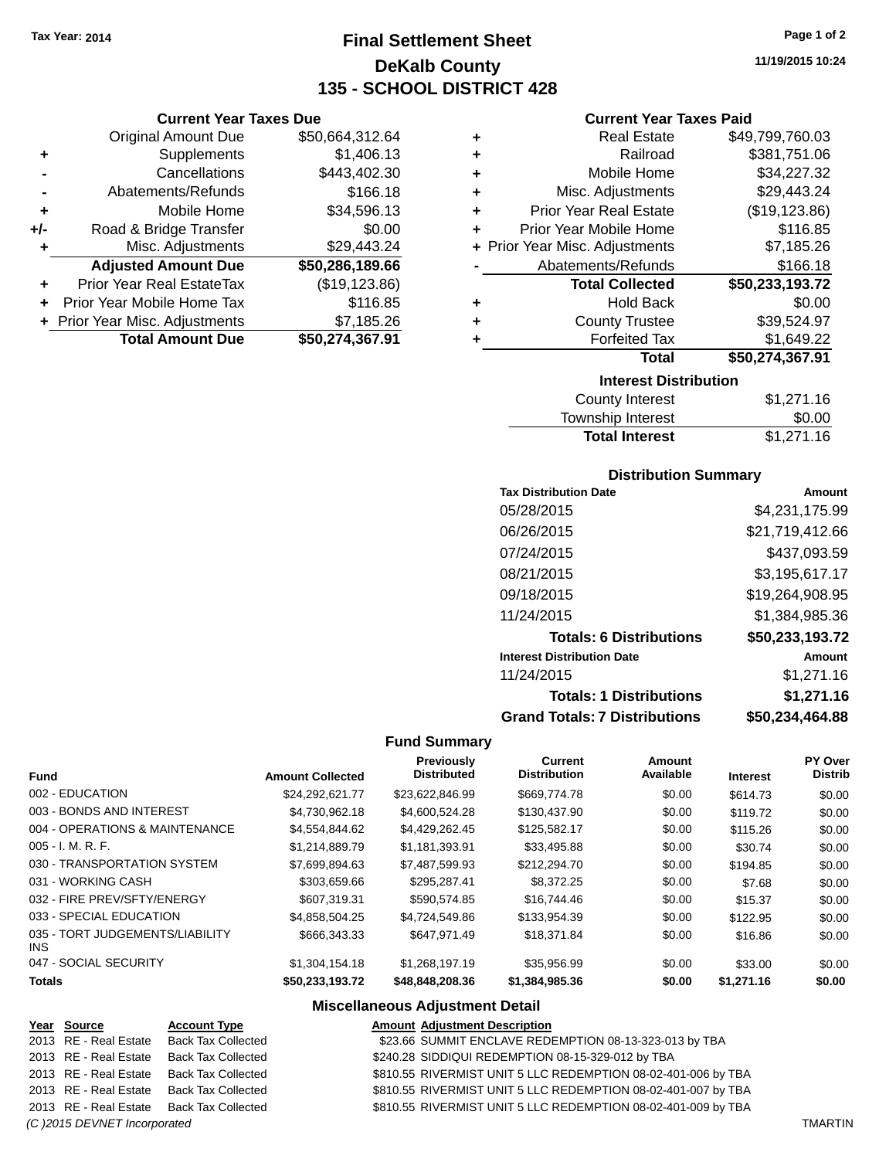**Current Year Taxes Due** Original Amount Due \$50,664,312.64

**Adjusted Amount Due \$50,286,189.66**

**Total Amount Due \$50,274,367.91**

**+** Supplements \$1,406.13 **-** Cancellations \$443,402.30 **-** Abatements/Refunds \$166.18 **+** Mobile Home \$34,596.13 **+/-** Road & Bridge Transfer \$0.00<br>**+** Misc. Adjustments \$29,443.24

**+** Prior Year Real EstateTax (\$19,123.86) **+** Prior Year Mobile Home Tax \$116.85 **+** Prior Year Misc. Adjustments \$7,185.26

**+** Misc. Adjustments

# **Final Settlement Sheet Tax Year: 2014 Page 1 of 2 DeKalb County 135 - SCHOOL DISTRICT 428**

**11/19/2015 10:24**

| ٠ | <b>Real Estate</b>             | \$49,799,760.03 |
|---|--------------------------------|-----------------|
| ٠ | Railroad                       | \$381,751.06    |
| ÷ | Mobile Home                    | \$34,227.32     |
| ٠ | Misc. Adjustments              | \$29,443.24     |
| ÷ | <b>Prior Year Real Estate</b>  | (\$19, 123.86)  |
| ٠ | Prior Year Mobile Home         | \$116.85        |
|   | + Prior Year Misc. Adjustments | \$7,185.26      |
|   | Abatements/Refunds             | \$166.18        |
|   | <b>Total Collected</b>         | \$50,233,193.72 |
| ٠ | <b>Hold Back</b>               | \$0.00          |
| ٠ | <b>County Trustee</b>          | \$39,524.97     |
| ٠ | <b>Forfeited Tax</b>           | \$1,649.22      |
|   | <b>Total</b>                   | \$50,274,367.91 |
|   | <b>Interest Distribution</b>   |                 |
|   | County Interest                | S1 271 16       |

| <b>Total Interest</b> | \$1,271.16 |
|-----------------------|------------|
| Township Interest     | \$0.00     |
| County Interest       | \$1,271.16 |

## **Distribution Summary**

| <b>Tax Distribution Date</b>         | Amount          |
|--------------------------------------|-----------------|
| 05/28/2015                           | \$4,231,175.99  |
| 06/26/2015                           | \$21,719,412.66 |
| 07/24/2015                           | \$437,093.59    |
| 08/21/2015                           | \$3,195,617.17  |
| 09/18/2015                           | \$19,264,908.95 |
| 11/24/2015                           | \$1,384,985.36  |
| <b>Totals: 6 Distributions</b>       | \$50,233,193.72 |
| <b>Interest Distribution Date</b>    | Amount          |
| 11/24/2015                           | \$1,271.16      |
| <b>Totals: 1 Distributions</b>       | \$1,271.16      |
| <b>Grand Totals: 7 Distributions</b> | \$50.234.464.88 |

### **Fund Summary**

| Fund                                    | <b>Amount Collected</b> | Previously<br><b>Distributed</b> | <b>Current</b><br><b>Distribution</b> | Amount<br>Available | <b>Interest</b> | <b>PY Over</b><br><b>Distrib</b> |
|-----------------------------------------|-------------------------|----------------------------------|---------------------------------------|---------------------|-----------------|----------------------------------|
| 002 - EDUCATION                         | \$24,292,621.77         | \$23,622,846.99                  | \$669,774.78                          | \$0.00              | \$614.73        | \$0.00                           |
| 003 - BONDS AND INTEREST                | \$4.730.962.18          | \$4,600,524,28                   | \$130,437.90                          | \$0.00              | \$119.72        | \$0.00                           |
| 004 - OPERATIONS & MAINTENANCE          | \$4.554.844.62          | \$4,429,262.45                   | \$125,582.17                          | \$0.00              | \$115.26        | \$0.00                           |
| 005 - I. M. R. F.                       | \$1.214.889.79          | \$1.181.393.91                   | \$33,495.88                           | \$0.00              | \$30.74         | \$0.00                           |
| 030 - TRANSPORTATION SYSTEM             | \$7,699,894.63          | \$7,487,599.93                   | \$212,294.70                          | \$0.00              | \$194.85        | \$0.00                           |
| 031 - WORKING CASH                      | \$303.659.66            | \$295.287.41                     | \$8,372.25                            | \$0.00              | \$7.68          | \$0.00                           |
| 032 - FIRE PREV/SFTY/ENERGY             | \$607.319.31            | \$590.574.85                     | \$16,744.46                           | \$0.00              | \$15.37         | \$0.00                           |
| 033 - SPECIAL EDUCATION                 | \$4.858.504.25          | \$4.724.549.86                   | \$133,954,39                          | \$0.00              | \$122.95        | \$0.00                           |
| 035 - TORT JUDGEMENTS/LIABILITY<br>INS. | \$666,343.33            | \$647.971.49                     | \$18,371.84                           | \$0.00              | \$16.86         | \$0.00                           |
| 047 - SOCIAL SECURITY                   | \$1.304.154.18          | \$1.268.197.19                   | \$35,956.99                           | \$0.00              | \$33.00         | \$0.00                           |
| <b>Totals</b>                           | \$50,233,193.72         | \$48,848,208.36                  | \$1,384,985.36                        | \$0.00              | \$1,271.16      | \$0.00                           |

|                              | Year Source           | <b>Account Type</b>                      | <b>Amount Adjustment Description</b>                          |  |
|------------------------------|-----------------------|------------------------------------------|---------------------------------------------------------------|--|
|                              | 2013 RE - Real Estate | Back Tax Collected                       | \$23.66 SUMMIT ENCLAVE REDEMPTION 08-13-323-013 by TBA        |  |
|                              | 2013 RE - Real Estate | Back Tax Collected                       | \$240.28 SIDDIQUI REDEMPTION 08-15-329-012 by TBA             |  |
|                              | 2013 RE - Real Estate | Back Tax Collected                       | \$810.55 RIVERMIST UNIT 5 LLC REDEMPTION 08-02-401-006 by TBA |  |
|                              | 2013 RE - Real Estate | Back Tax Collected                       | \$810.55 RIVERMIST UNIT 5 LLC REDEMPTION 08-02-401-007 by TBA |  |
|                              |                       | 2013 RE - Real Estate Back Tax Collected | \$810.55 RIVERMIST UNIT 5 LLC REDEMPTION 08-02-401-009 by TBA |  |
| (C) 2015 DEVNET Incorporated |                       |                                          |                                                               |  |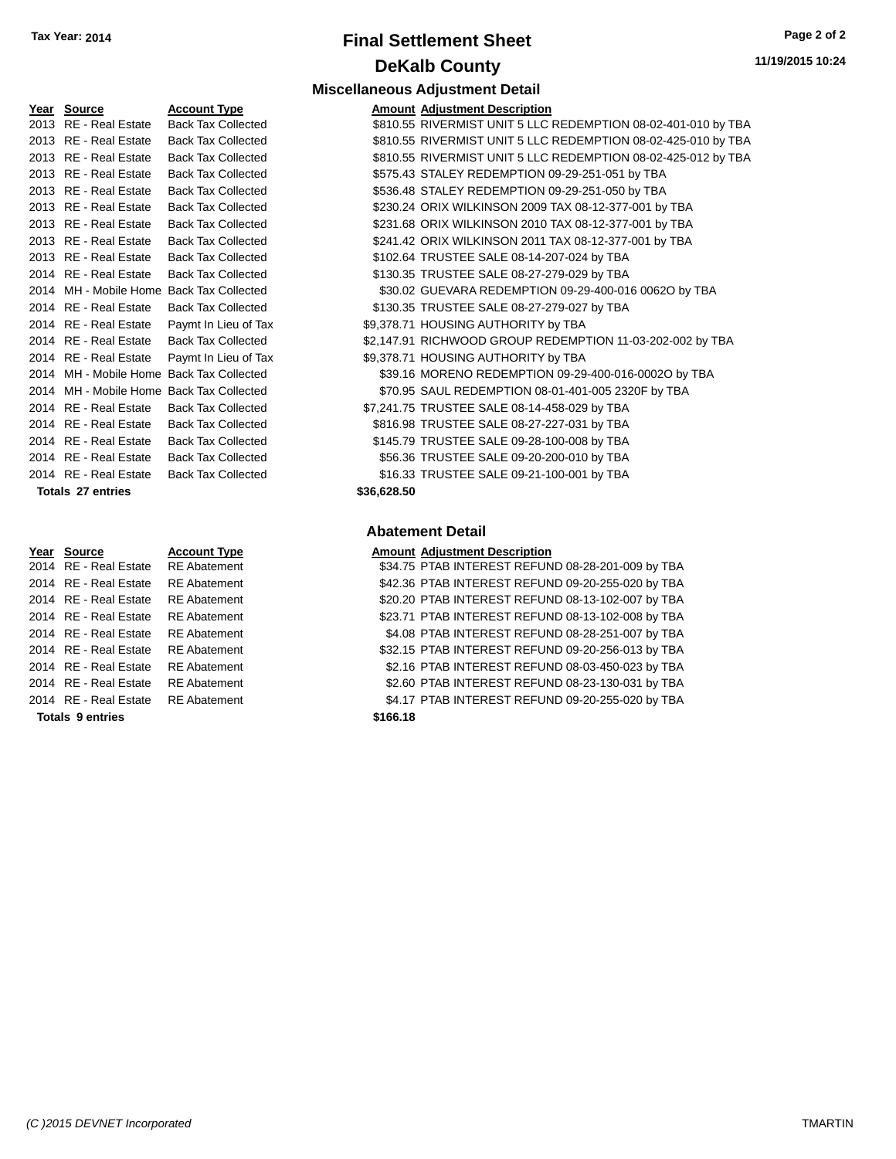# **Final Settlement Sheet Tax Year: 2014 Page 2 of 2 DeKalb County**

**Amount Adjustment Description** 

**Miscellaneous Adjustment Detail**

| Year | <b>Source</b>           | <b>Account Type</b>   |
|------|-------------------------|-----------------------|
| 2013 | <b>RE</b> - Real Estate | <b>Back Tax Colle</b> |
| 2013 | <b>RE</b> - Real Estate | <b>Back Tax Colle</b> |
| 2013 | <b>RE</b> - Real Estate | <b>Back Tax Colle</b> |
| 2013 | RE - Real Estate        | <b>Back Tax Colle</b> |
| 2013 | <b>RE</b> - Real Estate | <b>Back Tax Colle</b> |
| 2013 | <b>RE</b> - Real Estate | <b>Back Tax Colle</b> |
| 2013 | <b>RE</b> - Real Estate | <b>Back Tax Colle</b> |
| 2013 | <b>RE</b> - Real Estate | <b>Back Tax Colle</b> |
| 2013 | <b>RE</b> - Real Estate | <b>Back Tax Colle</b> |
| 2014 | <b>RE</b> - Real Estate | <b>Back Tax Colle</b> |
| 2014 | MH - Mobile Home        | <b>Back Tax Colle</b> |
| 2014 | <b>RE</b> - Real Estate | <b>Back Tax Colle</b> |
| 2014 | <b>RE</b> - Real Estate | Paymt In Lieu         |
| 2014 | <b>RE</b> - Real Estate | <b>Back Tax Colle</b> |
| 2014 | <b>RE</b> - Real Estate | Paymt In Lieu         |
| 2014 | MH - Mobile Home        | <b>Back Tax Colle</b> |
| 2014 | MH - Mobile Home        | <b>Back Tax Colle</b> |
| 2014 | <b>RE</b> - Real Estate | <b>Back Tax Colle</b> |
| 2014 | <b>RE</b> - Real Estate | <b>Back Tax Colle</b> |
| 2014 | RE - Real Estate        | <b>Back Tax Colle</b> |
| 2014 | <b>RE</b> - Real Estate | <b>Back Tax Colle</b> |
| 2014 | <b>RE</b> - Real Estate | <b>Back Tax Colle</b> |
|      | Totals 27 entries       |                       |

| Year Source           | <b>Account Type</b> | <b>Amount Adjustment Description</b> |
|-----------------------|---------------------|--------------------------------------|
| 2014 RE - Real Estate | <b>RE</b> Abatement | \$34.75 PTAB INTEREST REFUN          |
| 2014 RE - Real Estate | <b>RE</b> Abatement | \$42.36 PTAB INTEREST REFUN          |
| 2014 RE - Real Estate | <b>RE</b> Abatement | \$20.20 PTAB INTEREST REFUN          |
| 2014 RE - Real Estate | <b>RE</b> Abatement | \$23.71 PTAB INTEREST REFUN          |
| 2014 RE - Real Estate | <b>RE</b> Abatement | \$4.08 PTAB INTEREST REFUN           |
| 2014 RE - Real Estate | <b>RE</b> Abatement | \$32.15 PTAB INTEREST REFUN          |
| 2014 RE - Real Estate | <b>RE</b> Abatement | \$2.16 PTAB INTEREST REFUN           |
| 2014 RE - Real Estate | <b>RE</b> Abatement | \$2.60 PTAB INTEREST REFUN           |
| 2014 RE - Real Estate | <b>RE</b> Abatement | \$4.17 PTAB INTEREST REFUN           |
|                       |                     |                                      |

#### **Totals \$166.18 9 entries**

#### 2013 ected 3810.55 RIVERMIST UNIT 5 LLC REDEMPTION 08-02-401-010 by TBA 2013 acted \$810.55 RIVERMIST UNIT 5 LLC REDEMPTION 08-02-425-010 by TBA 2013 ected 5810.55 RIVERMIST UNIT 5 LLC REDEMPTION 08-02-425-012 by TBA <sup>2</sup> acted 5575.43 STALEY REDEMPTION 09-29-251-051 by TBA ected **2013 82013 82013 836.48 STALEY REDEMPTION 09-29-251-050 by TBA** 2230.24 ORIX WILKINSON 2009 TAX 08-12-377-001 by TBA 2013 Real Estate buying \$231.68 ORIX WILKINSON 2010 TAX 08-12-377-001 by TBA ected **\$241.42 ORIX WILKINSON 2011 TAX 08-12-377-001 by TBA** ected **\$102.64 TRUSTEE SALE 08-14-207-024 by TBA** ected **\$130.35 TRUSTEE SALE 08-27-279-029 by TBA** 2014 2016 Predet Associate Magnetic Home Back Network S30.02 GUEVARA REDEMPTION 09-29-400-016 ected **2014 S130.35 TRUSTEE SALE 08-27-279-027 by TBA** of Tax 69,378.71 HOUSING AUTHORITY by TBA ected **2001 S2,147.91 RICHWOOD GROUP REDEMPTION 11-03-202-002 by TBA** of Tax  $$9,378.71$  HOUSING AUTHORITY by TBA 2014 acted 2014 539.16 MORENO REDEMPTION 09-29-400-016-0002O by TBA 2014 acted The MH - Mobile ST0.95 SAUL REDEMPTION 08-01-401-005 2320F by TBA ected **\$7,241.75 TRUSTEE SALE 08-14-458-029 by TBA** ected **\$816.98 TRUSTEE SALE 08-27-227-031 by TBA** ected **\$145.79 TRUSTEE SALE 09-28-100-008 by TBA** ected **2014 856.36 TRUSTEE SALE 09-20-200-010 by TBA** ected **2014 STATE SALE 09-21-100-001 by TBA**

### **Totals \$36,628.50 27 entries**

### **Abatement Detail**

| <u>Year Source</u>                 | <b>Account Type</b> | <b>Amount Adjustment Description</b>              |
|------------------------------------|---------------------|---------------------------------------------------|
| 2014 RE - Real Estate              | <b>RE</b> Abatement | \$34.75 PTAB INTEREST REFUND 08-28-201-009 by TBA |
| 2014 RE - Real Estate              | <b>RE</b> Abatement | \$42.36 PTAB INTEREST REFUND 09-20-255-020 by TBA |
| 2014 RE - Real Estate              | <b>RE</b> Abatement | \$20.20 PTAB INTEREST REFUND 08-13-102-007 by TBA |
| 2014 RE - Real Estate              | <b>RE</b> Abatement | \$23.71 PTAB INTEREST REFUND 08-13-102-008 by TBA |
| 2014 RE - Real Estate              | <b>RE</b> Abatement | \$4.08 PTAB INTEREST REFUND 08-28-251-007 by TBA  |
| 2014 RE - Real Estate              | <b>RE</b> Abatement | \$32.15 PTAB INTEREST REFUND 09-20-256-013 by TBA |
| 2014 RE - Real Estate              | <b>RE</b> Abatement | \$2.16 PTAB INTEREST REFUND 08-03-450-023 by TBA  |
| 2014 RE - Real Estate              | <b>RE Abatement</b> | \$2.60 PTAB INTEREST REFUND 08-23-130-031 by TBA  |
| 2014 RE - Real Estate RE Abatement |                     | \$4.17 PTAB INTEREST REFUND 09-20-255-020 by TBA  |
|                                    |                     |                                                   |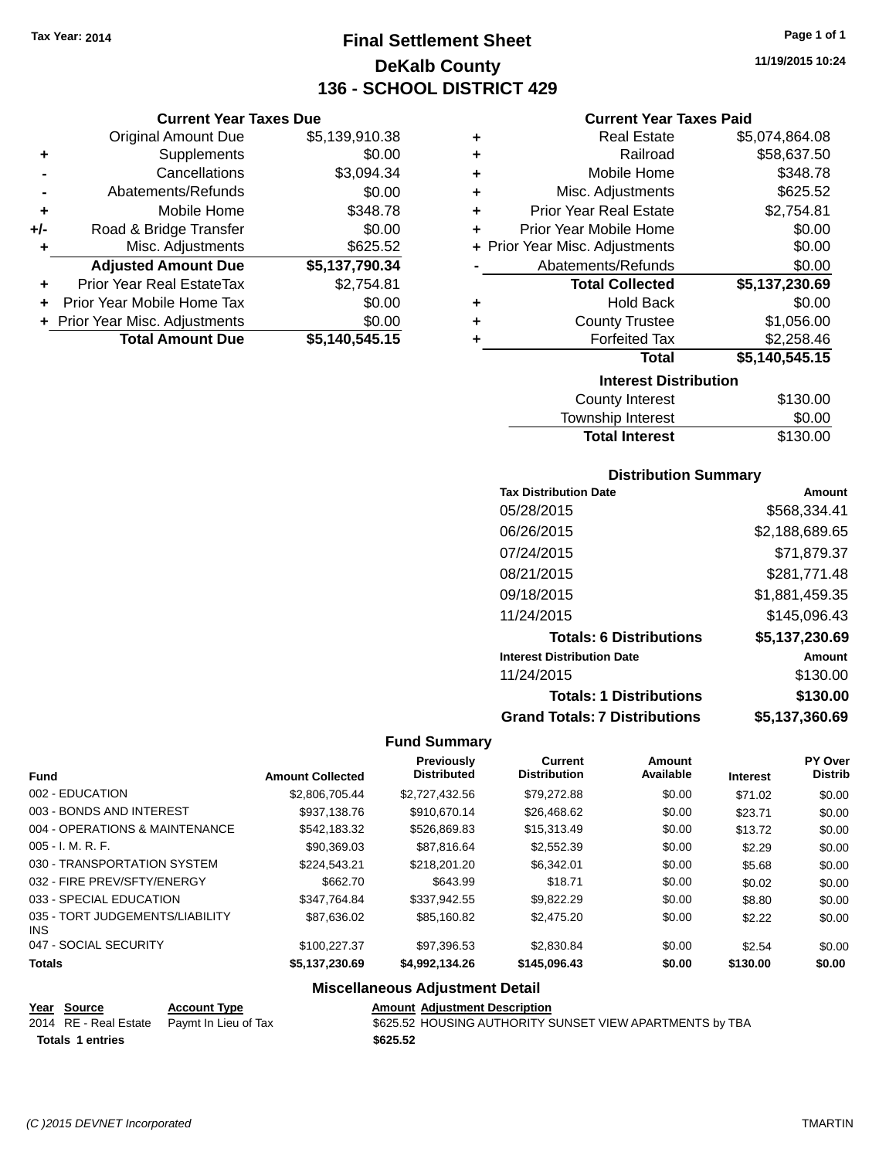**Current Year Taxes Due** Original Amount Due \$5,139,910.38

**Adjusted Amount Due \$5,137,790.34**

**Total Amount Due \$5,140,545.15**

**+** Supplements \$0.00 **-** Cancellations \$3,094.34 **-** Abatements/Refunds \$0.00 **+** Mobile Home \$348.78 **+/-** Road & Bridge Transfer \$0.00 **+** Misc. Adjustments \$625.52

**+** Prior Year Real EstateTax \$2,754.81 **+** Prior Year Mobile Home Tax \$0.00 **+ Prior Year Misc. Adjustments**  $$0.00$ 

# **Final Settlement Sheet Tax Year: 2014 Page 1 of 1 DeKalb County 136 - SCHOOL DISTRICT 429**

**11/19/2015 10:24**

### **Current Year Taxes Paid**

| ٠ | <b>Real Estate</b>             | \$5,074,864.08 |
|---|--------------------------------|----------------|
| ٠ | Railroad                       | \$58,637.50    |
| ٠ | Mobile Home                    | \$348.78       |
| ÷ | Misc. Adjustments              | \$625.52       |
| ÷ | <b>Prior Year Real Estate</b>  | \$2,754.81     |
| ٠ | Prior Year Mobile Home         | \$0.00         |
|   | + Prior Year Misc. Adjustments | \$0.00         |
|   | Abatements/Refunds             | \$0.00         |
|   | <b>Total Collected</b>         | \$5,137,230.69 |
| ٠ | <b>Hold Back</b>               | \$0.00         |
| ٠ | <b>County Trustee</b>          | \$1,056.00     |
| ٠ | <b>Forfeited Tax</b>           | \$2,258.46     |
|   | <b>Total</b>                   | \$5,140,545.15 |
|   | <b>Interest Distribution</b>   |                |
|   | <b>County Interest</b>         | \$130.00       |

## County Interest \$130.00 Township Interest \$0.00 Total Interest \$130.00

### **Distribution Summary**

| <b>Tax Distribution Date</b>         | Amount         |
|--------------------------------------|----------------|
| 05/28/2015                           | \$568,334.41   |
| 06/26/2015                           | \$2,188,689.65 |
| 07/24/2015                           | \$71,879.37    |
| 08/21/2015                           | \$281,771.48   |
| 09/18/2015                           | \$1,881,459.35 |
| 11/24/2015                           | \$145,096.43   |
| <b>Totals: 6 Distributions</b>       | \$5,137,230.69 |
| <b>Interest Distribution Date</b>    | Amount         |
| 11/24/2015                           | \$130.00       |
| <b>Totals: 1 Distributions</b>       | \$130.00       |
| <b>Grand Totals: 7 Distributions</b> | \$5,137,360.69 |

### **Fund Summary**

| <b>Amount Collected</b> | <b>Previously</b><br><b>Distributed</b> | Current<br><b>Distribution</b> | Amount<br>Available | <b>Interest</b> | <b>PY Over</b><br><b>Distrib</b> |
|-------------------------|-----------------------------------------|--------------------------------|---------------------|-----------------|----------------------------------|
| \$2.806.705.44          | \$2.727.432.56                          | \$79.272.88                    | \$0.00              | \$71.02         | \$0.00                           |
| \$937.138.76            | \$910.670.14                            | \$26,468.62                    | \$0.00              | \$23.71         | \$0.00                           |
| \$542,183.32            | \$526,869.83                            | \$15,313.49                    | \$0.00              | \$13.72         | \$0.00                           |
| \$90,369.03             | \$87.816.64                             | \$2.552.39                     | \$0.00              | \$2.29          | \$0.00                           |
| \$224.543.21            | \$218,201.20                            | \$6.342.01                     | \$0.00              | \$5.68          | \$0.00                           |
| \$662.70                | \$643.99                                | \$18.71                        | \$0.00              | \$0.02          | \$0.00                           |
| \$347.764.84            | \$337.942.55                            | \$9.822.29                     | \$0.00              | \$8.80          | \$0.00                           |
| \$87.636.02             | \$85.160.82                             | \$2,475.20                     | \$0.00              | \$2.22          | \$0.00                           |
| \$100.227.37            | \$97,396.53                             | \$2,830.84                     | \$0.00              | \$2.54          | \$0.00                           |
| \$5,137,230.69          | \$4,992,134.26                          | \$145,096.43                   | \$0.00              | \$130.00        | \$0.00                           |
|                         |                                         |                                |                     |                 |                                  |

| Year Source             | <b>Account Type</b>                        | <b>Amount Adjustment Description</b>                     |
|-------------------------|--------------------------------------------|----------------------------------------------------------|
|                         | 2014 RE - Real Estate Paymt In Lieu of Tax | \$625.52 HOUSING AUTHORITY SUNSET VIEW APARTMENTS by TBA |
| <b>Totals 1 entries</b> |                                            | \$625.52                                                 |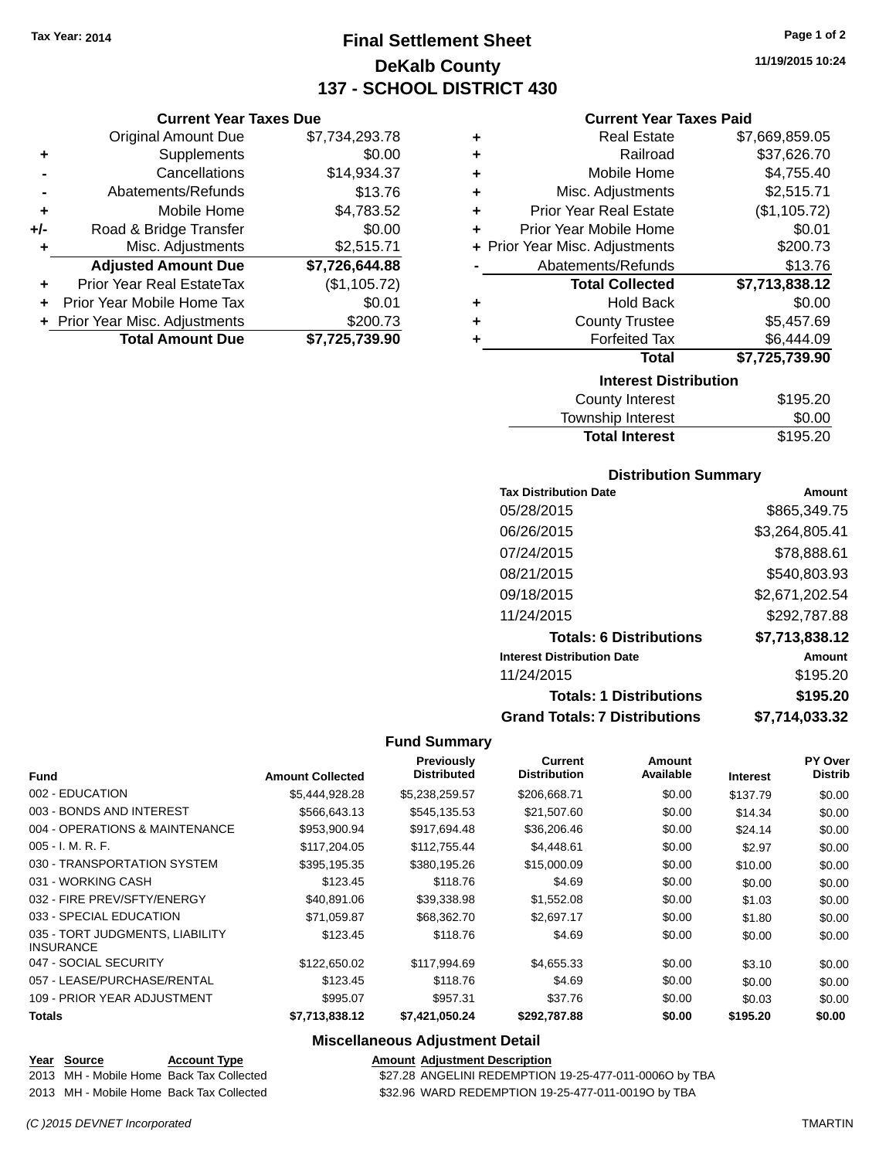**Current Year Taxes Due** Original Amount Due \$7,734,293.78

**Adjusted Amount Due \$7,726,644.88**

**Total Amount Due \$7,725,739.90**

**+** Supplements \$0.00 **-** Cancellations \$14,934.37 **-** Abatements/Refunds \$13.76 **+** Mobile Home \$4,783.52 **+/-** Road & Bridge Transfer \$0.00 **+** Misc. Adjustments \$2,515.71

**+** Prior Year Real EstateTax (\$1,105.72) **+** Prior Year Mobile Home Tax \$0.01 **+** Prior Year Misc. Adjustments \$200.73

# **Final Settlement Sheet Tax Year: 2014 Page 1 of 2 DeKalb County 137 - SCHOOL DISTRICT 430**

**11/19/2015 10:24**

### **Current Year Taxes Paid**

| ٠ | <b>Real Estate</b><br>\$7,669,859.05 |                |  |  |
|---|--------------------------------------|----------------|--|--|
| ٠ | Railroad                             | \$37,626.70    |  |  |
| ٠ | Mobile Home                          | \$4,755.40     |  |  |
| ٠ | Misc. Adjustments                    | \$2,515.71     |  |  |
| ٠ | <b>Prior Year Real Estate</b>        | (\$1,105.72)   |  |  |
| ٠ | Prior Year Mobile Home               | \$0.01         |  |  |
|   | + Prior Year Misc. Adjustments       | \$200.73       |  |  |
|   | Abatements/Refunds                   | \$13.76        |  |  |
|   | <b>Total Collected</b>               | \$7,713,838.12 |  |  |
| ٠ | <b>Hold Back</b>                     | \$0.00         |  |  |
| ٠ | <b>County Trustee</b>                | \$5,457.69     |  |  |
| ٠ | <b>Forfeited Tax</b>                 | \$6,444.09     |  |  |
|   | <b>Total</b>                         | \$7,725,739.90 |  |  |
|   | <b>Interest Distribution</b>         |                |  |  |
|   | <b>County Interest</b>               | \$195.20       |  |  |

| \$195.20 |
|----------|
| \$0.00   |
| \$195.20 |
|          |

### **Distribution Summary**

| <b>Tax Distribution Date</b>         | Amount         |
|--------------------------------------|----------------|
| 05/28/2015                           | \$865,349.75   |
| 06/26/2015                           | \$3,264,805.41 |
| 07/24/2015                           | \$78,888.61    |
| 08/21/2015                           | \$540,803.93   |
| 09/18/2015                           | \$2,671,202.54 |
| 11/24/2015                           | \$292,787.88   |
| <b>Totals: 6 Distributions</b>       | \$7,713,838.12 |
| <b>Interest Distribution Date</b>    | Amount         |
| 11/24/2015                           | \$195.20       |
| <b>Totals: 1 Distributions</b>       | \$195.20       |
| <b>Grand Totals: 7 Distributions</b> | \$7.714.033.32 |

### **Fund Summary**

| <b>Fund</b>                                         | <b>Amount Collected</b> | <b>Previously</b><br><b>Distributed</b> | <b>Current</b><br><b>Distribution</b> | Amount<br>Available | <b>Interest</b> | PY Over<br><b>Distrib</b> |
|-----------------------------------------------------|-------------------------|-----------------------------------------|---------------------------------------|---------------------|-----------------|---------------------------|
| 002 - EDUCATION                                     | \$5,444,928.28          | \$5,238,259.57                          | \$206,668.71                          | \$0.00              | \$137.79        | \$0.00                    |
| 003 - BONDS AND INTEREST                            | \$566,643.13            | \$545,135.53                            | \$21,507.60                           | \$0.00              | \$14.34         | \$0.00                    |
| 004 - OPERATIONS & MAINTENANCE                      | \$953,900.94            | \$917,694.48                            | \$36,206.46                           | \$0.00              | \$24.14         | \$0.00                    |
| 005 - I. M. R. F.                                   | \$117,204.05            | \$112,755.44                            | \$4,448.61                            | \$0.00              | \$2.97          | \$0.00                    |
| 030 - TRANSPORTATION SYSTEM                         | \$395,195.35            | \$380,195.26                            | \$15,000.09                           | \$0.00              | \$10.00         | \$0.00                    |
| 031 - WORKING CASH                                  | \$123.45                | \$118.76                                | \$4.69                                | \$0.00              | \$0.00          | \$0.00                    |
| 032 - FIRE PREV/SFTY/ENERGY                         | \$40,891.06             | \$39,338.98                             | \$1,552.08                            | \$0.00              | \$1.03          | \$0.00                    |
| 033 - SPECIAL EDUCATION                             | \$71,059.87             | \$68,362.70                             | \$2,697.17                            | \$0.00              | \$1.80          | \$0.00                    |
| 035 - TORT JUDGMENTS, LIABILITY<br><b>INSURANCE</b> | \$123.45                | \$118.76                                | \$4.69                                | \$0.00              | \$0.00          | \$0.00                    |
| 047 - SOCIAL SECURITY                               | \$122,650.02            | \$117,994.69                            | \$4,655.33                            | \$0.00              | \$3.10          | \$0.00                    |
| 057 - LEASE/PURCHASE/RENTAL                         | \$123.45                | \$118.76                                | \$4.69                                | \$0.00              | \$0.00          | \$0.00                    |
| 109 - PRIOR YEAR ADJUSTMENT                         | \$995.07                | \$957.31                                | \$37.76                               | \$0.00              | \$0.03          | \$0.00                    |
| <b>Totals</b>                                       | \$7,713,838.12          | \$7,421,050.24                          | \$292,787.88                          | \$0.00              | \$195.20        | \$0.00                    |

#### **Miscellaneous Adjustment Detail**

**Year** Source **Account Type Account Adjustment Description** 2013 MH - Mobile Home Back Tax Collected **ANGELINI REDEMPTION 19-25-477-011-0006O** by TBA 2013 MH - Mobile Home Back Tax Collected \$32.96 WARD REDEMPTION 19-25-477-011-0019O by TBA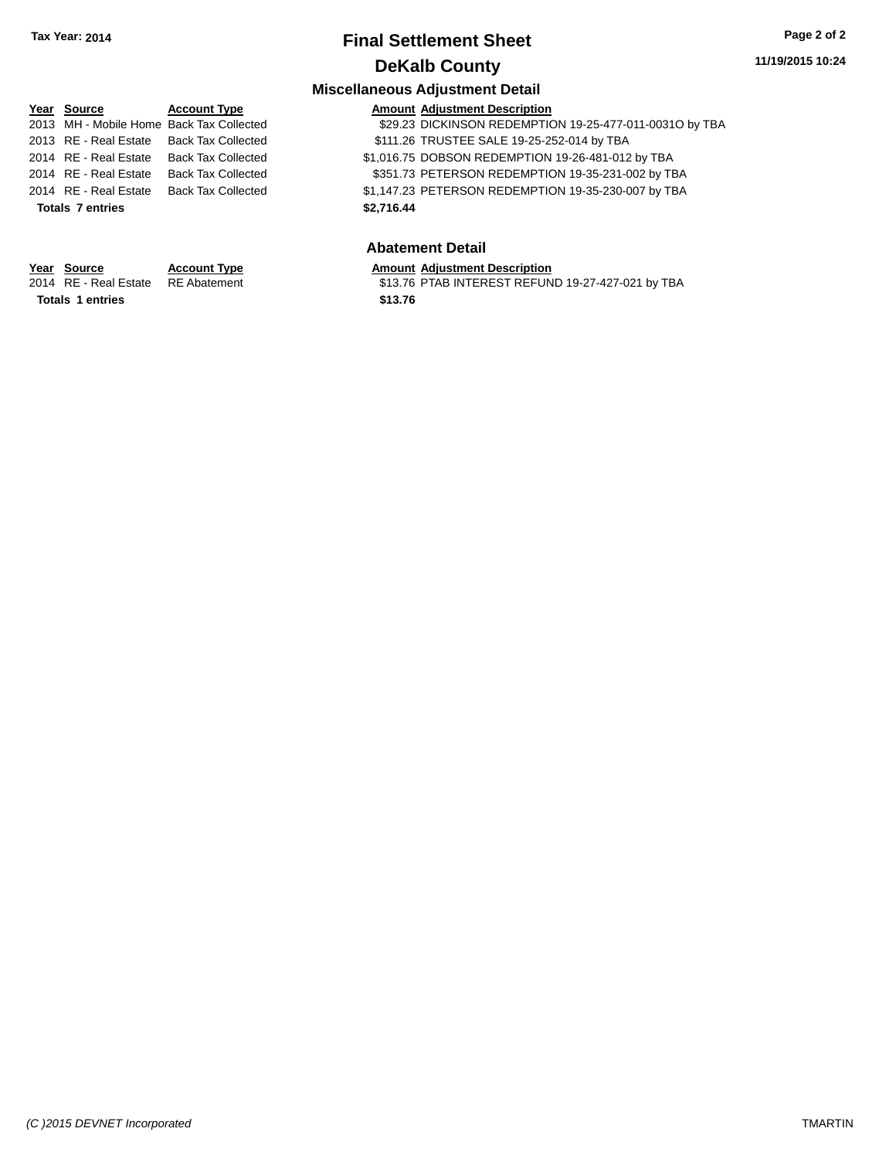# **Final Settlement Sheet Tax Year: 2014 Page 2 of 2 DeKalb County**

### **11/19/2015 10:24**

### **Miscellaneous Adjustment Detail**

| Year Source                              | <b>Account Type</b>       | <b>Amount Adjustment Description</b>                    |
|------------------------------------------|---------------------------|---------------------------------------------------------|
| 2013 MH - Mobile Home Back Tax Collected |                           | \$29.23 DICKINSON REDEMPTION 19-25-477-011-0031O by TBA |
| 2013 RE - Real Estate Back Tax Collected |                           | \$111.26 TRUSTEE SALE 19-25-252-014 by TBA              |
| 2014 RE - Real Estate                    | Back Tax Collected        | \$1,016.75 DOBSON REDEMPTION 19-26-481-012 by TBA       |
| 2014 RE - Real Estate                    | <b>Back Tax Collected</b> | \$351.73 PETERSON REDEMPTION 19-35-231-002 by TBA       |
| 2014 RE - Real Estate                    | <b>Back Tax Collected</b> | \$1,147.23 PETERSON REDEMPTION 19-35-230-007 by TBA     |
| <b>Totals 7 entries</b>                  |                           | \$2,716.44                                              |

### **Abatement Detail**

**Year Source Account Type Anneurs Amount Adjustment Description**<br>2014 RE - Real Estate RE Abatement **Amount Adjustment CEA** S13.76 PTAB INTEREST REFUN \$13.76 PTAB INTEREST REFUND 19-27-427-021 by TBA

**Totals \$13.76 1 entries**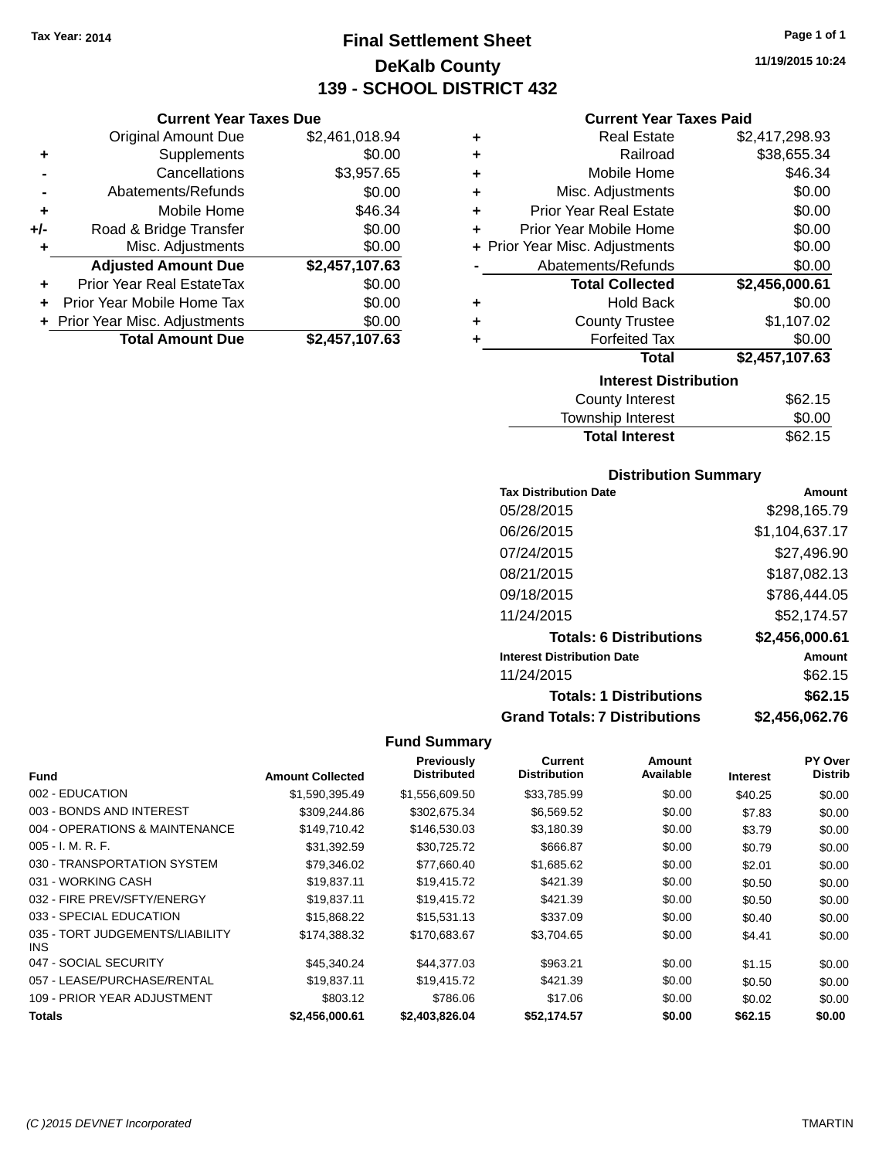**Current Year Taxes Due** Original Amount Due \$2,461,018.94

**Adjusted Amount Due \$2,457,107.63**

**Total Amount Due \$2,457,107.63**

**+** Supplements \$0.00 **-** Cancellations \$3,957.65 **-** Abatements/Refunds \$0.00 **+** Mobile Home \$46.34 **+/-** Road & Bridge Transfer \$0.00<br> **+** Misc. Adjustments \$0.00

**+** Prior Year Real EstateTax \$0.00 **+** Prior Year Mobile Home Tax \$0.00 **+ Prior Year Misc. Adjustments**  $$0.00$ 

**+** Misc. Adjustments

# **Final Settlement Sheet Tax Year: 2014 Page 1 of 1 DeKalb County 139 - SCHOOL DISTRICT 432**

**11/19/2015 10:24**

### **Current Year Taxes Paid**

| ٠ | <b>Real Estate</b>             | \$2,417,298.93 |
|---|--------------------------------|----------------|
| ٠ | Railroad                       | \$38,655.34    |
| ÷ | Mobile Home                    | \$46.34        |
| ÷ | Misc. Adjustments              | \$0.00         |
| ÷ | <b>Prior Year Real Estate</b>  | \$0.00         |
| ٠ | Prior Year Mobile Home         | \$0.00         |
|   | + Prior Year Misc. Adjustments | \$0.00         |
|   | Abatements/Refunds             | \$0.00         |
|   | <b>Total Collected</b>         | \$2,456,000.61 |
| ٠ | <b>Hold Back</b>               | \$0.00         |
| ٠ | <b>County Trustee</b>          | \$1,107.02     |
| ٠ | <b>Forfeited Tax</b>           | \$0.00         |
|   | Total                          | \$2,457,107.63 |
|   | <b>Interest Distribution</b>   |                |
|   | <b>County Interest</b>         | \$62.15        |

| <b>Total Interest</b>  | \$62.15 |
|------------------------|---------|
| Township Interest      | \$0.00  |
| <b>County Interest</b> | \$62.15 |

### **Distribution Summary**

| <b>Tax Distribution Date</b>         | Amount         |
|--------------------------------------|----------------|
| 05/28/2015                           | \$298.165.79   |
| 06/26/2015                           | \$1,104,637.17 |
| 07/24/2015                           | \$27,496.90    |
| 08/21/2015                           | \$187,082.13   |
| 09/18/2015                           | \$786,444.05   |
| 11/24/2015                           | \$52.174.57    |
| <b>Totals: 6 Distributions</b>       | \$2,456,000.61 |
| <b>Interest Distribution Date</b>    | Amount         |
| 11/24/2015                           | \$62.15        |
| <b>Totals: 1 Distributions</b>       | \$62.15        |
| <b>Grand Totals: 7 Distributions</b> | \$2.456.062.76 |

|                                               |                         | <b>Previously</b>  | <b>Current</b>      | Amount    |                 | PY Over        |
|-----------------------------------------------|-------------------------|--------------------|---------------------|-----------|-----------------|----------------|
| <b>Fund</b>                                   | <b>Amount Collected</b> | <b>Distributed</b> | <b>Distribution</b> | Available | <b>Interest</b> | <b>Distrib</b> |
| 002 - EDUCATION                               | \$1,590,395.49          | \$1,556,609.50     | \$33,785.99         | \$0.00    | \$40.25         | \$0.00         |
| 003 - BONDS AND INTEREST                      | \$309,244.86            | \$302,675.34       | \$6,569.52          | \$0.00    | \$7.83          | \$0.00         |
| 004 - OPERATIONS & MAINTENANCE                | \$149,710.42            | \$146,530.03       | \$3,180.39          | \$0.00    | \$3.79          | \$0.00         |
| 005 - I. M. R. F.                             | \$31,392.59             | \$30,725.72        | \$666.87            | \$0.00    | \$0.79          | \$0.00         |
| 030 - TRANSPORTATION SYSTEM                   | \$79,346.02             | \$77,660.40        | \$1,685.62          | \$0.00    | \$2.01          | \$0.00         |
| 031 - WORKING CASH                            | \$19,837.11             | \$19,415.72        | \$421.39            | \$0.00    | \$0.50          | \$0.00         |
| 032 - FIRE PREV/SFTY/ENERGY                   | \$19.837.11             | \$19,415.72        | \$421.39            | \$0.00    | \$0.50          | \$0.00         |
| 033 - SPECIAL EDUCATION                       | \$15,868,22             | \$15,531.13        | \$337.09            | \$0.00    | \$0.40          | \$0.00         |
| 035 - TORT JUDGEMENTS/LIABILITY<br><b>INS</b> | \$174,388.32            | \$170,683.67       | \$3,704.65          | \$0.00    | \$4.41          | \$0.00         |
| 047 - SOCIAL SECURITY                         | \$45,340.24             | \$44.377.03        | \$963.21            | \$0.00    | \$1.15          | \$0.00         |
| 057 - LEASE/PURCHASE/RENTAL                   | \$19,837.11             | \$19.415.72        | \$421.39            | \$0.00    | \$0.50          | \$0.00         |
| 109 - PRIOR YEAR ADJUSTMENT                   | \$803.12                | \$786.06           | \$17.06             | \$0.00    | \$0.02          | \$0.00         |
| Totals                                        | \$2,456,000.61          | \$2,403,826.04     | \$52,174.57         | \$0.00    | \$62.15         | \$0.00         |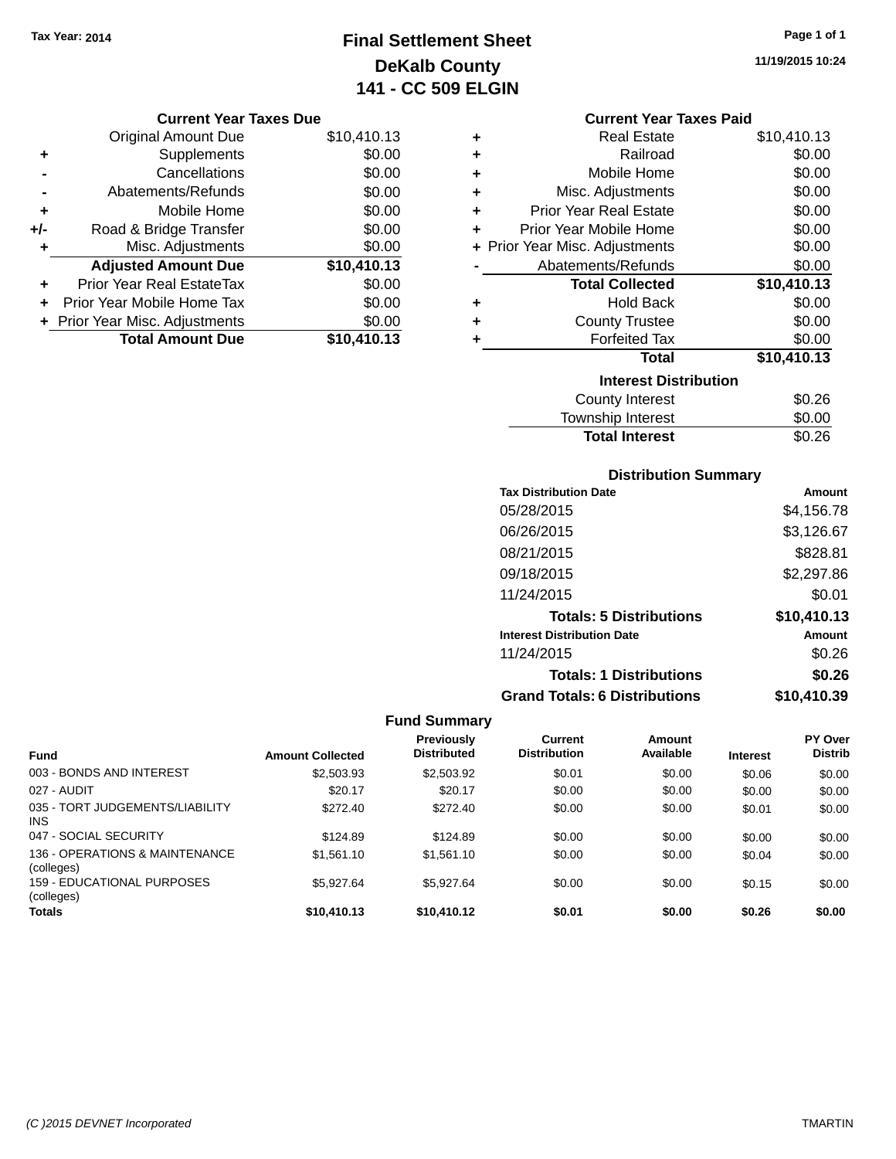# **Final Settlement Sheet Tax Year: 2014 Page 1 of 1 DeKalb County 141 - CC 509 ELGIN**

**11/19/2015 10:24**

### **Current Year Taxes Due**

|     | <b>Original Amount Due</b>     | \$10,410.13 |
|-----|--------------------------------|-------------|
| ٠   | Supplements                    | \$0.00      |
|     | Cancellations                  | \$0.00      |
|     | Abatements/Refunds             | \$0.00      |
| ٠   | Mobile Home                    | \$0.00      |
| +/- | Road & Bridge Transfer         | \$0.00      |
| ٠   | Misc. Adjustments              | \$0.00      |
|     | <b>Adjusted Amount Due</b>     | \$10,410.13 |
| ٠   | Prior Year Real EstateTax      | \$0.00      |
|     | Prior Year Mobile Home Tax     | \$0.00      |
|     | + Prior Year Misc. Adjustments | \$0.00      |
|     | <b>Total Amount Due</b>        | \$10,410.13 |

|   | <b>Current Year Taxes Paid</b> |             |
|---|--------------------------------|-------------|
| ÷ | <b>Real Estate</b>             | \$10,410.13 |
|   | Railroad                       | \$0.00      |
| ÷ | Mobile Home                    | \$0.00      |
| ÷ | Misc. Adjustments              | \$0.00      |
| ÷ | <b>Prior Year Real Estate</b>  | \$0.00      |
| ÷ | Prior Year Mobile Home         | \$0.00      |
| ٠ | Prior Year Misc. Adjustments   | \$0.00      |
|   | Abatements/Refunds             | \$0.00      |
|   |                                |             |
|   | <b>Total Collected</b>         | \$10,410.13 |
| ÷ | Hold Back                      | \$0.00      |
|   | <b>County Trustee</b>          | \$0.00      |
|   | <b>Forfeited Tax</b>           | \$0.00      |
|   | Total                          | \$10,410.13 |
|   | <b>Interest Distribution</b>   |             |
|   | County Interest                | \$0.26      |
|   | <b>Township Interest</b>       | \$0.00      |

### **Distribution Summary**

| <b>Tax Distribution Date</b>         | Amount      |
|--------------------------------------|-------------|
| 05/28/2015                           | \$4,156.78  |
| 06/26/2015                           | \$3,126.67  |
| 08/21/2015                           | \$828.81    |
| 09/18/2015                           | \$2,297.86  |
| 11/24/2015                           | \$0.01      |
| <b>Totals: 5 Distributions</b>       | \$10,410.13 |
| <b>Interest Distribution Date</b>    | Amount      |
| 11/24/2015                           | \$0.26      |
| <b>Totals: 1 Distributions</b>       | \$0.26      |
| <b>Grand Totals: 6 Distributions</b> | \$10,410.39 |

|                                              |                         | <b>Previously</b>  | Current             | Amount    |                 | <b>PY Over</b> |
|----------------------------------------------|-------------------------|--------------------|---------------------|-----------|-----------------|----------------|
| <b>Fund</b>                                  | <b>Amount Collected</b> | <b>Distributed</b> | <b>Distribution</b> | Available | <b>Interest</b> | <b>Distrib</b> |
| 003 - BONDS AND INTEREST                     | \$2,503.93              | \$2,503.92         | \$0.01              | \$0.00    | \$0.06          | \$0.00         |
| 027 - AUDIT                                  | \$20.17                 | \$20.17            | \$0.00              | \$0.00    | \$0.00          | \$0.00         |
| 035 - TORT JUDGEMENTS/LIABILITY<br>INS.      | \$272.40                | \$272.40           | \$0.00              | \$0.00    | \$0.01          | \$0.00         |
| 047 - SOCIAL SECURITY                        | \$124.89                | \$124.89           | \$0.00              | \$0.00    | \$0.00          | \$0.00         |
| 136 - OPERATIONS & MAINTENANCE<br>(colleges) | \$1,561.10              | \$1,561.10         | \$0.00              | \$0.00    | \$0.04          | \$0.00         |
| 159 - FDUCATIONAL PURPOSES<br>(colleges)     | \$5,927.64              | \$5.927.64         | \$0.00              | \$0.00    | \$0.15          | \$0.00         |
| <b>Totals</b>                                | \$10,410.13             | \$10,410.12        | \$0.01              | \$0.00    | \$0.26          | \$0.00         |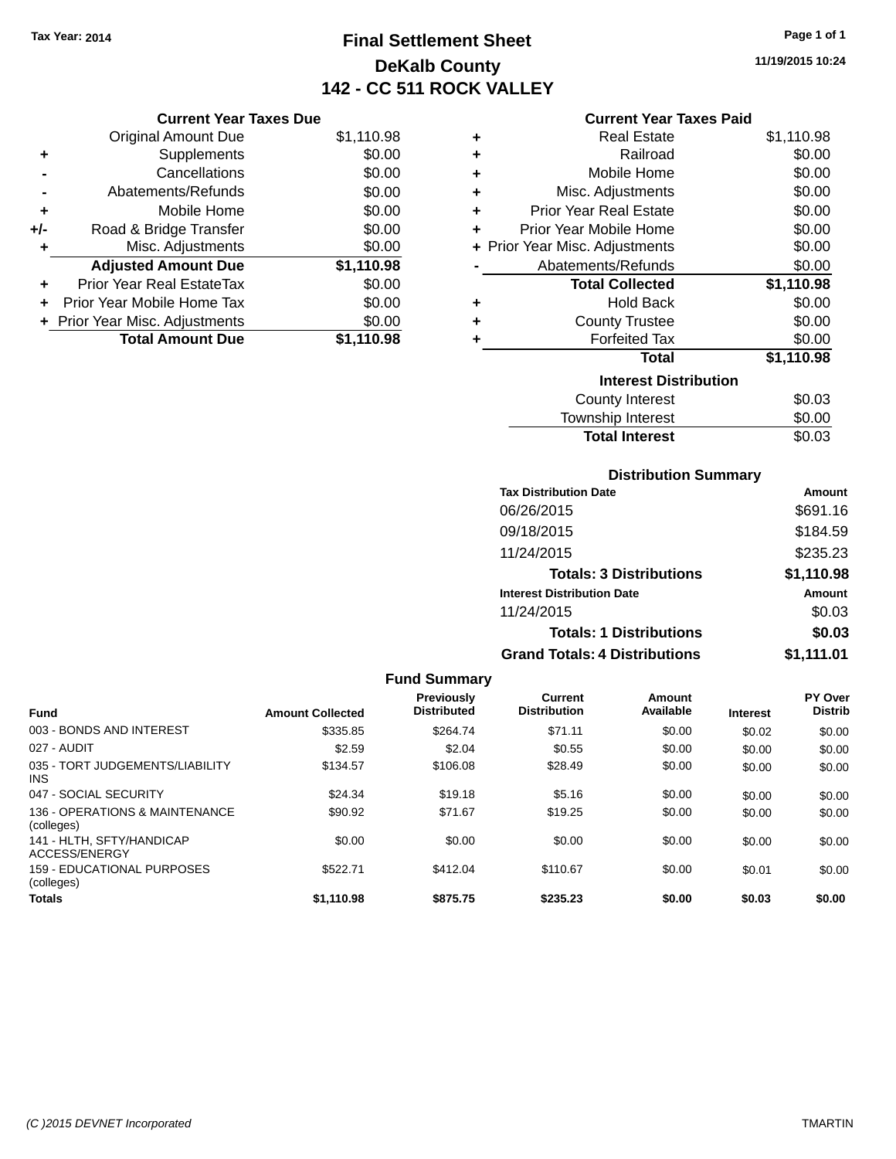# **Final Settlement Sheet Tax Year: 2014 Page 1 of 1 DeKalb County 142 - CC 511 ROCK VALLEY**

**11/19/2015 10:24**

### **Current Year Taxes Paid**

|     | <b>Current Year Taxes Due</b>  |            |
|-----|--------------------------------|------------|
|     | <b>Original Amount Due</b>     | \$1,110.98 |
| ٠   | Supplements                    | \$0.00     |
|     | Cancellations                  | \$0.00     |
|     | Abatements/Refunds             | \$0.00     |
| ٠   | Mobile Home                    | \$0.00     |
| +/- | Road & Bridge Transfer         | \$0.00     |
| ٠   | Misc. Adjustments              | \$0.00     |
|     | <b>Adjusted Amount Due</b>     | \$1,110.98 |
| ٠   | Prior Year Real EstateTax      | \$0.00     |
| ÷   | Prior Year Mobile Home Tax     | \$0.00     |
|     | + Prior Year Misc. Adjustments | \$0.00     |
|     | <b>Total Amount Due</b>        | \$1.110.98 |

| ٠ | Real Estate                    | \$1,110.98 |  |  |  |  |
|---|--------------------------------|------------|--|--|--|--|
| ÷ | Railroad                       | \$0.00     |  |  |  |  |
| ٠ | Mobile Home                    | \$0.00     |  |  |  |  |
| ÷ | Misc. Adjustments              | \$0.00     |  |  |  |  |
| ÷ | <b>Prior Year Real Estate</b>  | \$0.00     |  |  |  |  |
| ٠ | Prior Year Mobile Home         | \$0.00     |  |  |  |  |
|   | + Prior Year Misc. Adjustments | \$0.00     |  |  |  |  |
|   | Abatements/Refunds             | \$0.00     |  |  |  |  |
|   | <b>Total Collected</b>         | \$1,110.98 |  |  |  |  |
| ٠ | <b>Hold Back</b>               | \$0.00     |  |  |  |  |
| ٠ | <b>County Trustee</b>          | \$0.00     |  |  |  |  |
| ٠ | <b>Forfeited Tax</b>           | \$0.00     |  |  |  |  |
|   | <b>Total</b>                   | \$1,110.98 |  |  |  |  |
|   | <b>Interest Distribution</b>   |            |  |  |  |  |
|   | <b>County Interest</b>         | \$0.03     |  |  |  |  |
|   | <b>Township Interest</b>       | \$0.00     |  |  |  |  |
|   | <b>Total Interest</b>          | \$0.03     |  |  |  |  |

### **Distribution Summary**

| <b>Tax Distribution Date</b>         | Amount     |
|--------------------------------------|------------|
| 06/26/2015                           | \$691.16   |
| 09/18/2015                           | \$184.59   |
| 11/24/2015                           | \$235.23   |
| <b>Totals: 3 Distributions</b>       | \$1,110.98 |
| <b>Interest Distribution Date</b>    | Amount     |
| 11/24/2015                           | \$0.03     |
| <b>Totals: 1 Distributions</b>       | \$0.03     |
| <b>Grand Totals: 4 Distributions</b> | \$1,111.01 |

| <b>Fund Summary</b>                           |                         |                                         |                                       |                     |                 |                           |
|-----------------------------------------------|-------------------------|-----------------------------------------|---------------------------------------|---------------------|-----------------|---------------------------|
| <b>Fund</b>                                   | <b>Amount Collected</b> | <b>Previously</b><br><b>Distributed</b> | <b>Current</b><br><b>Distribution</b> | Amount<br>Available | <b>Interest</b> | PY Over<br><b>Distrib</b> |
| 003 - BONDS AND INTEREST                      | \$335.85                | \$264.74                                | \$71.11                               | \$0.00              | \$0.02          | \$0.00                    |
| 027 - AUDIT                                   | \$2.59                  | \$2.04                                  | \$0.55                                | \$0.00              | \$0.00          | \$0.00                    |
| 035 - TORT JUDGEMENTS/LIABILITY<br><b>INS</b> | \$134.57                | \$106.08                                | \$28.49                               | \$0.00              | \$0.00          | \$0.00                    |
| 047 - SOCIAL SECURITY                         | \$24.34                 | \$19.18                                 | \$5.16                                | \$0.00              | \$0.00          | \$0.00                    |
| 136 - OPERATIONS & MAINTENANCE<br>(colleges)  | \$90.92                 | \$71.67                                 | \$19.25                               | \$0.00              | \$0.00          | \$0.00                    |
| 141 - HLTH, SFTY/HANDICAP<br>ACCESS/ENERGY    | \$0.00                  | \$0.00                                  | \$0.00                                | \$0.00              | \$0.00          | \$0.00                    |
| 159 - EDUCATIONAL PURPOSES<br>(colleges)      | \$522.71                | \$412.04                                | \$110.67                              | \$0.00              | \$0.01          | \$0.00                    |
| <b>Totals</b>                                 | \$1.110.98              | \$875.75                                | \$235.23                              | \$0.00              | \$0.03          | \$0.00                    |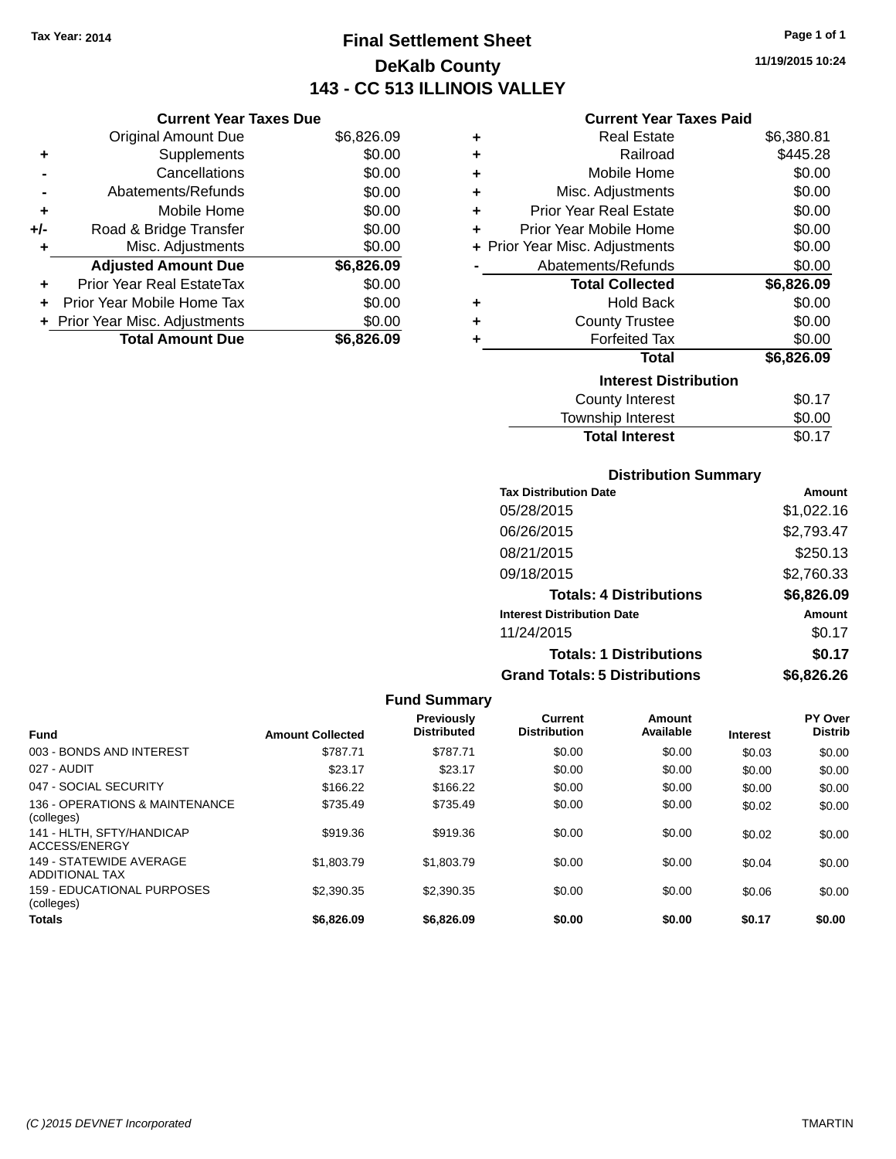**Current Year Taxes Due** Original Amount Due \$6,826.09

**Adjusted Amount Due \$6,826.09**

Total Amount Due \$6,826.09

**+** Supplements \$0.00 **-** Cancellations \$0.00 **-** Abatements/Refunds \$0.00 **+** Mobile Home \$0.00 **+/-** Road & Bridge Transfer \$0.00 **+** Misc. Adjustments \$0.00

**+** Prior Year Real EstateTax \$0.00 **+** Prior Year Mobile Home Tax \$0.00 **+ Prior Year Misc. Adjustments**  $$0.00$ 

# **Final Settlement Sheet Tax Year: 2014 Page 1 of 1 DeKalb County 143 - CC 513 ILLINOIS VALLEY**

**11/19/2015 10:24**

### **Current Year Taxes Paid**

| ٠ | <b>Real Estate</b>             | \$6,380.81 |
|---|--------------------------------|------------|
| ٠ | Railroad                       | \$445.28   |
| ٠ | Mobile Home                    | \$0.00     |
| ٠ | Misc. Adjustments              | \$0.00     |
| ٠ | <b>Prior Year Real Estate</b>  | \$0.00     |
| ÷ | Prior Year Mobile Home         | \$0.00     |
|   | + Prior Year Misc. Adjustments | \$0.00     |
|   | Abatements/Refunds             | \$0.00     |
|   | <b>Total Collected</b>         | \$6,826.09 |
| ÷ | <b>Hold Back</b>               | \$0.00     |
| ÷ | <b>County Trustee</b>          | \$0.00     |
| ٠ | <b>Forfeited Tax</b>           | \$0.00     |
|   | <b>Total</b>                   | \$6,826.09 |
|   | <b>Interest Distribution</b>   |            |
|   | <b>County Interest</b>         | \$0.17     |
|   | <b>Township Interest</b>       | \$0.00     |

Total Interest \$0.17

| <b>Distribution Summary</b>          |            |
|--------------------------------------|------------|
| <b>Tax Distribution Date</b>         | Amount     |
| 05/28/2015                           | \$1,022.16 |
| 06/26/2015                           | \$2,793.47 |
| 08/21/2015                           | \$250.13   |
| 09/18/2015                           | \$2,760.33 |
| <b>Totals: 4 Distributions</b>       | \$6,826.09 |
| <b>Interest Distribution Date</b>    | Amount     |
| 11/24/2015                           | \$0.17     |
| <b>Totals: 1 Distributions</b>       | \$0.17     |
| <b>Grand Totals: 5 Distributions</b> | \$6,826.26 |

| <b>Fund</b>                                      | <b>Amount Collected</b> | <b>Previously</b><br><b>Distributed</b> | <b>Current</b><br><b>Distribution</b> | Amount<br>Available | <b>Interest</b> | PY Over<br><b>Distrib</b> |
|--------------------------------------------------|-------------------------|-----------------------------------------|---------------------------------------|---------------------|-----------------|---------------------------|
| 003 - BONDS AND INTEREST                         | \$787.71                | \$787.71                                | \$0.00                                | \$0.00              | \$0.03          | \$0.00                    |
| 027 - AUDIT                                      | \$23.17                 | \$23.17                                 | \$0.00                                | \$0.00              | \$0.00          | \$0.00                    |
| 047 - SOCIAL SECURITY                            | \$166.22                | \$166.22                                | \$0.00                                | \$0.00              | \$0.00          | \$0.00                    |
| 136 - OPERATIONS & MAINTENANCE<br>(colleges)     | \$735.49                | \$735.49                                | \$0.00                                | \$0.00              | \$0.02          | \$0.00                    |
| 141 - HLTH, SFTY/HANDICAP<br>ACCESS/ENERGY       | \$919.36                | \$919.36                                | \$0.00                                | \$0.00              | \$0.02          | \$0.00                    |
| 149 - STATEWIDE AVERAGE<br><b>ADDITIONAL TAX</b> | \$1,803.79              | \$1,803.79                              | \$0.00                                | \$0.00              | \$0.04          | \$0.00                    |
| 159 - EDUCATIONAL PURPOSES<br>(colleges)         | \$2,390.35              | \$2,390.35                              | \$0.00                                | \$0.00              | \$0.06          | \$0.00                    |
| <b>Totals</b>                                    | \$6,826.09              | \$6,826,09                              | \$0.00                                | \$0.00              | \$0.17          | \$0.00                    |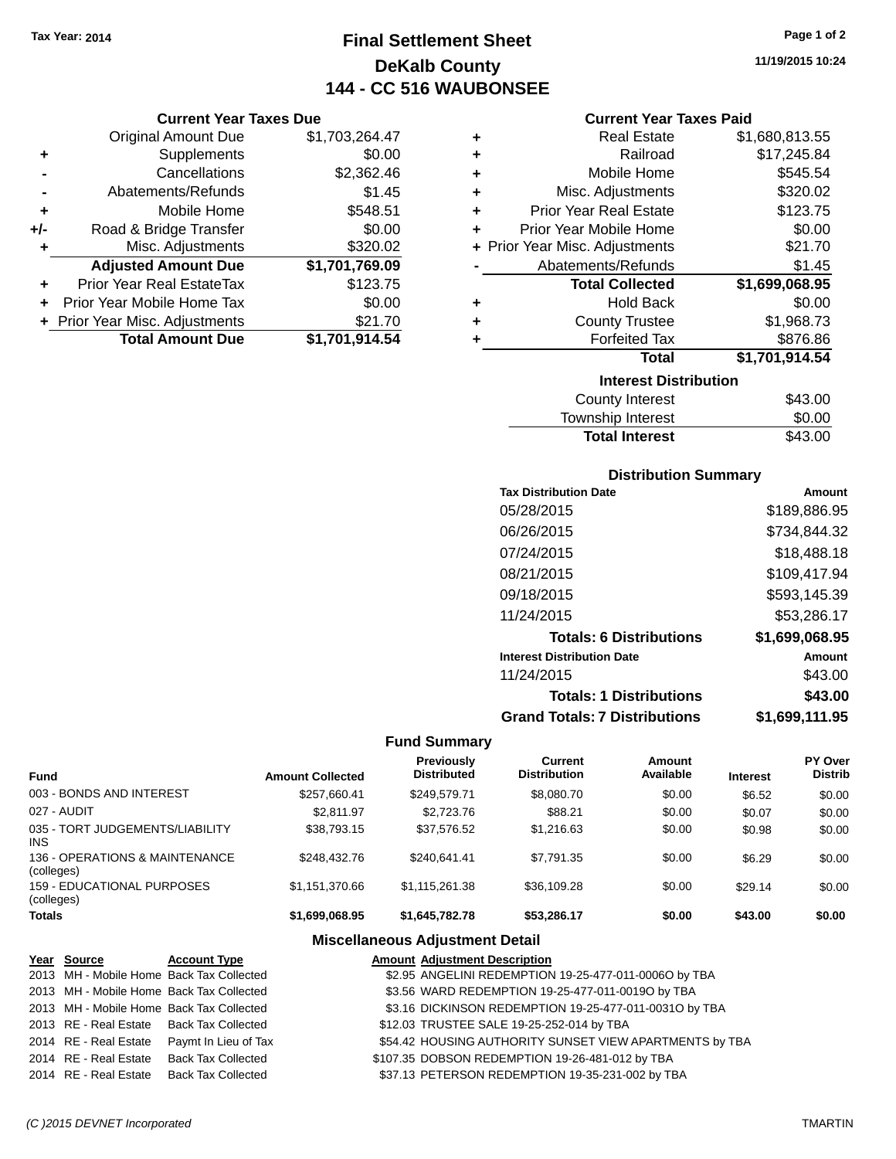**Current Year Taxes Due** Original Amount Due \$1,703,264.47

**Adjusted Amount Due \$1,701,769.09**

**Total Amount Due \$1,701,914.54**

**+** Supplements \$0.00 **-** Cancellations \$2,362.46 **-** Abatements/Refunds \$1.45 **+** Mobile Home \$548.51 **+/-** Road & Bridge Transfer \$0.00<br>**+** Misc. Adjustments \$320.02

**+** Prior Year Real EstateTax \$123.75 **+** Prior Year Mobile Home Tax \$0.00 **+** Prior Year Misc. Adjustments \$21.70

**+** Misc. Adjustments

# **Final Settlement Sheet Tax Year: 2014 Page 1 of 2 DeKalb County 144 - CC 516 WAUBONSEE**

**11/19/2015 10:24**

| ٠ | <b>Real Estate</b>             | \$1,680,813.55 |
|---|--------------------------------|----------------|
| ٠ | Railroad                       | \$17,245.84    |
| ٠ | Mobile Home                    | \$545.54       |
| ٠ | Misc. Adjustments              | \$320.02       |
| ٠ | <b>Prior Year Real Estate</b>  | \$123.75       |
| ٠ | Prior Year Mobile Home         | \$0.00         |
|   | + Prior Year Misc. Adjustments | \$21.70        |
|   | Abatements/Refunds             | \$1.45         |
|   | <b>Total Collected</b>         | \$1,699,068.95 |
| ٠ | <b>Hold Back</b>               | \$0.00         |
| ٠ | <b>County Trustee</b>          | \$1,968.73     |
| ٠ | <b>Forfeited Tax</b>           | \$876.86       |
|   | <b>Total</b>                   | \$1,701,914.54 |
|   | <b>Interest Distribution</b>   |                |
|   | <b>County Interest</b>         | \$43.00        |
|   |                                |                |

| <b>Total Interest</b> | \$43.00 |
|-----------------------|---------|
| Township Interest     | \$0.00  |
| County Interest       | \$43.00 |

### **Distribution Summary**

| <b>Tax Distribution Date</b>         | Amount         |
|--------------------------------------|----------------|
| 05/28/2015                           | \$189,886.95   |
| 06/26/2015                           | \$734,844.32   |
| 07/24/2015                           | \$18,488.18    |
| 08/21/2015                           | \$109,417.94   |
| 09/18/2015                           | \$593,145.39   |
| 11/24/2015                           | \$53,286.17    |
| <b>Totals: 6 Distributions</b>       | \$1,699,068.95 |
| <b>Interest Distribution Date</b>    | Amount         |
| 11/24/2015                           | \$43.00        |
| <b>Totals: 1 Distributions</b>       | \$43.00        |
| <b>Grand Totals: 7 Distributions</b> | \$1,699,111.95 |

### **Fund Summary**

| <b>Fund</b>                                   | <b>Amount Collected</b> | <b>Previously</b><br><b>Distributed</b> | Current<br><b>Distribution</b> | Amount<br>Available | <b>Interest</b> | <b>PY Over</b><br><b>Distrib</b> |
|-----------------------------------------------|-------------------------|-----------------------------------------|--------------------------------|---------------------|-----------------|----------------------------------|
| 003 - BONDS AND INTEREST                      | \$257.660.41            | \$249.579.71                            | \$8,080.70                     | \$0.00              | \$6.52          | \$0.00                           |
| 027 - AUDIT                                   | \$2.811.97              | \$2,723,76                              | \$88.21                        | \$0.00              | \$0.07          | \$0.00                           |
| 035 - TORT JUDGEMENTS/LIABILITY<br><b>INS</b> | \$38.793.15             | \$37.576.52                             | \$1,216,63                     | \$0.00              | \$0.98          | \$0.00                           |
| 136 - OPERATIONS & MAINTENANCE<br>(colleges)  | \$248,432.76            | \$240.641.41                            | \$7.791.35                     | \$0.00              | \$6.29          | \$0.00                           |
| 159 - EDUCATIONAL PURPOSES<br>(colleges)      | \$1.151.370.66          | \$1.115.261.38                          | \$36,109.28                    | \$0.00              | \$29.14         | \$0.00                           |
| <b>Totals</b>                                 | \$1,699,068.95          | \$1.645.782.78                          | \$53.286.17                    | \$0.00              | \$43.00         | \$0.00                           |

| Year Source                              | <b>Account Type</b>                        | <b>Amount Adjustment Description</b>                    |
|------------------------------------------|--------------------------------------------|---------------------------------------------------------|
| 2013 MH - Mobile Home Back Tax Collected |                                            | \$2.95 ANGELINI REDEMPTION 19-25-477-011-0006O by TBA   |
| 2013 MH - Mobile Home Back Tax Collected |                                            | \$3.56 WARD REDEMPTION 19-25-477-011-0019O by TBA       |
| 2013 MH - Mobile Home Back Tax Collected |                                            | \$3.16 DICKINSON REDEMPTION 19-25-477-011-0031O by TBA  |
| 2013 RE - Real Estate Back Tax Collected |                                            | \$12.03 TRUSTEE SALE 19-25-252-014 by TBA               |
|                                          | 2014 RE - Real Estate Paymt In Lieu of Tax | \$54.42 HOUSING AUTHORITY SUNSET VIEW APARTMENTS by TBA |
| 2014 RE - Real Estate Back Tax Collected |                                            | \$107.35 DOBSON REDEMPTION 19-26-481-012 by TBA         |
| 2014 RE - Real Estate Back Tax Collected |                                            | \$37.13 PETERSON REDEMPTION 19-35-231-002 by TBA        |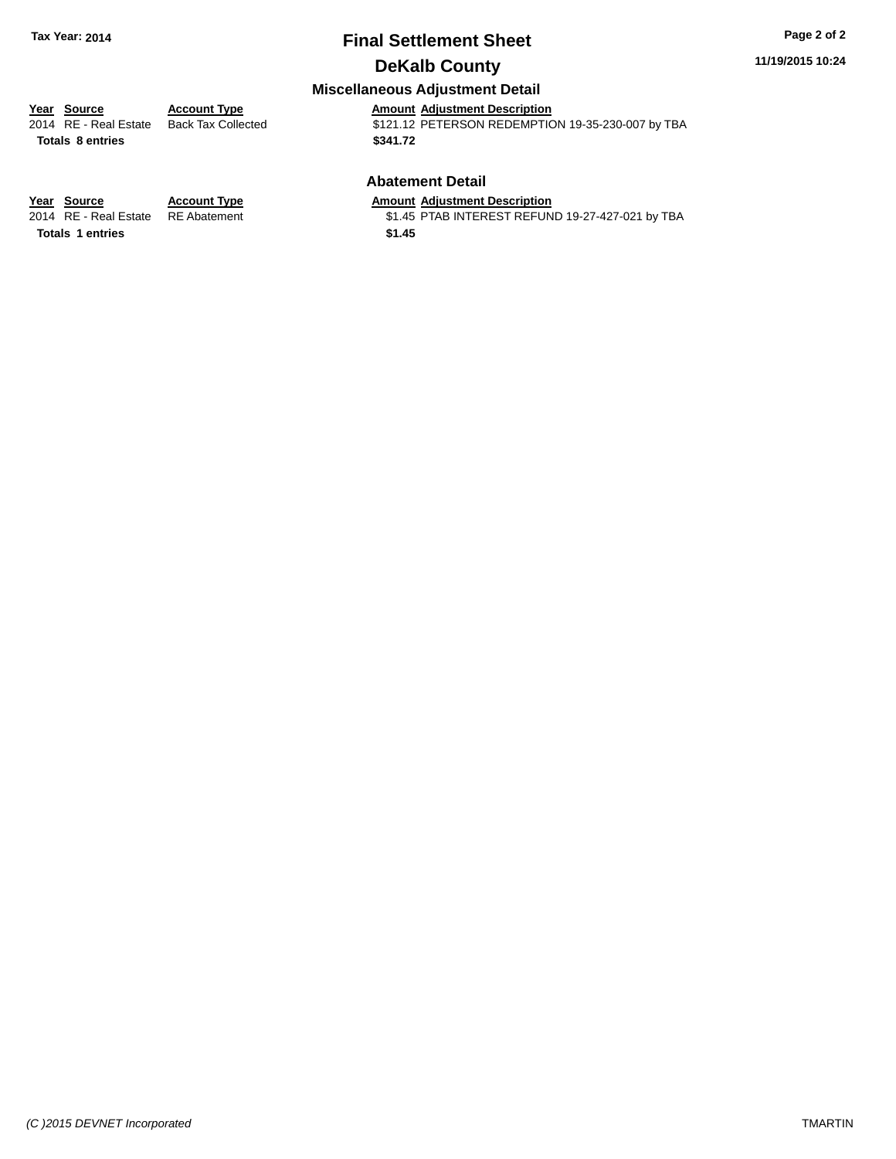## **Final Settlement Sheet Tax Year: 2014 Page 2 of 2 DeKalb County**

#### **11/19/2015 10:24**

## **Miscellaneous Adjustment Detail**

**Totals \$341.72 8 entries**

**Year Source Account Type Amount Adjustment Description** \$121.12 PETERSON REDEMPTION 19-35-230-007 by TBA

#### **Abatement Detail**

\$1.45 PTAB INTEREST REFUND 19-27-427-021 by TBA

**Year Source Account Type Amount Adjustment Description**<br>2014 RE - Real Estate RE Abatement \$1.45 PTAB INTEREST REFUN **Totals \$1.45 1 entries**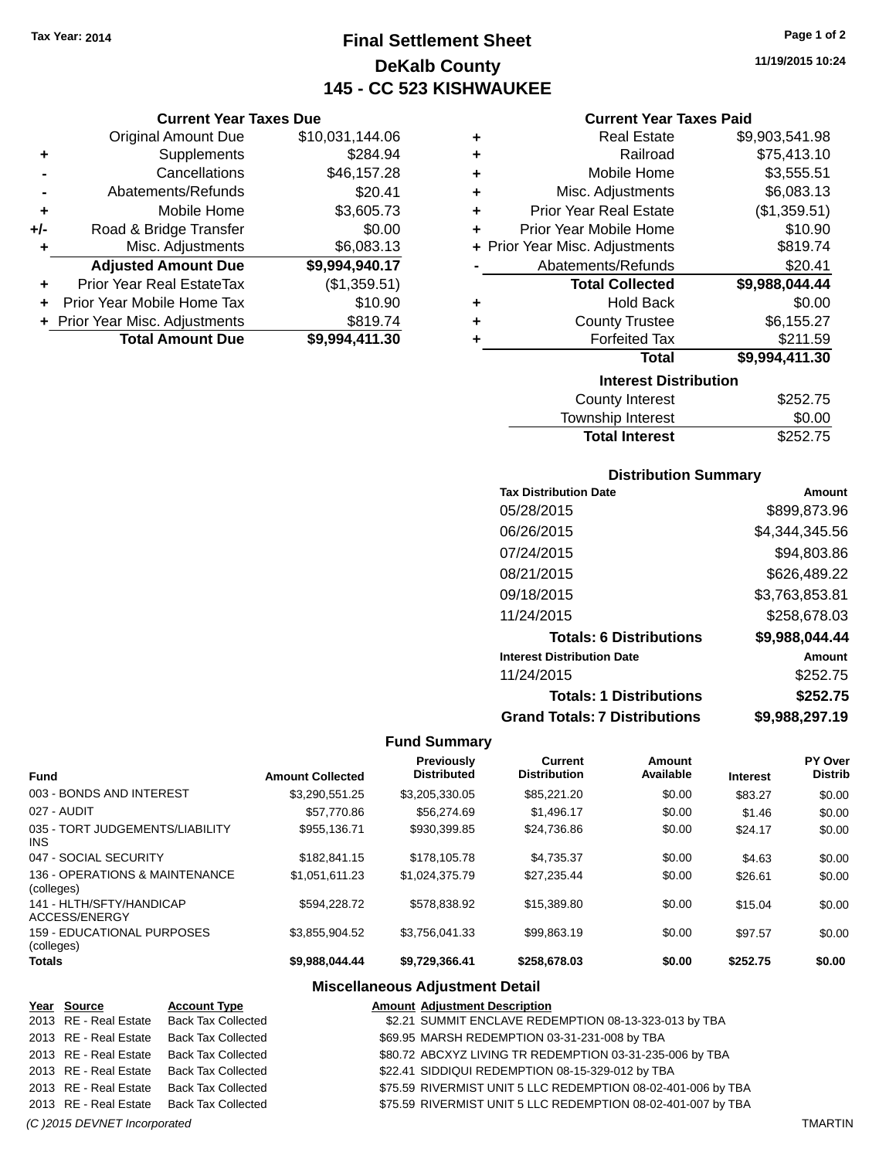**Current Year Taxes Due** Original Amount Due \$10,031,144.06

**Adjusted Amount Due \$9,994,940.17**

**Total Amount Due \$9,994,411.30**

**+** Supplements \$284.94 **-** Cancellations \$46,157.28 **-** Abatements/Refunds \$20.41 **+** Mobile Home \$3,605.73 **+/-** Road & Bridge Transfer \$0.00<br> **+** Misc. Adjustments \$6,083.13

**+** Prior Year Real EstateTax (\$1,359.51) **+** Prior Year Mobile Home Tax \$10.90 **+ Prior Year Misc. Adjustments \$819.74** 

**+** Misc. Adjustments

# **Final Settlement Sheet Tax Year: 2014 Page 1 of 2 DeKalb County 145 - CC 523 KISHWAUKEE**

**11/19/2015 10:24**

### **Current Year Taxes Paid**

| ÷ | <b>Real Estate</b>             | \$9,903,541.98 |  |  |  |
|---|--------------------------------|----------------|--|--|--|
| ٠ | Railroad                       | \$75,413.10    |  |  |  |
| ٠ | Mobile Home                    | \$3,555.51     |  |  |  |
| ÷ | Misc. Adjustments              | \$6,083.13     |  |  |  |
| ٠ | <b>Prior Year Real Estate</b>  | (\$1,359.51)   |  |  |  |
| ٠ | Prior Year Mobile Home         | \$10.90        |  |  |  |
|   | + Prior Year Misc. Adjustments | \$819.74       |  |  |  |
|   | Abatements/Refunds             | \$20.41        |  |  |  |
|   | <b>Total Collected</b>         | \$9,988,044.44 |  |  |  |
| ٠ | <b>Hold Back</b>               | \$0.00         |  |  |  |
| ٠ | <b>County Trustee</b>          | \$6,155.27     |  |  |  |
|   | <b>Forfeited Tax</b>           | \$211.59       |  |  |  |
|   | Total                          | \$9,994,411.30 |  |  |  |
|   | <b>Interest Distribution</b>   |                |  |  |  |
|   | <b>County Interest</b>         | \$252.75       |  |  |  |

| Township Interest     | \$0.00   |
|-----------------------|----------|
| <b>Total Interest</b> | \$252.75 |

### **Distribution Summary**

| <b>Tax Distribution Date</b>         | Amount         |
|--------------------------------------|----------------|
| 05/28/2015                           | \$899,873.96   |
| 06/26/2015                           | \$4,344,345.56 |
| 07/24/2015                           | \$94,803.86    |
| 08/21/2015                           | \$626,489.22   |
| 09/18/2015                           | \$3,763,853.81 |
| 11/24/2015                           | \$258,678.03   |
| <b>Totals: 6 Distributions</b>       | \$9,988,044.44 |
| <b>Interest Distribution Date</b>    | Amount         |
| 11/24/2015                           | \$252.75       |
| <b>Totals: 1 Distributions</b>       | \$252.75       |
| <b>Grand Totals: 7 Distributions</b> | \$9,988,297.19 |

### **Fund Summary**

| <b>Fund</b>                                   | <b>Amount Collected</b> | Previously<br><b>Distributed</b> | Current<br><b>Distribution</b> | Amount<br>Available | <b>Interest</b> | PY Over<br><b>Distrib</b> |
|-----------------------------------------------|-------------------------|----------------------------------|--------------------------------|---------------------|-----------------|---------------------------|
| 003 - BONDS AND INTEREST                      | \$3,290,551.25          | \$3,205,330.05                   | \$85,221.20                    | \$0.00              | \$83.27         | \$0.00                    |
| 027 - AUDIT                                   | \$57,770.86             | \$56,274.69                      | \$1.496.17                     | \$0.00              | \$1.46          | \$0.00                    |
| 035 - TORT JUDGEMENTS/LIABILITY<br><b>INS</b> | \$955.136.71            | \$930.399.85                     | \$24,736.86                    | \$0.00              | \$24.17         | \$0.00                    |
| 047 - SOCIAL SECURITY                         | \$182.841.15            | \$178,105.78                     | \$4.735.37                     | \$0.00              | \$4.63          | \$0.00                    |
| 136 - OPERATIONS & MAINTENANCE<br>(colleges)  | \$1.051.611.23          | \$1.024.375.79                   | \$27.235.44                    | \$0.00              | \$26.61         | \$0.00                    |
| 141 - HLTH/SFTY/HANDICAP<br>ACCESS/ENERGY     | \$594.228.72            | \$578.838.92                     | \$15,389.80                    | \$0.00              | \$15.04         | \$0.00                    |
| 159 - EDUCATIONAL PURPOSES<br>(colleges)      | \$3,855,904.52          | \$3,756,041.33                   | \$99.863.19                    | \$0.00              | \$97.57         | \$0.00                    |
| <b>Totals</b>                                 | \$9,988,044.44          | \$9,729,366.41                   | \$258,678.03                   | \$0.00              | \$252.75        | \$0.00                    |

| Year Source           | <b>Account Type</b>                      | <b>Amount Adjustment Description</b>                         |
|-----------------------|------------------------------------------|--------------------------------------------------------------|
|                       | 2013 RE - Real Estate Back Tax Collected | \$2.21 SUMMIT ENCLAVE REDEMPTION 08-13-323-013 by TBA        |
| 2013 RE - Real Estate | <b>Back Tax Collected</b>                | \$69.95 MARSH REDEMPTION 03-31-231-008 by TBA                |
| 2013 RE - Real Estate | Back Tax Collected                       | \$80.72 ABCXYZ LIVING TR REDEMPTION 03-31-235-006 by TBA     |
| 2013 RE - Real Estate | <b>Back Tax Collected</b>                | \$22.41 SIDDIQUI REDEMPTION 08-15-329-012 by TBA             |
| 2013 RE - Real Estate | <b>Back Tax Collected</b>                | \$75.59 RIVERMIST UNIT 5 LLC REDEMPTION 08-02-401-006 by TBA |
|                       | 2013 RE - Real Estate Back Tax Collected | \$75.59 RIVERMIST UNIT 5 LLC REDEMPTION 08-02-401-007 by TBA |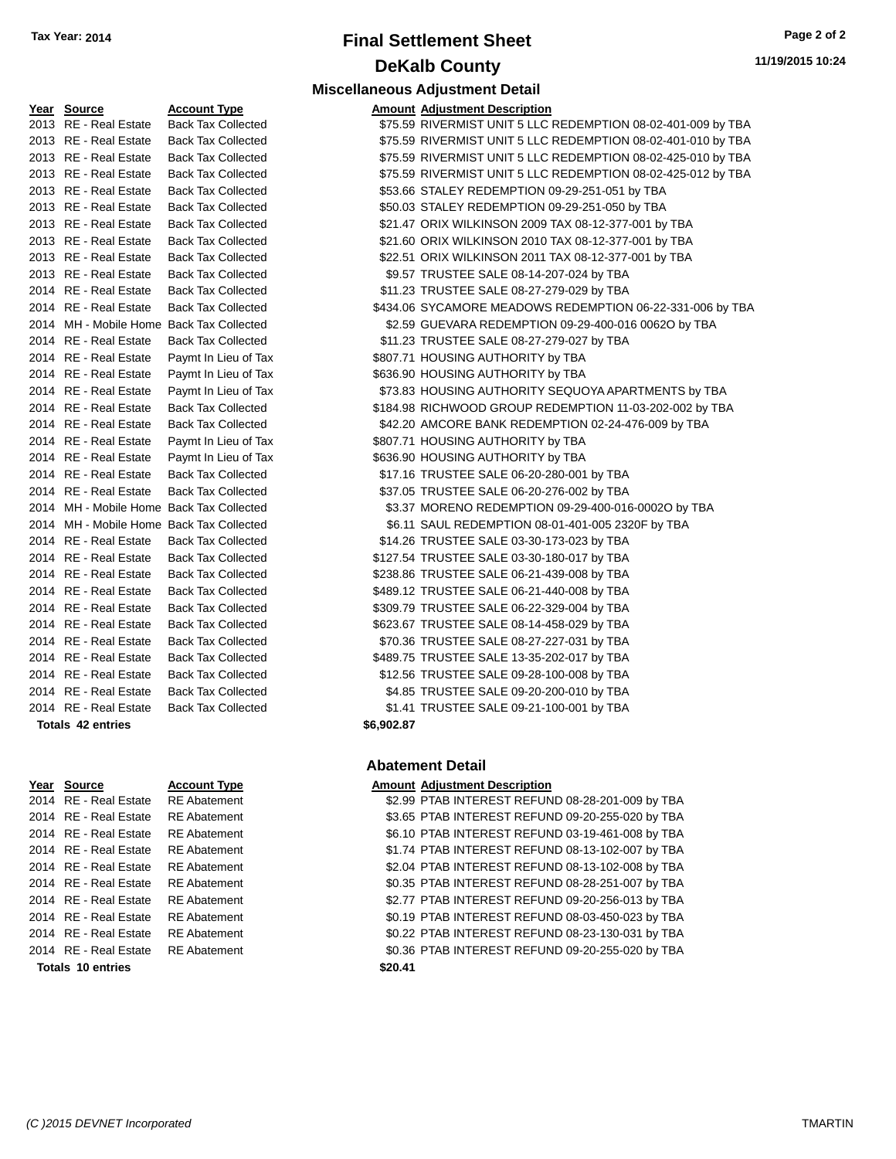## **Final Settlement Sheet Tax Year: 2014 Page 2 of 2 DeKalb County Miscellaneous Adjustment Detail**

| Year Source                              | <b>Account Type</b>                      |            | <b>Amount Adjustment Description</b> |
|------------------------------------------|------------------------------------------|------------|--------------------------------------|
| 2013 RE - Real Estate                    | <b>Back Tax Collected</b>                |            | \$75.59 RIVERMIST UNIT 5 LLC         |
| 2013 RE - Real Estate                    | <b>Back Tax Collected</b>                |            | \$75.59 RIVERMIST UNIT 5 LLC         |
| 2013 RE - Real Estate                    | <b>Back Tax Collected</b>                |            | \$75.59 RIVERMIST UNIT 5 LLC         |
| 2013 RE - Real Estate                    | <b>Back Tax Collected</b>                |            | \$75.59 RIVERMIST UNIT 5 LLC         |
| 2013 RE - Real Estate                    | <b>Back Tax Collected</b>                |            | \$53.66 STALEY REDEMPTION (          |
| 2013 RE - Real Estate                    | <b>Back Tax Collected</b>                |            | \$50.03 STALEY REDEMPTION (          |
| 2013 RE - Real Estate                    | <b>Back Tax Collected</b>                |            | \$21.47 ORIX WILKINSON 2009          |
| 2013 RE - Real Estate                    | <b>Back Tax Collected</b>                |            | \$21.60 ORIX WILKINSON 2010          |
| 2013 RE - Real Estate                    | <b>Back Tax Collected</b>                |            | \$22.51 ORIX WILKINSON 2011          |
| 2013 RE - Real Estate                    | <b>Back Tax Collected</b>                |            | \$9.57 TRUSTEE SALE 08-14-2          |
| 2014 RE - Real Estate                    | <b>Back Tax Collected</b>                |            | \$11.23 TRUSTEE SALE 08-27-2         |
| 2014 RE - Real Estate                    | <b>Back Tax Collected</b>                |            | \$434.06 SYCAMORE MEADOWS            |
|                                          | 2014 MH - Mobile Home Back Tax Collected |            | \$2.59 GUEVARA REDEMPTIOI            |
| 2014 RE - Real Estate                    | <b>Back Tax Collected</b>                |            | \$11.23 TRUSTEE SALE 08-27-2         |
| 2014 RE - Real Estate                    | Paymt In Lieu of Tax                     |            | \$807.71 HOUSING AUTHORITY b         |
| 2014 RE - Real Estate                    | Paymt In Lieu of Tax                     |            | \$636.90 HOUSING AUTHORITY b         |
| 2014 RE - Real Estate                    | Paymt In Lieu of Tax                     |            | \$73.83 HOUSING AUTHORITY \$         |
| 2014 RE - Real Estate                    | <b>Back Tax Collected</b>                |            | \$184.98 RICHWOOD GROUP RE           |
| 2014 RE - Real Estate                    | <b>Back Tax Collected</b>                |            | \$42.20 AMCORE BANK REDEM            |
| 2014 RE - Real Estate                    | Paymt In Lieu of Tax                     |            | \$807.71 HOUSING AUTHORITY b         |
| 2014 RE - Real Estate                    | Paymt In Lieu of Tax                     |            | \$636.90 HOUSING AUTHORITY b         |
| 2014 RE - Real Estate                    | <b>Back Tax Collected</b>                |            | \$17.16 TRUSTEE SALE 06-20-2         |
| 2014 RE - Real Estate                    | <b>Back Tax Collected</b>                |            | \$37.05 TRUSTEE SALE 06-20-2         |
| 2014 MH - Mobile Home Back Tax Collected |                                          |            | \$3.37 MORENO REDEMPTION             |
| 2014 MH - Mobile Home Back Tax Collected |                                          |            | \$6.11 SAUL REDEMPTION 08-           |
| 2014 RE - Real Estate                    | <b>Back Tax Collected</b>                |            | \$14.26 TRUSTEE SALE 03-30-1         |
| 2014 RE - Real Estate                    | <b>Back Tax Collected</b>                |            | \$127.54 TRUSTEE SALE 03-30-1        |
| 2014 RE - Real Estate                    | <b>Back Tax Collected</b>                |            | \$238.86 TRUSTEE SALE 06-21-4        |
| 2014 RE - Real Estate                    | <b>Back Tax Collected</b>                |            | \$489.12 TRUSTEE SALE 06-21-4        |
| 2014 RE - Real Estate                    | <b>Back Tax Collected</b>                |            | \$309.79 TRUSTEE SALE 06-22-3        |
| 2014 RE - Real Estate                    | <b>Back Tax Collected</b>                |            | \$623.67 TRUSTEE SALE 08-14-4        |
| 2014 RE - Real Estate                    | <b>Back Tax Collected</b>                |            | \$70.36 TRUSTEE SALE 08-27-2         |
| 2014 RE - Real Estate                    | <b>Back Tax Collected</b>                |            | \$489.75 TRUSTEE SALE 13-35-2        |
| 2014 RE - Real Estate                    | <b>Back Tax Collected</b>                |            | \$12.56 TRUSTEE SALE 09-28-1         |
| 2014 RE - Real Estate                    | <b>Back Tax Collected</b>                |            | \$4.85 TRUSTEE SALE 09-20-2          |
| 2014 RE - Real Estate                    | <b>Back Tax Collected</b>                |            | \$1.41 TRUSTEE SALE 09-21-1          |
| <b>Totals 42 entries</b>                 |                                          | \$6,902.87 |                                      |

| te | <b>Back Tax Collec</b> |
|----|------------------------|
| te | <b>Back Tax Collec</b> |
| te | <b>Back Tax Collec</b> |
| te | <b>Back Tax Collec</b> |
| te | <b>Back Tax Collec</b> |
| te | <b>Back Tax Collec</b> |
| te | <b>Back Tax Collec</b> |
| te | <b>Back Tax Colled</b> |
| te | Back Tax Collec        |
| te | <b>Back Tax Collec</b> |
| te | <b>Back Tax Collec</b> |
|    |                        |
|    | <b>Account Type</b>    |
| te | <b>RE</b> Abatement    |
| te | <b>RE Abatement</b>    |
| te | <b>RE</b> Abatement    |
| te | <b>RE</b> Abatement    |
| te | <b>RE</b> Abatement    |
| te | <b>RE</b> Abatement    |
| tΑ | RF Ahatement           |

**Totals \$20.41 10 entries**

| Account Type        |
|---------------------|
| RE Abatement        |
| RE Abatement        |
| <b>RE</b> Abatement |
| RF Abatement        |
| RF Abatement        |
| RF Abatement        |
| RF Abatement        |
| RF Abatement        |
| RE Abatement        |
| <b>DE</b> Ahatamant |

| 2013 RE - Real Estate | <b>Back Tax Collected</b>                | \$75.59 RIVERMIST UNIT 5 LLC REDEMPTION 08-02-401-009 by TBA |
|-----------------------|------------------------------------------|--------------------------------------------------------------|
| 2013 RE - Real Estate | <b>Back Tax Collected</b>                | \$75.59 RIVERMIST UNIT 5 LLC REDEMPTION 08-02-401-010 by TBA |
| 2013 RE - Real Estate | <b>Back Tax Collected</b>                | \$75.59 RIVERMIST UNIT 5 LLC REDEMPTION 08-02-425-010 by TBA |
| 2013 RE - Real Estate | <b>Back Tax Collected</b>                | \$75.59 RIVERMIST UNIT 5 LLC REDEMPTION 08-02-425-012 by TBA |
| 2013 RE - Real Estate | <b>Back Tax Collected</b>                | \$53.66 STALEY REDEMPTION 09-29-251-051 by TBA               |
| 2013 RE - Real Estate | <b>Back Tax Collected</b>                | \$50.03 STALEY REDEMPTION 09-29-251-050 by TBA               |
| 2013 RE - Real Estate | <b>Back Tax Collected</b>                | \$21.47 ORIX WILKINSON 2009 TAX 08-12-377-001 by TBA         |
| 2013 RE - Real Estate | <b>Back Tax Collected</b>                | \$21.60 ORIX WILKINSON 2010 TAX 08-12-377-001 by TBA         |
| 2013 RE - Real Estate | <b>Back Tax Collected</b>                | \$22.51 ORIX WILKINSON 2011 TAX 08-12-377-001 by TBA         |
| 2013 RE - Real Estate | <b>Back Tax Collected</b>                | \$9.57 TRUSTEE SALE 08-14-207-024 by TBA                     |
| 2014 RE - Real Estate | <b>Back Tax Collected</b>                | \$11.23 TRUSTEE SALE 08-27-279-029 by TBA                    |
| 2014 RE - Real Estate | <b>Back Tax Collected</b>                | \$434.06 SYCAMORE MEADOWS REDEMPTION 06-22-331-006 by TBA    |
|                       | 2014 MH - Mobile Home Back Tax Collected | \$2.59 GUEVARA REDEMPTION 09-29-400-016 00620 by TBA         |
| 2014 RE - Real Estate | <b>Back Tax Collected</b>                | \$11.23 TRUSTEE SALE 08-27-279-027 by TBA                    |
| 2014 RE - Real Estate | Paymt In Lieu of Tax                     | \$807.71 HOUSING AUTHORITY by TBA                            |
| 2014 RE - Real Estate | Paymt In Lieu of Tax                     | \$636.90 HOUSING AUTHORITY by TBA                            |
| 2014 RE - Real Estate | Paymt In Lieu of Tax                     | \$73.83 HOUSING AUTHORITY SEQUOYA APARTMENTS by TBA          |
| 2014 RE - Real Estate | <b>Back Tax Collected</b>                | \$184.98 RICHWOOD GROUP REDEMPTION 11-03-202-002 by TBA      |
| 2014 RE - Real Estate | <b>Back Tax Collected</b>                | \$42.20 AMCORE BANK REDEMPTION 02-24-476-009 by TBA          |
| 2014 RE - Real Estate | Paymt In Lieu of Tax                     | \$807.71 HOUSING AUTHORITY by TBA                            |
| 2014 RE - Real Estate | Paymt In Lieu of Tax                     | \$636.90 HOUSING AUTHORITY by TBA                            |
| 2014 RE - Real Estate | <b>Back Tax Collected</b>                | \$17.16 TRUSTEE SALE 06-20-280-001 by TBA                    |
| 2014 RE - Real Estate | <b>Back Tax Collected</b>                | \$37.05 TRUSTEE SALE 06-20-276-002 by TBA                    |
|                       | 2014 MH - Mobile Home Back Tax Collected | \$3.37 MORENO REDEMPTION 09-29-400-016-0002O by TBA          |
|                       | 2014 MH - Mobile Home Back Tax Collected | \$6.11 SAUL REDEMPTION 08-01-401-005 2320F by TBA            |
| 2014 RE - Real Estate | <b>Back Tax Collected</b>                | \$14.26 TRUSTEE SALE 03-30-173-023 by TBA                    |
| 2014 RE - Real Estate | <b>Back Tax Collected</b>                | \$127.54 TRUSTEE SALE 03-30-180-017 by TBA                   |
| 2014 RE - Real Estate | <b>Back Tax Collected</b>                | \$238.86 TRUSTEE SALE 06-21-439-008 by TBA                   |
| 2014 RE - Real Estate | <b>Back Tax Collected</b>                | \$489.12 TRUSTEE SALE 06-21-440-008 by TBA                   |
| 2014 RE - Real Estate | <b>Back Tax Collected</b>                | \$309.79 TRUSTEE SALE 06-22-329-004 by TBA                   |
| 2014 RE - Real Estate | <b>Back Tax Collected</b>                | \$623.67 TRUSTEE SALE 08-14-458-029 by TBA                   |
| 2014 RE - Real Estate | <b>Back Tax Collected</b>                | \$70.36 TRUSTEE SALE 08-27-227-031 by TBA                    |
| 2014 RE - Real Estate | <b>Back Tax Collected</b>                | \$489.75 TRUSTEE SALE 13-35-202-017 by TBA                   |
| 2014 RE - Real Estate | <b>Back Tax Collected</b>                | \$12.56 TRUSTEE SALE 09-28-100-008 by TBA                    |
| 2014 RE - Real Estate | <b>Back Tax Collected</b>                | \$4.85 TRUSTEE SALE 09-20-200-010 by TBA                     |
| 2014 RE - Real Estate | <b>Back Tax Collected</b>                | \$1.41 TRUSTEE SALE 09-21-100-001 by TBA                     |

### $$6,902.87$

### **Abatement Detail**

#### **Year Source Account Type Amount Adjustment Description**

2014 RE - Real Estate RE Abatement \$2.99 PTAB INTEREST REFUND 08-28-201-009 by TBA 2014 RE - Real Estate RE Abatement \$3.65 PTAB INTEREST REFUND 09-20-255-020 by TBA 2014 RE - Real Estate RE Abatement \$6.10 PTAB INTEREST REFUND 03-19-461-008 by TBA 2014 RE - Real Estate \$1.74 PTAB INTEREST REFUND 08-13-102-007 by TBA RE Abatement 2014 RE - Real Estate RE Abatement \$2.04 PTAB INTEREST REFUND 08-13-102-008 by TBA 2014 RE - Real Estate RE Abatement \$0.35 PTAB INTEREST REFUND 08-28-251-007 by TBA 2014 RE - Real Estate RE Abatement \$2.77 PTAB INTEREST REFUND 09-20-256-013 by TBA 2014 RE - Real Estate RE Abatement \$0.19 PTAB INTEREST REFUND 08-03-450-023 by TBA 2014 RE - Real Estate RE Abatement \$0.22 PTAB INTEREST REFUND 08-23-130-031 by TBA 2014 RE - Real Estate RE Abatement \$0.36 PTAB INTEREST REFUND 09-20-255-020 by TBA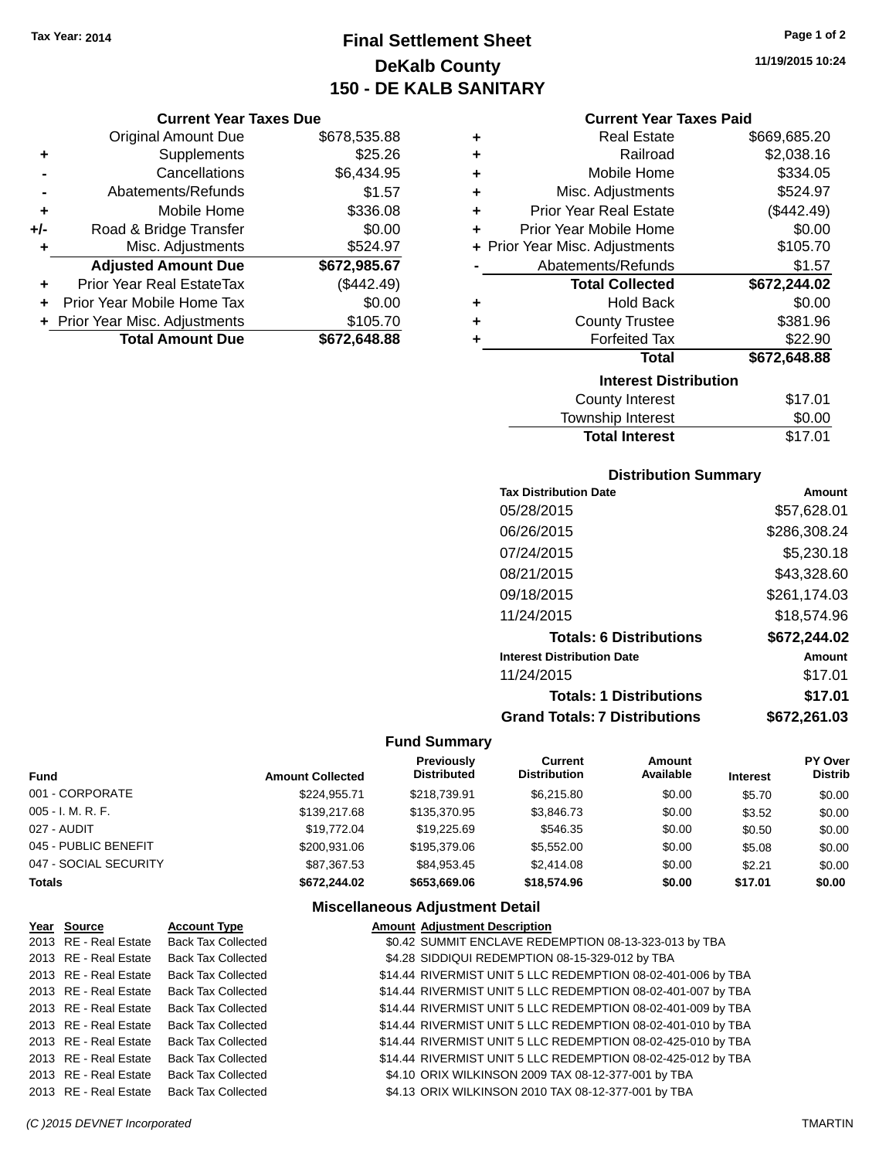**Current Year Taxes Due** Original Amount Due \$678,535.88

**Adjusted Amount Due \$672,985.67**

**Total Amount Due \$672,648.88**

**+** Supplements \$25.26 **-** Cancellations \$6,434.95 **-** Abatements/Refunds \$1.57 **+** Mobile Home \$336.08 **+/-** Road & Bridge Transfer \$0.00 **+** Misc. Adjustments \$524.97

**+** Prior Year Real EstateTax (\$442.49) **+** Prior Year Mobile Home Tax \$0.00 **+ Prior Year Misc. Adjustments \$105.70** 

# **Final Settlement Sheet Tax Year: 2014 Page 1 of 2 DeKalb County 150 - DE KALB SANITARY**

### **Current Year Taxes Paid**

| ٠ | <b>Real Estate</b>             | \$669,685.20 |
|---|--------------------------------|--------------|
| ٠ | Railroad                       | \$2,038.16   |
| ٠ | Mobile Home                    | \$334.05     |
| ٠ | Misc. Adjustments              | \$524.97     |
| ٠ | <b>Prior Year Real Estate</b>  | (\$442.49)   |
| ٠ | Prior Year Mobile Home         | \$0.00       |
|   | + Prior Year Misc. Adjustments | \$105.70     |
|   | Abatements/Refunds             | \$1.57       |
|   | <b>Total Collected</b>         | \$672,244.02 |
| ٠ | <b>Hold Back</b>               | \$0.00       |
| ٠ | <b>County Trustee</b>          | \$381.96     |
| ٠ | <b>Forfeited Tax</b>           | \$22.90      |
|   | <b>Total</b>                   | \$672,648.88 |
|   | <b>Interest Distribution</b>   |              |
|   | <b>County Interest</b>         | \$17.01      |
|   | Township Interact              | ድስ ሰሰ        |

# Township Interest \$0.00 Total Interest \$17.01

### **Distribution Summary**

| <b>Tax Distribution Date</b>         | Amount       |
|--------------------------------------|--------------|
| 05/28/2015                           | \$57,628.01  |
| 06/26/2015                           | \$286,308.24 |
| 07/24/2015                           | \$5,230.18   |
| 08/21/2015                           | \$43,328.60  |
| 09/18/2015                           | \$261.174.03 |
| 11/24/2015                           | \$18.574.96  |
| <b>Totals: 6 Distributions</b>       | \$672,244.02 |
| <b>Interest Distribution Date</b>    | Amount       |
| 11/24/2015                           | \$17.01      |
| <b>Totals: 1 Distributions</b>       | \$17.01      |
| <b>Grand Totals: 7 Distributions</b> | \$672,261.03 |

### **Fund Summary**

| <b>Fund</b>           | <b>Amount Collected</b> | Previously<br><b>Distributed</b> | Current<br><b>Distribution</b> | Amount<br>Available | <b>Interest</b> | PY Over<br><b>Distrib</b> |
|-----------------------|-------------------------|----------------------------------|--------------------------------|---------------------|-----------------|---------------------------|
| 001 - CORPORATE       | \$224.955.71            | \$218,739.91                     | \$6.215.80                     | \$0.00              | \$5.70          | \$0.00                    |
| $005 - I. M. R. F.$   | \$139,217.68            | \$135,370.95                     | \$3,846.73                     | \$0.00              | \$3.52          | \$0.00                    |
| 027 - AUDIT           | \$19,772.04             | \$19,225.69                      | \$546.35                       | \$0.00              | \$0.50          | \$0.00                    |
| 045 - PUBLIC BENEFIT  | \$200,931,06            | \$195,379.06                     | \$5,552.00                     | \$0.00              | \$5.08          | \$0.00                    |
| 047 - SOCIAL SECURITY | \$87.367.53             | \$84.953.45                      | \$2,414.08                     | \$0.00              | \$2.21          | \$0.00                    |
| <b>Totals</b>         | \$672,244.02            | \$653,669.06                     | \$18,574.96                    | \$0.00              | \$17.01         | \$0.00                    |

| Year Source           | <b>Account Type</b>       | <b>Amount Adjustment Description</b>                         |
|-----------------------|---------------------------|--------------------------------------------------------------|
| 2013 RE - Real Estate | <b>Back Tax Collected</b> | \$0.42 SUMMIT ENCLAVE REDEMPTION 08-13-323-013 by TBA        |
| 2013 RE - Real Estate | <b>Back Tax Collected</b> | \$4.28 SIDDIQUI REDEMPTION 08-15-329-012 by TBA              |
| 2013 RE - Real Estate | <b>Back Tax Collected</b> | \$14.44 RIVERMIST UNIT 5 LLC REDEMPTION 08-02-401-006 by TBA |
| 2013 RE - Real Estate | <b>Back Tax Collected</b> | \$14.44 RIVERMIST UNIT 5 LLC REDEMPTION 08-02-401-007 by TBA |
| 2013 RE - Real Estate | <b>Back Tax Collected</b> | \$14.44 RIVERMIST UNIT 5 LLC REDEMPTION 08-02-401-009 by TBA |
| 2013 RE - Real Estate | <b>Back Tax Collected</b> | \$14.44 RIVERMIST UNIT 5 LLC REDEMPTION 08-02-401-010 by TBA |
| 2013 RE - Real Estate | <b>Back Tax Collected</b> | \$14.44 RIVERMIST UNIT 5 LLC REDEMPTION 08-02-425-010 by TBA |
| 2013 RE - Real Estate | <b>Back Tax Collected</b> | \$14.44 RIVERMIST UNIT 5 LLC REDEMPTION 08-02-425-012 by TBA |
| 2013 RE - Real Estate | <b>Back Tax Collected</b> | \$4.10 ORIX WILKINSON 2009 TAX 08-12-377-001 by TBA          |
| 2013 RE - Real Estate | <b>Back Tax Collected</b> | \$4.13 ORIX WILKINSON 2010 TAX 08-12-377-001 by TBA          |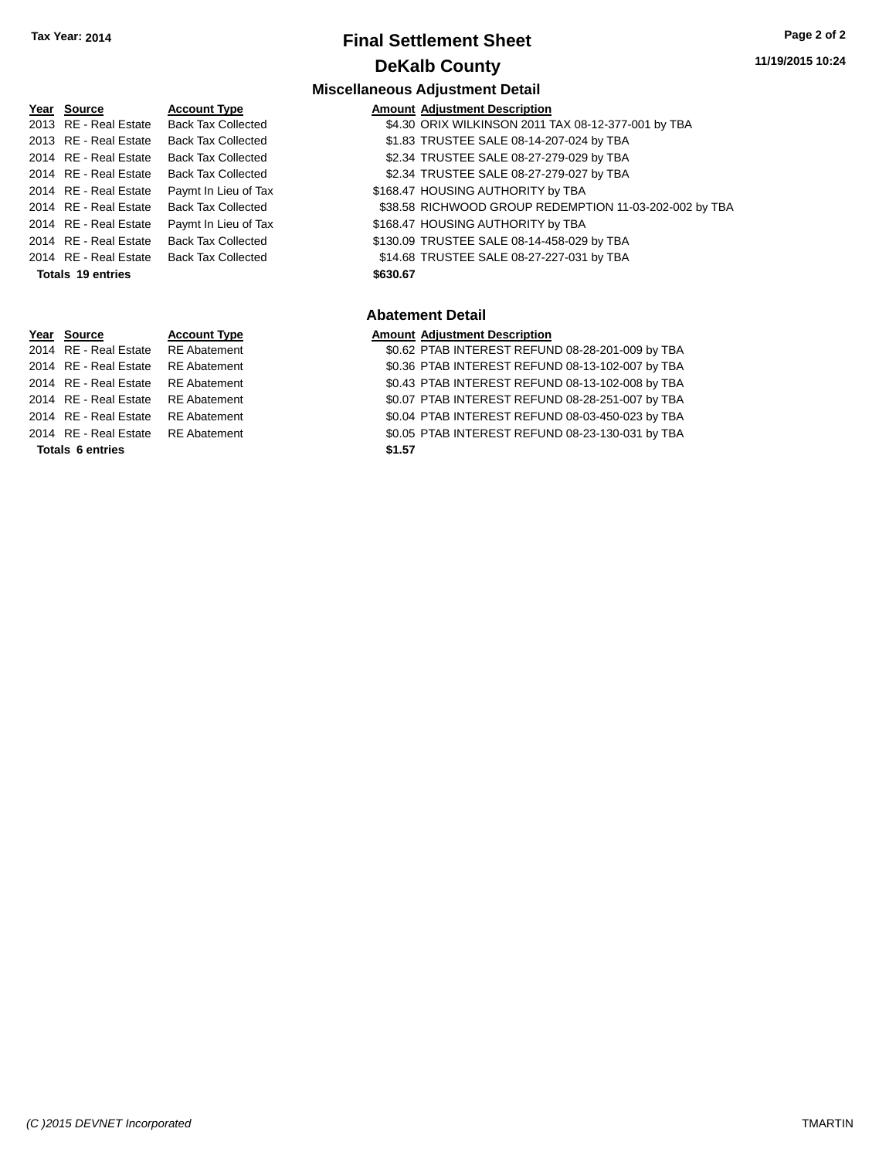**Year Source Account Type** 

## **Final Settlement Sheet Tax Year: 2014 Page 2 of 2 DeKalb County**

#### **11/19/2015 10:24**

#### **Miscellaneous Adjustment Detail**

| <b>Amount Adjustment Description</b> |  |
|--------------------------------------|--|

|      | --------------         | .                            |                                                     |
|------|------------------------|------------------------------|-----------------------------------------------------|
| 2013 | RE.<br>: - Real Estate | <b>Tax Collected</b><br>Back | \$4.30 ORIX WILKINSON 2011 TAX 08-12-377-001 by TBA |

- 2013 RE Real Estate Back Tax Collected \$1.83 TRUSTEE SALE 08-14-207-024 by TBA
- 2014 RE Real Estate Back Tax Collected \$2.34 TRUSTEE SALE 08-27-279-029 by TBA
- 2014 RE Real Estate Back Tax Collected \$2.34 TRUSTEE SALE 08-27-279-027 by TBA
	-
- 2014 RE Real Estate Paymt In Lieu of Tax \$168.47 HOUSING AUTHORITY by TBA
- 2014 RE Real Estate Back Tax Collected \$38.58 RICHWOOD GROUP REDEMPTION 11-03-202-002 by TBA
- 2014 RE Real Estate Paymt In Lieu of Tax S168.47 HOUSING AUTHORITY by TBA
- 2014 RE Real Estate Back Tax Collected \$130.09 TRUSTEE SALE 08-14-458-029 by TBA

2014 RE - Real Estate Back Tax Collected \$14.68 TRUSTEE SALE 08-27-227-031 by TBA

**Totals \$630.67 19 entries**

### **Abatement Detail**

#### **Year Source Account Type Amount Adjustment Description**

2014 RE - Real Estate RE Abatement \$0.62 PTAB INTEREST REFUND 08-28-201-009 by TBA 2014 RE - Real Estate RE Abatement \$0.36 PTAB INTEREST REFUND 08-13-102-007 by TBA 2014 RE - Real Estate RE Abatement \$0.43 PTAB INTEREST REFUND 08-13-102-008 by TBA 2014 RE - Real Estate RE Abatement \$0.07 PTAB INTEREST REFUND 08-28-251-007 by TBA 2014 RE - Real Estate RE Abatement \$0.04 PTAB INTEREST REFUND 08-03-450-023 by TBA 2014 RE - Real Estate RE Abatement \$0.05 PTAB INTEREST REFUND 08-23-130-031 by TBA

#### **Totals \$1.57 6 entries**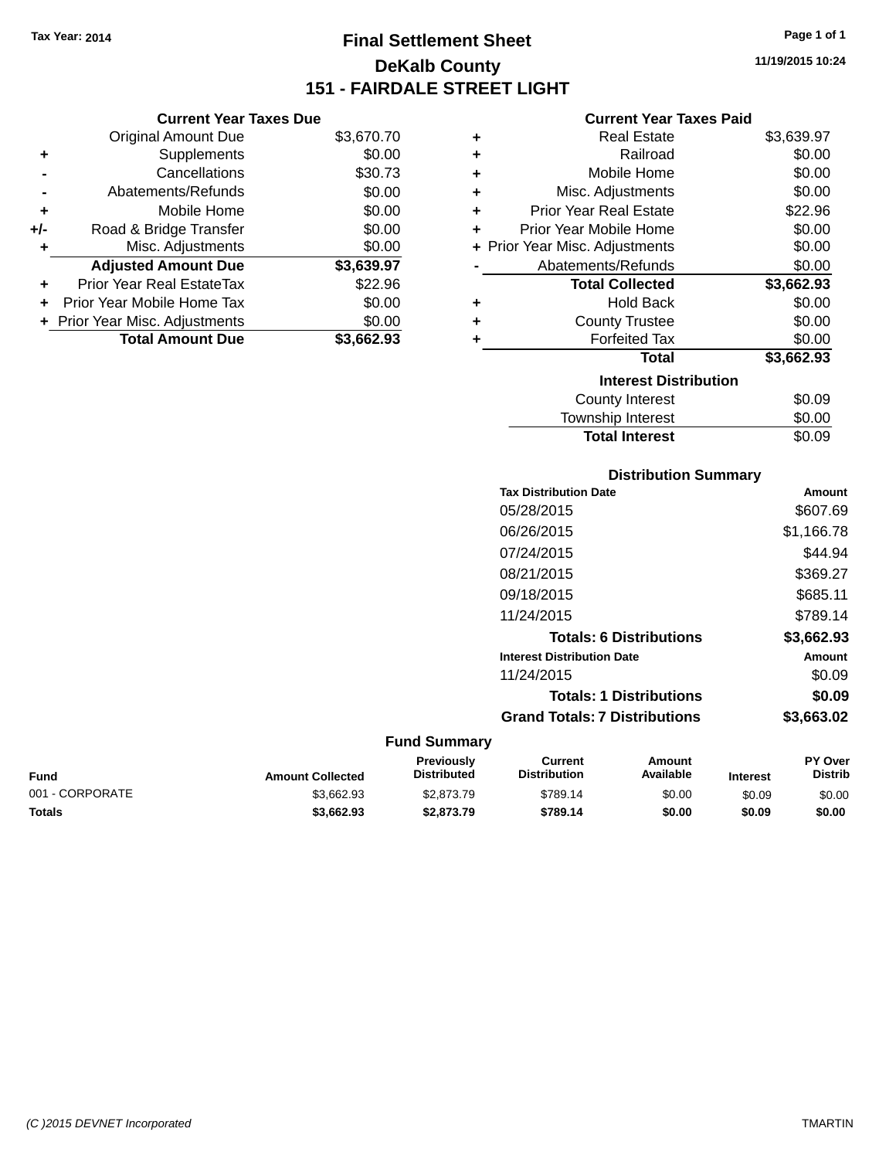# **Final Settlement Sheet Tax Year: 2014 Page 1 of 1 DeKalb County 151 - FAIRDALE STREET LIGHT**

**11/19/2015 10:24**

### **Current Year Taxes Paid**

| ٠ | <b>Real Estate</b>             | \$3,639.97 |
|---|--------------------------------|------------|
| ٠ | Railroad                       | \$0.00     |
| ٠ | Mobile Home                    | \$0.00     |
| ٠ | Misc. Adjustments              | \$0.00     |
| ٠ | <b>Prior Year Real Estate</b>  | \$22.96    |
| ÷ | Prior Year Mobile Home         | \$0.00     |
|   | + Prior Year Misc. Adjustments | \$0.00     |
|   | Abatements/Refunds             | \$0.00     |
|   |                                |            |
|   | <b>Total Collected</b>         | \$3,662.93 |
| ٠ | <b>Hold Back</b>               | \$0.00     |
| ٠ | <b>County Trustee</b>          | \$0.00     |
| ٠ | <b>Forfeited Tax</b>           | \$0.00     |
|   | <b>Total</b>                   | \$3,662.93 |
|   | <b>Interest Distribution</b>   |            |
|   | County Interest                | \$0.09     |

| <b>Distribution Summary</b>          |            |
|--------------------------------------|------------|
| <b>Tax Distribution Date</b>         | Amount     |
| 05/28/2015                           | \$607.69   |
| 06/26/2015                           | \$1,166.78 |
| 07/24/2015                           | \$44.94    |
| 08/21/2015                           | \$369.27   |
| 09/18/2015                           | \$685.11   |
| 11/24/2015                           | \$789.14   |
| <b>Totals: 6 Distributions</b>       | \$3,662.93 |
| <b>Interest Distribution Date</b>    | Amount     |
| 11/24/2015                           | \$0.09     |
| <b>Totals: 1 Distributions</b>       | \$0.09     |
| <b>Grand Totals: 7 Distributions</b> | \$3,663.02 |

Total Interest \$0.09

#### **Fund Summary**

| Fund            | <b>Amount Collected</b> | Previouslv<br><b>Distributed</b> | Current<br><b>Distribution</b> | Amount<br>Available | <b>Interest</b> | <b>PY Over</b><br><b>Distrib</b> |
|-----------------|-------------------------|----------------------------------|--------------------------------|---------------------|-----------------|----------------------------------|
| 001 - CORPORATE | \$3.662.93              | \$2,873.79                       | \$789.14                       | \$0.00              | \$0.09          | \$0.00                           |
| Totals          | \$3,662.93              | \$2,873.79                       | \$789.14                       | \$0.00              | \$0.09          | \$0.00                           |

| <b>Total Amount Due</b> | \$3,662.93 |
|-------------------------|------------|
|                         |            |
|                         |            |
|                         |            |
|                         |            |
|                         |            |
|                         |            |

**Current Year Taxes Due** Original Amount Due \$3,670.70

**Adjusted Amount Due \$3,639.97**

**+** Supplements \$0.00 **-** Cancellations \$30.73 **-** Abatements/Refunds \$0.00 **+** Mobile Home \$0.00 **+/-** Road & Bridge Transfer \$0.00 **+** Misc. Adjustments \$0.00

**+** Prior Year Real EstateTax \$22.96 **+** Prior Year Mobile Home Tax \$0.00 **+ Prior Year Misc. Adjustments**  $$0.00$ 

*(C )2015 DEVNET Incorporated* TMARTIN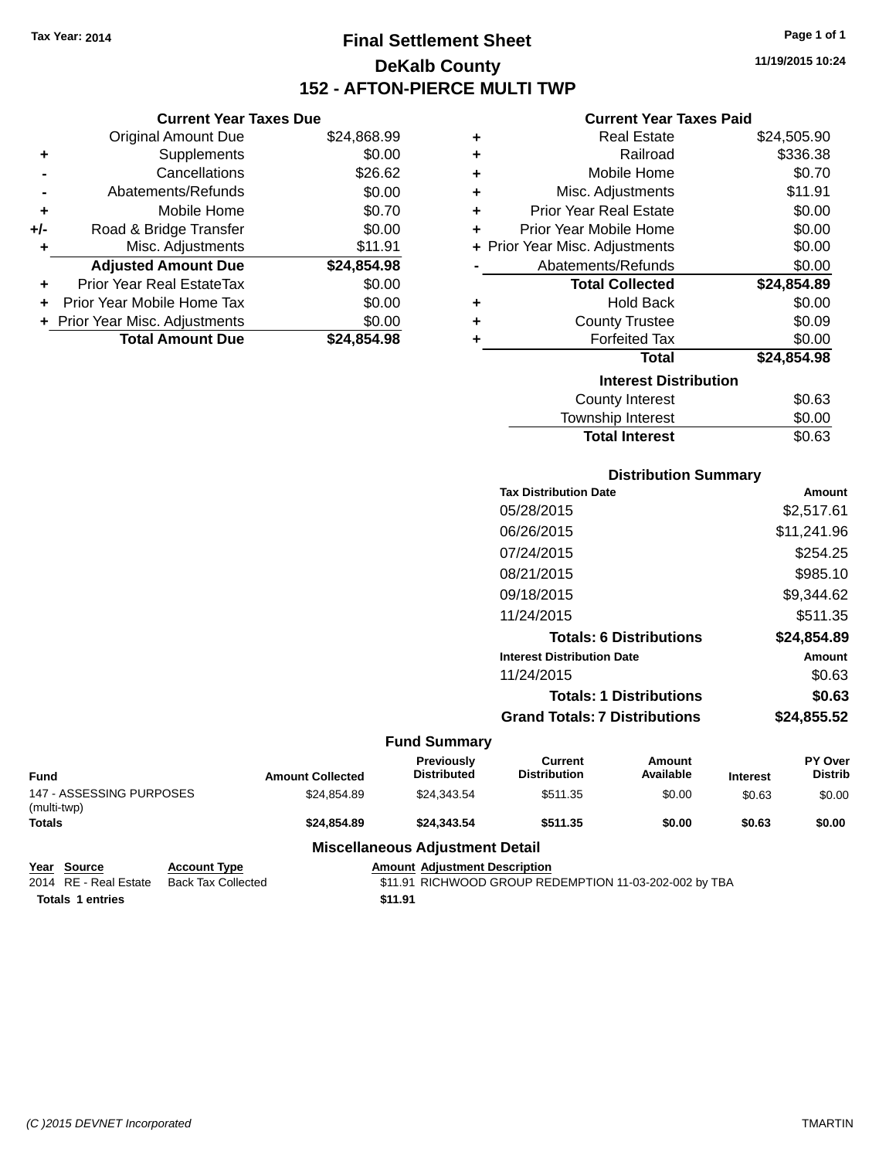**Current Year Taxes Due** Original Amount Due \$24,868.99

**Adjusted Amount Due \$24,854.98**

**Total Amount Due \$24,854.98**

**+** Supplements \$0.00 **-** Cancellations \$26.62 **-** Abatements/Refunds \$0.00 **+** Mobile Home \$0.70 **+/-** Road & Bridge Transfer \$0.00 **+** Misc. Adjustments \$11.91

**+** Prior Year Real EstateTax \$0.00 **+** Prior Year Mobile Home Tax \$0.00 **+** Prior Year Misc. Adjustments  $$0.00$ 

# **Final Settlement Sheet Tax Year: 2014 Page 1 of 1 DeKalb County 152 - AFTON-PIERCE MULTI TWP**

**11/19/2015 10:24**

#### **Current Year Taxes Paid**

| ٠ | <b>Real Estate</b>             | \$24,505.90 |
|---|--------------------------------|-------------|
| ٠ | Railroad                       | \$336.38    |
| ÷ | Mobile Home                    | \$0.70      |
| ٠ | Misc. Adjustments              | \$11.91     |
| ÷ | <b>Prior Year Real Estate</b>  | \$0.00      |
| ٠ | Prior Year Mobile Home         | \$0.00      |
|   | + Prior Year Misc. Adjustments | \$0.00      |
|   | Abatements/Refunds             | \$0.00      |
|   | <b>Total Collected</b>         | \$24,854.89 |
| ٠ | <b>Hold Back</b>               |             |
|   |                                | \$0.00      |
| ٠ | <b>County Trustee</b>          | \$0.09      |
| ÷ | <b>Forfeited Tax</b>           | \$0.00      |
|   | Total                          | \$24,854.98 |
|   | <b>Interest Distribution</b>   |             |
|   | <b>County Interest</b>         | \$0.63      |

## **Distribution Summary Tax Distribution Date Amount** 05/28/2015 \$2,517.61 06/26/2015 \$11,241.96 07/24/2015 \$254.25 08/21/2015 \$985.10

**Total Interest** \$0.63

| 09/18/2015                           | \$9,344.62  |
|--------------------------------------|-------------|
| 11/24/2015                           | \$511.35    |
| <b>Totals: 6 Distributions</b>       | \$24,854.89 |
| <b>Interest Distribution Date</b>    | Amount      |
| 11/24/2015                           | \$0.63      |
| <b>Totals: 1 Distributions</b>       | \$0.63      |
| <b>Grand Totals: 7 Distributions</b> | \$24,855.52 |

#### **Fund Summary**

| <b>Fund</b>                             | <b>Amount Collected</b> | <b>Previously</b><br><b>Distributed</b> | Current<br><b>Distribution</b> | Amount<br>Available | <b>Interest</b> | PY Over<br><b>Distrib</b> |
|-----------------------------------------|-------------------------|-----------------------------------------|--------------------------------|---------------------|-----------------|---------------------------|
| 147 - ASSESSING PURPOSES<br>(multi-twp) | \$24.854.89             | \$24.343.54                             | \$511.35                       | \$0.00              | \$0.63          | \$0.00                    |
| <b>Totals</b>                           | \$24,854.89             | \$24,343,54                             | \$511.35                       | \$0.00              | \$0.63          | \$0.00                    |
| <b>Miscellaneous Adjustment Detail</b>  |                         |                                         |                                |                     |                 |                           |

**Year Source Account Type Amount Adjustment Description** 2014 RE - Real Estate Back Tax Collected \$11.91 RICHWOOD GROUP REDEMPTION 11-03-202-002 by TBA **Totals 1 entries** \$11.91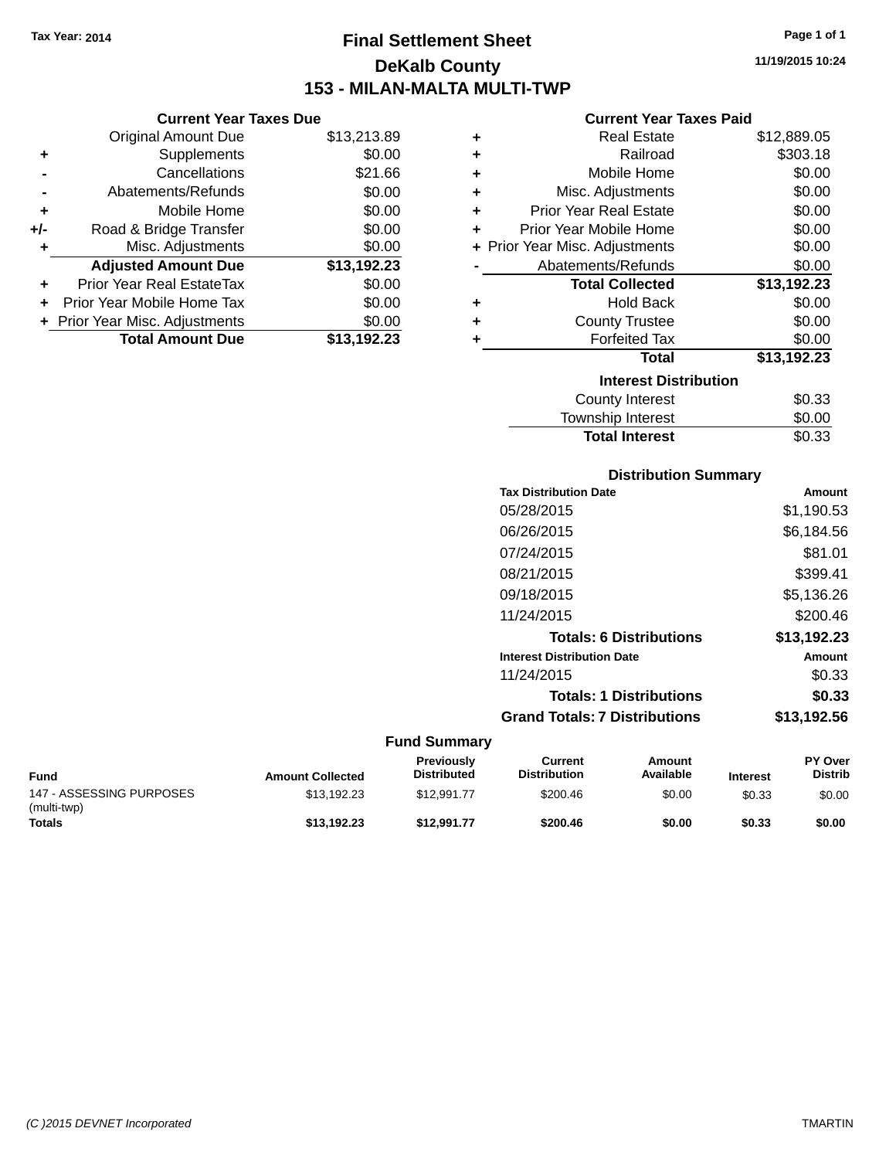# **Final Settlement Sheet Tax Year: 2014 Page 1 of 1 DeKalb County 153 - MILAN-MALTA MULTI-TWP**

**11/19/2015 10:24**

| <b>Current Year Taxes Paid</b> |  |  |  |
|--------------------------------|--|--|--|
|--------------------------------|--|--|--|

| ٠ | <b>Real Estate</b>             | \$12,889.05 |
|---|--------------------------------|-------------|
| ٠ | Railroad                       | \$303.18    |
| ٠ | Mobile Home                    | \$0.00      |
| ٠ | Misc. Adjustments              | \$0.00      |
| ÷ | <b>Prior Year Real Estate</b>  | \$0.00      |
| ÷ | Prior Year Mobile Home         | \$0.00      |
|   | + Prior Year Misc. Adjustments | \$0.00      |
|   | Abatements/Refunds             | \$0.00      |
|   | <b>Total Collected</b>         | \$13,192.23 |
| ٠ | <b>Hold Back</b>               | \$0.00      |
| ÷ | <b>County Trustee</b>          | \$0.00      |
| ٠ | <b>Forfeited Tax</b>           | \$0.00      |
|   | Total                          | \$13,192.23 |
|   | <b>Interest Distribution</b>   |             |
|   | <b>County Interest</b>         | \$0.33      |
|   | Township Interest              | \$0.00      |
|   | <b>Total Interest</b>          | \$0.33      |

| <b>Distribution Summary</b>          |             |
|--------------------------------------|-------------|
| <b>Tax Distribution Date</b>         | Amount      |
| 05/28/2015                           | \$1,190.53  |
| 06/26/2015                           | \$6,184.56  |
| 07/24/2015                           | \$81.01     |
| 08/21/2015                           | \$399.41    |
| 09/18/2015                           | \$5,136.26  |
| 11/24/2015                           | \$200.46    |
| <b>Totals: 6 Distributions</b>       | \$13,192.23 |
| <b>Interest Distribution Date</b>    | Amount      |
| 11/24/2015                           | \$0.33      |
| <b>Totals: 1 Distributions</b>       | \$0.33      |
| <b>Grand Totals: 7 Distributions</b> | \$13,192.56 |

#### **Fund Summary**

| <b>Fund</b>                             | <b>Amount Collected</b> | <b>Previously</b><br><b>Distributed</b> | Current<br><b>Distribution</b> | Amount<br>Available | <b>Interest</b> | <b>PY Over</b><br><b>Distrib</b> |
|-----------------------------------------|-------------------------|-----------------------------------------|--------------------------------|---------------------|-----------------|----------------------------------|
| 147 - ASSESSING PURPOSES<br>(multi-twp) | \$13.192.23             | \$12.991.77                             | \$200.46                       | \$0.00              | \$0.33          | \$0.00                           |
| <b>Totals</b>                           | \$13.192.23             | \$12.991.77                             | \$200.46                       | \$0.00              | \$0.33          | \$0.00                           |

|       |                               | Del<br><b>153 - MILAN</b> |
|-------|-------------------------------|---------------------------|
|       | <b>Current Year Taxes Due</b> |                           |
|       | <b>Original Amount Due</b>    | \$13,213.89               |
|       | Supplements                   | \$0.00                    |
|       | Cancellations                 | \$21.66                   |
|       | Abatements/Refunds            | \$0.00                    |
| ÷     | Mobile Home                   | \$0.00                    |
| $+/-$ | Road & Bridge Transfer        | \$0.00                    |
| ÷     | Misc. Adjustments             | \$0.00                    |

**Adjusted Amount Due \$13,192.23**

**+** Prior Year Real EstateTax \$0.00 **+** Prior Year Mobile Home Tax \$0.00 **+** Prior Year Misc. Adjustments \$0.00<br>Total Amount Due \$13,192.23

**Total Amount Due** 

**+** Misc. Adjustments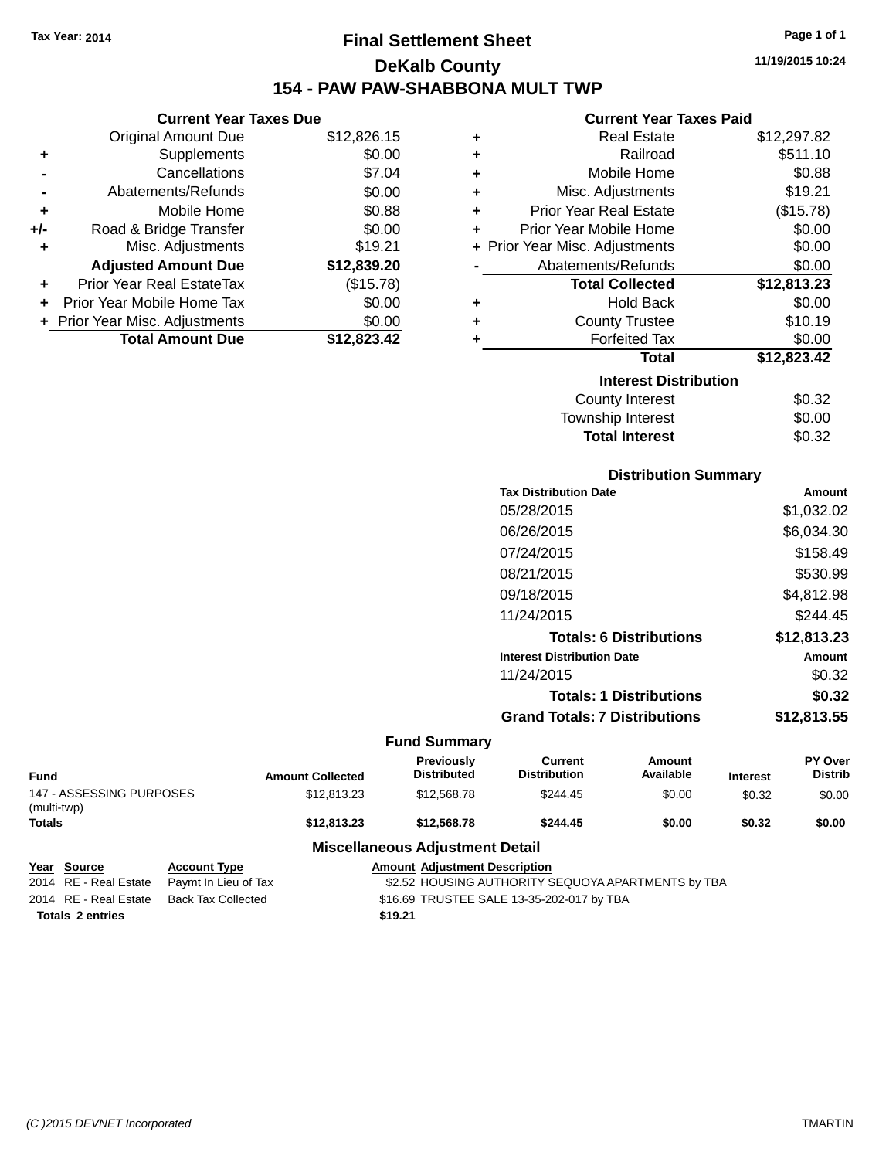# **Final Settlement Sheet Tax Year: 2014 Page 1 of 1 DeKalb County 154 - PAW PAW-SHABBONA MULT TWP**

**11/19/2015 10:24**

### **Current Year Taxes Paid**

|     | <b>Current Year Taxes Due</b>  |             |    |
|-----|--------------------------------|-------------|----|
|     | Original Amount Due            | \$12,826.15 |    |
|     | Supplements                    | \$0.00      |    |
|     | Cancellations                  | \$7.04      |    |
|     | Abatements/Refunds             | \$0.00      |    |
|     | Mobile Home                    | \$0.88      |    |
| +/- | Road & Bridge Transfer         | \$0.00      |    |
|     | Misc. Adjustments              | \$19.21     | ьF |
|     | <b>Adjusted Amount Due</b>     | \$12,839.20 |    |
|     | Prior Year Real EstateTax      | (\$15.78)   |    |
|     | Prior Year Mobile Home Tax     | \$0.00      |    |
|     | + Prior Year Misc. Adjustments | \$0.00      |    |
|     | <b>Total Amount Due</b>        | \$12,823.42 |    |
|     |                                |             |    |

| ٠ | <b>Real Estate</b>             | \$12,297.82 |
|---|--------------------------------|-------------|
| ٠ | Railroad                       | \$511.10    |
| ٠ | Mobile Home                    | \$0.88      |
| ÷ | Misc. Adjustments              | \$19.21     |
| ÷ | <b>Prior Year Real Estate</b>  | (\$15.78)   |
| ÷ | Prior Year Mobile Home         | \$0.00      |
|   | + Prior Year Misc. Adjustments | \$0.00      |
|   | Abatements/Refunds             | \$0.00      |
|   | <b>Total Collected</b>         | \$12,813.23 |
| ٠ | <b>Hold Back</b>               | \$0.00      |
| ÷ | <b>County Trustee</b>          | \$10.19     |
| ٠ | <b>Forfeited Tax</b>           | \$0.00      |
|   | Total                          | \$12,823.42 |
|   | <b>Interest Distribution</b>   |             |
|   | <b>County Interest</b>         | \$0.32      |
|   | <b>Township Interest</b>       | \$0.00      |
|   | <b>Total Interest</b>          | \$0.32      |

| <b>Distribution Summary</b>          |             |
|--------------------------------------|-------------|
| <b>Tax Distribution Date</b>         | Amount      |
| 05/28/2015                           | \$1,032.02  |
| 06/26/2015                           | \$6,034.30  |
| 07/24/2015                           | \$158.49    |
| 08/21/2015                           | \$530.99    |
| 09/18/2015                           | \$4,812.98  |
| 11/24/2015                           | \$244.45    |
| <b>Totals: 6 Distributions</b>       | \$12,813.23 |
| <b>Interest Distribution Date</b>    | Amount      |
| 11/24/2015                           | \$0.32      |
| <b>Totals: 1 Distributions</b>       | \$0.32      |
| <b>Grand Totals: 7 Distributions</b> | \$12,813.55 |

## **Fund Summary**

| Fund                                    | <b>Amount Collected</b> | <b>Previously</b><br><b>Distributed</b> | Current<br><b>Distribution</b> | Amount<br>Available | <b>Interest</b> | PY Over<br><b>Distrib</b> |
|-----------------------------------------|-------------------------|-----------------------------------------|--------------------------------|---------------------|-----------------|---------------------------|
| 147 - ASSESSING PURPOSES<br>(multi-twp) | \$12,813,23             | \$12,568,78                             | \$244.45                       | \$0.00              | \$0.32          | \$0.00                    |
| Totals                                  | \$12,813,23             | \$12,568,78                             | \$244.45                       | \$0.00              | \$0.32          | \$0.00                    |

| Year Source             | <b>Account Type</b>  | <b>Amount Adjustment Description</b>               |
|-------------------------|----------------------|----------------------------------------------------|
| 2014 RE - Real Estate   | Paymt In Lieu of Tax | \$2.52 HOUSING AUTHORITY SEQUOYA APARTMENTS by TBA |
| 2014 RE - Real Estate   | Back Tax Collected   | \$16.69 TRUSTEE SALE 13-35-202-017 by TBA          |
| <b>Totals 2 entries</b> |                      | \$19.21                                            |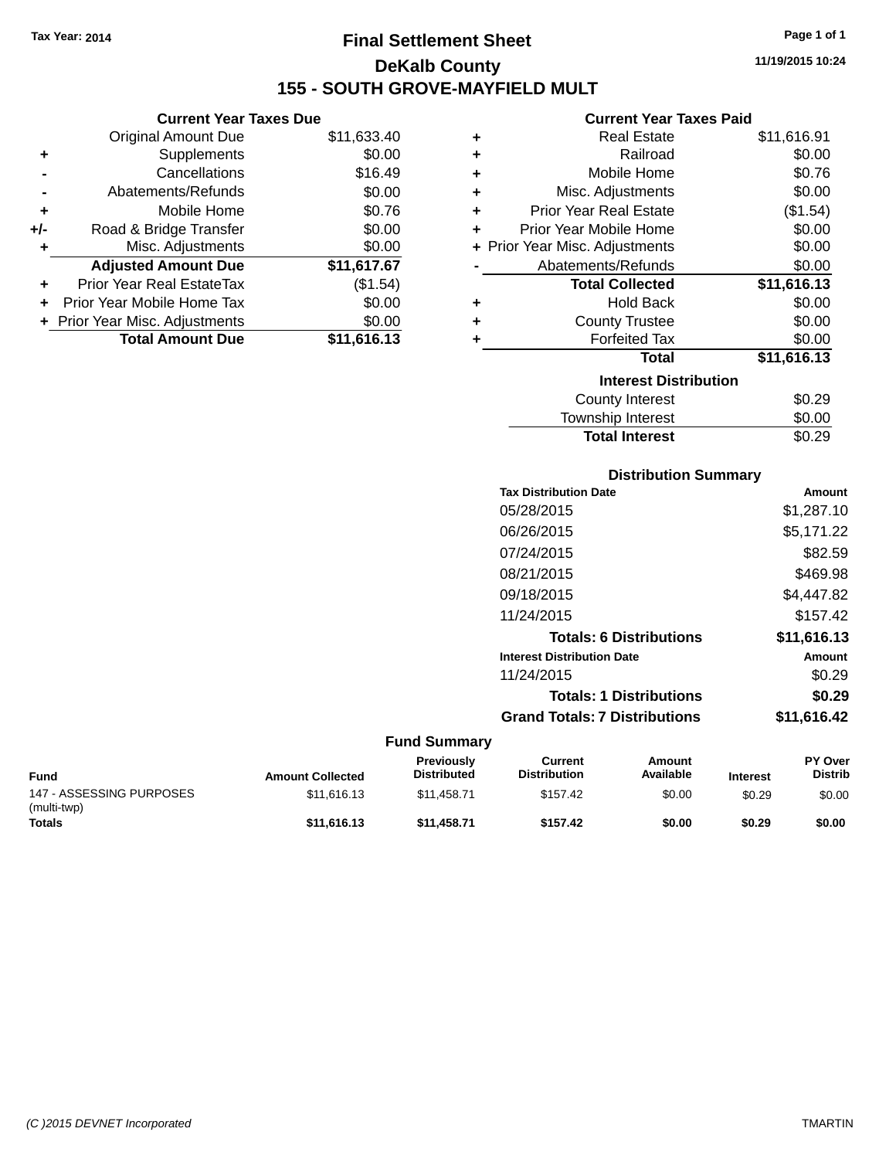**Current Year Taxes Due** Original Amount Due \$11,633.40

**Adjusted Amount Due \$11,617.67**

**Total Amount Due \$11,616.13**

**+** Supplements \$0.00 **-** Cancellations \$16.49 **-** Abatements/Refunds \$0.00 **+** Mobile Home \$0.76 **+/-** Road & Bridge Transfer \$0.00<br> **+** Misc. Adjustments \$0.00

**+** Prior Year Real EstateTax (\$1.54) **+** Prior Year Mobile Home Tax \$0.00 **+ Prior Year Misc. Adjustments**  $$0.00$ 

**+** Misc. Adjustments

# **Final Settlement Sheet Tax Year: 2014 Page 1 of 1 DeKalb County 155 - SOUTH GROVE-MAYFIELD MULT**

**11/19/2015 10:24**

#### **Current Year Taxes Paid**

| ٠ | <b>Real Estate</b>             | \$11,616.91 |
|---|--------------------------------|-------------|
| ٠ | Railroad                       | \$0.00      |
| ٠ | Mobile Home                    | \$0.76      |
| ٠ | Misc. Adjustments              | \$0.00      |
| ٠ | <b>Prior Year Real Estate</b>  | (\$1.54)    |
| ٠ | Prior Year Mobile Home         | \$0.00      |
|   | + Prior Year Misc. Adjustments | \$0.00      |
|   | Abatements/Refunds             | \$0.00      |
|   | <b>Total Collected</b>         | \$11,616.13 |
| ٠ | <b>Hold Back</b>               | \$0.00      |
| ٠ | <b>County Trustee</b>          | \$0.00      |
| ٠ | <b>Forfeited Tax</b>           | \$0.00      |
|   | <b>Total</b>                   | \$11,616.13 |
|   | <b>Interest Distribution</b>   |             |
|   | <b>County Interest</b>         | \$0.29      |
|   | <b>Township Interest</b>       | \$0.00      |

| <b>Distribution Summary</b>          |             |
|--------------------------------------|-------------|
| <b>Tax Distribution Date</b>         | Amount      |
| 05/28/2015                           | \$1,287.10  |
| 06/26/2015                           | \$5,171.22  |
| 07/24/2015                           | \$82.59     |
| 08/21/2015                           | \$469.98    |
| 09/18/2015                           | \$4,447.82  |
| 11/24/2015                           | \$157.42    |
| <b>Totals: 6 Distributions</b>       | \$11,616.13 |
| <b>Interest Distribution Date</b>    | Amount      |
| 11/24/2015                           | \$0.29      |
| <b>Totals: 1 Distributions</b>       | \$0.29      |
| <b>Grand Totals: 7 Distributions</b> | \$11.616.42 |

Total Interest \$0.29

| <b>Fund</b>                             | <b>Amount Collected</b> | <b>Previously</b><br><b>Distributed</b> | Current<br><b>Distribution</b> | Amount<br>Available | <b>Interest</b> | <b>PY Over</b><br><b>Distrib</b> |
|-----------------------------------------|-------------------------|-----------------------------------------|--------------------------------|---------------------|-----------------|----------------------------------|
| 147 - ASSESSING PURPOSES<br>(multi-twp) | \$11,616.13             | \$11.458.71                             | \$157.42                       | \$0.00              | \$0.29          | \$0.00                           |
| <b>Totals</b>                           | \$11,616,13             | \$11,458,71                             | \$157.42                       | \$0.00              | \$0.29          | \$0.00                           |

| Page 1 of |  |
|-----------|--|
|           |  |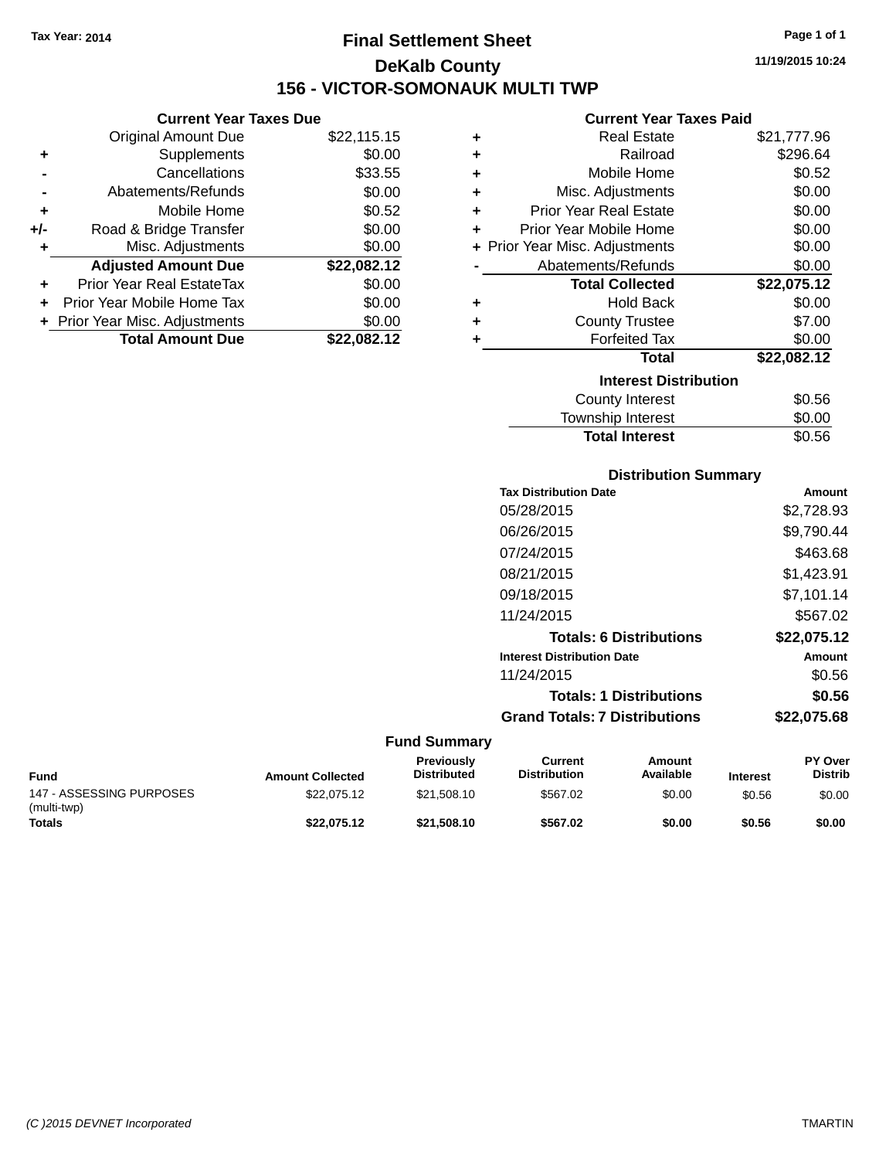# **Final Settlement Sheet Tax Year: 2014 Page 1 of 1 DeKalb County 156 - VICTOR-SOMONAUK MULTI TWP**

**11/19/2015 10:24**

### **Current Year Taxes Paid**

|     | <b>Current Year Taxes Due</b>    |             |   | <b>Current Year Taxes Paid</b> |             |
|-----|----------------------------------|-------------|---|--------------------------------|-------------|
|     | Original Amount Due              | \$22,115.15 | ٠ | <b>Real Estate</b>             | \$21,777.96 |
| ٠   | <b>Supplements</b>               | \$0.00      | ٠ | Railroad                       | \$296.64    |
|     | Cancellations                    | \$33.55     |   | Mobile Home                    | \$0.52      |
|     | Abatements/Refunds               | \$0.00      | ٠ | Misc. Adjustments              | \$0.00      |
| ٠   | Mobile Home                      | \$0.52      | ÷ | <b>Prior Year Real Estate</b>  | \$0.00      |
| +/- | Road & Bridge Transfer           | \$0.00      |   | Prior Year Mobile Home         | \$0.00      |
| ٠   | Misc. Adjustments                | \$0.00      |   | + Prior Year Misc. Adjustments | \$0.00      |
|     | <b>Adjusted Amount Due</b>       | \$22,082.12 |   | Abatements/Refunds             | \$0.00      |
| ٠   | <b>Prior Year Real EstateTax</b> | \$0.00      |   | <b>Total Collected</b>         | \$22,075.12 |
|     | Prior Year Mobile Home Tax       | \$0.00      | ٠ | <b>Hold Back</b>               | \$0.00      |
|     | + Prior Year Misc. Adjustments   | \$0.00      |   | <b>County Trustee</b>          | \$7.00      |
|     | <b>Total Amount Due</b>          | \$22,082.12 |   | <b>Forfeited Tax</b>           | \$0.00      |
|     |                                  |             |   | Total                          | \$22,082.12 |
|     |                                  |             |   | <b>Interest Distribution</b>   |             |

 $\overline{\phantom{0}}$ 

| <b>Interest Distribution</b> |        |
|------------------------------|--------|
| <b>County Interest</b>       | \$0.56 |
| Township Interest            | \$0.00 |
| <b>Total Interest</b>        | \$0.56 |

### **Distribution Summary**

| <b>Tax Distribution Date</b>         | Amount      |
|--------------------------------------|-------------|
| 05/28/2015                           | \$2,728.93  |
| 06/26/2015                           | \$9,790.44  |
| 07/24/2015                           | \$463.68    |
| 08/21/2015                           | \$1,423.91  |
| 09/18/2015                           | \$7,101.14  |
| 11/24/2015                           | \$567.02    |
| <b>Totals: 6 Distributions</b>       | \$22.075.12 |
| <b>Interest Distribution Date</b>    | Amount      |
| 11/24/2015                           | \$0.56      |
| <b>Totals: 1 Distributions</b>       | \$0.56      |
| <b>Grand Totals: 7 Distributions</b> | \$22.075.68 |
|                                      |             |

| <b>Fund</b>                             | <b>Amount Collected</b> | <b>Previously</b><br><b>Distributed</b> | Current<br><b>Distribution</b> | Amount<br>Available | <b>Interest</b> | <b>PY Over</b><br><b>Distrib</b> |
|-----------------------------------------|-------------------------|-----------------------------------------|--------------------------------|---------------------|-----------------|----------------------------------|
| 147 - ASSESSING PURPOSES<br>(multi-twp) | \$22,075.12             | \$21.508.10                             | \$567.02                       | \$0.00              | \$0.56          | \$0.00                           |
| <b>Totals</b>                           | \$22.075.12             | \$21,508,10                             | \$567.02                       | \$0.00              | \$0.56          | \$0.00                           |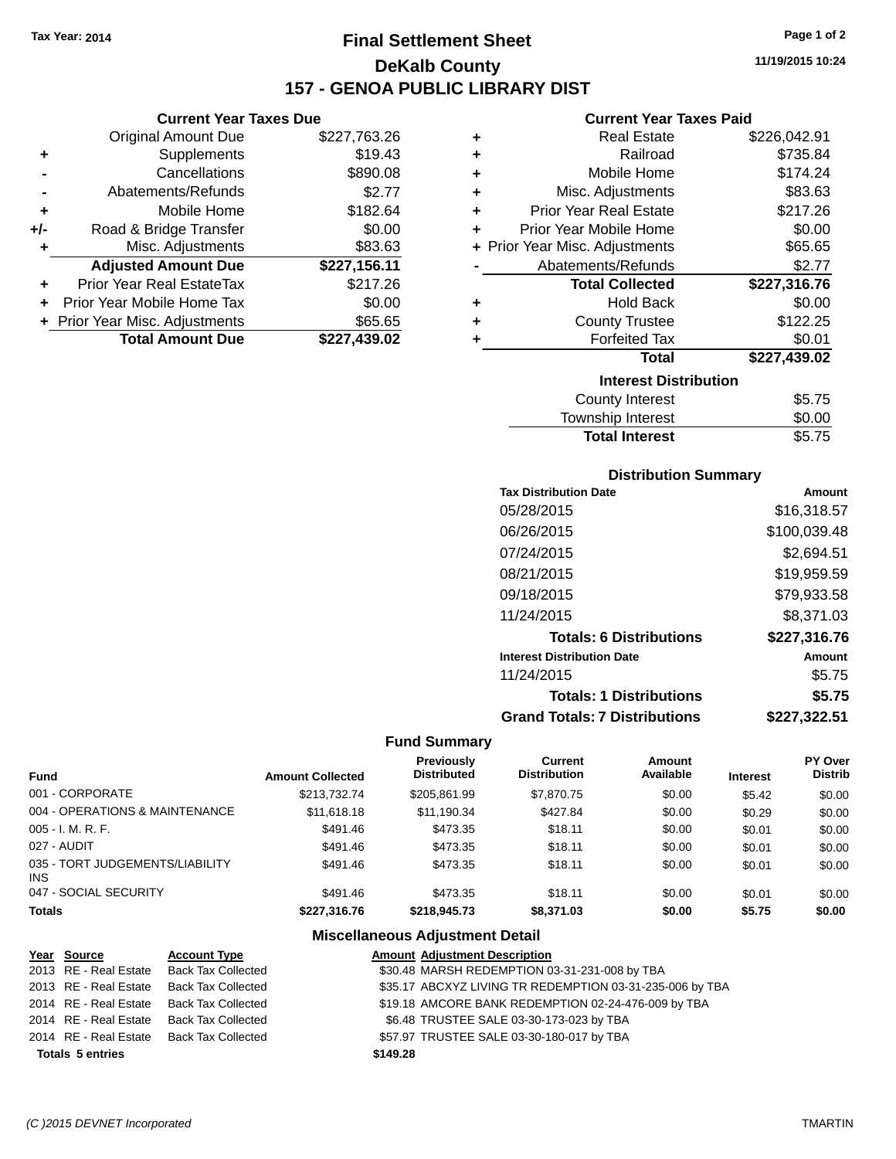**Current Year Taxes Due** Original Amount Due \$227,763.26

**Adjusted Amount Due \$227,156.11**

**Total Amount Due \$227,439.02**

**+** Supplements \$19.43 **-** Cancellations \$890.08 **-** Abatements/Refunds \$2.77 **+** Mobile Home \$182.64 **+/-** Road & Bridge Transfer \$0.00 **+** Misc. Adjustments \$83.63

**+** Prior Year Real EstateTax \$217.26 **+** Prior Year Mobile Home Tax \$0.00 **+ Prior Year Misc. Adjustments \$65.65** 

# **Final Settlement Sheet Tax Year: 2014 Page 1 of 2 DeKalb County 157 - GENOA PUBLIC LIBRARY DIST**

**11/19/2015 10:24**

### **Current Year Taxes Paid**

| ٠                            | <b>Real Estate</b>               | \$226,042.91 |  |  |  |
|------------------------------|----------------------------------|--------------|--|--|--|
| ٠                            | Railroad                         | \$735.84     |  |  |  |
| ٠                            | Mobile Home                      | \$174.24     |  |  |  |
| ٠                            | Misc. Adjustments                | \$83.63      |  |  |  |
| ٠                            | <b>Prior Year Real Estate</b>    | \$217.26     |  |  |  |
| ٠                            | Prior Year Mobile Home           | \$0.00       |  |  |  |
|                              | + Prior Year Misc. Adjustments   | \$65.65      |  |  |  |
|                              | Abatements/Refunds               | \$2.77       |  |  |  |
|                              | <b>Total Collected</b>           | \$227,316.76 |  |  |  |
| ٠                            | <b>Hold Back</b>                 | \$0.00       |  |  |  |
| ٠                            | <b>County Trustee</b>            | \$122.25     |  |  |  |
| ٠                            | <b>Forfeited Tax</b>             | \$0.01       |  |  |  |
|                              | <b>Total</b>                     | \$227,439.02 |  |  |  |
| <b>Interest Distribution</b> |                                  |              |  |  |  |
|                              | \$5.75<br><b>County Interest</b> |              |  |  |  |
|                              | <b>Township Interest</b>         | \$0.00       |  |  |  |

# **Total Interest** \$5.75

| <b>Distribution Summary</b>          |              |
|--------------------------------------|--------------|
| <b>Tax Distribution Date</b>         | Amount       |
| 05/28/2015                           | \$16.318.57  |
| 06/26/2015                           | \$100.039.48 |
| 07/24/2015                           | \$2.694.51   |
| 08/21/2015                           | \$19.959.59  |
| 09/18/2015                           | \$79.933.58  |
| 11/24/2015                           | \$8.371.03   |
| <b>Totals: 6 Distributions</b>       | \$227,316.76 |
| <b>Interest Distribution Date</b>    | Amount       |
| 11/24/2015                           | \$5.75       |
| <b>Totals: 1 Distributions</b>       | \$5.75       |
| <b>Grand Totals: 7 Distributions</b> | \$227.322.51 |

### **Fund Summary**

| Fund                                   | <b>Amount Collected</b> | <b>Previously</b><br><b>Distributed</b> | <b>Current</b><br><b>Distribution</b> | Amount<br>Available | <b>Interest</b> | <b>PY Over</b><br><b>Distrib</b> |
|----------------------------------------|-------------------------|-----------------------------------------|---------------------------------------|---------------------|-----------------|----------------------------------|
| 001 - CORPORATE                        | \$213.732.74            | \$205.861.99                            | \$7.870.75                            | \$0.00              | \$5.42          | \$0.00                           |
| 004 - OPERATIONS & MAINTENANCE         | \$11,618,18             | \$11,190.34                             | \$427.84                              | \$0.00              | \$0.29          | \$0.00                           |
| 005 - I. M. R. F.                      | \$491.46                | \$473.35                                | \$18.11                               | \$0.00              | \$0.01          | \$0.00                           |
| 027 - AUDIT                            | \$491.46                | \$473.35                                | \$18.11                               | \$0.00              | \$0.01          | \$0.00                           |
| 035 - TORT JUDGEMENTS/LIABILITY<br>INS | \$491.46                | \$473.35                                | \$18.11                               | \$0.00              | \$0.01          | \$0.00                           |
| 047 - SOCIAL SECURITY                  | \$491.46                | \$473.35                                | \$18.11                               | \$0.00              | \$0.01          | \$0.00                           |
| <b>Totals</b>                          | \$227,316.76            | \$218,945.73                            | \$8,371.03                            | \$0.00              | \$5.75          | \$0.00                           |

| Year Source             | <b>Account Type</b>                      |          | <b>Amount Adjustment Description</b>                     |
|-------------------------|------------------------------------------|----------|----------------------------------------------------------|
|                         | 2013 RE - Real Estate Back Tax Collected |          | \$30.48 MARSH REDEMPTION 03-31-231-008 by TBA            |
|                         | 2013 RE - Real Estate Back Tax Collected |          | \$35.17 ABCXYZ LIVING TR REDEMPTION 03-31-235-006 by TBA |
|                         | 2014 RE - Real Estate Back Tax Collected |          | \$19.18 AMCORE BANK REDEMPTION 02-24-476-009 by TBA      |
|                         | 2014 RE - Real Estate Back Tax Collected |          | \$6.48 TRUSTEE SALE 03-30-173-023 by TBA                 |
|                         | 2014 RE - Real Estate Back Tax Collected |          | \$57.97 TRUSTEE SALE 03-30-180-017 by TBA                |
| <b>Totals 5 entries</b> |                                          | \$149.28 |                                                          |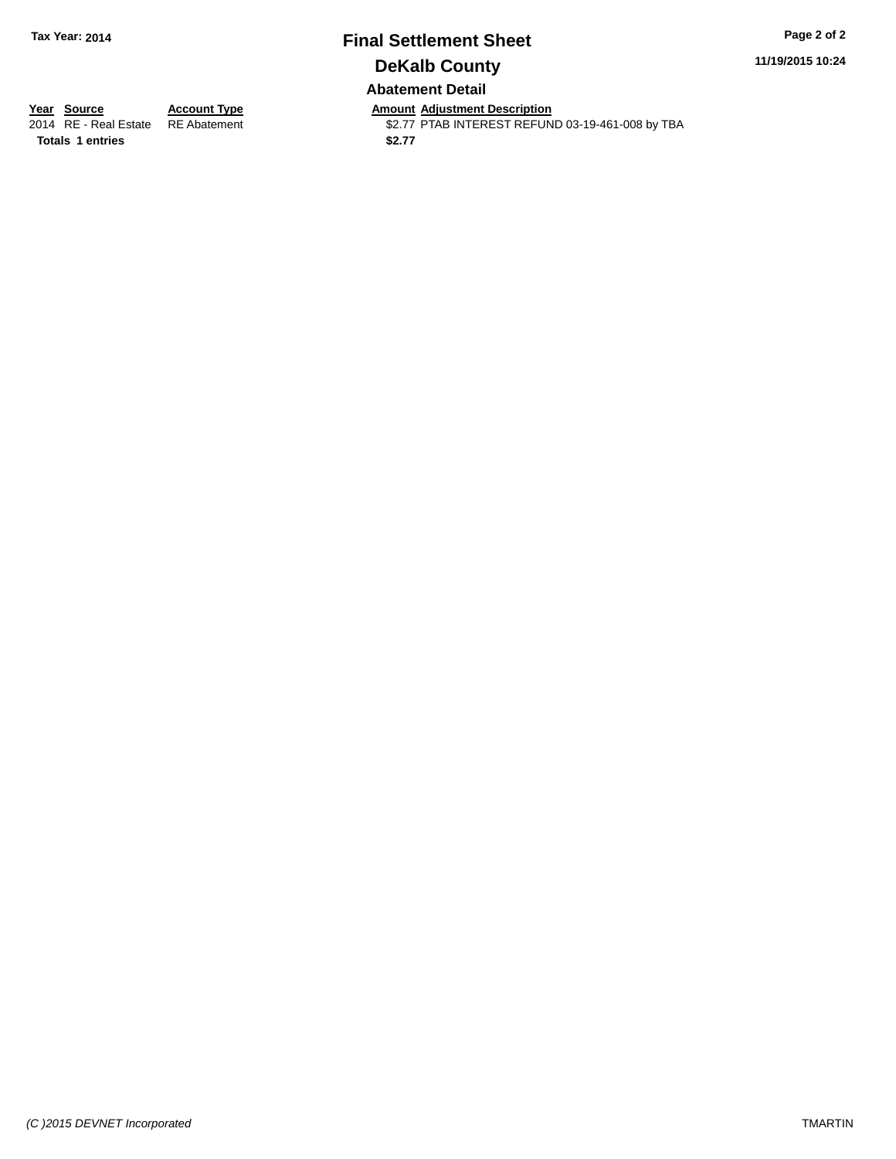## **Final Settlement Sheet Tax Year: 2014 Page 2 of 2 DeKalb County Abatement Detail**

**11/19/2015 10:24**

**Totals 1 entries** \$2.77

**Year Source Account Type Anneunt Adjustment Description**<br>2014 RE - Real Estate RE Abatement **Amount Adjustment REFUN** \$2.77 PTAB INTEREST REFUND 03-19-461-008 by TBA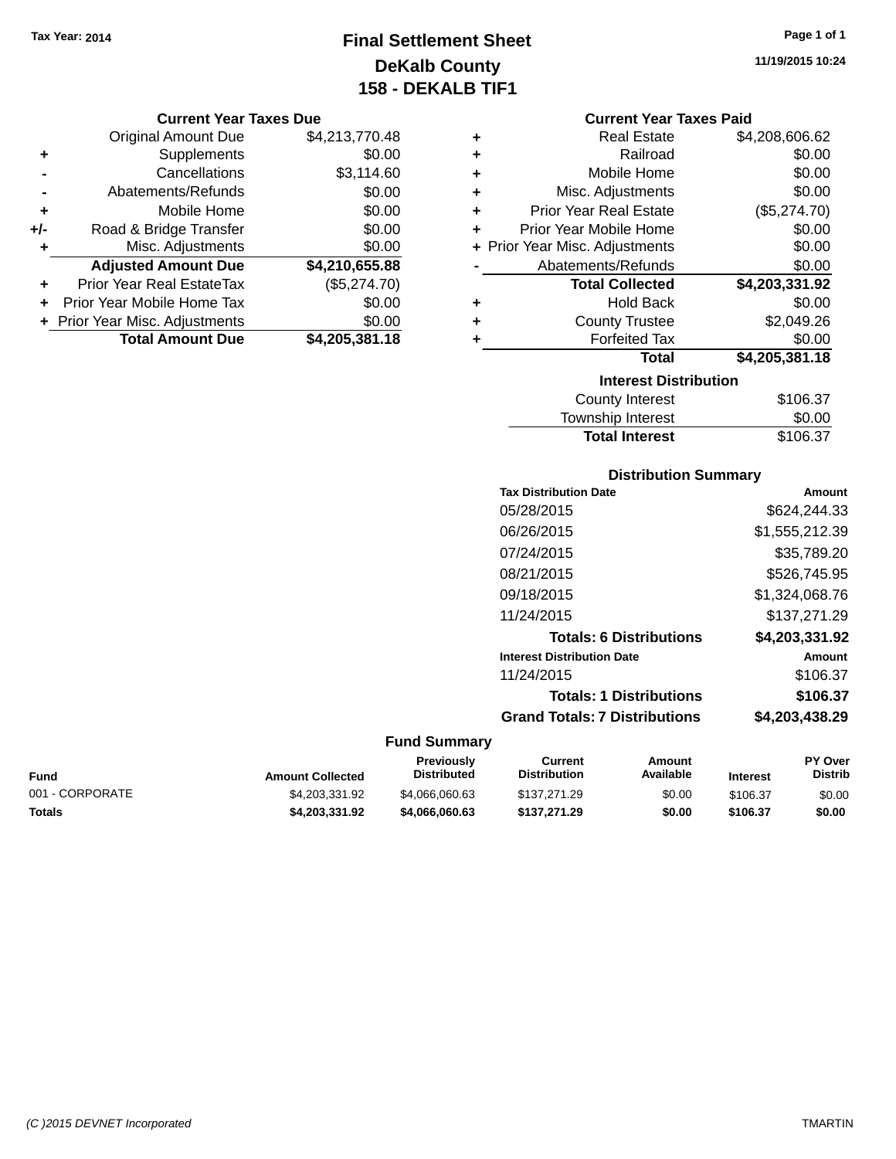# **Final Settlement Sheet Tax Year: 2014 Page 1 of 1 DeKalb County 158 - DEKALB TIF1**

**11/19/2015 10:24**

### **Current Year Taxes Due**

|       | <b>Original Amount Due</b>       | \$4,213,770.48 |
|-------|----------------------------------|----------------|
| ٠     | Supplements                      | \$0.00         |
|       | Cancellations                    | \$3,114.60     |
|       | Abatements/Refunds               | \$0.00         |
| ٠     | Mobile Home                      | \$0.00         |
| $+/-$ | Road & Bridge Transfer           | \$0.00         |
| ٠     | Misc. Adjustments                | \$0.00         |
|       | <b>Adjusted Amount Due</b>       | \$4,210,655.88 |
|       | <b>Prior Year Real EstateTax</b> | (\$5,274.70)   |
|       | Prior Year Mobile Home Tax       | \$0.00         |
|       | + Prior Year Misc. Adjustments   | \$0.00         |
|       | <b>Total Amount Due</b>          | \$4,205,381.18 |

| <b>Current Year Taxes Paid</b> |  |  |  |
|--------------------------------|--|--|--|
|--------------------------------|--|--|--|

| ٠ | <b>Real Estate</b>             | \$4,208,606.62 |
|---|--------------------------------|----------------|
| ÷ | Railroad                       | \$0.00         |
| ÷ | Mobile Home                    | \$0.00         |
| ٠ | Misc. Adjustments              | \$0.00         |
| ٠ | <b>Prior Year Real Estate</b>  | (\$5,274.70)   |
| ÷ | Prior Year Mobile Home         | \$0.00         |
|   | + Prior Year Misc. Adjustments | \$0.00         |
|   | Abatements/Refunds             | \$0.00         |
|   | <b>Total Collected</b>         | \$4,203,331.92 |
| ٠ | <b>Hold Back</b>               | \$0.00         |
| ٠ | <b>County Trustee</b>          | \$2,049.26     |
|   | <b>Forfeited Tax</b>           | \$0.00         |
|   | Total                          | \$4,205,381.18 |
|   | <b>Interest Distribution</b>   |                |
|   | <b>County Interest</b>         | \$106.37       |

| <b>Total Interest</b>  | \$106.37 |
|------------------------|----------|
| Township Interest      | \$0.00   |
| <b>County Interest</b> | \$106.37 |

### **Distribution Summary**

| <b>Tax Distribution Date</b>         | Amount         |
|--------------------------------------|----------------|
| 05/28/2015                           | \$624.244.33   |
| 06/26/2015                           | \$1,555,212.39 |
| 07/24/2015                           | \$35.789.20    |
| 08/21/2015                           | \$526,745.95   |
| 09/18/2015                           | \$1.324.068.76 |
| 11/24/2015                           | \$137,271.29   |
| <b>Totals: 6 Distributions</b>       | \$4,203,331.92 |
| <b>Interest Distribution Date</b>    | Amount         |
| 11/24/2015                           | \$106.37       |
| <b>Totals: 1 Distributions</b>       | \$106.37       |
| <b>Grand Totals: 7 Distributions</b> | \$4,203,438.29 |
|                                      |                |

| Fund            | <b>Amount Collected</b> | Previously<br><b>Distributed</b> | Current<br><b>Distribution</b> | Amount<br>Available | <b>Interest</b> | <b>PY Over</b><br><b>Distrib</b> |
|-----------------|-------------------------|----------------------------------|--------------------------------|---------------------|-----------------|----------------------------------|
| 001 - CORPORATE | \$4.203.331.92          | \$4.066.060.63                   | \$137.271.29                   | \$0.00              | \$106.37        | \$0.00                           |
| Totals          | \$4.203.331.92          | \$4.066.060.63                   | \$137,271,29                   | \$0.00              | \$106.37        | \$0.00                           |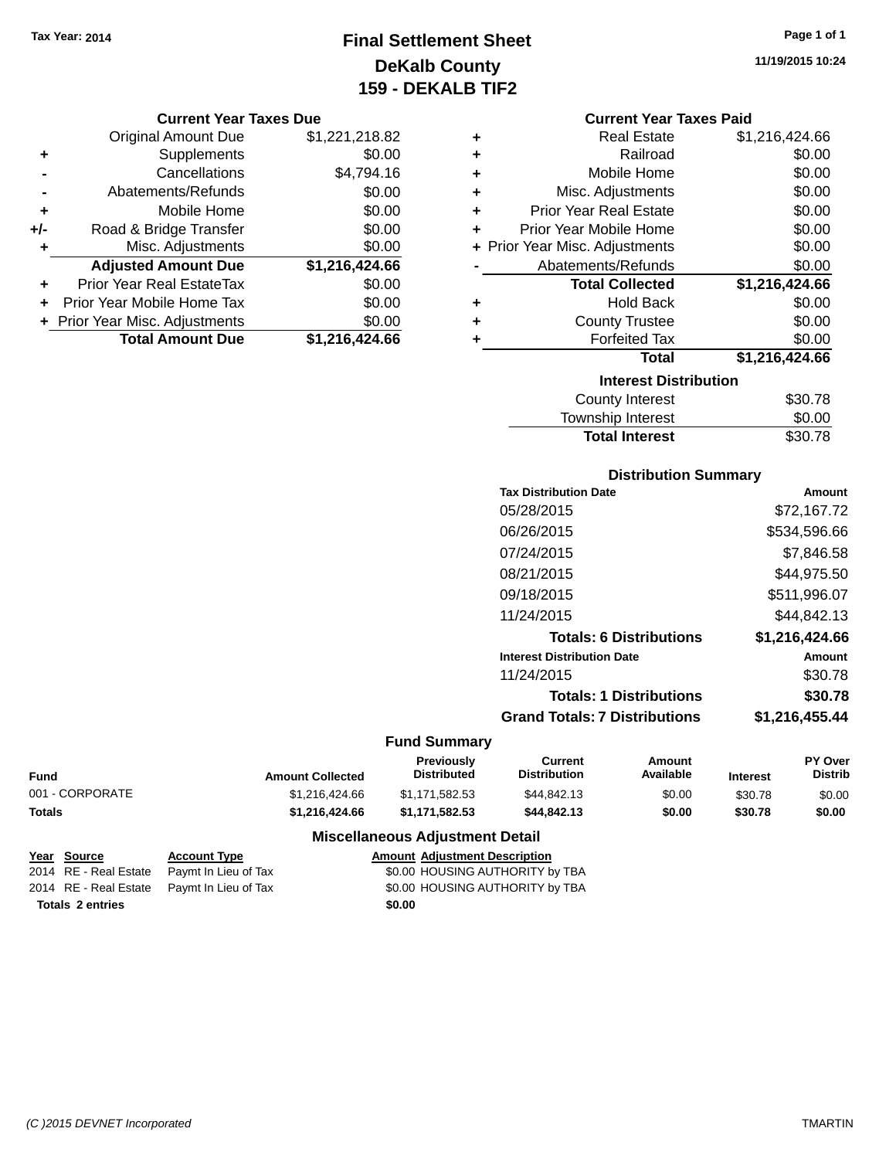# **Final Settlement Sheet Tax Year: 2014 Page 1 of 1 DeKalb County 159 - DEKALB TIF2**

### **Current Year Taxes Due**

|       | <b>Original Amount Due</b>     | \$1,221,218.82 |
|-------|--------------------------------|----------------|
| ٠     | Supplements                    | \$0.00         |
|       | Cancellations                  | \$4,794.16     |
|       | Abatements/Refunds             | \$0.00         |
| ٠     | Mobile Home                    | \$0.00         |
| $+/-$ | Road & Bridge Transfer         | \$0.00         |
| ٠     | Misc. Adjustments              | \$0.00         |
|       | <b>Adjusted Amount Due</b>     | \$1,216,424.66 |
|       | Prior Year Real EstateTax      | \$0.00         |
|       | Prior Year Mobile Home Tax     | \$0.00         |
|       | + Prior Year Misc. Adjustments | \$0.00         |
|       | <b>Total Amount Due</b>        | \$1,216,424.66 |

### **Current Year Taxes Paid**

| ٠ | <b>Real Estate</b>             | \$1,216,424.66 |
|---|--------------------------------|----------------|
| ٠ | Railroad                       | \$0.00         |
| ٠ | Mobile Home                    | \$0.00         |
| ٠ | Misc. Adjustments              | \$0.00         |
| ٠ | <b>Prior Year Real Estate</b>  | \$0.00         |
| ٠ | Prior Year Mobile Home         | \$0.00         |
|   | + Prior Year Misc. Adjustments | \$0.00         |
|   | Abatements/Refunds             | \$0.00         |
|   | <b>Total Collected</b>         | \$1,216,424.66 |
| ٠ | <b>Hold Back</b>               | \$0.00         |
| ÷ | <b>County Trustee</b>          | \$0.00         |
| ٠ | <b>Forfeited Tax</b>           | \$0.00         |
|   | <b>Total</b>                   | \$1,216,424.66 |
|   | <b>Interest Distribution</b>   |                |
|   |                                | \$30.78        |

| <b>Total Interest</b> | \$30.78 |
|-----------------------|---------|
| Township Interest     | \$0.00  |
| County Interest       | \$30.78 |

### **Distribution Summary**

| <b>Tax Distribution Date</b>         | Amount         |
|--------------------------------------|----------------|
| 05/28/2015                           | \$72,167.72    |
| 06/26/2015                           | \$534,596.66   |
| 07/24/2015                           | \$7.846.58     |
| 08/21/2015                           | \$44,975.50    |
| 09/18/2015                           | \$511,996.07   |
| 11/24/2015                           | \$44.842.13    |
| <b>Totals: 6 Distributions</b>       | \$1.216.424.66 |
| <b>Interest Distribution Date</b>    | Amount         |
| 11/24/2015                           | \$30.78        |
| <b>Totals: 1 Distributions</b>       | \$30.78        |
| <b>Grand Totals: 7 Distributions</b> | \$1,216,455.44 |
|                                      |                |

## **Fund Summary**

| Fund            | <b>Amount Collected</b> | Previously<br>Distributed | Current<br><b>Distribution</b> | Amount<br>Available | <b>Interest</b> | <b>PY Over</b><br>Distrib |
|-----------------|-------------------------|---------------------------|--------------------------------|---------------------|-----------------|---------------------------|
| 001 - CORPORATE | \$1.216.424.66          | \$1.171.582.53            | \$44.842.13                    | \$0.00              | \$30.78         | \$0.00                    |
| <b>Totals</b>   | \$1.216.424.66          | \$1.171.582.53            | \$44,842,13                    | \$0.00              | \$30.78         | \$0.00                    |

| Year Source             | <b>Account Type</b>                        | <b>Amount Adjustment Description</b> |  |
|-------------------------|--------------------------------------------|--------------------------------------|--|
| 2014 RE - Real Estate   | Paymt In Lieu of Tax                       | \$0.00 HOUSING AUTHORITY by TBA      |  |
|                         | 2014 RE - Real Estate Paymt In Lieu of Tax | \$0.00 HOUSING AUTHORITY by TBA      |  |
| <b>Totals 2 entries</b> |                                            | \$0.00                               |  |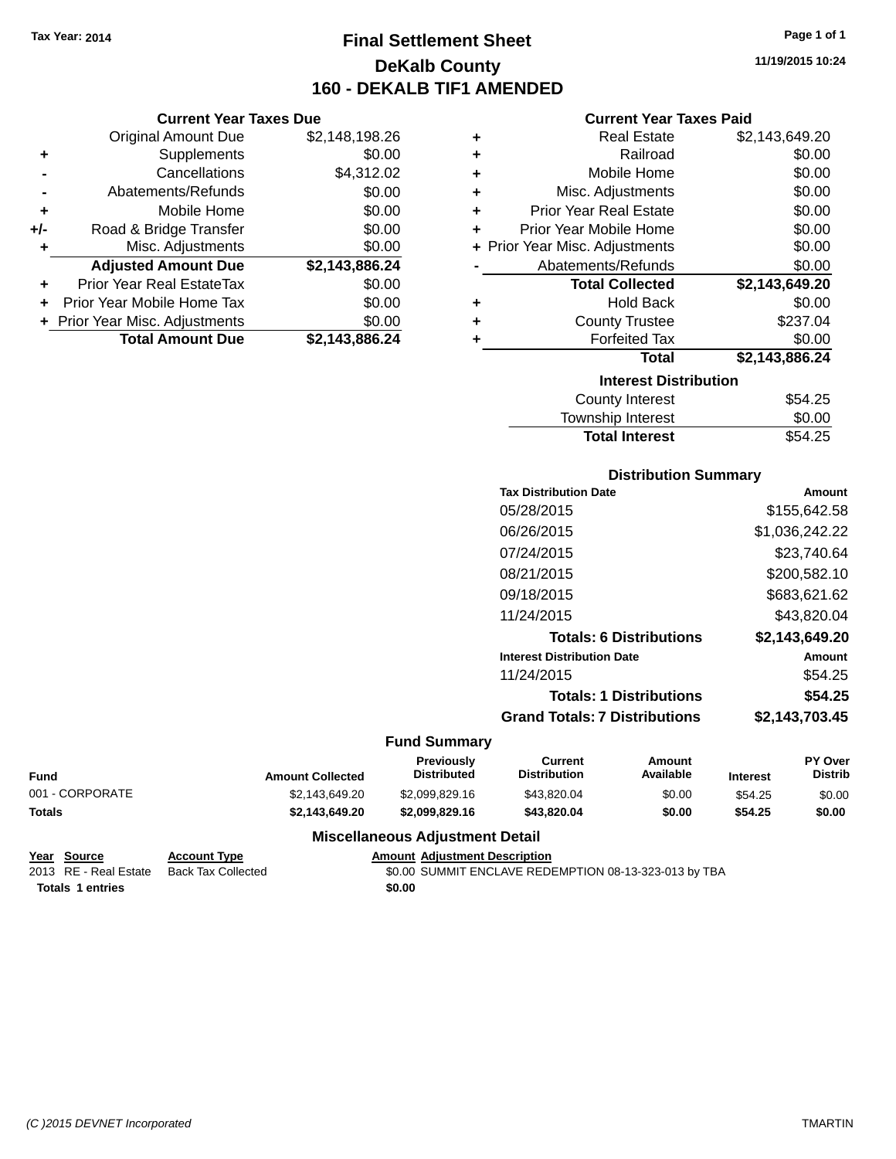**Current Year Taxes Due** Original Amount Due \$2,148,198.26

**Adjusted Amount Due \$2,143,886.24**

**Total Amount Due \$2,143,886.24**

**+** Supplements \$0.00 **-** Cancellations \$4,312.02 **-** Abatements/Refunds \$0.00 **+** Mobile Home \$0.00 **+/-** Road & Bridge Transfer \$0.00 **+** Misc. Adjustments \$0.00

**+** Prior Year Real EstateTax \$0.00 **+** Prior Year Mobile Home Tax \$0.00 **+ Prior Year Misc. Adjustments**  $$0.00$ 

# **Final Settlement Sheet Tax Year: 2014 Page 1 of 1 DeKalb County 160 - DEKALB TIF1 AMENDED**

**11/19/2015 10:24**

### **Current Year Taxes Paid**

| ٠ | <b>Real Estate</b>             | \$2,143,649.20 |
|---|--------------------------------|----------------|
| ٠ | Railroad                       | \$0.00         |
| ٠ | Mobile Home                    | \$0.00         |
| ÷ | Misc. Adjustments              | \$0.00         |
| ÷ | <b>Prior Year Real Estate</b>  | \$0.00         |
| ٠ | Prior Year Mobile Home         | \$0.00         |
|   | + Prior Year Misc. Adjustments | \$0.00         |
|   | Abatements/Refunds             | \$0.00         |
|   | <b>Total Collected</b>         | \$2,143,649.20 |
| ٠ | <b>Hold Back</b>               | \$0.00         |
| ٠ | <b>County Trustee</b>          | \$237.04       |
| ٠ | <b>Forfeited Tax</b>           | \$0.00         |
|   | <b>Total</b>                   | \$2,143,886.24 |
|   | <b>Interest Distribution</b>   |                |
|   | <b>County Interest</b>         | \$54.25        |
|   | <b>Township Interest</b>       | \$0.00         |

# Total Interest \$54.25

| <b>Distribution Summary</b>          |                |
|--------------------------------------|----------------|
| <b>Tax Distribution Date</b>         | Amount         |
| 05/28/2015                           | \$155,642.58   |
| 06/26/2015                           | \$1,036,242.22 |
| 07/24/2015                           | \$23,740.64    |
| 08/21/2015                           | \$200,582.10   |
| 09/18/2015                           | \$683,621.62   |
| 11/24/2015                           | \$43.820.04    |
| <b>Totals: 6 Distributions</b>       | \$2,143,649.20 |
| <b>Interest Distribution Date</b>    | Amount         |
| 11/24/2015                           | \$54.25        |
| <b>Totals: 1 Distributions</b>       | \$54.25        |
| <b>Grand Totals: 7 Distributions</b> | \$2,143,703.45 |

### **Fund Summary**

| <b>Fund</b>     | <b>Amount Collected</b> | Previously<br><b>Distributed</b> | Current<br><b>Distribution</b> | Amount<br>Available | Interest | <b>PY Over</b><br>Distrib |
|-----------------|-------------------------|----------------------------------|--------------------------------|---------------------|----------|---------------------------|
| 001 - CORPORATE | \$2.143.649.20          | \$2,099,829.16                   | \$43.820.04                    | \$0.00              | \$54.25  | \$0.00                    |
| <b>Totals</b>   | \$2.143.649.20          | \$2,099,829,16                   | \$43,820,04                    | \$0.00              | \$54.25  | \$0.00                    |

| Year Source             | <b>Account Type</b> | <b>Amount Adiustment Description</b>                  |
|-------------------------|---------------------|-------------------------------------------------------|
| 2013 RE - Real Estate   | Back Tax Collected  | \$0.00 SUMMIT ENCLAVE REDEMPTION 08-13-323-013 by TBA |
| <b>Totals 1 entries</b> |                     | \$0.00                                                |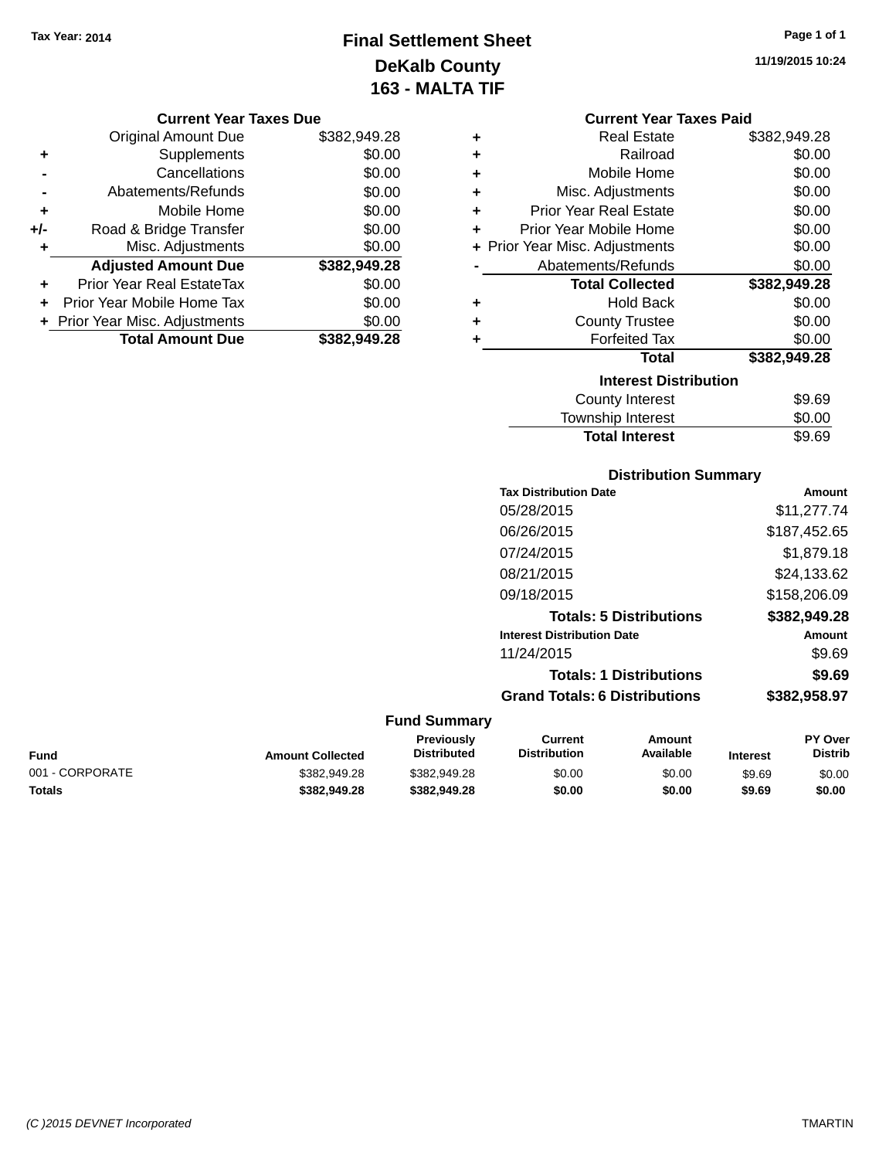# **Final Settlement Sheet Tax Year: 2014 Page 1 of 1 DeKalb County 163 - MALTA TIF**

**11/19/2015 10:24**

#### **Current Year Taxes Due**

|       | <b>Original Amount Due</b>       | \$382,949.28 |
|-------|----------------------------------|--------------|
| ٠     | Supplements                      | \$0.00       |
|       | Cancellations                    | \$0.00       |
|       | Abatements/Refunds               | \$0.00       |
| ٠     | Mobile Home                      | \$0.00       |
| $+/-$ | Road & Bridge Transfer           | \$0.00       |
| ٠     | Misc. Adjustments                | \$0.00       |
|       | <b>Adjusted Amount Due</b>       | \$382,949.28 |
| ÷     | <b>Prior Year Real EstateTax</b> | \$0.00       |
|       | Prior Year Mobile Home Tax       | \$0.00       |
|       | + Prior Year Misc. Adjustments   | \$0.00       |
|       | <b>Total Amount Due</b>          | \$382.949.28 |

| <b>Current Year Taxes Paid</b> |  |  |  |
|--------------------------------|--|--|--|
|--------------------------------|--|--|--|

| ٠ | <b>Real Estate</b>             | \$382,949.28 |
|---|--------------------------------|--------------|
| ÷ | Railroad                       | \$0.00       |
| ٠ | Mobile Home                    | \$0.00       |
| ٠ | Misc. Adjustments              | \$0.00       |
| ÷ | <b>Prior Year Real Estate</b>  | \$0.00       |
| ÷ | Prior Year Mobile Home         | \$0.00       |
|   | + Prior Year Misc. Adjustments | \$0.00       |
|   | Abatements/Refunds             | \$0.00       |
|   | <b>Total Collected</b>         | \$382,949.28 |
| ٠ | <b>Hold Back</b>               | \$0.00       |
| ÷ | <b>County Trustee</b>          | \$0.00       |
| ٠ | <b>Forfeited Tax</b>           | \$0.00       |
|   | <b>Total</b>                   | \$382,949.28 |
|   | <b>Interest Distribution</b>   |              |
|   | <b>County Interest</b>         | \$9.69       |
|   |                                |              |

# Township Interest \$0.00 Total Interest \$9.69

### **Distribution Summary**

| <b>Tax Distribution Date</b>         | Amount       |
|--------------------------------------|--------------|
| 05/28/2015                           | \$11,277.74  |
| 06/26/2015                           | \$187,452.65 |
| 07/24/2015                           | \$1,879.18   |
| 08/21/2015                           | \$24,133.62  |
| 09/18/2015                           | \$158,206.09 |
| <b>Totals: 5 Distributions</b>       | \$382,949.28 |
| <b>Interest Distribution Date</b>    | Amount       |
| 11/24/2015                           | \$9.69       |
| <b>Totals: 1 Distributions</b>       | \$9.69       |
| <b>Grand Totals: 6 Distributions</b> | \$382,958.97 |
|                                      |              |

|                 |                         | Previously         | Current             | Amount    |                 | <b>PY Over</b> |
|-----------------|-------------------------|--------------------|---------------------|-----------|-----------------|----------------|
| <b>Fund</b>     | <b>Amount Collected</b> | <b>Distributed</b> | <b>Distribution</b> | Available | <b>Interest</b> | Distrib        |
| 001 - CORPORATE | \$382,949.28            | \$382.949.28       | \$0.00              | \$0.00    | \$9.69          | \$0.00         |
| <b>Totals</b>   | \$382.949.28            | \$382.949.28       | \$0.00              | \$0.00    | \$9.69          | \$0.00         |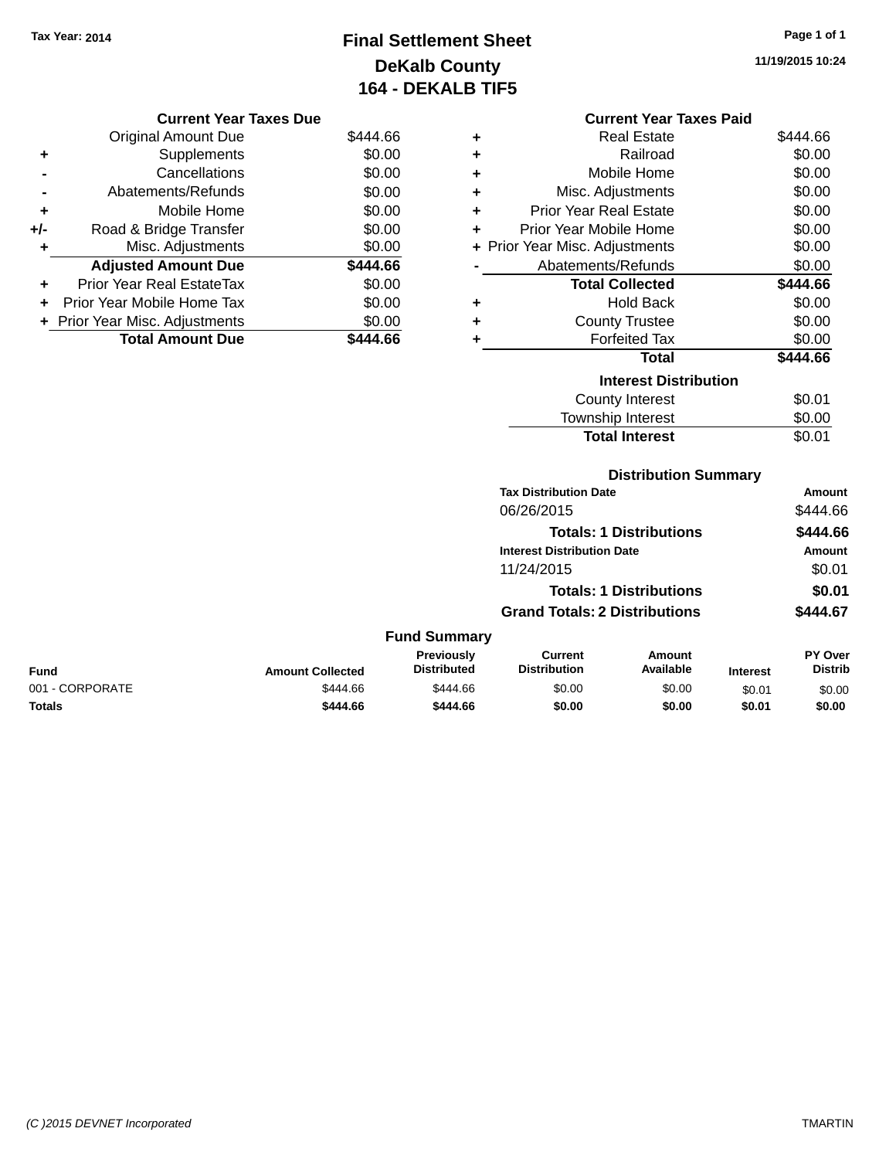# **Final Settlement Sheet Tax Year: 2014 Page 1 of 1 DeKalb County 164 - DEKALB TIF5**

**11/19/2015 10:24**

| <b>Current Year Taxes Due</b> |                                |          |  |
|-------------------------------|--------------------------------|----------|--|
|                               | <b>Original Amount Due</b>     | \$444.66 |  |
| ٠                             | Supplements                    | \$0.00   |  |
|                               | Cancellations                  | \$0.00   |  |
|                               | Abatements/Refunds             | \$0.00   |  |
| ٠                             | Mobile Home                    | \$0.00   |  |
| $+/-$                         | Road & Bridge Transfer         | \$0.00   |  |
| ٠                             | Misc. Adjustments              | \$0.00   |  |
|                               | <b>Adjusted Amount Due</b>     | \$444.66 |  |
| ÷                             | Prior Year Real EstateTax      | \$0.00   |  |
| ÷                             | Prior Year Mobile Home Tax     | \$0.00   |  |
|                               | + Prior Year Misc. Adjustments | \$0.00   |  |
|                               | <b>Total Amount Due</b>        | 444.66   |  |
|                               |                                |          |  |

|   | <b>Current Year Taxes Paid</b> |          |
|---|--------------------------------|----------|
| ٠ | <b>Real Estate</b>             | \$444.66 |
| ÷ | Railroad                       | \$0.00   |
| ٠ | Mobile Home                    | \$0.00   |
| ÷ | Misc. Adjustments              | \$0.00   |

| ٠ | Prior Year Real Estate         | \$0.00   |
|---|--------------------------------|----------|
| ٠ | Prior Year Mobile Home         | \$0.00   |
|   | + Prior Year Misc. Adjustments | \$0.00   |
|   | Abatements/Refunds             | \$0.00   |
|   | <b>Total Collected</b>         | \$444.66 |
| ÷ | Hold Back                      | \$0.00   |
| ÷ | <b>County Trustee</b>          | \$0.00   |
| ٠ | <b>Forfeited Tax</b>           | \$0.00   |
|   | <b>Total</b>                   | \$444.66 |
|   | <b>Interest Distribution</b>   |          |
|   | County Interest                | \$0.01   |
|   | <b>Township Interest</b>       | \$0.00   |
|   | <b>Total Interest</b>          | \$0.01   |

## **Distribution Summary Tax Distribution Date Amount** 06/26/2015 \$444.66 **Totals: 1 Distributions \$444.66 Interest Distribution Date Amount**

11/24/2015 \$0.01

**Totals: 1 Distributions \$0.01**

**Grand Totals: 2 Distributions \$444.67 Fund Summary Fund Interest Amount Collected Distributed PY Over Distrib Amount Available Current Distribution Previously** 001 - CORPORATE \$444.66 \$444.66 \$0.00 \$0.00 \$0.01 \$0.00 **Totals \$444.66 \$444.66 \$0.00 \$0.00 \$0.01 \$0.00**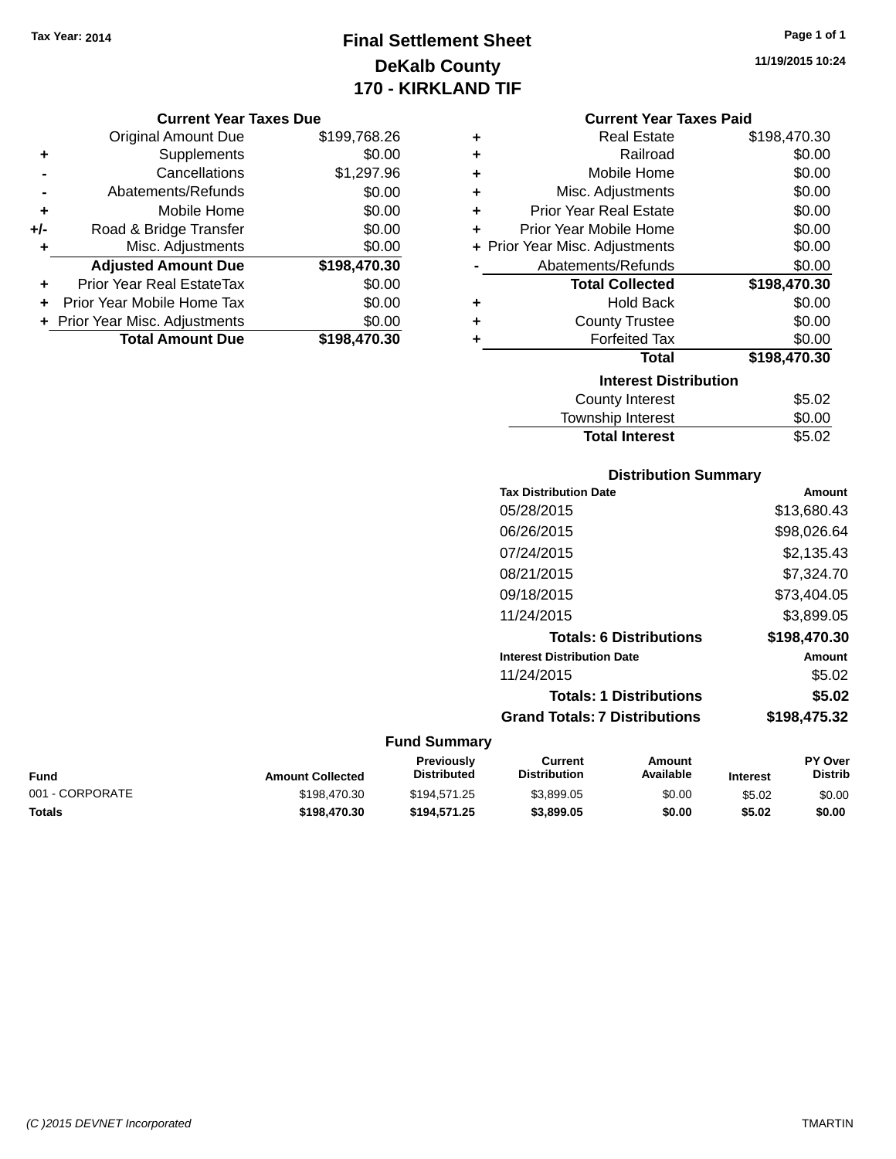# **Final Settlement Sheet Tax Year: 2014 Page 1 of 1 DeKalb County 170 - KIRKLAND TIF**

#### **Current Year Taxes Due**

|       | <b>Original Amount Due</b>       | \$199,768.26 |
|-------|----------------------------------|--------------|
| ٠     | Supplements                      | \$0.00       |
|       | Cancellations                    | \$1,297.96   |
|       | Abatements/Refunds               | \$0.00       |
| ٠     | Mobile Home                      | \$0.00       |
| $+/-$ | Road & Bridge Transfer           | \$0.00       |
| ٠     | Misc. Adjustments                | \$0.00       |
|       | <b>Adjusted Amount Due</b>       | \$198,470.30 |
| ٠     | <b>Prior Year Real EstateTax</b> | \$0.00       |
|       | Prior Year Mobile Home Tax       | \$0.00       |
|       | + Prior Year Misc. Adjustments   | \$0.00       |
|       | <b>Total Amount Due</b>          | \$198,470.30 |

**11/19/2015 10:24**

### **Current Year Taxes Paid**

| ٠ | <b>Real Estate</b>             | \$198,470.30 |
|---|--------------------------------|--------------|
| ÷ | Railroad                       | \$0.00       |
| ÷ | Mobile Home                    | \$0.00       |
| ٠ | Misc. Adjustments              | \$0.00       |
| ÷ | <b>Prior Year Real Estate</b>  | \$0.00       |
| ÷ | Prior Year Mobile Home         | \$0.00       |
|   | + Prior Year Misc. Adjustments | \$0.00       |
|   | Abatements/Refunds             | \$0.00       |
|   |                                |              |
|   | <b>Total Collected</b>         | \$198,470.30 |
| ٠ | <b>Hold Back</b>               | \$0.00       |
| ٠ | <b>County Trustee</b>          | \$0.00       |
| ٠ | <b>Forfeited Tax</b>           | \$0.00       |
|   | <b>Total</b>                   | \$198,470.30 |
|   | <b>Interest Distribution</b>   |              |
|   | County Interest                | \$5.02       |

# **Distribution Summary** Total Interest \$5.02

| <b>Tax Distribution Date</b>         | Amount       |
|--------------------------------------|--------------|
| 05/28/2015                           | \$13,680.43  |
| 06/26/2015                           | \$98,026.64  |
| 07/24/2015                           | \$2,135.43   |
| 08/21/2015                           | \$7,324.70   |
| 09/18/2015                           | \$73.404.05  |
| 11/24/2015                           | \$3,899.05   |
| <b>Totals: 6 Distributions</b>       | \$198,470.30 |
| <b>Interest Distribution Date</b>    | Amount       |
| 11/24/2015                           | \$5.02       |
| <b>Totals: 1 Distributions</b>       | \$5.02       |
| <b>Grand Totals: 7 Distributions</b> | \$198,475.32 |
|                                      |              |

| Fund            | <b>Amount Collected</b> | Previously<br>Distributed | Current<br><b>Distribution</b> | Amount<br>Available | <b>Interest</b> | <b>PY Over</b><br><b>Distrib</b> |
|-----------------|-------------------------|---------------------------|--------------------------------|---------------------|-----------------|----------------------------------|
| 001 - CORPORATE | \$198,470.30            | \$194.571.25              | \$3,899.05                     | \$0.00              | \$5.02          | \$0.00                           |
| Totals          | \$198.470.30            | \$194.571.25              | \$3,899.05                     | \$0.00              | \$5.02          | \$0.00                           |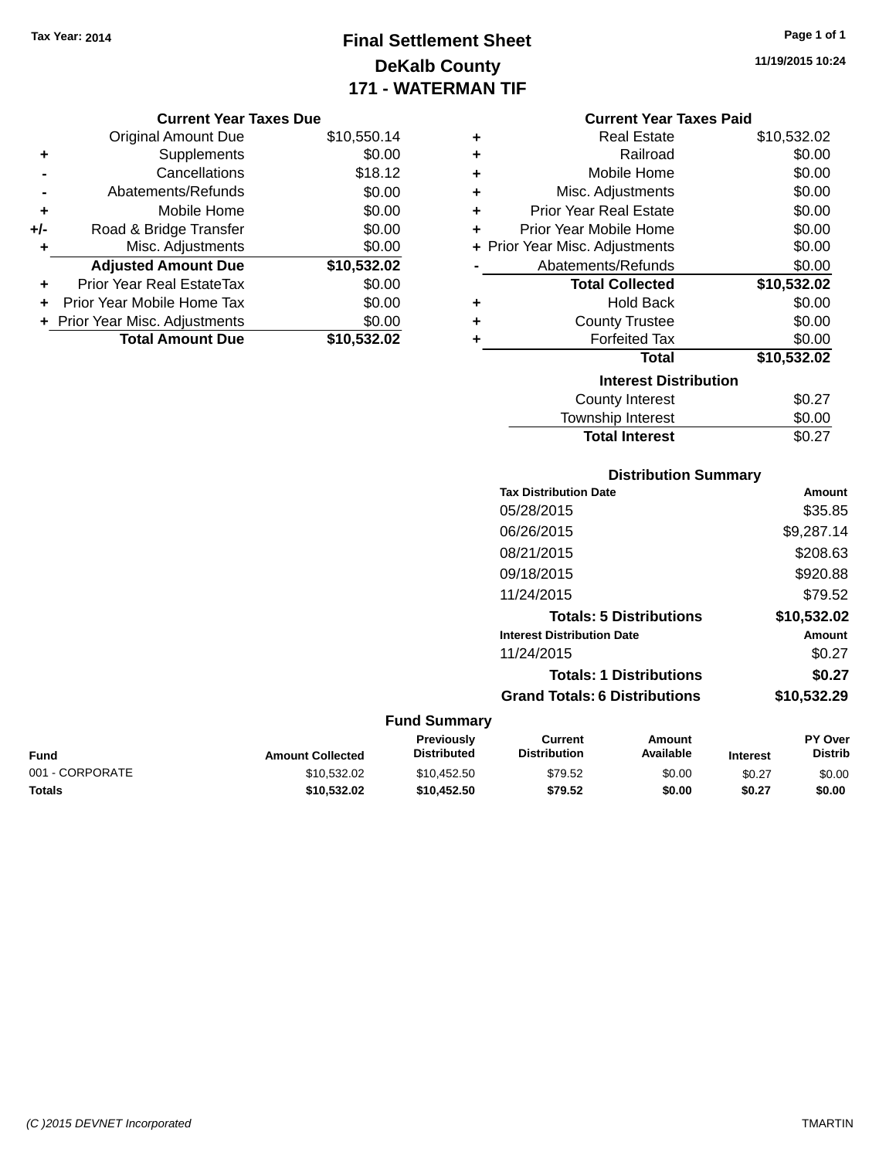# **Final Settlement Sheet Tax Year: 2014 Page 1 of 1 DeKalb County 171 - WATERMAN TIF**

**11/19/2015 10:24**

### **Current Year Taxes Paid**

|     | <b>Current Year Taxes Due</b>  |             |  |  |  |
|-----|--------------------------------|-------------|--|--|--|
|     | <b>Original Amount Due</b>     | \$10,550.14 |  |  |  |
| ٠   | Supplements                    | \$0.00      |  |  |  |
|     | Cancellations                  | \$18.12     |  |  |  |
|     | Abatements/Refunds             | \$0.00      |  |  |  |
| ٠   | Mobile Home                    | \$0.00      |  |  |  |
| +/- | Road & Bridge Transfer         | \$0.00      |  |  |  |
| ٠   | Misc. Adjustments              | \$0.00      |  |  |  |
|     | <b>Adjusted Amount Due</b>     | \$10,532.02 |  |  |  |
| ٠   | Prior Year Real EstateTax      | \$0.00      |  |  |  |
| ÷   | Prior Year Mobile Home Tax     | \$0.00      |  |  |  |
|     | + Prior Year Misc. Adjustments | \$0.00      |  |  |  |
|     | <b>Total Amount Due</b>        | \$10.532.02 |  |  |  |

| ٠ | <b>Real Estate</b>             | \$10,532.02 |
|---|--------------------------------|-------------|
| ٠ | Railroad                       | \$0.00      |
| ٠ | Mobile Home                    | \$0.00      |
| ٠ | Misc. Adjustments              | \$0.00      |
| ٠ | <b>Prior Year Real Estate</b>  | \$0.00      |
| ٠ | Prior Year Mobile Home         | \$0.00      |
|   | + Prior Year Misc. Adjustments | \$0.00      |
|   | Abatements/Refunds             | \$0.00      |
|   | <b>Total Collected</b>         | \$10,532.02 |
| ٠ | Hold Back                      | \$0.00      |
| ٠ | <b>County Trustee</b>          | \$0.00      |
| ٠ | <b>Forfeited Tax</b>           | \$0.00      |
|   | <b>Total</b>                   | \$10,532.02 |
|   | <b>Interest Distribution</b>   |             |
|   | <b>County Interest</b>         | \$0.27      |
|   | <b>Township Interest</b>       | \$0.00      |
|   | <b>Total Interest</b>          | \$0.27      |

#### **Distribution Summary Tax Distribution Date Bets**<br>Tax Distribution Date

| Tax Distribution Date                | Amount        |
|--------------------------------------|---------------|
| 05/28/2015                           | \$35.85       |
| 06/26/2015                           | \$9,287.14    |
| 08/21/2015                           | \$208.63      |
| 09/18/2015                           | \$920.88      |
| 11/24/2015                           | \$79.52       |
| <b>Totals: 5 Distributions</b>       | \$10,532.02   |
| <b>Interest Distribution Date</b>    | <b>Amount</b> |
| 11/24/2015                           | \$0.27        |
| <b>Totals: 1 Distributions</b>       | \$0.27        |
| <b>Grand Totals: 6 Distributions</b> | \$10,532.29   |

| <b>Fund</b>     | <b>Amount Collected</b> | <b>Previously</b><br><b>Distributed</b> | Current<br><b>Distribution</b> | Amount<br>Available | <b>Interest</b> | PY Over<br>Distrib |
|-----------------|-------------------------|-----------------------------------------|--------------------------------|---------------------|-----------------|--------------------|
| 001 - CORPORATE | \$10.532.02             | \$10.452.50                             | \$79.52                        | \$0.00              | \$0.27          | \$0.00             |
| <b>Totals</b>   | \$10.532.02             | \$10.452.50                             | \$79.52                        | \$0.00              | \$0.27          | \$0.00             |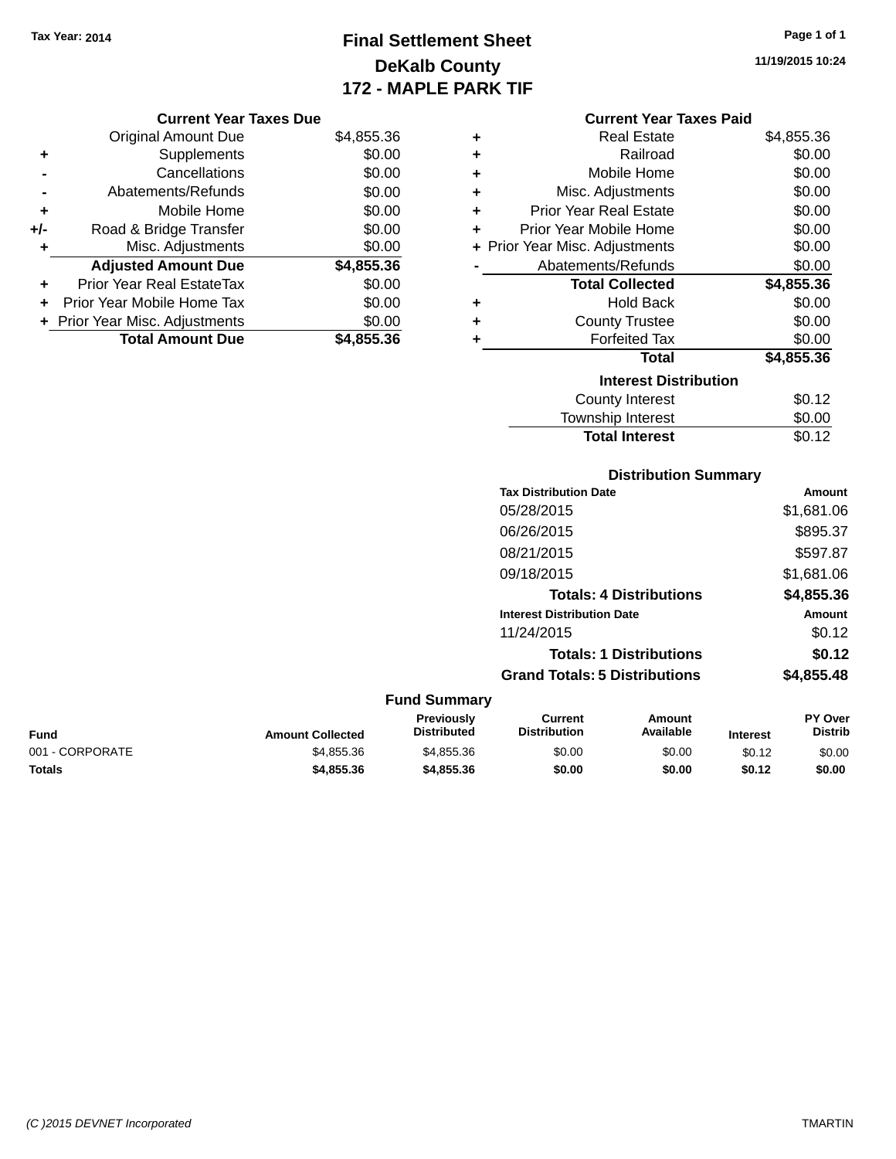**Current Year Taxes Due** Original Amount Due \$4,855.36

**Adjusted Amount Due \$4,855.36**

**Total Amount Due \$4,855.36**

**+** Supplements \$0.00 **-** Cancellations \$0.00 **-** Abatements/Refunds \$0.00 **+** Mobile Home \$0.00 **+/-** Road & Bridge Transfer \$0.00 **+** Misc. Adjustments \$0.00

**+** Prior Year Real EstateTax \$0.00 **+** Prior Year Mobile Home Tax \$0.00 **+** Prior Year Misc. Adjustments  $$0.00$ 

# **Final Settlement Sheet Tax Year: 2014 Page 1 of 1 DeKalb County 172 - MAPLE PARK TIF**

**11/19/2015 10:24**

#### **Current Year Taxes Paid**

| ÷ | <b>Real Estate</b>             | \$4,855.36 |
|---|--------------------------------|------------|
| ٠ | Railroad                       | \$0.00     |
| ٠ | Mobile Home                    | \$0.00     |
| ٠ | Misc. Adjustments              | \$0.00     |
| ÷ | Prior Year Real Estate         | \$0.00     |
| ٠ | Prior Year Mobile Home         | \$0.00     |
|   | + Prior Year Misc. Adjustments | \$0.00     |
|   | Abatements/Refunds             | \$0.00     |
|   | <b>Total Collected</b>         | \$4,855.36 |
| ÷ | Hold Back                      | \$0.00     |
| ÷ | <b>County Trustee</b>          | \$0.00     |
| ÷ | <b>Forfeited Tax</b>           | \$0.00     |
|   | Total                          | \$4,855.36 |
|   | <b>Interest Distribution</b>   |            |
|   | County Interest                | \$0.12     |
|   | <b>Township Interest</b>       | \$0.00     |

# **Distribution Summary Tax Distribution Date Amount** 05/28/2015 \$1,681.06 06/26/2015 \$895.37 08/21/2015 \$597.87 09/18/2015 \$1,681.06 **Totals: 4 Distributions \$4,855.36 Interest Distribution Date Amount** 11/24/2015 \$0.12 **Totals: 1 Distributions \$0.12 Grand Totals: 5 Distributions \$4,855.48 Fund Summary Total Interest** \$0.12

| Fund            | <b>Amount Collected</b> | <b>Previously</b><br><b>Distributed</b> | Current<br><b>Distribution</b> | Amount<br>Available | <b>Interest</b> | <b>PY Over</b><br><b>Distrib</b> |
|-----------------|-------------------------|-----------------------------------------|--------------------------------|---------------------|-----------------|----------------------------------|
| 001 - CORPORATE | \$4,855,36              | \$4,855.36                              | \$0.00                         | \$0.00              | \$0.12          | \$0.00                           |
| <b>Totals</b>   | \$4,855,36              | \$4,855,36                              | \$0.00                         | \$0.00              | \$0.12          | \$0.00                           |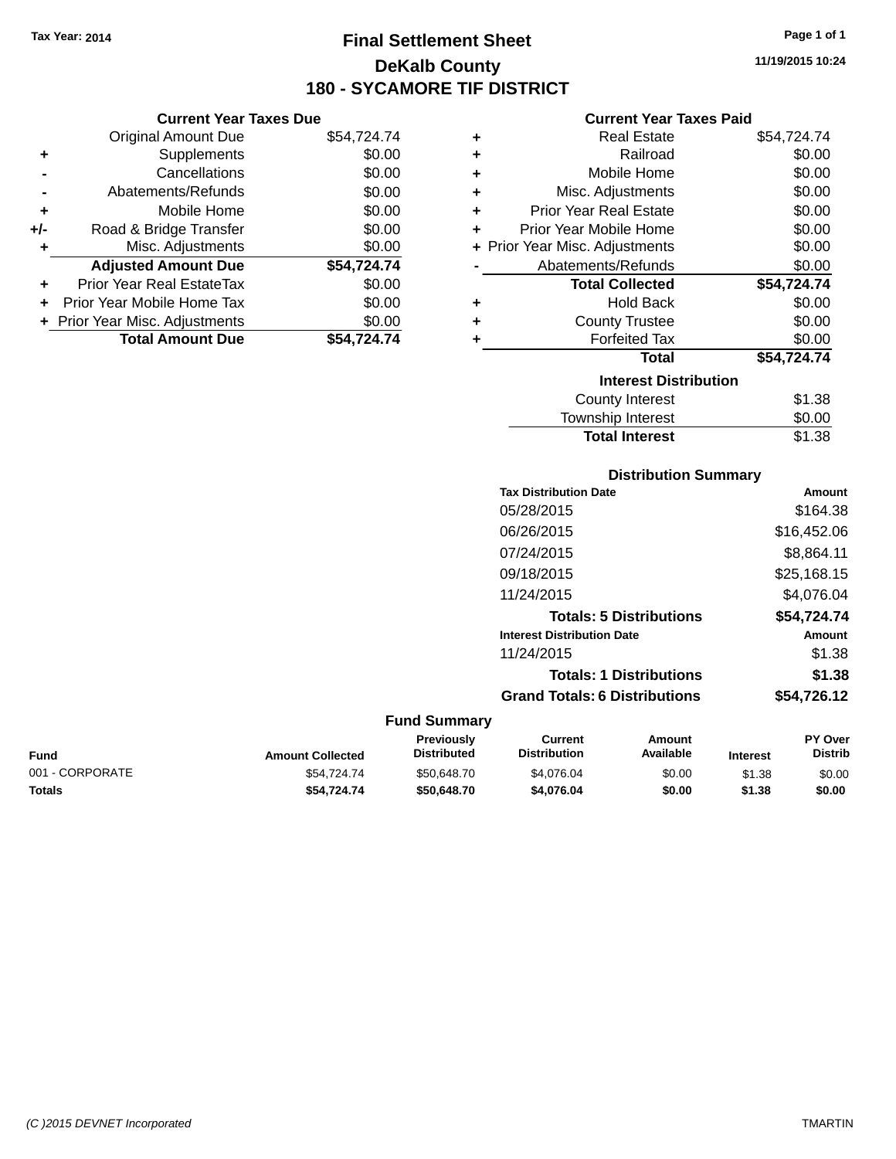**Current Year Taxes Due** Original Amount Due \$54,724.74

**Adjusted Amount Due \$54,724.74**

**Total Amount Due \$54,724.74**

**+** Supplements \$0.00 **-** Cancellations \$0.00 **-** Abatements/Refunds \$0.00 **+** Mobile Home \$0.00 **+/-** Road & Bridge Transfer \$0.00 **+** Misc. Adjustments \$0.00

**+** Prior Year Real EstateTax \$0.00 **+** Prior Year Mobile Home Tax \$0.00 **+ Prior Year Misc. Adjustments**  $$0.00$ 

# **Final Settlement Sheet Tax Year: 2014 Page 1 of 1 DeKalb County 180 - SYCAMORE TIF DISTRICT**

**11/19/2015 10:24**

### **Current Year Taxes Paid**

| ٠ | <b>Real Estate</b>             | \$54,724.74 |
|---|--------------------------------|-------------|
| ٠ | Railroad                       | \$0.00      |
| ٠ | Mobile Home                    | \$0.00      |
| ٠ | Misc. Adjustments              | \$0.00      |
| ٠ | <b>Prior Year Real Estate</b>  | \$0.00      |
| ٠ | Prior Year Mobile Home         | \$0.00      |
|   | + Prior Year Misc. Adjustments | \$0.00      |
|   | Abatements/Refunds             | \$0.00      |
|   | <b>Total Collected</b>         | \$54,724.74 |
| ٠ | <b>Hold Back</b>               | \$0.00      |
| ٠ | <b>County Trustee</b>          | \$0.00      |
| ٠ | <b>Forfeited Tax</b>           | \$0.00      |
|   | <b>Total</b>                   | \$54,724.74 |
|   | <b>Interest Distribution</b>   |             |
|   | <b>County Interest</b>         | \$1.38      |
|   | <b>Township Interest</b>       | \$0.00      |
|   | <b>Total Interest</b>          | \$1.38      |

|                 |                         |                                  | <b>Distribution Summary</b>           |                                |                 |                           |
|-----------------|-------------------------|----------------------------------|---------------------------------------|--------------------------------|-----------------|---------------------------|
|                 |                         |                                  | <b>Tax Distribution Date</b>          |                                |                 | Amount                    |
|                 |                         |                                  | 05/28/2015                            |                                |                 | \$164.38                  |
|                 |                         |                                  | 06/26/2015                            |                                |                 | \$16,452.06               |
|                 |                         |                                  | 07/24/2015                            |                                |                 | \$8,864.11                |
|                 |                         |                                  | 09/18/2015                            |                                |                 | \$25,168.15               |
|                 |                         |                                  | 11/24/2015                            |                                |                 | \$4,076.04                |
|                 |                         |                                  |                                       | <b>Totals: 5 Distributions</b> |                 | \$54,724.74               |
|                 |                         |                                  | <b>Interest Distribution Date</b>     |                                |                 | Amount                    |
|                 |                         |                                  | 11/24/2015                            |                                |                 | \$1.38                    |
|                 |                         |                                  |                                       | <b>Totals: 1 Distributions</b> |                 | \$1.38                    |
|                 |                         |                                  | <b>Grand Totals: 6 Distributions</b>  |                                |                 | \$54,726.12               |
|                 |                         | <b>Fund Summary</b>              |                                       |                                |                 |                           |
| <b>Fund</b>     | <b>Amount Collected</b> | Previously<br><b>Distributed</b> | <b>Current</b><br><b>Distribution</b> | <b>Amount</b><br>Available     | <b>Interest</b> | PY Over<br><b>Distrib</b> |
| 001 - CORPORATE | \$54,724.74             | \$50,648.70                      | \$4,076.04                            | \$0.00                         | \$1.38          | \$0.00                    |

**Totals \$54,724.74 \$50,648.70 \$4,076.04 \$0.00 \$1.38 \$0.00**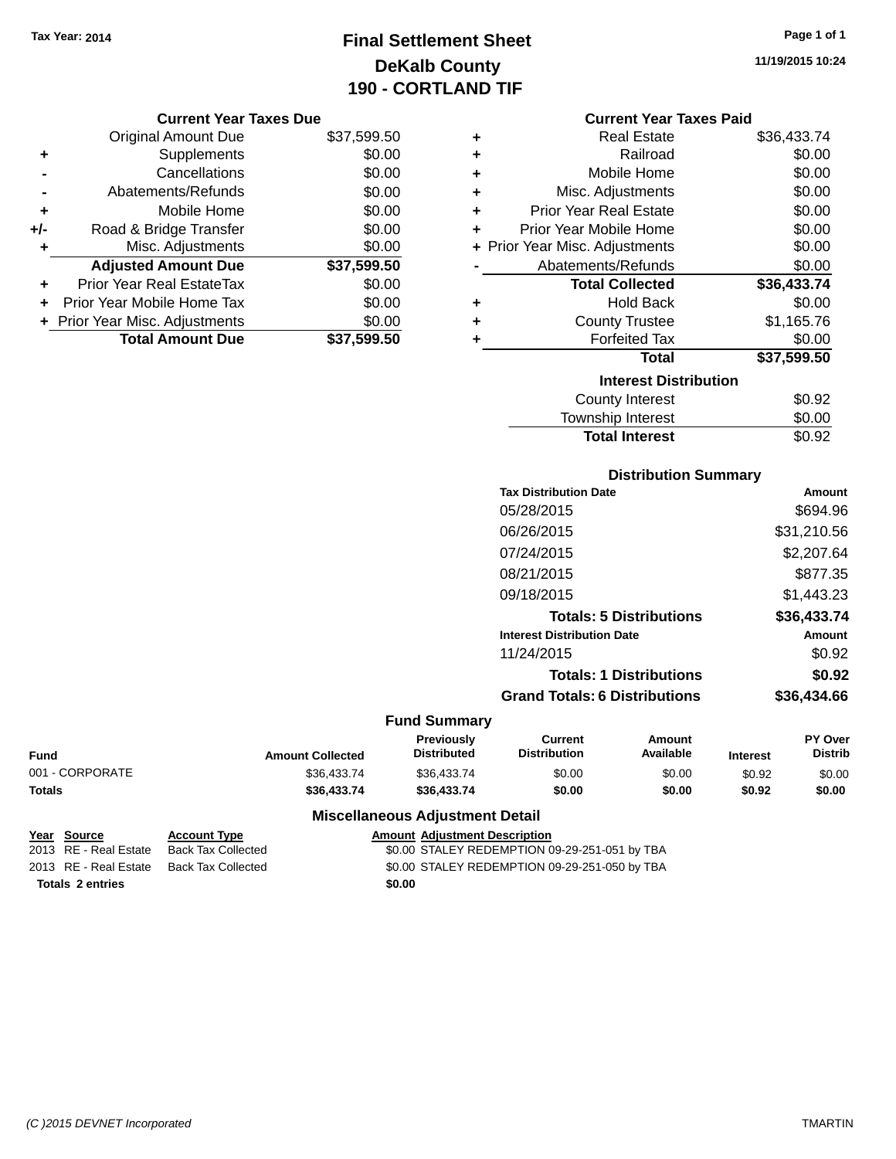# **Final Settlement Sheet Tax Year: 2014 Page 1 of 1 DeKalb County 190 - CORTLAND TIF**

### **11/19/2015 10:24**

| <b>Current Year Taxes Due</b> |  |  |  |
|-------------------------------|--|--|--|
|-------------------------------|--|--|--|

|       | <b>Original Amount Due</b>       | \$37,599.50 |
|-------|----------------------------------|-------------|
| ٠     | Supplements                      | \$0.00      |
|       | Cancellations                    | \$0.00      |
|       | Abatements/Refunds               | \$0.00      |
| ÷     | Mobile Home                      | \$0.00      |
| $+/-$ | Road & Bridge Transfer           | \$0.00      |
| ٠     | Misc. Adjustments                | \$0.00      |
|       | <b>Adjusted Amount Due</b>       | \$37,599.50 |
|       | <b>Prior Year Real EstateTax</b> | \$0.00      |
|       | Prior Year Mobile Home Tax       | \$0.00      |
|       | + Prior Year Misc. Adjustments   | \$0.00      |
|       | <b>Total Amount Due</b>          | \$37.599.50 |

| <b>Current Year Taxes Paid</b> |             |
|--------------------------------|-------------|
| Real Estate                    | \$36,433.74 |

| T | ngal Lolal <del>c</del>        | 000.TUU.IT  |
|---|--------------------------------|-------------|
| ÷ | Railroad                       | \$0.00      |
| ÷ | Mobile Home                    | \$0.00      |
| ÷ | Misc. Adjustments              | \$0.00      |
| ÷ | <b>Prior Year Real Estate</b>  | \$0.00      |
| ٠ | Prior Year Mobile Home         | \$0.00      |
|   | + Prior Year Misc. Adjustments | \$0.00      |
|   | Abatements/Refunds             | \$0.00      |
|   | <b>Total Collected</b>         | \$36,433.74 |
| ٠ | <b>Hold Back</b>               | \$0.00      |
| ÷ | <b>County Trustee</b>          | \$1,165.76  |
|   | <b>Forfeited Tax</b>           | \$0.00      |
|   | <b>Total</b>                   | \$37,599.50 |
|   | <b>Interest Distribution</b>   |             |
|   | <b>County Interest</b>         | \$0.92      |
|   | Township Interest              | \$0.00      |
|   | <b>Total Interest</b>          | \$0.92      |

## **Distribution Summary Tax Distribution Date Amount** 05/28/2015 \$694.96 06/26/2015 \$31,210.56 07/24/2015 \$2,207.64 08/21/2015 \$877.35 09/18/2015 \$1,443.23 **Totals: 5 Distributions \$36,433.74 Interest Distribution Date Amount** 11/24/2015 \$0.92 **Totals: 1 Distributions \$0.92**

# **Grand Totals: 6 Distributions \$36,434.66**

### **Fund Summary**

| Fund            | <b>Amount Collected</b> | Previously<br><b>Distributed</b> | Current<br><b>Distribution</b> | Amount<br>Available | <b>Interest</b> | <b>PY Over</b><br><b>Distrib</b> |
|-----------------|-------------------------|----------------------------------|--------------------------------|---------------------|-----------------|----------------------------------|
| 001 - CORPORATE | \$36.433.74             | \$36.433.74                      | \$0.00                         | \$0.00              | \$0.92          | \$0.00                           |
| Totals          | \$36.433.74             | \$36.433.74                      | \$0.00                         | \$0.00              | \$0.92          | \$0.00                           |

### **Miscellaneous Adjustment Detail**

### **Year** Source **Account Type Account Adjustment Description**

2013 RE - Real Estate Back Tax Collected \$0.00 STALEY REDEMPTION 09-29-251-051 by TBA 2013 RE - Real Estate Back Tax Collected \$0.00 STALEY REDEMPTION 09-29-251-050 by TBA

**Totals \$0.00 2 entries**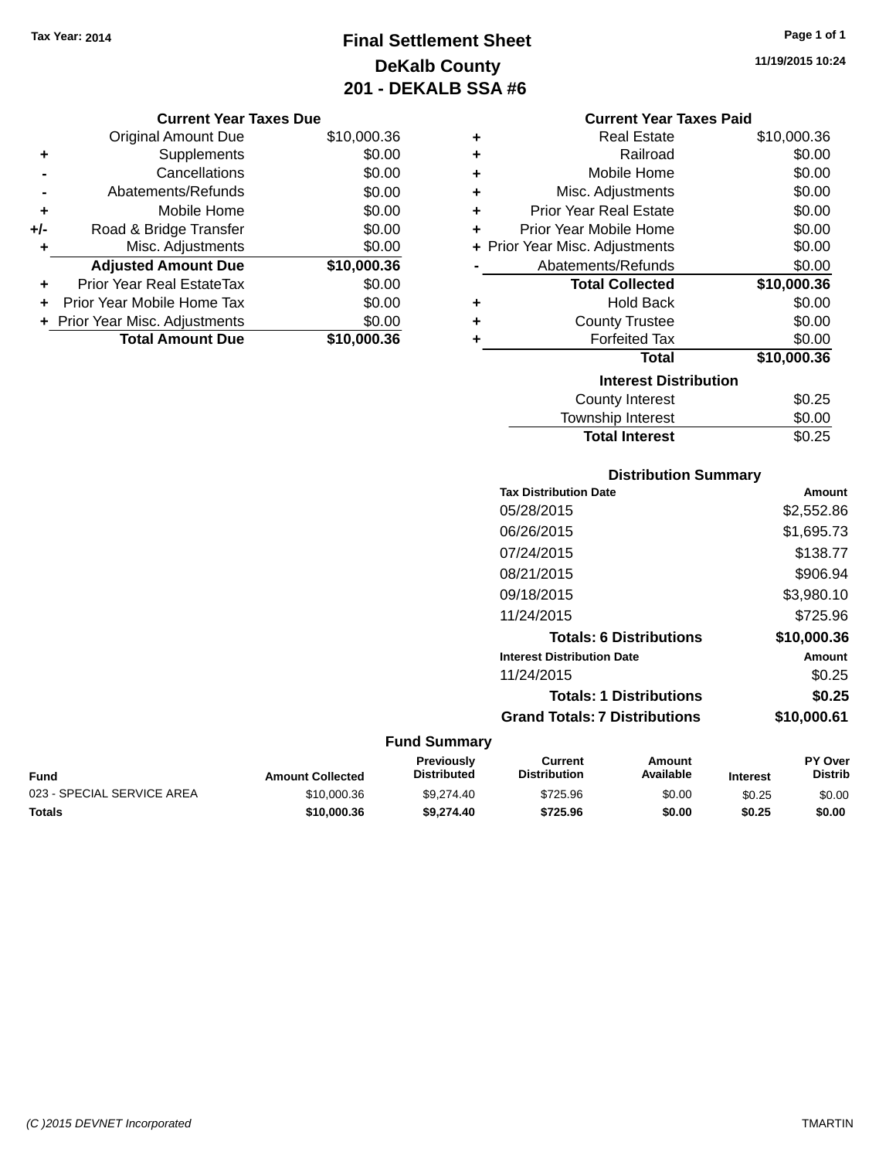# **Final Settlement Sheet Tax Year: 2014 Page 1 of 1 DeKalb County 201 - DEKALB SSA #6**

### **11/19/2015 10:24**

|                              | <b>Current Year Taxes Paid</b> |             |  |  |  |
|------------------------------|--------------------------------|-------------|--|--|--|
| ٠                            | <b>Real Estate</b>             | \$10,000.36 |  |  |  |
| ٠                            | Railroad                       | \$0.00      |  |  |  |
| ÷                            | Mobile Home                    | \$0.00      |  |  |  |
| ÷                            | Misc. Adjustments              | \$0.00      |  |  |  |
| ÷                            | <b>Prior Year Real Estate</b>  | \$0.00      |  |  |  |
| ÷                            | Prior Year Mobile Home         | \$0.00      |  |  |  |
|                              | + Prior Year Misc. Adjustments | \$0.00      |  |  |  |
|                              | Abatements/Refunds             | \$0.00      |  |  |  |
|                              | <b>Total Collected</b>         | \$10,000.36 |  |  |  |
| ٠                            | <b>Hold Back</b>               | \$0.00      |  |  |  |
| ٠                            | <b>County Trustee</b>          | \$0.00      |  |  |  |
| ٠                            | <b>Forfeited Tax</b>           | \$0.00      |  |  |  |
|                              | <b>Total</b>                   | \$10,000.36 |  |  |  |
| <b>Interest Distribution</b> |                                |             |  |  |  |
|                              | <b>County Interest</b>         | \$0.25      |  |  |  |
|                              | <b>Township Interest</b>       | \$0.00      |  |  |  |
|                              | <b>Total Interest</b>          | \$0.25      |  |  |  |

### **Distribution Summary Tax Distribution Date Amount** 05/28/2015 \$2,552.86 06/26/2015 \$1,695.73 07/24/2015 \$138.77 08/21/2015 \$906.94

| 09/18/2015                           | \$3,980.10  |
|--------------------------------------|-------------|
| 11/24/2015                           | \$725.96    |
| <b>Totals: 6 Distributions</b>       | \$10,000.36 |
| <b>Interest Distribution Date</b>    | Amount      |
| 11/24/2015                           | \$0.25      |
| <b>Totals: 1 Distributions</b>       | \$0.25      |
| <b>Grand Totals: 7 Distributions</b> | \$10,000.61 |

### **Fund Summary**

| Fund                       | <b>Amount Collected</b> | <b>Previously</b><br><b>Distributed</b> | Current<br><b>Distribution</b> | Amount<br>Available | <b>Interest</b> | <b>PY Over</b><br><b>Distrib</b> |
|----------------------------|-------------------------|-----------------------------------------|--------------------------------|---------------------|-----------------|----------------------------------|
| 023 - SPECIAL SERVICE AREA | \$10,000.36             | \$9.274.40                              | \$725.96                       | \$0.00              | \$0.25          | \$0.00                           |
| Totals                     | \$10,000,36             | \$9.274.40                              | \$725.96                       | \$0.00              | \$0.25          | \$0.00                           |

#### **Current Year Taxes Due** Original Amount Due \$10,000.36

|     | <b>Total Amount Due</b>          | \$10,000.36      |
|-----|----------------------------------|------------------|
|     | + Prior Year Misc. Adjustments   | \$0.00           |
| ٠   | Prior Year Mobile Home Tax       | \$0.00           |
| ÷   | <b>Prior Year Real EstateTax</b> | \$0.00           |
|     | <b>Adjusted Amount Due</b>       | \$10,000.36      |
| ٠   | Misc. Adjustments                | \$0.00           |
| +/- | Road & Bridge Transfer           | \$0.00           |
| ٠   | Mobile Home                      | \$0.00           |
|     | Abatements/Refunds               | \$0.00           |
|     | Cancellations                    | \$0.00           |
| ٠   | Supplements                      | \$0.00           |
|     | Oliginal Alliount Due            | <b>JU,UUU.JU</b> |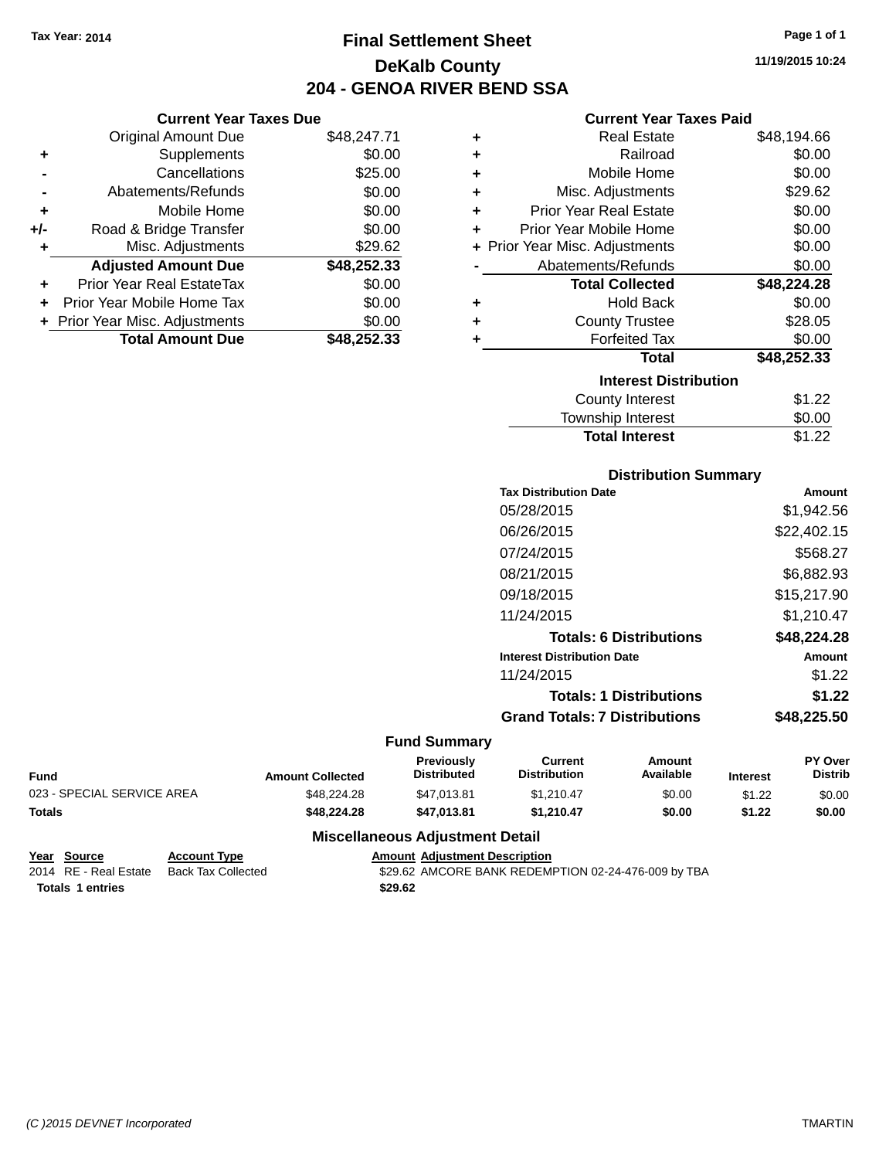**Current Year Taxes Due** Original Amount Due \$48,247.71

**Adjusted Amount Due \$48,252.33**

**Total Amount Due \$48,252.33**

**+** Supplements \$0.00 **-** Cancellations \$25.00 **-** Abatements/Refunds \$0.00 **+** Mobile Home \$0.00 **+/-** Road & Bridge Transfer \$0.00 **+** Misc. Adjustments \$29.62

**+** Prior Year Real EstateTax \$0.00 **+** Prior Year Mobile Home Tax \$0.00 **+ Prior Year Misc. Adjustments**  $$0.00$ 

# **Final Settlement Sheet Tax Year: 2014 Page 1 of 1 DeKalb County 204 - GENOA RIVER BEND SSA**

**11/19/2015 10:24**

### **Current Year Taxes Paid**

| \$48,194.66 |
|-------------|
| \$0.00      |
| \$0.00      |
| \$29.62     |
| \$0.00      |
| \$0.00      |
| \$0.00      |
| \$0.00      |
| \$48,224.28 |
| \$0.00      |
| \$28.05     |
| \$0.00      |
| \$48,252.33 |
|             |
|             |
| \$1.22      |
|             |

| <b>Total Interest</b>  | \$1.22 |
|------------------------|--------|
| Township Interest      | \$0.00 |
| <b>OVAIRY INVICTOR</b> | ے۔ اس  |

### **Distribution Summary**

| <b>Tax Distribution Date</b>         | Amount      |
|--------------------------------------|-------------|
| 05/28/2015                           | \$1,942.56  |
| 06/26/2015                           | \$22,402.15 |
| 07/24/2015                           | \$568.27    |
| 08/21/2015                           | \$6,882.93  |
| 09/18/2015                           | \$15,217.90 |
| 11/24/2015                           | \$1,210.47  |
| <b>Totals: 6 Distributions</b>       | \$48,224.28 |
| <b>Interest Distribution Date</b>    | Amount      |
| 11/24/2015                           | \$1.22      |
| <b>Totals: 1 Distributions</b>       | \$1.22      |
| <b>Grand Totals: 7 Distributions</b> | \$48,225.50 |
|                                      |             |

### **Fund Summary**

| <b>Fund</b>                | <b>Amount Collected</b> | <b>Previously</b><br><b>Distributed</b> | Current<br><b>Distribution</b> | Amount<br>Available | <b>Interest</b> | <b>PY Over</b><br>Distrib |
|----------------------------|-------------------------|-----------------------------------------|--------------------------------|---------------------|-----------------|---------------------------|
| 023 - SPECIAL SERVICE AREA | \$48,224,28             | \$47.013.81                             | \$1.210.47                     | \$0.00              | \$1.22          | \$0.00                    |
| <b>Totals</b>              | \$48.224.28             | \$47.013.81                             | \$1.210.47                     | \$0.00              | \$1.22          | \$0.00                    |

| Year Source             | <b>Account Type</b> | <b>Amount Adiustment Description</b>                |
|-------------------------|---------------------|-----------------------------------------------------|
| 2014 RE - Real Estate   | Back Tax Collected  | \$29.62 AMCORE BANK REDEMPTION 02-24-476-009 by TBA |
| <b>Totals 1 entries</b> |                     | \$29.62                                             |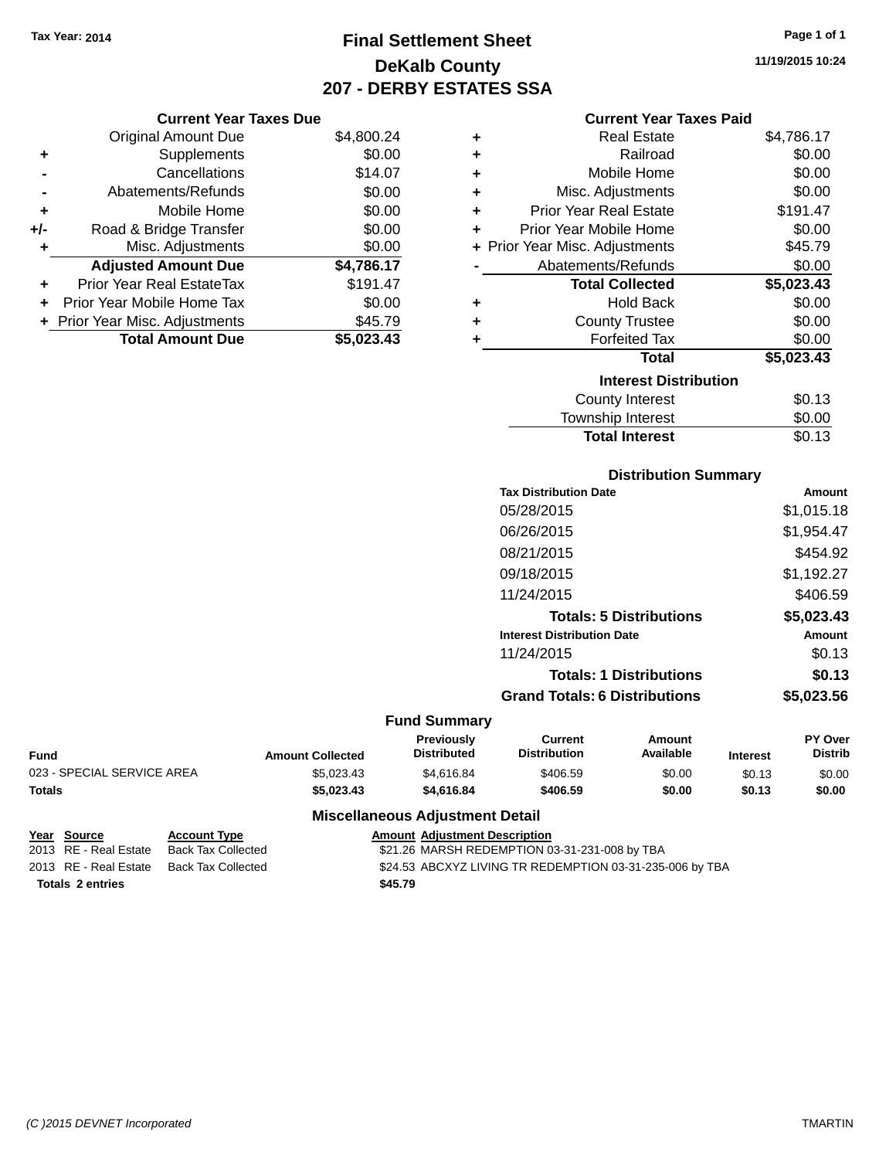# **Final Settlement Sheet Tax Year: 2014 Page 1 of 1 DeKalb County 207 - DERBY ESTATES SSA**

**11/19/2015 10:24**

### **Current Year Taxes Paid**

|     | <b>Original Amount Due</b>       | \$4,800.24 | ٠ | <b>Real Estate</b>             | \$4,786.17 |
|-----|----------------------------------|------------|---|--------------------------------|------------|
| ٠   | Supplements                      | \$0.00     | ٠ | Railroad                       | \$0.00     |
|     | Cancellations                    | \$14.07    | ٠ | Mobile Home                    | \$0.00     |
|     | Abatements/Refunds               | \$0.00     | ٠ | Misc. Adjustments              | \$0.00     |
| ٠   | Mobile Home                      | \$0.00     | ٠ | <b>Prior Year Real Estate</b>  | \$191.47   |
| +/- | Road & Bridge Transfer           | \$0.00     |   | Prior Year Mobile Home         | \$0.00     |
|     | Misc. Adjustments                | \$0.00     |   | + Prior Year Misc. Adjustments | \$45.79    |
|     | <b>Adjusted Amount Due</b>       | \$4,786.17 |   | Abatements/Refunds             | \$0.00     |
| ÷.  | <b>Prior Year Real EstateTax</b> | \$191.47   |   | <b>Total Collected</b>         | \$5,023.43 |
|     | Prior Year Mobile Home Tax       | \$0.00     | ٠ | <b>Hold Back</b>               | \$0.00     |
|     | + Prior Year Misc. Adjustments   | \$45.79    | ٠ | <b>County Trustee</b>          | \$0.00     |
|     | <b>Total Amount Due</b>          | \$5,023.43 |   | <b>Forfeited Tax</b>           | \$0.00     |
|     |                                  |            |   | <b>Total</b>                   | \$5,023.43 |
|     |                                  |            |   | <b>Interest Distribution</b>   |            |
|     |                                  |            |   | <b>County Interest</b>         | \$0.13     |
|     |                                  |            |   | Township Interact              | ድስ ሰሰ      |

# Township Interest \$0.00 Total Interest \$0.13

### **Distribution Summary**

| <b>Tax Distribution Date</b>         | Amount     |
|--------------------------------------|------------|
| 05/28/2015                           | \$1,015.18 |
| 06/26/2015                           | \$1,954.47 |
| 08/21/2015                           | \$454.92   |
| 09/18/2015                           | \$1,192.27 |
| 11/24/2015                           | \$406.59   |
| <b>Totals: 5 Distributions</b>       | \$5,023.43 |
| <b>Interest Distribution Date</b>    | Amount     |
| 11/24/2015                           | \$0.13     |
| <b>Totals: 1 Distributions</b>       | \$0.13     |
| <b>Grand Totals: 6 Distributions</b> | \$5.023.56 |
|                                      |            |

#### **Fund Summary**

| Fund                       | <b>Amount Collected</b> | Previously<br>Distributed | Current<br><b>Distribution</b> | Amount<br>Available | <b>Interest</b> | <b>PY Over</b><br><b>Distrib</b> |
|----------------------------|-------------------------|---------------------------|--------------------------------|---------------------|-----------------|----------------------------------|
| 023 - SPECIAL SERVICE AREA | \$5.023.43              | \$4.616.84                | \$406.59                       | \$0.00              | \$0.13          | \$0.00                           |
| Totals                     | \$5.023.43              | \$4.616.84                | \$406.59                       | \$0.00              | \$0.13          | \$0.00                           |

### **Miscellaneous Adjustment Detail**

#### **Year Source Account Type Account Adjustment Description**

2013 RE - Real Estate Back Tax Collected \$21.26 MARSH REDEMPTION 03-31-231-008 by TBA

2013 RE - Real Estate Back Tax Collected \$24.53 ABCXYZ LIVING TR REDEMPTION 03-31-235-006 by TBA

**Totals \$45.79 2 entries**

**Current Year Taxes Due**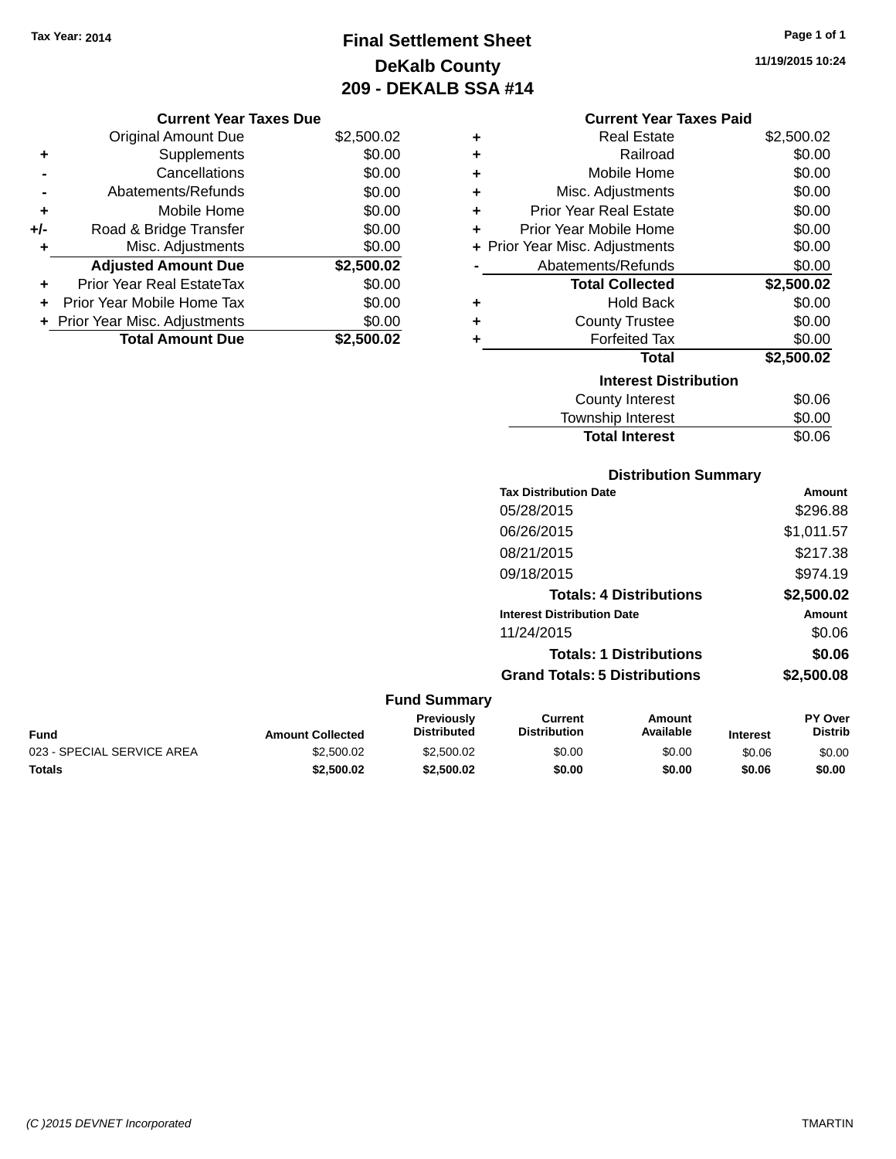**Current Year Taxes Due** Original Amount Due \$2,500.02

**Adjusted Amount Due \$2,500.02**

**Total Amount Due \$2,500.02**

**+** Supplements \$0.00 **-** Cancellations **50.00 -** Abatements/Refunds \$0.00 **+** Mobile Home \$0.00 **+/-** Road & Bridge Transfer \$0.00 **+** Misc. Adjustments \$0.00

**+** Prior Year Real EstateTax \$0.00 **+** Prior Year Mobile Home Tax \$0.00 **+** Prior Year Misc. Adjustments  $$0.00$ 

# **Final Settlement Sheet Tax Year: 2014 Page 1 of 1 DeKalb County 209 - DEKALB SSA #14**

**11/19/2015 10:24**

#### **Current Year Taxes Paid**

| ٠ | <b>Real Estate</b>             | \$2,500.02 |
|---|--------------------------------|------------|
| ÷ | Railroad                       | \$0.00     |
| ÷ | Mobile Home                    | \$0.00     |
| ÷ | Misc. Adjustments              | \$0.00     |
| ÷ | <b>Prior Year Real Estate</b>  | \$0.00     |
| ÷ | Prior Year Mobile Home         | \$0.00     |
|   | + Prior Year Misc. Adjustments | \$0.00     |
|   | Abatements/Refunds             | \$0.00     |
|   |                                |            |
|   | <b>Total Collected</b>         | \$2,500.02 |
| ٠ | <b>Hold Back</b>               | \$0.00     |
| ٠ | <b>County Trustee</b>          | \$0.00     |
| ٠ | <b>Forfeited Tax</b>           | \$0.00     |
|   | <b>Total</b>                   | \$2,500.02 |
|   | <b>Interest Distribution</b>   |            |
|   | County Interest                | \$0.06     |

**Total Interest** \$0.06

#### **Distribution Summary Tax Distribution Date Amount** 05/28/2015 \$296.88 06/26/2015 \$1,011.57 08/21/2015 \$217.38 09/18/2015 \$974.19 **Totals: 4 Distributions \$2,500.02 Interest Distribution Date Amount** 11/24/2015 \$0.06 **Totals: 1 Distributions \$0.06 Grand Totals: 5 Distributions \$2,500.08 Fund Summary Fund Interest Amount Collected Distributed PY Over Distrib Amount Available Current Distribution Previously** 023 - SPECIAL SERVICE AREA  $$2,500.02$   $$2,500.02$   $$0.00$   $$0.00$   $$0.06$   $$0.00$

**Totals \$2,500.02 \$2,500.02 \$0.00 \$0.00 \$0.06 \$0.00**

| (C) 2015 DEVNET Incorporated | <b>TMARTIN</b> |
|------------------------------|----------------|
|------------------------------|----------------|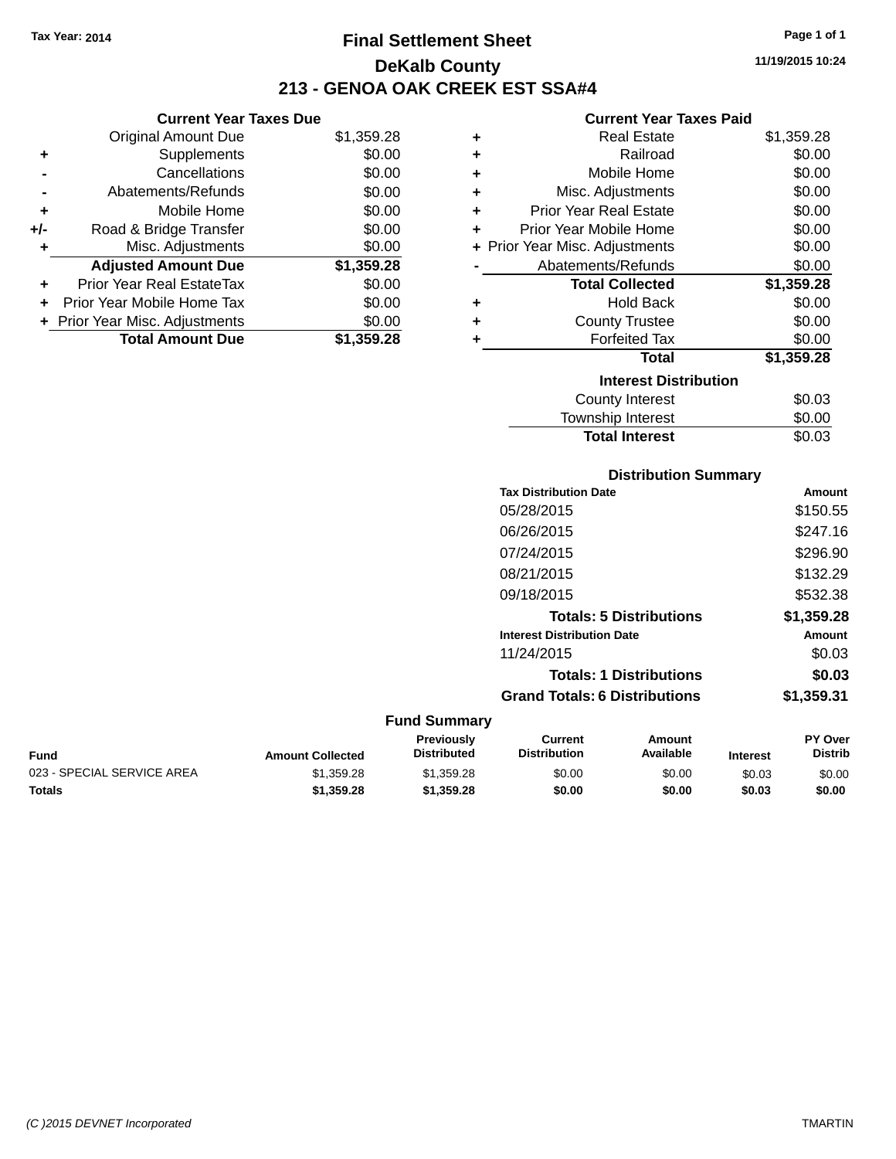**Current Year Taxes Due**

## **Final Settlement Sheet Tax Year: 2014 Page 1 of 1 DeKalb County 213 - GENOA OAK CREEK EST SSA#4**

## **11/19/2015 10:24**

|     | <b>Original Amount Due</b>       | \$1,359.28 | ÷ | <b>Real Estate</b>             | \$1,359.28 |
|-----|----------------------------------|------------|---|--------------------------------|------------|
| ٠   | Supplements                      | \$0.00     | ٠ | Railroad                       | \$0.00     |
|     | Cancellations                    | \$0.00     | ÷ | Mobile Home                    | \$0.00     |
|     | Abatements/Refunds               | \$0.00     | ÷ | Misc. Adjustments              | \$0.00     |
| ٠   | Mobile Home                      | \$0.00     | ٠ | <b>Prior Year Real Estate</b>  | \$0.00     |
| +/- | Road & Bridge Transfer           | \$0.00     | ٠ | Prior Year Mobile Home         | \$0.00     |
|     | Misc. Adjustments                | \$0.00     |   | + Prior Year Misc. Adjustments | \$0.00     |
|     | <b>Adjusted Amount Due</b>       | \$1,359.28 |   | Abatements/Refunds             | \$0.00     |
| ÷.  | <b>Prior Year Real EstateTax</b> | \$0.00     |   | <b>Total Collected</b>         | \$1,359.28 |
| ÷.  | Prior Year Mobile Home Tax       | \$0.00     | ٠ | <b>Hold Back</b>               | \$0.00     |
|     | + Prior Year Misc. Adjustments   | \$0.00     | ٠ | <b>County Trustee</b>          | \$0.00     |
|     | <b>Total Amount Due</b>          | \$1,359.28 |   | <b>Forfeited Tax</b>           | \$0.00     |
|     |                                  |            |   | <b>Total</b>                   | \$1,359.28 |
|     |                                  |            |   | <b>Interest Distribution</b>   |            |
|     |                                  |            |   | County Interest                | \$0.03     |
|     |                                  |            |   |                                | ີ ລິ       |

| <b>Total Interest</b> | \$0.03       |
|-----------------------|--------------|
|                       | <b>vv.vv</b> |
| Township Interest     | \$0.00       |

#### **Distribution Summary**

| <b>Tax Distribution Date</b>         | Amount     |
|--------------------------------------|------------|
| 05/28/2015                           | \$150.55   |
| 06/26/2015                           | \$247.16   |
| 07/24/2015                           | \$296.90   |
| 08/21/2015                           | \$132.29   |
| 09/18/2015                           | \$532.38   |
| <b>Totals: 5 Distributions</b>       | \$1,359.28 |
| <b>Interest Distribution Date</b>    | Amount     |
| 11/24/2015                           | \$0.03     |
| <b>Totals: 1 Distributions</b>       | \$0.03     |
| <b>Grand Totals: 6 Distributions</b> | \$1,359.31 |

| Fund                       | <b>Amount Collected</b> | <b>Previously</b><br><b>Distributed</b> | Current<br><b>Distribution</b> | Amount<br>Available | <b>Interest</b> | PY Over<br><b>Distrib</b> |
|----------------------------|-------------------------|-----------------------------------------|--------------------------------|---------------------|-----------------|---------------------------|
| 023 - SPECIAL SERVICE AREA | \$1.359.28              | \$1.359.28                              | \$0.00                         | \$0.00              | \$0.03          | \$0.00                    |
| <b>Totals</b>              | \$1,359.28              | \$1.359.28                              | \$0.00                         | \$0.00              | \$0.03          | \$0.00                    |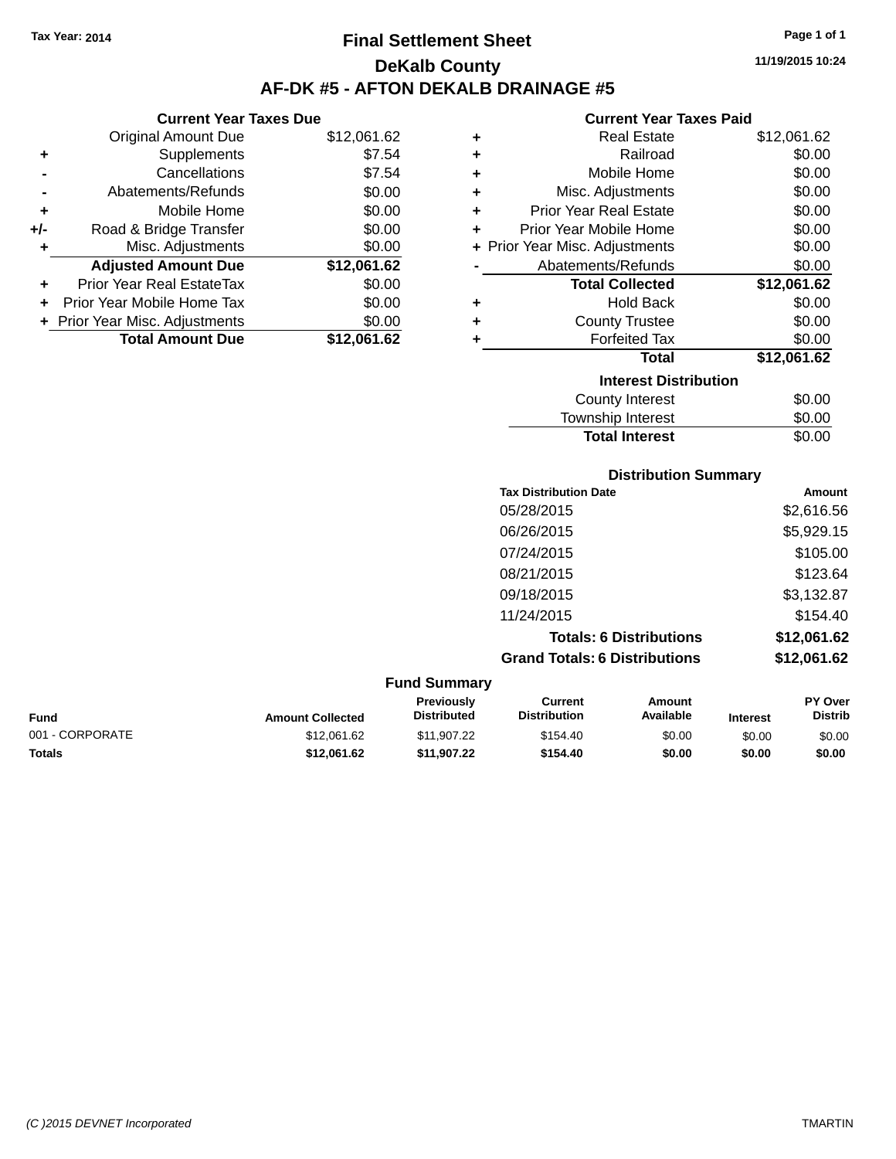**Current Year Taxes Due** Original Amount Due \$12,061.62

**Adjusted Amount Due \$12,061.62**

**Total Amount Due \$12,061.62**

**+** Supplements \$7.54 **-** Cancellations \$7.54 **-** Abatements/Refunds \$0.00 **+** Mobile Home \$0.00 **+/-** Road & Bridge Transfer \$0.00 **+** Misc. Adjustments \$0.00

**+** Prior Year Real EstateTax \$0.00 **+** Prior Year Mobile Home Tax \$0.00 **+ Prior Year Misc. Adjustments**  $$0.00$ 

## **Final Settlement Sheet Tax Year: 2014 Page 1 of 1 DeKalb County AF-DK #5 - AFTON DEKALB DRAINAGE #5**

**11/19/2015 10:24**

#### **Current Year Taxes Paid**

| ٠                            | <b>Real Estate</b>             | \$12,061.62 |
|------------------------------|--------------------------------|-------------|
| ÷                            | Railroad                       | \$0.00      |
| ÷                            | Mobile Home                    | \$0.00      |
| ÷                            | Misc. Adjustments              | \$0.00      |
| ÷                            | <b>Prior Year Real Estate</b>  | \$0.00      |
| ٠                            | Prior Year Mobile Home         | \$0.00      |
|                              | + Prior Year Misc. Adjustments | \$0.00      |
|                              | Abatements/Refunds             | \$0.00      |
|                              | <b>Total Collected</b>         | \$12,061.62 |
| ٠                            | <b>Hold Back</b>               | \$0.00      |
| ÷                            | <b>County Trustee</b>          | \$0.00      |
| ٠                            | <b>Forfeited Tax</b>           | \$0.00      |
|                              | <b>Total</b>                   | \$12,061.62 |
| <b>Interest Distribution</b> |                                |             |
|                              | <b>County Interest</b>         | \$0.00      |
|                              | Township Interest              | \$0.00      |

|             |                         |                                  |                                       | <b>Total Interest</b>          |                 | \$0.00                    |
|-------------|-------------------------|----------------------------------|---------------------------------------|--------------------------------|-----------------|---------------------------|
|             |                         |                                  |                                       | <b>Distribution Summary</b>    |                 |                           |
|             |                         |                                  | <b>Tax Distribution Date</b>          |                                |                 | Amount                    |
|             |                         |                                  | 05/28/2015                            |                                |                 | \$2,616.56                |
|             |                         |                                  | 06/26/2015                            |                                |                 | \$5,929.15                |
|             |                         |                                  | 07/24/2015                            |                                |                 | \$105.00                  |
|             |                         |                                  | 08/21/2015                            |                                |                 | \$123.64                  |
|             |                         |                                  | 09/18/2015                            |                                |                 | \$3,132.87                |
|             |                         |                                  | 11/24/2015                            |                                |                 | \$154.40                  |
|             |                         |                                  |                                       | <b>Totals: 6 Distributions</b> |                 | \$12,061.62               |
|             |                         |                                  | <b>Grand Totals: 6 Distributions</b>  |                                |                 | \$12,061.62               |
|             |                         | <b>Fund Summary</b>              |                                       |                                |                 |                           |
| <b>Fund</b> | <b>Amount Collected</b> | Previously<br><b>Distributed</b> | <b>Current</b><br><b>Distribution</b> | Amount<br>Available            | <b>Interest</b> | PY Over<br><b>Distrib</b> |

001 - CORPORATE 60.00 \$12,061.62 \$11,907.22 \$154.40 \$0.00 \$0.00 \$0.00 **Totals \$12,061.62 \$11,907.22 \$154.40 \$0.00 \$0.00 \$0.00**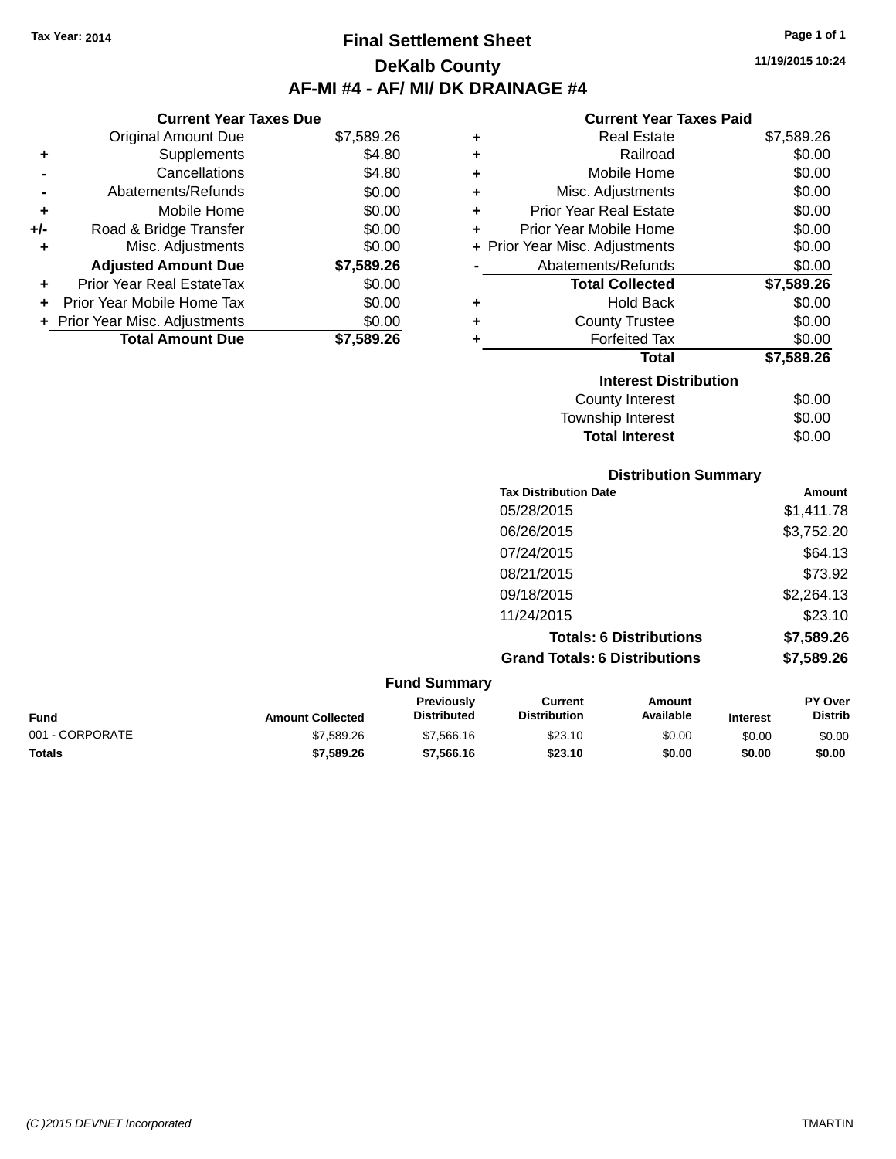**Current Year Taxes Due** Original Amount Due \$7,589.26

**Adjusted Amount Due \$7,589.26**

**Total Amount Due \$7,589.26**

**+** Supplements \$4.80 **-** Cancellations \$4.80 **-** Abatements/Refunds \$0.00 **+** Mobile Home \$0.00 **+/-** Road & Bridge Transfer \$0.00 **+** Misc. Adjustments \$0.00

**+** Prior Year Real EstateTax \$0.00 **+** Prior Year Mobile Home Tax \$0.00 **+ Prior Year Misc. Adjustments**  $$0.00$ 

## **Final Settlement Sheet Tax Year: 2014 Page 1 of 1 DeKalb County AF-MI #4 - AF/ MI/ DK DRAINAGE #4**

**11/19/2015 10:24**

#### **Current Year Taxes Paid**

| ٠ | <b>Real Estate</b>             | \$7,589.26 |
|---|--------------------------------|------------|
| ٠ | Railroad                       | \$0.00     |
| ٠ | Mobile Home                    | \$0.00     |
| ÷ | Misc. Adjustments              | \$0.00     |
| ÷ | <b>Prior Year Real Estate</b>  | \$0.00     |
| ٠ | <b>Prior Year Mobile Home</b>  | \$0.00     |
|   | + Prior Year Misc. Adjustments | \$0.00     |
|   | Abatements/Refunds             | \$0.00     |
|   | <b>Total Collected</b>         | \$7,589.26 |
| ٠ | <b>Hold Back</b>               | \$0.00     |
| ٠ | <b>County Trustee</b>          | \$0.00     |
| ٠ | <b>Forfeited Tax</b>           | \$0.00     |
|   | <b>Total</b>                   | \$7,589.26 |
|   | <b>Interest Distribution</b>   |            |
|   | County Interest                | \$0.00     |
|   | <b>Township Interest</b>       | \$0.00     |

**Total Interest** \$0.00

|                 |                         |                                  |                                       | <b>Distribution Summary</b>    |                 |                           |
|-----------------|-------------------------|----------------------------------|---------------------------------------|--------------------------------|-----------------|---------------------------|
|                 |                         |                                  | <b>Tax Distribution Date</b>          |                                |                 | Amount                    |
|                 |                         |                                  | 05/28/2015                            |                                |                 | \$1,411.78                |
|                 |                         |                                  | 06/26/2015                            |                                |                 | \$3,752.20                |
|                 |                         |                                  | 07/24/2015                            |                                |                 | \$64.13                   |
|                 |                         |                                  | 08/21/2015                            |                                |                 | \$73.92                   |
|                 |                         |                                  | 09/18/2015                            |                                |                 | \$2,264.13                |
|                 |                         |                                  | 11/24/2015                            |                                |                 | \$23.10                   |
|                 |                         |                                  |                                       | <b>Totals: 6 Distributions</b> |                 | \$7,589.26                |
|                 |                         |                                  | <b>Grand Totals: 6 Distributions</b>  |                                |                 | \$7,589.26                |
|                 |                         | <b>Fund Summary</b>              |                                       |                                |                 |                           |
| <b>Fund</b>     | <b>Amount Collected</b> | Previously<br><b>Distributed</b> | <b>Current</b><br><b>Distribution</b> | Amount<br>Available            | <b>Interest</b> | PY Over<br><b>Distrib</b> |
| 001 - CORPORATE | \$7,589.26              | \$7,566.16                       | \$23.10                               | \$0.00                         | \$0.00          | \$0.00                    |

**Totals \$7,589.26 \$7,566.16 \$23.10 \$0.00 \$0.00 \$0.00**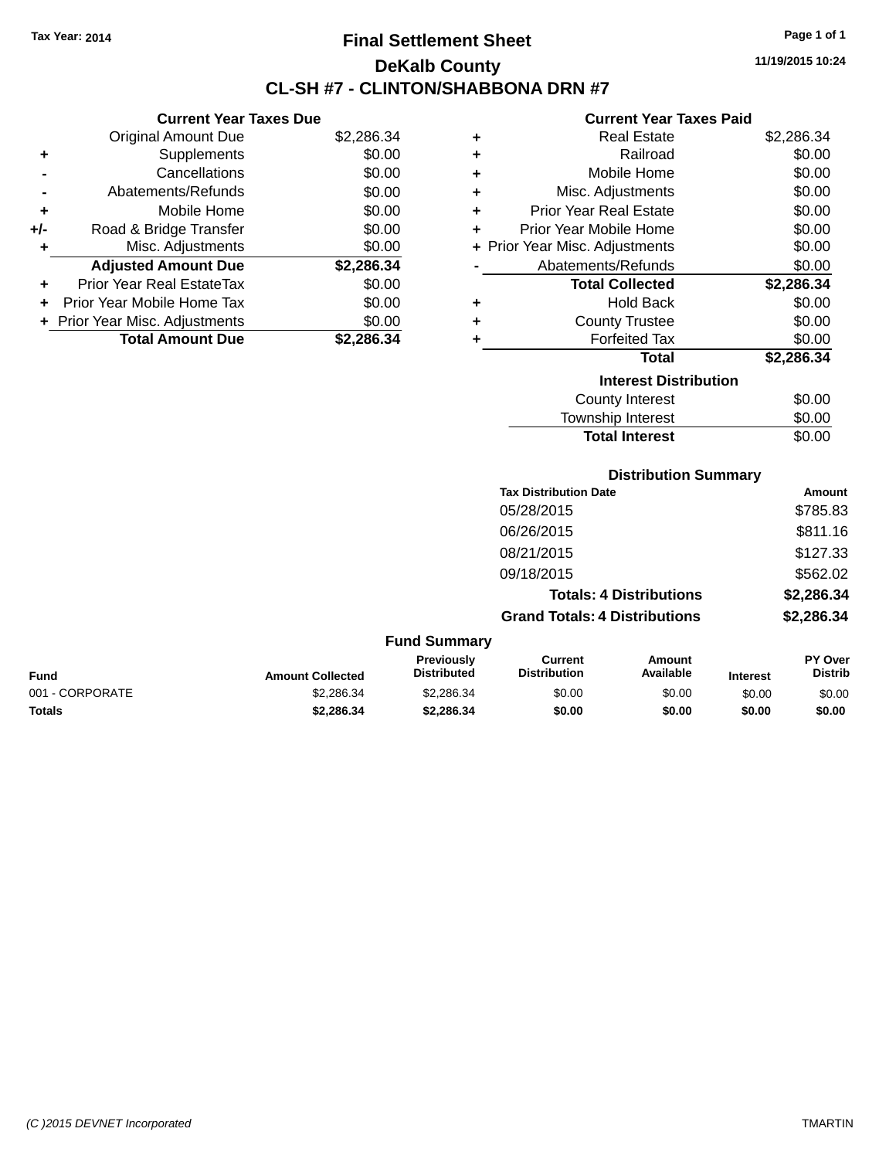## **Final Settlement Sheet Tax Year: 2014 Page 1 of 1 DeKalb County CL-SH #7 - CLINTON/SHABBONA DRN #7**

**11/19/2015 10:24**

#### **Current Year Taxes Paid**

|     | <b>Current Year Taxes Due</b>  |            |  |  |  |
|-----|--------------------------------|------------|--|--|--|
|     | <b>Original Amount Due</b>     | \$2,286.34 |  |  |  |
| ٠   | Supplements                    | \$0.00     |  |  |  |
|     | Cancellations                  | \$0.00     |  |  |  |
|     | Abatements/Refunds             | \$0.00     |  |  |  |
| ٠   | Mobile Home                    | \$0.00     |  |  |  |
| +/- | Road & Bridge Transfer         | \$0.00     |  |  |  |
|     | Misc. Adjustments              | \$0.00     |  |  |  |
|     | <b>Adjusted Amount Due</b>     | \$2,286.34 |  |  |  |
| ٠   | Prior Year Real EstateTax      | \$0.00     |  |  |  |
| ÷   | Prior Year Mobile Home Tax     | \$0.00     |  |  |  |
|     | + Prior Year Misc. Adjustments | \$0.00     |  |  |  |
|     | <b>Total Amount Due</b>        | \$2.286.34 |  |  |  |

| ٠                            | <b>Real Estate</b>             | \$2,286.34 |  |  |  |
|------------------------------|--------------------------------|------------|--|--|--|
| ÷                            | Railroad                       | \$0.00     |  |  |  |
| ÷                            | Mobile Home                    | \$0.00     |  |  |  |
| ÷                            | Misc. Adjustments              | \$0.00     |  |  |  |
| ٠                            | <b>Prior Year Real Estate</b>  | \$0.00     |  |  |  |
| ٠                            | Prior Year Mobile Home         | \$0.00     |  |  |  |
|                              | + Prior Year Misc. Adjustments | \$0.00     |  |  |  |
|                              | Abatements/Refunds             | \$0.00     |  |  |  |
|                              | <b>Total Collected</b>         | \$2,286.34 |  |  |  |
| ٠                            | Hold Back                      | \$0.00     |  |  |  |
| ٠                            | <b>County Trustee</b>          | \$0.00     |  |  |  |
| ٠                            | <b>Forfeited Tax</b>           | \$0.00     |  |  |  |
|                              | <b>Total</b>                   | \$2,286.34 |  |  |  |
| <b>Interest Distribution</b> |                                |            |  |  |  |
|                              | County Interest                | \$0.00     |  |  |  |
|                              | <b>Township Interest</b>       | \$0.00     |  |  |  |
|                              | <b>Total Interest</b>          | \$0.00     |  |  |  |

## **Distribution Summary**

| <b>Tax Distribution Date</b>         | Amount     |
|--------------------------------------|------------|
| 05/28/2015                           | \$785.83   |
| 06/26/2015                           | \$811.16   |
| 08/21/2015                           | \$127.33   |
| 09/18/2015                           | \$562.02   |
| <b>Totals: 4 Distributions</b>       | \$2,286.34 |
| <b>Grand Totals: 4 Distributions</b> | \$2,286.34 |

| <b>Fund Summary</b> |                         |                                         |                                |                     |                 |                                  |
|---------------------|-------------------------|-----------------------------------------|--------------------------------|---------------------|-----------------|----------------------------------|
| <b>Fund</b>         | <b>Amount Collected</b> | <b>Previously</b><br><b>Distributed</b> | Current<br><b>Distribution</b> | Amount<br>Available | <b>Interest</b> | <b>PY Over</b><br><b>Distrib</b> |
| 001 - CORPORATE     | \$2.286.34              | \$2,286,34                              | \$0.00                         | \$0.00              | \$0.00          | \$0.00                           |
| <b>Totals</b>       | \$2,286.34              | \$2,286.34                              | \$0.00                         | \$0.00              | \$0.00          | \$0.00                           |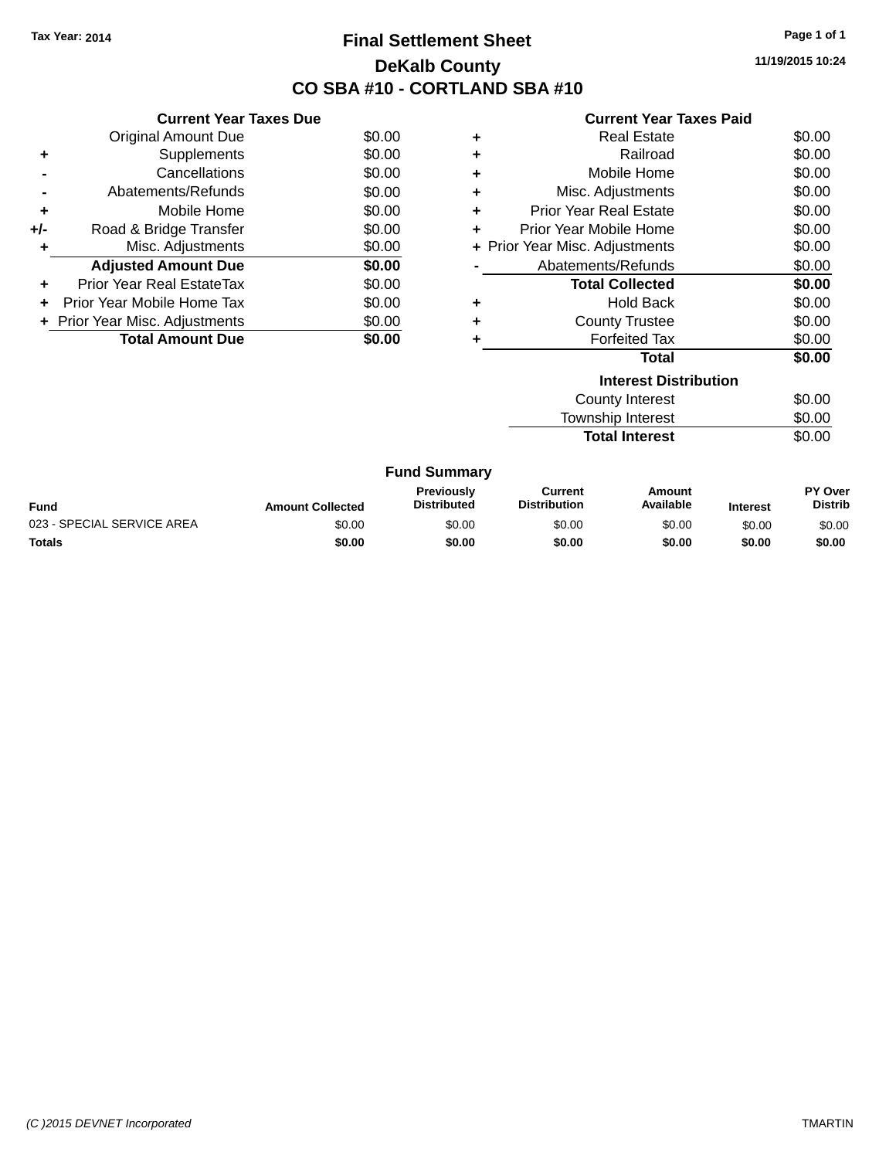## **Final Settlement Sheet Tax Year: 2014 Page 1 of 1 DeKalb County CO SBA #10 - CORTLAND SBA #10**

**11/19/2015 10:24**

|       | <b>Current Year Taxes Due</b>  |        |
|-------|--------------------------------|--------|
|       | Original Amount Due            | \$0.00 |
|       | Supplements                    | \$0.00 |
|       | Cancellations                  | \$0.00 |
|       | Abatements/Refunds             | \$0.00 |
| ٠     | Mobile Home                    | \$0.00 |
| $+/-$ | Road & Bridge Transfer         | \$0.00 |
| ٠     | Misc. Adjustments              | \$0.00 |
|       | <b>Adjusted Amount Due</b>     | \$0.00 |
| ٠     | Prior Year Real EstateTax      | \$0.00 |
|       | Prior Year Mobile Home Tax     | \$0.00 |
|       | + Prior Year Misc. Adjustments | \$0.00 |
|       | <b>Total Amount Due</b>        | \$0.00 |
|       |                                |        |

|   | Curicht Tear Taxes Falu        |        |
|---|--------------------------------|--------|
| ٠ | Real Estate                    | \$0.00 |
| ٠ | Railroad                       | \$0.00 |
| ÷ | Mobile Home                    | \$0.00 |
| ٠ | Misc. Adjustments              | \$0.00 |
| ÷ | <b>Prior Year Real Estate</b>  | \$0.00 |
| ÷ | Prior Year Mobile Home         | \$0.00 |
|   | + Prior Year Misc. Adjustments | \$0.00 |
|   | Abatements/Refunds             | \$0.00 |
|   | <b>Total Collected</b>         | \$0.00 |
| ٠ | <b>Hold Back</b>               | \$0.00 |
| ٠ | <b>County Trustee</b>          | \$0.00 |
| ٠ | <b>Forfeited Tax</b>           | \$0.00 |
|   | <b>Total</b>                   | \$0.00 |
|   | <b>Interest Distribution</b>   |        |
|   | <b>County Interest</b>         | \$0.00 |
|   | <b>Township Interest</b>       | \$0.00 |

**Total Interest** \$0.00

| <b>Fund Summary</b>        |                         |                                         |                                |                     |                 |                                  |
|----------------------------|-------------------------|-----------------------------------------|--------------------------------|---------------------|-----------------|----------------------------------|
| Fund                       | <b>Amount Collected</b> | <b>Previously</b><br><b>Distributed</b> | Current<br><b>Distribution</b> | Amount<br>Available | <b>Interest</b> | <b>PY Over</b><br><b>Distrib</b> |
| 023 - SPECIAL SERVICE AREA | \$0.00                  | \$0.00                                  | \$0.00                         | \$0.00              | \$0.00          | \$0.00                           |
| <b>Totals</b>              | \$0.00                  | \$0.00                                  | \$0.00                         | \$0.00              | \$0.00          | \$0.00                           |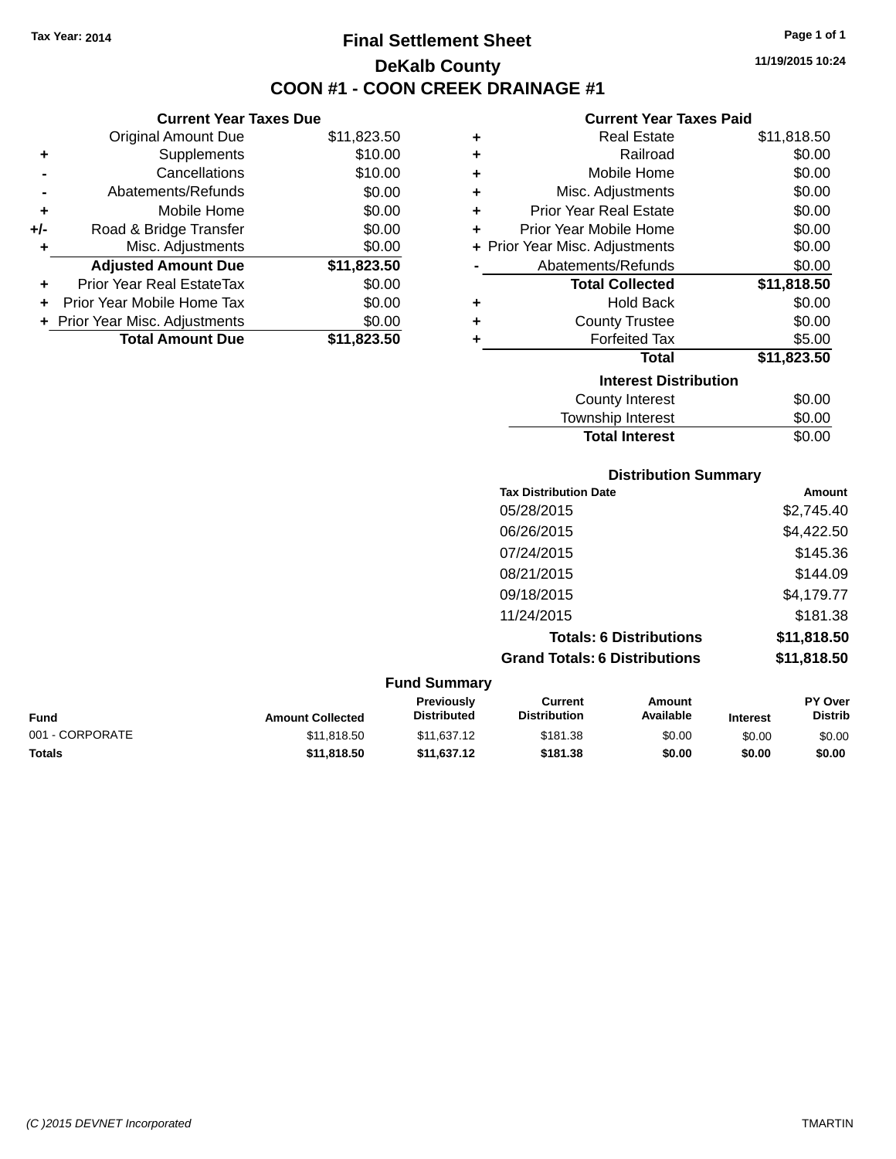## **Final Settlement Sheet Tax Year: 2014 Page 1 of 1 DeKalb County COON #1 - COON CREEK DRAINAGE #1**

**11/19/2015 10:24**

## **Current Year Taxes Paid**

|     | <b>Current Year Taxes Due</b>  |             |
|-----|--------------------------------|-------------|
|     | <b>Original Amount Due</b>     | \$11,823.50 |
| ٠   | Supplements                    | \$10.00     |
|     | Cancellations                  | \$10.00     |
|     | Abatements/Refunds             | \$0.00      |
| ٠   | Mobile Home                    | \$0.00      |
| +/- | Road & Bridge Transfer         | \$0.00      |
| ٠   | Misc. Adjustments              | \$0.00      |
|     | <b>Adjusted Amount Due</b>     | \$11,823.50 |
| ٠   | Prior Year Real EstateTax      | \$0.00      |
| ÷   | Prior Year Mobile Home Tax     | \$0.00      |
|     | + Prior Year Misc. Adjustments | \$0.00      |
|     | <b>Total Amount Due</b>        | \$11,823,50 |

| ٠ | <b>Real Estate</b>             | \$11,818.50 |
|---|--------------------------------|-------------|
| ٠ | Railroad                       | \$0.00      |
| ÷ | Mobile Home                    | \$0.00      |
| ÷ | Misc. Adjustments              | \$0.00      |
| ÷ | <b>Prior Year Real Estate</b>  | \$0.00      |
| ٠ | <b>Prior Year Mobile Home</b>  | \$0.00      |
|   | + Prior Year Misc. Adjustments | \$0.00      |
|   | Abatements/Refunds             | \$0.00      |
|   | <b>Total Collected</b>         | \$11,818.50 |
| ٠ | <b>Hold Back</b>               | \$0.00      |
| ٠ | <b>County Trustee</b>          | \$0.00      |
| ٠ | <b>Forfeited Tax</b>           | \$5.00      |
|   | <b>Total</b>                   | \$11,823.50 |
|   | <b>Interest Distribution</b>   |             |
|   | <b>County Interest</b>         | \$0.00      |
|   | <b>Township Interest</b>       | \$0.00      |
|   | <b>Total Interest</b>          | \$0.00      |

|                 | <b>Distribution Summary</b> |                                  |                                       |                                |                 |                           |
|-----------------|-----------------------------|----------------------------------|---------------------------------------|--------------------------------|-----------------|---------------------------|
|                 |                             |                                  | <b>Tax Distribution Date</b>          |                                |                 | Amount                    |
|                 |                             |                                  | 05/28/2015                            |                                |                 | \$2,745.40                |
|                 |                             |                                  | 06/26/2015                            |                                |                 | \$4,422.50                |
|                 |                             |                                  | 07/24/2015                            |                                |                 | \$145.36                  |
|                 |                             |                                  | 08/21/2015                            |                                |                 | \$144.09                  |
|                 |                             |                                  | 09/18/2015                            |                                |                 | \$4,179.77                |
|                 |                             |                                  | 11/24/2015                            |                                |                 | \$181.38                  |
|                 |                             |                                  |                                       | <b>Totals: 6 Distributions</b> |                 | \$11,818.50               |
|                 |                             |                                  | <b>Grand Totals: 6 Distributions</b>  |                                |                 | \$11,818.50               |
|                 |                             | <b>Fund Summary</b>              |                                       |                                |                 |                           |
| <b>Fund</b>     | <b>Amount Collected</b>     | Previously<br><b>Distributed</b> | <b>Current</b><br><b>Distribution</b> | <b>Amount</b><br>Available     | <b>Interest</b> | PY Over<br><b>Distrib</b> |
| 001 - CORPORATE | \$11,818.50                 | \$11,637.12                      | \$181.38                              | \$0.00                         | \$0.00          | \$0.00                    |
| <b>Totals</b>   | \$11,818.50                 | \$11,637.12                      | \$181.38                              | \$0.00                         | \$0.00          | \$0.00                    |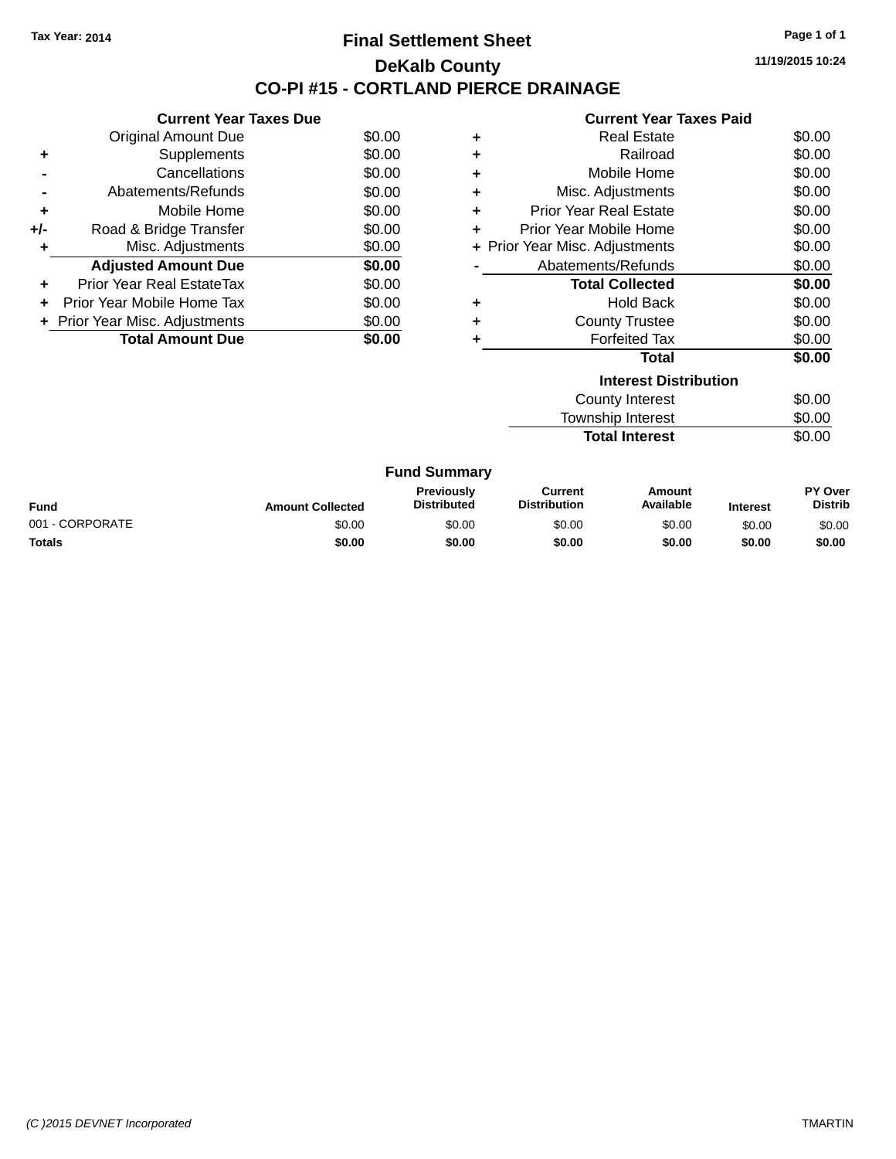## **Final Settlement Sheet Tax Year: 2014 Page 1 of 1 DeKalb County CO-PI #15 - CORTLAND PIERCE DRAINAGE**

**11/19/2015 10:24**

| <b>Current Year Taxes Paid</b> |  |  |
|--------------------------------|--|--|
|                                |  |  |

|     | <b>Current Year Taxes Due</b>  |        |
|-----|--------------------------------|--------|
|     | <b>Original Amount Due</b>     | \$0.00 |
| ٠   | Supplements                    | \$0.00 |
|     | Cancellations                  | \$0.00 |
|     | Abatements/Refunds             | \$0.00 |
| ٠   | Mobile Home                    | \$0.00 |
| +/- | Road & Bridge Transfer         | \$0.00 |
| ٠   | Misc. Adjustments              | \$0.00 |
|     | <b>Adjusted Amount Due</b>     | \$0.00 |
| ٠   | Prior Year Real EstateTax      | \$0.00 |
| ÷   | Prior Year Mobile Home Tax     | \$0.00 |
|     | + Prior Year Misc. Adjustments | \$0.00 |
|     | <b>Total Amount Due</b>        | \$0.00 |

| ٠ | <b>Real Estate</b>             | \$0.00 |
|---|--------------------------------|--------|
| ٠ | Railroad                       | \$0.00 |
| ٠ | Mobile Home                    | \$0.00 |
| ٠ | Misc. Adjustments              | \$0.00 |
| ٠ | <b>Prior Year Real Estate</b>  | \$0.00 |
| ٠ | Prior Year Mobile Home         | \$0.00 |
|   | + Prior Year Misc. Adjustments | \$0.00 |
|   | Abatements/Refunds             | \$0.00 |
|   | <b>Total Collected</b>         | \$0.00 |
| ٠ | Hold Back                      | \$0.00 |
| ٠ | <b>County Trustee</b>          | \$0.00 |
|   | <b>Forfeited Tax</b>           | \$0.00 |
|   | Total                          | \$0.00 |
|   | <b>Interest Distribution</b>   |        |
|   | <b>County Interest</b>         | \$0.00 |

**Total Interest** 

Township Interest \$0.00<br>
Total Interest \$0.00

| <b>Fund Summary</b> |                         |                                         |                                |                     |                 |                           |
|---------------------|-------------------------|-----------------------------------------|--------------------------------|---------------------|-----------------|---------------------------|
| <b>Fund</b>         | <b>Amount Collected</b> | <b>Previously</b><br><b>Distributed</b> | Current<br><b>Distribution</b> | Amount<br>Available | <b>Interest</b> | PY Over<br><b>Distrib</b> |
| 001 - CORPORATE     | \$0.00                  | \$0.00                                  | \$0.00                         | \$0.00              | \$0.00          | \$0.00                    |
| <b>Totals</b>       | \$0.00                  | \$0.00                                  | \$0.00                         | \$0.00              | \$0.00          | \$0.00                    |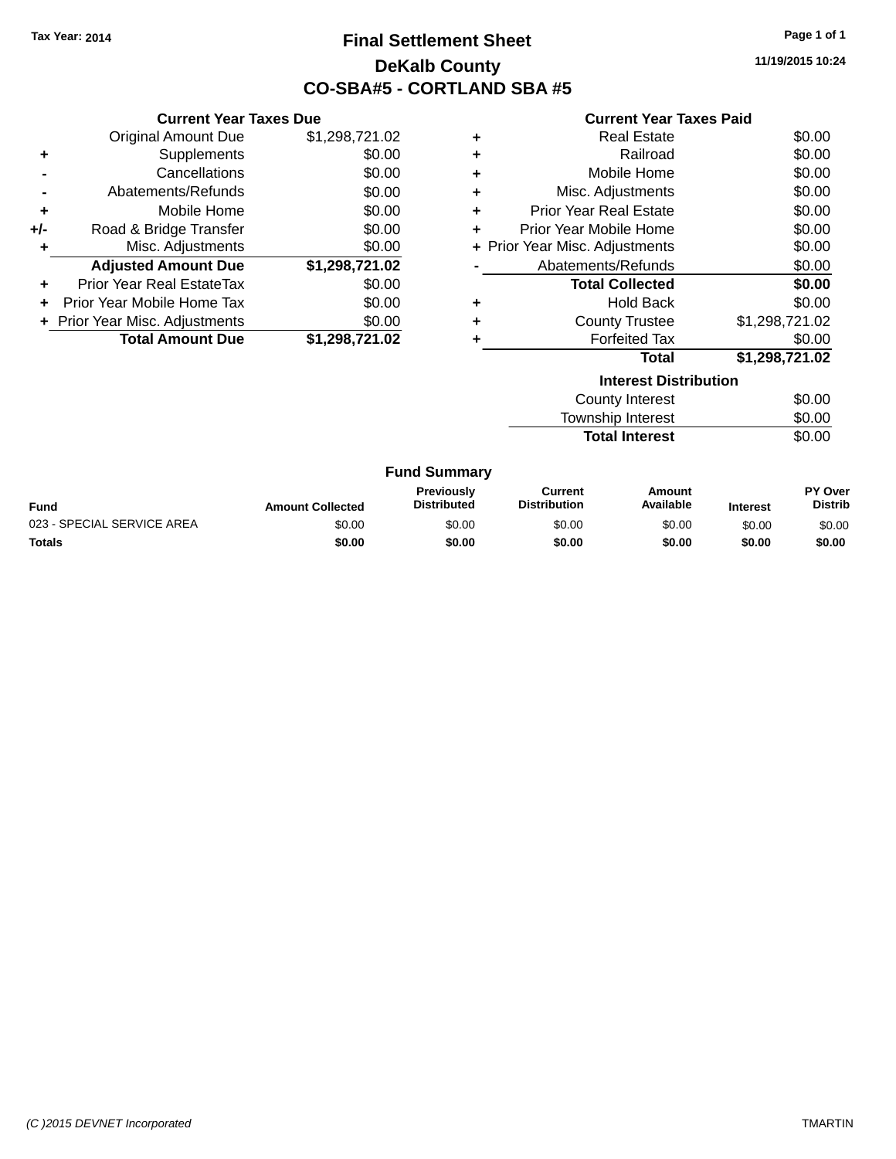## **Final Settlement Sheet Tax Year: 2014 Page 1 of 1 DeKalb County CO-SBA#5 - CORTLAND SBA #5**

**11/19/2015 10:24**

|                            |                                | <b>Current Year Taxes Paid</b> |                               |                                |
|----------------------------|--------------------------------|--------------------------------|-------------------------------|--------------------------------|
| <b>Original Amount Due</b> | \$1,298,721.02                 | ٠                              | <b>Real Estate</b>            | \$0.00                         |
| Supplements                | \$0.00                         |                                | Railroad                      | \$0.00                         |
| Cancellations              | \$0.00                         | ٠                              | Mobile Home                   | \$0.00                         |
| Abatements/Refunds         | \$0.00                         | ٠                              | Misc. Adjustments             | \$0.00                         |
| Mobile Home                | \$0.00                         | ٠                              | <b>Prior Year Real Estate</b> | \$0.00                         |
| Road & Bridge Transfer     | \$0.00                         | ٠                              | Prior Year Mobile Home        | \$0.00                         |
| Misc. Adjustments          | \$0.00                         |                                |                               | \$0.00                         |
| <b>Adjusted Amount Due</b> | \$1,298,721.02                 |                                | Abatements/Refunds            | \$0.00                         |
| Prior Year Real EstateTax  | \$0.00                         |                                | <b>Total Collected</b>        | \$0.00                         |
| Prior Year Mobile Home Tax | \$0.00                         | ٠                              | <b>Hold Back</b>              | \$0.00                         |
|                            | \$0.00                         | ٠                              | <b>County Trustee</b>         | \$1,298,721.02                 |
| <b>Total Amount Due</b>    | \$1,298,721.02                 | ٠                              | <b>Forfeited Tax</b>          | \$0.00                         |
|                            |                                |                                | Total                         | \$1,298,721.02                 |
|                            |                                |                                | <b>Interest Distribution</b>  |                                |
|                            |                                |                                | <b>County Interest</b>        | \$0.00                         |
|                            |                                |                                | <b>Township Interest</b>      | \$0.00                         |
|                            |                                |                                | <b>Total Interest</b>         | \$0.00                         |
|                            | + Prior Year Misc. Adjustments | <b>Current Year Taxes Due</b>  |                               | + Prior Year Misc. Adjustments |

|                            |                         | <b>Fund Summary</b>                     |                                |                     |                 |                                  |
|----------------------------|-------------------------|-----------------------------------------|--------------------------------|---------------------|-----------------|----------------------------------|
| Fund                       | <b>Amount Collected</b> | <b>Previously</b><br><b>Distributed</b> | Current<br><b>Distribution</b> | Amount<br>Available | <b>Interest</b> | <b>PY Over</b><br><b>Distrib</b> |
| 023 - SPECIAL SERVICE AREA | \$0.00                  | \$0.00                                  | \$0.00                         | \$0.00              | \$0.00          | \$0.00                           |
| Totals                     | \$0.00                  | \$0.00                                  | \$0.00                         | \$0.00              | \$0.00          | \$0.00                           |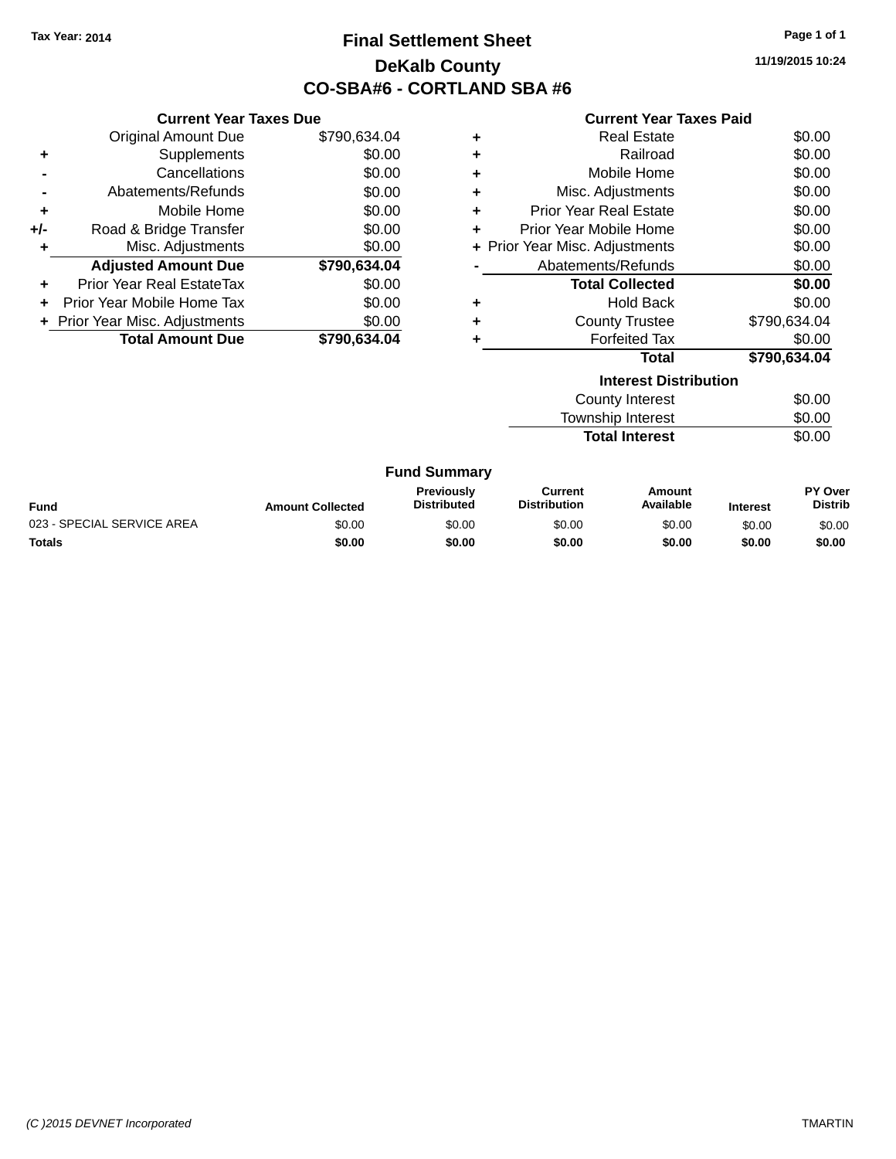## **Final Settlement Sheet Tax Year: 2014 Page 1 of 1 DeKalb County CO-SBA#6 - CORTLAND SBA #6**

**11/19/2015 10:24**

#### **Current Year Taxes Paid**

|     | <b>Current Year Taxes Due</b>  |              |
|-----|--------------------------------|--------------|
|     | <b>Original Amount Due</b>     | \$790,634.04 |
| ٠   | Supplements                    | \$0.00       |
|     | Cancellations                  | \$0.00       |
|     | Abatements/Refunds             | \$0.00       |
| ٠   | Mobile Home                    | \$0.00       |
| +/- | Road & Bridge Transfer         | \$0.00       |
| ٠   | Misc. Adjustments              | \$0.00       |
|     | <b>Adjusted Amount Due</b>     | \$790,634.04 |
| ÷   | Prior Year Real EstateTax      | \$0.00       |
| ÷   | Prior Year Mobile Home Tax     | \$0.00       |
|     | + Prior Year Misc. Adjustments | \$0.00       |
|     | <b>Total Amount Due</b>        | \$790.634.04 |

| ٠ | Real Estate                    | \$0.00       |
|---|--------------------------------|--------------|
| ٠ | Railroad                       | \$0.00       |
| ٠ | Mobile Home                    | \$0.00       |
| ٠ | Misc. Adjustments              | \$0.00       |
| ٠ | <b>Prior Year Real Estate</b>  | \$0.00       |
| ÷ | Prior Year Mobile Home         | \$0.00       |
|   | + Prior Year Misc. Adjustments | \$0.00       |
|   | Abatements/Refunds             | \$0.00       |
|   | <b>Total Collected</b>         | \$0.00       |
| ٠ | Hold Back                      | \$0.00       |
| ٠ | <b>County Trustee</b>          | \$790,634.04 |
|   | <b>Forfeited Tax</b>           | \$0.00       |
|   | Total                          | \$790,634.04 |
|   |                                |              |

| <b>Interest Distribution</b> |        |
|------------------------------|--------|
| County Interest              | \$0.00 |
| <b>Township Interest</b>     | \$0.00 |
| <b>Total Interest</b>        | \$0.00 |

| <b>Fund</b>                | <b>Amount Collected</b> | <b>Previously</b><br><b>Distributed</b> | Current<br><b>Distribution</b> | Amount<br>Available | <b>Interest</b> | PY Over<br>Distrib |
|----------------------------|-------------------------|-----------------------------------------|--------------------------------|---------------------|-----------------|--------------------|
| 023 - SPECIAL SERVICE AREA | \$0.00                  | \$0.00                                  | \$0.00                         | \$0.00              | \$0.00          | \$0.00             |
| <b>Totals</b>              | \$0.00                  | \$0.00                                  | \$0.00                         | \$0.00              | \$0.00          | \$0.00             |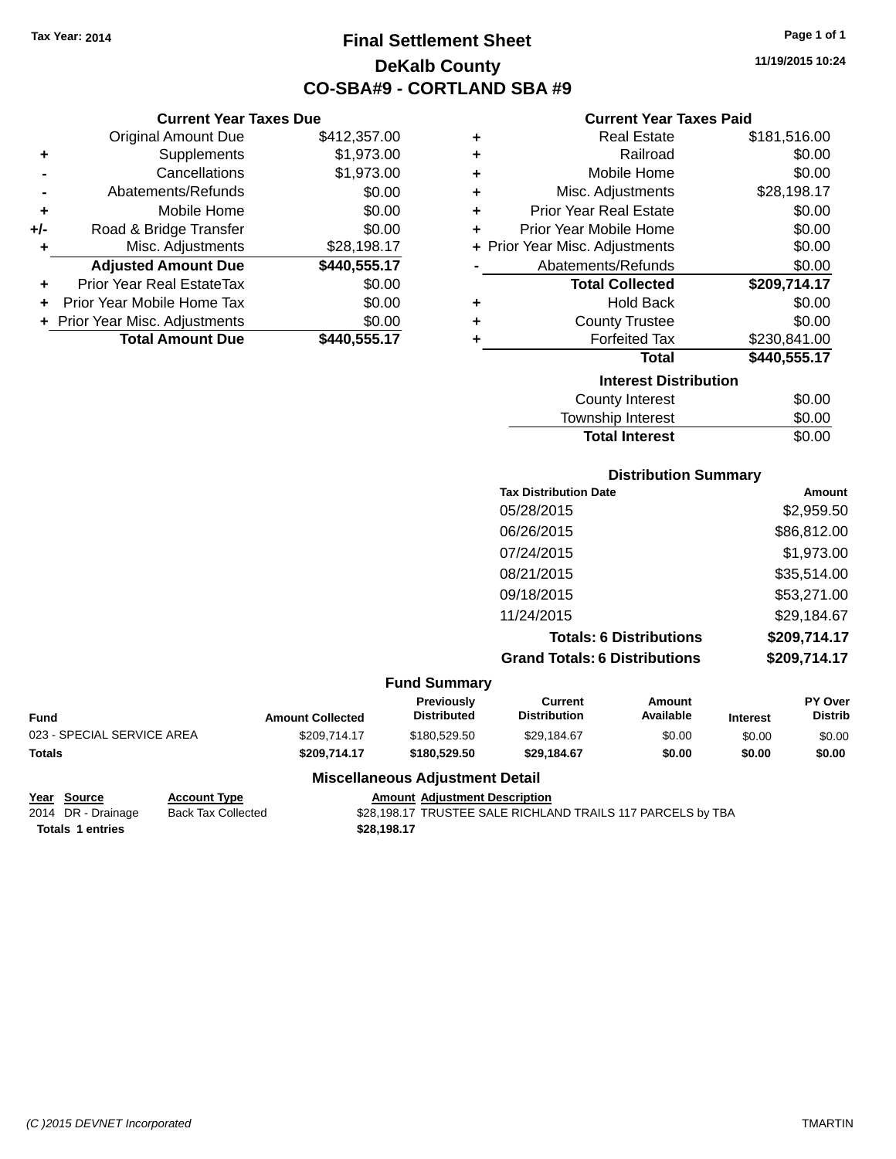**+** Supplements **-** Cancellations **-** Abatements/Refunds **+** Mobile Home **+/-** Road & Bridge Transfer **+** Misc. Adjustments

**+** Prior Year Real EstateTax \$0.00 **+** Prior Year Mobile Home Tax **+** Prior Year Misc. Adjustments

## **Final Settlement Sheet Tax Year: 2014 Page 1 of 1 DeKalb County CO-SBA#9 - CORTLAND SBA #9**

**11/19/2015 10:24**

## **Current Year Taxes Paid**

| <b>Current Year Taxes Due</b> |              | <b>Current Year Taxes Paid</b>        |                                |              |  |
|-------------------------------|--------------|---------------------------------------|--------------------------------|--------------|--|
| Original Amount Due           | \$412,357.00 | ٠                                     | <b>Real Estate</b>             | \$181,516.00 |  |
| Supplements                   | \$1,973.00   | ٠                                     | Railroad                       | \$0.00       |  |
| Cancellations                 | \$1,973.00   | ٠                                     | Mobile Home                    | \$0.00       |  |
| Abatements/Refunds            | \$0.00       | ÷                                     | Misc. Adjustments              | \$28,198.17  |  |
| Mobile Home                   | \$0.00       | <b>Prior Year Real Estate</b><br>٠    |                                |              |  |
| Road & Bridge Transfer        | \$0.00       | Prior Year Mobile Home<br>\$0.00<br>٠ |                                |              |  |
| Misc. Adjustments             | \$28,198.17  |                                       | + Prior Year Misc. Adjustments | \$0.00       |  |
| <b>Adjusted Amount Due</b>    | \$440,555.17 |                                       | Abatements/Refunds             | \$0.00       |  |
| rior Year Real EstateTax      | \$0.00       |                                       | <b>Total Collected</b>         | \$209,714.17 |  |
| r Year Mobile Home Tax        | \$0.00       | ٠                                     | <b>Hold Back</b>               | \$0.00       |  |
| Year Misc. Adjustments        | \$0.00       | ٠                                     | <b>County Trustee</b>          | \$0.00       |  |
| <b>Total Amount Due</b>       | \$440,555.17 |                                       | <b>Forfeited Tax</b>           | \$230,841.00 |  |
|                               |              |                                       | <b>Total</b>                   | \$440,555.17 |  |
|                               |              |                                       | <b>Interest Distribution</b>   |              |  |
|                               |              |                                       | County Interest                | ደ0.00        |  |

| County Interest       | \$0.00 |
|-----------------------|--------|
| Township Interest     | \$0.00 |
| <b>Total Interest</b> | \$0.00 |
|                       |        |

## **Distribution Summary**

| <b>Tax Distribution Date</b>         | Amount       |
|--------------------------------------|--------------|
| 05/28/2015                           | \$2,959.50   |
| 06/26/2015                           | \$86,812.00  |
| 07/24/2015                           | \$1,973.00   |
| 08/21/2015                           | \$35,514.00  |
| 09/18/2015                           | \$53,271.00  |
| 11/24/2015                           | \$29,184.67  |
| <b>Totals: 6 Distributions</b>       | \$209,714.17 |
| <b>Grand Totals: 6 Distributions</b> | \$209,714.17 |

#### **Fund Summary**

| <b>Fund</b>                | <b>Amount Collected</b> | <b>Previously</b><br><b>Distributed</b> | Current<br><b>Distribution</b> | Amount<br>Available | <b>Interest</b> | <b>PY Over</b><br><b>Distrib</b> |
|----------------------------|-------------------------|-----------------------------------------|--------------------------------|---------------------|-----------------|----------------------------------|
| 023 - SPECIAL SERVICE AREA | \$209.714.17            | \$180,529.50                            | \$29.184.67                    | \$0.00              | \$0.00          | \$0.00                           |
| <b>Totals</b>              | \$209.714.17            | \$180,529.50                            | \$29.184.67                    | \$0.00              | \$0.00          | \$0.00                           |

#### **Miscellaneous Adjustment Detail**

**Year Source Account Type Amount Adjustment Description**

\$28,198.17 TRUSTEE SALE RICHLAND TRAILS 117 PARCELS by TBA

**Totals 1 entries 1 and 1 and 1 and 1 and 1 and 1 and 1 and 1 and 1 and 1 and 1 and 1 and 1 and 1 and 1 and 1 and 1 and 1 and 1 and 1 and 1 and 1 and 1 and 1 and 1 and 1 and 1 and 1 and 1 and 1 and 1 and 1 and 1 and 1 an**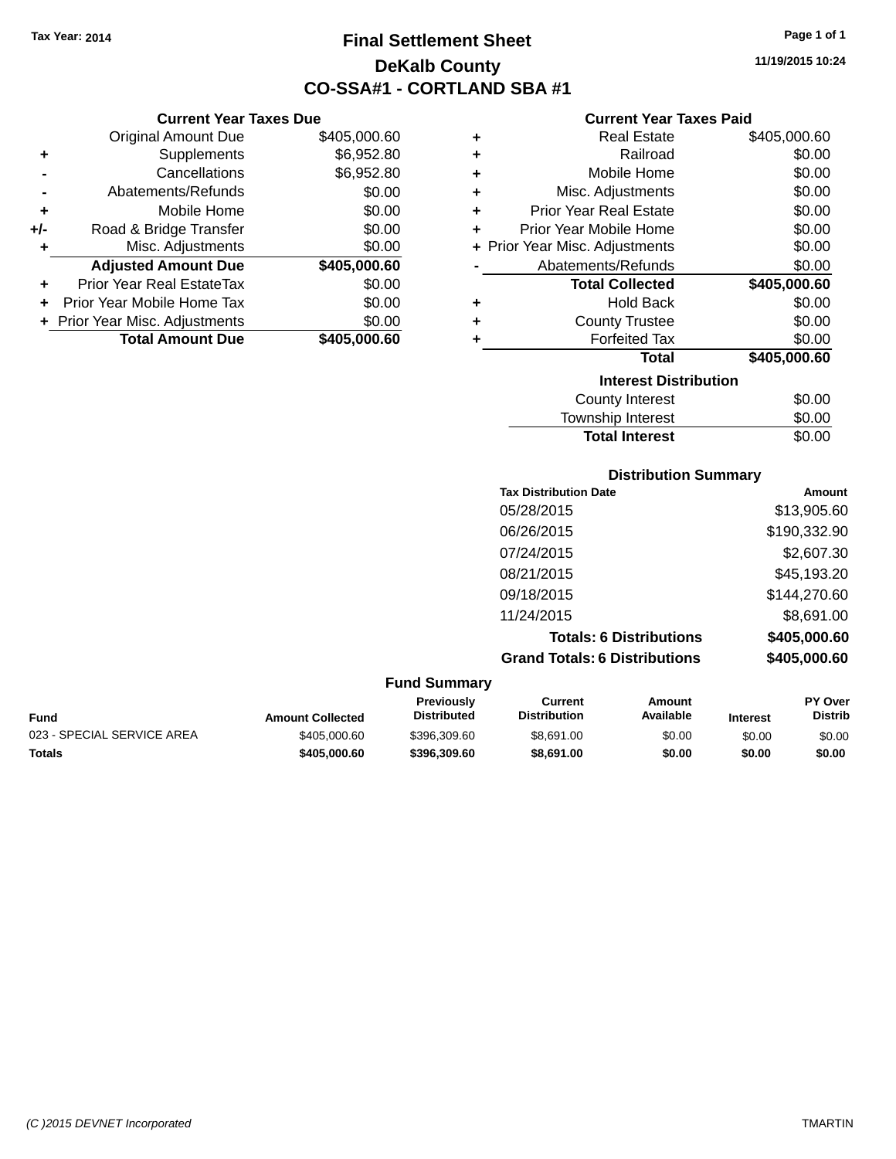**Current Year Taxes Due** Original Amount Due \$405,000.60

**Adjusted Amount Due \$405,000.60**

**Total Amount Due \$405,000.60**

**+** Supplements \$6,952.80 **-** Cancellations \$6,952.80 **-** Abatements/Refunds \$0.00 **+** Mobile Home \$0.00 **+/-** Road & Bridge Transfer \$0.00 **+** Misc. Adjustments \$0.00

**+** Prior Year Real EstateTax \$0.00 **+** Prior Year Mobile Home Tax \$0.00 **+ Prior Year Misc. Adjustments**  $$0.00$ 

## **Final Settlement Sheet Tax Year: 2014 Page 1 of 1 DeKalb County CO-SSA#1 - CORTLAND SBA #1**

**11/19/2015 10:24**

## **Current Year Taxes Paid**

| ٠ | <b>Real Estate</b>             | \$405,000.60 |
|---|--------------------------------|--------------|
| ٠ | Railroad                       | \$0.00       |
| ÷ | Mobile Home                    | \$0.00       |
| ÷ | Misc. Adjustments              | \$0.00       |
| ÷ | <b>Prior Year Real Estate</b>  | \$0.00       |
| ٠ | Prior Year Mobile Home         | \$0.00       |
|   | + Prior Year Misc. Adjustments | \$0.00       |
|   | Abatements/Refunds             | \$0.00       |
|   | <b>Total Collected</b>         | \$405,000.60 |
| ٠ | <b>Hold Back</b>               | \$0.00       |
| ٠ | <b>County Trustee</b>          | \$0.00       |
| ٠ | <b>Forfeited Tax</b>           | \$0.00       |
|   | <b>Total</b>                   | \$405,000.60 |
|   | <b>Interest Distribution</b>   |              |
|   | <b>County Interest</b>         | \$0.00       |
|   |                                |              |

# Township Interest \$0.00 **Total Interest** \$0.00

### **Distribution Summary**

| <b>Tax Distribution Date</b>         | <b>Amount</b> |
|--------------------------------------|---------------|
| 05/28/2015                           | \$13,905.60   |
| 06/26/2015                           | \$190,332.90  |
| 07/24/2015                           | \$2,607.30    |
| 08/21/2015                           | \$45,193.20   |
| 09/18/2015                           | \$144,270.60  |
| 11/24/2015                           | \$8,691.00    |
| <b>Totals: 6 Distributions</b>       | \$405,000.60  |
| <b>Grand Totals: 6 Distributions</b> | \$405,000.60  |

| <b>Fund Summary</b>        |                         |                                         |                                |                     |                 |                                  |
|----------------------------|-------------------------|-----------------------------------------|--------------------------------|---------------------|-----------------|----------------------------------|
| Fund                       | <b>Amount Collected</b> | <b>Previously</b><br><b>Distributed</b> | Current<br><b>Distribution</b> | Amount<br>Available | <b>Interest</b> | <b>PY Over</b><br><b>Distrib</b> |
| 023 - SPECIAL SERVICE AREA | \$405,000.60            | \$396.309.60                            | \$8,691,00                     | \$0.00              | \$0.00          | \$0.00                           |
| Totals                     | \$405,000.60            | \$396,309.60                            | \$8,691.00                     | \$0.00              | \$0.00          | \$0.00                           |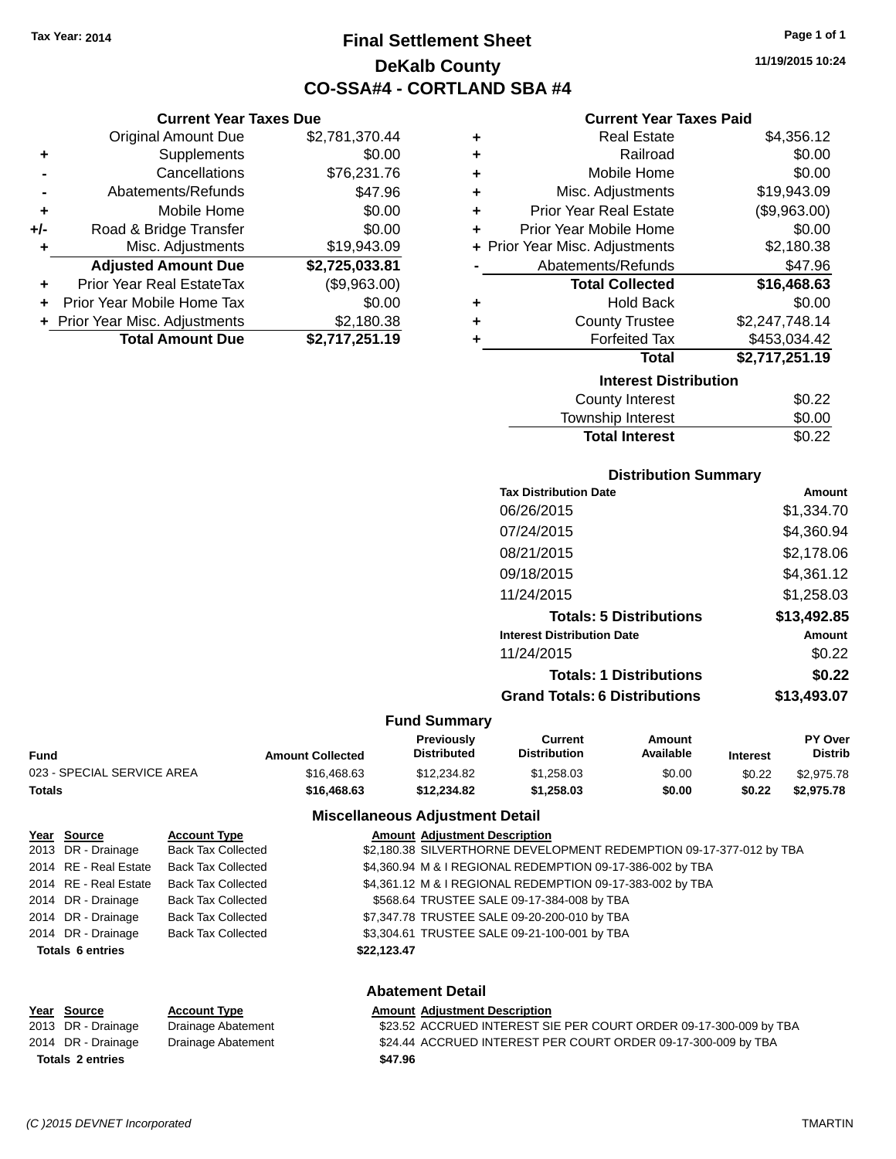**Current Year Taxes Due** Original Amount Due \$2,781,370.44

**Adjusted Amount Due \$2,725,033.81**

**Total Amount Due \$2,717,251.19**

**+** Supplements \$0.00 **-** Cancellations \$76,231.76 **-** Abatements/Refunds \$47.96 **+** Mobile Home \$0.00 **+/-** Road & Bridge Transfer \$0.00 **+** Misc. Adjustments \$19,943.09

**+** Prior Year Real EstateTax (\$9,963.00) **+** Prior Year Mobile Home Tax \$0.00 **+** Prior Year Misc. Adjustments \$2,180.38

## **Final Settlement Sheet Tax Year: 2014 Page 1 of 1 DeKalb County CO-SSA#4 - CORTLAND SBA #4**

**11/19/2015 10:24**

#### **Current Year Taxes Paid**

| ٠ | <b>Real Estate</b>             | \$4,356.12     |
|---|--------------------------------|----------------|
| ٠ | Railroad                       | \$0.00         |
| ٠ | Mobile Home                    | \$0.00         |
| ÷ | Misc. Adjustments              | \$19,943.09    |
| ٠ | <b>Prior Year Real Estate</b>  | (\$9,963.00)   |
| ٠ | Prior Year Mobile Home         | \$0.00         |
|   | + Prior Year Misc. Adjustments | \$2,180.38     |
|   | Abatements/Refunds             | \$47.96        |
|   | <b>Total Collected</b>         | \$16,468.63    |
| ٠ | <b>Hold Back</b>               | \$0.00         |
| ٠ | <b>County Trustee</b>          | \$2,247,748.14 |
|   | <b>Forfeited Tax</b>           | \$453,034.42   |
|   | Total                          | \$2,717,251.19 |
|   | <b>Interest Distribution</b>   |                |
|   | <b>County Interest</b>         | \$0.22         |
|   |                                |                |

| <b>Total Interest</b> | \$0.22 |
|-----------------------|--------|
| Township Interest     | \$0.00 |
| County Interest       | \$0.22 |

#### **Distribution Summary**

| <b>Tax Distribution Date</b>         | Amount      |
|--------------------------------------|-------------|
| 06/26/2015                           | \$1,334.70  |
| 07/24/2015                           | \$4,360.94  |
| 08/21/2015                           | \$2,178.06  |
| 09/18/2015                           | \$4,361.12  |
| 11/24/2015                           | \$1,258.03  |
| <b>Totals: 5 Distributions</b>       | \$13,492.85 |
| <b>Interest Distribution Date</b>    | Amount      |
| 11/24/2015                           | \$0.22      |
| <b>Totals: 1 Distributions</b>       | \$0.22      |
| <b>Grand Totals: 6 Distributions</b> | \$13,493.07 |
|                                      |             |

#### **Fund Summary**

| Fund                       | <b>Amount Collected</b> | Previously<br><b>Distributed</b> | Current<br><b>Distribution</b> | Amount<br>Available | <b>Interest</b> | <b>PY Over</b><br><b>Distrib</b> |
|----------------------------|-------------------------|----------------------------------|--------------------------------|---------------------|-----------------|----------------------------------|
| 023 - SPECIAL SERVICE AREA | \$16,468.63             | \$12,234.82                      | \$1.258.03                     | \$0.00              | \$0.22          | \$2.975.78                       |
| Totals                     | \$16,468,63             | \$12.234.82                      | \$1.258.03                     | \$0.00              | \$0.22          | \$2,975.78                       |

#### **Miscellaneous Adjustment Detail**

|                                        | Year Source             | <b>Account Type</b>       | <b>Amount Adjustment Description</b>                                |  |
|----------------------------------------|-------------------------|---------------------------|---------------------------------------------------------------------|--|
|                                        | 2013 DR - Drainage      | <b>Back Tax Collected</b> | \$2,180.38 SILVERTHORNE DEVELOPMENT REDEMPTION 09-17-377-012 by TBA |  |
|                                        | 2014 RE - Real Estate   | <b>Back Tax Collected</b> | \$4,360.94 M & I REGIONAL REDEMPTION 09-17-386-002 by TBA           |  |
|                                        | 2014 RE - Real Estate   | <b>Back Tax Collected</b> | \$4,361.12 M & I REGIONAL REDEMPTION 09-17-383-002 by TBA           |  |
|                                        | 2014 DR - Drainage      | <b>Back Tax Collected</b> | \$568.64 TRUSTEE SALE 09-17-384-008 by TBA                          |  |
|                                        | 2014 DR - Drainage      | <b>Back Tax Collected</b> | \$7,347.78 TRUSTEE SALE 09-20-200-010 by TBA                        |  |
|                                        | 2014 DR - Drainage      | <b>Back Tax Collected</b> | \$3,304.61 TRUSTEE SALE 09-21-100-001 by TBA                        |  |
| <b>Totals 6 entries</b><br>\$22,123.47 |                         |                           |                                                                     |  |
|                                        |                         |                           |                                                                     |  |
|                                        | <b>Abatement Detail</b> |                           |                                                                     |  |

#### **Year Source Account Type Amount Adjustment Description** 2013 DR - Drainage Brainage Abatement \$23.52 ACCRUED INTEREST SIE PER COURT ORDER 09-17-300-009 by TBA 2014 DR - Drainage Brainage Abatement \$24.44 ACCRUED INTEREST PER COURT ORDER 09-17-300-009 by TBA **Totals \$47.96 2 entries**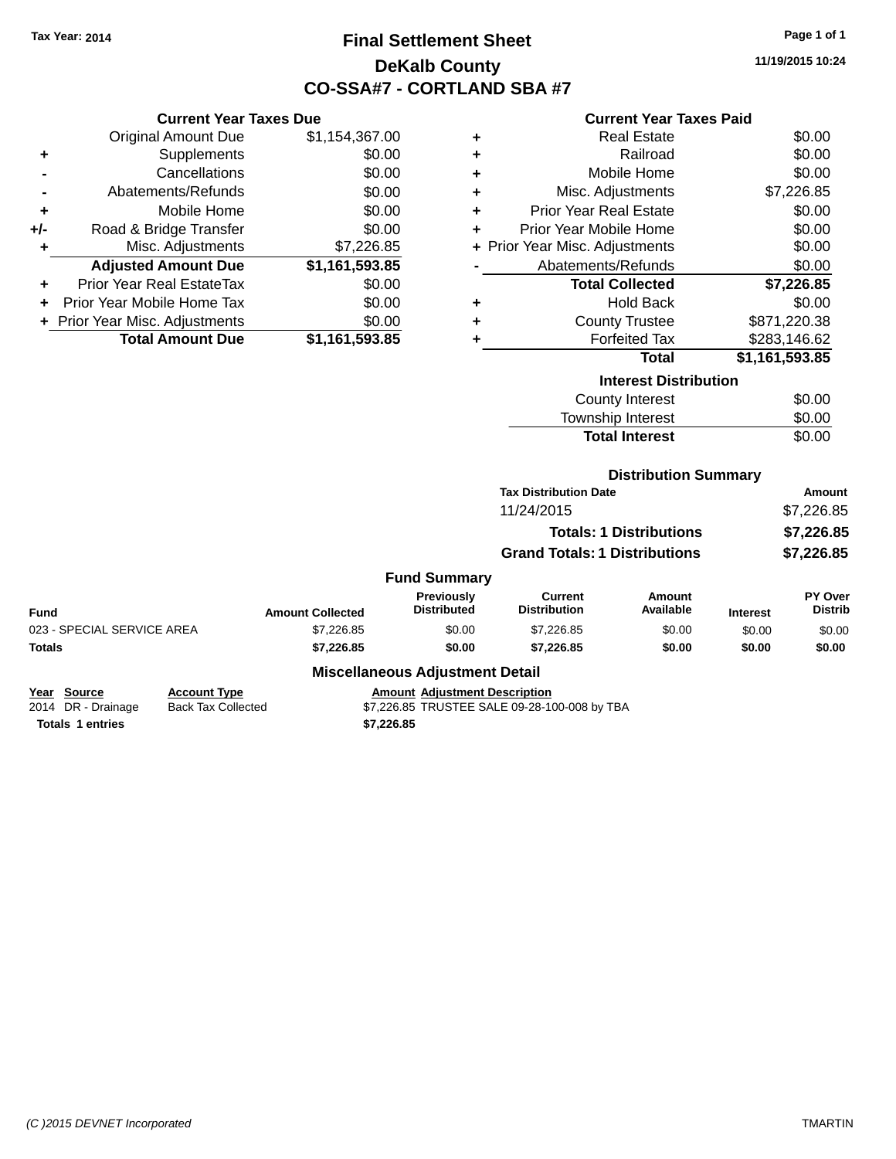## **Final Settlement Sheet Tax Year: 2014 Page 1 of 1 DeKalb County CO-SSA#7 - CORTLAND SBA #7**

**11/19/2015 10:24**

## **Current Year Taxes Due**

|       | <b>Original Amount Due</b>     | \$1,154,367.00 |
|-------|--------------------------------|----------------|
| ٠     | Supplements                    | \$0.00         |
|       | Cancellations                  | \$0.00         |
|       | Abatements/Refunds             | \$0.00         |
| ÷     | Mobile Home                    | \$0.00         |
| $+/-$ | Road & Bridge Transfer         | \$0.00         |
|       | Misc. Adjustments              | \$7,226.85     |
|       | <b>Adjusted Amount Due</b>     | \$1,161,593.85 |
| ٠     | Prior Year Real EstateTax      | \$0.00         |
|       | Prior Year Mobile Home Tax     | \$0.00         |
|       | + Prior Year Misc. Adjustments | \$0.00         |
|       | <b>Total Amount Due</b>        | \$1,161,593.85 |
|       |                                |                |

## **Current Year Taxes Paid**

|   | <b>Interest Distribution</b>   |                |  |  |  |  |
|---|--------------------------------|----------------|--|--|--|--|
|   | Total                          | \$1,161,593.85 |  |  |  |  |
|   | <b>Forfeited Tax</b>           | \$283,146.62   |  |  |  |  |
| ٠ | <b>County Trustee</b>          | \$871,220.38   |  |  |  |  |
| ٠ | <b>Hold Back</b>               | \$0.00         |  |  |  |  |
|   | <b>Total Collected</b>         | \$7,226.85     |  |  |  |  |
|   | Abatements/Refunds             | \$0.00         |  |  |  |  |
|   | + Prior Year Misc. Adjustments | \$0.00         |  |  |  |  |
| ٠ | Prior Year Mobile Home         | \$0.00         |  |  |  |  |
| ٠ | <b>Prior Year Real Estate</b>  | \$0.00         |  |  |  |  |
| ٠ | Misc. Adjustments              | \$7,226.85     |  |  |  |  |
| ٠ | Mobile Home                    | \$0.00         |  |  |  |  |
| ٠ | Railroad                       | \$0.00         |  |  |  |  |
|   | <b>Real Estate</b>             | \$0.00         |  |  |  |  |

| County Interest       | \$0.00 |
|-----------------------|--------|
| Township Interest     | \$0.00 |
| <b>Total Interest</b> | \$0.00 |

## **Distribution Summary**

| <b>Tax Distribution Date</b>         | Amount     |
|--------------------------------------|------------|
| 11/24/2015                           | \$7.226.85 |
| <b>Totals: 1 Distributions</b>       | \$7,226.85 |
| <b>Grand Totals: 1 Distributions</b> | \$7,226.85 |

#### **Fund Summary**

| Fund                       | <b>Amount Collected</b> | <b>Previously</b><br><b>Distributed</b> | Current<br><b>Distribution</b> | Amount<br>Available | <b>Interest</b> | <b>PY Over</b><br><b>Distrib</b> |
|----------------------------|-------------------------|-----------------------------------------|--------------------------------|---------------------|-----------------|----------------------------------|
| 023 - SPECIAL SERVICE AREA | \$7,226.85              | \$0.00                                  | \$7.226.85                     | \$0.00              | \$0.00          | \$0.00                           |
| Totals                     | \$7.226.85              | \$0.00                                  | \$7,226.85                     | \$0.00              | \$0.00          | \$0.00                           |

## **Miscellaneous Adjustment Detail**

| Year Source             | <b>Account Type</b> | <b>Amount Adiustment Description</b>         |
|-------------------------|---------------------|----------------------------------------------|
| 2014 DR - Drainage      | Back Tax Collected  | \$7,226.85 TRUSTEE SALE 09-28-100-008 by TBA |
| <b>Totals 1 entries</b> |                     | \$7.226.85                                   |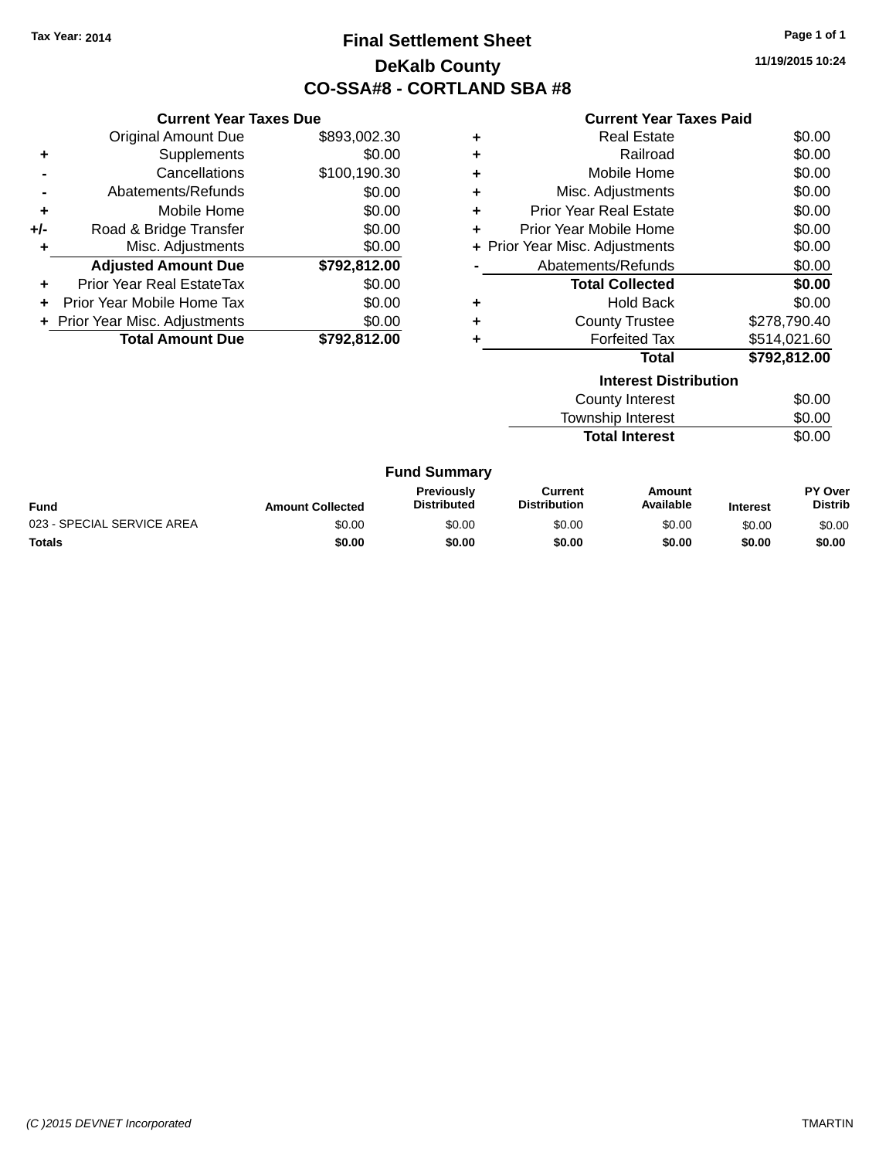## **Final Settlement Sheet Tax Year: 2014 Page 1 of 1 DeKalb County CO-SSA#8 - CORTLAND SBA #8**

**11/19/2015 10:24**

#### **Current Year Taxes Paid**

| <b>Current Year Taxes Due</b> |                                  |              |   | <b>Current Year</b>            |
|-------------------------------|----------------------------------|--------------|---|--------------------------------|
|                               | Original Amount Due              | \$893,002.30 | ÷ | <b>Real Estate</b>             |
| ÷                             | <b>Supplements</b>               | \$0.00       | ÷ | Railroac                       |
|                               | Cancellations                    | \$100,190.30 | ÷ | Mobile Home                    |
|                               | Abatements/Refunds               | \$0.00       | ÷ | Misc. Adjustments              |
| ÷                             | Mobile Home                      | \$0.00       | ÷ | <b>Prior Year Real Estate</b>  |
| $+/-$                         | Road & Bridge Transfer           | \$0.00       | ÷ | Prior Year Mobile Home         |
| ٠                             | Misc. Adjustments                | \$0.00       |   | + Prior Year Misc. Adjustments |
|                               | <b>Adjusted Amount Due</b>       | \$792,812.00 |   | Abatements/Refunds             |
| ٠                             | <b>Prior Year Real EstateTax</b> | \$0.00       |   | <b>Total Collected</b>         |
| ÷.                            | Prior Year Mobile Home Tax       | \$0.00       | ÷ | <b>Hold Back</b>               |
|                               | + Prior Year Misc. Adjustments   | \$0.00       | ÷ | <b>County Trustee</b>          |
|                               | <b>Total Amount Due</b>          | \$792,812.00 | ٠ | <b>Forfeited Tax</b>           |
|                               |                                  |              |   | Total                          |
|                               |                                  |              |   | Interest Di                    |
|                               |                                  |              |   | County Interest                |

|   | Interest Distribution          |              |
|---|--------------------------------|--------------|
|   | Total                          | \$792,812.00 |
|   | <b>Forfeited Tax</b>           | \$514,021.60 |
|   | <b>County Trustee</b>          | \$278,790.40 |
|   | <b>Hold Back</b>               | \$0.00       |
|   | <b>Total Collected</b>         | \$0.00       |
|   | Abatements/Refunds             | \$0.00       |
|   | + Prior Year Misc. Adjustments | \$0.00       |
| ٠ | Prior Year Mobile Home         | \$0.00       |
| ٠ | <b>Prior Year Real Estate</b>  | \$0.00       |
| ٠ | Misc. Adjustments              | \$0.00       |
| ٠ | Mobile Home                    | \$0.00       |
| ٠ | Railroad                       | \$0.00       |
|   | <b>Real Estate</b>             | \$0.00       |

| <u>MICICSL DISLINUITION</u> |        |  |
|-----------------------------|--------|--|
| County Interest             | \$0.00 |  |
| Township Interest           | \$0.00 |  |
| <b>Total Interest</b>       | \$0.00 |  |
|                             |        |  |

| <b>Fund</b>                | <b>Amount Collected</b> | <b>Previously</b><br><b>Distributed</b> | Current<br><b>Distribution</b> | Amount<br>Available | <b>Interest</b> | PY Over<br>Distrib |
|----------------------------|-------------------------|-----------------------------------------|--------------------------------|---------------------|-----------------|--------------------|
| 023 - SPECIAL SERVICE AREA | \$0.00                  | \$0.00                                  | \$0.00                         | \$0.00              | \$0.00          | \$0.00             |
| <b>Totals</b>              | \$0.00                  | \$0.00                                  | \$0.00                         | \$0.00              | \$0.00          | \$0.00             |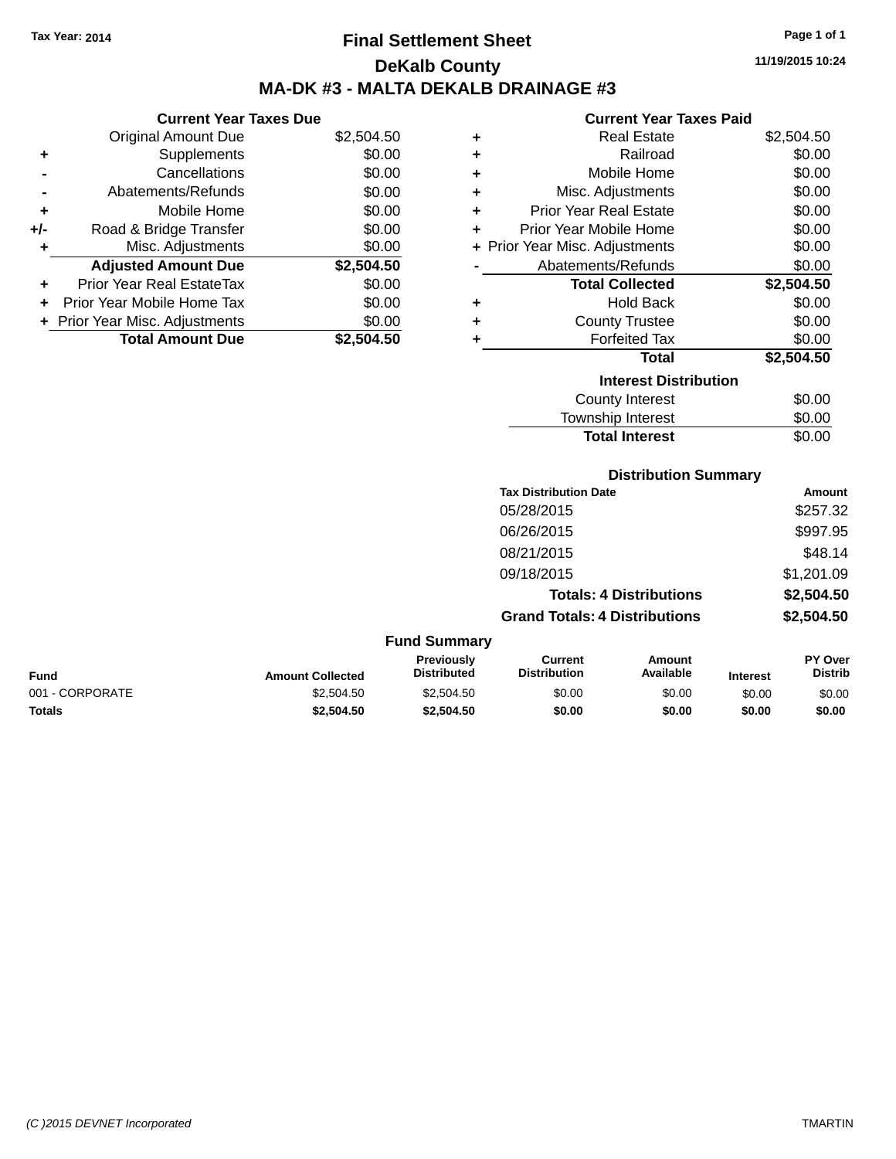## **Final Settlement Sheet Tax Year: 2014 Page 1 of 1 DeKalb County MA-DK #3 - MALTA DEKALB DRAINAGE #3**

#### **Current Year Taxes Due**

|       | <b>Original Amount Due</b>       | \$2,504.50 |
|-------|----------------------------------|------------|
| ٠     | Supplements                      | \$0.00     |
|       | Cancellations                    | \$0.00     |
|       | Abatements/Refunds               | \$0.00     |
| ٠     | Mobile Home                      | \$0.00     |
| $+/-$ | Road & Bridge Transfer           | \$0.00     |
| ٠     | Misc. Adjustments                | \$0.00     |
|       | <b>Adjusted Amount Due</b>       | \$2,504.50 |
| ÷     | <b>Prior Year Real EstateTax</b> | \$0.00     |
|       | Prior Year Mobile Home Tax       | \$0.00     |
|       | + Prior Year Misc. Adjustments   | \$0.00     |
|       | <b>Total Amount Due</b>          | \$2.504.50 |

#### **Current Year Taxes Paid**

| ٠ | <b>Real Estate</b>             | \$2,504.50 |
|---|--------------------------------|------------|
| ÷ | Railroad                       | \$0.00     |
| ٠ | Mobile Home                    | \$0.00     |
| ٠ | Misc. Adjustments              | \$0.00     |
| ٠ | <b>Prior Year Real Estate</b>  | \$0.00     |
| ٠ | Prior Year Mobile Home         | \$0.00     |
|   | + Prior Year Misc. Adjustments | \$0.00     |
|   | Abatements/Refunds             | \$0.00     |
|   | <b>Total Collected</b>         | \$2,504.50 |
| ٠ | Hold Back                      | \$0.00     |
| ٠ | <b>County Trustee</b>          | \$0.00     |
| ٠ | <b>Forfeited Tax</b>           | \$0.00     |
|   | <b>Total</b>                   | \$2,504.50 |
|   | <b>Interest Distribution</b>   |            |
|   | County Interest                | \$0.00     |
|   | <b>Township Interest</b>       | \$0.00     |
|   | <b>Total Interest</b>          | \$0.00     |

#### **Distribution Summary**

| <b>Tax Distribution Date</b>         | Amount     |
|--------------------------------------|------------|
| 05/28/2015                           | \$257.32   |
| 06/26/2015                           | \$997.95   |
| 08/21/2015                           | \$48.14    |
| 09/18/2015                           | \$1,201.09 |
| <b>Totals: 4 Distributions</b>       | \$2,504.50 |
| <b>Grand Totals: 4 Distributions</b> | \$2,504.50 |
|                                      |            |

#### **Fund Summary Fund Interest Amount Collected Distributed PY Over Distrib Amount Available Current Distribution Previously** 001 - CORPORATE 60.00 \$2,504.50 \$2,504.50 \$2,504.50 \$0.00 \$0.00 \$0.00 \$0.00 \$0.00 **Totals \$2,504.50 \$2,504.50 \$0.00 \$0.00 \$0.00 \$0.00**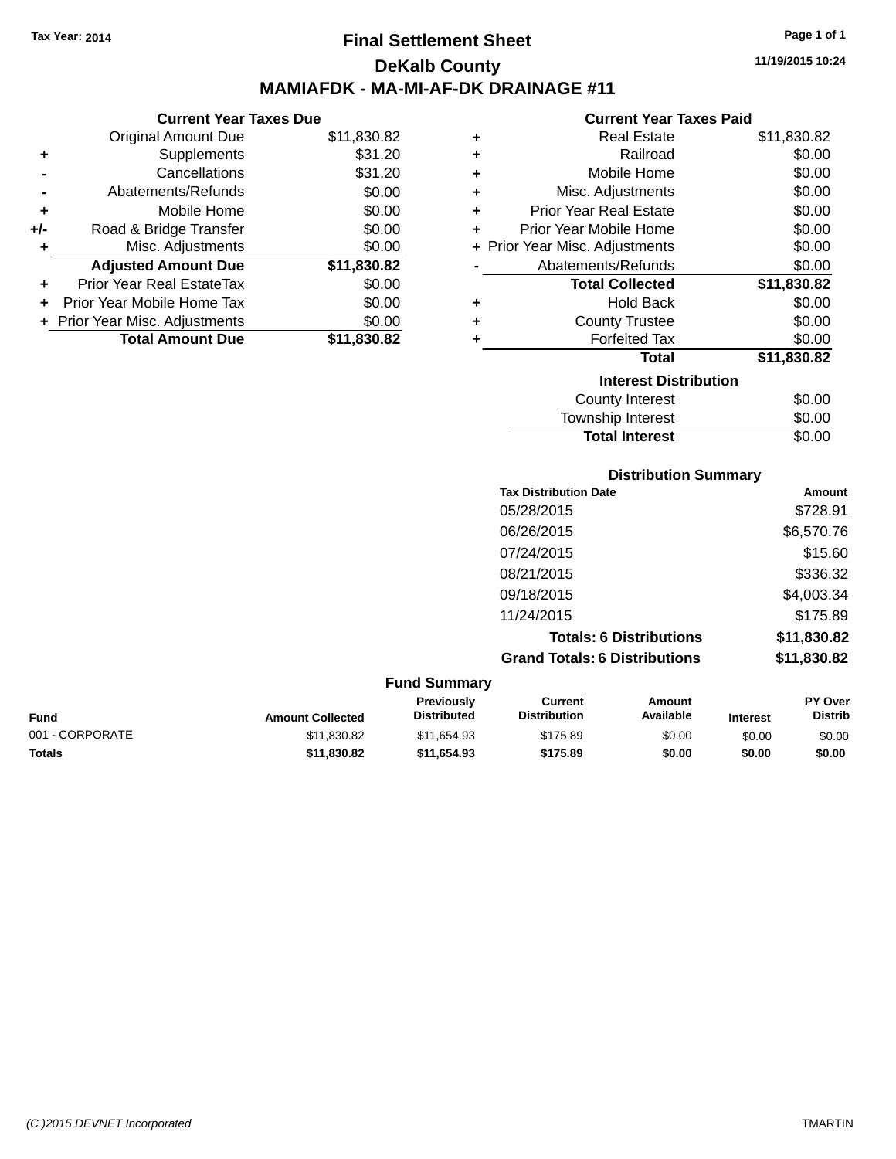**Current Year Taxes Due**

## **Final Settlement Sheet Tax Year: 2014 Page 1 of 1 DeKalb County MAMIAFDK - MA-MI-AF-DK DRAINAGE #11**

**11/19/2015 10:24**

#### **Current Year Taxes Paid**

**Total Interest** \$0.00

|                                  |                                |                       | OUITUR TUUT TUAUJ LUIU        |                                |
|----------------------------------|--------------------------------|-----------------------|-------------------------------|--------------------------------|
| <b>Original Amount Due</b>       | \$11,830.82                    | ٠                     | <b>Real Estate</b>            | \$11,830.82                    |
| Supplements                      | \$31.20                        | ٠                     | Railroad                      | \$0.00                         |
| Cancellations                    | \$31.20                        | ٠                     | Mobile Home                   | \$0.00                         |
| Abatements/Refunds               | \$0.00                         | ÷                     | Misc. Adjustments             | \$0.00                         |
| Mobile Home                      | \$0.00                         | ٠                     | <b>Prior Year Real Estate</b> | \$0.00                         |
| Road & Bridge Transfer           | \$0.00                         |                       | Prior Year Mobile Home        | \$0.00                         |
| Misc. Adjustments                | \$0.00                         |                       |                               | \$0.00                         |
| <b>Adjusted Amount Due</b>       | \$11,830.82                    |                       | Abatements/Refunds            | \$0.00                         |
| <b>Prior Year Real EstateTax</b> | \$0.00                         |                       | <b>Total Collected</b>        | \$11,830.82                    |
| Prior Year Mobile Home Tax       | \$0.00                         | ٠                     | <b>Hold Back</b>              | \$0.00                         |
|                                  | \$0.00                         | ٠                     | <b>County Trustee</b>         | \$0.00                         |
| <b>Total Amount Due</b>          | \$11,830.82                    |                       | <b>Forfeited Tax</b>          | \$0.00                         |
|                                  |                                |                       | <b>Total</b>                  | \$11,830.82                    |
|                                  |                                |                       | <b>Interest Distribution</b>  |                                |
|                                  |                                |                       | <b>County Interest</b>        | \$0.00                         |
|                                  |                                |                       | Township Interest             | \$0.00                         |
|                                  | + Prior Year Misc. Adjustments | OUITUR TUUT TUAUS DUU |                               | + Prior Year Misc. Adjustments |

|                 |                         |                                  |                                       | <b>Distribution Summary</b>    |                 |                           |
|-----------------|-------------------------|----------------------------------|---------------------------------------|--------------------------------|-----------------|---------------------------|
|                 |                         |                                  | <b>Tax Distribution Date</b>          |                                |                 | Amount                    |
|                 |                         |                                  | 05/28/2015                            |                                |                 | \$728.91                  |
|                 |                         |                                  | 06/26/2015                            |                                |                 | \$6,570.76                |
|                 |                         |                                  | 07/24/2015                            |                                |                 | \$15.60                   |
|                 |                         |                                  | 08/21/2015                            |                                |                 | \$336.32                  |
|                 |                         |                                  | 09/18/2015                            |                                |                 | \$4,003.34                |
|                 |                         |                                  | 11/24/2015                            |                                |                 | \$175.89                  |
|                 |                         |                                  |                                       | <b>Totals: 6 Distributions</b> |                 | \$11,830.82               |
|                 |                         |                                  | <b>Grand Totals: 6 Distributions</b>  |                                |                 | \$11,830.82               |
|                 |                         | <b>Fund Summary</b>              |                                       |                                |                 |                           |
| <b>Fund</b>     | <b>Amount Collected</b> | Previously<br><b>Distributed</b> | <b>Current</b><br><b>Distribution</b> | Amount<br>Available            | <b>Interest</b> | PY Over<br><b>Distrib</b> |
| 001 - CORPORATE | \$11,830.82             | \$11,654.93                      | \$175.89                              | \$0.00                         | \$0.00          | \$0.00                    |

**Totals \$11,830.82 \$11,654.93 \$175.89 \$0.00 \$0.00 \$0.00**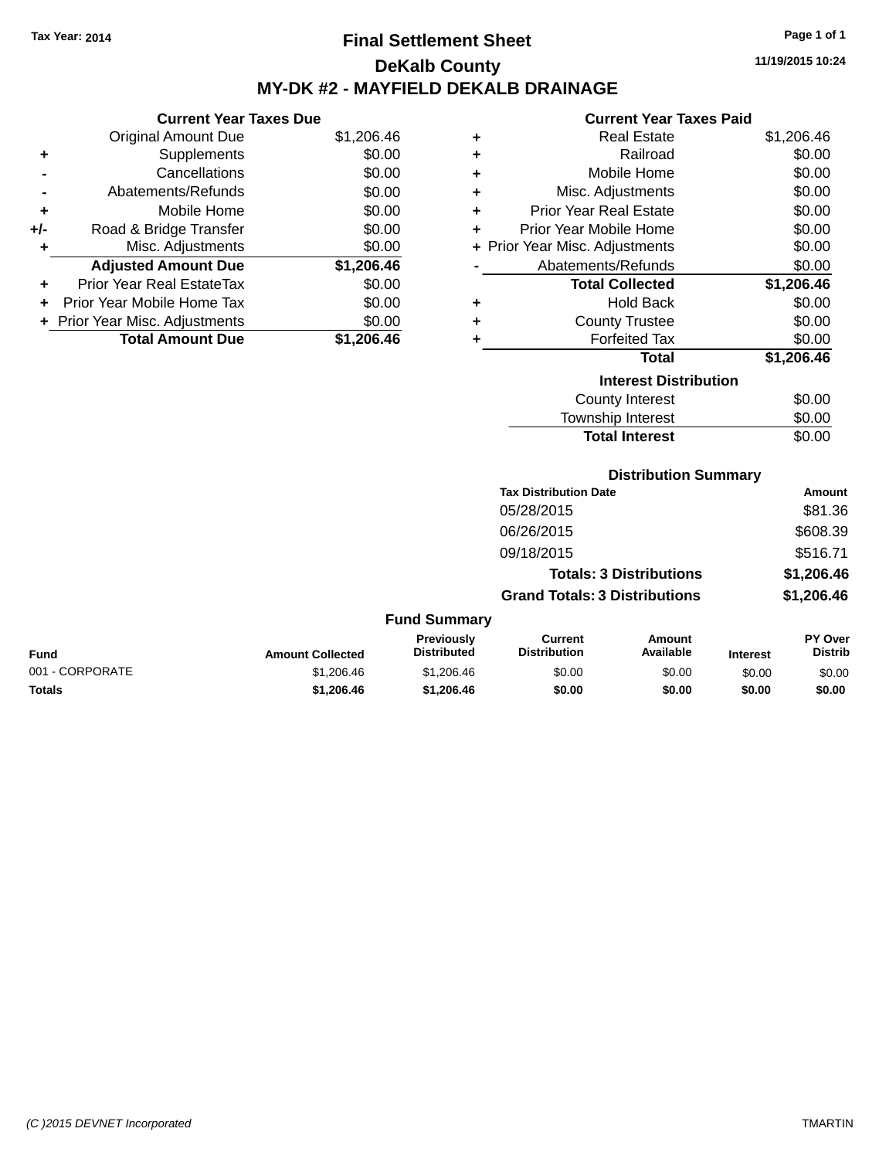## **Final Settlement Sheet Tax Year: 2014 Page 1 of 1 DeKalb County MY-DK #2 - MAYFIELD DEKALB DRAINAGE**

**11/19/2015 10:24**

#### **Current Year Taxes Paid**

|     | <b>Current Year Taxes Due</b>  |            |  |  |  |
|-----|--------------------------------|------------|--|--|--|
|     | <b>Original Amount Due</b>     | \$1,206.46 |  |  |  |
| ٠   | Supplements                    | \$0.00     |  |  |  |
|     | Cancellations                  | \$0.00     |  |  |  |
|     | Abatements/Refunds             | \$0.00     |  |  |  |
| ٠   | Mobile Home                    | \$0.00     |  |  |  |
| +/- | Road & Bridge Transfer         | \$0.00     |  |  |  |
| ٠   | Misc. Adjustments              | \$0.00     |  |  |  |
|     | <b>Adjusted Amount Due</b>     | \$1,206.46 |  |  |  |
| ٠   | Prior Year Real EstateTax      | \$0.00     |  |  |  |
| ÷   | Prior Year Mobile Home Tax     | \$0.00     |  |  |  |
|     | + Prior Year Misc. Adjustments | \$0.00     |  |  |  |
|     | <b>Total Amount Due</b>        | \$1,206.46 |  |  |  |

| ٠ | <b>Real Estate</b>             | \$1,206.46 |
|---|--------------------------------|------------|
| ٠ | Railroad                       | \$0.00     |
| ٠ | Mobile Home                    | \$0.00     |
| ٠ | Misc. Adjustments              | \$0.00     |
| ٠ | Prior Year Real Estate         | \$0.00     |
| ٠ | Prior Year Mobile Home         | \$0.00     |
|   | + Prior Year Misc. Adjustments | \$0.00     |
|   | Abatements/Refunds             | \$0.00     |
|   | <b>Total Collected</b>         | \$1,206.46 |
| ٠ | Hold Back                      | \$0.00     |
| ٠ | <b>County Trustee</b>          | \$0.00     |
| ٠ | <b>Forfeited Tax</b>           | \$0.00     |
|   | <b>Total</b>                   | \$1,206.46 |
|   | <b>Interest Distribution</b>   |            |
|   | <b>County Interest</b>         | \$0.00     |
|   | <b>Township Interest</b>       | \$0.00     |
|   | <b>Total Interest</b>          | \$0.00     |

| <b>Distribution Summary</b> |  |
|-----------------------------|--|
|-----------------------------|--|

|                     | <b>Tax Distribution Date</b>         | <b>Amount</b> |
|---------------------|--------------------------------------|---------------|
|                     | 05/28/2015                           | \$81.36       |
|                     | 06/26/2015                           | \$608.39      |
|                     | 09/18/2015                           | \$516.71      |
|                     | <b>Totals: 3 Distributions</b>       | \$1,206.46    |
|                     | <b>Grand Totals: 3 Distributions</b> | \$1,206.46    |
| <b>Fund Summary</b> |                                      |               |

| <b>Fund</b>     | <b>Amount Collected</b> | Previously<br><b>Distributed</b> | Current<br><b>Distribution</b> | Amount<br>Available | <b>Interest</b> | PY Over<br>Distrib |
|-----------------|-------------------------|----------------------------------|--------------------------------|---------------------|-----------------|--------------------|
| 001 - CORPORATE | \$1.206.46              | \$1,206.46                       | \$0.00                         | \$0.00              | \$0.00          | \$0.00             |
| <b>Totals</b>   | \$1,206.46              | \$1,206.46                       | \$0.00                         | \$0.00              | \$0.00          | \$0.00             |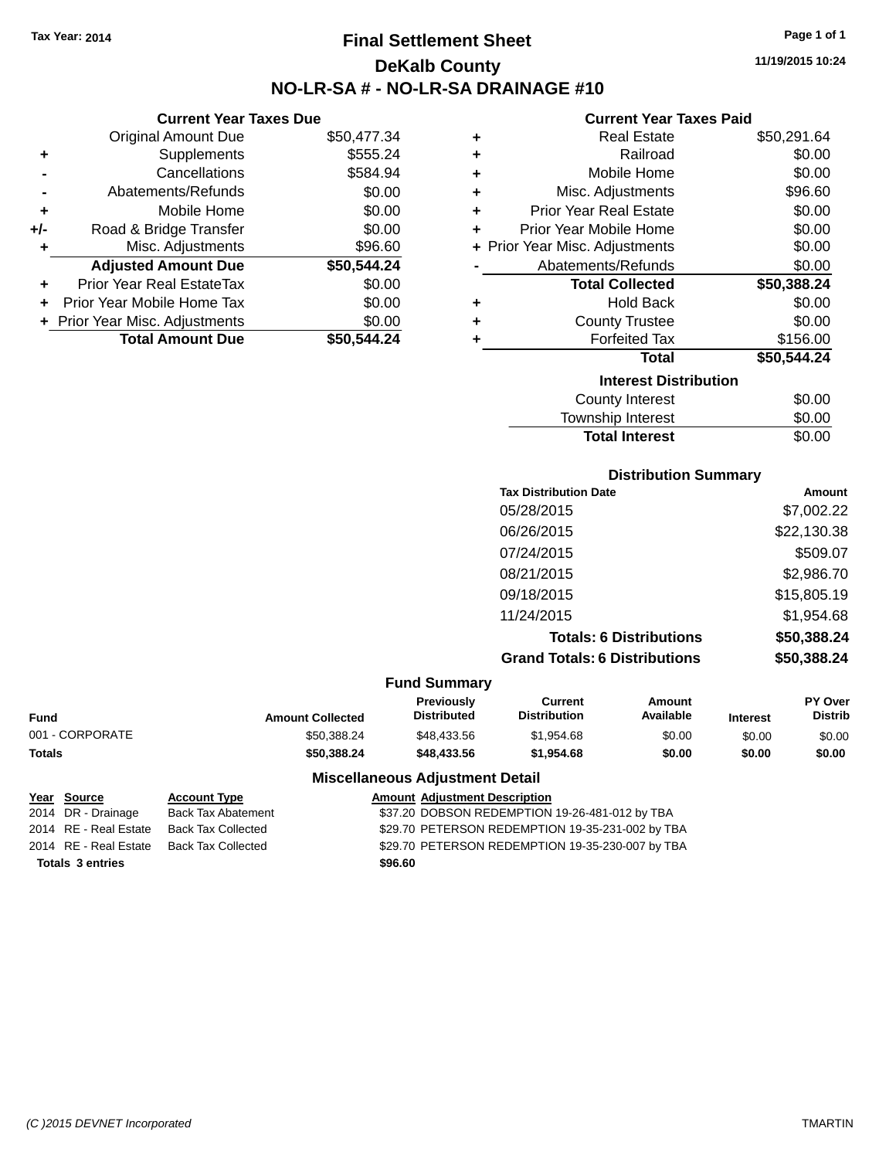## **Final Settlement Sheet Tax Year: 2014 Page 1 of 1 DeKalb County NO-LR-SA # - NO-LR-SA DRAINAGE #10**

**11/19/2015 10:24**

#### **Current Year Taxes Paid**

| ٠                            | <b>Real Estate</b>             | \$50,291.64 |
|------------------------------|--------------------------------|-------------|
| ٠                            | Railroad                       | \$0.00      |
| ٠                            | Mobile Home                    | \$0.00      |
| ٠                            | Misc. Adjustments              | \$96.60     |
| ٠                            | <b>Prior Year Real Estate</b>  | \$0.00      |
| ٠                            | Prior Year Mobile Home         | \$0.00      |
|                              | + Prior Year Misc. Adjustments | \$0.00      |
|                              | Abatements/Refunds             | \$0.00      |
|                              | <b>Total Collected</b>         | \$50,388.24 |
| ٠                            | <b>Hold Back</b>               | \$0.00      |
| ٠                            | <b>County Trustee</b>          | \$0.00      |
| ٠                            | <b>Forfeited Tax</b>           | \$156.00    |
|                              | Total                          | \$50,544.24 |
| <b>Interest Distribution</b> |                                |             |
|                              | <b>County Interest</b>         | \$0.00      |
|                              | <b>Township Interest</b>       | \$0.00      |

**Total Interest** \$0.00

|                                              | <b>Distribution Summary</b>          |              |
|----------------------------------------------|--------------------------------------|--------------|
|                                              | <b>Tax Distribution Date</b>         | Amount       |
|                                              | 05/28/2015                           | \$7,002.22   |
|                                              | 06/26/2015                           | \$22,130.38  |
|                                              | 07/24/2015                           | \$509.07     |
|                                              | 08/21/2015                           | \$2,986.70   |
|                                              | 09/18/2015                           | \$15,805.19  |
|                                              | 11/24/2015                           | \$1,954.68   |
|                                              | <b>Totals: 6 Distributions</b>       | \$50,388.24  |
|                                              | <b>Grand Totals: 6 Distributions</b> | \$50,388.24  |
| <b>Fund Summary</b>                          |                                      |              |
| Production of the second state of the second |                                      | $\mathbf{m}$ |

| <b>Fund</b>     | <b>Amount Collected</b> | <b>Previously</b><br><b>Distributed</b> | Current<br><b>Distribution</b> | Amount<br>Available | <b>Interest</b> | <b>PY Over</b><br>Distrib |
|-----------------|-------------------------|-----------------------------------------|--------------------------------|---------------------|-----------------|---------------------------|
| 001 - CORPORATE | \$50,388.24             | \$48.433.56                             | \$1.954.68                     | \$0.00              | \$0.00          | \$0.00                    |
| Totals          | \$50.388.24             | \$48,433,56                             | \$1.954.68                     | \$0.00              | \$0.00          | \$0.00                    |

## **Miscellaneous Adjustment Detail**

**Year Source Account Type Amount Adjustment Description** 2014 DR - Drainage Back Tax Abatement **337.20 DOBSON REDEMPTION 19-26-481-012 by TBA** 2014 RE - Real Estate Back Tax Collected \$29.70 PETERSON REDEMPTION 19-35-231-002 by TBA 2014 RE - Real Estate Back Tax Collected \$29.70 PETERSON REDEMPTION 19-35-230-007 by TBA

# **Totals \$96.60 3 entries**

**Current Year Taxes Due** Original Amount Due \$50,477.34

**Adjusted Amount Due \$50,544.24**

**Total Amount Due \$50,544.24**

**+** Supplements \$555.24 **-** Cancellations **\$584.94 -** Abatements/Refunds \$0.00 **+** Mobile Home \$0.00 **+/-** Road & Bridge Transfer \$0.00 **+** Misc. Adjustments \$96.60

**+** Prior Year Real EstateTax \$0.00 **+** Prior Year Mobile Home Tax \$0.00 **+** Prior Year Misc. Adjustments  $$0.00$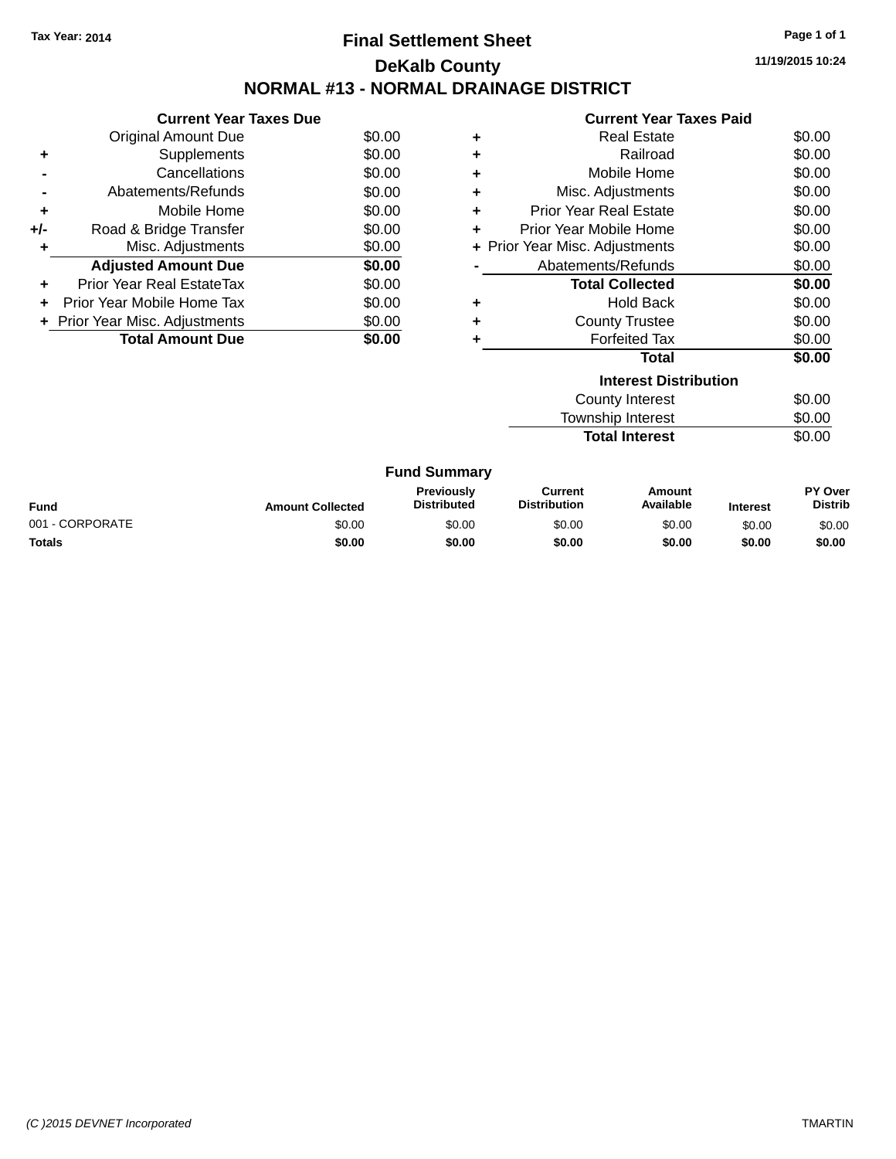## **Final Settlement Sheet Tax Year: 2014 Page 1 of 1 DeKalb County NORMAL #13 - NORMAL DRAINAGE DISTRICT**

**11/19/2015 10:24**

| Current Year Tayes Paid |
|-------------------------|

|     | <b>Current Year Taxes Due</b>  |        |
|-----|--------------------------------|--------|
|     | Original Amount Due            | \$0.00 |
|     | Supplements                    | \$0.00 |
|     | Cancellations                  | \$0.00 |
|     | Abatements/Refunds             | \$0.00 |
| ٠   | Mobile Home                    | \$0.00 |
| +/- | Road & Bridge Transfer         | \$0.00 |
| ٠   | Misc. Adjustments              | \$0.00 |
|     | <b>Adjusted Amount Due</b>     | \$0.00 |
| ٠   | Prior Year Real EstateTax      | \$0.00 |
|     | Prior Year Mobile Home Tax     | \$0.00 |
|     | + Prior Year Misc. Adjustments | \$0.00 |
|     | <b>Total Amount Due</b>        | \$0.00 |
|     |                                |        |

|   | Gullelil Ital Taxts Falu       |        |
|---|--------------------------------|--------|
| ٠ | <b>Real Estate</b>             | \$0.00 |
| ٠ | Railroad                       | \$0.00 |
| ÷ | Mobile Home                    | \$0.00 |
| ٠ | Misc. Adjustments              | \$0.00 |
| ٠ | Prior Year Real Estate         | \$0.00 |
| ٠ | Prior Year Mobile Home         | \$0.00 |
|   | + Prior Year Misc. Adjustments | \$0.00 |
|   | Abatements/Refunds             | \$0.00 |
|   | <b>Total Collected</b>         | \$0.00 |
| ٠ | Hold Back                      | \$0.00 |
| ٠ | <b>County Trustee</b>          | \$0.00 |
| ٠ | <b>Forfeited Tax</b>           | \$0.00 |
|   | <b>Total</b>                   | \$0.00 |
|   | <b>Interest Distribution</b>   |        |
|   | <b>County Interest</b>         | \$0.00 |

**Total Interest** 

Township Interest \$0.00<br>
Total Interest \$0.00

|                 |                         | <b>Fund Summary</b>                     |                                |                     |                 |                           |
|-----------------|-------------------------|-----------------------------------------|--------------------------------|---------------------|-----------------|---------------------------|
| Fund            | <b>Amount Collected</b> | <b>Previously</b><br><b>Distributed</b> | Current<br><b>Distribution</b> | Amount<br>Available | <b>Interest</b> | PY Over<br><b>Distrib</b> |
| 001 - CORPORATE | \$0.00                  | \$0.00                                  | \$0.00                         | \$0.00              | \$0.00          | \$0.00                    |
| <b>Totals</b>   | \$0.00                  | \$0.00                                  | \$0.00                         | \$0.00              | \$0.00          | \$0.00                    |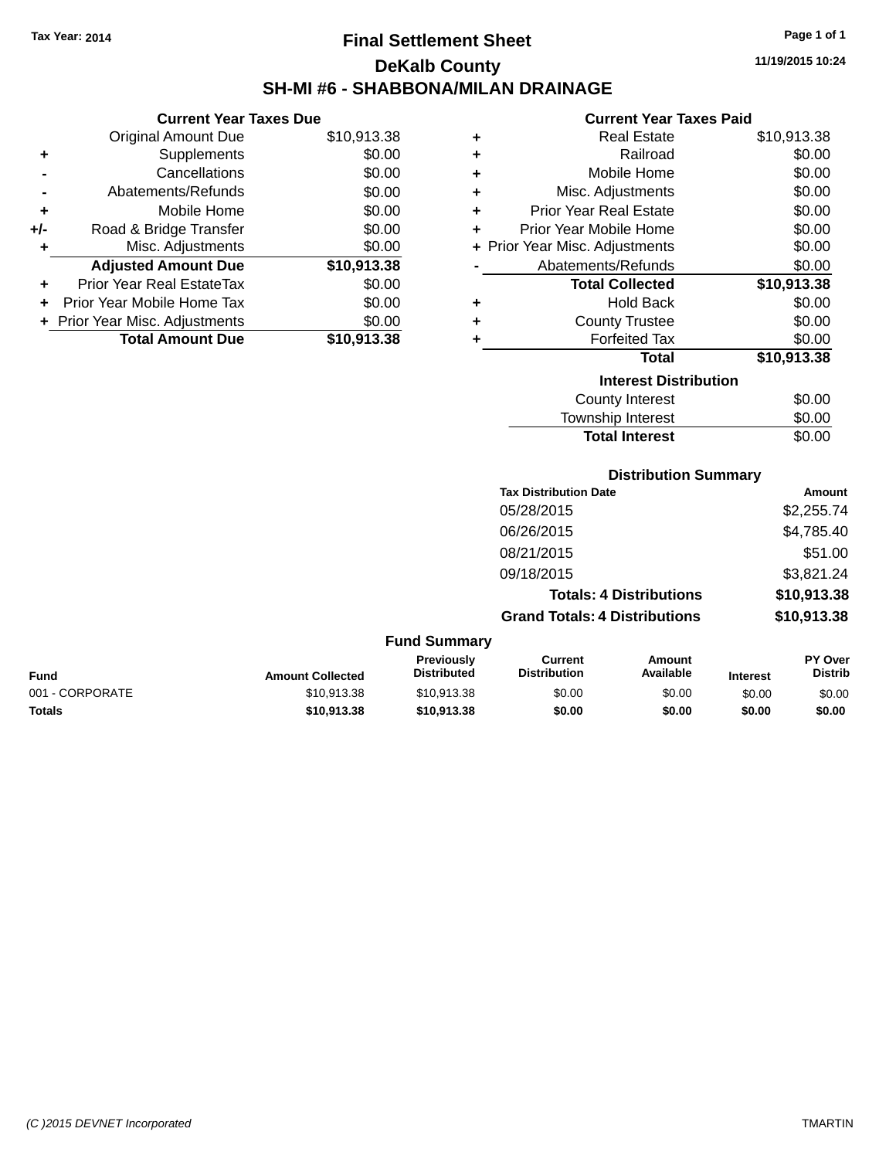## **Final Settlement Sheet Tax Year: 2014 Page 1 of 1 DeKalb County SH-MI #6 - SHABBONA/MILAN DRAINAGE**

**11/19/2015 10:24**

## **Current Year Taxes Paid**

|     | <b>Current Year Taxes Due</b>  |             |
|-----|--------------------------------|-------------|
|     | Original Amount Due            | \$10,913.38 |
| ٠   | Supplements                    | \$0.00      |
|     | Cancellations                  | \$0.00      |
|     | Abatements/Refunds             | \$0.00      |
| ٠   | Mobile Home                    | \$0.00      |
| +/- | Road & Bridge Transfer         | \$0.00      |
| ٠   | Misc. Adjustments              | \$0.00      |
|     | <b>Adjusted Amount Due</b>     | \$10,913.38 |
|     | Prior Year Real EstateTax      | \$0.00      |
| ÷   | Prior Year Mobile Home Tax     | \$0.00      |
|     | + Prior Year Misc. Adjustments | \$0.00      |
|     | <b>Total Amount Due</b>        | \$10,913.38 |

| ٠ | <b>Real Estate</b>             | \$10,913.38 |
|---|--------------------------------|-------------|
| ٠ | Railroad                       | \$0.00      |
| ٠ | Mobile Home                    | \$0.00      |
| ٠ | Misc. Adjustments              | \$0.00      |
| ٠ | Prior Year Real Estate         | \$0.00      |
| ٠ | Prior Year Mobile Home         | \$0.00      |
|   | + Prior Year Misc. Adjustments | \$0.00      |
|   | Abatements/Refunds             | \$0.00      |
|   | <b>Total Collected</b>         | \$10,913.38 |
| ٠ | Hold Back                      | \$0.00      |
| ٠ | <b>County Trustee</b>          | \$0.00      |
| ٠ | <b>Forfeited Tax</b>           | \$0.00      |
|   | <b>Total</b>                   | \$10,913.38 |
|   | <b>Interest Distribution</b>   |             |
|   | <b>County Interest</b>         | \$0.00      |
|   | <b>Township Interest</b>       | \$0.00      |
|   | <b>Total Interest</b>          | \$0.00      |

## **Distribution Summary**

| <b>Tax Distribution Date</b>         | Amount      |
|--------------------------------------|-------------|
| 05/28/2015                           | \$2,255.74  |
| 06/26/2015                           | \$4,785.40  |
| 08/21/2015                           | \$51.00     |
| 09/18/2015                           | \$3,821.24  |
| <b>Totals: 4 Distributions</b>       | \$10,913.38 |
| <b>Grand Totals: 4 Distributions</b> | \$10,913.38 |

| Fund            | <b>Amount Collected</b> | Previously<br><b>Distributed</b> | Current<br><b>Distribution</b> | Amount<br>Available | <b>Interest</b> | <b>PY Over</b><br><b>Distrib</b> |
|-----------------|-------------------------|----------------------------------|--------------------------------|---------------------|-----------------|----------------------------------|
| 001 - CORPORATE | \$10.913.38             | \$10.913.38                      | \$0.00                         | \$0.00              | \$0.00          | \$0.00                           |
| <b>Totals</b>   | \$10,913.38             | \$10.913.38                      | \$0.00                         | \$0.00              | \$0.00          | \$0.00                           |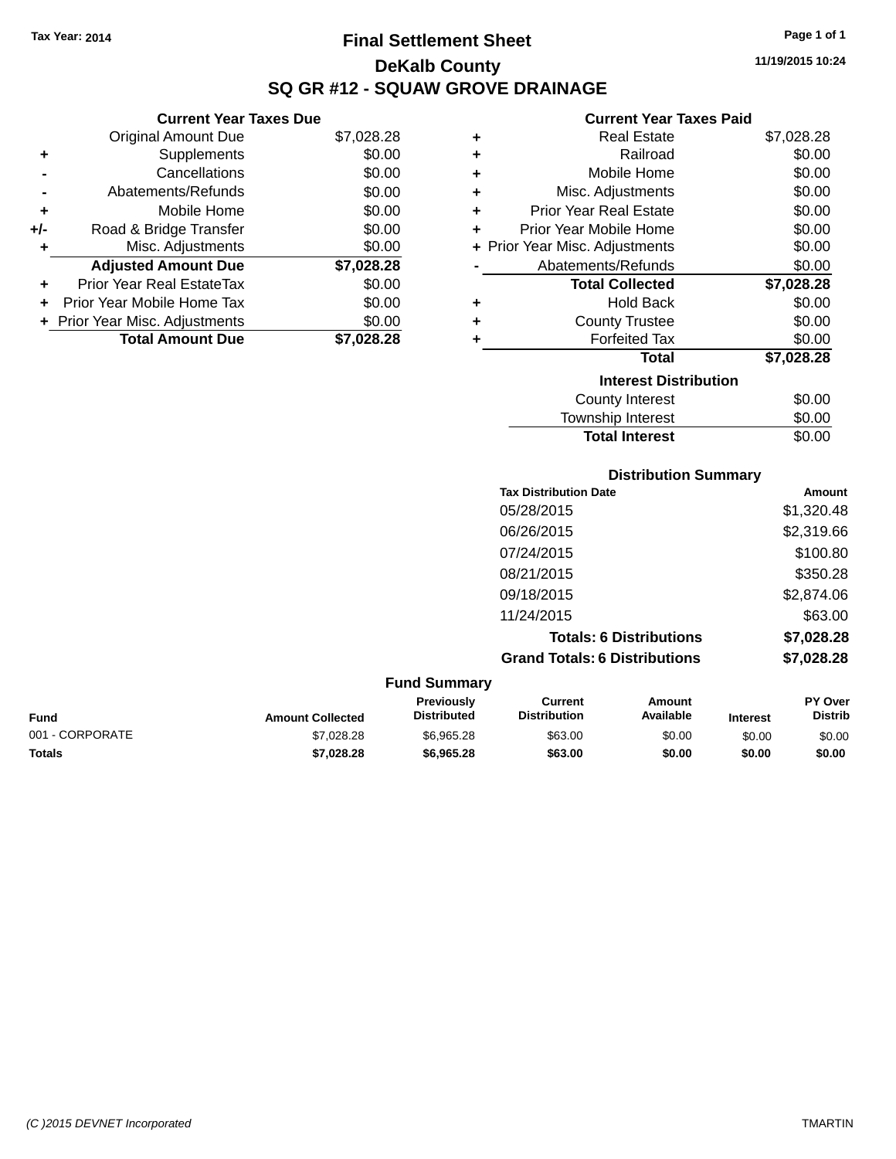**Current Year Taxes Due** Original Amount Due \$7,028.28

**Adjusted Amount Due \$7,028.28**

**Total Amount Due \$7,028.28**

**+** Supplements \$0.00 **-** Cancellations \$0.00 **-** Abatements/Refunds \$0.00 **+** Mobile Home \$0.00 **+/-** Road & Bridge Transfer \$0.00 **+** Misc. Adjustments \$0.00

**+** Prior Year Real EstateTax \$0.00 **+** Prior Year Mobile Home Tax \$0.00 **+ Prior Year Misc. Adjustments**  $$0.00$ 

## **Final Settlement Sheet Tax Year: 2014 Page 1 of 1 DeKalb County SQ GR #12 - SQUAW GROVE DRAINAGE**

**11/19/2015 10:24**

#### **Current Year Taxes Paid**

Total Interest \$0.00

| <b>Real Estate</b>             | \$7,028.28                   |
|--------------------------------|------------------------------|
| Railroad                       | \$0.00                       |
| Mobile Home                    | \$0.00                       |
| Misc. Adjustments              | \$0.00                       |
| <b>Prior Year Real Estate</b>  | \$0.00                       |
| Prior Year Mobile Home         | \$0.00                       |
| + Prior Year Misc. Adjustments | \$0.00                       |
| Abatements/Refunds             | \$0.00                       |
| <b>Total Collected</b>         | \$7,028.28                   |
| <b>Hold Back</b>               | \$0.00                       |
| <b>County Trustee</b>          | \$0.00                       |
| <b>Forfeited Tax</b>           | \$0.00                       |
| <b>Total</b>                   | \$7,028.28                   |
|                                |                              |
| <b>County Interest</b>         | \$0.00                       |
| Township Interest              | \$0.00                       |
|                                | <b>Interest Distribution</b> |

|                 |                         |                                  | <b>Distribution Summary</b>           |                                |                 |                           |
|-----------------|-------------------------|----------------------------------|---------------------------------------|--------------------------------|-----------------|---------------------------|
|                 |                         |                                  | <b>Tax Distribution Date</b>          |                                |                 | Amount                    |
|                 |                         |                                  | 05/28/2015                            |                                |                 | \$1,320.48                |
|                 |                         |                                  | 06/26/2015                            |                                |                 | \$2,319.66                |
|                 |                         |                                  | 07/24/2015                            |                                |                 | \$100.80                  |
|                 |                         |                                  | 08/21/2015                            |                                |                 | \$350.28                  |
|                 |                         |                                  | 09/18/2015                            |                                |                 | \$2,874.06                |
|                 |                         |                                  | 11/24/2015                            |                                |                 | \$63.00                   |
|                 |                         |                                  |                                       | <b>Totals: 6 Distributions</b> |                 | \$7,028.28                |
|                 |                         |                                  | <b>Grand Totals: 6 Distributions</b>  |                                |                 | \$7,028.28                |
|                 |                         | <b>Fund Summary</b>              |                                       |                                |                 |                           |
| <b>Fund</b>     | <b>Amount Collected</b> | Previously<br><b>Distributed</b> | <b>Current</b><br><b>Distribution</b> | <b>Amount</b><br>Available     | <b>Interest</b> | PY Over<br><b>Distrib</b> |
| 001 - CORPORATE | \$7,028.28              | \$6,965.28                       | \$63.00                               | \$0.00                         | \$0.00          | \$0.00                    |

**Totals \$7,028.28 \$6,965.28 \$63.00 \$0.00 \$0.00 \$0.00**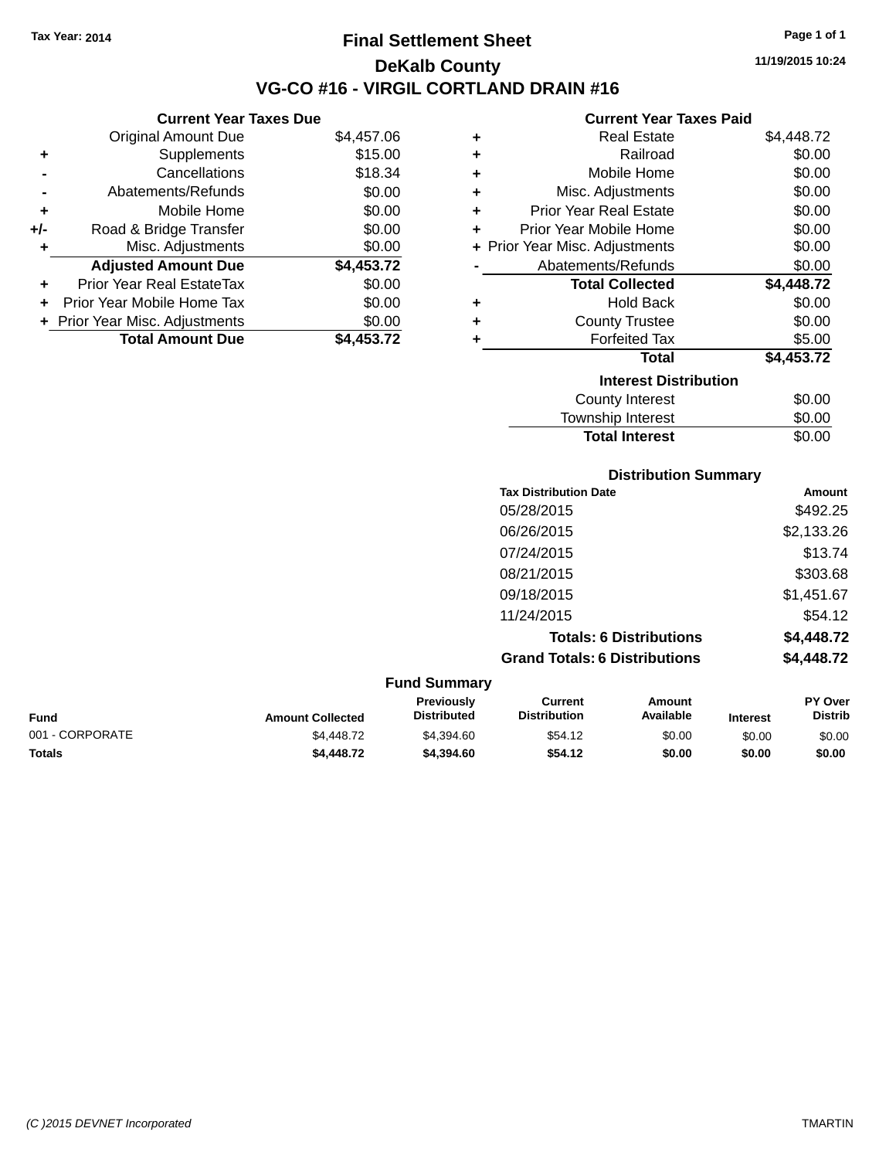## **Final Settlement Sheet Tax Year: 2014 Page 1 of 1 DeKalb County VG-CO #16 - VIRGIL CORTLAND DRAIN #16**

**11/19/2015 10:24**

## **Current Year Taxes Paid**

|     | <b>Current Year Taxes Due</b>  |            |     |
|-----|--------------------------------|------------|-----|
|     | <b>Original Amount Due</b>     | \$4,457.06 |     |
|     | Supplements                    | \$15.00    |     |
|     | Cancellations                  | \$18.34    |     |
|     | Abatements/Refunds             | \$0.00     | ٠   |
|     | Mobile Home                    | \$0.00     |     |
| +/- | Road & Bridge Transfer         | \$0.00     |     |
|     | Misc. Adjustments              | \$0.00     | + F |
|     | <b>Adjusted Amount Due</b>     | \$4,453.72 |     |
|     | Prior Year Real EstateTax      | \$0.00     |     |
|     | Prior Year Mobile Home Tax     | \$0.00     |     |
|     | + Prior Year Misc. Adjustments | \$0.00     |     |
|     | <b>Total Amount Due</b>        | \$4,453.72 |     |
|     |                                |            |     |

| ٠ | <b>Real Estate</b>             | \$4,448.72 |
|---|--------------------------------|------------|
| ٠ | Railroad                       | \$0.00     |
| ٠ | Mobile Home                    | \$0.00     |
| ٠ | Misc. Adjustments              | \$0.00     |
| ٠ | <b>Prior Year Real Estate</b>  | \$0.00     |
| ٠ | Prior Year Mobile Home         | \$0.00     |
|   | + Prior Year Misc. Adjustments | \$0.00     |
|   | Abatements/Refunds             | \$0.00     |
|   | <b>Total Collected</b>         | \$4,448.72 |
| ٠ | Hold Back                      | \$0.00     |
| ٠ | <b>County Trustee</b>          | \$0.00     |
| ٠ | <b>Forfeited Tax</b>           | \$5.00     |
|   | <b>Total</b>                   | \$4,453.72 |
|   | <b>Interest Distribution</b>   |            |
|   | County Interest                | \$0.00     |
|   | <b>Township Interest</b>       | \$0.00     |
|   | <b>Total Interest</b>          | \$0.00     |

|                 |                         |                                  | <b>Distribution Summary</b>           |                                |                 |                           |
|-----------------|-------------------------|----------------------------------|---------------------------------------|--------------------------------|-----------------|---------------------------|
|                 |                         |                                  | <b>Tax Distribution Date</b>          |                                |                 | Amount                    |
|                 |                         |                                  | 05/28/2015                            |                                |                 | \$492.25                  |
|                 |                         |                                  | 06/26/2015                            |                                |                 | \$2,133.26                |
|                 |                         |                                  | 07/24/2015                            |                                |                 | \$13.74                   |
|                 |                         |                                  | 08/21/2015                            |                                |                 | \$303.68                  |
|                 |                         |                                  | 09/18/2015                            |                                |                 | \$1,451.67                |
|                 |                         |                                  | 11/24/2015                            |                                |                 | \$54.12                   |
|                 |                         |                                  |                                       | <b>Totals: 6 Distributions</b> |                 | \$4,448.72                |
|                 |                         |                                  | <b>Grand Totals: 6 Distributions</b>  |                                |                 | \$4,448.72                |
|                 |                         | <b>Fund Summary</b>              |                                       |                                |                 |                           |
| <b>Fund</b>     | <b>Amount Collected</b> | Previously<br><b>Distributed</b> | <b>Current</b><br><b>Distribution</b> | <b>Amount</b><br>Available     | <b>Interest</b> | PY Over<br><b>Distrib</b> |
| 001 - CORPORATE | \$4,448.72              | \$4,394.60                       | \$54.12                               | \$0.00                         | \$0.00          | \$0.00                    |
| <b>Totals</b>   | \$4,448.72              | \$4,394.60                       | \$54.12                               | \$0.00                         | \$0.00          | \$0.00                    |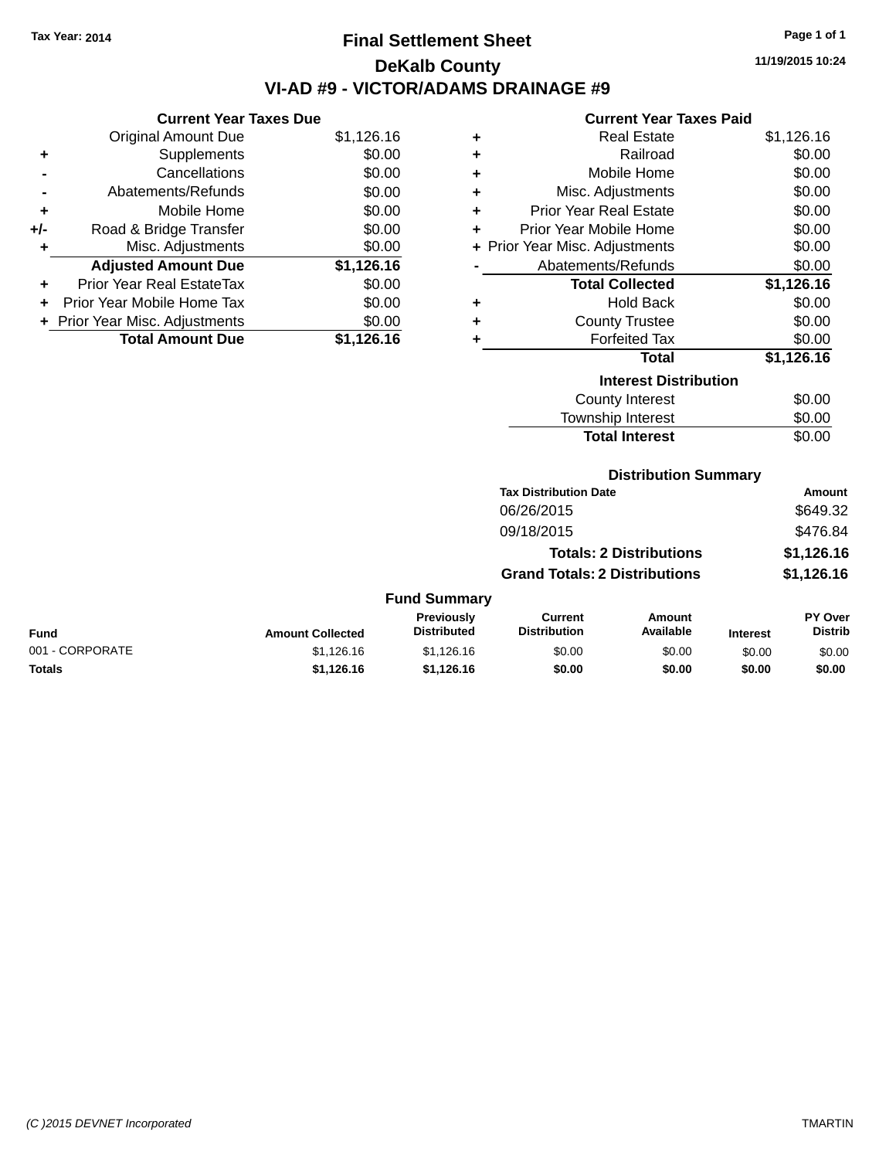## **Final Settlement Sheet Tax Year: 2014 Page 1 of 1 DeKalb County VI-AD #9 - VICTOR/ADAMS DRAINAGE #9**

**11/19/2015 10:24**

#### **Current Year Taxes Paid**

|     | <b>Current Year Taxes Due</b>    |            |
|-----|----------------------------------|------------|
|     | <b>Original Amount Due</b>       | \$1,126.16 |
| ٠   | Supplements                      | \$0.00     |
|     | Cancellations                    | \$0.00     |
|     | Abatements/Refunds               | \$0.00     |
| ٠   | Mobile Home                      | \$0.00     |
| +/- | Road & Bridge Transfer           | \$0.00     |
| ٠   | Misc. Adjustments                | \$0.00     |
|     | <b>Adjusted Amount Due</b>       | \$1,126.16 |
| ٠   | <b>Prior Year Real EstateTax</b> | \$0.00     |
|     | Prior Year Mobile Home Tax       | \$0.00     |
|     | + Prior Year Misc. Adjustments   | \$0.00     |
|     | <b>Total Amount Due</b>          | \$1.126.16 |

| ٠ | <b>Real Estate</b>             | \$1,126.16 |
|---|--------------------------------|------------|
| ٠ | Railroad                       | \$0.00     |
| ÷ | Mobile Home                    | \$0.00     |
| ÷ | Misc. Adjustments              | \$0.00     |
| ÷ | <b>Prior Year Real Estate</b>  | \$0.00     |
| ٠ | Prior Year Mobile Home         | \$0.00     |
|   | + Prior Year Misc. Adjustments | \$0.00     |
|   | Abatements/Refunds             | \$0.00     |
|   | <b>Total Collected</b>         | \$1,126.16 |
| ٠ | <b>Hold Back</b>               | \$0.00     |
| ٠ | <b>County Trustee</b>          | \$0.00     |
| ٠ | <b>Forfeited Tax</b>           | \$0.00     |
|   | <b>Total</b>                   | \$1,126.16 |
|   | <b>Interest Distribution</b>   |            |
|   | <b>County Interest</b>         | \$0.00     |
|   | <b>Township Interest</b>       | \$0.00     |
|   | <b>Total Interest</b>          | \$0.00     |

## **Distribution Summary**

| <b>Tax Distribution Date</b>         | Amount     |
|--------------------------------------|------------|
| 06/26/2015                           | \$649.32   |
| 09/18/2015                           | \$476.84   |
| <b>Totals: 2 Distributions</b>       | \$1,126.16 |
| <b>Grand Totals: 2 Distributions</b> | \$1,126.16 |
|                                      |            |

|                 |                         | <b>Previously</b>  | Current             | Amount    |                 | PY Over        |
|-----------------|-------------------------|--------------------|---------------------|-----------|-----------------|----------------|
| <b>Fund</b>     | <b>Amount Collected</b> | <b>Distributed</b> | <b>Distribution</b> | Available | <b>Interest</b> | <b>Distrib</b> |
| 001 - CORPORATE | \$1.126.16              | \$1,126,16         | \$0.00              | \$0.00    | \$0.00          | \$0.00         |
| <b>Totals</b>   | \$1.126.16              | \$1.126.16         | \$0.00              | \$0.00    | \$0.00          | \$0.00         |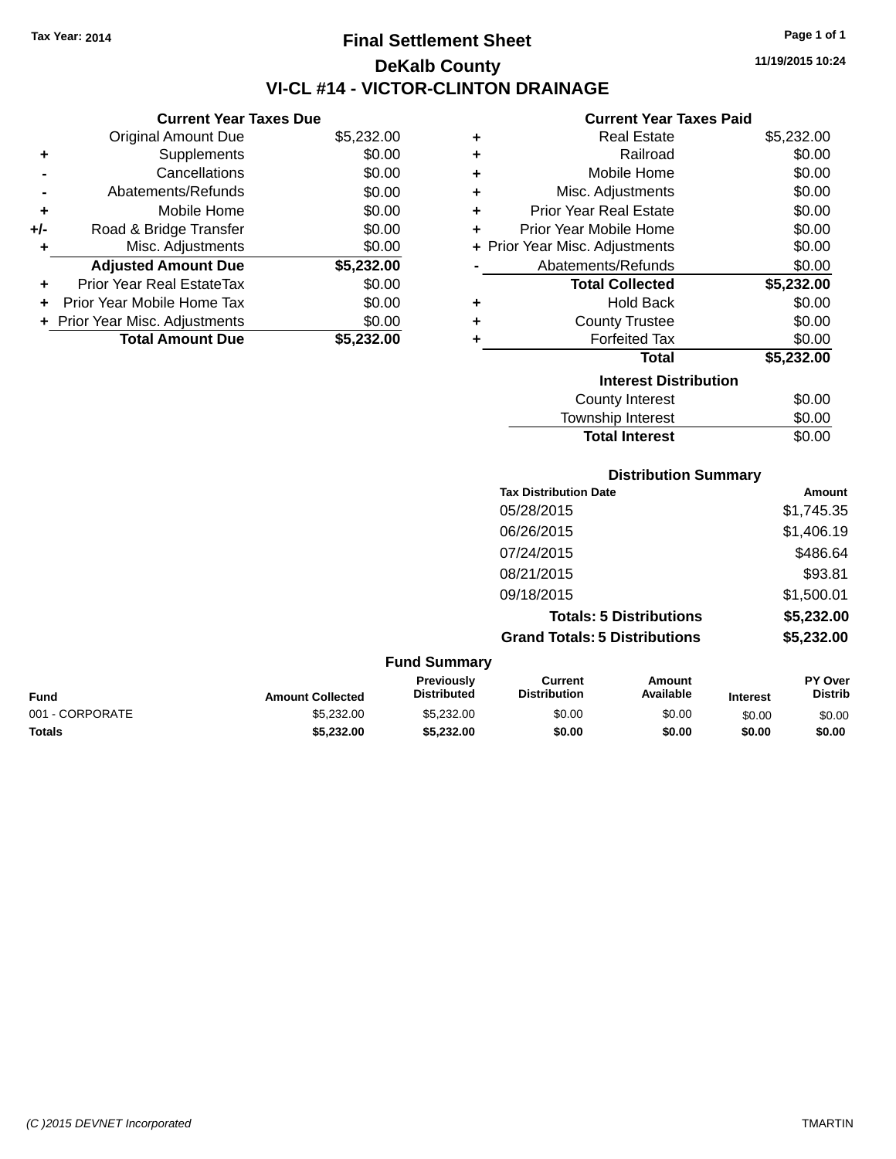**Current Year Taxes Due** Original Amount Due \$5,232.00

**Adjusted Amount Due \$5,232.00**

**Total Amount Due \$5,232.00**

**+** Supplements \$0.00 **-** Cancellations \$0.00 **-** Abatements/Refunds \$0.00 **+** Mobile Home \$0.00 **+/-** Road & Bridge Transfer \$0.00<br> **+** Misc. Adjustments \$0.00

**+** Prior Year Real EstateTax \$0.00 **+** Prior Year Mobile Home Tax \$0.00 **+ Prior Year Misc. Adjustments**  $$0.00$ 

**+** Misc. Adjustments

## **Final Settlement Sheet Tax Year: 2014 Page 1 of 1 DeKalb County VI-CL #14 - VICTOR-CLINTON DRAINAGE**

**11/19/2015 10:24**

#### **Current Year Taxes Paid**

| ٠ | <b>Real Estate</b>             | \$5,232.00 |
|---|--------------------------------|------------|
| ٠ | Railroad                       | \$0.00     |
| ٠ | Mobile Home                    | \$0.00     |
| ٠ | Misc. Adjustments              | \$0.00     |
| ٠ | <b>Prior Year Real Estate</b>  | \$0.00     |
| ٠ | Prior Year Mobile Home         | \$0.00     |
|   | + Prior Year Misc. Adjustments | \$0.00     |
|   | Abatements/Refunds             | \$0.00     |
|   | <b>Total Collected</b>         | \$5,232.00 |
| ٠ | Hold Back                      | \$0.00     |
| ٠ | <b>County Trustee</b>          | \$0.00     |
| ٠ | <b>Forfeited Tax</b>           | \$0.00     |
|   | <b>Total</b>                   | \$5,232.00 |
|   | <b>Interest Distribution</b>   |            |
|   | <b>County Interest</b>         | \$0.00     |
|   | <b>Township Interest</b>       | \$0.00     |

| <b>Distribution Summary</b>          |            |
|--------------------------------------|------------|
| <b>Tax Distribution Date</b>         | Amount     |
| 05/28/2015                           | \$1,745.35 |
| 06/26/2015                           | \$1,406.19 |
| 07/24/2015                           | \$486.64   |
| 08/21/2015                           | \$93.81    |
| 09/18/2015                           | \$1,500.01 |
| <b>Totals: 5 Distributions</b>       | \$5,232.00 |
| <b>Grand Totals: 5 Distributions</b> | \$5,232.00 |

Total Interest \$0.00

| <b>Fund Summary</b> |                         |                                  |                                |                     |                 |                                  |  |  |  |
|---------------------|-------------------------|----------------------------------|--------------------------------|---------------------|-----------------|----------------------------------|--|--|--|
| Fund                | <b>Amount Collected</b> | Previously<br><b>Distributed</b> | Current<br><b>Distribution</b> | Amount<br>Available | <b>Interest</b> | <b>PY Over</b><br><b>Distrib</b> |  |  |  |
| 001 - CORPORATE     | \$5,232,00              | \$5,232.00                       | \$0.00                         | \$0.00              | \$0.00          | \$0.00                           |  |  |  |
| Totals              | \$5,232.00              | \$5.232.00                       | \$0.00                         | \$0.00              | \$0.00          | \$0.00                           |  |  |  |
|                     |                         |                                  |                                |                     |                 |                                  |  |  |  |